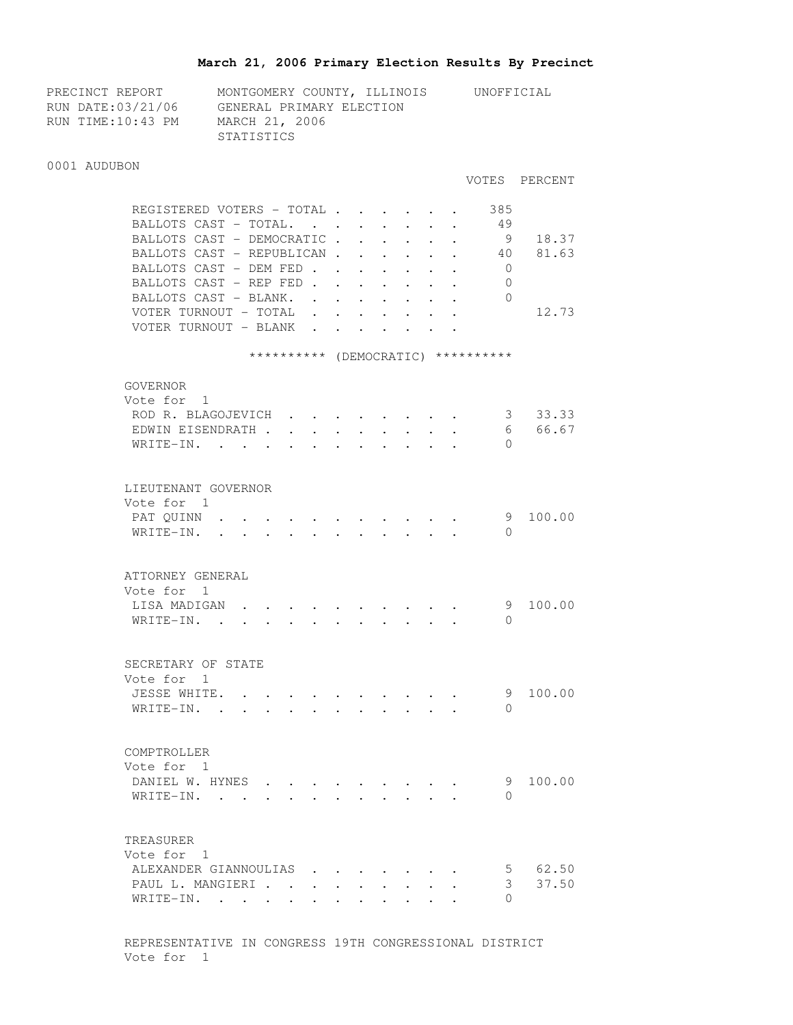## **March 21, 2006 Primary Election Results By Precinct**

| PRECINCT REPORT   | MONTGOMERY COUNTY, ILLINOIS | UNOFFICIAL |
|-------------------|-----------------------------|------------|
| RUN DATE:03/21/06 | GENERAL PRIMARY ELECTION    |            |
| RUN TIME:10:43 PM | MARCH 21, 2006              |            |
|                   | STATISTICS                  |            |

#### 0001 AUDUBON

#### VOTES PERCENT

 $\cdot$  . . 9 100.00

| REGISTERED VOTERS - TOTAL.                | $\sim$ $\sim$ |  |  | 385        |       |
|-------------------------------------------|---------------|--|--|------------|-------|
| BALLOTS CAST - TOTAL.                     |               |  |  | 49         |       |
| BALLOTS CAST - DEMOCRATIC.                |               |  |  | 9          | 18.37 |
| BALLOTS CAST - REPUBLICAN                 |               |  |  | 40         | 81.63 |
| BALLOTS CAST - DEM FED                    |               |  |  | 0          |       |
| BALLOTS CAST - REP FED                    |               |  |  | 0          |       |
| BALLOTS CAST - BLANK.                     |               |  |  | 0          |       |
| VOTER TURNOUT - TOTAL                     |               |  |  |            | 12.73 |
| VOTER TURNOUT - BLANK                     |               |  |  |            |       |
|                                           |               |  |  |            |       |
| **********                                | (DEMOCRATIC)  |  |  | ********** |       |
|                                           |               |  |  |            |       |
|                                           |               |  |  |            |       |
| GOVERNOR                                  |               |  |  |            |       |
| Vote for 1                                |               |  |  |            |       |
| ROD R. BLAGOJEVICH                        |               |  |  | 3          | 33.33 |
| EDWIN EISENDRATH .                        |               |  |  | 6          | 66.67 |
| $WRTTE-TN$ .<br>$\mathbf{L} = \mathbf{L}$ |               |  |  | 0          |       |
|                                           |               |  |  |            |       |
|                                           |               |  |  |            |       |

| Vote for 1 |  |  |  |  |  |  |          |
|------------|--|--|--|--|--|--|----------|
| PAT QUINN  |  |  |  |  |  |  | 9 100.00 |
| WRITE-IN.  |  |  |  |  |  |  |          |

| ATTORNEY GENERAL      |  |  |  |  |  |  |
|-----------------------|--|--|--|--|--|--|
| Vote for 1            |  |  |  |  |  |  |
| LISA MADIGAN 9 100.00 |  |  |  |  |  |  |
| WRITE-IN.             |  |  |  |  |  |  |

| SECRETARY OF STATE |  |  |  |  |  |
|--------------------|--|--|--|--|--|
| Vote for 1         |  |  |  |  |  |
| JESSE WHITE.       |  |  |  |  |  |

| COMPTROLLER                                                                                                              |  |  |  |  |  |          |
|--------------------------------------------------------------------------------------------------------------------------|--|--|--|--|--|----------|
| Vote for 1                                                                                                               |  |  |  |  |  |          |
| DANIEL W. HYNES                                                                                                          |  |  |  |  |  | 9 100.00 |
| WRITE-IN.<br>$\mathbf{r}$ , and $\mathbf{r}$ , and $\mathbf{r}$ , and $\mathbf{r}$ , and $\mathbf{r}$ , and $\mathbf{r}$ |  |  |  |  |  |          |

WRITE-IN. . . . . . . . . . . . 0

## TREASURER Vote for 1 ALEXANDER GIANNOULIAS . . . . . . . 5 62.50 PAUL L. MANGIERI . . . . . . . . . 3 37.50 WRITE-IN. . . . . . . . . . . . 0

 REPRESENTATIVE IN CONGRESS 19TH CONGRESSIONAL DISTRICT Vote for 1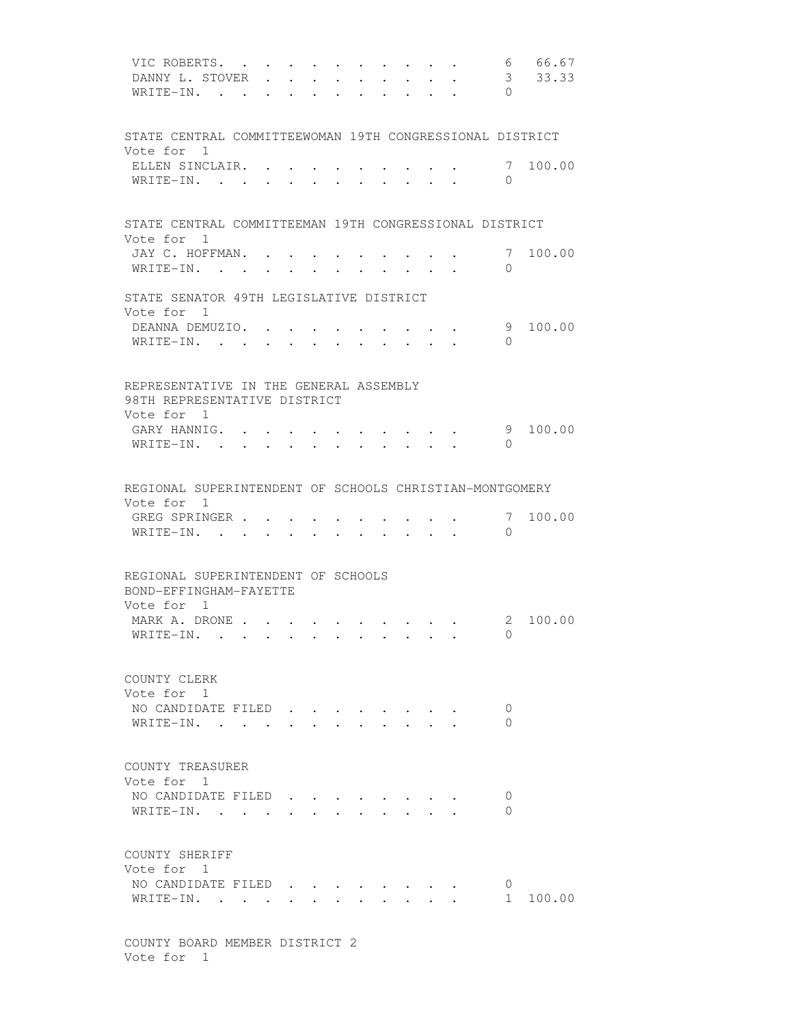| VIC ROBERTS.<br>DANNY L. STOVER<br>WRITE-IN.                                         | $\ddot{\phantom{a}}$ | <b>Contract Contract Contract</b> | $\ddot{\phantom{0}}$ | $\sim$ $\sim$ | $\mathbf{L} = \mathbf{L} \mathbf{L}$<br>$\mathbf{r}$ , $\mathbf{r}$ , $\mathbf{r}$ , $\mathbf{r}$ | $\sim$ $\sim$ $\sim$ $\sim$<br>$\ddot{\phantom{0}}$<br>$\cdot$ $\cdot$ $\cdot$ $\cdot$ | $\cdot$ $\cdot$               | $\sim$                                                                                   | 6<br>3<br>$\Omega$ | 66.67<br>33.33 |
|--------------------------------------------------------------------------------------|----------------------|-----------------------------------|----------------------|---------------|---------------------------------------------------------------------------------------------------|----------------------------------------------------------------------------------------|-------------------------------|------------------------------------------------------------------------------------------|--------------------|----------------|
| STATE CENTRAL COMMITTEEWOMAN 19TH CONGRESSIONAL DISTRICT                             |                      |                                   |                      |               |                                                                                                   |                                                                                        |                               |                                                                                          |                    |                |
| Vote for 1<br>ELLEN SINCLAIR. .<br>WRITE-IN.                                         |                      |                                   |                      |               |                                                                                                   |                                                                                        |                               |                                                                                          | $\mathbf{0}$       | 7 100.00       |
| STATE CENTRAL COMMITTEEMAN 19TH CONGRESSIONAL DISTRICT<br>Vote for 1                 |                      |                                   |                      |               |                                                                                                   |                                                                                        |                               |                                                                                          |                    |                |
| JAY C. HOFFMAN.<br>WRITE-IN.                                                         |                      |                                   |                      |               |                                                                                                   |                                                                                        |                               |                                                                                          | 7<br>$\Omega$      | 100.00         |
| STATE SENATOR 49TH LEGISLATIVE DISTRICT<br>Vote for 1                                |                      |                                   |                      |               |                                                                                                   |                                                                                        |                               |                                                                                          |                    |                |
| DEANNA DEMUZIO.<br>WRITE-IN.                                                         |                      |                                   |                      |               |                                                                                                   | $\mathbf{L}$                                                                           | $\mathbf{L}$                  | $\ddot{\phantom{a}}$                                                                     | $\Omega$           | 9 100.00       |
| REPRESENTATIVE IN THE GENERAL ASSEMBLY<br>98TH REPRESENTATIVE DISTRICT<br>Vote for 1 |                      |                                   |                      |               |                                                                                                   |                                                                                        |                               |                                                                                          |                    |                |
| GARY HANNIG. .<br>$W$ RITE-IN                                                        |                      |                                   |                      |               |                                                                                                   |                                                                                        |                               |                                                                                          | $\Omega$           | 9 100.00       |
| REGIONAL SUPERINTENDENT OF SCHOOLS CHRISTIAN-MONTGOMERY<br>Vote for 1                |                      |                                   |                      |               |                                                                                                   |                                                                                        |                               |                                                                                          |                    |                |
| GREG SPRINGER<br>WRITE-IN.                                                           |                      |                                   |                      |               |                                                                                                   |                                                                                        |                               |                                                                                          | 7<br>$\Omega$      | 100.00         |
| REGIONAL SUPERINTENDENT OF SCHOOLS<br>BOND-EFFINGHAM-FAYETTE                         |                      |                                   |                      |               |                                                                                                   |                                                                                        |                               |                                                                                          |                    |                |
| Vote for 1<br>MARK A. DRONE<br>WRITE-IN.                                             |                      |                                   |                      |               |                                                                                                   |                                                                                        |                               | $\mathbf{r}$ , and $\mathbf{r}$ , and $\mathbf{r}$ , and $\mathbf{r}$ , and $\mathbf{r}$ | $\overline{0}$     | 2 100.00       |
| COUNTY CLERK<br>Vote for 1                                                           |                      |                                   |                      |               |                                                                                                   |                                                                                        |                               |                                                                                          |                    |                |
| NO CANDIDATE FILED<br>WRITE-IN.                                                      |                      |                                   |                      |               |                                                                                                   |                                                                                        |                               |                                                                                          | 0<br>0             |                |
| COUNTY TREASURER<br>Vote for 1                                                       |                      |                                   |                      |               |                                                                                                   |                                                                                        |                               |                                                                                          |                    |                |
| NO CANDIDATE FILED.<br>WRITE-IN.                                                     |                      |                                   |                      |               |                                                                                                   |                                                                                        |                               |                                                                                          | O<br>0             |                |
| COUNTY SHERIFF<br>Vote for 1<br>NO CANDIDATE FILED<br>WRITE-IN.                      |                      |                                   |                      |               |                                                                                                   |                                                                                        | $\mathbf{r}$ and $\mathbf{r}$ |                                                                                          | 0<br>$1 \quad$     | 100.00         |
|                                                                                      |                      |                                   |                      |               |                                                                                                   |                                                                                        |                               |                                                                                          |                    |                |

 COUNTY BOARD MEMBER DISTRICT 2 Vote for 1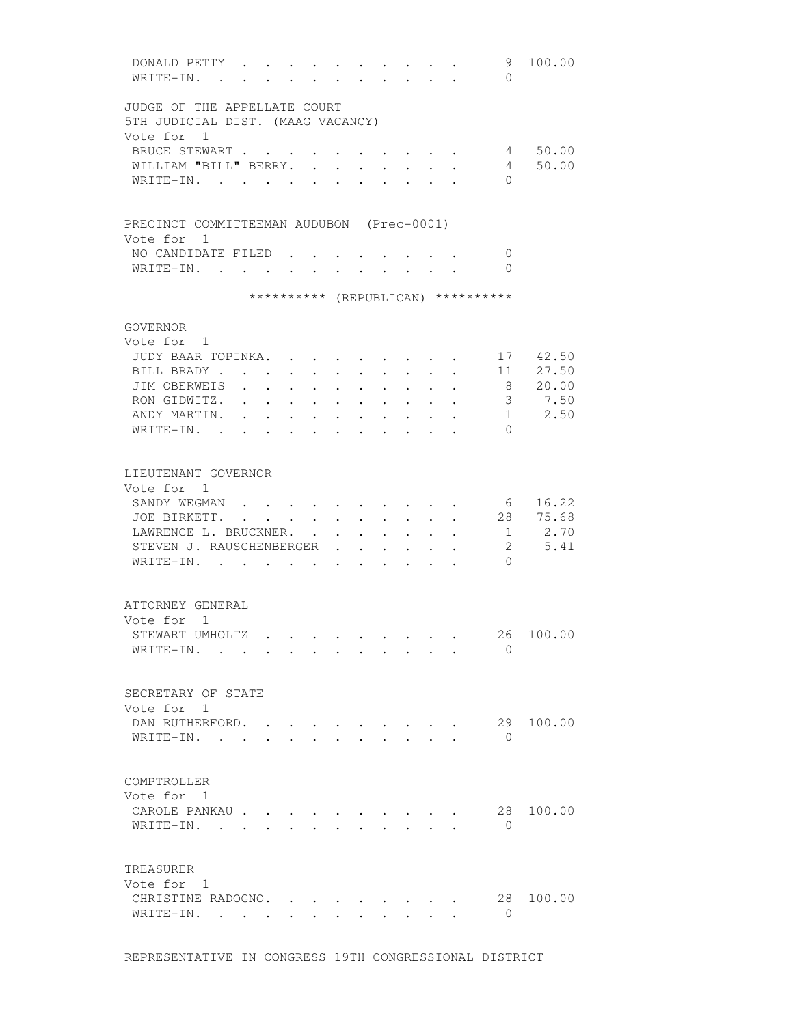| DONALD PETTY<br>WRITE-IN. .                                       |                                                             |                      |                                                             |                      |                                                             |                                                             |                                  |                                                                          | 9<br>$\Omega$                                                            | 100.00                                 |
|-------------------------------------------------------------------|-------------------------------------------------------------|----------------------|-------------------------------------------------------------|----------------------|-------------------------------------------------------------|-------------------------------------------------------------|----------------------------------|--------------------------------------------------------------------------|--------------------------------------------------------------------------|----------------------------------------|
| JUDGE OF THE APPELLATE COURT<br>5TH JUDICIAL DIST. (MAAG VACANCY) |                                                             |                      |                                                             |                      |                                                             |                                                             |                                  |                                                                          |                                                                          |                                        |
| Vote for 1                                                        |                                                             |                      |                                                             |                      |                                                             |                                                             |                                  |                                                                          |                                                                          |                                        |
| BRUCE STEWART                                                     |                                                             |                      |                                                             |                      |                                                             |                                                             |                                  |                                                                          | $\mathbf{z} = \mathbf{z} + \mathbf{z}$ , where $\mathbf{z} = \mathbf{z}$ | 4 50.00                                |
| WILLIAM "BILL" BERRY.                                             |                                                             |                      |                                                             | $\ddot{\phantom{a}}$ | $\ddot{\phantom{0}}$                                        |                                                             |                                  |                                                                          | $4\degree$                                                               | 50.00                                  |
| WRITE-IN.                                                         |                                                             | $\bullet$            | $\ddot{\phantom{a}}$                                        |                      |                                                             |                                                             |                                  |                                                                          | $\Omega$                                                                 |                                        |
| PRECINCT COMMITTEEMAN AUDUBON (Prec-0001)                         |                                                             |                      |                                                             |                      |                                                             |                                                             |                                  |                                                                          |                                                                          |                                        |
| Vote for 1                                                        |                                                             |                      |                                                             |                      |                                                             |                                                             |                                  |                                                                          |                                                                          |                                        |
| NO CANDIDATE FILED                                                |                                                             |                      |                                                             |                      |                                                             |                                                             |                                  |                                                                          | $\mathbf{0}$                                                             |                                        |
| WRITE-IN.                                                         |                                                             |                      |                                                             |                      |                                                             |                                                             |                                  |                                                                          | $\bigcirc$                                                               |                                        |
|                                                                   |                                                             |                      |                                                             |                      |                                                             |                                                             |                                  |                                                                          | ********** (REPUBLICAN) **********                                       |                                        |
| GOVERNOR                                                          |                                                             |                      |                                                             |                      |                                                             |                                                             |                                  |                                                                          |                                                                          |                                        |
| Vote for 1                                                        |                                                             |                      |                                                             |                      |                                                             |                                                             |                                  |                                                                          |                                                                          |                                        |
| JUDY BAAR TOPINKA.                                                |                                                             |                      |                                                             |                      |                                                             |                                                             |                                  |                                                                          |                                                                          | 17 42.50                               |
| BILL BRADY                                                        | $\mathbf{L}$                                                |                      | <b>Service</b> State                                        |                      |                                                             |                                                             |                                  | $\mathbf{r}$ , $\mathbf{r}$ , $\mathbf{r}$ , $\mathbf{r}$ , $\mathbf{r}$ |                                                                          | 11 27.50                               |
| JIM OBERWEIS                                                      |                                                             | $\ddot{\phantom{a}}$ | $\sim$ $\sim$ $\sim$                                        | $\ddot{\phantom{0}}$ | $\ddot{\phantom{0}}$                                        | $\ddot{\phantom{0}}$                                        | $\sim$                           |                                                                          |                                                                          | 8 20.00                                |
| RON GIDWITZ. .                                                    | $\mathbf{r}$ . The set of $\mathbf{r}$                      | $\ddot{\phantom{a}}$ | $\bullet$ .<br><br><br><br><br><br><br><br><br><br><br><br> | $\bullet$            | $\ddot{\phantom{a}}$                                        | $\ddot{\phantom{0}}$                                        | $\ddot{\phantom{a}}$             |                                                                          |                                                                          | 3 7.50<br>$1 \t 2.50$                  |
| ANDY MARTIN. .<br>WRITE-IN. .                                     | $\bullet$ . In the case of the $\sim$                       |                      | $\mathbf{r} = \mathbf{r} + \mathbf{r}$ .                    | $\sim 100$           | $\bullet$ .<br><br><br><br><br><br><br><br><br><br><br><br> | $\sim 100$                                                  | $\bullet$ . The set of $\bullet$ |                                                                          | $\Omega$                                                                 |                                        |
|                                                                   | $\bullet$ .<br><br><br><br><br><br><br><br><br><br><br><br> |                      | <b>All Contracts</b>                                        |                      | $\bullet$ . In the case of the $\sim$                       | $\sim 100$                                                  |                                  |                                                                          |                                                                          |                                        |
| LIEUTENANT GOVERNOR                                               |                                                             |                      |                                                             |                      |                                                             |                                                             |                                  |                                                                          |                                                                          |                                        |
| Vote for 1                                                        |                                                             |                      |                                                             |                      |                                                             |                                                             |                                  |                                                                          |                                                                          |                                        |
| SANDY WEGMAN                                                      |                                                             |                      |                                                             |                      |                                                             |                                                             |                                  |                                                                          |                                                                          | 6 16.22                                |
| JOE BIRKETT. 28 75.68                                             |                                                             |                      |                                                             |                      |                                                             |                                                             |                                  |                                                                          |                                                                          |                                        |
| LAWRENCE L. BRUCKNER.                                             |                                                             | $\ddot{\phantom{0}}$ | $\ddot{\phantom{0}}$                                        |                      | $\cdot$ $\cdot$ $\cdot$                                     | $\sim$                                                      |                                  | $\cdot$ $\cdot$                                                          |                                                                          | 1 2.70                                 |
| STEVEN J. RAUSCHENBERGER .                                        |                                                             |                      |                                                             |                      | $\mathbf{z} = \mathbf{z} + \mathbf{z}$ .                    | $\ddot{\phantom{0}}$                                        | $\bullet$                        |                                                                          |                                                                          | 5.41<br>$2 \left( \frac{1}{2} \right)$ |
| WRITE-IN.                                                         |                                                             |                      |                                                             |                      | $\ddot{\phantom{0}}$                                        | $\bullet$ .<br><br><br><br><br><br><br><br><br><br><br><br> |                                  |                                                                          | $\Omega$                                                                 |                                        |
| ATTORNEY GENERAL                                                  |                                                             |                      |                                                             |                      |                                                             |                                                             |                                  |                                                                          |                                                                          |                                        |
| Vote for 1                                                        |                                                             |                      |                                                             |                      |                                                             |                                                             |                                  |                                                                          |                                                                          |                                        |
| STEWART UMHOLTZ                                                   |                                                             |                      |                                                             |                      |                                                             |                                                             |                                  |                                                                          |                                                                          | 26 100.00                              |
| WRITE-IN.                                                         |                                                             |                      |                                                             |                      |                                                             |                                                             |                                  |                                                                          | $\Omega$                                                                 |                                        |
|                                                                   |                                                             |                      |                                                             |                      |                                                             |                                                             |                                  |                                                                          |                                                                          |                                        |
| SECRETARY OF STATE                                                |                                                             |                      |                                                             |                      |                                                             |                                                             |                                  |                                                                          |                                                                          |                                        |
| Vote for 1                                                        |                                                             |                      |                                                             |                      |                                                             |                                                             |                                  |                                                                          |                                                                          |                                        |
| DAN RUTHERFORD.                                                   |                                                             |                      |                                                             |                      |                                                             |                                                             |                                  |                                                                          | 29                                                                       | 100.00                                 |
| WRITE-IN.                                                         | $\ddot{\phantom{0}}$                                        |                      |                                                             |                      |                                                             |                                                             |                                  |                                                                          | $\Omega$                                                                 |                                        |
| COMPTROLLER                                                       |                                                             |                      |                                                             |                      |                                                             |                                                             |                                  |                                                                          |                                                                          |                                        |
| Vote for 1                                                        |                                                             |                      |                                                             |                      |                                                             |                                                             |                                  |                                                                          |                                                                          |                                        |
| CAROLE PANKAU                                                     |                                                             |                      |                                                             |                      |                                                             |                                                             |                                  |                                                                          | 28                                                                       | 100.00                                 |
| WRITE-IN.                                                         |                                                             |                      |                                                             |                      |                                                             |                                                             |                                  |                                                                          | $\Omega$                                                                 |                                        |
|                                                                   |                                                             |                      |                                                             |                      |                                                             |                                                             |                                  |                                                                          |                                                                          |                                        |
| TREASURER                                                         |                                                             |                      |                                                             |                      |                                                             |                                                             |                                  |                                                                          |                                                                          |                                        |
| Vote for 1                                                        |                                                             |                      |                                                             |                      |                                                             |                                                             |                                  |                                                                          |                                                                          |                                        |
| CHRISTINE RADOGNO.                                                |                                                             |                      |                                                             |                      |                                                             |                                                             |                                  |                                                                          | 28                                                                       | 100.00                                 |
| WRITE-IN.                                                         |                                                             |                      |                                                             |                      |                                                             |                                                             |                                  |                                                                          | $\circ$                                                                  |                                        |
|                                                                   |                                                             |                      |                                                             |                      |                                                             |                                                             |                                  |                                                                          |                                                                          |                                        |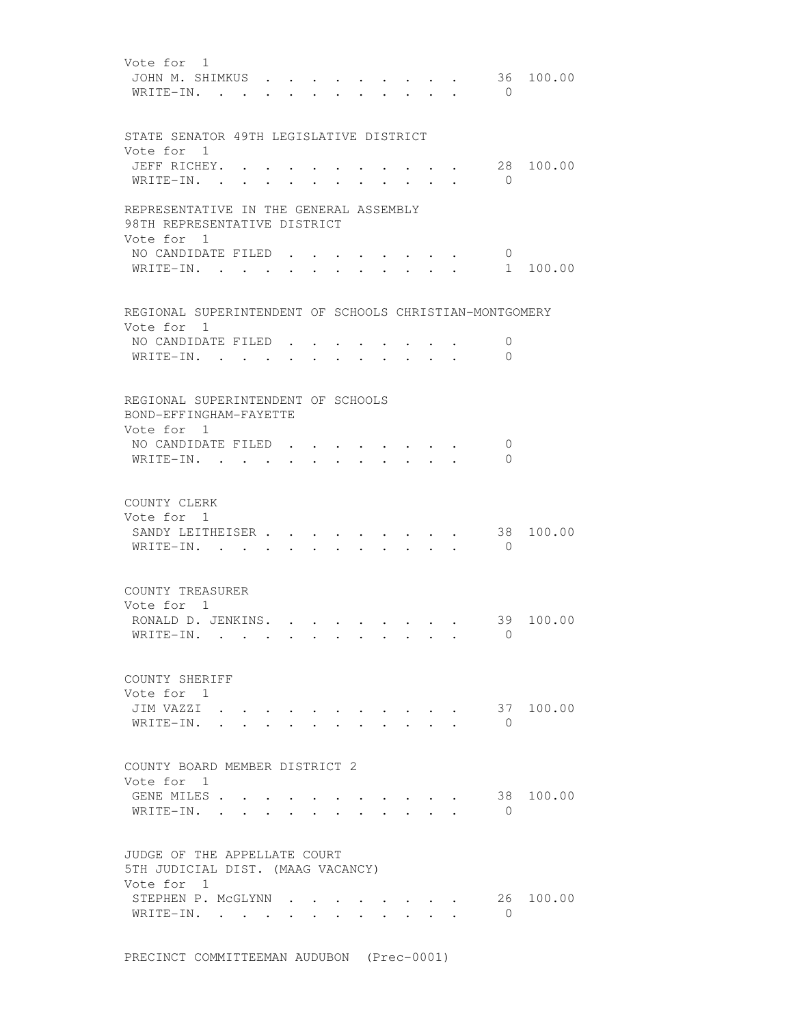| Vote for 1<br>JOHN M. SHIMKUS .<br>WRITE-IN.                                         |        |                      |        |           |                                                                 | $\cdot$ $\cdot$ | 36<br>$\Omega$          | 100.00    |
|--------------------------------------------------------------------------------------|--------|----------------------|--------|-----------|-----------------------------------------------------------------|-----------------|-------------------------|-----------|
| STATE SENATOR 49TH LEGISLATIVE DISTRICT                                              |        |                      |        |           |                                                                 |                 |                         |           |
| Vote for 1<br>JEFF RICHEY.<br>WRITE-IN. .                                            |        |                      |        |           |                                                                 |                 | $\overline{0}$          | 28 100.00 |
|                                                                                      |        |                      |        |           |                                                                 |                 |                         |           |
| REPRESENTATIVE IN THE GENERAL ASSEMBLY<br>98TH REPRESENTATIVE DISTRICT<br>Vote for 1 |        |                      |        |           |                                                                 |                 |                         |           |
| NO CANDIDATE FILED<br>WRITE-IN.                                                      |        |                      |        | $\cdot$ . | $\bullet$ and $\bullet$ and $\bullet$                           | $\cdot$ $\cdot$ | $\mathbf{0}$<br>1       | 100.00    |
| REGIONAL SUPERINTENDENT OF SCHOOLS CHRISTIAN-MONTGOMERY<br>Vote for 1                |        |                      |        |           |                                                                 |                 |                         |           |
| NO CANDIDATE FILED<br>WRITE-IN.                                                      |        | $\mathbf{L}$         | $\sim$ |           | $\ddot{\phantom{0}}$                                            |                 | $\mathbf 0$<br>$\Omega$ |           |
| REGIONAL SUPERINTENDENT OF SCHOOLS<br>BOND-EFFINGHAM-FAYETTE                         |        |                      |        |           |                                                                 |                 |                         |           |
| Vote for 1<br>NO CANDIDATE FILED                                                     |        |                      |        |           |                                                                 |                 | $\mathbf 0$             |           |
| WRITE-IN. .                                                                          | $\sim$ |                      |        |           |                                                                 |                 | 0                       |           |
| COUNTY CLERK<br>Vote for 1<br>SANDY LEITHEISER<br>WRITE-IN. .                        |        |                      |        |           |                                                                 |                 | 38<br>$\bigcirc$        | 100.00    |
| COUNTY TREASURER<br>Vote for 1<br>RONALD D. JENKINS.<br>$WRITE-IN.$ .                |        | $\sim$ $\sim$ $\sim$ |        |           |                                                                 |                 | 39<br>$\overline{0}$    | 100.00    |
| COUNTY SHERIFF<br>Vote for 1<br>JIM VAZZI<br>WRITE-IN.                               | $\sim$ |                      |        |           |                                                                 |                 | $\bigcirc$              | 37 100.00 |
| COUNTY BOARD MEMBER DISTRICT 2<br>Vote for 1                                         |        |                      |        |           |                                                                 |                 |                         |           |
| GENE MILES<br>WRITE-IN.                                                              |        |                      |        |           | $\mathcal{A}=\mathcal{A}=\mathcal{A}=\mathcal{A}=\mathcal{A}$ . |                 | 38<br>$\bigcirc$        | 100.00    |
| JUDGE OF THE APPELLATE COURT<br>5TH JUDICIAL DIST. (MAAG VACANCY)<br>Vote for 1      |        |                      |        |           |                                                                 |                 |                         |           |
| STEPHEN P. MCGLYNN<br>WRITE-IN.                                                      |        |                      |        |           |                                                                 |                 | 26<br>$\circ$           | 100.00    |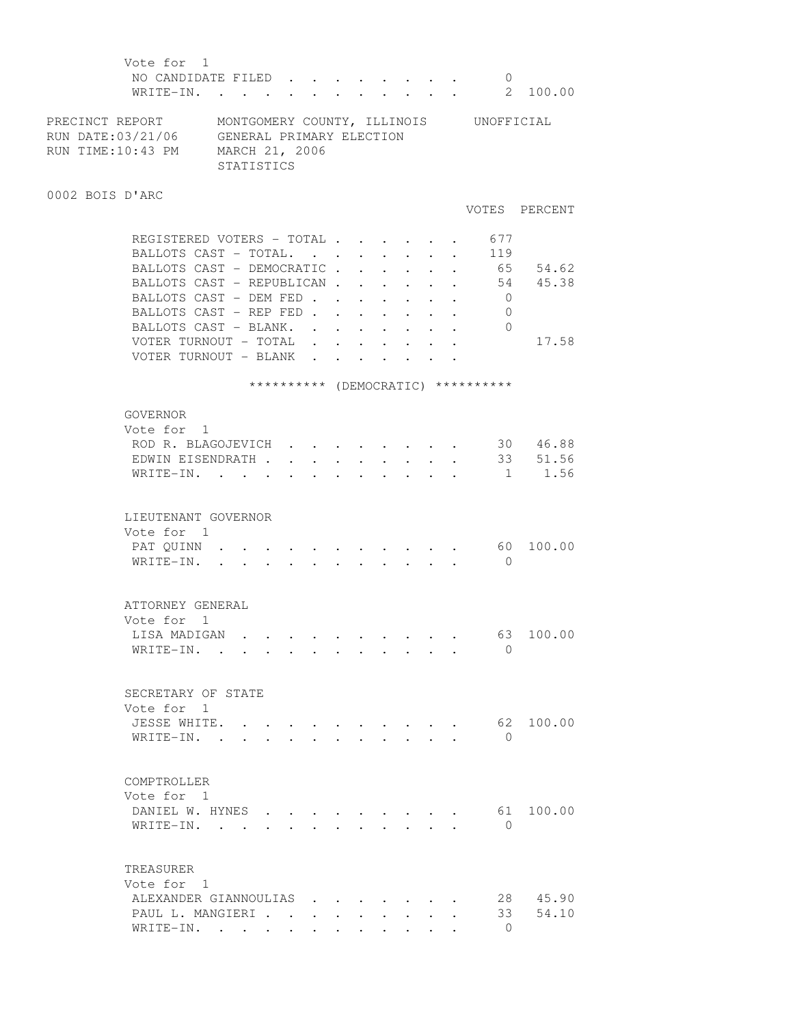| Vote for 1<br>NO CANDIDATE FILED<br>WRITE-IN.                                                                                            |            |  |  |                      |                                         |                         |                                                              | $\mathbf{L}^{\text{max}}$ , and $\mathbf{L}^{\text{max}}$ | $\overline{0}$                     | 2 100.00         |
|------------------------------------------------------------------------------------------------------------------------------------------|------------|--|--|----------------------|-----------------------------------------|-------------------------|--------------------------------------------------------------|-----------------------------------------------------------|------------------------------------|------------------|
| PRECINCT REPORT MONTGOMERY COUNTY, ILLINOIS UNOFFICIAL<br>RUN DATE:03/21/06 GENERAL PRIMARY ELECTION<br>RUN TIME:10:43 PM MARCH 21, 2006 | STATISTICS |  |  |                      |                                         |                         |                                                              |                                                           |                                    |                  |
| 0002 BOIS D'ARC                                                                                                                          |            |  |  |                      |                                         |                         |                                                              |                                                           |                                    | VOTES PERCENT    |
| REGISTERED VOTERS - TOTAL                                                                                                                |            |  |  |                      |                                         |                         |                                                              |                                                           | 677                                |                  |
| BALLOTS CAST - TOTAL.                                                                                                                    |            |  |  | $\ddot{\phantom{0}}$ | $\mathbf{L}^{\text{max}}$               |                         | $\ddot{\phantom{0}}$                                         | $\sim$                                                    | 119                                |                  |
| BALLOTS CAST - DEMOCRATIC                                                                                                                |            |  |  |                      |                                         |                         |                                                              |                                                           |                                    | 65 54.62         |
| BALLOTS CAST - REPUBLICAN                                                                                                                |            |  |  |                      |                                         |                         |                                                              |                                                           |                                    | 54 45.38         |
| BALLOTS CAST - DEM FED                                                                                                                   |            |  |  |                      |                                         |                         |                                                              |                                                           | $\overline{0}$                     |                  |
| BALLOTS CAST - REP FED                                                                                                                   |            |  |  |                      |                                         |                         |                                                              |                                                           | $\overline{0}$                     |                  |
| BALLOTS CAST - BLANK. .                                                                                                                  |            |  |  |                      | $\cdot$ $\cdot$ $\cdot$ $\cdot$ $\cdot$ |                         |                                                              |                                                           | $\overline{0}$                     |                  |
| VOTER TURNOUT - TOTAL .                                                                                                                  |            |  |  |                      |                                         |                         |                                                              |                                                           |                                    | 17.58            |
| VOTER TURNOUT - BLANK                                                                                                                    |            |  |  |                      |                                         |                         |                                                              |                                                           |                                    |                  |
|                                                                                                                                          |            |  |  |                      |                                         |                         |                                                              |                                                           | ********** (DEMOCRATIC) ********** |                  |
| GOVERNOR                                                                                                                                 |            |  |  |                      |                                         |                         |                                                              |                                                           |                                    |                  |
| Vote for 1                                                                                                                               |            |  |  |                      |                                         |                         |                                                              |                                                           |                                    |                  |
| ROD R. BLAGOJEVICH                                                                                                                       |            |  |  |                      |                                         |                         |                                                              |                                                           |                                    | 30 46.88         |
| EDWIN EISENDRATH                                                                                                                         |            |  |  |                      |                                         |                         |                                                              |                                                           |                                    | $\cdot$ 33 51.56 |
| WRITE-IN.                                                                                                                                |            |  |  |                      |                                         |                         |                                                              |                                                           |                                    | $1 \t 1.56$      |
|                                                                                                                                          |            |  |  |                      |                                         |                         |                                                              |                                                           |                                    |                  |
| LIEUTENANT GOVERNOR                                                                                                                      |            |  |  |                      |                                         |                         |                                                              |                                                           |                                    |                  |
| Vote for 1                                                                                                                               |            |  |  |                      |                                         |                         |                                                              |                                                           |                                    |                  |
| PAT QUINN                                                                                                                                |            |  |  |                      |                                         |                         |                                                              |                                                           |                                    | 60 100.00        |
| WRITE-IN.                                                                                                                                |            |  |  |                      |                                         |                         |                                                              |                                                           | $\bigcirc$                         |                  |
|                                                                                                                                          |            |  |  |                      |                                         |                         |                                                              |                                                           |                                    |                  |
| ATTORNEY GENERAL                                                                                                                         |            |  |  |                      |                                         |                         |                                                              |                                                           |                                    |                  |
| Vote for 1                                                                                                                               |            |  |  |                      |                                         |                         |                                                              |                                                           |                                    |                  |
| LISA MADIGAN                                                                                                                             |            |  |  |                      |                                         |                         |                                                              |                                                           |                                    | 63 100.00        |
| WRITE-IN.                                                                                                                                |            |  |  |                      |                                         |                         |                                                              |                                                           | $\Omega$                           |                  |
|                                                                                                                                          |            |  |  |                      |                                         |                         |                                                              |                                                           |                                    |                  |
|                                                                                                                                          |            |  |  |                      |                                         |                         |                                                              |                                                           |                                    |                  |
| SECRETARY OF STATE                                                                                                                       |            |  |  |                      |                                         |                         |                                                              |                                                           |                                    |                  |
| Vote for 1                                                                                                                               |            |  |  |                      |                                         |                         |                                                              |                                                           |                                    |                  |
| JESSE WHITE.                                                                                                                             |            |  |  |                      |                                         |                         |                                                              |                                                           |                                    | 62 100.00        |
| WRITE-IN. .                                                                                                                              |            |  |  |                      |                                         |                         |                                                              |                                                           | $\Omega$                           |                  |
|                                                                                                                                          |            |  |  |                      |                                         |                         |                                                              |                                                           |                                    |                  |
| COMPTROLLER                                                                                                                              |            |  |  |                      |                                         |                         |                                                              |                                                           |                                    |                  |
| Vote for 1                                                                                                                               |            |  |  |                      |                                         |                         |                                                              |                                                           |                                    |                  |
| DANIEL W. HYNES                                                                                                                          |            |  |  |                      |                                         |                         |                                                              |                                                           | 61                                 | 100.00           |
| WRITE-IN.                                                                                                                                |            |  |  |                      | $\cdot$ $\cdot$ $\cdot$ $\cdot$ $\cdot$ |                         |                                                              |                                                           | $\Omega$                           |                  |
|                                                                                                                                          |            |  |  |                      |                                         |                         |                                                              |                                                           |                                    |                  |
| TREASURER                                                                                                                                |            |  |  |                      |                                         |                         |                                                              |                                                           |                                    |                  |
| Vote for 1                                                                                                                               |            |  |  |                      |                                         |                         |                                                              |                                                           |                                    |                  |
| ALEXANDER GIANNOULIAS                                                                                                                    |            |  |  |                      |                                         | $\cdot$ $\cdot$ $\cdot$ |                                                              |                                                           |                                    | 28 45.90         |
| PAUL L. MANGIERI                                                                                                                         |            |  |  |                      |                                         |                         | $\mathbf{L} = \mathbf{L} \mathbf{L} + \mathbf{L} \mathbf{L}$ |                                                           | 33                                 | 54.10            |
| WRITE-IN.                                                                                                                                |            |  |  |                      |                                         |                         |                                                              |                                                           | $\bigcap$                          |                  |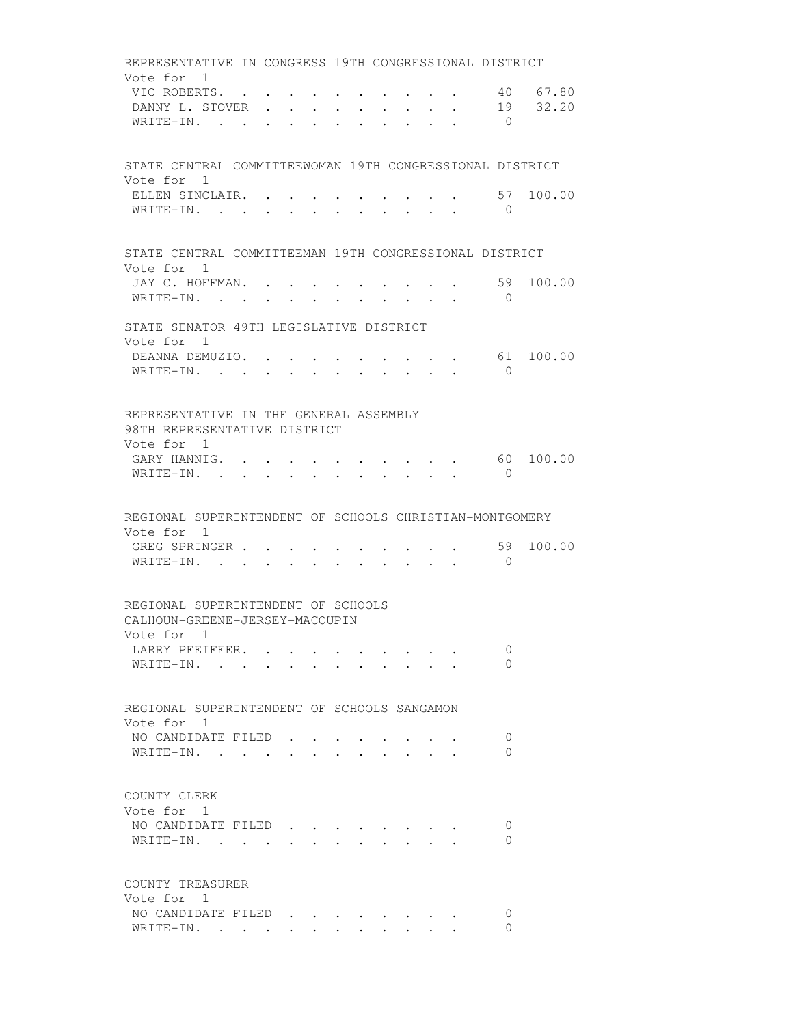REPRESENTATIVE IN CONGRESS 19TH CONGRESSIONAL DISTRICT Vote for 1 VIC ROBERTS. . . . . . . . . . . 40 67.80 DANNY L. STOVER . . . . . . . . . 19 32.20 WRITE-IN. . . . . . . . . . . 0 STATE CENTRAL COMMITTEEWOMAN 19TH CONGRESSIONAL DISTRICT Vote for 1 ELLEN SINCLAIR. . . . . . . . . . . 57 100.00 WRITE-IN. . . . . . . . . . . 0 STATE CENTRAL COMMITTEEMAN 19TH CONGRESSIONAL DISTRICT Vote for 1 JAY C. HOFFMAN. . . . . . . . . . 59 100.00 WRITE-IN. . . . . . . . . . . . 0 STATE SENATOR 49TH LEGISLATIVE DISTRICT Vote for 1 DEANNA DEMUZIO. . . . . . . . . . 61 100.00 WRITE-IN. . . . . . . . . . . 0 REPRESENTATIVE IN THE GENERAL ASSEMBLY 98TH REPRESENTATIVE DISTRICT Vote for 1 GARY HANNIG. . . . . . . . . . . 60 100.00 WRITE-IN. . . . . . . . . . . . 0 REGIONAL SUPERINTENDENT OF SCHOOLS CHRISTIAN-MONTGOMERY Vote for 1 GREG SPRINGER . . . . . . . . . . . 59 100.00 WRITE-IN. . . . . . . . . . . 0 REGIONAL SUPERINTENDENT OF SCHOOLS CALHOUN-GREENE-JERSEY-MACOUPIN Vote for 1 LARRY PFEIFFER. . . . . . . . . . 0 WRITE-IN. . . . . . . . . . . . 0 REGIONAL SUPERINTENDENT OF SCHOOLS SANGAMON Vote for 1 NO CANDIDATE FILED . . . . . . . . 0 WRITE-IN. . . . . . . . . . . . 0 COUNTY CLERK Vote for 1 NO CANDIDATE FILED . . . . . . . . 0 WRITE-IN. . . . . . . . . . . 0 COUNTY TREASURER Vote for 1 NO CANDIDATE FILED . . . . . . . . 0 WRITE-IN. . . . . . . . . . . 0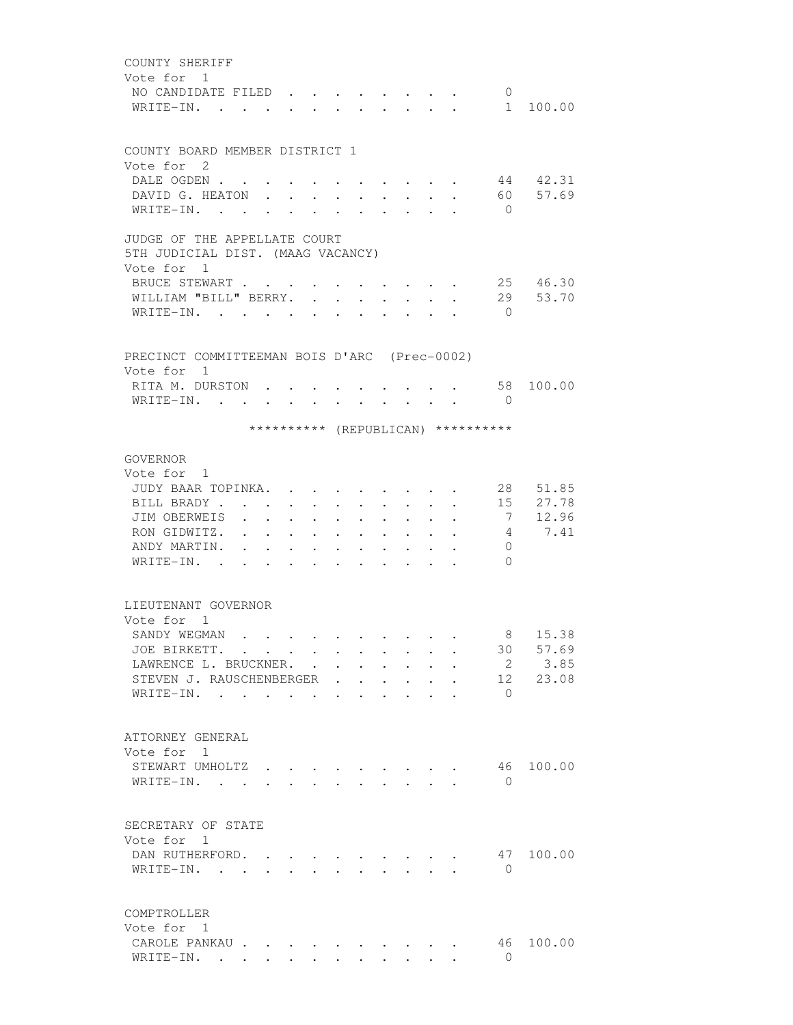| COUNTY SHERIFF                                                                                                                                                                                                                                                               |  |
|------------------------------------------------------------------------------------------------------------------------------------------------------------------------------------------------------------------------------------------------------------------------------|--|
| Vote for 1                                                                                                                                                                                                                                                                   |  |
| NO CANDIDATE FILED.<br>$\mathbf{0}$                                                                                                                                                                                                                                          |  |
| WRITE-IN.<br>1 100.00<br>$\mathbf{r}$ and $\mathbf{r}$ and $\mathbf{r}$                                                                                                                                                                                                      |  |
|                                                                                                                                                                                                                                                                              |  |
|                                                                                                                                                                                                                                                                              |  |
| COUNTY BOARD MEMBER DISTRICT 1<br>Vote for 2                                                                                                                                                                                                                                 |  |
| DALE OGDEN                                                                                                                                                                                                                                                                   |  |
| 44 42.31<br>DAVID G. HEATON.<br>57.69                                                                                                                                                                                                                                        |  |
| 60 -<br>WRITE-IN. .<br>$\bigcirc$                                                                                                                                                                                                                                            |  |
|                                                                                                                                                                                                                                                                              |  |
| JUDGE OF THE APPELLATE COURT                                                                                                                                                                                                                                                 |  |
| 5TH JUDICIAL DIST. (MAAG VACANCY)                                                                                                                                                                                                                                            |  |
| Vote for 1                                                                                                                                                                                                                                                                   |  |
| 25 46.30<br>BRUCE STEWART                                                                                                                                                                                                                                                    |  |
| 29<br>53.70<br>WILLIAM "BILL" BERRY.                                                                                                                                                                                                                                         |  |
| WRITE-IN.<br>$\bigcirc$<br><b>Contract Contract</b>                                                                                                                                                                                                                          |  |
|                                                                                                                                                                                                                                                                              |  |
|                                                                                                                                                                                                                                                                              |  |
| PRECINCT COMMITTEEMAN BOIS D'ARC (Prec-0002)                                                                                                                                                                                                                                 |  |
| Vote for 1                                                                                                                                                                                                                                                                   |  |
| 100.00<br>RITA M. DURSTON.<br>58                                                                                                                                                                                                                                             |  |
| WRITE-IN.<br>$\Omega$<br>$\cdot$ $\cdot$ $\cdot$ $\cdot$ $\cdot$ $\cdot$<br>$\bullet$ . The set of $\bullet$<br>$\bullet$ .<br><br><br><br><br><br><br><br><br><br><br><br>                                                                                                  |  |
|                                                                                                                                                                                                                                                                              |  |
| ********** (REPUBLICAN) **********                                                                                                                                                                                                                                           |  |
| GOVERNOR                                                                                                                                                                                                                                                                     |  |
| Vote for 1                                                                                                                                                                                                                                                                   |  |
| 28 51.85<br>JUDY BAAR TOPINKA.                                                                                                                                                                                                                                               |  |
| 27.78<br>BILL BRADY<br>15<br>$\cdot$ $\cdot$ $\cdot$<br>$\sim$                                                                                                                                                                                                               |  |
| $\mathbf{L} = \mathbf{L} \mathbf{L}$<br>$\ddot{\phantom{0}}$<br>$\ddot{\phantom{a}}$<br>12.96<br>JIM OBERWEIS<br>7<br>$\sim$ $\sim$ $\sim$                                                                                                                                   |  |
| $\ddot{\phantom{0}}$<br>$\ddot{\phantom{0}}$<br>$\ddot{\phantom{a}}$<br>7.41<br>RON GIDWITZ.<br>4                                                                                                                                                                            |  |
| <b>Contractor</b><br>$\bullet$ .<br><br><br><br><br><br><br><br><br><br><br><br><br>$\bullet$<br>$\ddot{\phantom{0}}$<br>$\bullet$ .<br><br><br><br><br><br><br><br><br><br><br><br><br><br>$\bullet$<br>$\bullet$<br>$\ddot{\phantom{0}}$<br>ANDY MARTIN.<br>$\overline{0}$ |  |
| $\ddot{\phantom{0}}$<br>$\bullet$ .<br><br><br><br><br><br><br><br><br><br><br><br><br>$\bullet$<br>$\bullet$<br>$\bullet$<br>$\bullet$<br>$\Omega$<br>WRITE-IN.<br>$\sim$                                                                                                   |  |
| $\ddot{\phantom{a}}$<br>$\bullet$ .<br><br><br><br><br><br><br><br><br><br><br><br><br>$\ddot{\phantom{a}}$<br>$\ddot{\phantom{a}}$                                                                                                                                          |  |
|                                                                                                                                                                                                                                                                              |  |
| LIEUTENANT GOVERNOR                                                                                                                                                                                                                                                          |  |
| Vote for 1                                                                                                                                                                                                                                                                   |  |
| 8 15.38<br>SANDY WEGMAN                                                                                                                                                                                                                                                      |  |
| 30 57.69<br>JOE BIRKETT.                                                                                                                                                                                                                                                     |  |
| 2 3.85<br>LAWRENCE L. BRUCKNER.                                                                                                                                                                                                                                              |  |
| 12 23.08<br>STEVEN J. RAUSCHENBERGER                                                                                                                                                                                                                                         |  |
| WRITE-IN.<br>$\Omega$                                                                                                                                                                                                                                                        |  |
|                                                                                                                                                                                                                                                                              |  |
|                                                                                                                                                                                                                                                                              |  |
| ATTORNEY GENERAL                                                                                                                                                                                                                                                             |  |
| Vote for 1                                                                                                                                                                                                                                                                   |  |
| 46 100.00<br>STEWART UMHOLTZ                                                                                                                                                                                                                                                 |  |
| WRITE-IN.<br>$\Omega$                                                                                                                                                                                                                                                        |  |
|                                                                                                                                                                                                                                                                              |  |
| SECRETARY OF STATE                                                                                                                                                                                                                                                           |  |
|                                                                                                                                                                                                                                                                              |  |
| Vote for 1<br>DAN RUTHERFORD.<br>47<br>100.00                                                                                                                                                                                                                                |  |
|                                                                                                                                                                                                                                                                              |  |
| WRITE-IN.<br>$\overline{0}$<br>$\mathbf{r}$ $\mathbf{r}$<br>$\cdot$ $\cdot$ $\cdot$<br>$\sim$<br><b>College</b><br>$\mathbf{r}$ $\mathbf{r}$                                                                                                                                 |  |
|                                                                                                                                                                                                                                                                              |  |
| COMPTROLLER                                                                                                                                                                                                                                                                  |  |
| Vote for 1                                                                                                                                                                                                                                                                   |  |
| 100.00<br>CAROLE PANKAU<br>46                                                                                                                                                                                                                                                |  |
| WRITE-IN.<br>$\Omega$                                                                                                                                                                                                                                                        |  |
|                                                                                                                                                                                                                                                                              |  |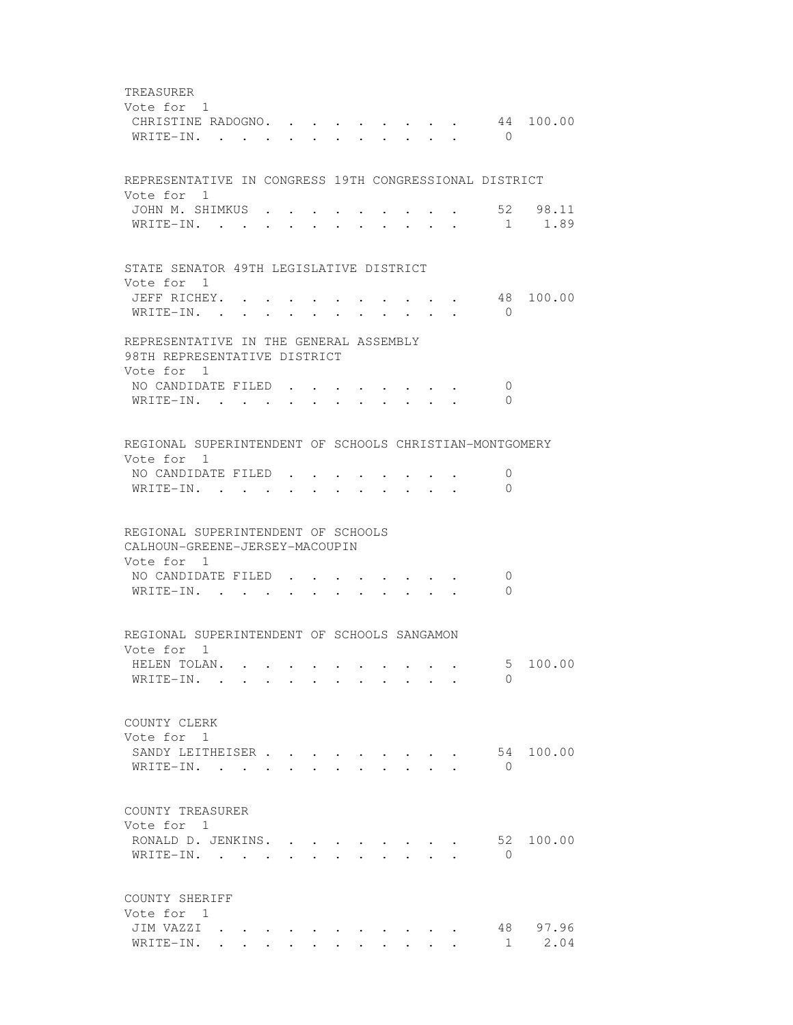TREASURER Vote for 1 CHRISTINE RADOGNO. . . . . . . . . 44 100.00 WRITE-IN. . . . . . . . . . . . 0 REPRESENTATIVE IN CONGRESS 19TH CONGRESSIONAL DISTRICT Vote for 1 JOHN M. SHIMKUS . . . . . . . . . . 52 98.11 WRITE-IN. . . . . . . . . . . . 1 1.89 STATE SENATOR 49TH LEGISLATIVE DISTRICT Vote for 1 JEFF RICHEY. . . . . . . . . . . 48 100.00 WRITE-IN. . . . . . . . . . . . 0 REPRESENTATIVE IN THE GENERAL ASSEMBLY 98TH REPRESENTATIVE DISTRICT Vote for 1 NO CANDIDATE FILED . . . . . . . . 0 WRITE-IN. . . . . . . . . . . . 0 REGIONAL SUPERINTENDENT OF SCHOOLS CHRISTIAN-MONTGOMERY Vote for 1 NO CANDIDATE FILED . . . . . . . . 0 WRITE-IN. . . . . . . . . . . . 0 REGIONAL SUPERINTENDENT OF SCHOOLS CALHOUN-GREENE-JERSEY-MACOUPIN Vote for 1 NO CANDIDATE FILED . . . . . . . . 0 WRITE-IN. . . . . . . . . . . . 0 REGIONAL SUPERINTENDENT OF SCHOOLS SANGAMON Vote for 1 HELEN TOLAN. . . . . . . . . . . 5 100.00 WRITE-IN. . . . . . . . . . . 0 COUNTY CLERK Vote for 1 SANDY LEITHEISER . . . . . . . . . 54 100.00 WRITE-IN. . . . . . . . . . . . 0 COUNTY TREASURER Vote for 1 RONALD D. JENKINS. . . . . . . . . 52 100.00 WRITE-IN. . . . . . . . . . . . 0 COUNTY SHERIFF Vote for 1 JIM VAZZI . . . . . . . . . . . 48 97.96 WRITE-IN. . . . . . . . . . . . 1 2.04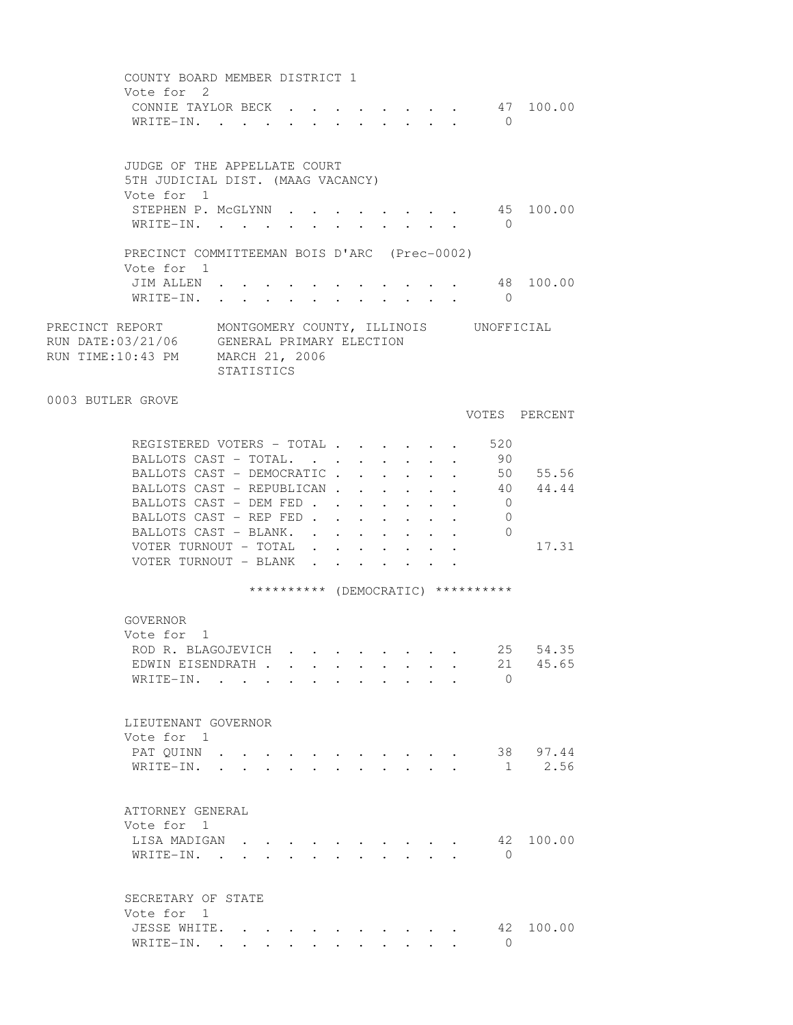COUNTY BOARD MEMBER DISTRICT 1 Vote for 2 CONNIE TAYLOR BECK . . . . . . . . 47 100.00 WRITE-IN. . . . . . . . . . . . 0 JUDGE OF THE APPELLATE COURT 5TH JUDICIAL DIST. (MAAG VACANCY) Vote for 1 STEPHEN P. MCGLYNN . . . . . . . . 45 100.00 WRITE-IN. . . . . . . . . . . 0 PRECINCT COMMITTEEMAN BOIS D'ARC (Prec-0002) Vote for 1 JIM ALLEN . . . . . . . . . . . 48 100.00 WRITE-IN. . . . . . . . . . . . 0 PRECINCT REPORT MONTGOMERY COUNTY, ILLINOIS UNOFFICIAL RUN DATE:03/21/06 GENERAL PRIMARY ELECTION GENERAL PRIMARY ELECTION RUN TIME:10:43 PM MARCH 21, 2006 STATISTICS 0003 BUTLER GROVE VOTES PERCENT REGISTERED VOTERS - TOTAL . . . . . . 520 BALLOTS CAST - TOTAL. . . . . . . . 90 BALLOTS CAST - DEMOCRATIC . . . . . . 50 55.56 BALLOTS CAST - REPUBLICAN . . . . . . 40 44.44 BALLOTS CAST - DEM FED . . . . . . . 0 BALLOTS CAST - REP FED . . . . . . . 0 BALLOTS CAST - BLANK. . . . . . . . 0 VOTER TURNOUT - TOTAL . . . . . . . 17.31 VOTER TURNOUT - BLANK . . . \*\*\*\*\*\*\*\*\*\* (DEMOCRATIC) \*\*\*\*\*\*\*\*\*\* GOVERNOR Vote for 1 ROD R. BLAGOJEVICH . . . . . . . . 25 54.35 EDWIN EISENDRATH . . . . . . . . . 21 45.65 WRITE-IN. . . . . . . . . . . . 0 LIEUTENANT GOVERNOR Vote for 1 PAT QUINN . . . . . . . . . . . 38 97.44 WRITE-IN. . . . . . . . . . . . 1 2.56 ATTORNEY GENERAL Vote for 1 LISA MADIGAN . . . . . . . . . . 42 100.00 WRITE-IN. . . . . . . . . . . 0 SECRETARY OF STATE Vote for 1 JESSE WHITE. . . . . . . . . . . 42 100.00 WRITE-IN. . . . . . . . . . . . 0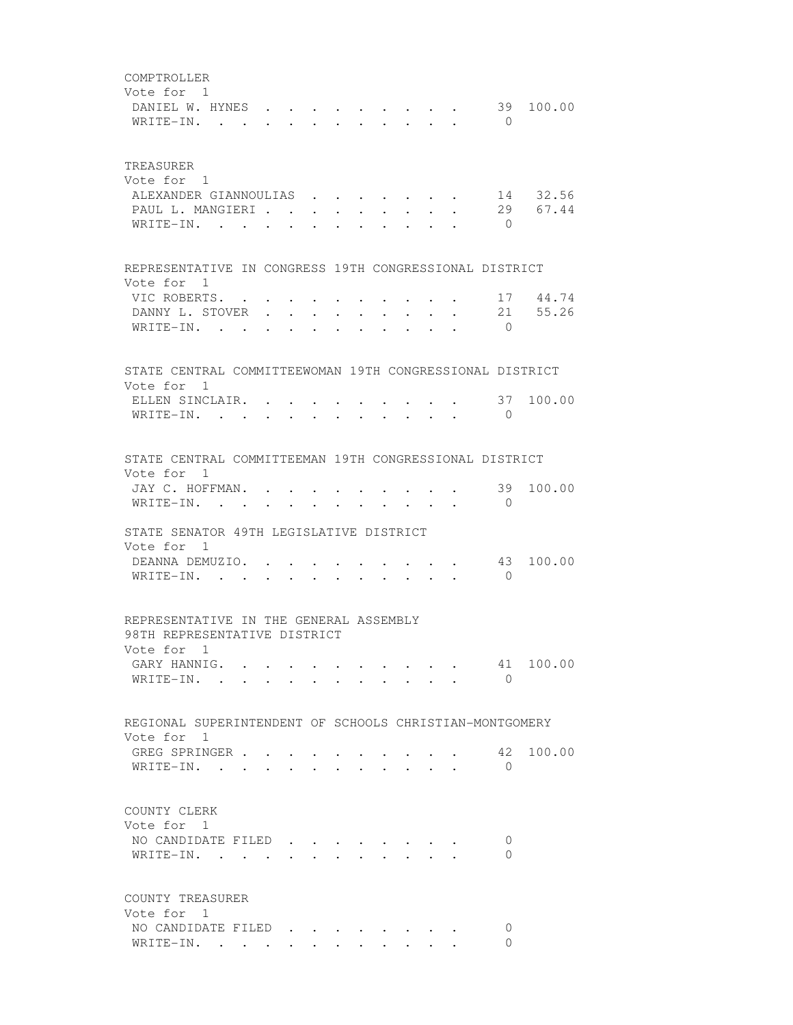COMPTROLLER Vote for 1 DANIEL W. HYNES . . . . . . . . . 39 100.00 WRITE-IN. . . . . . . . . . . 0 TREASURER Vote for 1 ALEXANDER GIANNOULIAS . . . . . . . 14 32.56 PAUL L. MANGIERI . . . . . . . . . 29 67.44 WRITE-IN. . . . . . . . . . . . 0 REPRESENTATIVE IN CONGRESS 19TH CONGRESSIONAL DISTRICT Vote for 1 VIC ROBERTS. . . . . . . . . . . 17 44.74 DANNY L. STOVER . . . . . . . . . 21 55.26 WRITE-IN. . . . . . . . . . . . 0 STATE CENTRAL COMMITTEEWOMAN 19TH CONGRESSIONAL DISTRICT Vote for 1 ELLEN SINCLAIR. . . . . . . . . . . 37 100.00 WRITE-IN. . . . . . . . . . . 0 STATE CENTRAL COMMITTEEMAN 19TH CONGRESSIONAL DISTRICT Vote for 1 JAY C. HOFFMAN. . . . . . . . . . . 39 100.00 WRITE-IN. . . . . . . . . . . . 0 STATE SENATOR 49TH LEGISLATIVE DISTRICT Vote for 1 DEANNA DEMUZIO. . . . . . . . . . 43 100.00 WRITE-IN. . . . . . . . . . . 0 REPRESENTATIVE IN THE GENERAL ASSEMBLY 98TH REPRESENTATIVE DISTRICT Vote for 1 GARY HANNIG. . . . . . . . . . . 41 100.00 WRITE-IN. . . . . . . . . . . . 0 REGIONAL SUPERINTENDENT OF SCHOOLS CHRISTIAN-MONTGOMERY Vote for 1 GREG SPRINGER . . . . . . . . . . 42 100.00<br>WRITE-IN WRITE-IN. . . . . . . . . . . . 0 COUNTY CLERK Vote for 1 NO CANDIDATE FILED . . . . . . . . 0 WRITE-IN. . . . . . . . . . . 0 COUNTY TREASURER Vote for 1 NO CANDIDATE FILED . . . . . . . . 0 WRITE-IN. . . . . . . . . . . 0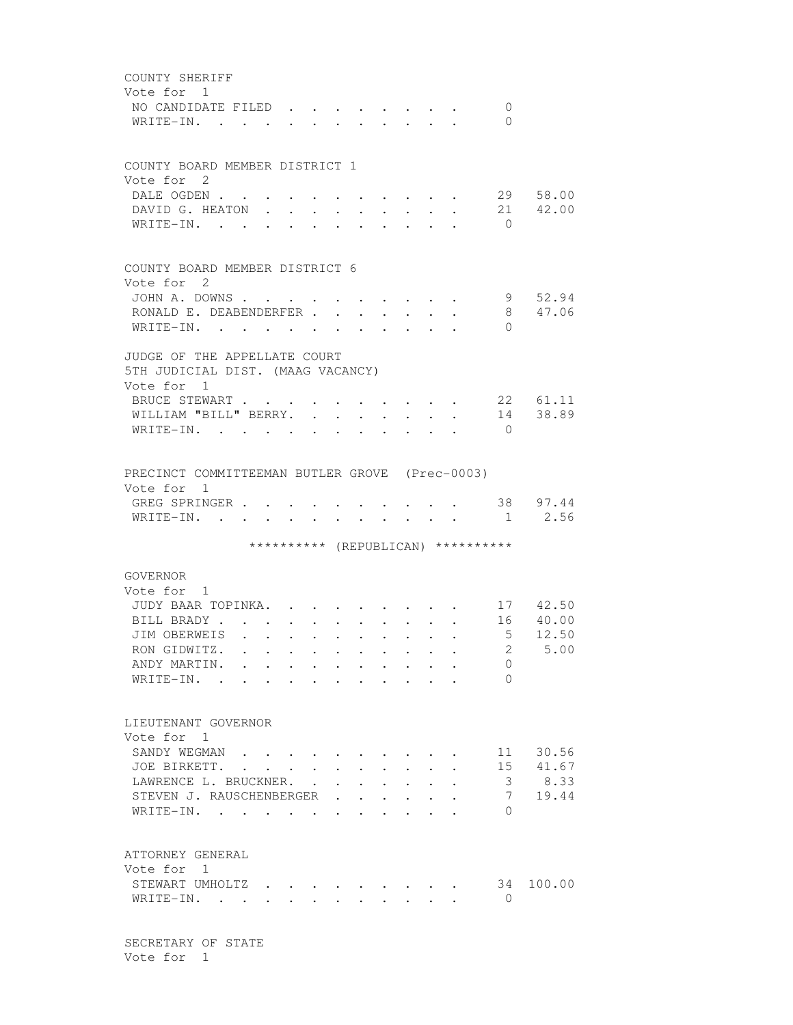| COUNTY SHERIFF<br>Vote for 1                                 |                                                           |                                        |                                                                          |                                                             |                            |                                   |                                |                      |                                       |                |                   |
|--------------------------------------------------------------|-----------------------------------------------------------|----------------------------------------|--------------------------------------------------------------------------|-------------------------------------------------------------|----------------------------|-----------------------------------|--------------------------------|----------------------|---------------------------------------|----------------|-------------------|
| NO CANDIDATE FILED.<br>WRITE-IN. .                           |                                                           |                                        |                                                                          |                                                             |                            |                                   |                                |                      |                                       | 0<br>0         |                   |
| COUNTY BOARD MEMBER DISTRICT 1                               |                                                           |                                        |                                                                          |                                                             |                            |                                   |                                |                      |                                       |                |                   |
| Vote for 2<br>DALE OGDEN                                     |                                                           |                                        |                                                                          |                                                             |                            |                                   |                                |                      | $\bullet$ . In the case of the $\sim$ |                | 29 58.00          |
| DAVID G. HEATON .<br>WRITE-IN.                               |                                                           | $\ddot{\phantom{0}}$                   | $\bullet$ .<br><br><br><br><br><br><br><br><br><br><br><br><br>$\bullet$ | $\ddot{\phantom{0}}$<br>$\ddot{\phantom{a}}$                | $\bullet$                  |                                   |                                |                      |                                       | $\bigcirc$     | 21 42.00          |
| COUNTY BOARD MEMBER DISTRICT 6                               |                                                           |                                        |                                                                          |                                                             |                            |                                   |                                |                      |                                       |                |                   |
| Vote for 2<br>JOHN A. DOWNS.                                 |                                                           |                                        |                                                                          |                                                             |                            |                                   |                                |                      |                                       |                | 9 52.94           |
| RONALD E. DEABENDERFER<br>WRITE-IN.                          |                                                           |                                        |                                                                          | $\bullet$ .<br><br><br><br><br><br><br><br><br><br><br><br> | $\ddot{\phantom{a}}$       | <b>Contract Contract Contract</b> | $\ddot{\phantom{0}}$<br>$\sim$ | $\cdot$              |                                       | $\Omega$       | 8 47.06           |
| JUDGE OF THE APPELLATE COURT                                 |                                                           |                                        |                                                                          |                                                             |                            |                                   |                                |                      |                                       |                |                   |
| 5TH JUDICIAL DIST. (MAAG VACANCY)                            |                                                           |                                        |                                                                          |                                                             |                            |                                   |                                |                      |                                       |                |                   |
| Vote for 1<br>BRUCE STEWART                                  |                                                           |                                        | $\sim$                                                                   | $\sim$                                                      |                            |                                   |                                |                      |                                       |                | 22 61.11          |
| WILLIAM "BILL" BERRY.                                        |                                                           |                                        |                                                                          |                                                             | $\mathcal{L}^{\text{max}}$ | $\ddot{\phantom{0}}$              | $\mathbf{L}$                   | $\mathbf{L}$         | $\ddot{\phantom{a}}$                  |                | 14 38.89          |
| WRITE-IN.                                                    |                                                           |                                        |                                                                          | $\mathbf{L} = \mathbf{L} \mathbf{L}$                        | $\ddot{\phantom{a}}$       |                                   |                                |                      |                                       | $\bigcirc$     |                   |
| PRECINCT COMMITTEEMAN BUTLER GROVE (Prec-0003)<br>Vote for 1 |                                                           |                                        |                                                                          |                                                             |                            |                                   |                                |                      |                                       |                |                   |
| GREG SPRINGER<br>WRITE-IN. .                                 |                                                           |                                        |                                                                          |                                                             |                            |                                   |                                |                      |                                       | 1              | 38 97.44<br>2.56  |
|                                                              |                                                           |                                        |                                                                          |                                                             |                            |                                   |                                |                      | ********** (REPUBLICAN) **********    |                |                   |
| GOVERNOR<br>Vote for 1                                       |                                                           |                                        |                                                                          |                                                             |                            |                                   |                                |                      |                                       |                |                   |
| JUDY BAAR TOPINKA.                                           |                                                           |                                        |                                                                          |                                                             |                            |                                   |                                |                      |                                       |                | 17 42.50          |
| BILL BRADY.<br>JIM OBERWEIS                                  | $\sim$<br>$\ddot{\phantom{a}}$                            |                                        |                                                                          |                                                             |                            |                                   |                                |                      |                                       | 5 <sup>5</sup> | 16 40.00<br>12.50 |
| RON GIDWITZ.                                                 | $\ddot{\phantom{a}}$<br><b>Contract Contract Contract</b> |                                        |                                                                          |                                                             |                            |                                   |                                |                      |                                       | $\overline{2}$ | 5.00              |
| ANDY MARTIN.                                                 |                                                           |                                        |                                                                          |                                                             |                            |                                   |                                |                      |                                       | 0              |                   |
| WRITE-IN.                                                    | $\sim$                                                    | $\mathbf{L}$                           | $\sim$                                                                   | $\sim$ $\sim$                                               |                            | $\mathbf{r} = \mathbf{r}$         | $\sim$                         | $\cdot$ $\cdot$      |                                       | $\Omega$       |                   |
| LIEUTENANT GOVERNOR<br>Vote for 1                            |                                                           |                                        |                                                                          |                                                             |                            |                                   |                                |                      |                                       |                |                   |
| SANDY WEGMAN                                                 |                                                           |                                        |                                                                          |                                                             |                            |                                   |                                |                      |                                       | 11             | 30.56             |
| JOE BIRKETT. .                                               |                                                           | $\mathbf{r} = \mathbf{r} + \mathbf{r}$ |                                                                          |                                                             |                            |                                   |                                |                      |                                       | 15             | 41.67             |
| LAWRENCE L. BRUCKNER.                                        |                                                           |                                        |                                                                          | $\mathbf{L}^{\text{max}}$                                   | $\ddot{\phantom{0}}$       | $\ddot{\phantom{0}}$              |                                |                      |                                       | 3 <sup>7</sup> | 8.33              |
| STEVEN J. RAUSCHENBERGER<br>WRITE-IN.                        |                                                           |                                        |                                                                          |                                                             | $\mathbf{r} = \mathbf{r}$  | $\ddot{\phantom{0}}$              | $\sim$<br>$\ddot{\phantom{0}}$ | $\ddot{\phantom{0}}$ |                                       | 7<br>$\Omega$  | 19.44             |
| ATTORNEY GENERAL<br>Vote for 1                               |                                                           |                                        |                                                                          |                                                             |                            |                                   |                                |                      |                                       |                |                   |
| STEWART UMHOLTZ                                              |                                                           |                                        |                                                                          |                                                             |                            |                                   |                                |                      |                                       |                | 34 100.00         |
| WRITE-IN.                                                    |                                                           |                                        |                                                                          |                                                             |                            |                                   |                                |                      |                                       | $\overline{0}$ |                   |

 SECRETARY OF STATE Vote for 1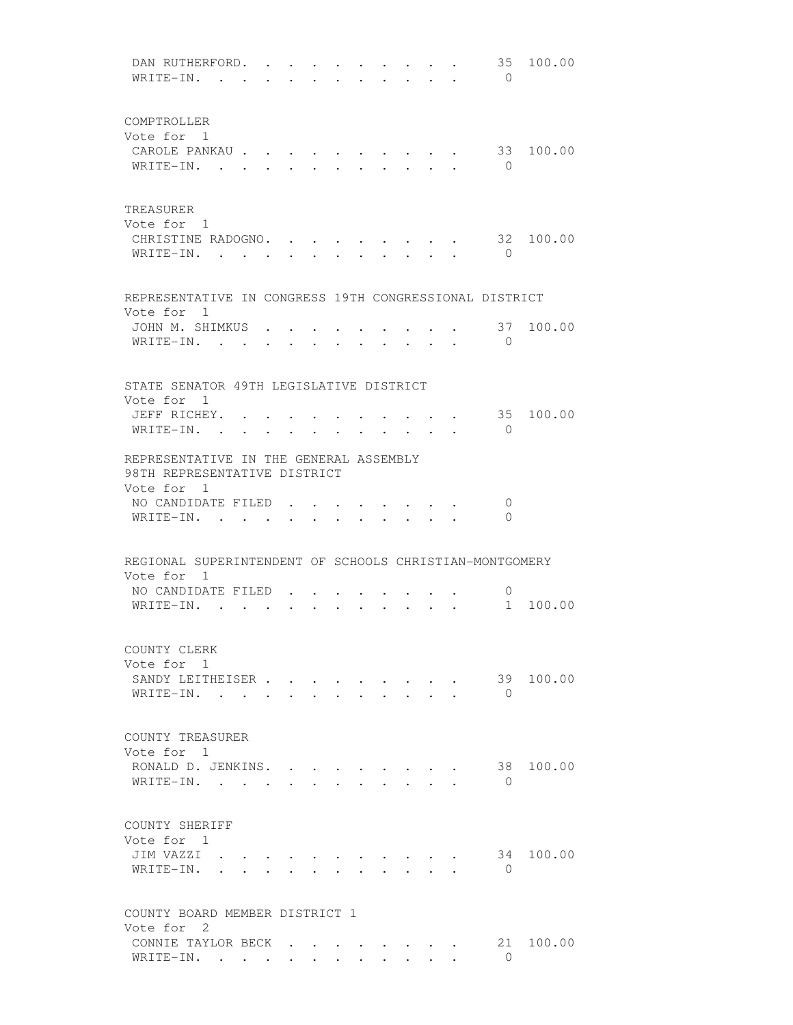| DAN RUTHERFORD. .<br>WRITE-IN. .                        |  |                                          | $\bullet$ . |                         |               |                                                                       |                                            | 35<br>$\bigcirc$ | 100.00    |
|---------------------------------------------------------|--|------------------------------------------|-------------|-------------------------|---------------|-----------------------------------------------------------------------|--------------------------------------------|------------------|-----------|
|                                                         |  |                                          |             |                         |               |                                                                       |                                            |                  |           |
| COMPTROLLER                                             |  |                                          |             |                         |               |                                                                       |                                            |                  |           |
| Vote for 1                                              |  |                                          |             |                         |               |                                                                       |                                            |                  |           |
| CAROLE PANKAU                                           |  |                                          |             |                         |               |                                                                       |                                            | 33               | 100.00    |
| WRITE-IN.                                               |  | $\ddot{\phantom{0}}$                     |             |                         |               |                                                                       |                                            | $\bigcirc$       |           |
|                                                         |  |                                          |             |                         |               |                                                                       |                                            |                  |           |
| TREASURER<br>Vote for 1                                 |  |                                          |             |                         |               |                                                                       |                                            |                  |           |
| CHRISTINE RADOGNO.                                      |  |                                          |             |                         |               |                                                                       |                                            |                  | 32 100.00 |
| WRITE-IN.                                               |  | $\sim$ $\sim$                            | $\sim$      | $\sim$                  |               | $\sim$ $\sim$ $\sim$                                                  | $\mathbf{r}$ , $\mathbf{r}$ , $\mathbf{r}$ | $\bigcirc$       |           |
|                                                         |  |                                          |             |                         |               |                                                                       |                                            |                  |           |
| REPRESENTATIVE IN CONGRESS 19TH CONGRESSIONAL DISTRICT  |  |                                          |             |                         |               |                                                                       |                                            |                  |           |
| Vote for 1                                              |  |                                          |             |                         |               |                                                                       |                                            |                  |           |
| JOHN M. SHIMKUS .                                       |  |                                          |             |                         |               |                                                                       |                                            | 37               | 100.00    |
| WRITE-IN. .                                             |  |                                          |             |                         |               |                                                                       |                                            | $\overline{0}$   |           |
|                                                         |  |                                          |             |                         |               |                                                                       |                                            |                  |           |
| STATE SENATOR 49TH LEGISLATIVE DISTRICT                 |  |                                          |             |                         |               |                                                                       |                                            |                  |           |
| Vote for 1                                              |  |                                          |             |                         |               |                                                                       |                                            |                  |           |
| JEFF RICHEY. .                                          |  |                                          |             |                         |               |                                                                       |                                            | 35               | 100.00    |
| WRITE-IN.                                               |  | $\mathbf{r} = \mathbf{r} + \mathbf{r}$ . |             |                         |               | $\mathbf{r}$ , and $\mathbf{r}$ , and $\mathbf{r}$ , and $\mathbf{r}$ |                                            | $\Omega$         |           |
| REPRESENTATIVE IN THE GENERAL ASSEMBLY                  |  |                                          |             |                         |               |                                                                       |                                            |                  |           |
| 98TH REPRESENTATIVE DISTRICT                            |  |                                          |             |                         |               |                                                                       |                                            |                  |           |
| Vote for 1                                              |  |                                          |             |                         |               |                                                                       |                                            |                  |           |
| NO CANDIDATE FILED.                                     |  |                                          |             |                         |               |                                                                       |                                            | $\overline{0}$   |           |
| $WRITE-IN.$                                             |  |                                          |             |                         | $\sim$ $\sim$ |                                                                       |                                            | $\Omega$         |           |
|                                                         |  |                                          |             |                         |               |                                                                       |                                            |                  |           |
| REGIONAL SUPERINTENDENT OF SCHOOLS CHRISTIAN-MONTGOMERY |  |                                          |             |                         |               |                                                                       |                                            |                  |           |
| Vote for 1                                              |  |                                          |             |                         |               |                                                                       |                                            |                  |           |
| NO CANDIDATE FILED                                      |  |                                          |             |                         |               |                                                                       |                                            | 0                |           |
| WRITE-IN. .                                             |  |                                          |             |                         |               |                                                                       |                                            | 1                | 100.00    |
|                                                         |  |                                          |             |                         |               |                                                                       |                                            |                  |           |
| COUNTY CLERK                                            |  |                                          |             |                         |               |                                                                       |                                            |                  |           |
| Vote for 1                                              |  |                                          |             |                         |               |                                                                       |                                            |                  |           |
| SANDY LEITHEISER                                        |  |                                          |             |                         |               |                                                                       |                                            | 39               | 100.00    |
| WRITE-IN.                                               |  | $\ddot{\phantom{0}}$                     |             | $\cdot$ $\cdot$ $\cdot$ |               |                                                                       |                                            | $\bigcirc$       |           |
|                                                         |  |                                          |             |                         |               |                                                                       |                                            |                  |           |
| COUNTY TREASURER                                        |  |                                          |             |                         |               |                                                                       |                                            |                  |           |
| Vote for 1                                              |  |                                          |             |                         |               |                                                                       |                                            |                  |           |
| RONALD D. JENKINS.                                      |  |                                          |             |                         |               |                                                                       |                                            | 38               | 100.00    |
| WRITE-IN.                                               |  |                                          |             |                         |               |                                                                       |                                            | $\Omega$         |           |
|                                                         |  |                                          |             |                         |               |                                                                       |                                            |                  |           |
| COUNTY SHERIFF                                          |  |                                          |             |                         |               |                                                                       |                                            |                  |           |
| Vote for 1                                              |  |                                          |             |                         |               |                                                                       |                                            |                  |           |
| JIM VAZZI                                               |  |                                          |             |                         |               |                                                                       |                                            | 34<br>$\bigcirc$ | 100.00    |
| WRITE-IN.                                               |  |                                          |             |                         |               |                                                                       |                                            |                  |           |
|                                                         |  |                                          |             |                         |               |                                                                       |                                            |                  |           |
| COUNTY BOARD MEMBER DISTRICT 1<br>Vote for 2            |  |                                          |             |                         |               |                                                                       |                                            |                  |           |
| CONNIE TAYLOR BECK                                      |  |                                          |             |                         |               |                                                                       |                                            | 21               | 100.00    |
| WRITE-IN.                                               |  |                                          |             |                         |               |                                                                       |                                            | $\Omega$         |           |
|                                                         |  |                                          |             |                         |               |                                                                       |                                            |                  |           |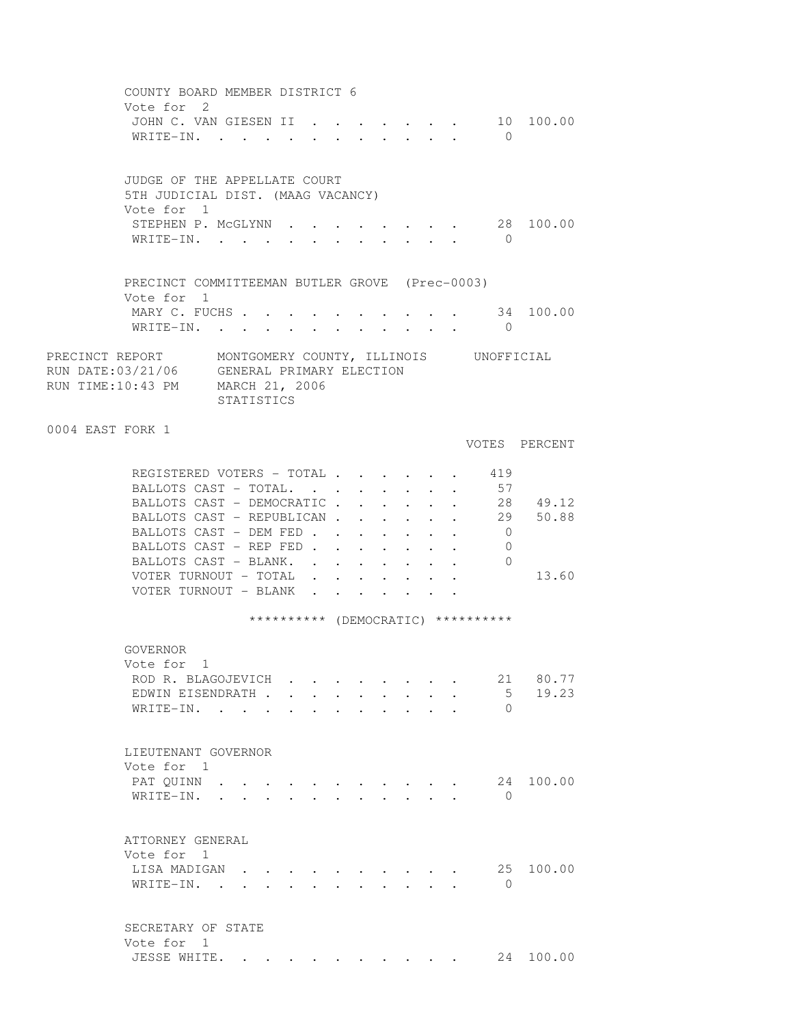COUNTY BOARD MEMBER DISTRICT 6 Vote for 2 JOHN C. VAN GIESEN II . . . . . . . 10 100.00 WRITE-IN. . . . . . . . . . . . 0 JUDGE OF THE APPELLATE COURT 5TH JUDICIAL DIST. (MAAG VACANCY) Vote for 1 STEPHEN P. MCGLYNN . . . . . . . . 28 100.00 WRITE-IN. . . . . . . . . . . . 0 PRECINCT COMMITTEEMAN BUTLER GROVE (Prec-0003) Vote for 1 MARY C. FUCHS . . . . . . . . . . . 34 100.00 WRITE-IN. . . . . . . . . . . 0 PRECINCT REPORT MONTGOMERY COUNTY, ILLINOIS UNOFFICIAL RUN DATE:03/21/06 GENERAL PRIMARY ELECTION RUN TIME:10:43 PM MARCH 21, 2006 STATISTICS 0004 EAST FORK 1 VOTES PERCENT REGISTERED VOTERS - TOTAL . . . . . . 419 BALLOTS CAST - TOTAL. . . . . . . . 57 BALLOTS CAST - DEMOCRATIC . . . . . 28 49.12 BALLOTS CAST - REPUBLICAN . . . . . 29 50.88 BALLOTS CAST - DEM FED . . . . . . 0 BALLOTS CAST - REP FED . . . . . . . 0 BALLOTS CAST - BLANK. . . . . . . . 0 VOTER TURNOUT - TOTAL . . . . . . . 13.60 VOTER TURNOUT - BLANK . . . \*\*\*\*\*\*\*\*\*\* (DEMOCRATIC) \*\*\*\*\*\*\*\*\*\* GOVERNOR Vote for 1 ROD R. BLAGOJEVICH . . . . . . . . 21 80.77 EDWIN EISENDRATH . . . . . . . . . 5 19.23 WRITE-IN. . . . . . . . . . . 0 LIEUTENANT GOVERNOR Vote for 1 PAT QUINN . . . . . . . . . . . . 24 100.00 WRITE-IN. . . . . . . . . . . . 0 ATTORNEY GENERAL Vote for 1 LISA MADIGAN . . . . . . . . . . 25 100.00 WRITE-IN. . . . . . . . . . . 0 SECRETARY OF STATE Vote for 1 JESSE WHITE. . . . . . . . . . . 24 100.00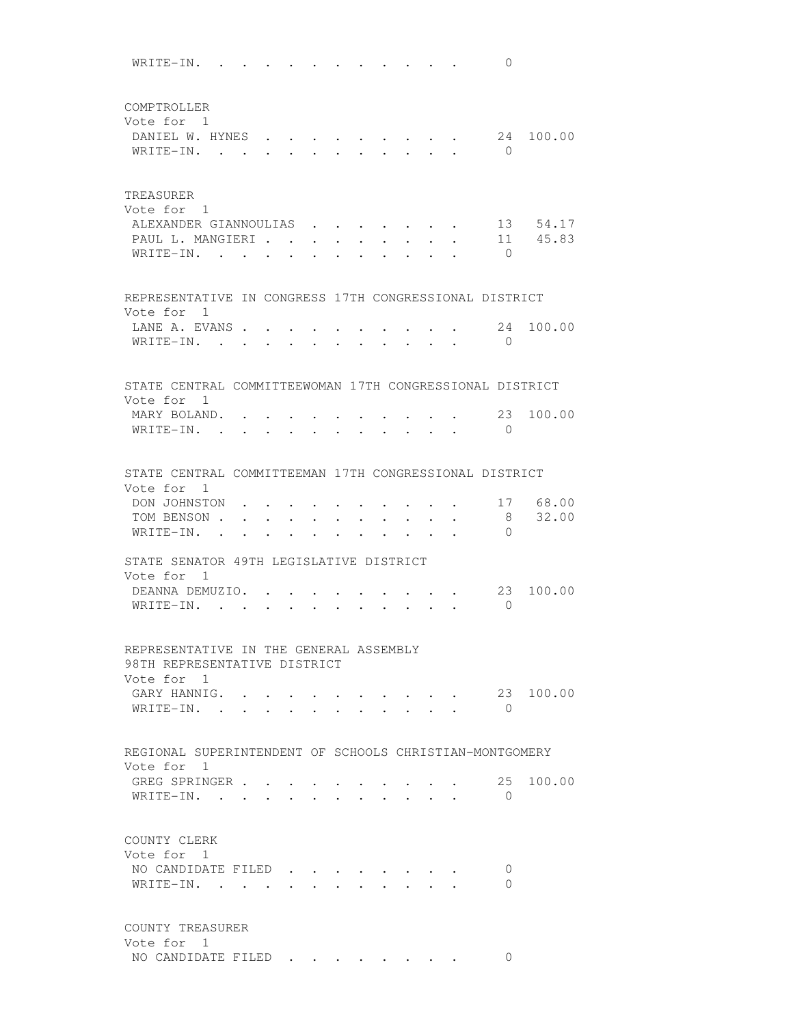WRITE-IN. . . . . . . . . . . . 0 COMPTROLLER Vote for 1 DANIEL W. HYNES . . . . . . . . . 24 100.00 WRITE-IN. . . . . . . . . . . . 0 TREASURER Vote for 1 ALEXANDER GIANNOULIAS . . . . . . 13 54.17 PAUL L. MANGIERI . . . . . . . . . 11 45.83 WRITE-IN. . . . . . . . . . . . 0 REPRESENTATIVE IN CONGRESS 17TH CONGRESSIONAL DISTRICT Vote for 1 LANE A. EVANS . . . . . . . . . . 24 100.00<br>WRITE-IN WRITE-IN. . . . . . . . . . . . 0 STATE CENTRAL COMMITTEEWOMAN 17TH CONGRESSIONAL DISTRICT Vote for 1 MARY BOLAND. . . . . . . . . . . 23 100.00 WRITE-IN. . . . . . . . . . . 0 STATE CENTRAL COMMITTEEMAN 17TH CONGRESSIONAL DISTRICT Vote for 1 DON JOHNSTON . . . . . . . . . . . 17 68.00 TOM BENSON . . . . . . . . . . . . 8 32.00 WRITE-IN. . . . . . . . . . . 0 STATE SENATOR 49TH LEGISLATIVE DISTRICT Vote for 1 DEANNA DEMUZIO. . . . . . . . . . 23 100.00 WRITE-IN. . . . . . . . . . . . 0 REPRESENTATIVE IN THE GENERAL ASSEMBLY 98TH REPRESENTATIVE DISTRICT Vote for 1 GARY HANNIG. . . . . . . . . . . . 23 100.00 WRITE-IN. . . . . . . . . . . 0 REGIONAL SUPERINTENDENT OF SCHOOLS CHRISTIAN-MONTGOMERY Vote for 1 GREG SPRINGER . . . . . . . . . . 25 100.00 WRITE-IN. . . . . . . . . . . 0 COUNTY CLERK Vote for 1 NO CANDIDATE FILED . . . . . . . . 0  $\texttt{WRITE-IN.}$  . . . . . . . . . . 0 COUNTY TREASURER Vote for 1 NO CANDIDATE FILED . . . . . . . . 0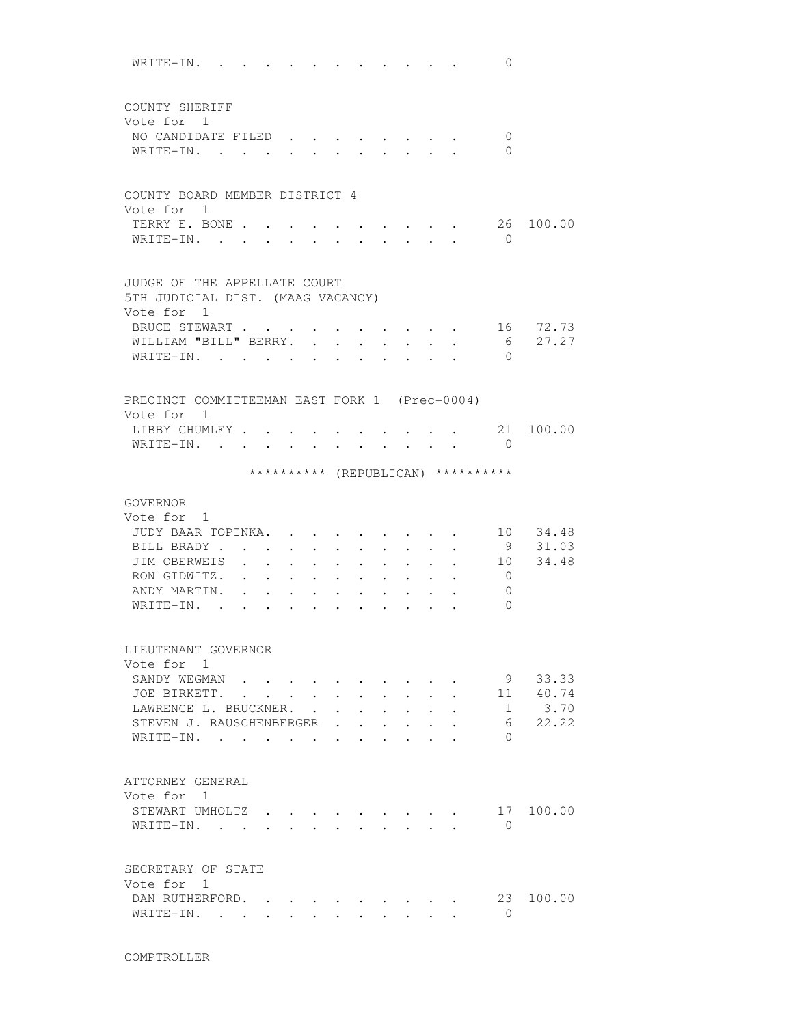WRITE-IN. . . . . . . . . . . . 0 COUNTY SHERIFF Vote for 1 NO CANDIDATE FILED . . . . . . . . 0 WRITE-IN. . . . . . . . . . . . 0 COUNTY BOARD MEMBER DISTRICT 4 Vote for 1 TERRY E. BONE . . . . . . . . . . 26 100.00 WRITE-IN. . . . . . . . . . . . 0 JUDGE OF THE APPELLATE COURT 5TH JUDICIAL DIST. (MAAG VACANCY) Vote for 1 BRUCE STEWART . . . . . . . . . . 16 72.73 WILLIAM "BILL" BERRY. . . . . . . . 6 27.27 WRITE-IN. . . . . . . . . . . . 0 PRECINCT COMMITTEEMAN EAST FORK 1 (Prec-0004) Vote for 1 LIBBY CHUMLEY . . . . . . . . . . 21 100.00 WRITE-IN. . . . . . . . . . . 0 \*\*\*\*\*\*\*\*\*\* (REPUBLICAN) \*\*\*\*\*\*\*\*\*\* GOVERNOR Vote for 1 JUDY BAAR TOPINKA. . . . . . . . . 10 34.48 BILL BRADY . . . . . . . . . . . 9 31.03 JIM OBERWEIS . . . . . . . . . . 10 34.48 RON GIDWITZ. . . . . . . . . . . 0 ANDY MARTIN. . . . . . . . . . . 0 WRITE-IN. . . . . . . . . . . . 0 LIEUTENANT GOVERNOR Vote for 1 SANDY WEGMAN . . . . . . . . . . 9 33.33 JOE BIRKETT. . . . . . . . . . . 11 40.74 LAWRENCE L. BRUCKNER. . . . . . . . 1 3.70 STEVEN J. RAUSCHENBERGER . . . . . . 6 22.22 WRITE-IN. . . . . . . . . . . 0 ATTORNEY GENERAL Vote for 1 STEWART UMHOLTZ . . . . . . . . . 17 100.00 WRITE-IN. . . . . . . . . . . 0 SECRETARY OF STATE Vote for 1 DAN RUTHERFORD. . . . . . . . . 23 100.00 WRITE-IN. . . . . . . . . . . 0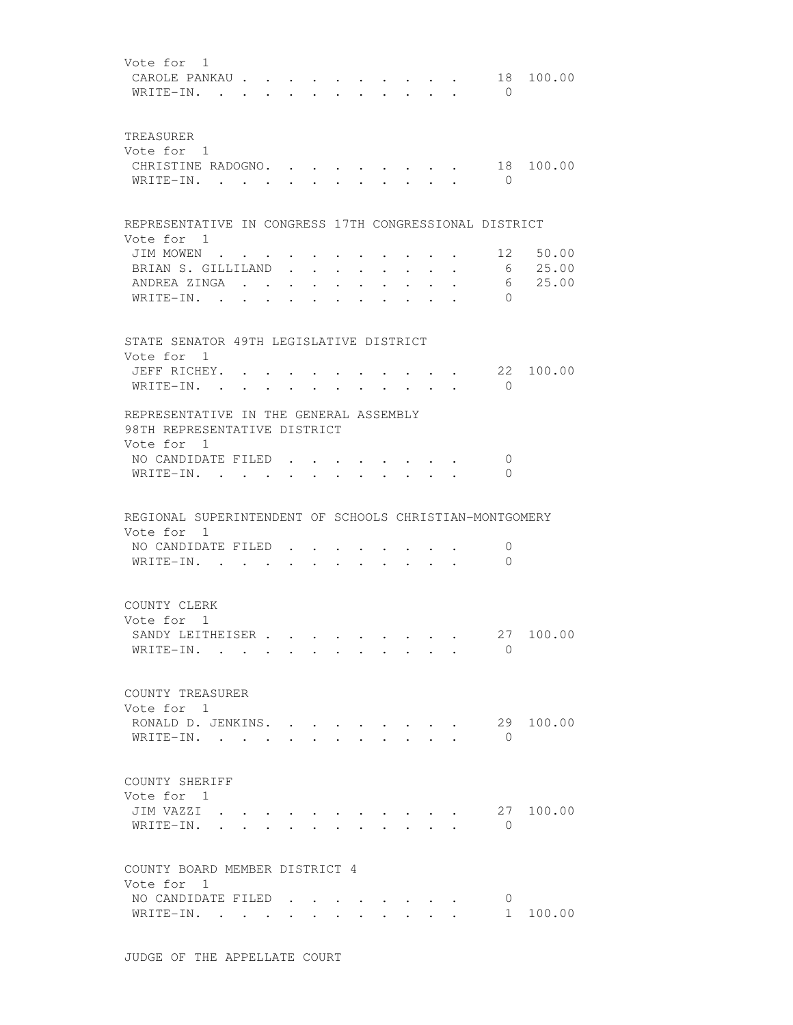| Vote for 1<br>CAROLE PANKAU<br>WRITE-IN.                                                                                | $\sim$ |                                                                                                                           | $\bullet$ .<br>$\sim$                   | $\sim$ $\sim$                             |                                  | <b>Service Contract Contract</b><br>$\mathbf{r}$ and $\mathbf{r}$ |                                                             | $\bullet$ $\bullet$ $\bullet$ | $\mathbf{r}$ , $\mathbf{r}$ , $\mathbf{r}$           | 18<br>$\bigcirc$    | 100.00                                   |
|-------------------------------------------------------------------------------------------------------------------------|--------|---------------------------------------------------------------------------------------------------------------------------|-----------------------------------------|-------------------------------------------|----------------------------------|-------------------------------------------------------------------|-------------------------------------------------------------|-------------------------------|------------------------------------------------------|---------------------|------------------------------------------|
| TREASURER<br>Vote for 1<br>CHRISTINE RADOGNO. .<br>WRITE-IN.                                                            |        |                                                                                                                           | $\cdot$ $\cdot$                         |                                           |                                  |                                                                   |                                                             |                               |                                                      | $\overline{0}$      | 18 100.00                                |
| REPRESENTATIVE IN CONGRESS 17TH CONGRESSIONAL DISTRICT<br>Vote for 1                                                    |        |                                                                                                                           |                                         |                                           |                                  |                                                                   |                                                             |                               |                                                      |                     |                                          |
| JIM MOWEN<br>BRIAN S. GILLILAND<br>ANDREA ZINGA<br>WRITE-IN.                                                            |        | $\bullet$                                                                                                                 | $\cdot$ $\cdot$ $\cdot$ $\cdot$ $\cdot$ | $\bullet$ , and $\bullet$ , and $\bullet$ | $\bullet$ . The set of $\bullet$ | $\bullet$ .<br><br><br><br><br><br><br><br><br><br><br><br>       | $\bullet$ .<br><br><br><br><br><br><br><br><br><br><br><br> |                               |                                                      | 6<br>$\Omega$       | $\cdot$ , . 12 50.00<br>6 25.00<br>25.00 |
| STATE SENATOR 49TH LEGISLATIVE DISTRICT<br>Vote for 1                                                                   |        |                                                                                                                           |                                         |                                           |                                  |                                                                   |                                                             |                               |                                                      |                     |                                          |
| JEFF RICHEY.<br>WRITE-IN.                                                                                               |        |                                                                                                                           |                                         |                                           |                                  |                                                                   |                                                             |                               | the contract of the contract of the contract of<br>. | 22<br>$\bigcirc$    | 100.00                                   |
| REPRESENTATIVE IN THE GENERAL ASSEMBLY<br>98TH REPRESENTATIVE DISTRICT<br>Vote for 1<br>NO CANDIDATE FILED<br>WRITE-IN. |        |                                                                                                                           |                                         |                                           |                                  |                                                                   |                                                             |                               |                                                      | 0<br>$\Omega$       |                                          |
| REGIONAL SUPERINTENDENT OF SCHOOLS CHRISTIAN-MONTGOMERY                                                                 |        |                                                                                                                           |                                         |                                           |                                  |                                                                   |                                                             |                               |                                                      |                     |                                          |
| Vote for 1<br>NO CANDIDATE FILED.<br>WRITE-IN.                                                                          |        |                                                                                                                           | $\ddot{\phantom{0}}$                    |                                           |                                  |                                                                   |                                                             |                               |                                                      | 0<br>$\overline{0}$ |                                          |
| COUNTY CLERK<br>Vote for 1<br>SANDY LEITHEISER<br>WRITE-IN.                                                             |        |                                                                                                                           |                                         |                                           |                                  |                                                                   |                                                             |                               |                                                      | $\Omega$            | 27 100.00                                |
| COUNTY TREASURER<br>Vote for 1<br>RONALD D. JENKINS.<br>WRITE-IN.                                                       |        | $\mathbf{r}$ , $\mathbf{r}$ , $\mathbf{r}$ , $\mathbf{r}$ , $\mathbf{r}$                                                  |                                         |                                           |                                  |                                                                   |                                                             |                               |                                                      | 29<br>$\bigcirc$    | 100.00                                   |
| COUNTY SHERIFF<br>Vote for 1<br>JIM VAZZI<br>WRITE-IN.                                                                  |        | $\begin{array}{cccccccccccccc} \bullet & \bullet & \bullet & \bullet & \bullet & \bullet & \bullet & \bullet \end{array}$ |                                         |                                           |                                  |                                                                   |                                                             |                               |                                                      | $\overline{0}$      | 27 100.00                                |
| COUNTY BOARD MEMBER DISTRICT 4<br>Vote for 1                                                                            |        |                                                                                                                           |                                         |                                           |                                  |                                                                   |                                                             |                               |                                                      |                     |                                          |
| NO CANDIDATE FILED<br>WRITE-IN.                                                                                         |        |                                                                                                                           |                                         |                                           |                                  |                                                                   |                                                             |                               |                                                      | 0<br>$1 \quad$      | 100.00                                   |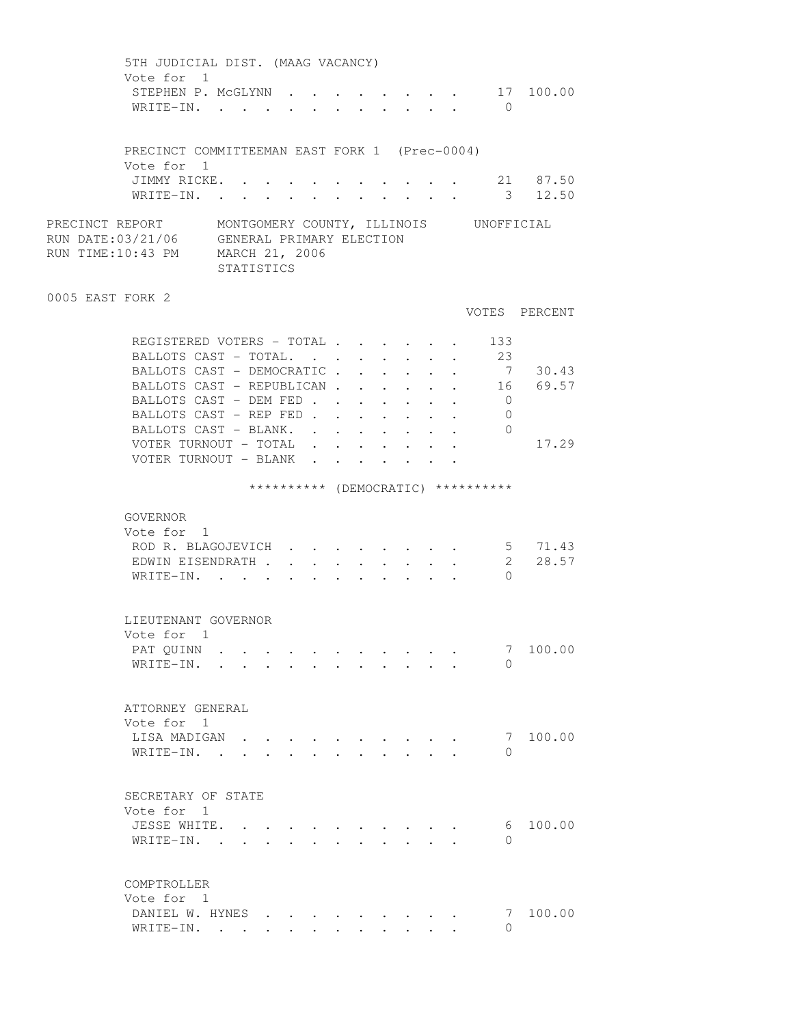| 5TH JUDICIAL DIST. (MAAG VACANCY)                                                                                                                                                                                                                          |        |  |  |                                          |              |                                 |        |                                    |               |
|------------------------------------------------------------------------------------------------------------------------------------------------------------------------------------------------------------------------------------------------------------|--------|--|--|------------------------------------------|--------------|---------------------------------|--------|------------------------------------|---------------|
| Vote for 1<br>STEPHEN P. MCGLYNN<br>WRITE-IN.                                                                                                                                                                                                              |        |  |  |                                          |              |                                 |        | $\bigcirc$                         | 17 100.00     |
|                                                                                                                                                                                                                                                            |        |  |  |                                          |              |                                 |        |                                    |               |
| PRECINCT COMMITTEEMAN EAST FORK 1 (Prec-0004)<br>Vote for 1                                                                                                                                                                                                |        |  |  |                                          |              |                                 |        |                                    |               |
| JIMMY RICKE. 21 87.50<br>WRITE-IN.                                                                                                                                                                                                                         |        |  |  |                                          |              |                                 |        |                                    | 3 12.50       |
| PRECINCT REPORT     MONTGOMERY COUNTY, ILLINOIS     UNOFFICIAL<br>RUN DATE:03/21/06    GENERAL PRIMARY ELECTION<br>RUN TIME:10:43 PM    MARCH 21, 2006<br>STATISTICS                                                                                       |        |  |  |                                          |              |                                 |        |                                    |               |
| 0005 EAST FORK 2                                                                                                                                                                                                                                           |        |  |  |                                          |              |                                 |        |                                    | VOTES PERCENT |
| REGISTERED VOTERS - TOTAL                                                                                                                                                                                                                                  |        |  |  |                                          |              |                                 |        | 133                                |               |
| BALLOTS CAST - TOTAL.                                                                                                                                                                                                                                      |        |  |  |                                          |              |                                 |        | 23                                 |               |
| BALLOTS CAST - DEMOCRATIC.                                                                                                                                                                                                                                 |        |  |  | $\mathbf{z} = \mathbf{z} + \mathbf{z}$ . | $\sim$       |                                 |        |                                    | 7 30.43       |
| BALLOTS CAST - REPUBLICAN<br>BALLOTS CAST - DEM FED                                                                                                                                                                                                        |        |  |  |                                          | $\bullet$ .  |                                 | $\sim$ |                                    | 16 69.57      |
| BALLOTS CAST - REP FED                                                                                                                                                                                                                                     |        |  |  |                                          | $\mathbf{L}$ |                                 |        | $\overline{0}$<br>$\overline{0}$   |               |
| BALLOTS CAST - BLANK.                                                                                                                                                                                                                                      |        |  |  |                                          |              |                                 |        | $\overline{0}$                     |               |
| VOTER TURNOUT - TOTAL                                                                                                                                                                                                                                      |        |  |  |                                          |              |                                 |        |                                    | 17.29         |
| VOTER TURNOUT - BLANK                                                                                                                                                                                                                                      |        |  |  |                                          |              |                                 |        |                                    |               |
|                                                                                                                                                                                                                                                            |        |  |  |                                          |              |                                 |        | ********** (DEMOCRATIC) ********** |               |
| GOVERNOR                                                                                                                                                                                                                                                   |        |  |  |                                          |              |                                 |        |                                    |               |
| Vote for 1                                                                                                                                                                                                                                                 |        |  |  |                                          |              |                                 |        |                                    |               |
| ROD R. BLAGOJEVICH 5 71.43                                                                                                                                                                                                                                 |        |  |  |                                          |              |                                 |        |                                    |               |
| EDWIN EISENDRATH                                                                                                                                                                                                                                           |        |  |  |                                          |              |                                 |        | 2                                  | 28.57         |
| WRITE-IN.                                                                                                                                                                                                                                                  |        |  |  |                                          |              |                                 |        | $\Omega$                           |               |
| LIEUTENANT GOVERNOR                                                                                                                                                                                                                                        |        |  |  |                                          |              |                                 |        |                                    |               |
| Vote for 1<br>PAT QUINN                                                                                                                                                                                                                                    |        |  |  |                                          |              |                                 |        | 7                                  | 100.00        |
| WRITE-IN.<br>$\mathbf{r}$ and $\mathbf{r}$                                                                                                                                                                                                                 | $\sim$ |  |  |                                          |              |                                 |        | $\Omega$                           |               |
|                                                                                                                                                                                                                                                            |        |  |  |                                          |              |                                 |        |                                    |               |
| ATTORNEY GENERAL                                                                                                                                                                                                                                           |        |  |  |                                          |              |                                 |        |                                    |               |
| Vote for 1                                                                                                                                                                                                                                                 |        |  |  |                                          |              |                                 |        |                                    |               |
| LISA MADIGAN<br>WRITE-IN. .                                                                                                                                                                                                                                |        |  |  |                                          |              |                                 |        | 7<br>$\Omega$                      | 100.00        |
|                                                                                                                                                                                                                                                            |        |  |  |                                          |              |                                 |        |                                    |               |
| SECRETARY OF STATE                                                                                                                                                                                                                                         |        |  |  |                                          |              |                                 |        |                                    |               |
| Vote for<br>$\mathbf{1}$                                                                                                                                                                                                                                   |        |  |  |                                          |              |                                 |        |                                    |               |
| JESSE WHITE.<br>WRITE-IN.<br>. The contract of the contract of the contract of the contract of the contract of the contract of the contract of the contract of the contract of the contract of the contract of the contract of the contract of the contrac |        |  |  |                                          |              | $\cdot$ $\cdot$ $\cdot$ $\cdot$ |        | 6<br>$\Omega$                      | 100.00        |
|                                                                                                                                                                                                                                                            |        |  |  |                                          |              |                                 |        |                                    |               |
| COMPTROLLER                                                                                                                                                                                                                                                |        |  |  |                                          |              |                                 |        |                                    |               |
| Vote for 1<br>DANIEL W. HYNES                                                                                                                                                                                                                              |        |  |  |                                          |              |                                 |        | 7                                  | 100.00        |
| WRITE-IN.                                                                                                                                                                                                                                                  |        |  |  |                                          |              |                                 |        | $\Omega$                           |               |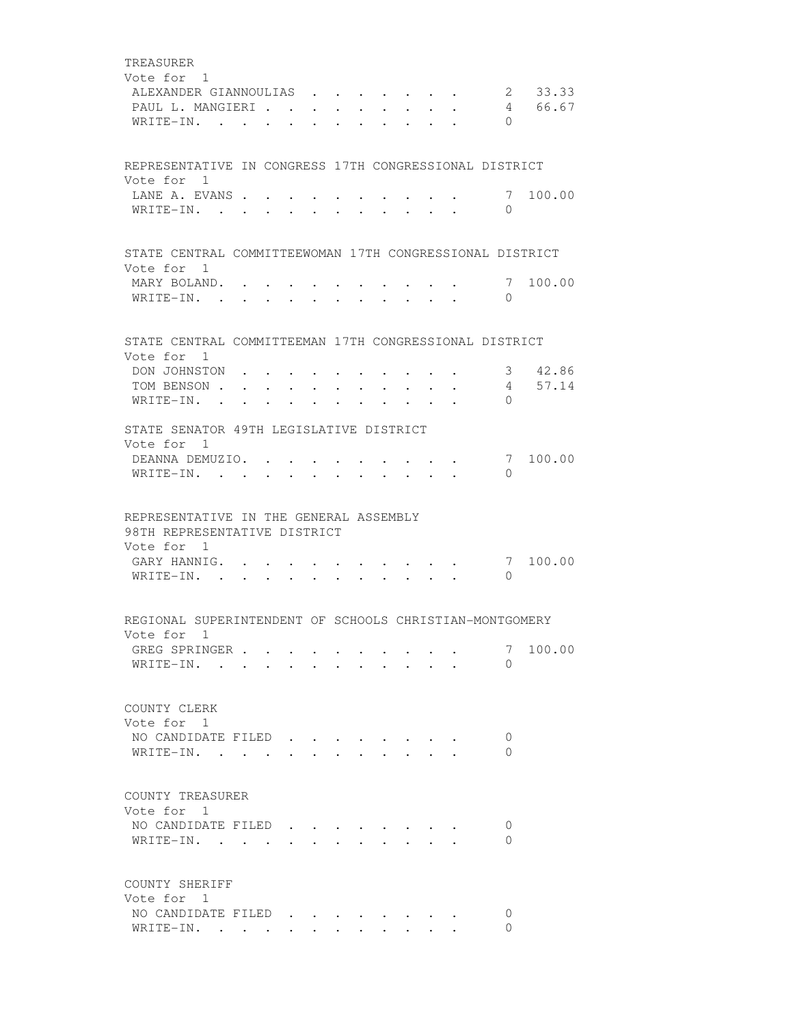| TREASURER                                                                                                             |                                                                                                                 |  |                         |  |  |                                                                          |               |         |
|-----------------------------------------------------------------------------------------------------------------------|-----------------------------------------------------------------------------------------------------------------|--|-------------------------|--|--|--------------------------------------------------------------------------|---------------|---------|
| Vote for 1                                                                                                            |                                                                                                                 |  |                         |  |  |                                                                          |               |         |
| ALEXANDER GIANNOULIAS                                                                                                 |                                                                                                                 |  |                         |  |  | $\sim$                                                                   |               | 2 33.33 |
| PAUL L. MANGIERI.                                                                                                     |                                                                                                                 |  |                         |  |  |                                                                          |               | 4 66.67 |
| WRITE-IN.                                                                                                             |                                                                                                                 |  |                         |  |  |                                                                          | $\Omega$      |         |
|                                                                                                                       |                                                                                                                 |  |                         |  |  |                                                                          |               |         |
| REPRESENTATIVE IN CONGRESS 17TH CONGRESSIONAL DISTRICT                                                                |                                                                                                                 |  |                         |  |  |                                                                          |               |         |
| Vote for 1                                                                                                            |                                                                                                                 |  |                         |  |  |                                                                          |               |         |
| LANE A. EVANS                                                                                                         |                                                                                                                 |  |                         |  |  |                                                                          | 7             | 100.00  |
| WRITE-IN.                                                                                                             |                                                                                                                 |  |                         |  |  |                                                                          | $\Omega$      |         |
|                                                                                                                       |                                                                                                                 |  |                         |  |  |                                                                          |               |         |
| STATE CENTRAL COMMITTEEWOMAN 17TH CONGRESSIONAL DISTRICT                                                              |                                                                                                                 |  |                         |  |  |                                                                          |               |         |
| Vote for 1                                                                                                            |                                                                                                                 |  |                         |  |  |                                                                          |               |         |
| MARY BOLAND. .                                                                                                        |                                                                                                                 |  |                         |  |  |                                                                          | 7             | 100.00  |
| WRITE-IN.                                                                                                             |                                                                                                                 |  |                         |  |  |                                                                          | $\Omega$      |         |
|                                                                                                                       |                                                                                                                 |  |                         |  |  |                                                                          |               |         |
| STATE CENTRAL COMMITTEEMAN 17TH CONGRESSIONAL DISTRICT<br>Vote for 1                                                  |                                                                                                                 |  |                         |  |  |                                                                          |               |         |
| DON JOHNSTON                                                                                                          |                                                                                                                 |  | $\cdot$ $\cdot$ $\cdot$ |  |  | $\mathbf{a}$ , $\mathbf{a}$ , $\mathbf{a}$ , $\mathbf{a}$ , $\mathbf{a}$ |               | 3 42.86 |
| TOM BENSON                                                                                                            |                                                                                                                 |  |                         |  |  |                                                                          |               | 4 57.14 |
| WRITE-IN.                                                                                                             |                                                                                                                 |  |                         |  |  |                                                                          | $\Omega$      |         |
| $\overline{\phantom{a}}$                                                                                              | the contract of the contract of the contract of the contract of the contract of the contract of the contract of |  |                         |  |  |                                                                          |               |         |
| STATE SENATOR 49TH LEGISLATIVE DISTRICT                                                                               |                                                                                                                 |  |                         |  |  |                                                                          |               |         |
| Vote for 1                                                                                                            |                                                                                                                 |  |                         |  |  |                                                                          |               |         |
| DEANNA DEMUZIO.                                                                                                       |                                                                                                                 |  |                         |  |  |                                                                          | 7             | 100.00  |
| WRITE-IN. .                                                                                                           |                                                                                                                 |  |                         |  |  |                                                                          | $\Omega$      |         |
| REPRESENTATIVE IN THE GENERAL ASSEMBLY<br>98TH REPRESENTATIVE DISTRICT<br>Vote for 1<br>GARY HANNIG. .<br>WRITE-IN. . |                                                                                                                 |  |                         |  |  |                                                                          | 7<br>$\Omega$ | 100.00  |
|                                                                                                                       |                                                                                                                 |  |                         |  |  |                                                                          |               |         |
| REGIONAL SUPERINTENDENT OF SCHOOLS CHRISTIAN-MONTGOMERY                                                               |                                                                                                                 |  |                         |  |  |                                                                          |               |         |
| Vote for 1                                                                                                            |                                                                                                                 |  |                         |  |  |                                                                          |               |         |
| GREG SPRINGER                                                                                                         |                                                                                                                 |  |                         |  |  |                                                                          | 7             | 100.00  |
| WRITE-IN.                                                                                                             |                                                                                                                 |  |                         |  |  |                                                                          | 0             |         |
|                                                                                                                       |                                                                                                                 |  |                         |  |  |                                                                          |               |         |
| COUNTY CLERK                                                                                                          |                                                                                                                 |  |                         |  |  |                                                                          |               |         |
| Vote for 1                                                                                                            |                                                                                                                 |  |                         |  |  |                                                                          |               |         |
| NO CANDIDATE FILED                                                                                                    |                                                                                                                 |  |                         |  |  |                                                                          | 0             |         |
| WRITE-IN.                                                                                                             |                                                                                                                 |  |                         |  |  |                                                                          | $\Omega$      |         |
|                                                                                                                       |                                                                                                                 |  |                         |  |  |                                                                          |               |         |
| COUNTY TREASURER                                                                                                      |                                                                                                                 |  |                         |  |  |                                                                          |               |         |
| Vote for 1                                                                                                            |                                                                                                                 |  |                         |  |  |                                                                          |               |         |
| NO CANDIDATE FILED                                                                                                    |                                                                                                                 |  |                         |  |  |                                                                          | 0             |         |
| WRITE-IN.                                                                                                             |                                                                                                                 |  |                         |  |  |                                                                          | 0             |         |
|                                                                                                                       |                                                                                                                 |  |                         |  |  |                                                                          |               |         |
| COUNTY SHERIFF<br>Vote for 1                                                                                          |                                                                                                                 |  |                         |  |  |                                                                          |               |         |
| NO CANDIDATE FILED                                                                                                    |                                                                                                                 |  |                         |  |  |                                                                          | 0             |         |
| WRITE-IN.                                                                                                             |                                                                                                                 |  |                         |  |  |                                                                          | 0             |         |
|                                                                                                                       |                                                                                                                 |  |                         |  |  |                                                                          |               |         |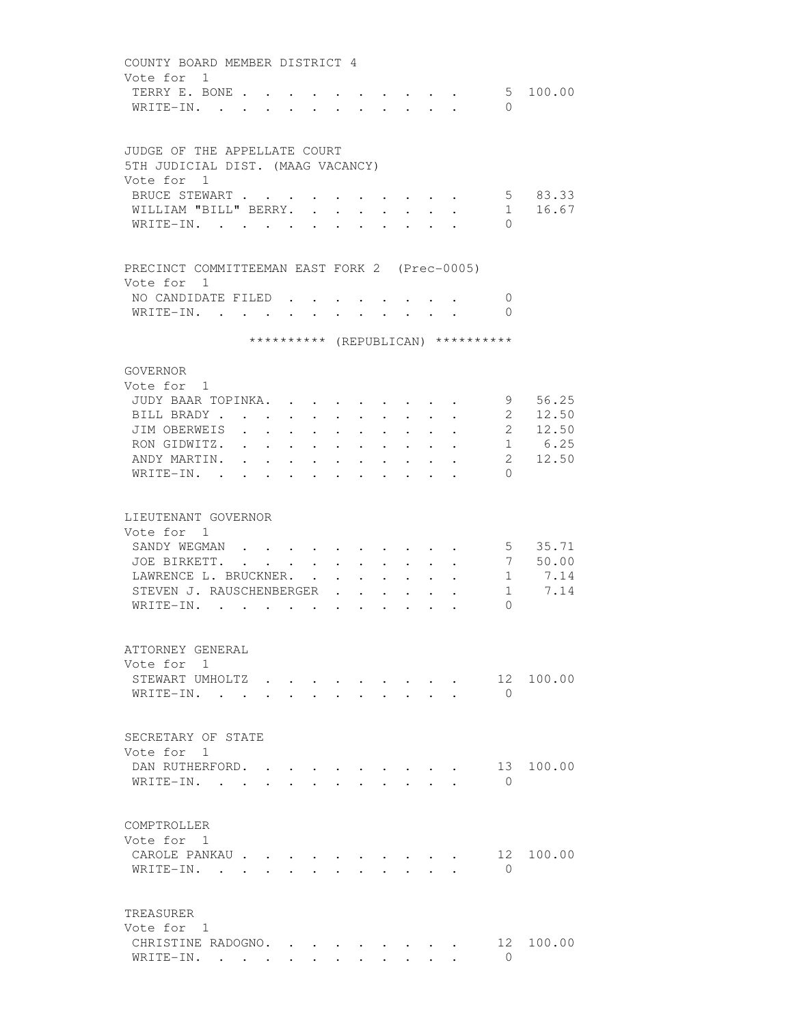| COUNTY BOARD MEMBER DISTRICT 4                                                                                                                                                                     |             |
|----------------------------------------------------------------------------------------------------------------------------------------------------------------------------------------------------|-------------|
| Vote for 1                                                                                                                                                                                         |             |
| TERRY E. BONE<br>$\mathbf{r}$ , and $\mathbf{r}$ , and $\mathbf{r}$ , and $\mathbf{r}$                                                                                                             | 5 100.00    |
| $\Omega$<br>WRITE-IN.<br>$\mathbf{r}$ , $\mathbf{r}$ , $\mathbf{r}$ , $\mathbf{r}$<br>$\sim$<br>$\ddot{\phantom{a}}$                                                                               |             |
|                                                                                                                                                                                                    |             |
|                                                                                                                                                                                                    |             |
| JUDGE OF THE APPELLATE COURT<br>5TH JUDICIAL DIST. (MAAG VACANCY)                                                                                                                                  |             |
|                                                                                                                                                                                                    |             |
| Vote for 1                                                                                                                                                                                         |             |
| BRUCE STEWART<br>$\mathbf{L} = \mathbf{L} \mathbf{L}$                                                                                                                                              | 5 83.33     |
| WILLIAM "BILL" BERRY.<br>1<br>$\ddot{\phantom{0}}$<br>$\sim$<br>$\ddot{\phantom{0}}$                                                                                                               | 16.67       |
| WRITE-IN.<br>$\Omega$                                                                                                                                                                              |             |
|                                                                                                                                                                                                    |             |
| PRECINCT COMMITTEEMAN EAST FORK 2 (Prec-0005)                                                                                                                                                      |             |
| Vote for 1                                                                                                                                                                                         |             |
| NO CANDIDATE FILED.<br>$\mathbf{0}$                                                                                                                                                                |             |
| WRITE-IN.<br>$\Omega$                                                                                                                                                                              |             |
|                                                                                                                                                                                                    |             |
| ********** (REPUBLICAN) **********                                                                                                                                                                 |             |
| GOVERNOR                                                                                                                                                                                           |             |
| Vote for 1                                                                                                                                                                                         |             |
| JUDY BAAR TOPINKA.                                                                                                                                                                                 | 9 56.25     |
| BILL BRADY<br>$\bullet$ .<br>$\bullet$ . $\bullet$<br>$\bullet$ .<br><br><br><br><br><br><br><br><br><br><br><br><br>$\bullet$ . The set of $\bullet$                                              | 2 12.50     |
| JIM OBERWEIS.<br>$\sim$ $\sim$<br>$\sim$ 100 $\pm$<br>$\ddot{\phantom{0}}$<br>$\ddot{\phantom{0}}$<br>$\ddot{\phantom{a}}$<br>$\ddot{\phantom{a}}$<br>$\ddot{\phantom{a}}$<br>$\ddot{\phantom{0}}$ | 2 12.50     |
| RON GIDWITZ.<br>$\sim$<br>$\ddot{\phantom{a}}$                                                                                                                                                     | 1 6.25      |
| $2^{\circ}$<br>ANDY MARTIN.                                                                                                                                                                        | 12.50       |
| $W$ RITE-IN<br>$\bigcap$                                                                                                                                                                           |             |
|                                                                                                                                                                                                    |             |
|                                                                                                                                                                                                    |             |
| LIEUTENANT GOVERNOR                                                                                                                                                                                |             |
| Vote for 1                                                                                                                                                                                         |             |
| SANDY WEGMAN                                                                                                                                                                                       | 5 35.71     |
| JOE BIRKETT. .<br>$\cdot$ $\cdot$ $\cdot$ $\cdot$ $\cdot$                                                                                                                                          | 7 50.00     |
| LAWRENCE L. BRUCKNER.                                                                                                                                                                              | $1 \t 7.14$ |
| STEVEN J. RAUSCHENBERGER<br>1<br>$\overline{a}$                                                                                                                                                    | 7.14        |
| WRITE-IN.<br>0                                                                                                                                                                                     |             |
|                                                                                                                                                                                                    |             |
|                                                                                                                                                                                                    |             |
| ATTORNEY GENERAL                                                                                                                                                                                   |             |
| Vote for 1                                                                                                                                                                                         |             |
| 12<br>STEWART UMHOLTZ                                                                                                                                                                              | 100.00      |
| WRITE-IN.<br>$\Omega$                                                                                                                                                                              |             |
|                                                                                                                                                                                                    |             |
| SECRETARY OF STATE                                                                                                                                                                                 |             |
| Vote for 1                                                                                                                                                                                         |             |
| DAN RUTHERFORD.                                                                                                                                                                                    | 13 100.00   |
| WRITE-IN.<br>$\bigcirc$<br>$\mathbf{r} = \mathbf{r}$ , $\mathbf{r} = \mathbf{r}$                                                                                                                   |             |
|                                                                                                                                                                                                    |             |
|                                                                                                                                                                                                    |             |
| COMPTROLLER                                                                                                                                                                                        |             |
| Vote for 1                                                                                                                                                                                         |             |
| CAROLE PANKAU<br>12                                                                                                                                                                                | 100.00      |
| $\overline{0}$<br>WRITE-IN. .                                                                                                                                                                      |             |
|                                                                                                                                                                                                    |             |
|                                                                                                                                                                                                    |             |
| TREASURER<br>Vote for 1                                                                                                                                                                            |             |
| CHRISTINE RADOGNO.<br>12                                                                                                                                                                           | 100.00      |
| $\Omega$                                                                                                                                                                                           |             |
| WRITE-IN.                                                                                                                                                                                          |             |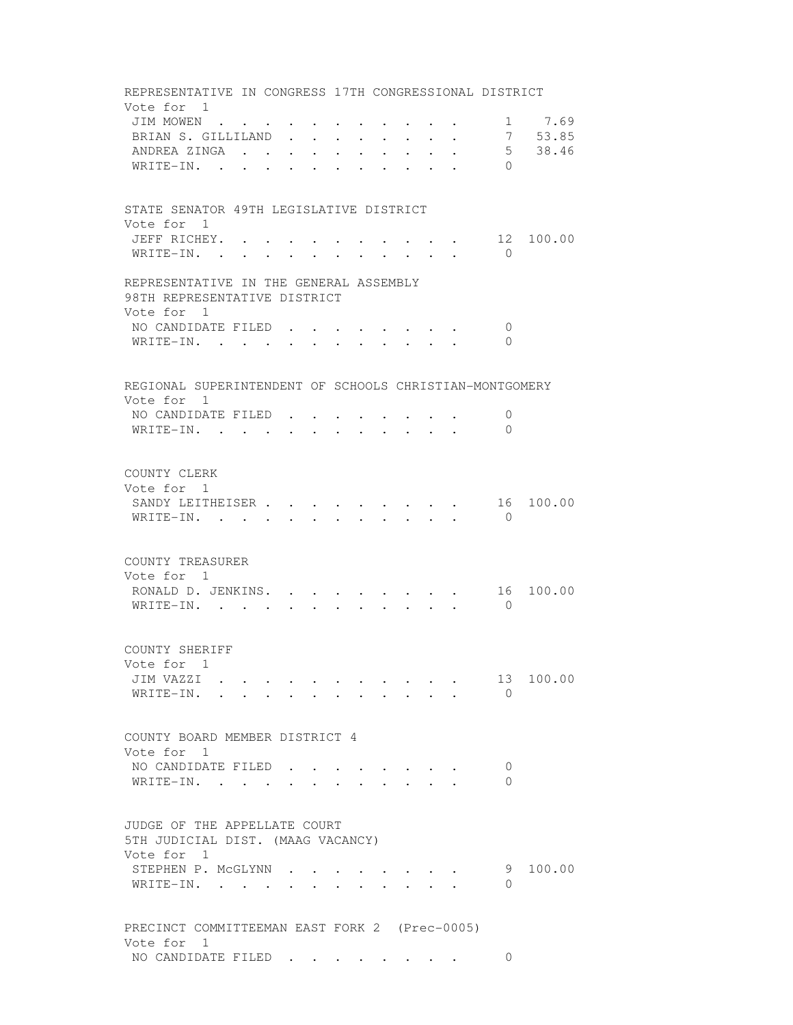REPRESENTATIVE IN CONGRESS 17TH CONGRESSIONAL DISTRICT Vote for 1 JIM MOWEN . . . . . . . . . . . . 1 7.69<br>BRIAN S. GILLILAND . . . . . . . . 7 53.85 BRIAN S. GILLILAND . . . . . . . . 7 ANDREA ZINGA . . . . . . . . . . . 5 38.46 WRITE-IN. . . . . . . . . . . 0 STATE SENATOR 49TH LEGISLATIVE DISTRICT Vote for 1 JEFF RICHEY. . . . . . . . . . . 12 100.00 WRITE-IN. . . . . . . . . . . . 0 REPRESENTATIVE IN THE GENERAL ASSEMBLY 98TH REPRESENTATIVE DISTRICT Vote for 1 NO CANDIDATE FILED . . . . . . . . 0 WRITE-IN. . . . . . . . . . . . 0 REGIONAL SUPERINTENDENT OF SCHOOLS CHRISTIAN-MONTGOMERY Vote for 1 NO CANDIDATE FILED . . . . . . . . 0 WRITE-IN. . . . . . . . . . . 0 COUNTY CLERK Vote for 1 SANDY LEITHEISER . . . . . . . . . 16 100.00 WRITE-IN. . . . . . . . . . . . 0 COUNTY TREASURER Vote for 1 RONALD D. JENKINS. . . . . . . . . 16 100.00 WRITE-IN. . . . . . . . . . . 0 COUNTY SHERIFF Vote for 1 JIM VAZZI . . . . . . . . . . . 13 100.00 WRITE-IN. . . . . . . . . . . 0 COUNTY BOARD MEMBER DISTRICT 4 Vote for 1 NO CANDIDATE FILED . . . . . . . . 0 WRITE-IN. . . . . . . . . . . . 0 JUDGE OF THE APPELLATE COURT 5TH JUDICIAL DIST. (MAAG VACANCY) Vote for 1 STEPHEN P. MCGLYNN . . . . . . . . . 9 100.00 WRITE-IN. . . . . . . . . . . 0 PRECINCT COMMITTEEMAN EAST FORK 2 (Prec-0005) Vote for 1 NO CANDIDATE FILED . . . . . . . . 0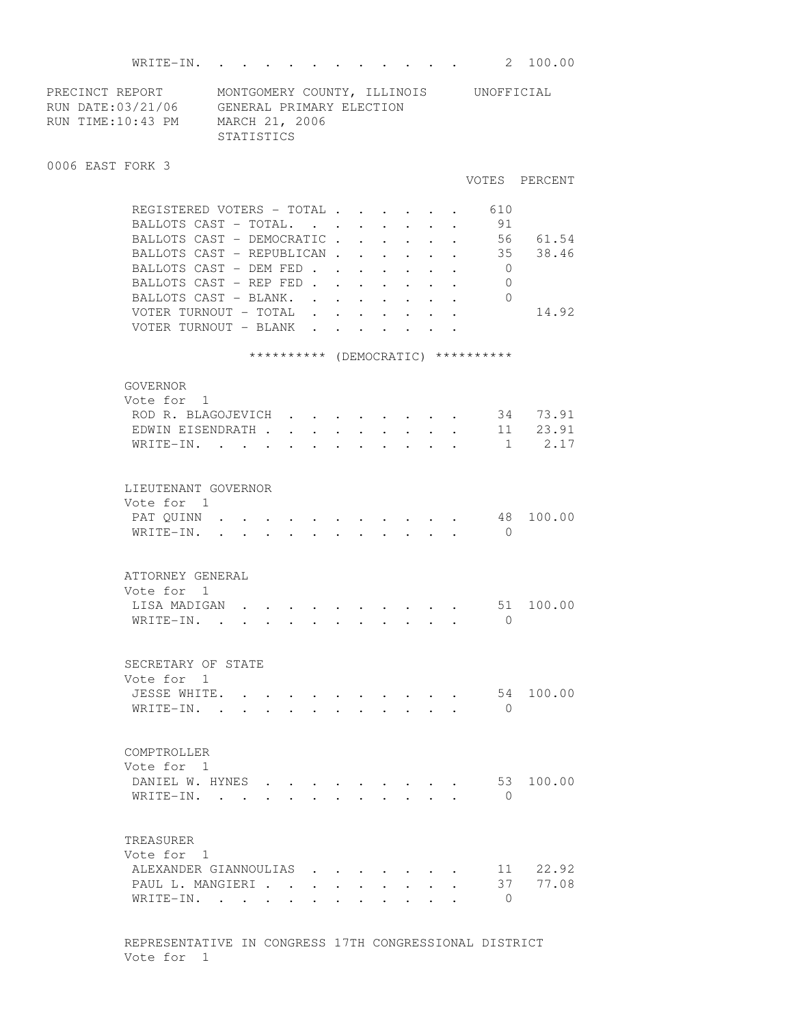WRITE-IN. . . . . . . . . . . . 2 100.00 PRECINCT REPORT MONTGOMERY COUNTY, ILLINOIS UNOFFICIAL RUN DATE:03/21/06 GENERAL PRIMARY ELECTION RUN TIME:10:43 PM MARCH 21, 2006 STATISTICS 0006 EAST FORK 3 VOTES PERCENT REGISTERED VOTERS - TOTAL . . . . . . 610 BALLOTS CAST - TOTAL. . . . . . . 91 BALLOTS CAST - DEMOCRATIC . . . . . . 56 61.54 BALLOTS CAST - REPUBLICAN . . . . . . 35 38.46 BALLOTS CAST - DEM FED . . . . . . . 0 BALLOTS CAST - REP FED . . . . . . . 0 BALLOTS CAST - BLANK. . . . . . . . 0 VOTER TURNOUT - TOTAL . . . . . . . 14.92 VOTER TURNOUT - BLANK . . \*\*\*\*\*\*\*\*\*\* (DEMOCRATIC) \*\*\*\*\*\*\*\*\*\* GOVERNOR Vote for 1 ROD R. BLAGOJEVICH . . . . . . . . 34 73.91 EDWIN EISENDRATH . . . . . . . . . 11 23.91 WRITE-IN. . . . . . . . . . . . 1 2.17 LIEUTENANT GOVERNOR Vote for 1<br>PAT QUINN . PAT QUINN . . . . . . . . . . . 48 100.00 WRITE-IN. . . . . . . . . . . . 0 ATTORNEY GENERAL Vote for 1 LISA MADIGAN . . . . . . . . . . 51 100.00 WRITE-IN. . . . . . . . . . . 0 SECRETARY OF STATE Vote for 1 JESSE WHITE. . . . . . . . . . . 54 100.00 WRITE-IN. . . . . . . . . . . 0 COMPTROLLER Vote for 1 DANIEL W. HYNES . . . . . . . . . 53 100.00 WRITE-IN. . . . . . . . . . . . 0 TREASURER Vote for 1 ALEXANDER GIANNOULIAS . . . . . . . 11 22.92 PAUL L. MANGIERI . . . . . . . . . 37 77.08 WRITE-IN. . . . . . . . . . . 0

> REPRESENTATIVE IN CONGRESS 17TH CONGRESSIONAL DISTRICT Vote for 1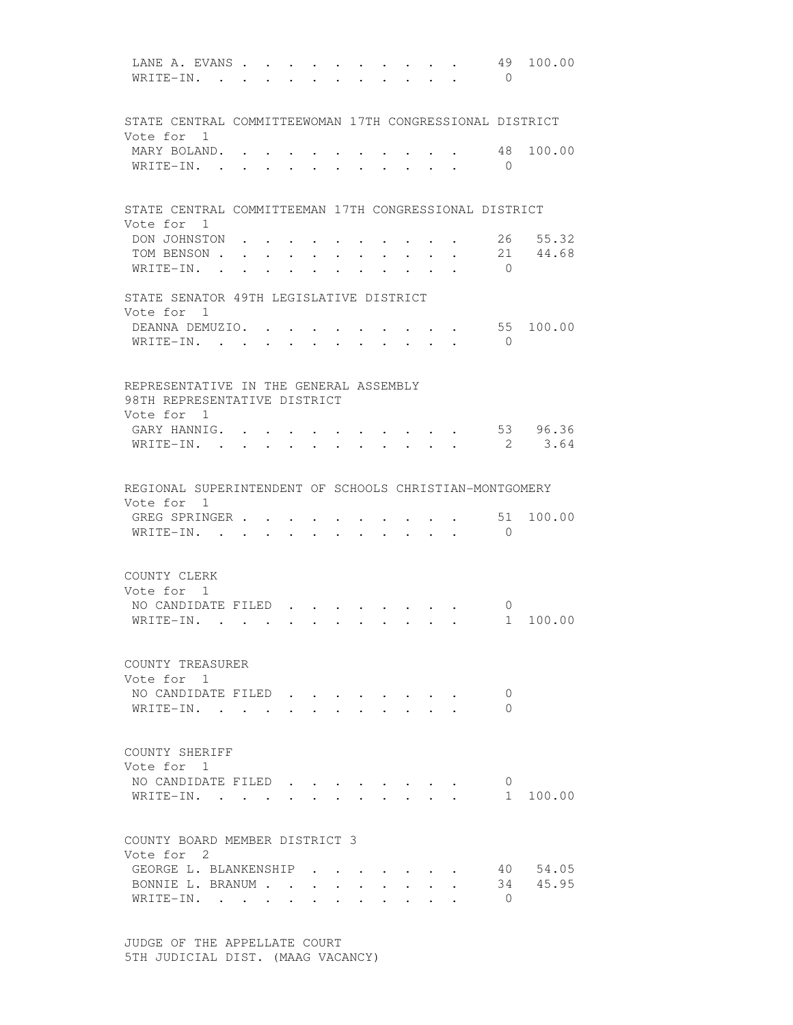| LANE A. EVANS.<br>WRITE-IN.                                                          |           |                                                                                                                                                                                                                                    |                                      |                                 |        |                                                           | 49<br>$\bigcirc$        | 100.00            |
|--------------------------------------------------------------------------------------|-----------|------------------------------------------------------------------------------------------------------------------------------------------------------------------------------------------------------------------------------------|--------------------------------------|---------------------------------|--------|-----------------------------------------------------------|-------------------------|-------------------|
| STATE CENTRAL COMMITTEEWOMAN 17TH CONGRESSIONAL DISTRICT<br>Vote for 1               |           |                                                                                                                                                                                                                                    |                                      |                                 |        |                                                           |                         |                   |
| MARY BOLAND.<br>WRITE-IN.                                                            |           |                                                                                                                                                                                                                                    |                                      |                                 |        |                                                           | 48<br>$\overline{0}$    | 100.00            |
| STATE CENTRAL COMMITTEEMAN 17TH CONGRESSIONAL DISTRICT                               |           |                                                                                                                                                                                                                                    |                                      |                                 |        |                                                           |                         |                   |
| Vote for 1<br>DON JOHNSTON<br>TOM BENSON.<br>WRITE-IN. .                             |           | the contract of the contract of the contract of the contract of the contract of the contract of the contract of<br>the contract of the contract of the contract of the contract of the contract of the contract of the contract of |                                      |                                 |        | $\mathbf{L}^{\text{max}}$ , and $\mathbf{L}^{\text{max}}$ | 26<br>$\bigcirc$        | 55.32<br>21 44.68 |
| STATE SENATOR 49TH LEGISLATIVE DISTRICT<br>Vote for 1                                |           |                                                                                                                                                                                                                                    |                                      |                                 |        |                                                           |                         |                   |
| DEANNA DEMUZIO. .<br>WRITE-IN.                                                       | $\sim$    |                                                                                                                                                                                                                                    |                                      |                                 | $\sim$ | $\sim$                                                    | 55<br>$\Omega$          | 100.00            |
| REPRESENTATIVE IN THE GENERAL ASSEMBLY<br>98TH REPRESENTATIVE DISTRICT<br>Vote for 1 |           |                                                                                                                                                                                                                                    |                                      |                                 |        |                                                           |                         |                   |
| GARY HANNIG.<br>WRITE-IN.                                                            |           |                                                                                                                                                                                                                                    |                                      |                                 |        |                                                           | 2                       | 53 96.36<br>3.64  |
| REGIONAL SUPERINTENDENT OF SCHOOLS CHRISTIAN-MONTGOMERY                              |           |                                                                                                                                                                                                                                    |                                      |                                 |        |                                                           |                         |                   |
| Vote for 1<br>GREG SPRINGER<br>WRITE-IN. .                                           |           | $\cdot$ , , , , , , ,                                                                                                                                                                                                              |                                      |                                 |        |                                                           | 51<br>$\bigcirc$        | 100.00            |
| COUNTY CLERK<br>Vote for 1<br>NO CANDIDATE FILED.                                    |           |                                                                                                                                                                                                                                    |                                      |                                 |        |                                                           | $\overline{0}$          |                   |
| WRITE-IN.                                                                            | $\bullet$ |                                                                                                                                                                                                                                    | $\mathbf{L} = \mathbf{L} \mathbf{L}$ | $\cdot$ $\cdot$ $\cdot$ $\cdot$ |        | $\mathbf{r}$ , $\mathbf{r}$ , $\mathbf{r}$ , $\mathbf{r}$ | 1                       | 100.00            |
| COUNTY TREASURER<br>Vote for 1                                                       |           |                                                                                                                                                                                                                                    |                                      |                                 |        |                                                           |                         |                   |
| NO CANDIDATE FILED<br>WRITE-IN. .                                                    |           |                                                                                                                                                                                                                                    |                                      |                                 |        |                                                           | $\mathbf 0$<br>$\Omega$ |                   |
| COUNTY SHERIFF<br>Vote for 1                                                         |           |                                                                                                                                                                                                                                    |                                      |                                 |        |                                                           |                         |                   |
| NO CANDIDATE FILED<br>WRITE-IN.                                                      |           |                                                                                                                                                                                                                                    |                                      |                                 |        |                                                           | 0<br>$1 \quad$          | 100.00            |
| COUNTY BOARD MEMBER DISTRICT 3<br>Vote for 2                                         |           |                                                                                                                                                                                                                                    |                                      |                                 |        |                                                           |                         |                   |
| GEORGE L. BLANKENSHIP                                                                |           |                                                                                                                                                                                                                                    |                                      |                                 |        |                                                           |                         | 40 54.05          |
| BONNIE L. BRANUM<br>WRITE-IN.                                                        |           |                                                                                                                                                                                                                                    |                                      |                                 |        |                                                           | $\overline{0}$          | 34 45.95          |

 JUDGE OF THE APPELLATE COURT 5TH JUDICIAL DIST. (MAAG VACANCY)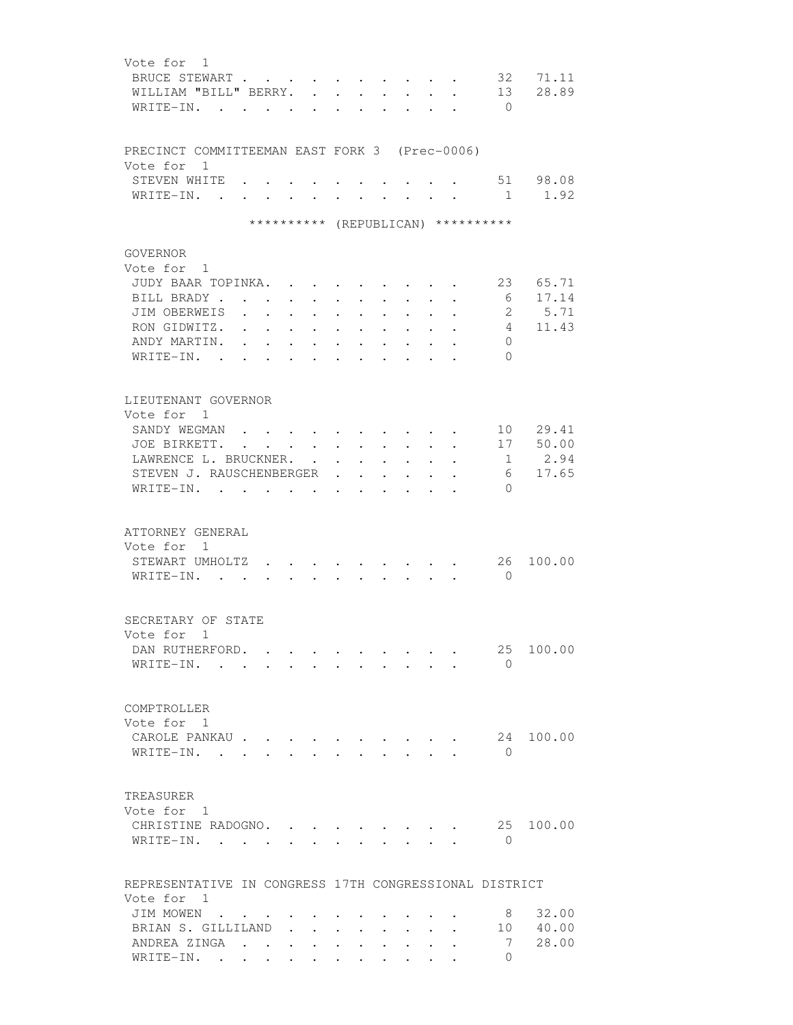| Vote for 1                | BRUCE STEWART<br>WILLIAM "BILL" BERRY.<br>WRITE-IN. .                                                                  | $\mathbf{L}$                                          |                      | $\bullet$ .<br>$\sim$<br>$\mathbf{r}$                                                       | $\ddot{\phantom{a}}$                                        | $\ddot{\phantom{0}}$                                        |                          | $\ddot{\phantom{a}}$ |                                                                                               | 32<br>13<br>$\overline{0}$                                           | 71.11<br>28.89                  |
|---------------------------|------------------------------------------------------------------------------------------------------------------------|-------------------------------------------------------|----------------------|---------------------------------------------------------------------------------------------|-------------------------------------------------------------|-------------------------------------------------------------|--------------------------|----------------------|-----------------------------------------------------------------------------------------------|----------------------------------------------------------------------|---------------------------------|
| Vote for 1<br>WRITE-IN.   | PRECINCT COMMITTEEMAN EAST FORK 3 (Prec-0006)<br>STEVEN WHITE .<br>$\sim$ $\sim$                                       | $\ddot{\phantom{a}}$<br>$\ddot{\phantom{a}}$          | $\ddot{\phantom{0}}$ | $\sim$ $\sim$                                                                               |                                                             | $\bullet$                                                   | <b>Contract Contract</b> |                      | $\ddot{\phantom{0}}$                                                                          | 1                                                                    | 51 98.08<br>1.92                |
|                           |                                                                                                                        |                                                       |                      |                                                                                             |                                                             |                                                             |                          |                      |                                                                                               | ********** (REPUBLICAN) **********                                   |                                 |
| GOVERNOR<br>Vote for 1    | JUDY BAAR TOPINKA.<br>BILL BRADY.<br>$\sim$<br>JIM OBERWEIS<br>RON GIDWITZ.<br>ANDY MARTIN.<br>$W$ RITE-IN.            | $\bullet$<br>$\sim$ 100 $\pm$<br>$\ddot{\phantom{a}}$ | $\ddot{\phantom{0}}$ | $\sim 100$<br>$\bullet$ .<br><br><br><br><br><br><br><br><br><br><br><br><br>$\sim 10^{-1}$ | $\ddot{\phantom{0}}$                                        | $\ddot{\phantom{0}}$                                        |                          |                      |                                                                                               | 23<br>6<br>$2^{\circ}$<br>$\overline{4}$<br>$\mathbf{0}$<br>$\Omega$ | 65.71<br>17.14<br>5.71<br>11.43 |
| Vote for 1<br>WRITE-IN.   | LIEUTENANT GOVERNOR<br>SANDY WEGMAN<br>JOE BIRKETT.<br>LAWRENCE L. BRUCKNER.<br>STEVEN J. RAUSCHENBERGER               |                                                       | $\sim$ $\sim$ $\sim$ | $\ddot{\phantom{0}}$<br>$\sim$<br>$\ddot{\phantom{0}}$                                      | $\ddot{\phantom{a}}$<br>$\ddot{\phantom{0}}$                | $\ddot{\phantom{0}}$                                        | $\ddot{\phantom{0}}$     | $\ddot{\phantom{0}}$ | $\bullet$ . In the case of the $\sim$<br>$\bullet$ . In the case of the $\sim$<br>$\bullet$ . | 10<br>17<br>1<br>6<br>$\Omega$                                       | 29.41<br>50.00<br>2.94<br>17.65 |
| Vote for 1                | ATTORNEY GENERAL<br>STEWART UMHOLTZ<br>WRITE-IN.                                                                       |                                                       |                      |                                                                                             |                                                             |                                                             |                          |                      |                                                                                               | 26<br>$\bigcirc$                                                     | 100.00                          |
|                           | SECRETARY OF STATE<br>Vote for 1<br>DAN RUTHERFORD.<br>WRITE-IN.                                                       |                                                       |                      |                                                                                             |                                                             |                                                             |                          |                      |                                                                                               | 25<br>$\bigcirc$                                                     | 100.00                          |
| COMPTROLLER<br>Vote for 1 | CAROLE PANKAU<br>$W$ RITE-IN                                                                                           |                                                       |                      |                                                                                             |                                                             | $\cdot$ $\cdot$ $\cdot$ $\cdot$ $\cdot$                     |                          |                      |                                                                                               | 24<br>$\Omega$                                                       | 100.00                          |
| TREASURER<br>Vote for 1   | CHRISTINE RADOGNO.<br>WRITE-IN.                                                                                        |                                                       |                      |                                                                                             |                                                             |                                                             |                          |                      |                                                                                               | 25<br>0                                                              | 100.00                          |
| Vote for 1                | REPRESENTATIVE IN CONGRESS 17TH CONGRESSIONAL DISTRICT<br>JIM MOWEN<br>BRIAN S. GILLILAND<br>ANDREA ZINGA<br>WRITE-IN. |                                                       |                      |                                                                                             | $\bullet$ .<br><br><br><br><br><br><br><br><br><br><br><br> | $\bullet$ .<br><br><br><br><br><br><br><br><br><br><br><br> | $\sim$ 100 $\mu$         | $\ddot{\phantom{0}}$ |                                                                                               | 8<br>10<br>7<br>0                                                    | 32.00<br>40.00<br>28.00         |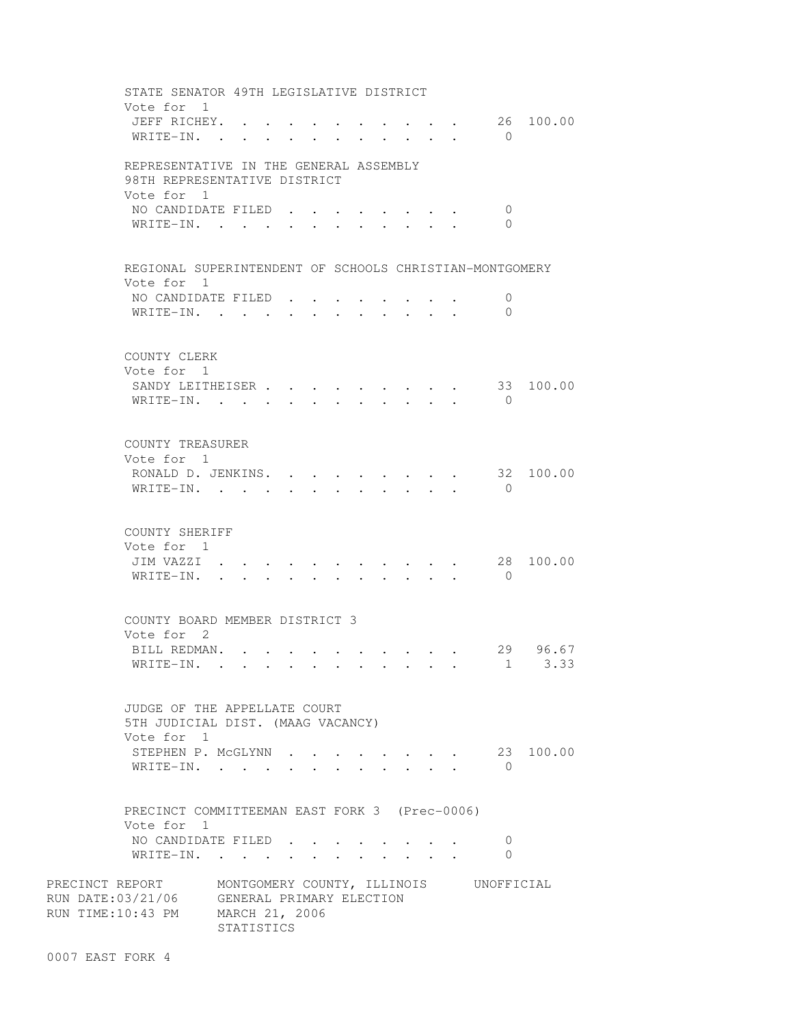STATE SENATOR 49TH LEGISLATIVE DISTRICT Vote for 1 JEFF RICHEY. . . . . . . . . . . 26 100.00 WRITE-IN. . . . . . . . . . . . 0 REPRESENTATIVE IN THE GENERAL ASSEMBLY 98TH REPRESENTATIVE DISTRICT Vote for 1 NO CANDIDATE FILED . . . . . . . . 0 WRITE-IN. . . . . . . . . . . 0 REGIONAL SUPERINTENDENT OF SCHOOLS CHRISTIAN-MONTGOMERY Vote for 1 NO CANDIDATE FILED . . . . . . . . 0 WRITE-IN. . . . . . . . . . . . 0 COUNTY CLERK Vote for 1 SANDY LEITHEISER . . . . . . . . . 33 100.00 WRITE-IN. . . . . . . . . . . . 0 COUNTY TREASURER Vote for 1 RONALD D. JENKINS. . . . . . . . . 32 100.00 WRITE-IN. . . . . . . . . . . 0 COUNTY SHERIFF Vote for 1 JIM VAZZI . . . . . . . . . . . 28 100.00 WRITE-IN. . . . . . . . . . . 0 COUNTY BOARD MEMBER DISTRICT 3 Vote for 2 BILL REDMAN. . . . . . . . . . . 29 96.67 WRITE-IN. . . . . . . . . . . . 1 3.33 JUDGE OF THE APPELLATE COURT 5TH JUDICIAL DIST. (MAAG VACANCY) Vote for 1 STEPHEN P. MCGLYNN . . . . . . . . 23 100.00 WRITE-IN. . . . . . . . . . . . 0 PRECINCT COMMITTEEMAN EAST FORK 3 (Prec-0006) Vote for 1 NO CANDIDATE FILED . . . . . . . . 0 WRITE-IN. . . . . . . . . . . 0 PRECINCT REPORT MONTGOMERY COUNTY, ILLINOIS UNOFFICIAL RUN DATE:03/21/06 GENERAL PRIMARY ELECTION RUN TIME:10:43 PM MARCH 21, 2006 STATISTICS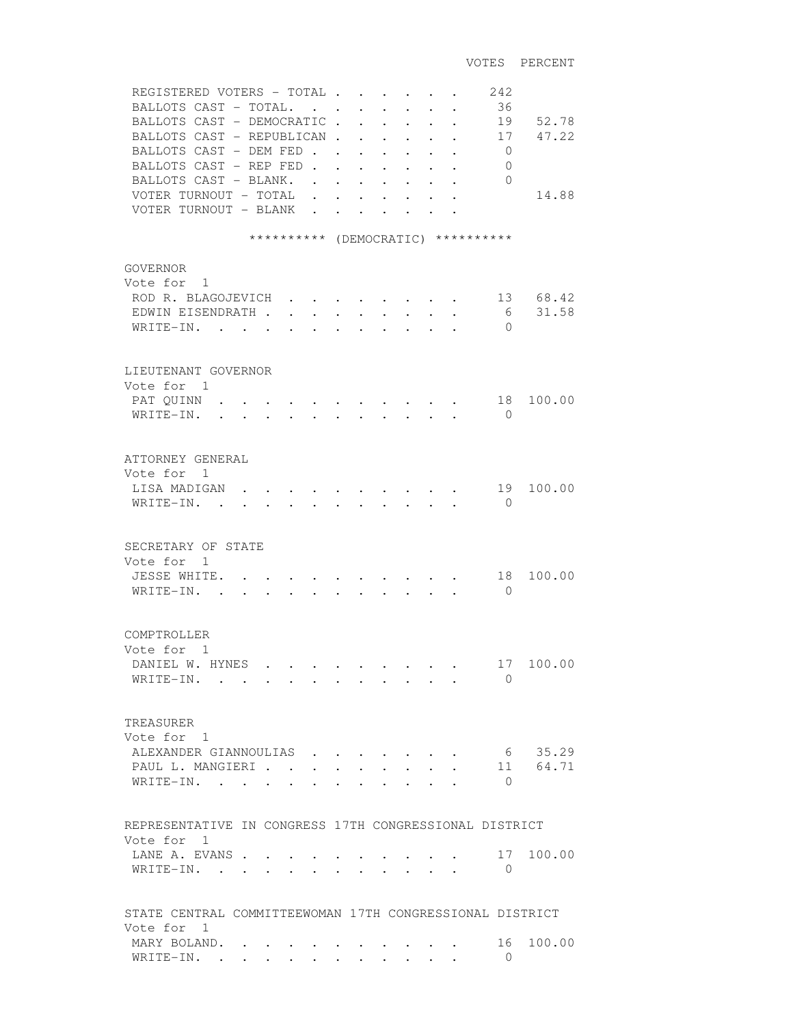| REGISTERED VOTERS - TOTAL<br>BALLOTS CAST - TOTAL.<br>BALLOTS CAST - DEMOCRATIC<br>BALLOTS CAST - REPUBLICAN.<br>BALLOTS CAST - DEM FED.<br>BALLOTS CAST - REP FED.<br>BALLOTS CAST - BLANK.<br>VOTER TURNOUT - TOTAL<br>VOTER TURNOUT - BLANK |                                    | $\ddot{\phantom{1}}$<br>$\ddot{\phantom{a}}$                          | $\ddot{\phantom{a}}$<br>$\ddot{\phantom{a}}$                                                             | $\mathbf{r}$ and $\mathbf{r}$<br>$\ddot{\phantom{0}}$<br>$\ddot{\phantom{0}}$<br>$\ddot{\phantom{0}}$<br>$\ddot{\phantom{0}}$ | $\sim$<br>$\ddot{\phantom{0}}$<br>$\sim$<br>$\ddot{\phantom{a}}$ | 242<br>36<br>19<br>17<br>$\overline{0}$<br>$\mathbf{0}$<br>$\Omega$ | 52.78<br>47.22<br>14.88 |
|------------------------------------------------------------------------------------------------------------------------------------------------------------------------------------------------------------------------------------------------|------------------------------------|-----------------------------------------------------------------------|----------------------------------------------------------------------------------------------------------|-------------------------------------------------------------------------------------------------------------------------------|------------------------------------------------------------------|---------------------------------------------------------------------|-------------------------|
|                                                                                                                                                                                                                                                | ********** (DEMOCRATIC) ********** |                                                                       |                                                                                                          |                                                                                                                               |                                                                  |                                                                     |                         |
| <b>GOVERNOR</b><br>Vote for 1<br>ROD R. BLAGOJEVICH<br>EDWIN EISENDRATH.<br>WRITE-IN. .                                                                                                                                                        |                                    | <b>Contract Contract Contract</b><br>$\bullet$ . The set of $\bullet$ |                                                                                                          |                                                                                                                               |                                                                  | 6<br>$\mathbf{0}$                                                   | 13 68.42<br>31.58       |
| LIEUTENANT GOVERNOR                                                                                                                                                                                                                            |                                    |                                                                       |                                                                                                          |                                                                                                                               |                                                                  |                                                                     |                         |
| Vote for 1<br>PAT QUINN<br>WRITE-IN.<br>$\ddot{\phantom{a}}$                                                                                                                                                                                   | $\bullet$ . The set of $\bullet$   | $\bullet$ . The set of $\bullet$                                      | $\ddot{\phantom{0}}$                                                                                     | $\bullet$ . In the set of the $\bullet$                                                                                       | $\ddot{\phantom{0}}$                                             | 18<br>$\bigcirc$                                                    | 100.00                  |
| ATTORNEY GENERAL<br>Vote for 1<br>LISA MADIGAN<br>WRITE-IN. .                                                                                                                                                                                  | $\mathbf{r} = \mathbf{r}$          | $\sim$ $\sim$ $\sim$                                                  |                                                                                                          |                                                                                                                               | $\cdot$ $\cdot$ $\cdot$ $\cdot$ $\cdot$<br>$\sim$                | 19<br>$\Omega$                                                      | 100.00                  |
| SECRETARY OF STATE<br>Vote for 1<br>JESSE WHITE.<br>WRITE-IN.<br>$\mathbf{r}$                                                                                                                                                                  |                                    |                                                                       |                                                                                                          |                                                                                                                               |                                                                  | 18<br>$\Omega$                                                      | 100.00                  |
| COMPTROLLER<br>Vote for 1<br>DANIEL W. HYNES<br>WRITE-IN.                                                                                                                                                                                      |                                    | $\sim$                                                                | $\mathbf{r}$ , and $\mathbf{r}$ , and $\mathbf{r}$ , and $\mathbf{r}$<br>$\cdot$ $\cdot$ $\cdot$ $\cdot$ |                                                                                                                               |                                                                  | 17<br>$\Omega$                                                      | 100.00                  |
| TREASURER<br>Vote for 1<br>ALEXANDER GIANNOULIAS<br>PAUL L. MANGIERI.<br>WRITE-IN.                                                                                                                                                             |                                    |                                                                       |                                                                                                          |                                                                                                                               |                                                                  | $\bigcirc$                                                          | 6 35.29<br>11 64.71     |
| REPRESENTATIVE IN CONGRESS 17TH CONGRESSIONAL DISTRICT                                                                                                                                                                                         |                                    |                                                                       |                                                                                                          |                                                                                                                               |                                                                  |                                                                     |                         |
| Vote for 1<br>LANE A. EVANS.<br>WRITE-IN. .                                                                                                                                                                                                    | $\mathbf{L}$                       |                                                                       |                                                                                                          |                                                                                                                               |                                                                  | 17<br>$\mathbf{0}$                                                  | 100.00                  |
| STATE CENTRAL COMMITTEEWOMAN 17TH CONGRESSIONAL DISTRICT                                                                                                                                                                                       |                                    |                                                                       |                                                                                                          |                                                                                                                               |                                                                  |                                                                     |                         |
| Vote for 1<br>MARY BOLAND.<br>WRITE-IN.                                                                                                                                                                                                        |                                    |                                                                       |                                                                                                          |                                                                                                                               |                                                                  | 16<br>$\Omega$                                                      | 100.00                  |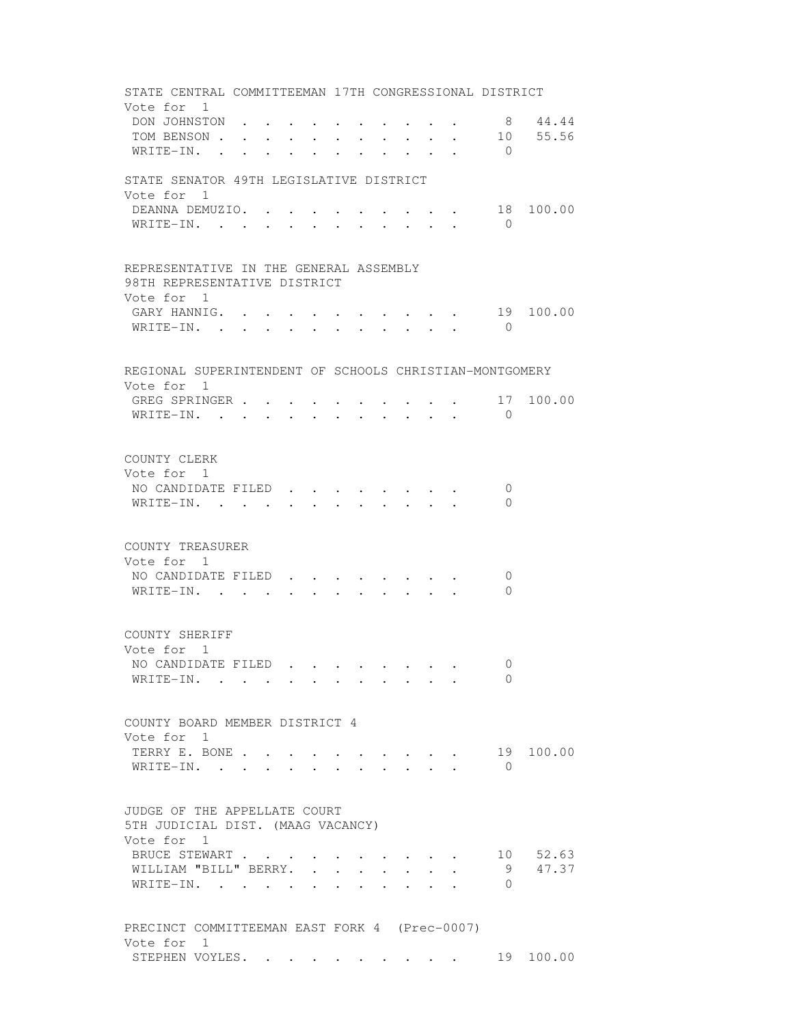STATE CENTRAL COMMITTEEMAN 17TH CONGRESSIONAL DISTRICT Vote for 1 DON JOHNSTON . . . . . . . . . . . 8 44.44<br>TOM BENSON . . . . . . . . . . . 10 55.56 TOM BENSON . . . . . . . . . . . . 10 55.56 WRITE-IN. . . . . . . . . . . . 0 STATE SENATOR 49TH LEGISLATIVE DISTRICT Vote for 1 DEANNA DEMUZIO. . . . . . . . . . 18 100.00 WRITE-IN. . . . . . . . . . . 0 REPRESENTATIVE IN THE GENERAL ASSEMBLY 98TH REPRESENTATIVE DISTRICT Vote for 1 GARY HANNIG. . . . . . . . . . . 19 100.00 WRITE-IN. . . . . . . . . . . . 0 REGIONAL SUPERINTENDENT OF SCHOOLS CHRISTIAN-MONTGOMERY Vote for 1 GREG SPRINGER . . . . . . . . . . 17 100.00 WRITE-IN. . . . . . . . . . . 0 COUNTY CLERK Vote for 1 NO CANDIDATE FILED . . . . . . . . 0 WRITE-IN. . . . . . . . . . . . 0 COUNTY TREASURER Vote for 1 NO CANDIDATE FILED . . . . . . . . 0 WRITE-IN. . . . . . . . . . . 0 COUNTY SHERIFF Vote for 1 NO CANDIDATE FILED . . . . . . . . 0 WRITE-IN. . . . . . . . . . . 0 COUNTY BOARD MEMBER DISTRICT 4 Vote for 1 TERRY E. BONE . . . . . . . . . . 19 100.00 WRITE-IN. . . . . . . . . . . 0 JUDGE OF THE APPELLATE COURT 5TH JUDICIAL DIST. (MAAG VACANCY) Vote for 1 BRUCE STEWART . . . . . . . . . . . 10 52.63 WILLIAM "BILL" BERRY. . . . . . . . 9 47.37 WRITE-IN. . . . . . . . . . . 0 PRECINCT COMMITTEEMAN EAST FORK 4 (Prec-0007) Vote for 1 STEPHEN VOYLES. . . . . . . . . . 19 100.00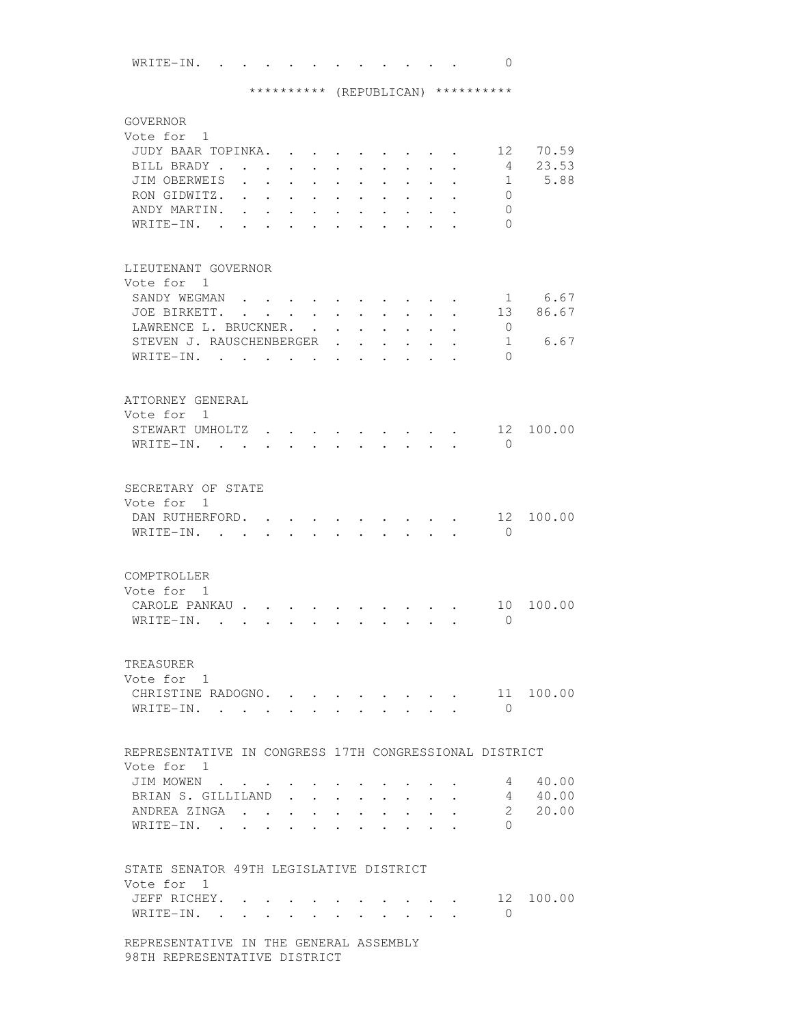WRITE-IN. . . . . . . . . . . . 0

# \*\*\*\*\*\*\*\*\*\* (REPUBLICAN) \*\*\*\*\*\*\*\*\*\*

| GOVERNOR<br>Vote for 1<br>JUDY BAAR TOPINKA.<br>BILL BRADY<br>JIM OBERWEIS<br>RON GIDWITZ.<br>ANDY MARTIN.<br>WRITE-IN.<br>$\sim$ |                                                           | $\bullet$ .<br><br><br><br><br><br><br><br><br><br><br><br> | $\mathbf{L}$<br>$\ddot{\phantom{0}}$<br>$\ddot{\phantom{0}}$ | $\ddot{\phantom{0}}$<br>$\ddot{\phantom{0}}$<br>$\ddot{\phantom{a}}$ | $\sim$<br>$\ddot{\phantom{0}}$    | $\bullet$            | $\cdot$ $\cdot$ $\cdot$<br>$\ddot{\phantom{0}}$ | $\mathbf{L}$                                 | $\bullet$                            |                                                                       | 12<br>4<br>$\mathbf{1}$<br>$\Omega$<br>$\mathbf{0}$<br>$\Omega$ | 70.59<br>23.53<br>5.88    |
|-----------------------------------------------------------------------------------------------------------------------------------|-----------------------------------------------------------|-------------------------------------------------------------|--------------------------------------------------------------|----------------------------------------------------------------------|-----------------------------------|----------------------|-------------------------------------------------|----------------------------------------------|--------------------------------------|-----------------------------------------------------------------------|-----------------------------------------------------------------|---------------------------|
| LIEUTENANT GOVERNOR<br>Vote for 1                                                                                                 |                                                           |                                                             |                                                              |                                                                      |                                   |                      |                                                 |                                              |                                      |                                                                       |                                                                 |                           |
| SANDY WEGMAN.                                                                                                                     |                                                           |                                                             |                                                              |                                                                      |                                   |                      |                                                 |                                              |                                      |                                                                       |                                                                 | 1 6.67                    |
| JOE BIRKETT.<br>LAWRENCE L. BRUCKNER.                                                                                             | $\mathbf{r}$ , $\mathbf{r}$ , $\mathbf{r}$ , $\mathbf{r}$ |                                                             |                                                              |                                                                      |                                   |                      |                                                 | $\ddot{\phantom{0}}$                         | $\sim$                               | $\sim$                                                                | $\mathbf{0}$                                                    | 13 86.67                  |
| STEVEN J. RAUSCHENBERGER                                                                                                          |                                                           |                                                             |                                                              | $\sim$                                                               | $\bullet$<br>$\bullet$            | $\ddot{\phantom{a}}$ | $\ddot{\phantom{0}}$<br>$\ddot{\phantom{a}}$    | $\ddot{\phantom{0}}$<br>$\ddot{\phantom{0}}$ | $\ddot{\phantom{0}}$                 | $\ddot{\phantom{0}}$                                                  |                                                                 | 6.67<br>$1 \qquad \qquad$ |
| WRITE-IN.                                                                                                                         |                                                           |                                                             |                                                              |                                                                      |                                   | $\ddot{\phantom{a}}$ |                                                 | $\ddot{\phantom{a}}$                         |                                      |                                                                       | $\Omega$                                                        |                           |
|                                                                                                                                   |                                                           |                                                             |                                                              |                                                                      |                                   |                      |                                                 |                                              |                                      |                                                                       |                                                                 |                           |
| ATTORNEY GENERAL                                                                                                                  |                                                           |                                                             |                                                              |                                                                      |                                   |                      |                                                 |                                              |                                      |                                                                       |                                                                 |                           |
| Vote for 1                                                                                                                        |                                                           |                                                             |                                                              |                                                                      |                                   |                      |                                                 |                                              |                                      |                                                                       |                                                                 |                           |
| STEWART UMHOLTZ                                                                                                                   |                                                           |                                                             |                                                              |                                                                      | <b>Contract Contract Contract</b> |                      | $\sim$ $\sim$ $\sim$ $\sim$ $\sim$              |                                              |                                      |                                                                       | 12                                                              | 100.00                    |
| WRITE-IN.                                                                                                                         |                                                           |                                                             |                                                              |                                                                      | $\cdot$ $\cdot$ $\cdot$           |                      | $\cdot$ $\cdot$ $\cdot$ $\cdot$ $\cdot$ $\cdot$ |                                              |                                      |                                                                       | $\Omega$                                                        |                           |
|                                                                                                                                   |                                                           |                                                             |                                                              |                                                                      |                                   |                      |                                                 |                                              |                                      |                                                                       |                                                                 |                           |
| SECRETARY OF STATE                                                                                                                |                                                           |                                                             |                                                              |                                                                      |                                   |                      |                                                 |                                              |                                      |                                                                       |                                                                 |                           |
| Vote for 1                                                                                                                        |                                                           |                                                             |                                                              |                                                                      |                                   |                      |                                                 |                                              |                                      |                                                                       |                                                                 |                           |
| DAN RUTHERFORD.                                                                                                                   |                                                           | $\sim$                                                      |                                                              |                                                                      |                                   |                      |                                                 |                                              |                                      |                                                                       | 12                                                              | 100.00                    |
| WRITE-IN. .                                                                                                                       |                                                           |                                                             |                                                              |                                                                      |                                   |                      |                                                 |                                              |                                      |                                                                       | $\Omega$                                                        |                           |
|                                                                                                                                   |                                                           |                                                             |                                                              |                                                                      |                                   |                      |                                                 |                                              |                                      |                                                                       |                                                                 |                           |
| COMPTROLLER                                                                                                                       |                                                           |                                                             |                                                              |                                                                      |                                   |                      |                                                 |                                              |                                      |                                                                       |                                                                 |                           |
| Vote for 1                                                                                                                        |                                                           |                                                             |                                                              |                                                                      |                                   |                      |                                                 |                                              |                                      |                                                                       |                                                                 |                           |
| CAROLE PANKAU.                                                                                                                    |                                                           |                                                             |                                                              |                                                                      |                                   |                      |                                                 |                                              |                                      |                                                                       | 10                                                              | 100.00                    |
| WRITE-IN.<br>$\ddot{\phantom{a}}$                                                                                                 | $\ddot{\phantom{0}}$                                      |                                                             |                                                              |                                                                      |                                   |                      |                                                 |                                              |                                      |                                                                       | $\Omega$                                                        |                           |
|                                                                                                                                   |                                                           |                                                             |                                                              |                                                                      |                                   |                      |                                                 |                                              |                                      |                                                                       |                                                                 |                           |
| TREASURER                                                                                                                         |                                                           |                                                             |                                                              |                                                                      |                                   |                      |                                                 |                                              |                                      |                                                                       |                                                                 |                           |
| Vote for 1                                                                                                                        |                                                           |                                                             |                                                              |                                                                      |                                   |                      |                                                 |                                              |                                      |                                                                       |                                                                 |                           |
| CHRISTINE RADOGNO. .                                                                                                              |                                                           |                                                             |                                                              |                                                                      |                                   |                      |                                                 |                                              |                                      |                                                                       | 11<br>$\bigcirc$                                                | 100.00                    |
| WRITE-IN.                                                                                                                         |                                                           |                                                             |                                                              |                                                                      |                                   |                      |                                                 |                                              |                                      |                                                                       |                                                                 |                           |
|                                                                                                                                   |                                                           |                                                             |                                                              |                                                                      |                                   |                      |                                                 |                                              |                                      |                                                                       |                                                                 |                           |
| REPRESENTATIVE IN CONGRESS 17TH CONGRESSIONAL DISTRICT                                                                            |                                                           |                                                             |                                                              |                                                                      |                                   |                      |                                                 |                                              |                                      |                                                                       |                                                                 |                           |
| Vote for 1                                                                                                                        |                                                           |                                                             |                                                              |                                                                      |                                   |                      |                                                 |                                              |                                      |                                                                       |                                                                 |                           |
| JIM MOWEN<br>BRIAN S. GILLILAND                                                                                                   |                                                           |                                                             | $\bullet$ .<br><br><br><br><br><br><br>$\mathbf{L}$          |                                                                      |                                   |                      |                                                 |                                              |                                      |                                                                       | 4<br>$4\phantom{0}$                                             | 40.00<br>40.00            |
| ANDREA ZINGA                                                                                                                      |                                                           |                                                             | $\mathbf{L}$                                                 | $\ddot{\phantom{0}}$                                                 |                                   |                      | $\ddot{\phantom{0}}$                            |                                              |                                      | $\mathbf{r}$ , and $\mathbf{r}$ , and $\mathbf{r}$ , and $\mathbf{r}$ | $\mathbf{2}$                                                    | 20.00                     |
| WRITE-IN.                                                                                                                         |                                                           |                                                             |                                                              |                                                                      |                                   |                      |                                                 |                                              |                                      |                                                                       | $\Omega$                                                        |                           |
|                                                                                                                                   |                                                           |                                                             |                                                              |                                                                      |                                   |                      |                                                 |                                              |                                      |                                                                       |                                                                 |                           |
|                                                                                                                                   |                                                           |                                                             |                                                              |                                                                      |                                   |                      |                                                 |                                              |                                      |                                                                       |                                                                 |                           |
| STATE SENATOR 49TH LEGISLATIVE DISTRICT<br>Vote for 1                                                                             |                                                           |                                                             |                                                              |                                                                      |                                   |                      |                                                 |                                              |                                      |                                                                       |                                                                 |                           |
| JEFF RICHEY. .                                                                                                                    |                                                           |                                                             |                                                              |                                                                      |                                   |                      |                                                 |                                              |                                      | $\cdot$ $\cdot$ $\cdot$ $\cdot$ $\cdot$                               |                                                                 | 12 100.00                 |
| WRITE-IN. .                                                                                                                       | $\cdot$                                                   |                                                             |                                                              |                                                                      |                                   |                      |                                                 |                                              | $\mathbf{L} = \mathbf{L} \mathbf{L}$ | $\mathbf{L}^{\text{max}}$                                             | $\Omega$                                                        |                           |
|                                                                                                                                   |                                                           |                                                             |                                                              |                                                                      |                                   |                      |                                                 |                                              |                                      |                                                                       |                                                                 |                           |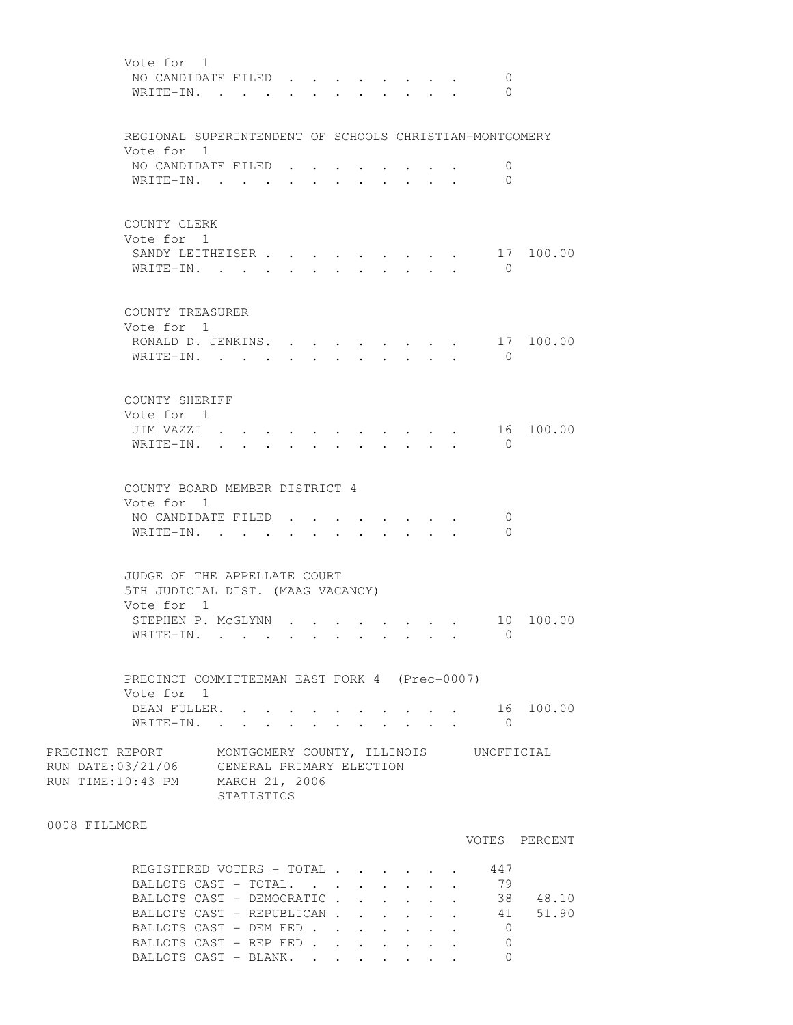| Vote for 1<br>NO CANDIDATE FILED.<br>WRITE-IN.                                                                                                                                     |                                   |                                                   |  | $\mathcal{L}^{\text{max}}$       |                                                                                                                                                                                                                                                                                                                                                                                                                                                                                                              |                 | 0<br>$\Omega$                                 |               |
|------------------------------------------------------------------------------------------------------------------------------------------------------------------------------------|-----------------------------------|---------------------------------------------------|--|----------------------------------|--------------------------------------------------------------------------------------------------------------------------------------------------------------------------------------------------------------------------------------------------------------------------------------------------------------------------------------------------------------------------------------------------------------------------------------------------------------------------------------------------------------|-----------------|-----------------------------------------------|---------------|
| REGIONAL SUPERINTENDENT OF SCHOOLS CHRISTIAN-MONTGOMERY                                                                                                                            |                                   |                                                   |  |                                  |                                                                                                                                                                                                                                                                                                                                                                                                                                                                                                              |                 |                                               |               |
| Vote for 1<br>NO CANDIDATE FILED.<br>WRITE-IN.                                                                                                                                     |                                   |                                                   |  |                                  |                                                                                                                                                                                                                                                                                                                                                                                                                                                                                                              |                 | 0<br>$\mathbf{0}$                             |               |
| COUNTY CLERK<br>Vote for 1<br>SANDY LEITHEISER<br>WRITE-IN. .                                                                                                                      | <b>Contract Contract Contract</b> |                                                   |  | $\bullet$ . The set of $\bullet$ | $\bullet$ . The set of $\bullet$                                                                                                                                                                                                                                                                                                                                                                                                                                                                             |                 | 17<br>$\overline{0}$                          | 100.00        |
| COUNTY TREASURER<br>Vote for 1<br>RONALD D. JENKINS.<br>WRITE-IN.                                                                                                                  |                                   | $\mathbf{L}^{\text{max}}$<br>$\ddot{\phantom{0}}$ |  |                                  |                                                                                                                                                                                                                                                                                                                                                                                                                                                                                                              |                 | 17<br>$\Omega$                                | 100.00        |
| COUNTY SHERIFF<br>Vote for 1<br>JIM VAZZI .<br>WRITE-IN.                                                                                                                           |                                   |                                                   |  |                                  |                                                                                                                                                                                                                                                                                                                                                                                                                                                                                                              |                 | 0                                             | 16 100.00     |
| COUNTY BOARD MEMBER DISTRICT 4<br>Vote for 1<br>NO CANDIDATE FILED.<br>WRITE-IN. .                                                                                                 |                                   |                                                   |  | $\bullet$ .                      | $\cdot$ $\cdot$ $\cdot$                                                                                                                                                                                                                                                                                                                                                                                                                                                                                      |                 | 0<br>$\Omega$                                 |               |
| JUDGE OF THE APPELLATE COURT<br>5TH JUDICIAL DIST. (MAAG VACANCY)<br>Vote for 1                                                                                                    |                                   |                                                   |  |                                  |                                                                                                                                                                                                                                                                                                                                                                                                                                                                                                              |                 |                                               |               |
| STEPHEN P. MCGLYNN<br>WRITE-IN. .                                                                                                                                                  |                                   |                                                   |  |                                  |                                                                                                                                                                                                                                                                                                                                                                                                                                                                                                              |                 | 10<br>$\bigcirc$                              | 100.00        |
| PRECINCT COMMITTEEMAN EAST FORK 4 (Prec-0007)<br>Vote for 1                                                                                                                        |                                   |                                                   |  |                                  |                                                                                                                                                                                                                                                                                                                                                                                                                                                                                                              |                 |                                               |               |
| DEAN FULLER.<br>WRITE-IN.                                                                                                                                                          |                                   |                                                   |  |                                  | $\mathbf{r} = \mathbf{r} \times \mathbf{r} \times \mathbf{r} \times \mathbf{r} \times \mathbf{r} \times \mathbf{r} \times \mathbf{r} \times \mathbf{r} \times \mathbf{r} \times \mathbf{r} \times \mathbf{r} \times \mathbf{r} \times \mathbf{r} \times \mathbf{r} \times \mathbf{r} \times \mathbf{r} \times \mathbf{r} \times \mathbf{r} \times \mathbf{r} \times \mathbf{r} \times \mathbf{r} \times \mathbf{r} \times \mathbf{r} \times \mathbf{r} \times \mathbf{r} \times \mathbf{r} \times \mathbf{r$ | $\cdot$ $\cdot$ | $\bigcirc$                                    | 16 100.00     |
| PRECINCT REPORT MONTGOMERY COUNTY, ILLINOIS UNOFFICIAL<br>RUN DATE:03/21/06 GENERAL PRIMARY ELECTION<br>RUN TIME:10:43 PM MARCH 21, 2006                                           | STATISTICS                        |                                                   |  |                                  |                                                                                                                                                                                                                                                                                                                                                                                                                                                                                                              |                 |                                               |               |
| 0008 FILLMORE                                                                                                                                                                      |                                   |                                                   |  |                                  |                                                                                                                                                                                                                                                                                                                                                                                                                                                                                                              |                 |                                               | VOTES PERCENT |
| REGISTERED VOTERS - TOTAL<br>BALLOTS CAST - TOTAL.<br>BALLOTS CAST - DEMOCRATIC 38 48.10<br>BALLOTS CAST - REPUBLICAN 41 51.90<br>BALLOTS CAST - DEM FED<br>BALLOTS CAST - REP FED |                                   |                                                   |  |                                  |                                                                                                                                                                                                                                                                                                                                                                                                                                                                                                              |                 | 447<br>79<br>$\overline{0}$<br>$\overline{0}$ |               |

BALLOTS CAST - BLANK. . . . . . . 0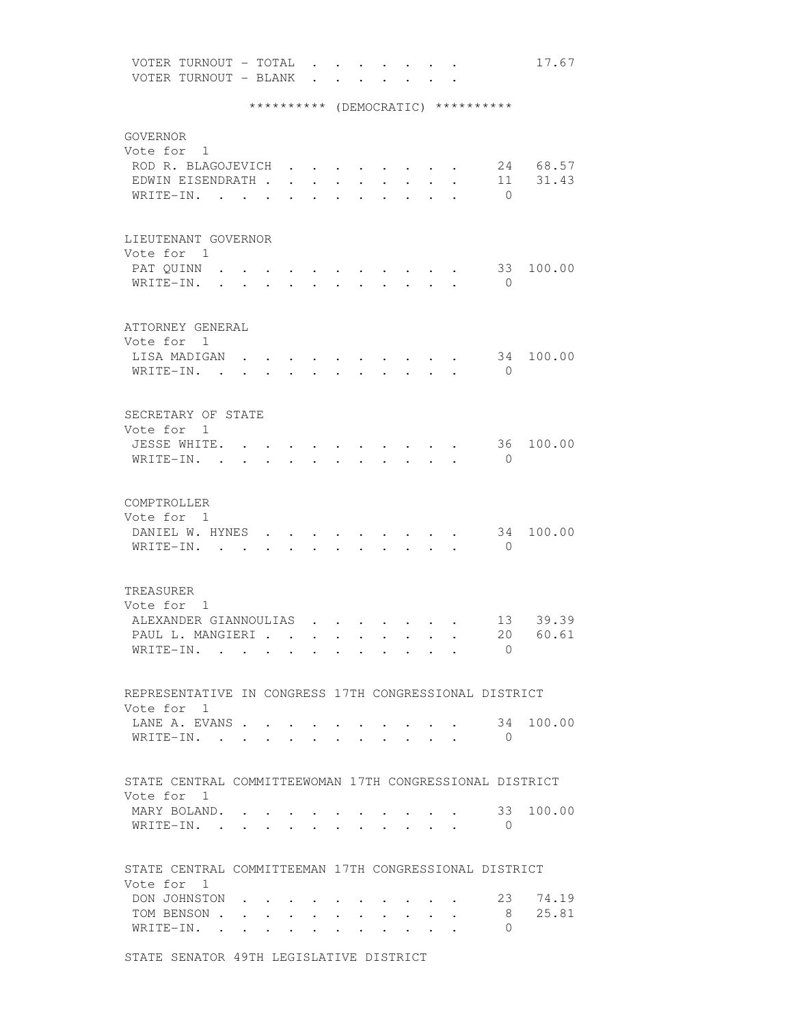VOTER TURNOUT - TOTAL . . . . . . . 17.67 VOTER TURNOUT - BLANK . . . . . . \*\*\*\*\*\*\*\*\*\* (DEMOCRATIC) \*\*\*\*\*\*\*\*\*\* GOVERNOR Vote for 1 ROD R. BLAGOJEVICH . . . . . . . . 24 68.57 EDWIN EISENDRATH . . . . . . . . . 11 31.43 WRITE-IN. . . . . . . . . . . . 0 LIEUTENANT GOVERNOR Vote for 1 PAT QUINN . . . . . . . . . . . . 33 100.00 WRITE-IN. . . . . . . . . . . . 0 ATTORNEY GENERAL Vote for 1 LISA MADIGAN  $\cdots$  . . . . . . . . 34 100.00 WRITE-IN. . . . . . . . . . . . 0 SECRETARY OF STATE Vote for 1 JESSE WHITE. . . . . . . . . . . 36 100.00 WRITE-IN. . . . . . . . . . . . 0 COMPTROLLER Vote for 1 DANIEL W. HYNES . . . . . . . . . . 34 100.00 WRITE-IN. . . . . . . . . . . . 0 TREASURER Vote for 1 ALEXANDER GIANNOULIAS . . . . . . . 13 39.39 PAUL L. MANGIERI . . . . . . . . . 20 60.61 WRITE-IN. . . . . . . . . . . . 0 REPRESENTATIVE IN CONGRESS 17TH CONGRESSIONAL DISTRICT Vote for 1 LANE A. EVANS . . . . . . . . . . 34 100.00 WRITE-IN. . . . . . . . . . . 0 STATE CENTRAL COMMITTEEWOMAN 17TH CONGRESSIONAL DISTRICT Vote for 1 MARY BOLAND. . . . . . . . . . . 33 100.00 WRITE-IN. . . . . . . . . . . 0 STATE CENTRAL COMMITTEEMAN 17TH CONGRESSIONAL DISTRICT Vote for 1 DON JOHNSTON . . . . . . . . . . 23 74.19 TOM BENSON . . . . . . . . . . . 8 25.81<br>WRITE-IN . . . . . . . . . . . 0 WRITE-IN. . . . . . . . . . .

STATE SENATOR 49TH LEGISLATIVE DISTRICT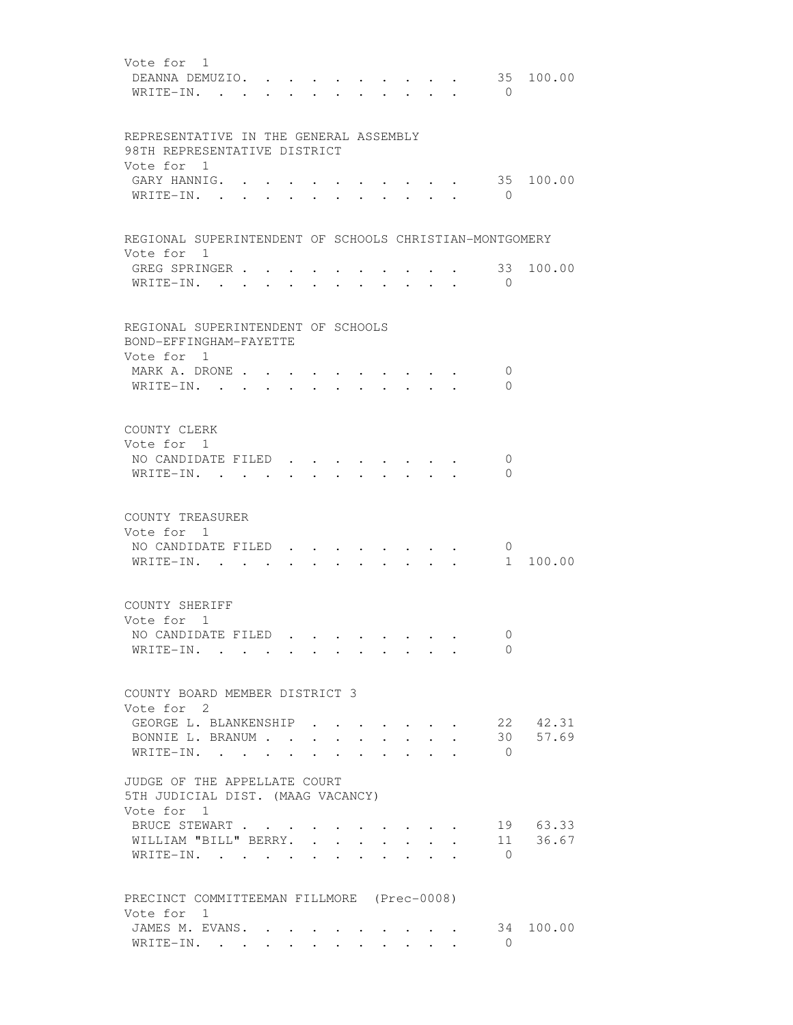| Vote for 1<br>35<br>DEANNA DEMUZIO.<br>WRITE-IN.<br>$\bigcirc$<br>$\mathbf{r} = \mathbf{r}$<br>$\sim$                                                                | 100.00            |
|----------------------------------------------------------------------------------------------------------------------------------------------------------------------|-------------------|
| REPRESENTATIVE IN THE GENERAL ASSEMBLY<br>98TH REPRESENTATIVE DISTRICT<br>Vote for 1<br>GARY HANNIG.                                                                 | 35 100.00         |
| $W$ RITE-IN<br>$\bigcirc$                                                                                                                                            |                   |
| REGIONAL SUPERINTENDENT OF SCHOOLS CHRISTIAN-MONTGOMERY<br>Vote for 1                                                                                                |                   |
| GREG SPRINGER .<br>33<br>WRITE-IN.<br>$\bigcirc$                                                                                                                     | 100.00            |
| REGIONAL SUPERINTENDENT OF SCHOOLS<br>BOND-EFFINGHAM-FAYETTE<br>Vote for 1                                                                                           |                   |
| MARK A. DRONE<br>0<br>$\mathbf{r}$ , and $\mathbf{r}$ , and $\mathbf{r}$<br>WRITE-IN.<br>$\Omega$<br>$\cdot$ $\cdot$ $\cdot$ $\cdot$ $\cdot$ $\cdot$ $\cdot$ $\cdot$ |                   |
| COUNTY CLERK<br>Vote for 1<br>NO CANDIDATE FILED<br>0<br>WRITE-IN.<br>$\Omega$<br>$\sim$                                                                             |                   |
| COUNTY TREASURER<br>Vote for 1<br>NO CANDIDATE FILED<br>$\mathbf 0$<br>$WRITE-IN.$ .<br>$1 \quad$                                                                    | 100.00            |
| COUNTY SHERIFF<br>Vote for 1<br>NO CANDIDATE FILED<br>0<br>$\Omega$<br>WRITE-IN.                                                                                     |                   |
| COUNTY BOARD MEMBER DISTRICT 3<br>Vote for 2                                                                                                                         |                   |
| GEORGE L. BLANKENSHIP<br>BONNIE L. BRANUM<br>30<br>WRITE-IN.<br>$\Omega$<br>$\sim$<br>$\mathbf{r} = \mathbf{r}$<br>$\sim$ $\sim$<br>$\ddot{\phantom{a}}$             | 22 42.31<br>57.69 |
| JUDGE OF THE APPELLATE COURT<br>5TH JUDICIAL DIST. (MAAG VACANCY)<br>Vote for 1                                                                                      |                   |
| BRUCE STEWART<br>WILLIAM "BILL" BERRY.<br>11<br>$\ddot{\phantom{a}}$<br>$\overline{a}$<br>WRITE-IN. .<br>$\overline{0}$                                              | 19 63.33<br>36.67 |
| PRECINCT COMMITTEEMAN FILLMORE (Prec-0008)<br>Vote for 1<br>JAMES M. EVANS.<br>34<br>$\Omega$<br>WRITE-IN.                                                           | 100.00            |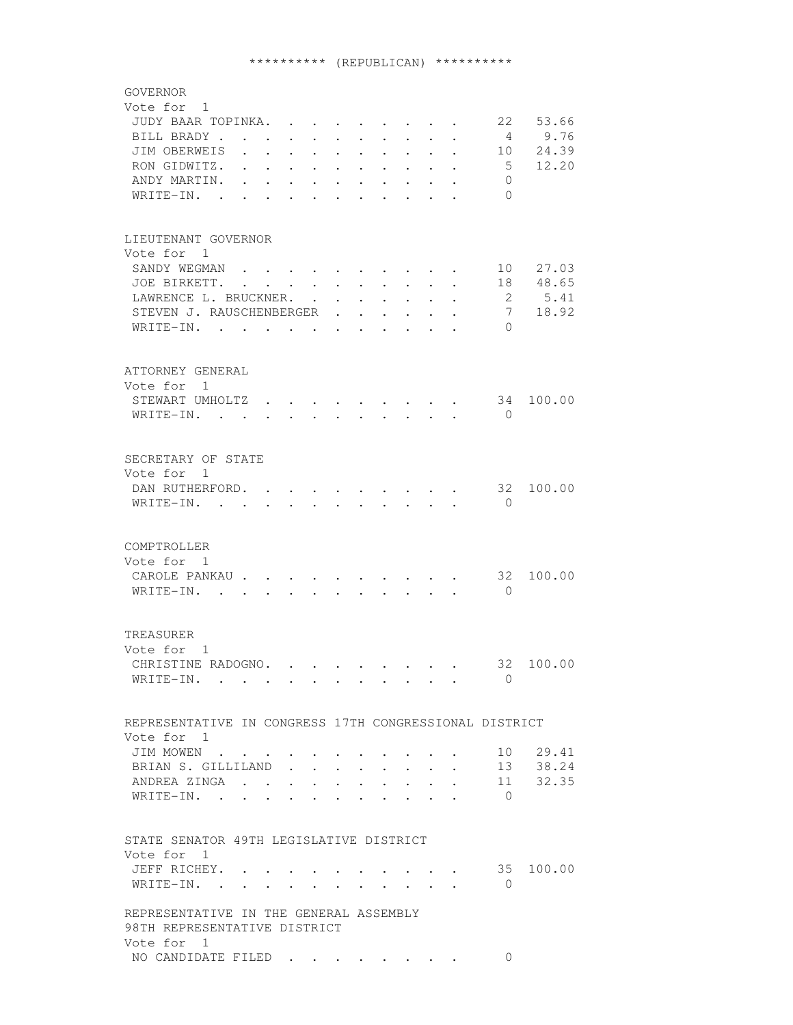# \*\*\*\*\*\*\*\*\*\* (REPUBLICAN) \*\*\*\*\*\*\*\*\*\*

| GOVERNOR<br>Vote for 1                                                                                                                                                                                                                                                                                                                                                                                                                    |  |
|-------------------------------------------------------------------------------------------------------------------------------------------------------------------------------------------------------------------------------------------------------------------------------------------------------------------------------------------------------------------------------------------------------------------------------------------|--|
| 22<br>53.66<br>JUDY BAAR TOPINKA.                                                                                                                                                                                                                                                                                                                                                                                                         |  |
| 9.76<br>BILL BRADY<br>$\mathbf{r} = \mathbf{r} + \mathbf{r}$ .                                                                                                                                                                                                                                                                                                                                                                            |  |
| 24.39<br>JIM OBERWEIS<br>10                                                                                                                                                                                                                                                                                                                                                                                                               |  |
| 12.20<br>$5^{\circ}$<br>RON GIDWITZ.<br>$\ddot{\phantom{0}}$<br>$\sim$<br>$\ddot{\phantom{0}}$<br>$\ddot{\phantom{a}}$<br>$\ddot{\phantom{0}}$<br>$\ddot{\phantom{0}}$<br>$\bullet$                                                                                                                                                                                                                                                       |  |
| ANDY MARTIN.<br>$\Omega$<br>$\sim$<br>$\ddot{\phantom{0}}$<br>$\ddot{\phantom{0}}$<br>$\ddot{\phantom{0}}$<br>$\ddot{\phantom{0}}$<br>$\ddot{\phantom{0}}$                                                                                                                                                                                                                                                                                |  |
| $\Omega$<br>WRITE-IN. .<br>$\sim$<br>$\ddot{\phantom{a}}$<br>$\ddot{\phantom{a}}$<br>$\ddot{\phantom{0}}$<br>$\ddot{\phantom{a}}$<br>$\ddot{\phantom{a}}$<br>$\ddot{\phantom{a}}$<br>$\ddot{\phantom{a}}$                                                                                                                                                                                                                                 |  |
|                                                                                                                                                                                                                                                                                                                                                                                                                                           |  |
| LIEUTENANT GOVERNOR                                                                                                                                                                                                                                                                                                                                                                                                                       |  |
| Vote for 1                                                                                                                                                                                                                                                                                                                                                                                                                                |  |
| SANDY WEGMAN<br>10 27.03                                                                                                                                                                                                                                                                                                                                                                                                                  |  |
| 48.65<br>JOE BIRKETT.<br>18<br>$\sim$<br>$\ddot{\phantom{0}}$<br>$\ddot{\phantom{0}}$<br>$\ddot{\phantom{0}}$<br>$\sim$                                                                                                                                                                                                                                                                                                                   |  |
| LAWRENCE L. BRUCKNER.<br>2<br>5.41<br>$\ddot{\phantom{0}}$<br>$\ddot{\phantom{0}}$<br>$\ddot{\phantom{0}}$                                                                                                                                                                                                                                                                                                                                |  |
| 18.92<br>$7\overline{ }$<br>STEVEN J. RAUSCHENBERGER<br>$\ddot{\phantom{0}}$<br>$\sim$<br>$\ddot{\phantom{0}}$                                                                                                                                                                                                                                                                                                                            |  |
| WRITE-IN.<br>$\Omega$<br>$\sim$<br>$\ddot{\phantom{a}}$<br>$\sim$                                                                                                                                                                                                                                                                                                                                                                         |  |
| ATTORNEY GENERAL                                                                                                                                                                                                                                                                                                                                                                                                                          |  |
| Vote for 1                                                                                                                                                                                                                                                                                                                                                                                                                                |  |
| STEWART UMHOLTZ.<br>34 100.00<br>$\bigcirc$                                                                                                                                                                                                                                                                                                                                                                                               |  |
| WRITE-IN. .                                                                                                                                                                                                                                                                                                                                                                                                                               |  |
| SECRETARY OF STATE                                                                                                                                                                                                                                                                                                                                                                                                                        |  |
| Vote for 1                                                                                                                                                                                                                                                                                                                                                                                                                                |  |
| $\cdot \cdot \cdot \cdot \cdot 32$<br>100.00<br>DAN RUTHERFORD.<br>$\bullet$ .<br><br><br><br><br><br><br><br><br><br><br><br><br>                                                                                                                                                                                                                                                                                                        |  |
| WRITE-IN.<br>$\bigcirc$<br>$\cdot$ $\cdot$ $\cdot$ $\cdot$ $\cdot$ $\cdot$<br>$\cdot$ $\cdot$ $\cdot$<br>$\bullet$ . The set of $\bullet$                                                                                                                                                                                                                                                                                                 |  |
|                                                                                                                                                                                                                                                                                                                                                                                                                                           |  |
| COMPTROLLER                                                                                                                                                                                                                                                                                                                                                                                                                               |  |
| Vote for 1                                                                                                                                                                                                                                                                                                                                                                                                                                |  |
| 32<br>100.00<br>CAROLE PANKAU<br>$\cdot$ $\cdot$ $\cdot$ $\cdot$ $\cdot$ $\cdot$                                                                                                                                                                                                                                                                                                                                                          |  |
| WRITE-IN.<br>$\overline{0}$<br>$\mathbf{r} = \mathbf{r}$<br>$\ddot{\phantom{a}}$<br>$\sim$ $\sim$                                                                                                                                                                                                                                                                                                                                         |  |
| TREASURER                                                                                                                                                                                                                                                                                                                                                                                                                                 |  |
| Vote for 1                                                                                                                                                                                                                                                                                                                                                                                                                                |  |
| CHRISTINE RADOGNO.<br>32 100.00                                                                                                                                                                                                                                                                                                                                                                                                           |  |
| $\mathbf{0}$<br>WRITE-IN.                                                                                                                                                                                                                                                                                                                                                                                                                 |  |
|                                                                                                                                                                                                                                                                                                                                                                                                                                           |  |
| REPRESENTATIVE IN CONGRESS 17TH CONGRESSIONAL DISTRICT                                                                                                                                                                                                                                                                                                                                                                                    |  |
| Vote for 1                                                                                                                                                                                                                                                                                                                                                                                                                                |  |
| 10 29.41<br>JIM MOWEN                                                                                                                                                                                                                                                                                                                                                                                                                     |  |
| 38.24<br>BRIAN S. GILLILAND<br>13<br>$\mathbf{z} = \mathbf{z} + \mathbf{z}$ . The $\mathbf{z}$                                                                                                                                                                                                                                                                                                                                            |  |
| 32.35<br>ANDREA ZINGA<br>11<br>$\mathbf{L}$ and $\mathbf{L}$<br>$\bullet$ .<br><br><br><br><br><br><br><br><br><br><br><br><br>$\ddot{\phantom{0}}$<br>$\bullet$ .<br><br><br><br><br><br><br><br><br><br><br><br><br>$\bullet$ . The set of $\bullet$                                                                                                                                                                                    |  |
| $\Omega$<br>WRITE-IN. .                                                                                                                                                                                                                                                                                                                                                                                                                   |  |
|                                                                                                                                                                                                                                                                                                                                                                                                                                           |  |
| STATE SENATOR 49TH LEGISLATIVE DISTRICT<br>Vote for 1                                                                                                                                                                                                                                                                                                                                                                                     |  |
| 100.00                                                                                                                                                                                                                                                                                                                                                                                                                                    |  |
| . 35<br>JEFF RICHEY.<br>$\Omega$                                                                                                                                                                                                                                                                                                                                                                                                          |  |
| WRITE-IN.<br>$\mathbf{r} = \mathbf{r} + \mathbf{r} + \mathbf{r} + \mathbf{r} + \mathbf{r} + \mathbf{r} + \mathbf{r} + \mathbf{r} + \mathbf{r} + \mathbf{r} + \mathbf{r} + \mathbf{r} + \mathbf{r} + \mathbf{r} + \mathbf{r} + \mathbf{r} + \mathbf{r} + \mathbf{r} + \mathbf{r} + \mathbf{r} + \mathbf{r} + \mathbf{r} + \mathbf{r} + \mathbf{r} + \mathbf{r} + \mathbf{r} + \mathbf{r} + \mathbf{r} + \mathbf{r} + \mathbf{r} + \mathbf$ |  |
| REPRESENTATIVE IN THE GENERAL ASSEMBLY<br>98TH REPRESENTATIVE DISTRICT                                                                                                                                                                                                                                                                                                                                                                    |  |
| Vote for 1                                                                                                                                                                                                                                                                                                                                                                                                                                |  |
| NO CANDIDATE FILED<br>$\Omega$                                                                                                                                                                                                                                                                                                                                                                                                            |  |
|                                                                                                                                                                                                                                                                                                                                                                                                                                           |  |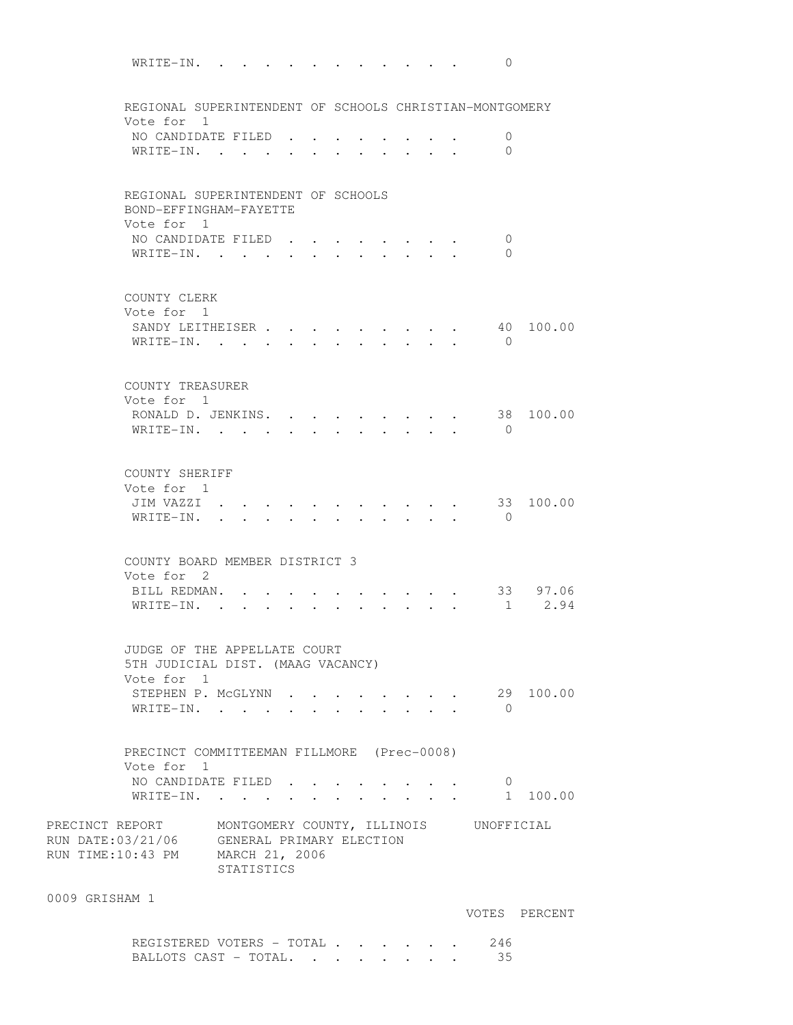WRITE-IN. . . . . . . . . . . . 0 REGIONAL SUPERINTENDENT OF SCHOOLS CHRISTIAN-MONTGOMERY Vote for 1 NO CANDIDATE FILED . . . . . . . . 0 WRITE-IN. . . . . . . . . . . 0 REGIONAL SUPERINTENDENT OF SCHOOLS BOND-EFFINGHAM-FAYETTE Vote for 1 NO CANDIDATE FILED . . . . . . . . 0 WRITE-IN. . . . . . . . . . . 0 COUNTY CLERK Vote for 1 SANDY LEITHEISER . . . . . . . . . 40 100.00 WRITE-IN. . . . . . . . . . . . 0 COUNTY TREASURER Vote for 1 RONALD D. JENKINS. . . . . . . . . 38 100.00 WRITE-IN. . . . . . . . . . . 0 COUNTY SHERIFF Vote for 1 JIM VAZZI . . . . . . . . . . . 33 100.00 WRITE-IN. . . . . . . . . . . . 0 COUNTY BOARD MEMBER DISTRICT 3 Vote for 2 BILL REDMAN. . . . . . . . . . . 33 97.06 WRITE-IN. . . . . . . . . . . . 1 2.94 JUDGE OF THE APPELLATE COURT 5TH JUDICIAL DIST. (MAAG VACANCY) Vote for 1 STEPHEN P. McGLYNN . . . . . . . . 29 100.00 WRITE-IN. . . . . . . . . . . . 0 PRECINCT COMMITTEEMAN FILLMORE (Prec-0008) Vote for 1 NO CANDIDATE FILED . . . . . . . . 0 WRITE-IN. . . . . . . . . . . . 1 100.00 PRECINCT REPORT MONTGOMERY COUNTY, ILLINOIS UNOFFICIAL PRECINCT REPORT MONTGOMERY COUNTY, ILLING<br>RUN DATE:03/21/06 GENERAL PRIMARY ELECTION RUN TIME:10:43 PM MARCH 21, 2006 STATISTICS 0009 GRISHAM 1 VOTES PERCENT

REGISTERED VOTERS - TOTAL . . . . . . 246 BALLOTS CAST - TOTAL. . . . . . . . 35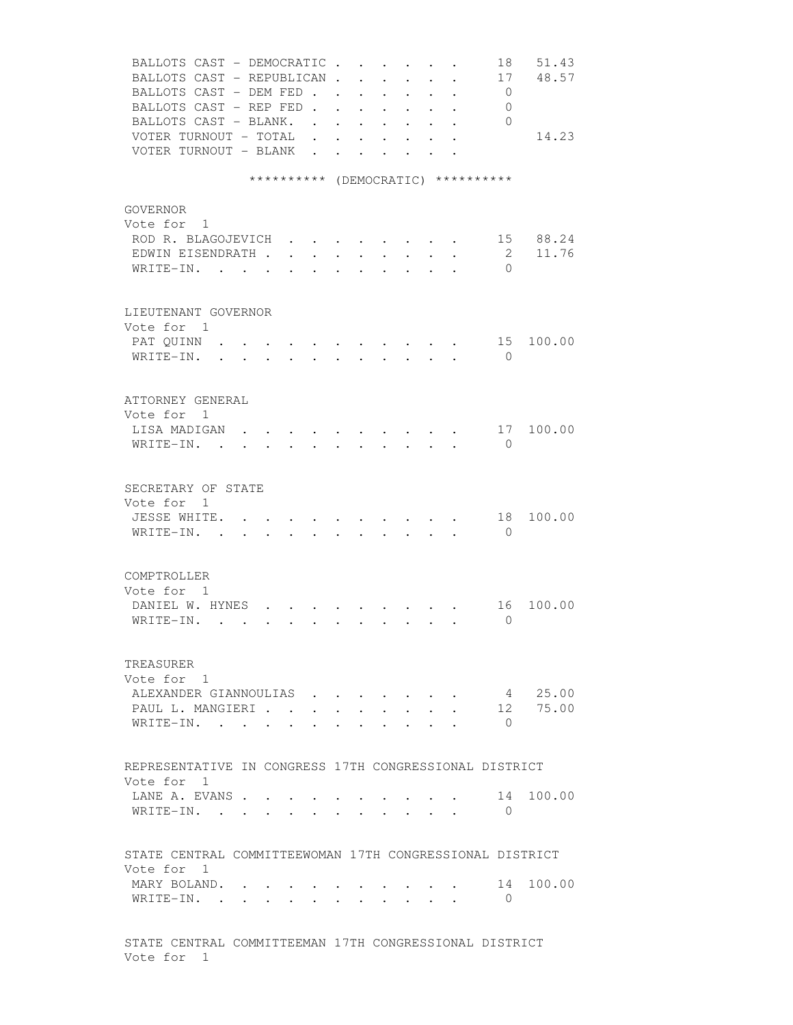| BALLOTS CAST - DEMOCRATIC                                      |                                                                     | $\ddot{\phantom{0}}$                                                     |                                                                | 18             | 51.43     |
|----------------------------------------------------------------|---------------------------------------------------------------------|--------------------------------------------------------------------------|----------------------------------------------------------------|----------------|-----------|
| BALLOTS CAST - REPUBLICAN.                                     | $\sim 100$                                                          | $\ddot{\phantom{0}}$<br>$\ddot{\phantom{0}}$                             | $\ddot{\phantom{a}}$<br>$\sim$                                 | 17             | 48.57     |
| BALLOTS CAST - DEM FED                                         |                                                                     | $\cdot$ $\cdot$ $\cdot$                                                  | $\mathbf{r}$                                                   | $\overline{0}$ |           |
| BALLOTS CAST - REP FED.                                        | $\mathbf{L}$                                                        | $\cdot$ $\cdot$                                                          | $\ddot{\phantom{0}}$<br>$\bullet$                              | 0              |           |
| BALLOTS CAST - BLANK. .                                        |                                                                     |                                                                          | $\ddot{\phantom{0}}$<br>$\mathbf{r} = \mathbf{r} + \mathbf{r}$ | $\bigcirc$     |           |
| VOTER TURNOUT - TOTAL .                                        | $\bullet$ .<br><br><br><br><br><br><br><br><br><br><br><br>         | $\mathbf{r} = \mathbf{r} + \mathbf{r}$ , where $\mathbf{r} = \mathbf{r}$ | $\bullet$ $\bullet$                                            |                | 14.23     |
| VOTER TURNOUT - BLANK                                          |                                                                     | $\mathbf{r} = \mathbf{r} + \mathbf{r}$                                   |                                                                |                |           |
| ********** (DEMOCRATIC) **********                             |                                                                     |                                                                          |                                                                |                |           |
|                                                                |                                                                     |                                                                          |                                                                |                |           |
| GOVERNOR                                                       |                                                                     |                                                                          |                                                                |                |           |
| Vote for 1                                                     |                                                                     |                                                                          |                                                                |                |           |
| ROD R. BLAGOJEVICH<br>$\cdot$ $\cdot$ $\cdot$ $\cdot$          |                                                                     |                                                                          |                                                                |                | 15 88.24  |
| EDWIN EISENDRATH                                               |                                                                     |                                                                          |                                                                | $\mathbf{2}$   | 11.76     |
| WRITE-IN.                                                      |                                                                     |                                                                          | $\sim$ 100 $\sim$                                              | $\Omega$       |           |
|                                                                |                                                                     |                                                                          |                                                                |                |           |
| LIEUTENANT GOVERNOR                                            |                                                                     |                                                                          |                                                                |                |           |
| Vote for 1                                                     |                                                                     |                                                                          |                                                                |                |           |
| PAT QUINN                                                      |                                                                     |                                                                          |                                                                | 15             | 100.00    |
| WRITE-IN.<br>$\mathbf{r}$ $\mathbf{r}$<br>$\ddot{\phantom{a}}$ | $\sim$ $\sim$ $\sim$                                                | $\mathbf{r} = \mathbf{r}$                                                | $\mathbf{A}$                                                   | $\bigcirc$     |           |
|                                                                |                                                                     |                                                                          |                                                                |                |           |
|                                                                |                                                                     |                                                                          |                                                                |                |           |
| ATTORNEY GENERAL                                               |                                                                     |                                                                          |                                                                |                |           |
| Vote for 1                                                     |                                                                     |                                                                          |                                                                |                |           |
| LISA MADIGAN                                                   |                                                                     |                                                                          |                                                                |                | 17 100.00 |
| $W$ RITE-IN                                                    |                                                                     |                                                                          |                                                                | $\mathbf{0}$   |           |
|                                                                |                                                                     |                                                                          |                                                                |                |           |
| SECRETARY OF STATE                                             |                                                                     |                                                                          |                                                                |                |           |
| Vote for 1                                                     |                                                                     |                                                                          |                                                                |                |           |
| JESSE WHITE.                                                   |                                                                     |                                                                          |                                                                | 18             | 100.00    |
| WRITE-IN. .                                                    |                                                                     |                                                                          |                                                                | $\bigcirc$     |           |
|                                                                |                                                                     |                                                                          |                                                                |                |           |
|                                                                |                                                                     |                                                                          |                                                                |                |           |
| COMPTROLLER                                                    |                                                                     |                                                                          |                                                                |                |           |
| Vote for 1                                                     |                                                                     |                                                                          |                                                                |                |           |
| DANIEL W. HYNES                                                |                                                                     |                                                                          |                                                                | 16             | 100.00    |
| WRITE-IN.                                                      | $\mathbf{r} = \mathbf{r}$                                           |                                                                          | $\cdot$ $\cdot$ $\cdot$ $\cdot$ $\cdot$ $\cdot$                | $\Omega$       |           |
|                                                                |                                                                     |                                                                          |                                                                |                |           |
| TREASURER                                                      |                                                                     |                                                                          |                                                                |                |           |
| Vote for 1                                                     |                                                                     |                                                                          |                                                                |                |           |
| ALEXANDER GIANNOULIAS                                          |                                                                     |                                                                          |                                                                | 4              | 25.00     |
| PAUL L. MANGIERI                                               | $\ddot{\phantom{a}}$                                                |                                                                          |                                                                | 12             | 75.00     |
| WRITE-IN.                                                      |                                                                     |                                                                          |                                                                | $\Omega$       |           |
|                                                                |                                                                     |                                                                          |                                                                |                |           |
|                                                                |                                                                     |                                                                          |                                                                |                |           |
| REPRESENTATIVE IN CONGRESS 17TH CONGRESSIONAL DISTRICT         |                                                                     |                                                                          |                                                                |                |           |
| Vote for 1                                                     |                                                                     |                                                                          |                                                                |                |           |
| LANE A. EVANS                                                  |                                                                     |                                                                          |                                                                | 14             | 100.00    |
| WRITE-IN.                                                      | $\bullet$ .<br><br><br><br><br><br><br><br><br><br><br><br><br><br> |                                                                          |                                                                | $\Omega$       |           |
|                                                                |                                                                     |                                                                          |                                                                |                |           |
| STATE CENTRAL COMMITTEEWOMAN 17TH CONGRESSIONAL DISTRICT       |                                                                     |                                                                          |                                                                |                |           |
| Vote for 1                                                     |                                                                     |                                                                          |                                                                |                |           |
| MARY BOLAND.                                                   |                                                                     |                                                                          |                                                                | 14             | 100.00    |
| WRITE-IN.                                                      |                                                                     |                                                                          |                                                                | $\bigcirc$     |           |
|                                                                |                                                                     |                                                                          |                                                                |                |           |
|                                                                |                                                                     |                                                                          |                                                                |                |           |
| STATE CENTRAL COMMITTEEMAN 17TH CONGRESSIONAL DISTRICT         |                                                                     |                                                                          |                                                                |                |           |
| Vote for 1                                                     |                                                                     |                                                                          |                                                                |                |           |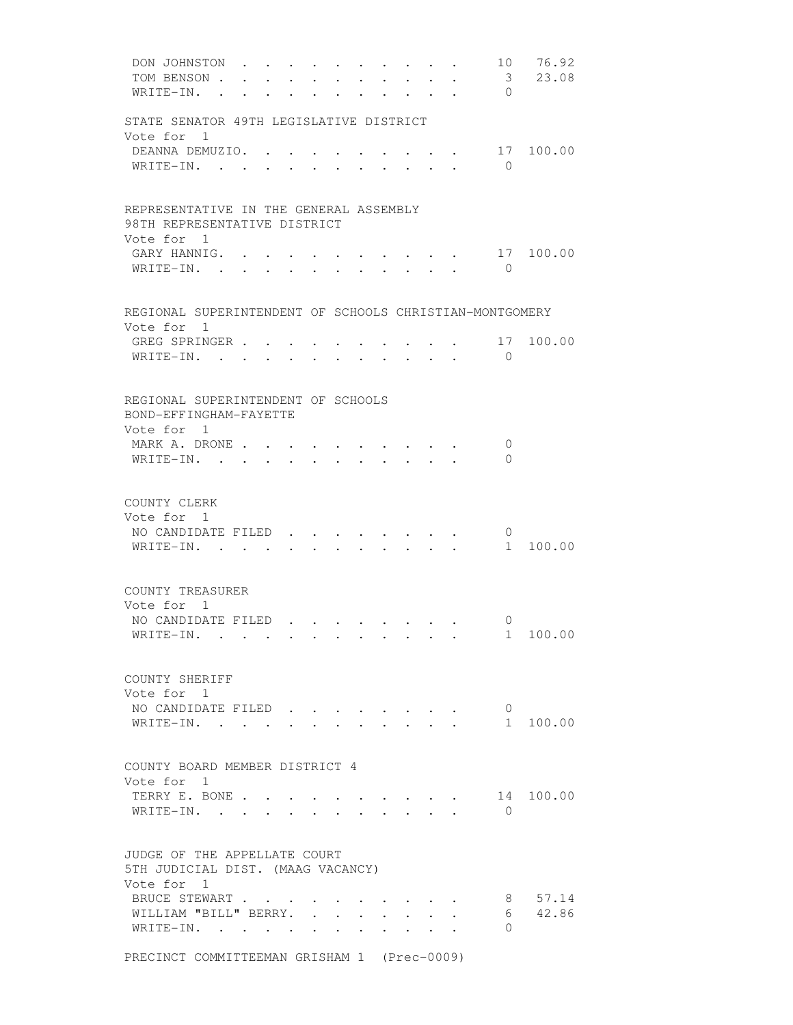| DON JOHNSTON<br>TOM BENSON .<br>WRITE-IN. .                           | $\mathbf{r}$ . The set of $\mathbf{r}$ | $\ddot{\phantom{0}}$ | $\sim$ | $\mathbf{L}$ | $\bullet$ . In the set of $\bullet$<br>$\ddot{\phantom{0}}$ | $\mathbf{L}^{\text{max}}$       | $\sim$<br>$\cdot$ $\cdot$<br>$\mathbf{r} = \mathbf{r} \cdot \mathbf{r}$ , $\mathbf{r} = \mathbf{r} \cdot \mathbf{r}$ | 10<br>$\overline{\mathbf{3}}$<br>$\Omega$ | 76.92<br>23.08 |
|-----------------------------------------------------------------------|----------------------------------------|----------------------|--------|--------------|-------------------------------------------------------------|---------------------------------|----------------------------------------------------------------------------------------------------------------------|-------------------------------------------|----------------|
|                                                                       |                                        |                      |        |              |                                                             |                                 |                                                                                                                      |                                           |                |
| STATE SENATOR 49TH LEGISLATIVE DISTRICT                               |                                        |                      |        |              |                                                             |                                 |                                                                                                                      |                                           |                |
| Vote for 1<br>DEANNA DEMUZIO. .                                       |                                        |                      |        |              |                                                             |                                 |                                                                                                                      |                                           | 17 100.00      |
| WRITE-IN. .                                                           |                                        |                      |        |              |                                                             |                                 |                                                                                                                      | $\overline{0}$                            |                |
| REPRESENTATIVE IN THE GENERAL ASSEMBLY                                |                                        |                      |        |              |                                                             |                                 |                                                                                                                      |                                           |                |
| 98TH REPRESENTATIVE DISTRICT<br>Vote for 1                            |                                        |                      |        |              |                                                             |                                 |                                                                                                                      |                                           |                |
| GARY HANNIG.<br>WRITE-IN.                                             |                                        |                      |        |              |                                                             | $\cdot$ $\cdot$ $\cdot$ $\cdot$ | $\cdot$ $\cdot$                                                                                                      | 17<br>$\bigcirc$                          | 100.00         |
| REGIONAL SUPERINTENDENT OF SCHOOLS CHRISTIAN-MONTGOMERY<br>Vote for 1 |                                        |                      |        |              |                                                             |                                 |                                                                                                                      |                                           |                |
| GREG SPRINGER                                                         |                                        |                      |        |              |                                                             |                                 |                                                                                                                      | 17                                        | 100.00         |
| WRITE-IN.                                                             |                                        |                      |        |              |                                                             |                                 | $\mathbf{r}$ , $\mathbf{r}$ , $\mathbf{r}$ , $\mathbf{r}$ , $\mathbf{r}$                                             | $\Omega$                                  |                |
| REGIONAL SUPERINTENDENT OF SCHOOLS<br>BOND-EFFINGHAM-FAYETTE          |                                        |                      |        |              |                                                             |                                 |                                                                                                                      |                                           |                |
| Vote for 1<br>MARK A. DRONE                                           |                                        |                      |        |              |                                                             |                                 |                                                                                                                      | 0                                         |                |
| WRITE-IN. .                                                           |                                        |                      |        |              |                                                             |                                 |                                                                                                                      | $\Omega$                                  |                |
| COUNTY CLERK<br>Vote for 1                                            |                                        |                      |        |              |                                                             |                                 |                                                                                                                      |                                           |                |
| NO CANDIDATE FILED<br>WRITE-IN. .                                     |                                        |                      |        |              |                                                             |                                 |                                                                                                                      | 0                                         | 1 100.00       |
| COUNTY TREASURER<br>Vote for 1                                        |                                        |                      |        |              |                                                             |                                 |                                                                                                                      |                                           |                |
| NO CANDIDATE FILED                                                    |                                        |                      |        |              |                                                             |                                 |                                                                                                                      | $\mathbf{0}$                              |                |
| WRITE-IN.                                                             |                                        |                      |        |              |                                                             |                                 |                                                                                                                      |                                           | 1 100.00       |
| COUNTY SHERIFF<br>Vote for 1                                          |                                        |                      |        |              |                                                             |                                 |                                                                                                                      |                                           |                |
| NO CANDIDATE FILED<br>WRITE-IN.                                       |                                        |                      |        |              |                                                             |                                 | $\sim$                                                                                                               | $\overline{0}$                            | 1 100.00       |
| COUNTY BOARD MEMBER DISTRICT 4                                        |                                        |                      |        |              |                                                             |                                 |                                                                                                                      |                                           |                |
| Vote for 1<br>TERRY E. BONE                                           |                                        |                      |        |              |                                                             |                                 |                                                                                                                      |                                           | 14 100.00      |
| WRITE-IN.                                                             |                                        |                      |        |              |                                                             |                                 |                                                                                                                      | $\Omega$                                  |                |
| JUDGE OF THE APPELLATE COURT<br>5TH JUDICIAL DIST. (MAAG VACANCY)     |                                        |                      |        |              |                                                             |                                 |                                                                                                                      |                                           |                |
| Vote for 1<br>BRUCE STEWART                                           |                                        |                      |        |              |                                                             |                                 |                                                                                                                      | 8                                         | 57.14          |
| WILLIAM "BILL" BERRY.                                                 |                                        |                      |        |              |                                                             |                                 |                                                                                                                      |                                           | 6 42.86        |
| WRITE-IN.                                                             |                                        |                      |        |              |                                                             |                                 |                                                                                                                      | 0                                         |                |

PRECINCT COMMITTEEMAN GRISHAM 1 (Prec-0009)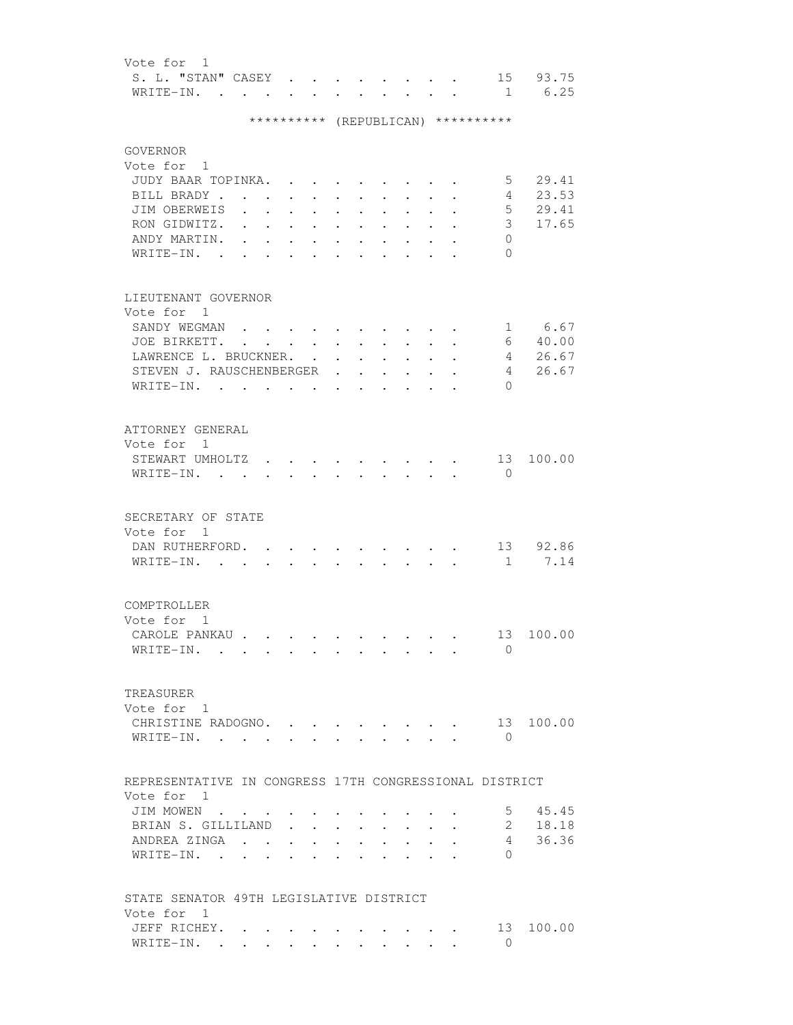| Vote for 1                  |  |  |  |  |  |  |
|-----------------------------|--|--|--|--|--|--|
| S. L. "STAN" CASEY 15 93.75 |  |  |  |  |  |  |
| WRITE-IN. 1 6.25            |  |  |  |  |  |  |

# \*\*\*\*\*\*\*\*\*\* (REPUBLICAN) \*\*\*\*\*\*\*\*\*\*

| <b>GOVERNOR</b><br>Vote for 1<br>JUDY BAAR TOPINKA.<br>BILL BRADY.<br>JIM OBERWEIS<br>RON GIDWITZ.<br>ANDY MARTIN.<br>$WRITE-IN.$ .    | $\sim$<br>$\ddot{\phantom{a}}$     | $\ddot{\phantom{0}}$ | $\ddot{\phantom{a}}$<br>$\ddot{\phantom{a}}$                    | $\ddot{\phantom{0}}$ |                                                                                                    |                      |               | 5<br>4<br>5<br>3 <sup>7</sup><br>$\circ$<br>$\Omega$ | 29.41<br>23.53<br>29.41<br>17.65  |
|----------------------------------------------------------------------------------------------------------------------------------------|------------------------------------|----------------------|-----------------------------------------------------------------|----------------------|----------------------------------------------------------------------------------------------------|----------------------|---------------|------------------------------------------------------|-----------------------------------|
| LIEUTENANT GOVERNOR<br>Vote for 1<br>SANDY WEGMAN.<br>JOE BIRKETT.<br>LAWRENCE L. BRUCKNER.<br>STEVEN J. RAUSCHENBERGER<br>WRITE-IN. . | $\sim$ $\sim$ $\sim$ $\sim$ $\sim$ | $\sim$               | $\sim 10^{-11}$<br>$\ddot{\phantom{0}}$<br>$\ddot{\phantom{a}}$ |                      | $\ddot{\phantom{0}}$                                                                               | $\ddot{\phantom{a}}$ |               | $1 \quad$<br>$4\overline{ }$<br>4<br>$\Omega$        | 6.67<br>6 40.00<br>26.67<br>26.67 |
| ATTORNEY GENERAL<br>Vote for 1<br>STEWART UMHOLTZ<br>WRITE-IN.                                                                         |                                    |                      |                                                                 |                      |                                                                                                    |                      |               | 13<br>$\bigcirc$                                     | 100.00                            |
| SECRETARY OF STATE<br>Vote for 1<br>DAN RUTHERFORD. .<br>WRITE-IN.                                                                     |                                    | $\mathbf{r}$         |                                                                 |                      |                                                                                                    |                      | $\sim$ $\sim$ | 1                                                    | 13 92.86<br>7.14                  |
| COMPTROLLER<br>Vote for 1<br>CAROLE PANKAU .<br>WRITE-IN.                                                                              |                                    |                      |                                                                 |                      |                                                                                                    |                      |               | 13<br>$\Omega$                                       | 100.00                            |
| TREASURER<br>Vote for 1<br>CHRISTINE RADOGNO.<br>WRITE-IN.                                                                             |                                    |                      |                                                                 |                      | $\cdot$ $\cdot$ $\cdot$ $\cdot$ $\cdot$ $\cdot$<br>$\cdot$ $\cdot$ $\cdot$ $\cdot$ $\cdot$ $\cdot$ |                      |               | 13<br>$\bigcirc$                                     | 100.00                            |
| REPRESENTATIVE IN CONGRESS 17TH CONGRESSIONAL DISTRICT                                                                                 |                                    |                      |                                                                 |                      |                                                                                                    |                      |               |                                                      |                                   |
| Vote for 1<br>JIM MOWEN<br>BRIAN S. GILLILAND<br>ANDREA ZINGA<br>WRITE-IN.                                                             |                                    |                      |                                                                 |                      |                                                                                                    |                      |               | 5<br>2<br>$4 \quad$<br>$\Omega$                      | 45.45<br>18.18<br>36.36           |
| STATE SENATOR 49TH LEGISLATIVE DISTRICT<br>Vote for 1<br>JEFF RICHEY.<br>WRITE-IN.                                                     |                                    |                      |                                                                 |                      |                                                                                                    |                      |               | $\Omega$                                             | 13 100.00                         |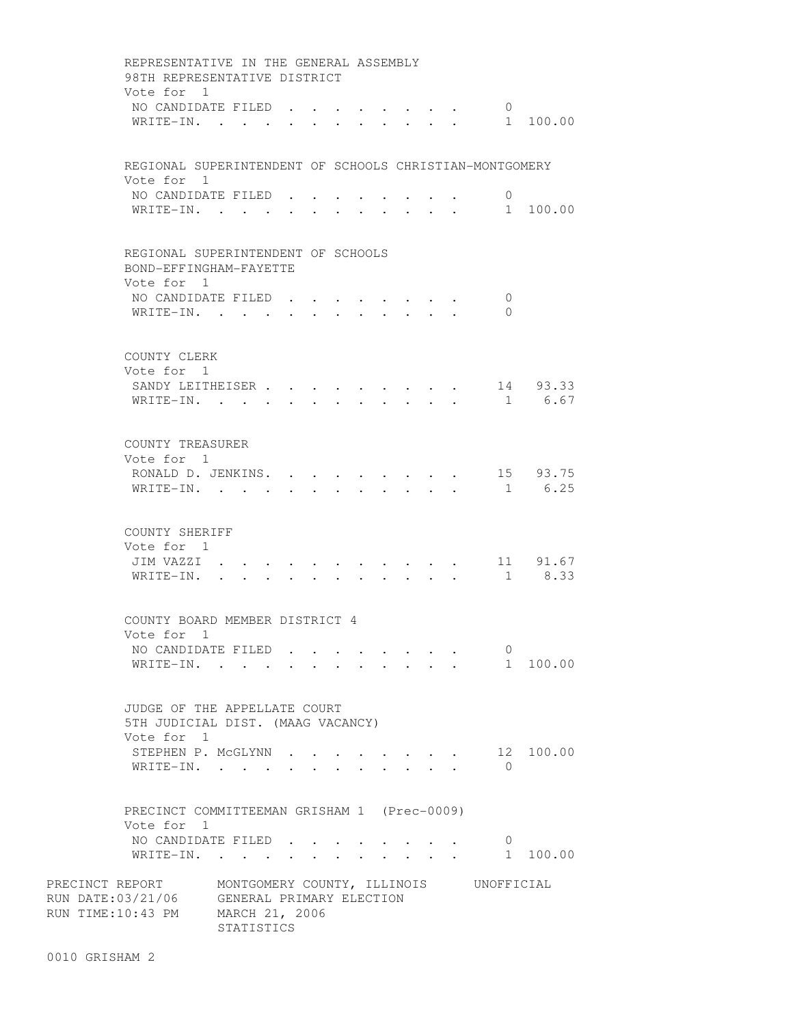| REPRESENTATIVE IN THE GENERAL ASSEMBLY<br>98TH REPRESENTATIVE DISTRICT                                                    |                      |            |                      |  |              |                                                            |              |                                |                |                         |
|---------------------------------------------------------------------------------------------------------------------------|----------------------|------------|----------------------|--|--------------|------------------------------------------------------------|--------------|--------------------------------|----------------|-------------------------|
| Vote for 1<br>NO CANDIDATE FILED.<br>WRITE-IN.                                                                            |                      |            | $\ddot{\phantom{a}}$ |  | $\mathbf{L}$ | $\mathbf{L}$ , $\mathbf{L}$ , $\mathbf{L}$<br>$\mathbf{L}$ |              |                                | $\circ$        | 1 100.00                |
| REGIONAL SUPERINTENDENT OF SCHOOLS CHRISTIAN-MONTGOMERY<br>Vote for 1                                                     |                      |            |                      |  |              |                                                            |              |                                |                |                         |
| NO CANDIDATE FILED.<br>WRITE-IN.                                                                                          |                      |            |                      |  |              |                                                            |              |                                | $\overline{0}$ | 1 100.00                |
| REGIONAL SUPERINTENDENT OF SCHOOLS<br>BOND-EFFINGHAM-FAYETTE                                                              |                      |            |                      |  |              |                                                            |              |                                |                |                         |
| Vote for 1<br>NO CANDIDATE FILED<br>WRITE-IN.                                                                             |                      |            |                      |  |              |                                                            |              |                                | 0<br>$\Omega$  |                         |
| COUNTY CLERK<br>Vote for 1                                                                                                |                      |            |                      |  |              |                                                            |              |                                |                |                         |
| SANDY LEITHEISER<br>WRITE-IN.                                                                                             |                      |            |                      |  |              | $\cdot$ $\cdot$ $\cdot$ $\cdot$ $\cdot$                    |              |                                |                | 14 93.33<br>1 6.67      |
| COUNTY TREASURER<br>Vote for 1<br>RONALD D. JENKINS. .                                                                    |                      |            |                      |  |              |                                                            |              |                                |                | 15 93.75                |
| WRITE-IN. .                                                                                                               |                      | $\sim$     |                      |  |              |                                                            |              |                                | 1              | 6.25                    |
| COUNTY SHERIFF<br>Vote for 1<br>JIM VAZZI .<br>WRITE-IN.                                                                  | $\ddot{\phantom{0}}$ |            |                      |  |              |                                                            |              |                                |                | 11 91.67<br>$1 \t 8.33$ |
| COUNTY BOARD MEMBER DISTRICT 4<br>Vote for 1                                                                              |                      |            |                      |  |              |                                                            |              |                                |                |                         |
| NO CANDIDATE FILED<br>WRITE-IN.                                                                                           |                      |            |                      |  |              |                                                            |              |                                | $\overline{0}$ | 1 100.00                |
| JUDGE OF THE APPELLATE COURT<br>5TH JUDICIAL DIST. (MAAG VACANCY)<br>Vote for 1                                           |                      |            |                      |  |              |                                                            |              |                                |                |                         |
| STEPHEN P. MCGLYNN<br>WRITE-IN.                                                                                           |                      |            |                      |  |              |                                                            | $\mathbf{L}$ | $\sim$<br>$\ddot{\phantom{0}}$ | $\bigcap$      | 12 100.00               |
| PRECINCT COMMITTEEMAN GRISHAM 1 (Prec-0009)<br>Vote for 1                                                                 |                      |            |                      |  |              |                                                            |              |                                |                |                         |
| NO CANDIDATE FILED<br>WRITE-IN.                                                                                           |                      |            |                      |  |              |                                                            |              |                                | $\mathbf{0}$   | 1 100.00                |
| PRECINCT REPORT MONTGOMERY COUNTY, ILLINOIS UNOFFICIAL<br>RUN DATE:03/21/06 GENERAL PRIMARY ELECTION<br>RUN TIME:10:43 PM | MARCH 21, 2006       | STATISTICS |                      |  |              |                                                            |              |                                |                |                         |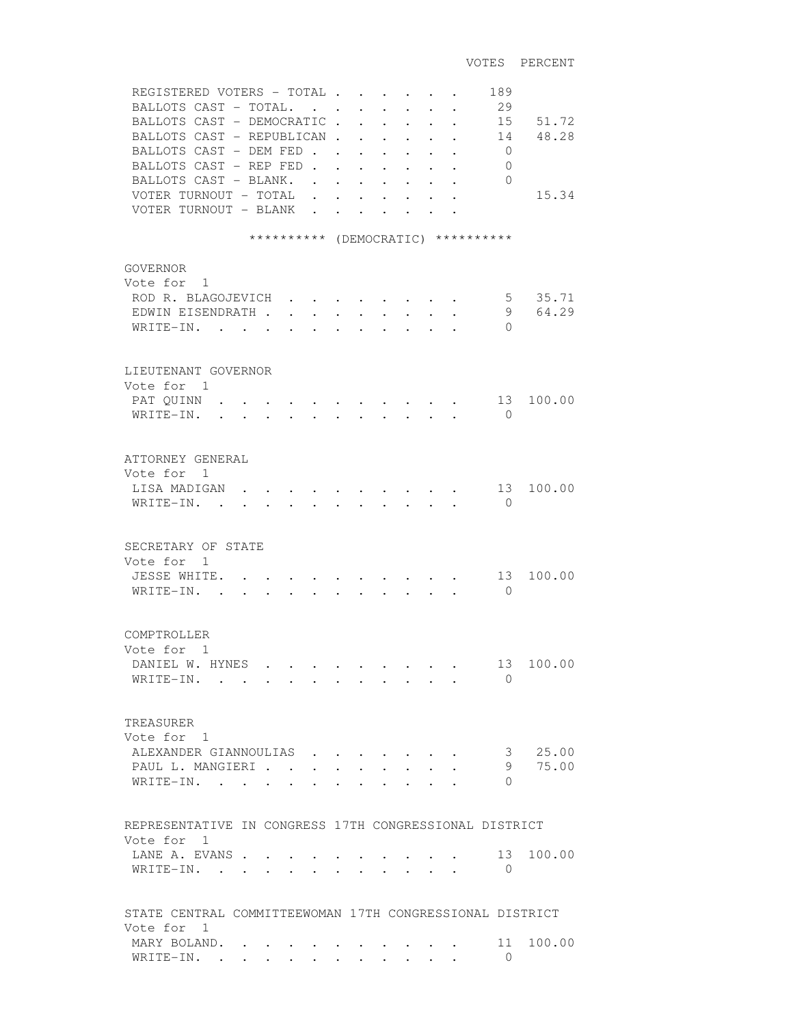| REGISTERED VOTERS - TOTAL<br>BALLOTS CAST - TOTAL.<br>BALLOTS CAST - DEMOCRATIC<br>BALLOTS CAST - REPUBLICAN.<br>BALLOTS CAST - DEM FED<br>BALLOTS CAST - REP FED.<br>BALLOTS CAST - BLANK.<br>VOTER TURNOUT - TOTAL<br>VOTER TURNOUT - BLANK | $\mathbf{r}$<br>$\ddot{\phantom{a}}$ |                                       | $\ddot{\phantom{0}}$<br>$\ddot{\phantom{0}}$<br>$\ddot{\phantom{0}}$<br>$\ddot{\phantom{0}}$ | $\ddot{\phantom{a}}$ | 189<br>29<br>15<br>14<br>$\mathbf{0}$<br>0<br>$\Omega$ | 51.72<br>48.28<br>15.34 |
|-----------------------------------------------------------------------------------------------------------------------------------------------------------------------------------------------------------------------------------------------|--------------------------------------|---------------------------------------|----------------------------------------------------------------------------------------------|----------------------|--------------------------------------------------------|-------------------------|
| ********** (DEMOCRATIC) **********                                                                                                                                                                                                            |                                      |                                       |                                                                                              |                      |                                                        |                         |
| <b>GOVERNOR</b><br>Vote for 1<br>ROD R. BLAGOJEVICH<br>EDWIN EISENDRATH.<br>WRITE-IN.                                                                                                                                                         |                                      |                                       |                                                                                              |                      | $5 -$<br>9<br>$\Omega$                                 | 35.71<br>64.29          |
| LIEUTENANT GOVERNOR                                                                                                                                                                                                                           |                                      |                                       |                                                                                              |                      |                                                        |                         |
| Vote for 1<br>PAT QUINN<br>WRITE-IN.<br>$\mathbf{r} = \mathbf{r} - \mathbf{r}$ , and $\mathbf{r} = \mathbf{r} - \mathbf{r}$ , and $\mathbf{r} = \mathbf{r} - \mathbf{r}$                                                                      |                                      |                                       |                                                                                              |                      | 13<br>$\bigcirc$                                       | 100.00                  |
| ATTORNEY GENERAL<br>Vote for 1<br>LISA MADIGAN<br>$W$ RITE-IN                                                                                                                                                                                 |                                      |                                       |                                                                                              |                      | 13<br>$\Omega$                                         | 100.00                  |
| SECRETARY OF STATE<br>Vote for 1<br>JESSE WHITE. .<br>WRITE-IN.<br>$\sim$ $\sim$<br>$\bullet$ .<br><br><br><br><br><br><br><br><br><br><br><br>                                                                                               |                                      |                                       |                                                                                              |                      | 13<br>$\Omega$                                         | 100.00                  |
| COMPTROLLER<br>Vote for 1<br>DANIEL W. HYNES<br>WRITE-IN.                                                                                                                                                                                     |                                      |                                       |                                                                                              |                      | 13<br>$\Omega$                                         | 100.00                  |
| TREASURER<br>Vote for 1<br>ALEXANDER GIANNOULIAS<br>PAUL L. MANGIERI<br>WRITE-IN.<br>$\mathbf{r}$<br>$\overline{a}$                                                                                                                           | $\sim 100$ km s $^{-1}$              | $\sim$ $\sim$<br>$\ddot{\phantom{a}}$ | $\ddot{\phantom{a}}$                                                                         |                      | 3 <sup>7</sup><br>9<br>$\Omega$                        | 25.00<br>75.00          |
| REPRESENTATIVE IN CONGRESS 17TH CONGRESSIONAL DISTRICT                                                                                                                                                                                        |                                      |                                       |                                                                                              |                      |                                                        |                         |
| Vote for 1<br>LANE A. EVANS<br>WRITE-IN. .                                                                                                                                                                                                    |                                      |                                       |                                                                                              |                      | 13<br>$\mathbf{0}$                                     | 100.00                  |
| STATE CENTRAL COMMITTEEWOMAN 17TH CONGRESSIONAL DISTRICT                                                                                                                                                                                      |                                      |                                       |                                                                                              |                      |                                                        |                         |
| Vote for 1<br>MARY BOLAND.<br>WRITE-IN.                                                                                                                                                                                                       |                                      |                                       |                                                                                              |                      | 11<br>$\Omega$                                         | 100.00                  |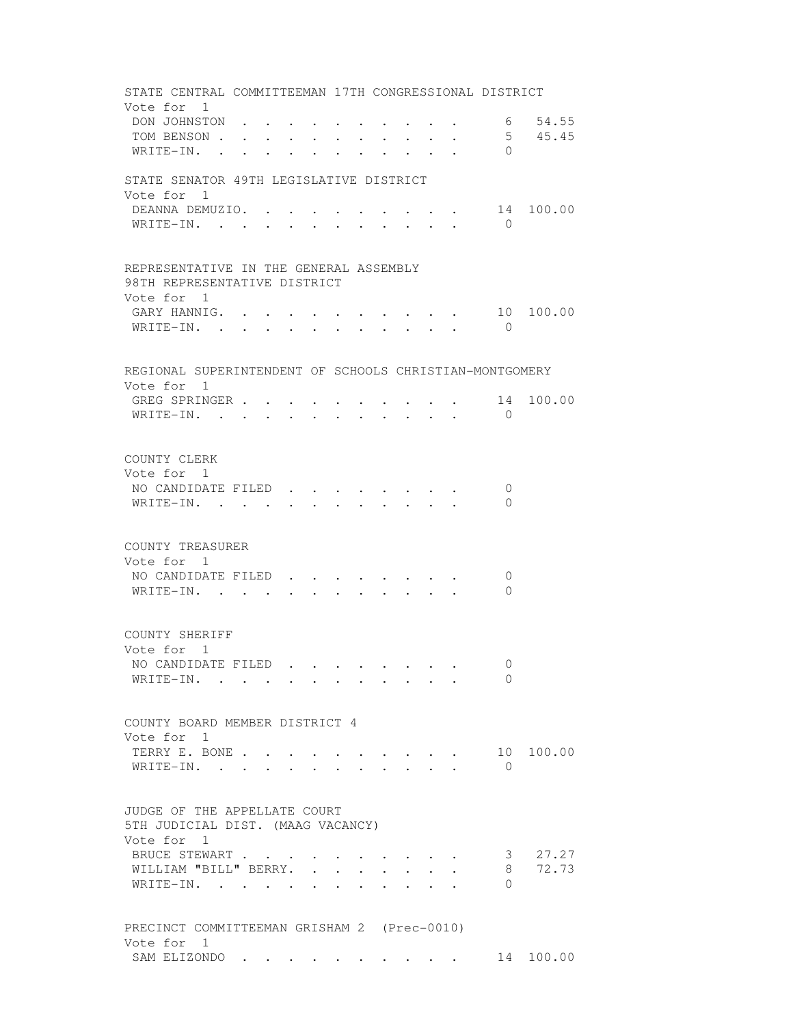| STATE CENTRAL COMMITTEEMAN 17TH CONGRESSIONAL DISTRICT                               |  |        |                      |  |                                                 |                                                                                                         |                |           |
|--------------------------------------------------------------------------------------|--|--------|----------------------|--|-------------------------------------------------|---------------------------------------------------------------------------------------------------------|----------------|-----------|
| Vote for 1                                                                           |  |        |                      |  |                                                 |                                                                                                         |                |           |
| DON JOHNSTON                                                                         |  |        |                      |  |                                                 |                                                                                                         |                | 6 54.55   |
| TOM BENSON                                                                           |  |        |                      |  |                                                 |                                                                                                         |                | 5, 45, 45 |
| $WRITE-IN.$ .                                                                        |  |        |                      |  | $\cdot$ $\cdot$ $\cdot$ $\cdot$ $\cdot$ $\cdot$ |                                                                                                         | $\Omega$       |           |
| STATE SENATOR 49TH LEGISLATIVE DISTRICT<br>Vote for 1                                |  |        |                      |  |                                                 |                                                                                                         |                |           |
| DEANNA DEMUZIO. .                                                                    |  |        |                      |  |                                                 |                                                                                                         |                | 14 100.00 |
| WRITE-IN.                                                                            |  |        |                      |  |                                                 |                                                                                                         | $\overline{0}$ |           |
|                                                                                      |  |        |                      |  |                                                 |                                                                                                         |                |           |
| REPRESENTATIVE IN THE GENERAL ASSEMBLY<br>98TH REPRESENTATIVE DISTRICT<br>Vote for 1 |  |        |                      |  |                                                 |                                                                                                         |                |           |
| GARY HANNIG. 10                                                                      |  |        |                      |  |                                                 |                                                                                                         |                | 100.00    |
| WRITE-IN.                                                                            |  |        |                      |  |                                                 |                                                                                                         | $\overline{0}$ |           |
|                                                                                      |  |        |                      |  |                                                 |                                                                                                         |                |           |
| REGIONAL SUPERINTENDENT OF SCHOOLS CHRISTIAN-MONTGOMERY                              |  |        |                      |  |                                                 |                                                                                                         |                |           |
| Vote for 1                                                                           |  |        |                      |  |                                                 |                                                                                                         |                |           |
| GREG SPRINGER                                                                        |  |        |                      |  |                                                 | $\mathbf{r} = \mathbf{r} + \mathbf{r} + \mathbf{r} + \mathbf{r} + \mathbf{r} + \mathbf{r} + \mathbf{r}$ |                | 14 100.00 |
| WRITE-IN.                                                                            |  |        |                      |  |                                                 | $\mathbf{r}$ , and $\mathbf{r}$ , and $\mathbf{r}$ , and $\mathbf{r}$                                   | $\Omega$       |           |
|                                                                                      |  |        |                      |  |                                                 |                                                                                                         |                |           |
| COUNTY CLERK                                                                         |  |        |                      |  |                                                 |                                                                                                         |                |           |
| Vote for 1                                                                           |  |        |                      |  |                                                 |                                                                                                         |                |           |
| NO CANDIDATE FILED.                                                                  |  |        |                      |  |                                                 |                                                                                                         | $\mathbf 0$    |           |
| WRITE-IN.                                                                            |  |        |                      |  |                                                 |                                                                                                         | $\Omega$       |           |
|                                                                                      |  |        |                      |  |                                                 |                                                                                                         |                |           |
| COUNTY TREASURER                                                                     |  |        |                      |  |                                                 |                                                                                                         |                |           |
| Vote for 1                                                                           |  |        |                      |  |                                                 |                                                                                                         |                |           |
| NO CANDIDATE FILED                                                                   |  |        |                      |  |                                                 |                                                                                                         | 0              |           |
| WRITE-IN.                                                                            |  |        |                      |  |                                                 |                                                                                                         | $\Omega$       |           |
|                                                                                      |  |        |                      |  |                                                 |                                                                                                         |                |           |
| COUNTY SHERIFF                                                                       |  |        |                      |  |                                                 |                                                                                                         |                |           |
| Vote for 1                                                                           |  |        |                      |  |                                                 |                                                                                                         |                |           |
| NO CANDIDATE FILED                                                                   |  |        |                      |  |                                                 |                                                                                                         | $\Omega$       |           |
| WRITE-IN.                                                                            |  |        |                      |  |                                                 |                                                                                                         | $\Omega$       |           |
|                                                                                      |  |        |                      |  |                                                 |                                                                                                         |                |           |
| COUNTY BOARD MEMBER DISTRICT 4<br>Vote for 1                                         |  |        |                      |  |                                                 |                                                                                                         |                |           |
| TERRY E. BONE                                                                        |  |        |                      |  |                                                 |                                                                                                         |                | 10 100.00 |
| WRITE-IN. .                                                                          |  |        |                      |  |                                                 |                                                                                                         | $\Omega$       |           |
|                                                                                      |  |        |                      |  |                                                 |                                                                                                         |                |           |
| JUDGE OF THE APPELLATE COURT<br>5TH JUDICIAL DIST. (MAAG VACANCY)<br>Vote for 1      |  |        |                      |  |                                                 |                                                                                                         |                |           |
| BRUCE STEWART                                                                        |  |        | $\bullet$            |  |                                                 |                                                                                                         | 3              | 27.27     |
| WILLIAM "BILL" BERRY.                                                                |  |        | $\ddot{\phantom{0}}$ |  |                                                 |                                                                                                         | 8              | 72.73     |
| WRITE-IN. .                                                                          |  | $\sim$ |                      |  |                                                 |                                                                                                         | $\Omega$       |           |
|                                                                                      |  |        |                      |  |                                                 |                                                                                                         |                |           |
| PRECINCT COMMITTEEMAN GRISHAM 2 (Prec-0010)                                          |  |        |                      |  |                                                 |                                                                                                         |                |           |
| Vote for 1<br>SAM ELIZONDO 14 100.00                                                 |  |        |                      |  |                                                 |                                                                                                         |                |           |
|                                                                                      |  |        |                      |  |                                                 |                                                                                                         |                |           |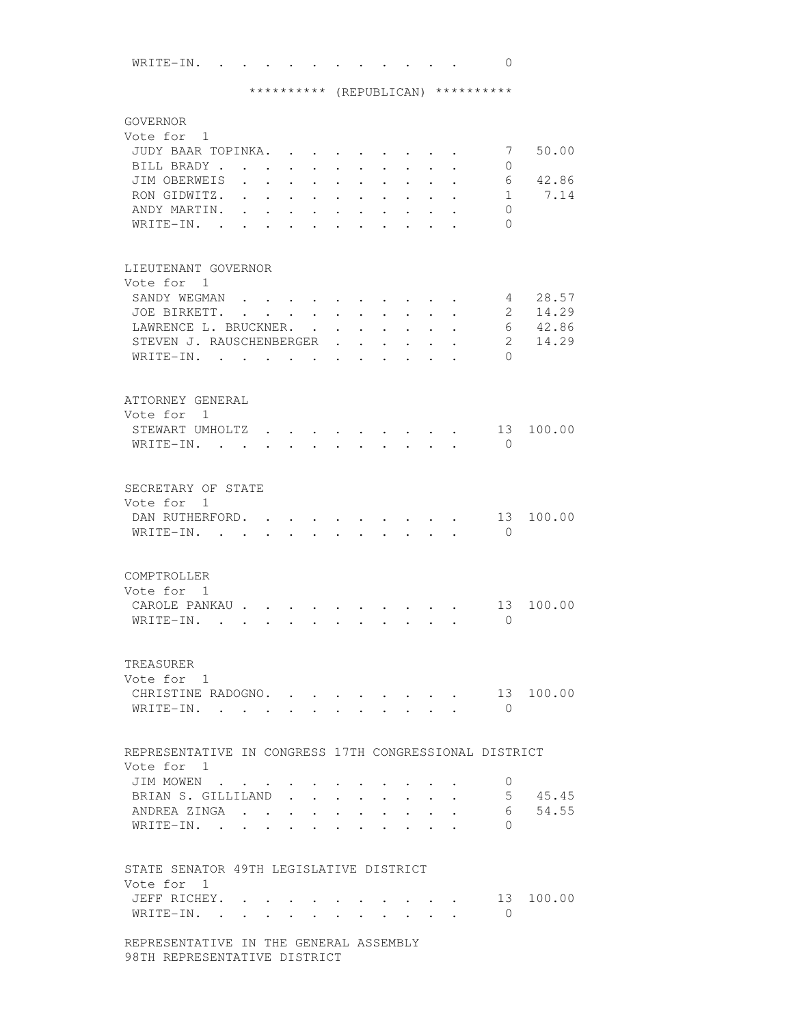WRITE-IN. . . . . . . . . . . . 0

## \*\*\*\*\*\*\*\*\*\* (REPUBLICAN) \*\*\*\*\*\*\*\*\*\*

| GOVERNOR<br>Vote for 1<br>JUDY BAAR TOPINKA.<br>BILL BRADY<br>JIM OBERWEIS<br>RON GIDWITZ.<br>ANDY MARTIN.<br>WRITE-IN.<br>$\sim$ | $\bullet$ .<br><br><br><br><br><br><br><br><br><br><br><br> | $\ddot{\phantom{0}}$<br>$\ddot{\phantom{0}}$<br>$\bullet$ . The set of $\bullet$ | $\ddot{\phantom{0}}$<br>$\ddot{\phantom{0}}$ | $\cdot$ $\cdot$ $\cdot$<br>$\ddot{\phantom{0}}$<br>$\bullet$ .<br><br><br><br><br><br><br><br><br><br><br><br> | $\ddot{\phantom{a}}$ | $\mathbf{L} = \mathbf{L}$<br>$\bullet$<br>$\ddot{\phantom{0}}$                                                               | $\mathbf{r}$<br>$\bullet$                    | $\bullet$            |                      | 7<br>0<br>6<br>$\mathbf{1}$<br>$\Omega$<br>$\Omega$ | 50.00<br>42.86<br>7.14  |
|-----------------------------------------------------------------------------------------------------------------------------------|-------------------------------------------------------------|----------------------------------------------------------------------------------|----------------------------------------------|----------------------------------------------------------------------------------------------------------------|----------------------|------------------------------------------------------------------------------------------------------------------------------|----------------------------------------------|----------------------|----------------------|-----------------------------------------------------|-------------------------|
| LIEUTENANT GOVERNOR<br>Vote for 1<br>SANDY WEGMAN.<br>JOE BIRKETT.<br>LAWRENCE L. BRUCKNER.                                       | $\mathbf{r}$ , $\mathbf{r}$ , $\mathbf{r}$ , $\mathbf{r}$   | and the state of the state of the                                                | $\sim$                                       | $\bullet$                                                                                                      | $\ddot{\phantom{0}}$ | $\ddot{\phantom{a}}$                                                                                                         | $\ddot{\phantom{0}}$<br>$\ddot{\phantom{0}}$ | $\ddot{\phantom{0}}$ | $\ddot{\phantom{0}}$ | 4<br>$2^{\circ}$<br>6                               | 28.57<br>14.29<br>42.86 |
| STEVEN J. RAUSCHENBERGER<br>WRITE-IN.                                                                                             |                                                             |                                                                                  |                                              | $\bullet$<br>$\bullet$                                                                                         | $\ddot{\phantom{a}}$ | $\ddot{\phantom{0}}$                                                                                                         | $\ddot{\phantom{a}}$<br>$\ddot{\phantom{a}}$ |                      |                      | $2^{\circ}$<br>$\Omega$                             | 14.29                   |
| ATTORNEY GENERAL<br>Vote for 1<br>STEWART UMHOLTZ<br>WRITE-IN.                                                                    |                                                             |                                                                                  |                                              | $\sim$ $\sim$<br>$\cdot$ $\cdot$ $\cdot$                                                                       |                      | $\sim$ $\sim$ $\sim$ $\sim$ $\sim$ $\sim$ $\sim$<br>$\mathbf{r}$ , $\mathbf{r}$ , $\mathbf{r}$ , $\mathbf{r}$ , $\mathbf{r}$ |                                              |                      |                      | 13<br>$\bigcirc$                                    | 100.00                  |
| SECRETARY OF STATE<br>Vote for 1<br>DAN RUTHERFORD.<br>WRITE-IN. .                                                                | $\sim$                                                      |                                                                                  |                                              |                                                                                                                |                      |                                                                                                                              |                                              |                      |                      | 13<br>$\Omega$                                      | 100.00                  |
| COMPTROLLER<br>Vote for 1<br>CAROLE PANKAU.<br>WRITE-IN.<br>$\ddot{\phantom{a}}$                                                  | $\ddot{\phantom{0}}$                                        |                                                                                  |                                              |                                                                                                                |                      |                                                                                                                              |                                              |                      |                      | 13<br>$\Omega$                                      | 100.00                  |
| TREASURER<br>Vote for 1<br>CHRISTINE RADOGNO. .<br>WRITE-IN.                                                                      |                                                             |                                                                                  |                                              | $\mathbf{r}$ , and $\mathbf{r}$ , and $\mathbf{r}$ , and $\mathbf{r}$                                          |                      |                                                                                                                              |                                              |                      |                      | 13<br>$\bigcirc$                                    | 100.00                  |
| REPRESENTATIVE IN CONGRESS 17TH CONGRESSIONAL DISTRICT<br>Vote for 1                                                              |                                                             |                                                                                  |                                              |                                                                                                                |                      |                                                                                                                              |                                              |                      |                      |                                                     |                         |
| JIM MOWEN<br>BRIAN S. GILLILAND<br>ANDREA ZINGA<br>WRITE-IN.                                                                      |                                                             | $\sim$                                                                           | $\ddot{\phantom{0}}$                         | $\mathbf{r}$ , and $\mathbf{r}$ , and $\mathbf{r}$ , and $\mathbf{r}$                                          |                      | $\ddot{\phantom{0}}$                                                                                                         |                                              |                      | $\ddot{\phantom{0}}$ | $\mathbf{0}$<br>6<br>$\Omega$                       | $5 \t 45.45$<br>54.55   |
| STATE SENATOR 49TH LEGISLATIVE DISTRICT<br>Vote for 1<br>JEFF RICHEY. .<br>WRITE-IN. .                                            | $\bullet$                                                   |                                                                                  |                                              |                                                                                                                |                      |                                                                                                                              |                                              |                      |                      | $\bigcirc$                                          | 13 100.00               |
| REPRESENTATIVE IN THE GENERAL ASSEMBLY<br>98TH REPRESENTATIVE DISTRICT                                                            |                                                             |                                                                                  |                                              |                                                                                                                |                      |                                                                                                                              |                                              |                      |                      |                                                     |                         |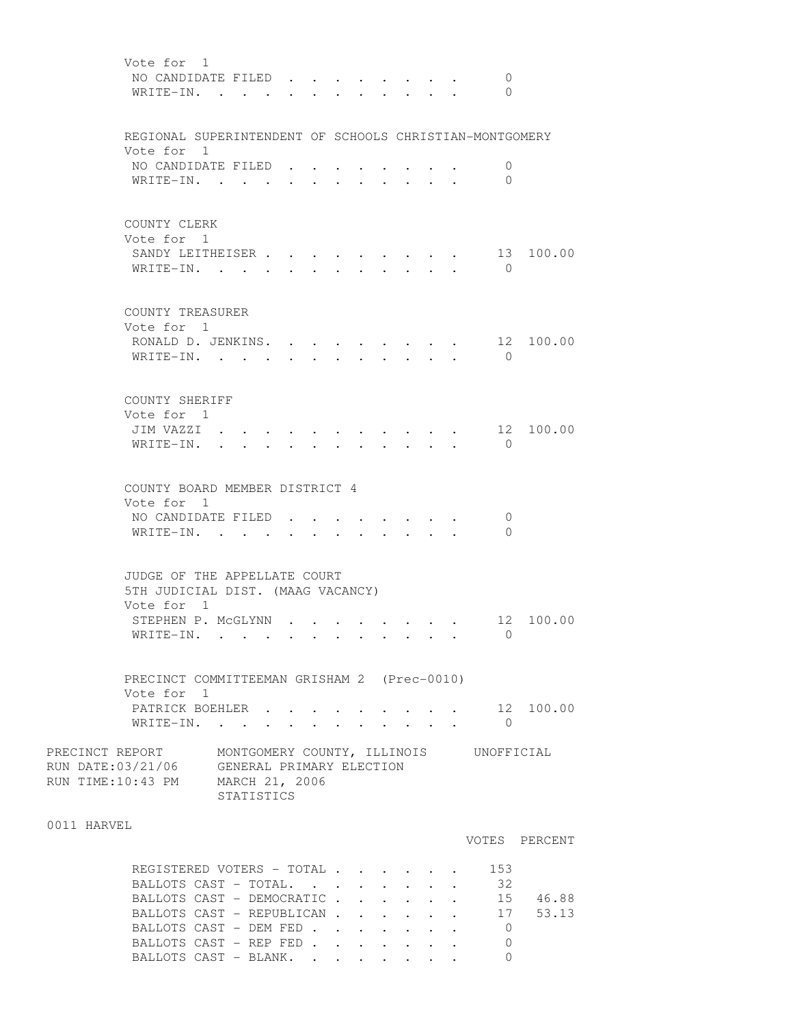| Vote for 1<br>NO CANDIDATE FILED.<br>WRITE-IN.                                                                                                                                     |                                   |                           |  | $\mathcal{L}^{\text{max}}$       |                                         |  | 0<br>$\Omega$                                 |               |
|------------------------------------------------------------------------------------------------------------------------------------------------------------------------------------|-----------------------------------|---------------------------|--|----------------------------------|-----------------------------------------|--|-----------------------------------------------|---------------|
| REGIONAL SUPERINTENDENT OF SCHOOLS CHRISTIAN-MONTGOMERY                                                                                                                            |                                   |                           |  |                                  |                                         |  |                                               |               |
| Vote for 1<br>NO CANDIDATE FILED.<br>WRITE-IN.                                                                                                                                     |                                   |                           |  |                                  |                                         |  | 0<br>$\overline{0}$                           |               |
| COUNTY CLERK<br>Vote for 1<br>SANDY LEITHEISER<br>WRITE-IN. .                                                                                                                      | <b>Contract Contract Contract</b> |                           |  | $\bullet$ . The set of $\bullet$ | $\bullet$ . The set of $\bullet$        |  | 13<br>$\bigcirc$                              | 100.00        |
| COUNTY TREASURER<br>Vote for 1<br>RONALD D. JENKINS.<br>WRITE-IN.                                                                                                                  | $\ddot{\phantom{0}}$              | $\mathbf{L}^{\text{max}}$ |  |                                  |                                         |  | 12<br>$\bigcirc$                              | 100.00        |
| COUNTY SHERIFF<br>Vote for 1<br>JIM VAZZI .<br>WRITE-IN.                                                                                                                           |                                   |                           |  |                                  |                                         |  | $\overline{0}$                                | 12 100.00     |
| COUNTY BOARD MEMBER DISTRICT 4<br>Vote for 1<br>NO CANDIDATE FILED.<br>WRITE-IN. .                                                                                                 |                                   |                           |  |                                  | $\cdot$ $\cdot$ $\cdot$ $\cdot$ $\cdot$ |  | $\mathbf 0$<br>$\Omega$                       |               |
| JUDGE OF THE APPELLATE COURT<br>5TH JUDICIAL DIST. (MAAG VACANCY)<br>Vote for 1                                                                                                    |                                   |                           |  |                                  |                                         |  |                                               |               |
| STEPHEN P. MCGLYNN<br>WRITE-IN. .                                                                                                                                                  |                                   |                           |  |                                  |                                         |  | $\bigcirc$                                    | 12 100.00     |
| PRECINCT COMMITTEEMAN GRISHAM 2 (Prec-0010)<br>Vote for 1                                                                                                                          |                                   |                           |  |                                  |                                         |  |                                               |               |
| PATRICK BOEHLER 12 100.00<br>WRITE-IN.                                                                                                                                             |                                   |                           |  |                                  | $\cdot$ $\cdot$ $\cdot$                 |  | $\bigcirc$                                    |               |
| PRECINCT REPORT MONTGOMERY COUNTY, ILLINOIS UNOFFICIAL<br>RUN DATE:03/21/06 GENERAL PRIMARY ELECTION<br>RUN TIME:10:43 PM MARCH 21, 2006                                           | STATISTICS                        |                           |  |                                  |                                         |  |                                               |               |
| 0011 HARVEL                                                                                                                                                                        |                                   |                           |  |                                  |                                         |  |                                               | VOTES PERCENT |
| REGISTERED VOTERS - TOTAL<br>BALLOTS CAST - TOTAL.<br>BALLOTS CAST - DEMOCRATIC 15 46.88<br>BALLOTS CAST - REPUBLICAN 17 53.13<br>BALLOTS CAST - DEM FED<br>BALLOTS CAST - REP FED |                                   |                           |  |                                  |                                         |  | 153<br>32<br>$\overline{0}$<br>$\overline{0}$ |               |

BALLOTS CAST - BLANK. . . . . . . 0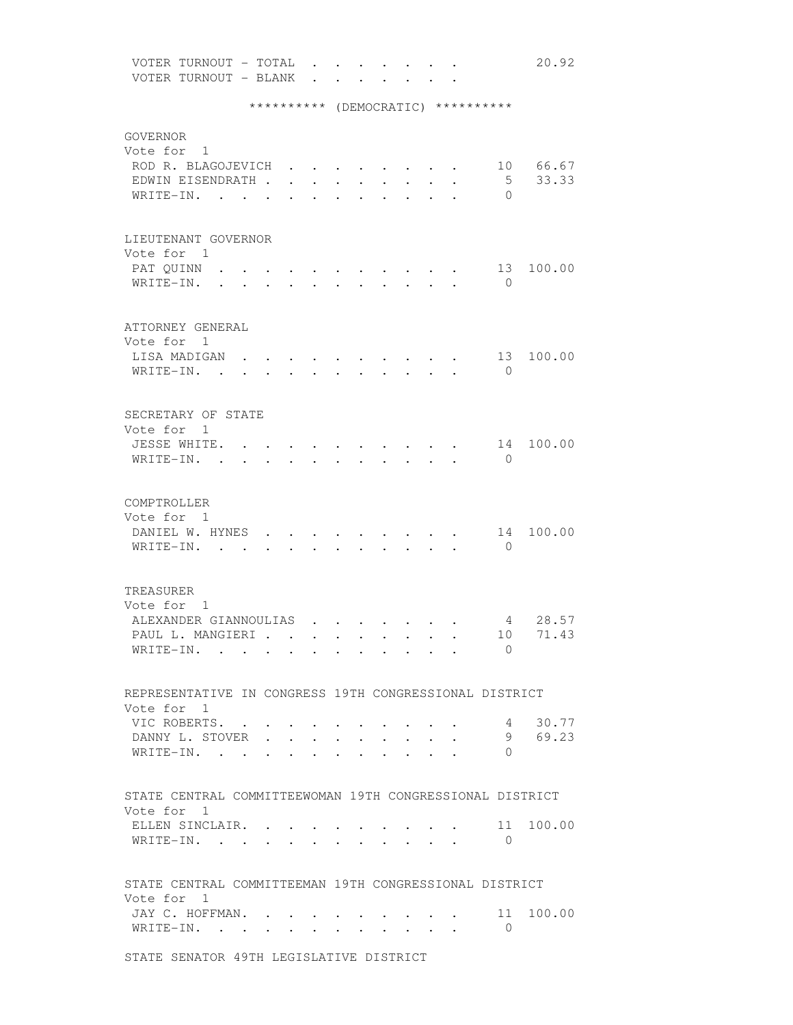VOTER TURNOUT - TOTAL . . . . . . . 20.92 VOTER TURNOUT - BLANK . . . . . . \*\*\*\*\*\*\*\*\*\* (DEMOCRATIC) \*\*\*\*\*\*\*\*\*\* GOVERNOR Vote for 1 ROD R. BLAGOJEVICH . . . . . . . . 10 66.67 EDWIN EISENDRATH . . . . . . . . . . 5 33.33<br>WRITE-IN. . . . . . . . . . . . 0 WRITE-IN. . . . . . . . . . . . LIEUTENANT GOVERNOR Vote for 1 PAT QUINN . . . . . . . . . . . . 13 100.00 WRITE-IN. . . . . . . . . . . 0 ATTORNEY GENERAL Vote for 1 LISA MADIGAN . . . . . . . . . 13 100.00 WRITE-IN. . . . . . . . . . . 0 SECRETARY OF STATE Vote for 1 JESSE WHITE. . . . . . . . . . . 14 100.00 WRITE-IN. . . . . . . . . . . . 0 COMPTROLLER Vote for 1<br>DANIEL W. HYNES . . . .  $\cdots$  . . . . 14 100.00 WRITE-IN. . . . . . . . . . . 0 TREASURER Vote for 1 ALEXANDER GIANNOULIAS . . . . . . . 4 28.57 PAUL L. MANGIERI . . . . . . . . . 10 71.43 WRITE-IN. . . . . . . . . . . 0 REPRESENTATIVE IN CONGRESS 19TH CONGRESSIONAL DISTRICT Vote for 1 VIC ROBERTS. . . . . . . . . . . 4 30.77 DANNY L. STOVER . . . . . . . . . 9 69.23 WRITE-IN. . . . . . . . . . . . 0 STATE CENTRAL COMMITTEEWOMAN 19TH CONGRESSIONAL DISTRICT Vote for 1 ELLEN SINCLAIR. . . . . . . . . . 11 100.00 WRITE-IN. . . . . . . . . . . . 0 STATE CENTRAL COMMITTEEMAN 19TH CONGRESSIONAL DISTRICT Vote for 1 JAY C. HOFFMAN. . . . . . . . . . 11 100.00 WRITE-IN. . . . . . . . . . . . 0

STATE SENATOR 49TH LEGISLATIVE DISTRICT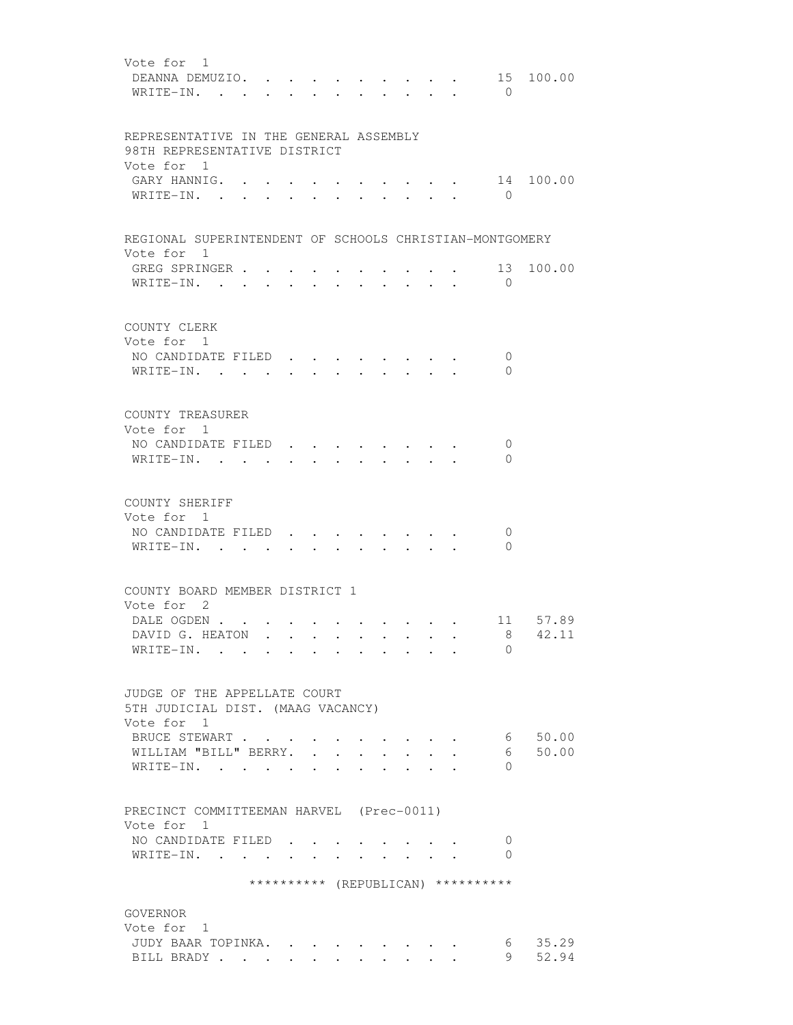| Vote for 1<br>DEANNA DEMUZIO. .<br>$\bigcirc$<br>WRITE-IN. .<br>$\ddot{\phantom{a}}$                               | 15 100.00                   |
|--------------------------------------------------------------------------------------------------------------------|-----------------------------|
| REPRESENTATIVE IN THE GENERAL ASSEMBLY<br>98TH REPRESENTATIVE DISTRICT<br>Vote for 1                               |                             |
| GARY HANNIG. .<br>$W$ RITE-IN                                                                                      | 14 100.00<br>$\overline{0}$ |
| REGIONAL SUPERINTENDENT OF SCHOOLS CHRISTIAN-MONTGOMERY<br>Vote for 1                                              |                             |
| GREG SPRINGER<br>$\bigcirc$<br>WRITE-IN.                                                                           | 13<br>100.00                |
| COUNTY CLERK<br>Vote for 1<br>NO CANDIDATE FILED<br>WRITE-IN.                                                      | 0<br>$\Omega$               |
| COUNTY TREASURER<br>Vote for 1<br>NO CANDIDATE FILED<br>WRITE-IN. .                                                | $\mathbf 0$<br>0            |
|                                                                                                                    |                             |
| COUNTY SHERIFF<br>Vote for 1<br>NO CANDIDATE FILED<br>WRITE-IN. .                                                  | 0<br>$\Omega$               |
| COUNTY BOARD MEMBER DISTRICT 1                                                                                     |                             |
| Vote for 2                                                                                                         |                             |
| DALE OGDEN                                                                                                         | 11 57.89                    |
| DAVID G. HEATON<br>WRITE-IN.                                                                                       | 8 42.11<br>$\Omega$         |
| JUDGE OF THE APPELLATE COURT<br>5TH JUDICIAL DIST. (MAAG VACANCY)                                                  |                             |
| Vote for 1                                                                                                         |                             |
| BRUCE STEWART                                                                                                      | 6 50.00                     |
| WILLIAM "BILL" BERRY.<br>$\mathbf{L}$ and $\mathbf{L}$<br>$\mathbf{r} = \mathbf{r}$<br>$\overline{a}$<br>WRITE-IN. | 50.00<br>6<br>$\Omega$      |
| PRECINCT COMMITTEEMAN HARVEL (Prec-0011)<br>Vote for 1                                                             |                             |
| NO CANDIDATE FILED.                                                                                                | 0                           |
| WRITE-IN.<br>$\bullet$<br>$\cdot$                                                                                  | $\Omega$                    |
| ********** (REPUBLICAN) **********                                                                                 |                             |
| GOVERNOR                                                                                                           |                             |
| Vote for 1                                                                                                         |                             |
| JUDY BAAR TOPINKA.                                                                                                 | 6 35.29                     |
| BILL BRADY                                                                                                         | 52.94<br>9                  |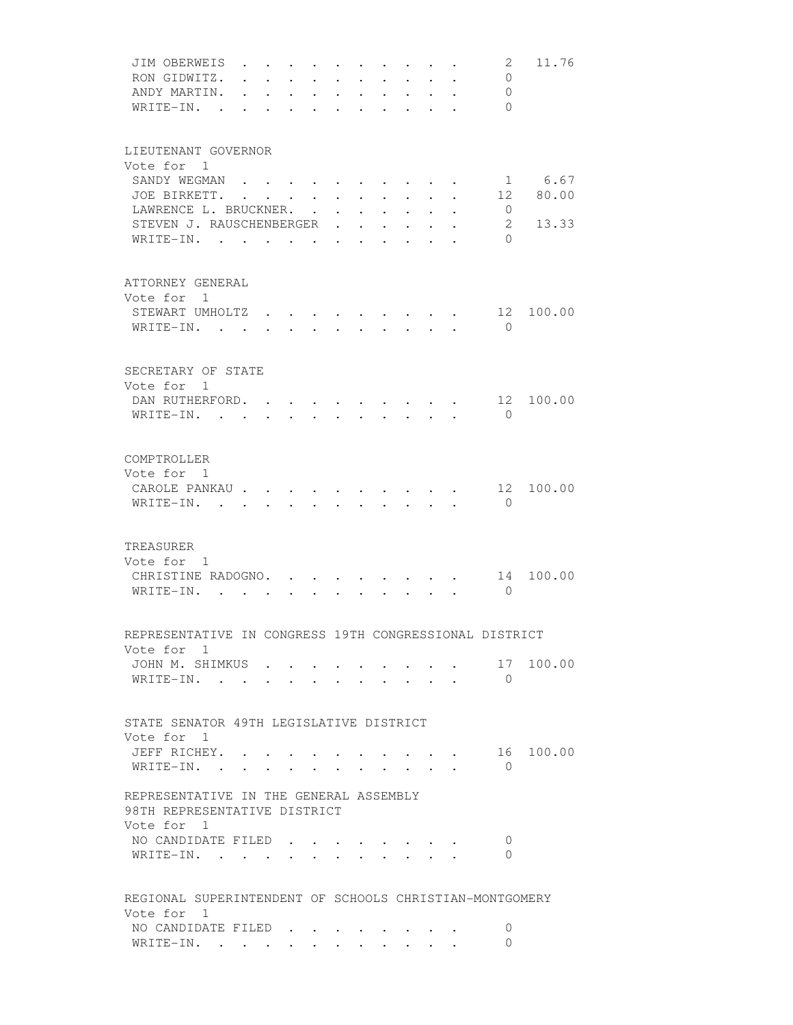| JIM OBERWEIS<br>RON GIDWITZ.<br>ANDY MARTIN.                           |                | $\ddot{\phantom{a}}$ | $\ddot{\phantom{0}}$<br>$\ddot{\phantom{0}}$ |                 |                      | $\ddot{\phantom{0}}$                              | $\bullet$ .          |                               |                      |                                 | 2<br>$\mathbf{0}$<br>$\overline{0}$ | 11.76         |
|------------------------------------------------------------------------|----------------|----------------------|----------------------------------------------|-----------------|----------------------|---------------------------------------------------|----------------------|-------------------------------|----------------------|---------------------------------|-------------------------------------|---------------|
| WRITE-IN. .                                                            | $\overline{a}$ | $\ddot{\phantom{a}}$ | $\ddot{\phantom{a}}$                         | $\sim$          | $\ddot{\phantom{a}}$ | $\ddot{\phantom{a}}$                              | $\ddot{\phantom{a}}$ | $\sim$                        |                      |                                 | $\bigcirc$                          |               |
| LIEUTENANT GOVERNOR<br>Vote for 1                                      |                |                      |                                              |                 |                      |                                                   |                      |                               |                      |                                 |                                     |               |
| SANDY WEGMAN<br>JOE BIRKETT.                                           |                |                      |                                              |                 | $\ddot{\phantom{a}}$ | $\ddot{\phantom{0}}$                              |                      |                               |                      |                                 | 1<br>12                             | 6.67<br>80.00 |
| LAWRENCE L. BRUCKNER. .<br>STEVEN J. RAUSCHENBERGER                    |                |                      |                                              |                 | $\ddot{\phantom{0}}$ | $\ddot{\phantom{0}}$<br>$\mathbf{r} = \mathbf{r}$ | $\ddot{\phantom{0}}$ |                               | $\ddot{\phantom{0}}$ |                                 | $\overline{0}$<br>$\mathbf{2}$      | 13.33         |
| WRITE-IN.                                                              |                |                      |                                              |                 |                      | $\ddot{\phantom{a}}$                              | $\ddot{\phantom{0}}$ | $\ddot{\phantom{0}}$          |                      |                                 | $\Omega$                            |               |
| ATTORNEY GENERAL<br>Vote for 1                                         |                |                      |                                              |                 |                      |                                                   |                      |                               |                      |                                 |                                     |               |
| STEWART UMHOLTZ.                                                       |                |                      |                                              |                 |                      |                                                   |                      |                               |                      |                                 | 12                                  | 100.00        |
| WRITE-IN.                                                              |                |                      |                                              |                 |                      |                                                   |                      |                               |                      |                                 | $\bigcirc$                          |               |
| SECRETARY OF STATE                                                     |                |                      |                                              |                 |                      |                                                   |                      |                               |                      |                                 |                                     |               |
| Vote for 1<br>DAN RUTHERFORD. 12                                       |                |                      |                                              |                 |                      |                                                   |                      |                               |                      |                                 |                                     | 100.00        |
| WRITE-IN.                                                              |                |                      |                                              |                 |                      |                                                   |                      |                               |                      |                                 | $\bigcirc$                          |               |
| COMPTROLLER                                                            |                |                      |                                              |                 |                      |                                                   |                      |                               |                      |                                 |                                     |               |
| Vote for 1<br>CAROLE PANKAU                                            |                |                      |                                              |                 |                      |                                                   |                      |                               |                      |                                 | 12                                  | 100.00        |
| WRITE-IN.                                                              |                | $\mathbf{r}$         |                                              |                 |                      | $\sim$                                            | $\sim$               | $\mathbf{L}$                  |                      |                                 | $\bigcirc$                          |               |
| TREASURER                                                              |                |                      |                                              |                 |                      |                                                   |                      |                               |                      |                                 |                                     |               |
| Vote for 1<br>CHRISTINE RADOGNO.                                       |                |                      |                                              |                 |                      |                                                   |                      |                               |                      |                                 |                                     | 14 100.00     |
| WRITE-IN.                                                              |                |                      |                                              |                 |                      |                                                   |                      |                               |                      |                                 | $\bigcirc$                          |               |
| REPRESENTATIVE IN CONGRESS 19TH CONGRESSIONAL DISTRICT                 |                |                      |                                              |                 |                      |                                                   |                      |                               |                      |                                 |                                     |               |
| Vote for 1<br>JOHN M. SHIMKUS                                          |                |                      |                                              |                 |                      |                                                   |                      |                               |                      |                                 | 17                                  | 100.00        |
| WRITE-IN.                                                              |                |                      |                                              |                 |                      |                                                   |                      |                               |                      |                                 | $\overline{0}$                      |               |
| STATE SENATOR 49TH LEGISLATIVE DISTRICT                                |                |                      |                                              |                 |                      |                                                   |                      |                               |                      |                                 |                                     |               |
| Vote for 1<br>JEFF RICHEY.                                             |                |                      |                                              |                 |                      |                                                   |                      |                               |                      | $\cdot$ $\cdot$ $\cdot$ $\cdot$ |                                     | 16 100.00     |
| WRITE-IN.                                                              |                |                      |                                              | $\sim 10^{-11}$ |                      |                                                   |                      | $\mathbf{r}$ and $\mathbf{r}$ |                      |                                 | $\Omega$                            |               |
| REPRESENTATIVE IN THE GENERAL ASSEMBLY<br>98TH REPRESENTATIVE DISTRICT |                |                      |                                              |                 |                      |                                                   |                      |                               |                      |                                 |                                     |               |
| Vote for 1<br>NO CANDIDATE FILED                                       |                |                      |                                              |                 |                      |                                                   |                      |                               |                      |                                 | 0                                   |               |
| WRITE-IN.                                                              |                |                      |                                              |                 |                      |                                                   |                      |                               |                      |                                 | 0                                   |               |
| REGIONAL SUPERINTENDENT OF SCHOOLS CHRISTIAN-MONTGOMERY                |                |                      |                                              |                 |                      |                                                   |                      |                               |                      |                                 |                                     |               |
| Vote for 1<br>NO CANDIDATE FILED                                       |                |                      |                                              |                 |                      |                                                   |                      |                               |                      |                                 | 0                                   |               |
| WRITE-IN.                                                              |                |                      |                                              |                 |                      |                                                   |                      |                               |                      |                                 | 0                                   |               |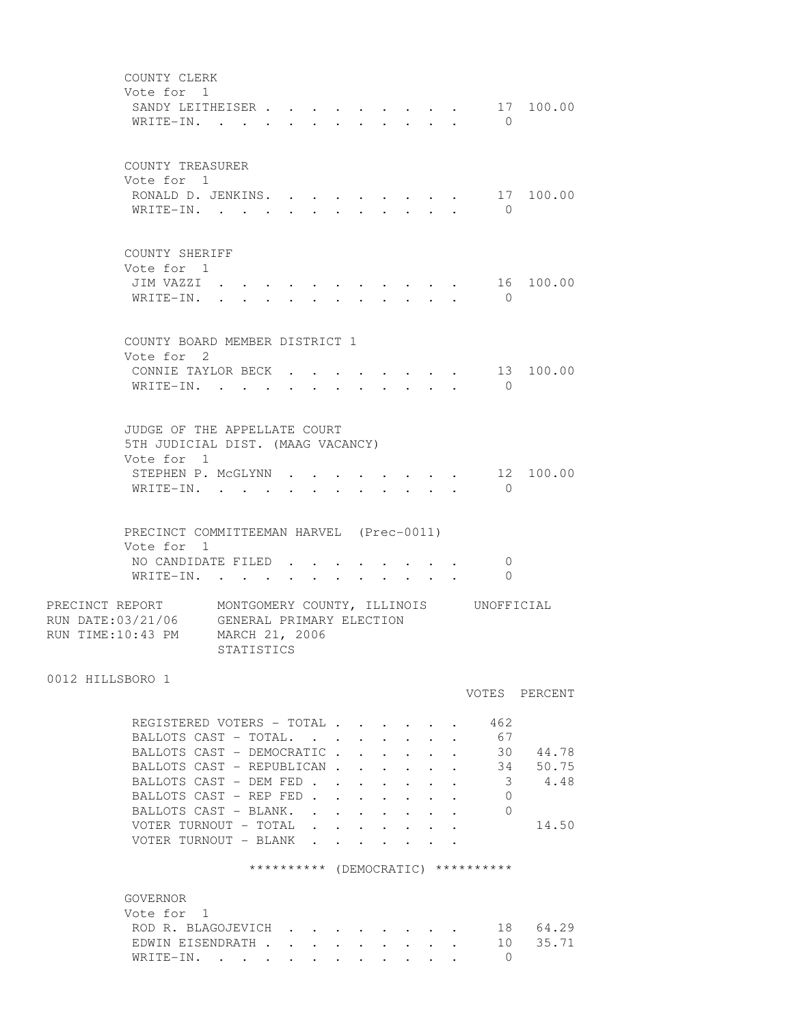| COUNTY CLERK<br>Vote for 1<br>SANDY LEITHEISER<br>WRITE-IN.                                                                                                                                                                                                |                      |        |                                                                                                  | $\ddot{\phantom{0}}$ | $\cdot$ $\cdot$ $\cdot$ $\cdot$ $\cdot$ $\cdot$                                           |                                         | $\overline{0}$                                                                    | $\cdot \cdot \cdot \cdot \cdot \cdot 17$ 100.00           |
|------------------------------------------------------------------------------------------------------------------------------------------------------------------------------------------------------------------------------------------------------------|----------------------|--------|--------------------------------------------------------------------------------------------------|----------------------|-------------------------------------------------------------------------------------------|-----------------------------------------|-----------------------------------------------------------------------------------|-----------------------------------------------------------|
| COUNTY TREASURER<br>Vote for 1<br>RONALD D. JENKINS.<br>WRITE-IN.                                                                                                                                                                                          |                      |        |                                                                                                  |                      |                                                                                           | $\cdot$ $\cdot$ $\cdot$ $\cdot$ $\cdot$ | $\bigcirc$                                                                        | 17 100.00                                                 |
| COUNTY SHERIFF<br>Vote for 1<br>JIM VAZZI .<br>WRITE-IN.                                                                                                                                                                                                   | $\ddot{\phantom{a}}$ |        |                                                                                                  |                      |                                                                                           |                                         | $\bigcirc$                                                                        | 16 100.00                                                 |
| COUNTY BOARD MEMBER DISTRICT 1<br>Vote for 2                                                                                                                                                                                                               |                      |        |                                                                                                  |                      |                                                                                           |                                         |                                                                                   |                                                           |
| CONNIE TAYLOR BECK<br>WRITE-IN.                                                                                                                                                                                                                            |                      |        |                                                                                                  |                      | $\cdot$ $\cdot$ $\cdot$ $\cdot$ $\cdot$ $\cdot$                                           |                                         | $\overline{0}$                                                                    | $\cdot$ $\cdot$ $\cdot$ $\cdot$ $\cdot$ $\cdot$ 13 100.00 |
| JUDGE OF THE APPELLATE COURT<br>5TH JUDICIAL DIST. (MAAG VACANCY)<br>Vote for 1<br>STEPHEN P. MCGLYNN<br>WRITE-IN.                                                                                                                                         |                      |        |                                                                                                  |                      |                                                                                           | $\cdot$ $\cdot$ $\cdot$ $\cdot$ $\cdot$ | $\Omega$                                                                          | 12 100.00                                                 |
| PRECINCT COMMITTEEMAN HARVEL (Prec-0011)<br>Vote for 1<br>NO CANDIDATE FILED.<br>WRITE-IN.                                                                                                                                                                 |                      |        |                                                                                                  |                      |                                                                                           |                                         | 0<br>$\overline{0}$                                                               |                                                           |
| PRECINCT REPORT MONTGOMERY COUNTY, ILLINOIS UNOFFICIAL<br>RUN DATE: 03/21/06 GENERAL PRIMARY ELECTION<br>RUN TIME:10:43 PM MARCH 21, 2006                                                                                                                  | STATISTICS           |        |                                                                                                  |                      |                                                                                           |                                         |                                                                                   |                                                           |
| 0012 HILLSBORO 1                                                                                                                                                                                                                                           |                      |        |                                                                                                  |                      |                                                                                           |                                         |                                                                                   | VOTES PERCENT                                             |
| REGISTERED VOTERS - TOTAL<br>BALLOTS CAST - TOTAL.<br>BALLOTS CAST - DEMOCRATIC.<br>BALLOTS CAST - REPUBLICAN.<br>BALLOTS CAST - DEM FED<br>BALLOTS CAST - REP FED.<br>BALLOTS CAST - BLANK.<br>VOTER TURNOUT - TOTAL<br>VOTER TURNOUT - BLANK<br>GOVERNOR |                      |        | $\mathbf{r}$ , $\mathbf{r}$ , $\mathbf{r}$ , $\mathbf{r}$ , $\mathbf{r}$<br>$\ddot{\phantom{a}}$ |                      | $\cdot$ $\cdot$ $\cdot$ $\cdot$ $\cdot$<br><b>Contract Contract Contract</b><br>$\bullet$ |                                         | 462<br>67<br>30<br>34<br>3<br>0<br>$\Omega$<br>********** (DEMOCRATIC) ********** | 44.78<br>50.75<br>4.48<br>14.50                           |
| Vote for 1<br>ROD R. BLAGOJEVICH<br>EDWIN EISENDRATH.<br>WRITE-IN.                                                                                                                                                                                         |                      | $\sim$ | $\sim$                                                                                           |                      |                                                                                           |                                         | 18<br>10<br>$\bigcirc$                                                            | 64.29<br>35.71                                            |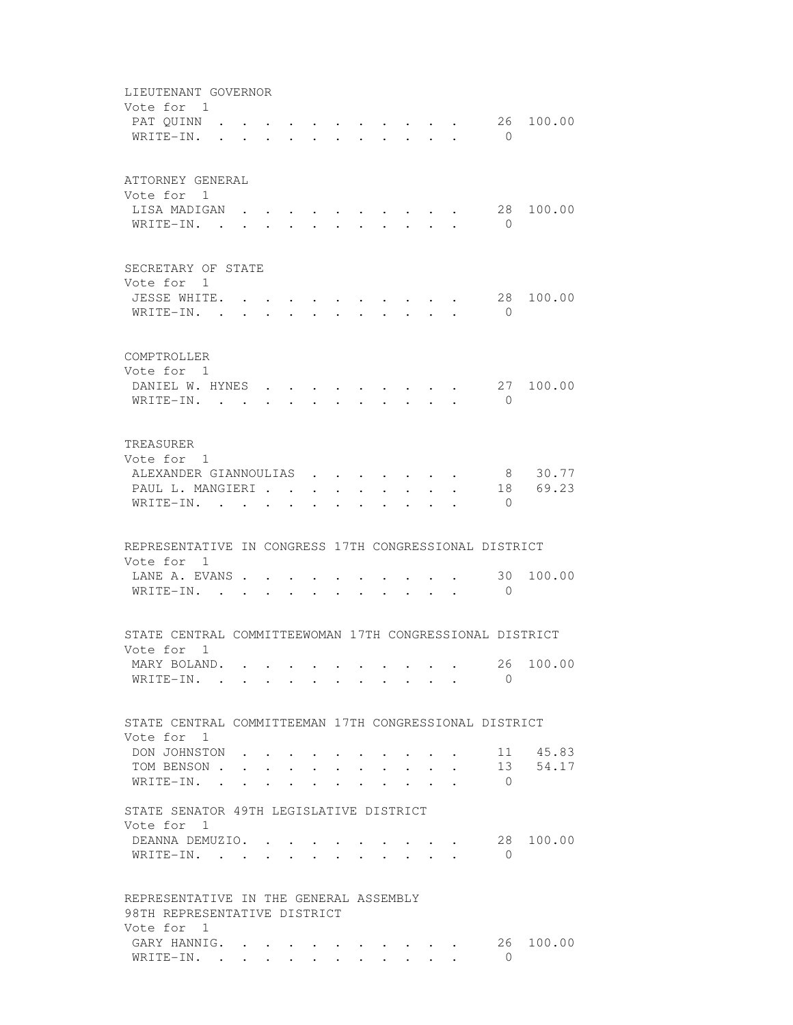|           | LIEUTENANT GOVERNOR<br>Vote for 1<br>PAT OUINN<br>WRITE-IN.            |        |                                      |  | $\bullet$ . The set of $\bullet$ |                                                              | $\cdot$ , , , , , , , , ,<br>$\cdot$ $\cdot$ $\cdot$ $\cdot$ $\cdot$     |                      |              | $\bigcirc$           | 26 100.00        |
|-----------|------------------------------------------------------------------------|--------|--------------------------------------|--|----------------------------------|--------------------------------------------------------------|--------------------------------------------------------------------------|----------------------|--------------|----------------------|------------------|
|           | ATTORNEY GENERAL<br>Vote for 1<br>LISA MADIGAN<br>WRITE-IN.            |        |                                      |  |                                  |                                                              |                                                                          |                      |              | 28<br>$\bigcirc$     | 100.00           |
|           | SECRETARY OF STATE<br>Vote for 1                                       |        |                                      |  |                                  |                                                              |                                                                          |                      |              |                      |                  |
|           | JESSE WHITE. .<br>WRITE-IN. .                                          |        |                                      |  |                                  |                                                              |                                                                          |                      |              | 28<br>$\bigcirc$     | 100.00           |
|           | COMPTROLLER<br>Vote for 1                                              |        |                                      |  |                                  |                                                              |                                                                          |                      |              |                      |                  |
|           | DANIEL W. HYNES<br>WRITE-IN.                                           |        |                                      |  |                                  |                                                              | $\cdot$ $\cdot$ $\cdot$ $\cdot$ $\cdot$ $\cdot$ $\cdot$                  |                      |              | $\mathbf{0}$         | 27 100.00        |
| TREASURER | Vote for 1                                                             |        |                                      |  |                                  |                                                              |                                                                          |                      |              |                      |                  |
|           | ALEXANDER GIANNOULIAS<br>PAUL L. MANGIERI<br>WRITE-IN.                 |        |                                      |  | $\ddot{\phantom{a}}$             | $\mathbf{a}$ , and $\mathbf{a}$ , and $\mathbf{a}$<br>$\sim$ |                                                                          |                      |              | 18<br>$\bigcirc$     | 8 30.77<br>69.23 |
|           | REPRESENTATIVE IN CONGRESS 17TH CONGRESSIONAL DISTRICT<br>Vote for 1   |        |                                      |  |                                  |                                                              |                                                                          |                      |              |                      |                  |
|           | LANE A. EVANS<br>WRITE-IN. .                                           |        |                                      |  |                                  |                                                              |                                                                          |                      |              | 30<br>$\overline{0}$ | 100.00           |
|           | STATE CENTRAL COMMITTEEWOMAN 17TH CONGRESSIONAL DISTRICT<br>Vote for 1 |        |                                      |  |                                  |                                                              |                                                                          |                      |              |                      |                  |
|           | MARY BOLAND.<br>WRITE-IN.                                              |        |                                      |  |                                  |                                                              |                                                                          |                      |              | $\Omega$             | 26 100.00        |
|           | STATE CENTRAL COMMITTEEMAN 17TH CONGRESSIONAL DISTRICT<br>Vote for 1   |        |                                      |  |                                  |                                                              |                                                                          |                      |              |                      |                  |
|           | DON JOHNSTON                                                           |        |                                      |  |                                  |                                                              |                                                                          |                      |              |                      | 11 45.83         |
|           | TOM BENSON .<br>WRITE-IN.                                              |        | $\mathbf{L} = \mathbf{L} \mathbf{L}$ |  |                                  |                                                              | $\mathbf{r}$ , $\mathbf{r}$ , $\mathbf{r}$ , $\mathbf{r}$ , $\mathbf{r}$ | $\sim$ $\sim$ $\sim$ | $\mathbf{r}$ | 13<br>$\overline{0}$ | 54.17            |
|           | STATE SENATOR 49TH LEGISLATIVE DISTRICT                                |        |                                      |  |                                  |                                                              |                                                                          |                      |              |                      |                  |
|           | Vote for 1                                                             |        |                                      |  |                                  |                                                              |                                                                          |                      |              |                      |                  |
|           | DEANNA DEMUZIO. .<br>WRITE-IN. .                                       | $\sim$ |                                      |  |                                  |                                                              |                                                                          |                      |              | $\Omega$             | 28 100.00        |
|           | REPRESENTATIVE IN THE GENERAL ASSEMBLY<br>98TH REPRESENTATIVE DISTRICT |        |                                      |  |                                  |                                                              |                                                                          |                      |              |                      |                  |
|           | Vote for 1                                                             |        |                                      |  |                                  |                                                              |                                                                          |                      |              |                      |                  |
|           | GARY HANNIG.<br>WRITE-IN.                                              |        |                                      |  |                                  |                                                              |                                                                          |                      |              | 26<br>$\Omega$       | 100.00           |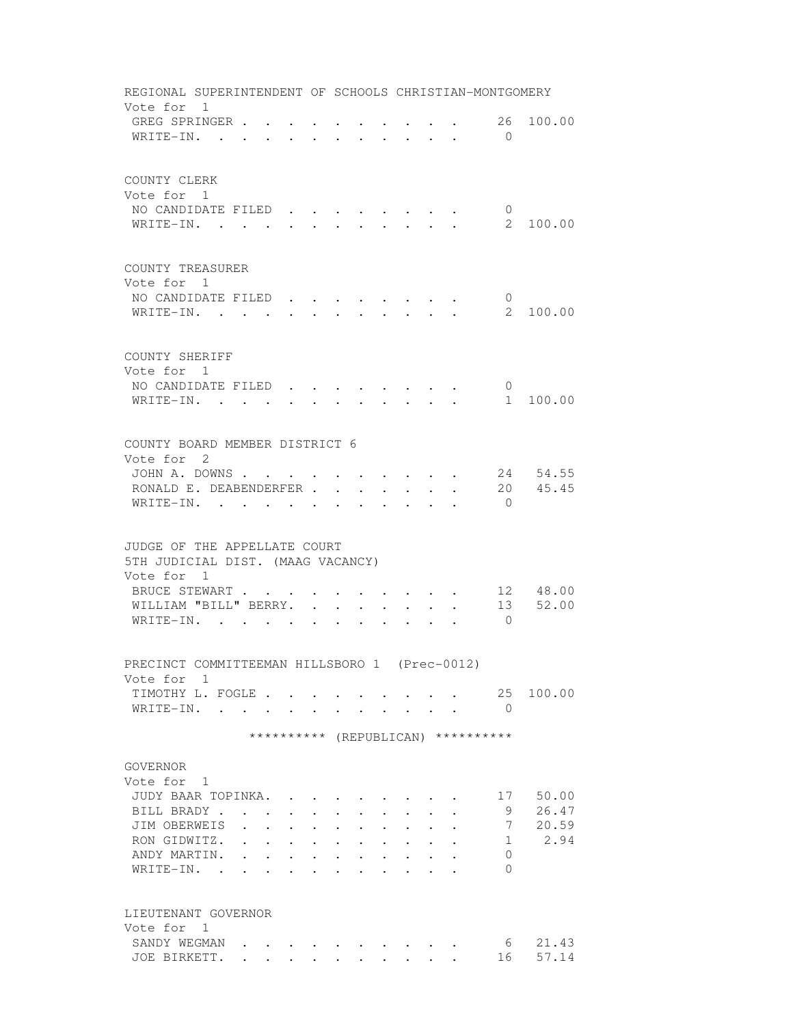| REGIONAL SUPERINTENDENT OF SCHOOLS CHRISTIAN-MONTGOMERY |                                            |                               |                                                                 |                      |                                                |                                  |                                                             |                                                                       |                                          |                      |                                    |          |
|---------------------------------------------------------|--------------------------------------------|-------------------------------|-----------------------------------------------------------------|----------------------|------------------------------------------------|----------------------------------|-------------------------------------------------------------|-----------------------------------------------------------------------|------------------------------------------|----------------------|------------------------------------|----------|
| Vote for 1<br>GREG SPRINGER<br>WRITE-IN.                |                                            |                               |                                                                 |                      |                                                |                                  |                                                             | $\mathbf{r}$ , and $\mathbf{r}$ , and $\mathbf{r}$ , and $\mathbf{r}$ |                                          |                      | 26<br>$\Omega$                     | 100.00   |
|                                                         |                                            |                               |                                                                 |                      |                                                |                                  |                                                             |                                                                       |                                          |                      |                                    |          |
| COUNTY CLERK                                            |                                            |                               |                                                                 |                      |                                                |                                  |                                                             |                                                                       |                                          |                      |                                    |          |
| Vote for 1                                              |                                            |                               |                                                                 |                      |                                                |                                  |                                                             |                                                                       |                                          |                      |                                    |          |
| NO CANDIDATE FILED<br>WRITE-IN.                         |                                            |                               | $\sim$                                                          |                      |                                                |                                  |                                                             |                                                                       |                                          |                      | $\mathbf 0$<br>$\overline{2}$      | 100.00   |
|                                                         |                                            |                               |                                                                 |                      |                                                |                                  |                                                             |                                                                       |                                          |                      |                                    |          |
| COUNTY TREASURER                                        |                                            |                               |                                                                 |                      |                                                |                                  |                                                             |                                                                       |                                          |                      |                                    |          |
| Vote for 1                                              |                                            |                               |                                                                 |                      |                                                |                                  |                                                             |                                                                       |                                          |                      |                                    |          |
| NO CANDIDATE FILED.                                     |                                            |                               |                                                                 |                      |                                                |                                  |                                                             |                                                                       |                                          |                      | $\overline{0}$                     |          |
| WRITE-IN.                                               |                                            |                               |                                                                 |                      |                                                |                                  |                                                             |                                                                       |                                          |                      | $2^{\circ}$                        | 100.00   |
|                                                         |                                            |                               |                                                                 |                      |                                                |                                  |                                                             |                                                                       |                                          |                      |                                    |          |
| COUNTY SHERIFF<br>Vote for 1                            |                                            |                               |                                                                 |                      |                                                |                                  |                                                             |                                                                       |                                          |                      |                                    |          |
| NO CANDIDATE FILED                                      |                                            |                               |                                                                 |                      |                                                |                                  |                                                             |                                                                       |                                          |                      | $\circ$                            |          |
| WRITE-IN.                                               |                                            |                               |                                                                 |                      |                                                |                                  |                                                             |                                                                       |                                          |                      |                                    | 1 100.00 |
|                                                         |                                            |                               |                                                                 |                      |                                                |                                  |                                                             |                                                                       |                                          |                      |                                    |          |
| COUNTY BOARD MEMBER DISTRICT 6                          |                                            |                               |                                                                 |                      |                                                |                                  |                                                             |                                                                       |                                          |                      |                                    |          |
| Vote for 2                                              |                                            |                               |                                                                 |                      |                                                |                                  |                                                             |                                                                       |                                          |                      |                                    |          |
| JOHN A. DOWNS                                           |                                            |                               |                                                                 |                      |                                                |                                  | $\mathbf{r} = \mathbf{r}$                                   |                                                                       | $\mathbf{r} = \mathbf{r} + \mathbf{r}$ . | $\ddot{\phantom{0}}$ |                                    | 24 54.55 |
| RONALD E. DEABENDERFER.                                 |                                            |                               |                                                                 |                      |                                                |                                  |                                                             | $\sim$                                                                |                                          |                      | 20                                 | 45.45    |
| WRITE-IN.                                               |                                            | <b>Sales Controller State</b> |                                                                 | $\sim$               |                                                |                                  | $\sim$                                                      | $\sim$                                                                |                                          |                      | $\bigcirc$                         |          |
| JUDGE OF THE APPELLATE COURT                            |                                            |                               |                                                                 |                      |                                                |                                  |                                                             |                                                                       |                                          |                      |                                    |          |
| 5TH JUDICIAL DIST. (MAAG VACANCY)<br>Vote for 1         |                                            |                               |                                                                 |                      |                                                |                                  |                                                             |                                                                       |                                          |                      |                                    |          |
| BRUCE STEWART                                           |                                            |                               |                                                                 |                      |                                                |                                  | $\cdot$ $\cdot$ $\cdot$                                     |                                                                       |                                          |                      |                                    | 12 48.00 |
| WILLIAM "BILL" BERRY.                                   |                                            |                               |                                                                 | $\sim$               | $\sim$                                         |                                  | $\ddot{\phantom{0}}$                                        |                                                                       |                                          |                      | 13                                 | 52.00    |
| WRITE-IN. .                                             |                                            |                               |                                                                 |                      |                                                |                                  |                                                             |                                                                       |                                          |                      | $\bigcirc$                         |          |
| PRECINCT COMMITTEEMAN HILLSBORO 1 (Prec-0012)           |                                            |                               |                                                                 |                      |                                                |                                  |                                                             |                                                                       |                                          |                      |                                    |          |
| Vote for 1                                              |                                            |                               |                                                                 |                      |                                                |                                  |                                                             |                                                                       |                                          |                      |                                    |          |
| TIMOTHY L. FOGLE                                        |                                            |                               |                                                                 |                      |                                                |                                  |                                                             |                                                                       |                                          |                      | 25                                 | 100.00   |
| WRITE-IN.                                               |                                            |                               |                                                                 |                      |                                                |                                  |                                                             |                                                                       |                                          |                      | $\bigcirc$                         |          |
|                                                         |                                            |                               |                                                                 |                      |                                                |                                  |                                                             |                                                                       |                                          |                      | ********** (REPUBLICAN) ********** |          |
| GOVERNOR                                                |                                            |                               |                                                                 |                      |                                                |                                  |                                                             |                                                                       |                                          |                      |                                    |          |
| Vote for 1                                              |                                            |                               |                                                                 |                      |                                                |                                  |                                                             |                                                                       |                                          |                      |                                    |          |
| JUDY BAAR TOPINKA.                                      |                                            |                               |                                                                 |                      |                                                |                                  |                                                             |                                                                       |                                          |                      | 17                                 | 50.00    |
| BILL BRADY.                                             | <b>Contract Contract Contract Contract</b> |                               | $\bullet$ .<br><br><br><br><br><br><br><br><br><br><br><br><br> |                      | $\mathbf{A}$ and $\mathbf{A}$ and $\mathbf{A}$ | $\bullet$ . The set of $\bullet$ | $\bullet$ .<br><br><br><br><br><br><br><br><br><br><br><br> |                                                                       |                                          |                      | 9                                  | 26.47    |
| JIM OBERWEIS .                                          |                                            | $\ddot{\phantom{a}}$          | $\ddot{\phantom{0}}$                                            | $\bullet$            | $\ddot{\phantom{a}}$                           |                                  |                                                             |                                                                       |                                          |                      | 7                                  | 20.59    |
| RON GIDWITZ.                                            |                                            | $\bullet$                     | $\bullet$ .                                                     | $\sim$ $\sim$ $\sim$ |                                                | $\bullet$                        |                                                             |                                                                       |                                          |                      | 1                                  | 2.94     |
| ANDY MARTIN.<br>WRITE-IN. .                             |                                            |                               | $\ddot{\phantom{a}}$                                            |                      |                                                |                                  |                                                             |                                                                       |                                          |                      | 0<br>$\Omega$                      |          |
|                                                         |                                            |                               |                                                                 |                      |                                                |                                  |                                                             |                                                                       |                                          |                      |                                    |          |
| LIEUTENANT GOVERNOR                                     |                                            |                               |                                                                 |                      |                                                |                                  |                                                             |                                                                       |                                          |                      |                                    |          |
| Vote for 1                                              |                                            |                               |                                                                 |                      |                                                |                                  |                                                             |                                                                       |                                          |                      |                                    |          |
| SANDY WEGMAN                                            |                                            |                               |                                                                 |                      |                                                |                                  |                                                             |                                                                       |                                          |                      | 6                                  | 21.43    |
| JOE BIRKETT.                                            | $\sim$ $\sim$ $\sim$                       | $\cdot$ $\cdot$ $\cdot$       |                                                                 |                      |                                                |                                  |                                                             | $\mathbf{L}$ and $\mathbf{L}$                                         |                                          |                      | 16                                 | 57.14    |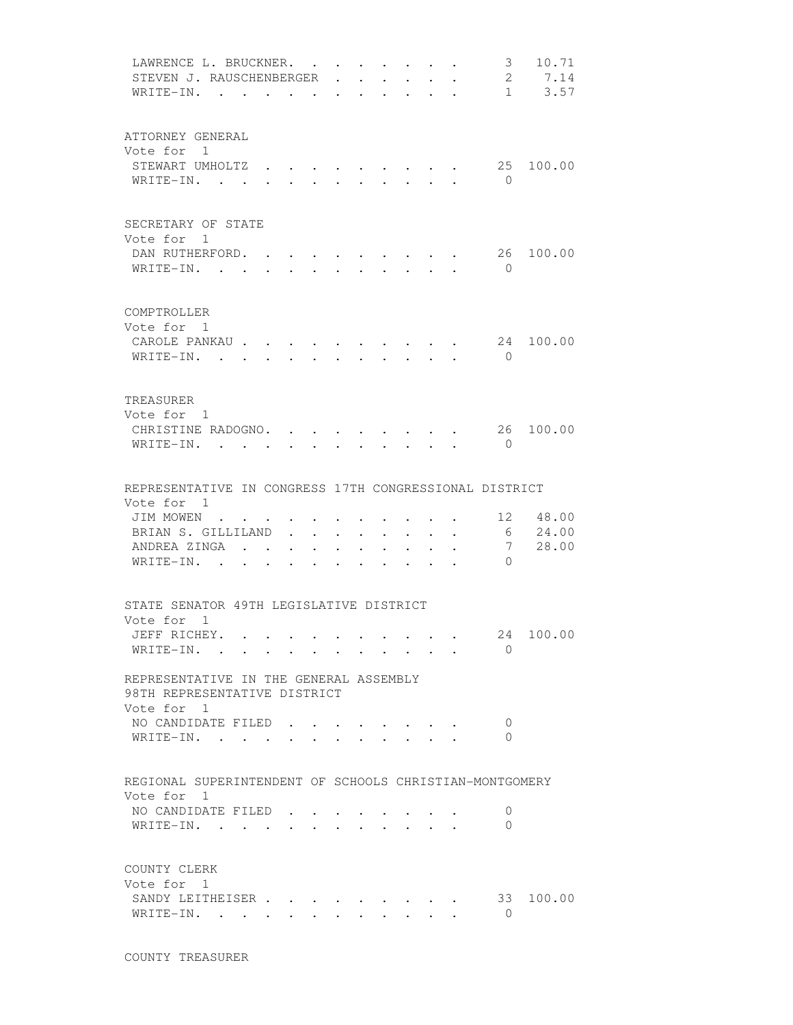| LAWRENCE L. BRUCKNER.<br>STEVEN J. RAUSCHENBERGER<br>WRITE-IN.         | $\bullet$            | $\sim$ $\sim$                    |                      | $\mathbf{L}$                             |                                                             | $\mathbf{L} = \mathbf{L} \mathbf{L}$<br>$\bullet$ . The set of $\bullet$ | $\bullet$ . The set of $\bullet$                   |                      | $\bullet$                 | 3 <sup>7</sup>           | 10.71<br>2 7.14<br>$1 \t3.57$ |
|------------------------------------------------------------------------|----------------------|----------------------------------|----------------------|------------------------------------------|-------------------------------------------------------------|--------------------------------------------------------------------------|----------------------------------------------------|----------------------|---------------------------|--------------------------|-------------------------------|
|                                                                        |                      |                                  |                      |                                          |                                                             |                                                                          |                                                    |                      |                           |                          |                               |
| ATTORNEY GENERAL<br>Vote for 1                                         |                      |                                  |                      |                                          |                                                             |                                                                          |                                                    |                      |                           |                          |                               |
| STEWART UMHOLTZ<br>WRITE-IN.                                           |                      |                                  |                      | $\mathbf{r}$ $\mathbf{r}$                |                                                             |                                                                          | $\cdot$ $\cdot$ $\cdot$ $\cdot$ $\cdot$ $\cdot$    |                      | $\cdot$ , , , , , , , , , | 25<br>$\bigcirc$         | 100.00                        |
| SECRETARY OF STATE                                                     |                      |                                  |                      |                                          |                                                             |                                                                          |                                                    |                      |                           |                          |                               |
| Vote for 1<br>DAN RUTHERFORD. .<br>WRITE-IN.                           |                      |                                  |                      |                                          |                                                             |                                                                          |                                                    |                      |                           | 26<br>$\overline{0}$     | 100.00                        |
| COMPTROLLER<br>Vote for 1                                              |                      |                                  |                      |                                          |                                                             |                                                                          |                                                    |                      |                           |                          |                               |
| CAROLE PANKAU<br>WRITE-IN. .                                           |                      |                                  |                      |                                          |                                                             |                                                                          |                                                    |                      |                           | 24<br>$\bigcirc$         | 100.00                        |
| TREASURER<br>Vote for 1                                                |                      |                                  |                      |                                          |                                                             |                                                                          |                                                    |                      |                           |                          |                               |
| CHRISTINE RADOGNO.<br>WRITE-IN.                                        |                      |                                  |                      | $\mathbf{z} = \mathbf{z} + \mathbf{z}$ . |                                                             |                                                                          | $\mathbf{r}$ , and $\mathbf{r}$ , and $\mathbf{r}$ |                      |                           | 26<br>$\Omega$           | 100.00                        |
| REPRESENTATIVE IN CONGRESS 17TH CONGRESSIONAL DISTRICT                 |                      |                                  |                      |                                          |                                                             |                                                                          |                                                    |                      |                           |                          |                               |
| Vote for 1<br>JIM MOWEN                                                |                      |                                  |                      |                                          |                                                             |                                                                          |                                                    |                      |                           |                          | 12 48.00                      |
| BRIAN S. GILLILAND                                                     |                      | $\ddot{\phantom{0}}$             | $\ddot{\phantom{0}}$ |                                          | $\ddot{\phantom{0}}$                                        | $\bullet$                                                                | $\ddot{\phantom{0}}$                               | $\bullet$ .          |                           | 6                        | 24.00                         |
| ANDREA ZINGA                                                           |                      | $\bullet$ . The set of $\bullet$ |                      | <b>All Contracts</b>                     | $\bullet$ .<br><br><br><br><br><br><br><br><br><br><br><br> | $\bullet$ . The set of $\bullet$                                         | $\ddot{\phantom{0}}$                               | $\ddot{\phantom{0}}$ |                           | 7                        | 28.00                         |
| WRITE-IN.                                                              |                      |                                  |                      |                                          |                                                             |                                                                          |                                                    |                      |                           | $\Omega$                 |                               |
| STATE SENATOR 49TH LEGISLATIVE DISTRICT                                |                      |                                  |                      |                                          |                                                             |                                                                          |                                                    |                      |                           |                          |                               |
| Vote for 1<br>JEFF RICHEY.                                             |                      |                                  |                      |                                          |                                                             |                                                                          |                                                    |                      |                           |                          | 24 100.00                     |
| WRITE-IN.                                                              |                      |                                  |                      |                                          |                                                             |                                                                          |                                                    |                      |                           | $\Omega$                 |                               |
| REPRESENTATIVE IN THE GENERAL ASSEMBLY<br>98TH REPRESENTATIVE DISTRICT |                      |                                  |                      |                                          |                                                             |                                                                          |                                                    |                      |                           |                          |                               |
| Vote for 1<br>NO CANDIDATE FILED                                       |                      |                                  |                      |                                          |                                                             |                                                                          |                                                    |                      |                           | 0                        |                               |
| WRITE-IN.                                                              |                      |                                  | <b>All Contracts</b> |                                          |                                                             |                                                                          |                                                    |                      |                           | $\Omega$                 |                               |
| REGIONAL SUPERINTENDENT OF SCHOOLS CHRISTIAN-MONTGOMERY                |                      |                                  |                      |                                          |                                                             |                                                                          |                                                    |                      |                           |                          |                               |
| Vote for 1                                                             |                      |                                  |                      |                                          |                                                             |                                                                          |                                                    |                      |                           |                          |                               |
| NO CANDIDATE FILED.<br>WRITE-IN.                                       |                      |                                  |                      |                                          |                                                             |                                                                          |                                                    |                      |                           | $\mathbf{0}$<br>$\Omega$ |                               |
| COUNTY CLERK                                                           |                      |                                  |                      |                                          |                                                             |                                                                          |                                                    |                      |                           |                          |                               |
| Vote for 1<br>SANDY LEITHEISER<br>WRITE-IN.                            | $\ddot{\phantom{0}}$ | $\ddot{\phantom{0}}$             |                      |                                          |                                                             |                                                                          |                                                    |                      |                           | $\Omega$                 | 33 100.00                     |
|                                                                        |                      |                                  |                      |                                          |                                                             |                                                                          |                                                    |                      |                           |                          |                               |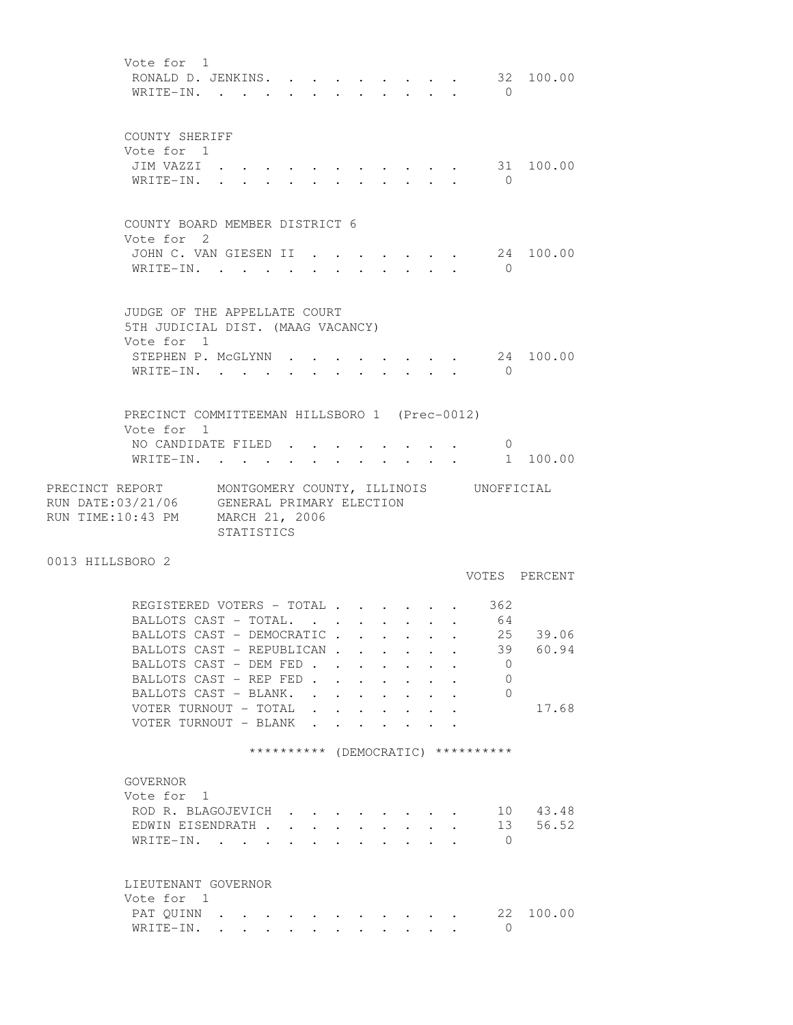Vote for 1 RONALD D. JENKINS. . . . . . . . . 32 100.00 WRITE-IN. . . . . . . . . . . . 0 COUNTY SHERIFF Vote for 1 JIM VAZZI . . . . . . . . . . . 31 100.00 WRITE-IN. . . . . . . . . . . 0 COUNTY BOARD MEMBER DISTRICT 6 Vote for 2 JOHN C. VAN GIESEN II . . . . . . . 24 100.00 WRITE-IN. . . . . . . . . . . 0 JUDGE OF THE APPELLATE COURT 5TH JUDICIAL DIST. (MAAG VACANCY) Vote for 1 STEPHEN P. McGLYNN  $\cdot \cdot \cdot \cdot \cdot \cdot \cdot \cdot \cdot$  24 100.00 WRITE-IN. . . . . . . . . . . 0 PRECINCT COMMITTEEMAN HILLSBORO 1 (Prec-0012) Vote for 1 NO CANDIDATE FILED . . . . . . . . 0 WRITE-IN. . . . . . . . . . . . 1 100.00 PRECINCT REPORT MONTGOMERY COUNTY, ILLINOIS UNOFFICIAL RUN DATE:03/21/06 GENERAL PRIMARY ELECTION RUN TIME:10:43 PM MARCH 21, 2006 STATISTICS 0013 HILLSBORO 2 VOTES PERCENT REGISTERED VOTERS - TOTAL . . . . . . 362 BALLOTS CAST - TOTAL. . . . . . . . 64 BALLOTS CAST - DEMOCRATIC . . . . . . 25 39.06 BALLOTS CAST - REPUBLICAN . . . . . . 39 60.94<br>BALLOTS CAST - DEM FED . . . . . . . 0 BALLOTS CAST - DEM FED . . . . . . . BALLOTS CAST - REP FED . . . . . . . 0 BALLOTS CAST - BLANK. . . . . . . . 0 VOTER TURNOUT - TOTAL . . . . . . . 17.68 VOTER TURNOUT - BLANK . . \*\*\*\*\*\*\*\*\*\* (DEMOCRATIC) \*\*\*\*\*\*\*\*\*\* GOVERNOR Vote for 1 ROD R. BLAGOJEVICH . . . . . . . . 10 43.48 EDWIN EISENDRATH . . . . . . . . . 13 56.52 WRITE-IN. . . . . . . . . . . . 0 LIEUTENANT GOVERNOR Vote for 1 PAT QUINN . . . . . . . . . . . 22 100.00 WRITE-IN. . . . . . . . . . . . 0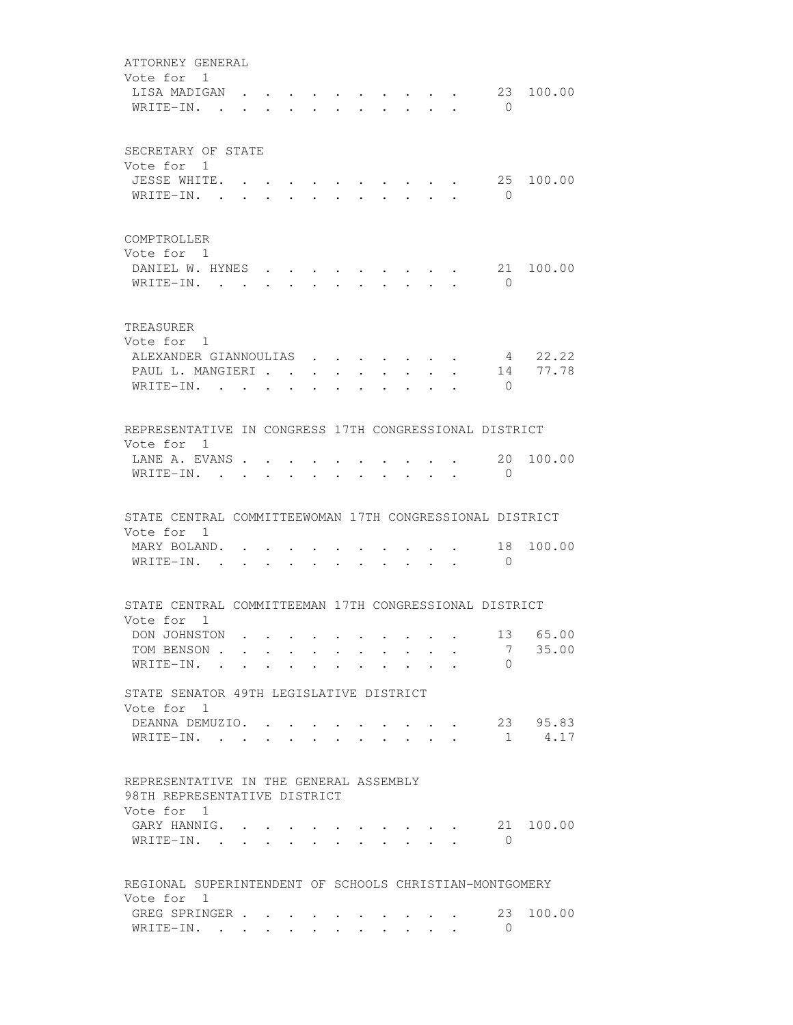| ATTORNEY GENERAL<br>Vote for 1                                                       |                      |                      |        |                                 |                                                 |                                 |                                         |                      |                         |
|--------------------------------------------------------------------------------------|----------------------|----------------------|--------|---------------------------------|-------------------------------------------------|---------------------------------|-----------------------------------------|----------------------|-------------------------|
| LISA MADIGAN<br>WRITE-IN. .                                                          |                      |                      |        |                                 |                                                 |                                 |                                         | $\bigcirc$           | 23 100.00               |
| SECRETARY OF STATE<br>Vote for 1                                                     |                      |                      |        |                                 |                                                 |                                 |                                         |                      |                         |
| JESSE WHITE. .                                                                       |                      |                      |        |                                 |                                                 |                                 |                                         | 25                   | 100.00                  |
| WRITE-IN. .                                                                          | $\ddot{\phantom{0}}$ |                      |        |                                 |                                                 |                                 |                                         | $\bigcirc$           |                         |
| COMPTROLLER<br>Vote for 1                                                            |                      |                      |        |                                 |                                                 |                                 |                                         |                      |                         |
| DANIEL W. HYNES<br>WRITE-IN.                                                         |                      |                      |        |                                 | $\cdot$ $\cdot$ $\cdot$ $\cdot$ $\cdot$ $\cdot$ |                                 |                                         | 21<br>$\overline{0}$ | 100.00                  |
| TREASURER<br>Vote for 1                                                              |                      |                      |        |                                 |                                                 |                                 |                                         |                      |                         |
| ALEXANDER GIANNOULIAS                                                                |                      |                      |        |                                 | $\mathbf{r}$ , and $\mathbf{r}$                 |                                 |                                         |                      | 4 22.22                 |
| PAUL L. MANGIERI                                                                     |                      |                      |        |                                 |                                                 |                                 | $\sim$                                  | $\bigcap$            | 14 77.78                |
| WRITE-IN.                                                                            |                      | $\ddot{\phantom{a}}$ |        |                                 |                                                 |                                 |                                         |                      |                         |
| REPRESENTATIVE IN CONGRESS 17TH CONGRESSIONAL DISTRICT<br>Vote for 1                 |                      |                      |        |                                 |                                                 |                                 |                                         |                      |                         |
| LANE A. EVANS<br>WRITE-IN. .                                                         |                      |                      |        |                                 |                                                 |                                 |                                         | $\mathbf{0}$         | 20 100.00               |
| STATE CENTRAL COMMITTEEWOMAN 17TH CONGRESSIONAL DISTRICT                             |                      |                      |        |                                 |                                                 |                                 |                                         |                      |                         |
| Vote for 1<br>MARY BOLAND.<br>WRITE-IN. .                                            |                      |                      | $\sim$ | $\cdot$ $\cdot$ $\cdot$ $\cdot$ |                                                 |                                 | $\cdot$ $\cdot$ $\cdot$ $\cdot$ $\cdot$ | 18<br>$\bigcirc$     | 100.00                  |
| STATE CENTRAL COMMITTEEMAN 17TH CONGRESSIONAL DISTRICT                               |                      |                      |        |                                 |                                                 |                                 |                                         |                      |                         |
| Vote for 1<br>DON JOHNSTON                                                           |                      |                      |        |                                 |                                                 |                                 |                                         |                      | 13 65.00                |
| TOM BENSON                                                                           |                      |                      |        |                                 |                                                 |                                 |                                         | 7                    | 35.00                   |
| WRITE-IN.                                                                            |                      |                      |        |                                 |                                                 |                                 |                                         | $\Omega$             |                         |
| STATE SENATOR 49TH LEGISLATIVE DISTRICT<br>Vote for 1                                |                      |                      |        |                                 |                                                 |                                 |                                         |                      |                         |
| DEANNA DEMUZIO.<br>WRITE-IN.                                                         |                      |                      |        |                                 |                                                 |                                 |                                         |                      | 23 95.83<br>$1 \t 4.17$ |
| REPRESENTATIVE IN THE GENERAL ASSEMBLY<br>98TH REPRESENTATIVE DISTRICT<br>Vote for 1 |                      |                      |        |                                 |                                                 |                                 |                                         |                      |                         |
| GARY HANNIG.<br>WRITE-IN.                                                            |                      |                      |        |                                 |                                                 |                                 |                                         | 21<br>$\mathbf{0}$   | 100.00                  |
| REGIONAL SUPERINTENDENT OF SCHOOLS CHRISTIAN-MONTGOMERY                              |                      |                      |        |                                 |                                                 |                                 |                                         |                      |                         |
| Vote for 1<br>GREG SPRINGER<br>WRITE-IN.                                             |                      |                      |        |                                 |                                                 | $\cdot$ $\cdot$ $\cdot$ $\cdot$ |                                         | 23<br>$\overline{0}$ | 100.00                  |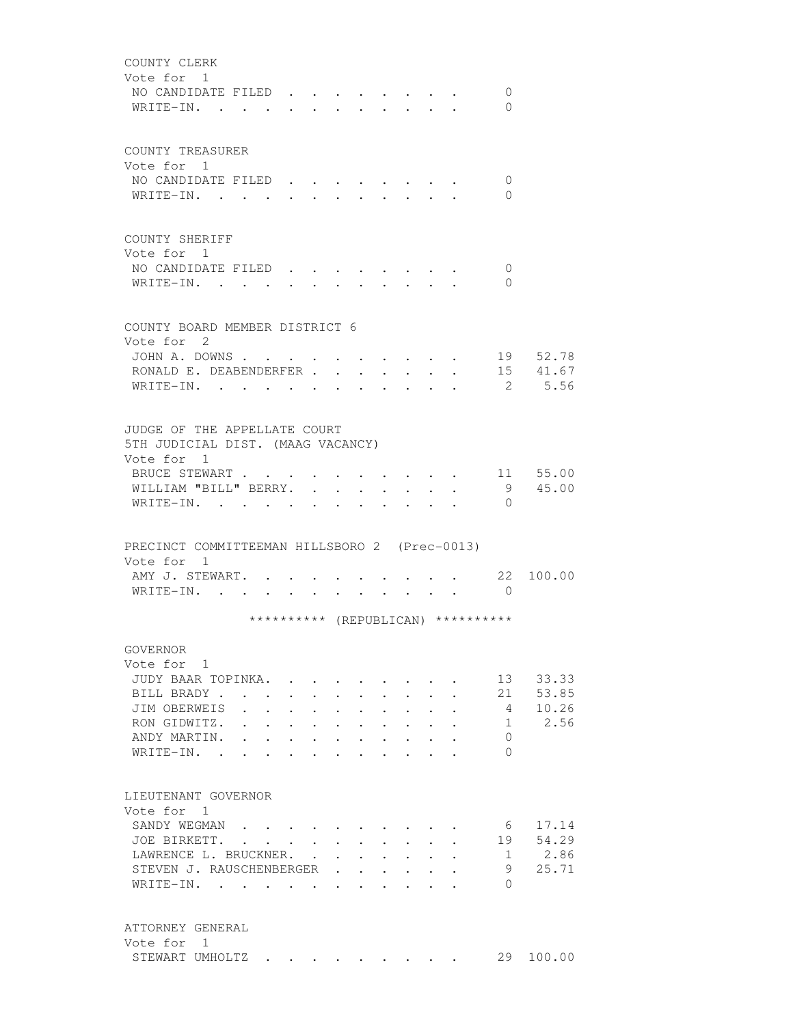| COUNTY CLERK<br>Vote for 1<br>NO CANDIDATE FILED<br>WRITE-IN.                               |                                                                          |                                                                          |               | $\cdot$ $\cdot$ $\cdot$ $\cdot$ |                                  |                                                             |                                                             |                               |                                          | $\mathbf{0}$<br>$\Omega$           |           |
|---------------------------------------------------------------------------------------------|--------------------------------------------------------------------------|--------------------------------------------------------------------------|---------------|---------------------------------|----------------------------------|-------------------------------------------------------------|-------------------------------------------------------------|-------------------------------|------------------------------------------|------------------------------------|-----------|
| COUNTY TREASURER<br>Vote for 1                                                              |                                                                          |                                                                          |               |                                 |                                  |                                                             |                                                             |                               |                                          |                                    |           |
| NO CANDIDATE FILED<br>WRITE-IN.                                                             |                                                                          |                                                                          |               |                                 |                                  |                                                             |                                                             |                               |                                          | 0<br>$\Omega$                      |           |
| COUNTY SHERIFF<br>Vote for 1                                                                |                                                                          |                                                                          |               |                                 |                                  |                                                             |                                                             |                               |                                          |                                    |           |
| NO CANDIDATE FILED.<br>WRITE-IN.                                                            |                                                                          |                                                                          |               |                                 |                                  |                                                             |                                                             |                               |                                          | 0<br>$\Omega$                      |           |
| COUNTY BOARD MEMBER DISTRICT 6<br>Vote for 2                                                |                                                                          |                                                                          |               |                                 |                                  |                                                             |                                                             |                               |                                          |                                    |           |
| JOHN A. DOWNS                                                                               |                                                                          |                                                                          |               |                                 |                                  |                                                             |                                                             |                               |                                          |                                    | 19 52.78  |
| RONALD E. DEABENDERFER                                                                      |                                                                          |                                                                          |               |                                 | $\ddot{\phantom{0}}$             | $\ddot{\phantom{0}}$                                        |                                                             |                               |                                          |                                    | 15 41.67  |
| $WRITE-IN.$ .                                                                               |                                                                          |                                                                          |               |                                 |                                  |                                                             |                                                             |                               |                                          |                                    | 2 5.56    |
| JUDGE OF THE APPELLATE COURT<br>5TH JUDICIAL DIST. (MAAG VACANCY)<br>Vote for 1             |                                                                          |                                                                          |               |                                 |                                  |                                                             |                                                             |                               |                                          |                                    | 11 55.00  |
| BRUCE STEWART                                                                               |                                                                          |                                                                          |               |                                 |                                  | <b>Contract Contract Contract</b>                           |                                                             |                               | $\mathbf{r} = \mathbf{r} + \mathbf{r}$ . |                                    | 9 45.00   |
| WILLIAM "BILL" BERRY.<br>WRITE-IN.                                                          |                                                                          |                                                                          |               |                                 | $\bullet$                        |                                                             |                                                             |                               |                                          | $\Omega$                           |           |
| PRECINCT COMMITTEEMAN HILLSBORO 2 (Prec-0013)<br>Vote for 1<br>AMY J. STEWART.<br>WRITE-IN. |                                                                          | $\bullet$ $\bullet$ $\bullet$ $\bullet$ $\bullet$ $\bullet$ $\bullet$    |               | $\cdot$ $\cdot$ $\cdot$ $\cdot$ |                                  |                                                             | $\sim$ $\sim$ $\sim$ $\sim$ $\sim$ $\sim$                   |                               |                                          | 22<br>$\overline{0}$               | 100.00    |
|                                                                                             |                                                                          |                                                                          |               |                                 |                                  |                                                             |                                                             |                               |                                          | ********** (REPUBLICAN) ********** |           |
| GOVERNOR<br>Vote for 1                                                                      |                                                                          |                                                                          |               |                                 |                                  |                                                             |                                                             |                               |                                          |                                    |           |
| JUDY BAAR TOPINKA. .                                                                        |                                                                          |                                                                          |               |                                 |                                  |                                                             |                                                             |                               |                                          | 13                                 | 33.33     |
| BILL BRADY.                                                                                 | $\sim$ $\sim$ $\sim$<br>$\ddot{\phantom{0}}$                             | $\mathbf{L}$                                                             |               | $\mathbf{r} = \mathbf{r}$       |                                  | $\mathbf{L} = \mathbf{L}$                                   |                                                             | $\mathbf{L} = \mathbf{L}$     | $\overline{a}$                           | 21                                 | 53.85     |
| JIM OBERWEIS                                                                                | <b>Contractor</b>                                                        | $\sim$                                                                   |               | $\mathbf{r} = \mathbf{r}$       |                                  | $\cdot$ $\cdot$                                             |                                                             | $\mathbf{r}$ and $\mathbf{r}$ |                                          | 4                                  | 10.26     |
| RON GIDWITZ.                                                                                |                                                                          | $\mathbf{r}$ , $\mathbf{r}$ , $\mathbf{r}$ , $\mathbf{r}$ , $\mathbf{r}$ |               |                                 |                                  | $\mathbf{r}$ and $\mathbf{r}$                               | $\ddot{\phantom{0}}$                                        | $\ddot{\phantom{0}}$          |                                          | 1                                  | 2.56      |
| ANDY MARTIN.                                                                                |                                                                          | $\mathbf{L}^{\text{max}}$ , and $\mathbf{L}^{\text{max}}$                | $\sim 100$    | $\ddot{\phantom{0}}$            | $\bullet$ . The set of $\bullet$ | $\bullet$ .<br><br><br><br><br><br><br><br><br><br><br><br> | $\bullet$ .<br><br><br><br><br><br><br><br><br><br><br><br> | $\bullet$                     |                                          | $\Omega$                           |           |
| WRITE-IN.<br>$\sim$                                                                         |                                                                          | $\ddot{\phantom{0}}$                                                     |               |                                 |                                  | $\bullet$                                                   | $\bullet$ .<br><br><br><br><br><br><br><br><br><br><br><br> |                               |                                          | $\Omega$                           |           |
| LIEUTENANT GOVERNOR                                                                         |                                                                          |                                                                          |               |                                 |                                  |                                                             |                                                             |                               |                                          |                                    |           |
| Vote for 1<br>SANDY WEGMAN                                                                  |                                                                          |                                                                          |               |                                 |                                  |                                                             |                                                             |                               |                                          | 6                                  | 17.14     |
| JOE BIRKETT.                                                                                | $\mathbf{r}$ , $\mathbf{r}$ , $\mathbf{r}$ , $\mathbf{r}$ , $\mathbf{r}$ |                                                                          |               |                                 |                                  | $\mathbf{r} = \mathbf{r}$                                   | $\sim$                                                      | $\mathbf{L}$                  |                                          | 19                                 | 54.29     |
| LAWRENCE L. BRUCKNER.                                                                       |                                                                          |                                                                          | $\sim$ $\sim$ | $\ddot{\phantom{0}}$            |                                  | $\cdot$ $\cdot$ $\cdot$                                     |                                                             | $\cdot$ $\cdot$ $\cdot$       | $\ddot{\phantom{a}}$                     | $\mathbf{1}$                       | 2.86      |
| STEVEN J. RAUSCHENBERGER                                                                    |                                                                          |                                                                          |               | $\ddot{\phantom{a}}$            | $\ddot{\phantom{0}}$             | $\ddot{\phantom{0}}$                                        | $\ddot{\phantom{0}}$                                        | $\ddot{\phantom{0}}$          |                                          | 9                                  | 25.71     |
| WRITE-IN.                                                                                   |                                                                          |                                                                          |               |                                 | $\ddot{\phantom{a}}$             | $\bullet$                                                   | $\ddot{\phantom{a}}$                                        |                               |                                          | $\bigcap$                          |           |
| ATTORNEY GENERAL<br>Vote for 1                                                              |                                                                          |                                                                          |               |                                 |                                  |                                                             |                                                             |                               |                                          |                                    |           |
|                                                                                             | STEWART UMHOLTZ.                                                         |                                                                          |               | $\sim$ $\sim$ $\sim$ $\sim$     |                                  |                                                             |                                                             |                               |                                          |                                    | 29 100.00 |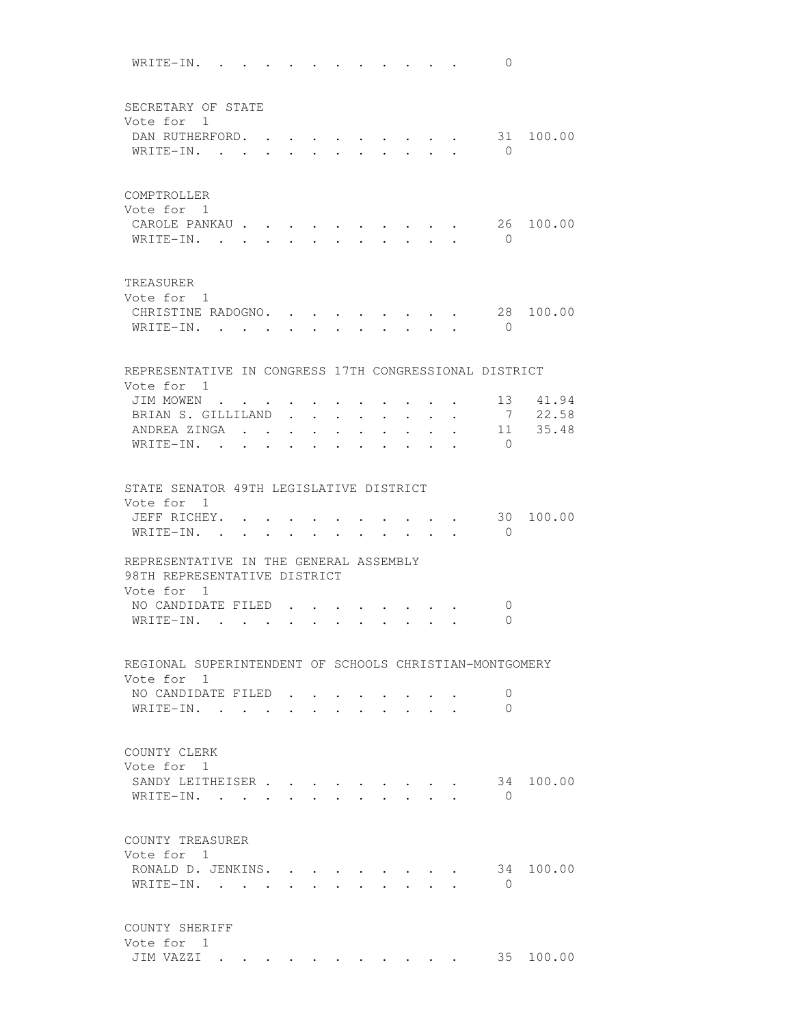WRITE-IN. . . . . . . . . . . . 0 SECRETARY OF STATE Vote for 1 DAN RUTHERFORD. . . . . . . . . . 31 100.00 WRITE-IN. . . . . . . . . . . . 0 COMPTROLLER Vote for 1 CAROLE PANKAU . . . . . . . . . . 26 100.00 WRITE-IN. . . . . . . . . . . 0 TREASURER Vote for 1 CHRISTINE RADOGNO. . . . . . . . . 28 100.00 WRITE-IN. . . . . . . . . . . 0 REPRESENTATIVE IN CONGRESS 17TH CONGRESSIONAL DISTRICT Vote for 1 JIM MOWEN . . . . . . . . . . . . 13 41.94 BRIAN S. GILLILAND . . . . . . . . 7 22.58 ANDREA ZINGA . . . . . . . . . . 11 35.48 WRITE-IN. . . . . . . . . . . 0 STATE SENATOR 49TH LEGISLATIVE DISTRICT Vote for 1<br>JEFF RICHEY. . . . . .  $\cdot$  . . . . . 30 100.00 WRITE-IN. . . . . . . . . . . 0 REPRESENTATIVE IN THE GENERAL ASSEMBLY 98TH REPRESENTATIVE DISTRICT Vote for 1 NO CANDIDATE FILED . . . . . . . . 0 WRITE-IN. . . . . . . . . . . . 0 REGIONAL SUPERINTENDENT OF SCHOOLS CHRISTIAN-MONTGOMERY Vote for 1 NO CANDIDATE FILED . . . . . . . 0 WRITE-IN. . . . . . . . . . . . 0 COUNTY CLERK Vote for 1 SANDY LEITHEISER . . . . . . . . . 34 100.00 WRITE-IN. . . . . . . . . . . 0 COUNTY TREASURER Vote for 1 RONALD D. JENKINS. . . . . . . . . 34 100.00 WRITE-IN. . . . . . . . . . . 0 COUNTY SHERIFF Vote for 1 JIM VAZZI . . . . . . . . . . . 35 100.00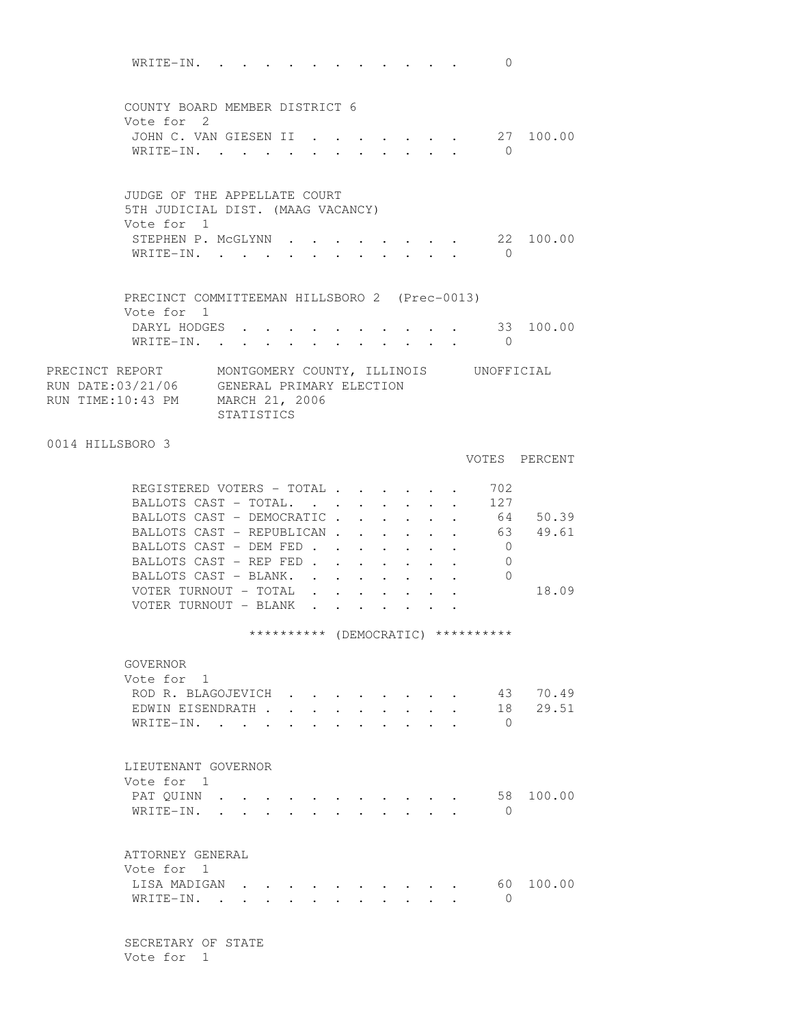WRITE-IN. . . . . . . . . . . . 0 COUNTY BOARD MEMBER DISTRICT 6 Vote for 2 JOHN C. VAN GIESEN II . . . . . . . 27 100.00 WRITE-IN. . . . . . . . . . . 0 JUDGE OF THE APPELLATE COURT 5TH JUDICIAL DIST. (MAAG VACANCY) Vote for 1 STEPHEN P. MCGLYNN . . . . . . . . 22 100.00 WRITE-IN. . . . . . . . . . . . 0 PRECINCT COMMITTEEMAN HILLSBORO 2 (Prec-0013) Vote for 1 DARYL HODGES . . . . . . . . . . 33 100.00 WRITE-IN. . . . . . . . . . . . 0 PRECINCT REPORT MONTGOMERY COUNTY, ILLINOIS UNOFFICIAL RUN DATE:03/21/06 GENERAL PRIMARY ELECTION RUN TIME:10:43 PM MARCH 21, 2006 STATISTICS 0014 HILLSBORO 3 VOTES PERCENT REGISTERED VOTERS - TOTAL . . . . . 702 BALLOTS CAST - TOTAL. . . . . . . . 127 BALLOTS CAST - DEMOCRATIC . . . . . . 64 50.39 BALLOTS CAST - REPUBLICAN . . . . . . 63 49.61 BALLOTS CAST - DEM FED . . . . . . . 0 BALLOTS CAST - REP FED . . . . . . . 0 BALLOTS CAST - BLANK. . . . . . . . 0 VOTER TURNOUT - TOTAL . . . . . . . . 18.09 VOTER TURNOUT - BLANK . . . . . . \*\*\*\*\*\*\*\*\*\* (DEMOCRATIC) \*\*\*\*\*\*\*\*\*\* GOVERNOR Vote for 1 ROD R. BLAGOJEVICH . . . . . . . . 43 70.49<br>EDWIN EISENDRATH . . . . . . . . . 18 29.51 EDWIN EISENDRATH . . . . . . . . . WRITE-IN. . . . . . . . . . . 0 LIEUTENANT GOVERNOR Vote for 1 PAT QUINN . . . . . . . . . . . . 58 100.00 WRITE-IN. . . . . . . . . . . . 0 ATTORNEY GENERAL Vote for 1 LISA MADIGAN . . . . . . . . . . 60 100.00  $\texttt{WRITE-IN.}$  . . . . . . . . . . 0 SECRETARY OF STATE

Vote for 1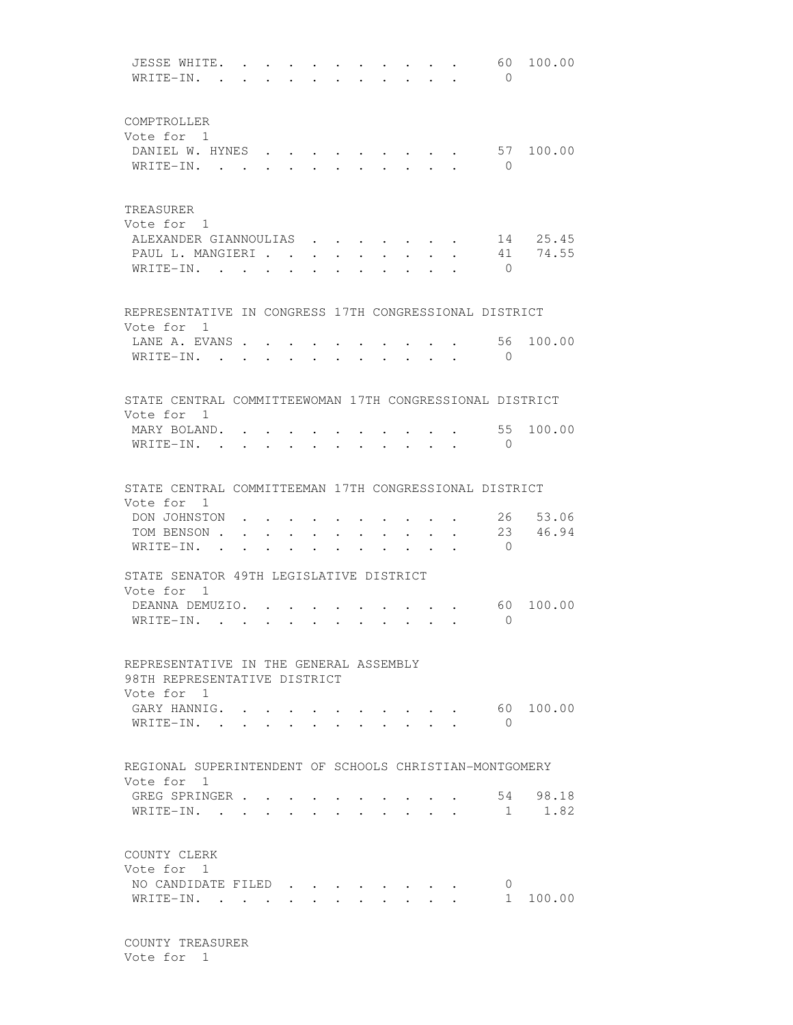JESSE WHITE. . . . . . . . . . . 60 100.00 WRITE-IN. . . . . . . . . . . . 0 COMPTROLLER Vote for 1 DANIEL W. HYNES . . . . . . . . . 57 100.00 WRITE-IN. . . . . . . . . . . 0 TREASURER Vote for 1 ALEXANDER GIANNOULIAS . . . . . . . 14 25.45 PAUL L. MANGIERI . . . . . . . . . 41 74.55 WRITE-IN. . . . . . . . . . . . 0 REPRESENTATIVE IN CONGRESS 17TH CONGRESSIONAL DISTRICT Vote for 1 LANE A. EVANS . . . . . . . . . . . 56 100.00 WRITE-IN. . . . . . . . . . . . 0 STATE CENTRAL COMMITTEEWOMAN 17TH CONGRESSIONAL DISTRICT Vote for 1 MARY BOLAND. . . . . . . . . . . 55 100.00 WRITE-IN. . . . . . . . . . . . 0 STATE CENTRAL COMMITTEEMAN 17TH CONGRESSIONAL DISTRICT Vote for 1 DON JOHNSTON . . . . . . . . . . 26 53.06 TOM BENSON . . . . . . . . . . . 23 46.94 WRITE-IN. . . . . . . . . . . 0 STATE SENATOR 49TH LEGISLATIVE DISTRICT Vote for 1 DEANNA DEMUZIO. . . . . . . . . . . 60 100.00 WRITE-IN. . . . . . . . . . . 0 REPRESENTATIVE IN THE GENERAL ASSEMBLY 98TH REPRESENTATIVE DISTRICT Vote for 1 GARY HANNIG. . . . . . . . . . . . 60 100.00 WRITE-IN. . . . . . . . . . . 0 REGIONAL SUPERINTENDENT OF SCHOOLS CHRISTIAN-MONTGOMERY Vote for 1 GREG SPRINGER . . . . . . . . . . . 54 98.18<br>WRITE-IN. . . . . . . . . . . . 1 1.82 WRITE-IN. . . . . . . . . . . . COUNTY CLERK Vote for 1 NO CANDIDATE FILED . . . . . . . 0 WRITE-IN. . . . . . . . . . . . . . . 1 100.00

 COUNTY TREASURER Vote for 1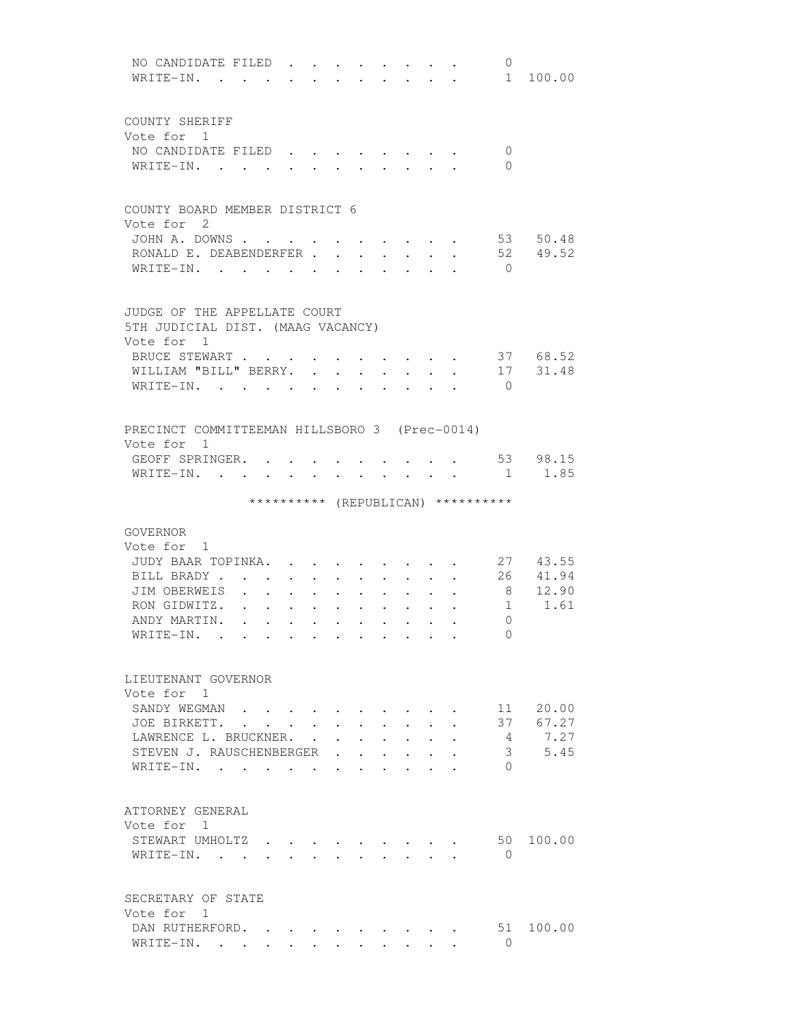| NO CANDIDATE FILED.<br>0<br>$W$ RITE-IN.<br>1 100.00                                                                                         |  |
|----------------------------------------------------------------------------------------------------------------------------------------------|--|
|                                                                                                                                              |  |
| COUNTY SHERIFF                                                                                                                               |  |
| Vote for 1                                                                                                                                   |  |
| NO CANDIDATE FILED<br>0                                                                                                                      |  |
| $W$ RITE-IN<br>$\Omega$<br>and the contract of the                                                                                           |  |
|                                                                                                                                              |  |
| COUNTY BOARD MEMBER DISTRICT 6                                                                                                               |  |
| Vote for 2                                                                                                                                   |  |
| 53 50.48<br>JOHN A. DOWNS<br>and the state of the state of the state of the state of the state of the state of the state of the state of the |  |
| RONALD E. DEABENDERFER.<br>52 49.52<br>$\mathbf{L}$<br>$\mathbf{r} = \mathbf{r}$<br>$\ddot{\phantom{0}}$                                     |  |
| WRITE-IN.<br>$\bigcirc$<br>$\ddot{\phantom{0}}$<br>$\ddot{\phantom{a}}$<br>$\ddot{\phantom{0}}$<br>$\bullet$                                 |  |
|                                                                                                                                              |  |
| JUDGE OF THE APPELLATE COURT                                                                                                                 |  |
| 5TH JUDICIAL DIST. (MAAG VACANCY)                                                                                                            |  |
| Vote for 1                                                                                                                                   |  |
| BRUCE STEWART<br>37 68.52<br>$\ddot{\phantom{a}}$<br>$\sim$ $\sim$                                                                           |  |
| 17 31.48<br>WILLIAM "BILL" BERRY.<br>$\ddot{\phantom{0}}$<br>$\cdot$ $\cdot$<br>$\ddot{\phantom{a}}$<br>$\mathbf{L}$                         |  |
| WRITE-IN.<br>$\bigcirc$<br><b>Contract Contract</b>                                                                                          |  |
|                                                                                                                                              |  |
| PRECINCT COMMITTEEMAN HILLSBORO 3 (Prec-0014)                                                                                                |  |
| Vote for 1                                                                                                                                   |  |
| 53 98.15<br>GEOFF SPRINGER.                                                                                                                  |  |
| 1.85<br>WRITE-IN. .<br>1                                                                                                                     |  |
| ********** (REPUBLICAN) **********                                                                                                           |  |
|                                                                                                                                              |  |
| GOVERNOR                                                                                                                                     |  |
| Vote for 1                                                                                                                                   |  |
| 27 43.55<br>JUDY BAAR TOPINKA.                                                                                                               |  |
| 41.94<br>26<br>BILL BRADY.                                                                                                                   |  |
| 12.90<br>JIM OBERWEIS<br>8                                                                                                                   |  |
| $1 \t 1.61$<br>RON GIDWITZ.                                                                                                                  |  |
| ANDY MARTIN.<br>$\Omega$<br>$\cdot$<br>$\cdot$<br>$\ddot{\phantom{0}}$<br>$\ddot{\phantom{a}}$<br>$\ddot{\phantom{a}}$                       |  |
| WRITE-IN.<br>$\Omega$<br>the contract of the contract of the                                                                                 |  |
|                                                                                                                                              |  |
| LIEUTENANT GOVERNOR                                                                                                                          |  |
| Vote for 1                                                                                                                                   |  |
| 11 20.00<br>SANDY WEGMAN<br>$\cdot$ $\cdot$ $\cdot$ $\cdot$ $\cdot$                                                                          |  |
| 67.27<br>JOE BIRKETT.<br>37<br>$\mathbf{L}$<br>$\mathbf{L}^{\text{max}}$<br>$\ddot{\phantom{0}}$<br>$\ddot{\phantom{0}}$                     |  |
| 7.27<br>LAWRENCE L. BRUCKNER.<br>4<br>$\sim$ $\sim$<br>$\mathbf{L}$<br>$\ddot{\phantom{0}}$<br>$\sim$                                        |  |
| 3, 5.45<br>STEVEN J. RAUSCHENBERGER                                                                                                          |  |
| WRITE-IN.<br>$\Omega$                                                                                                                        |  |
|                                                                                                                                              |  |
| ATTORNEY GENERAL                                                                                                                             |  |
| Vote for 1                                                                                                                                   |  |
| 50 100.00<br>STEWART UMHOLTZ .                                                                                                               |  |
| WRITE-IN.<br>$\Omega$                                                                                                                        |  |
|                                                                                                                                              |  |
| SECRETARY OF STATE                                                                                                                           |  |
| Vote for 1                                                                                                                                   |  |
| DAN RUTHERFORD.<br>51<br>100.00                                                                                                              |  |
| $\Omega$<br>WRITE-IN.                                                                                                                        |  |
|                                                                                                                                              |  |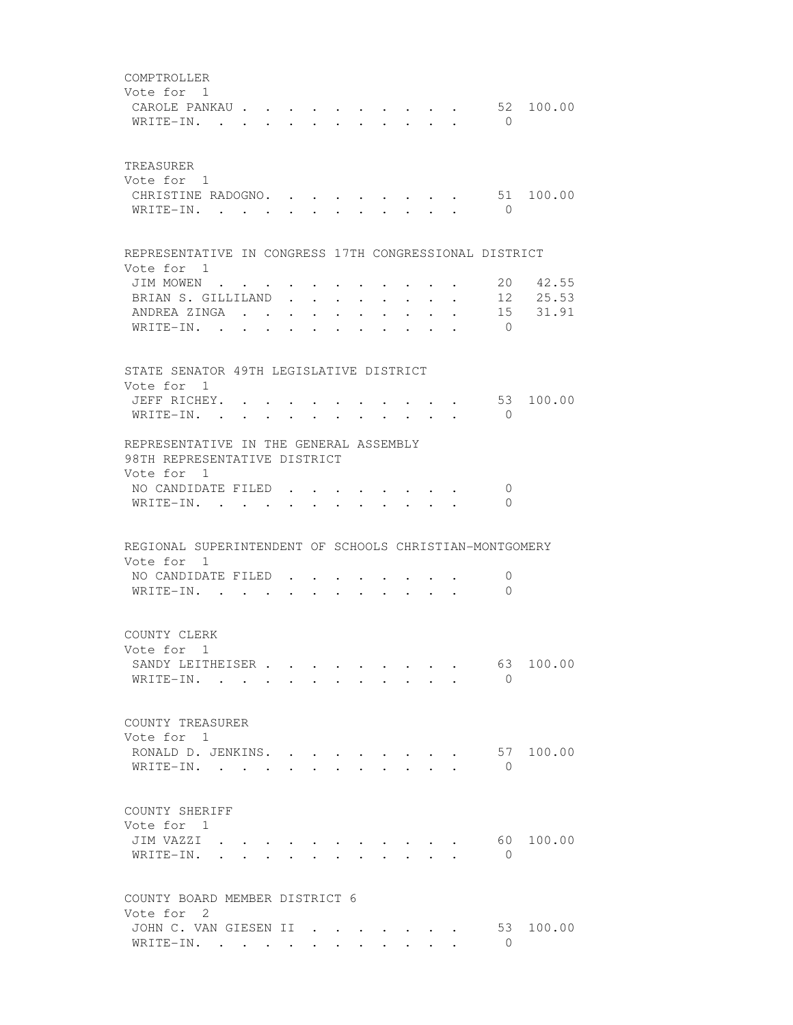| COMPTROLLER<br>Vote for 1<br>CAROLE PANKAU<br>WRITE-IN.                                                                 |                      |                                                             |                                                                                                                                                                                                                                |                                                             |                                          |                                                 |                                                           | $\mathbf{r}$ , and $\mathbf{r}$ , and $\mathbf{r}$ , and $\mathbf{r}$ | $\bigcirc$                                                       | 52 100.00                     |
|-------------------------------------------------------------------------------------------------------------------------|----------------------|-------------------------------------------------------------|--------------------------------------------------------------------------------------------------------------------------------------------------------------------------------------------------------------------------------|-------------------------------------------------------------|------------------------------------------|-------------------------------------------------|-----------------------------------------------------------|-----------------------------------------------------------------------|------------------------------------------------------------------|-------------------------------|
| TREASURER<br>Vote for 1<br>CHRISTINE RADOGNO. .<br>WRITE-IN.                                                            | $\sim$               |                                                             |                                                                                                                                                                                                                                |                                                             |                                          |                                                 |                                                           |                                                                       | $\bigcirc$                                                       | 51 100.00                     |
| REPRESENTATIVE IN CONGRESS 17TH CONGRESSIONAL DISTRICT<br>Vote for 1                                                    |                      |                                                             |                                                                                                                                                                                                                                |                                                             |                                          |                                                 |                                                           |                                                                       |                                                                  |                               |
| JIM MOWEN<br>BRIAN S. GILLILAND<br>ANDREA ZINGA<br>WRITE-IN. .                                                          | $\ddot{\phantom{0}}$ | $\bullet$ .<br><br><br><br><br><br><br><br><br><br><br><br> | $\bullet$ .                                                                                                                                                                                                                    | <b>Service Control</b>                                      | $\bullet$ . In the case of the $\bullet$ |                                                 |                                                           | $\bullet$                                                             | 20<br>$\bigcirc$                                                 | 42.55<br>12 25.53<br>15 31.91 |
| STATE SENATOR 49TH LEGISLATIVE DISTRICT                                                                                 |                      |                                                             |                                                                                                                                                                                                                                |                                                             |                                          |                                                 |                                                           |                                                                       |                                                                  |                               |
| Vote for 1<br>JEFF RICHEY.<br>WRITE-IN.                                                                                 |                      |                                                             |                                                                                                                                                                                                                                |                                                             |                                          |                                                 |                                                           |                                                                       | $\cdot$ $\cdot$ $\cdot$ $\cdot$ $\cdot$ $\cdot$ 53<br>$\bigcirc$ | 100.00                        |
| REPRESENTATIVE IN THE GENERAL ASSEMBLY<br>98TH REPRESENTATIVE DISTRICT<br>Vote for 1<br>NO CANDIDATE FILED<br>WRITE-IN. |                      |                                                             | $\sim$                                                                                                                                                                                                                         | $\bullet$ . The set of $\bullet$                            | $\cdot$ $\cdot$                          |                                                 | $\mathbf{r}$ , $\mathbf{r}$ , $\mathbf{r}$ , $\mathbf{r}$ |                                                                       | 0<br>$\Omega$                                                    |                               |
| REGIONAL SUPERINTENDENT OF SCHOOLS CHRISTIAN-MONTGOMERY                                                                 |                      |                                                             |                                                                                                                                                                                                                                |                                                             |                                          |                                                 |                                                           |                                                                       |                                                                  |                               |
| Vote for 1<br>NO CANDIDATE FILED<br>WRITE-IN. .                                                                         |                      |                                                             |                                                                                                                                                                                                                                |                                                             |                                          |                                                 |                                                           |                                                                       | $\mathbf 0$<br>$\Omega$                                          |                               |
| COUNTY CLERK<br>Vote for 1<br>SANDY LEITHEISER<br>$W$ RITE-IN                                                           |                      |                                                             | $\sim$ 100 $\sim$                                                                                                                                                                                                              | $\bullet$ .<br><br><br><br><br><br><br><br><br><br><br><br> |                                          | $\cdot$ $\cdot$ $\cdot$ $\cdot$ $\cdot$ $\cdot$ |                                                           |                                                                       | 63<br>$\Omega$                                                   | 100.00                        |
| COUNTY TREASURER<br>Vote for 1<br>RONALD D. JENKINS.<br>WRITE-IN.                                                       |                      |                                                             |                                                                                                                                                                                                                                |                                                             |                                          | $\sim$                                          |                                                           |                                                                       | 57<br>$\Omega$                                                   | 100.00                        |
| COUNTY SHERIFF<br>Vote for 1<br>JIM VAZZI .<br>WRITE-IN.                                                                | $\ddot{\phantom{a}}$ |                                                             |                                                                                                                                                                                                                                |                                                             |                                          |                                                 |                                                           |                                                                       | $\mathbf{0}$                                                     | 60 100.00                     |
| COUNTY BOARD MEMBER DISTRICT 6<br>Vote for 2                                                                            |                      |                                                             |                                                                                                                                                                                                                                |                                                             |                                          |                                                 |                                                           |                                                                       |                                                                  |                               |
| JOHN C. VAN GIESEN II<br>WRITE-IN.                                                                                      |                      |                                                             | in the contract of the contract of the contract of the contract of the contract of the contract of the contract of the contract of the contract of the contract of the contract of the contract of the contract of the contrac |                                                             | $\cdot$ $\cdot$ $\cdot$                  | $\sim$                                          |                                                           |                                                                       | 53<br>$\Omega$                                                   | 100.00                        |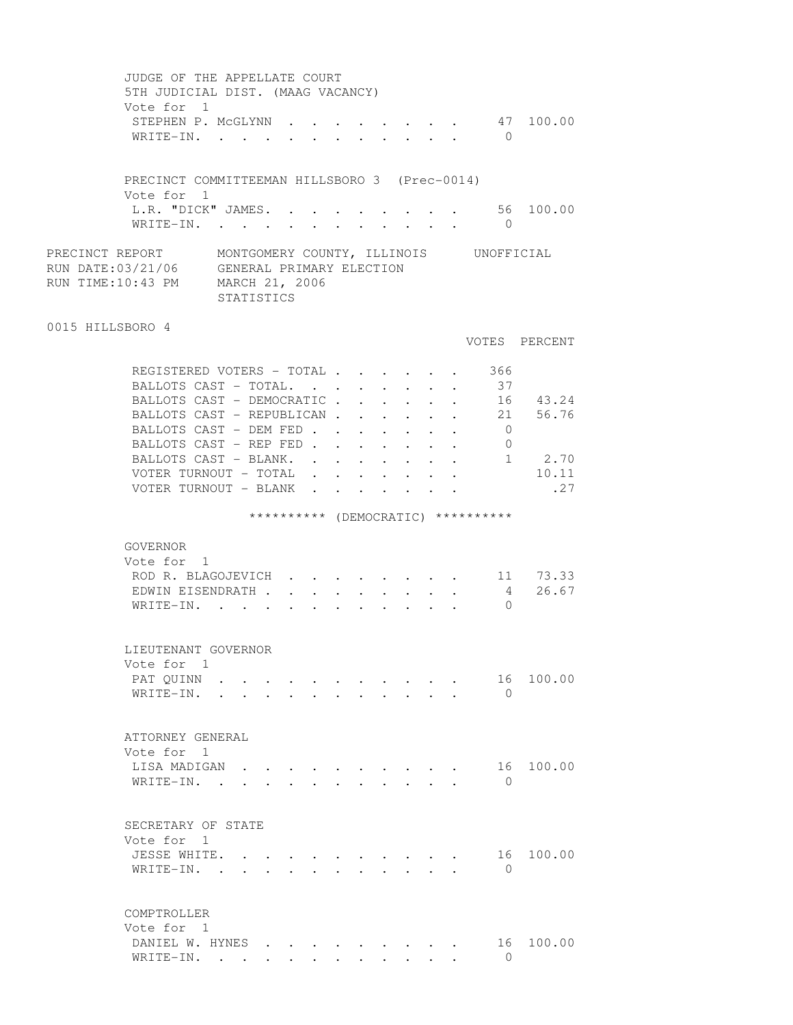JUDGE OF THE APPELLATE COURT 5TH JUDICIAL DIST. (MAAG VACANCY) Vote for 1 STEPHEN P. MCGLYNN . . . . . . . . 47 100.00 WRITE-IN. . . . . . . . . . . 0 PRECINCT COMMITTEEMAN HILLSBORO 3 (Prec-0014) Vote for 1 L.R. "DICK" JAMES. . . . . . . . . 56 100.00 WRITE-IN. . . . . . . . . . . 0 PRECINCT REPORT MONTGOMERY COUNTY, ILLINOIS UNOFFICIAL RUN DATE:03/21/06 GENERAL PRIMARY ELECTION RUN TIME:10:43 PM MARCH 21, 2006 STATISTICS 0015 HILLSBORO 4 VOTES PERCENT REGISTERED VOTERS - TOTAL . . . . . . 366 BALLOTS CAST - TOTAL. . . . . . . . 37 BALLOTS CAST - DEMOCRATIC . . . . . . 16 43.24 BALLOTS CAST - REPUBLICAN . . . . . 21 56.76 BALLOTS CAST - DEM FED . . . . . . . 0 BALLOTS CAST - REP FED . . . . . . . 0 BALLOTS CAST - BLANK. . . . . . . . 1 2.70 VOTER TURNOUT - TOTAL . . . . . . . 10.11 VOTER TURNOUT - BLANK . . . . . . . . . . 27 \*\*\*\*\*\*\*\*\*\*\* (DEMOCRATIC) \*\*\*\*\*\*\*\*\*\* GOVERNOR Vote for 1 ROD R. BLAGOJEVICH  $\cdots$  . . . . . . 11 73.33 EDWIN EISENDRATH . . . . . . . . . 4 26.67<br>WRITE-IN. . . . . . . . . . . . 0 WRITE-IN. . . . . . . . . . . . LIEUTENANT GOVERNOR Vote for 1 PAT QUINN . . . . . . . . . . . . 16 100.00 WRITE-IN. . . . . . . . . . . 0 ATTORNEY GENERAL Vote for 1 LISA MADIGAN . . . . . . . . . . 16 100.00 WRITE-IN. . . . . . . . . . . . 0 SECRETARY OF STATE Vote for 1 JESSE WHITE. . . . . . . . . . . 16 100.00 WRITE-IN. . . . . . . . . . . 0 COMPTROLLER Vote for 1 DANIEL W. HYNES . . . . . . . . . 16 100.00<br>WRITE-IN WRITE-IN. . . . . . . . . . . . 0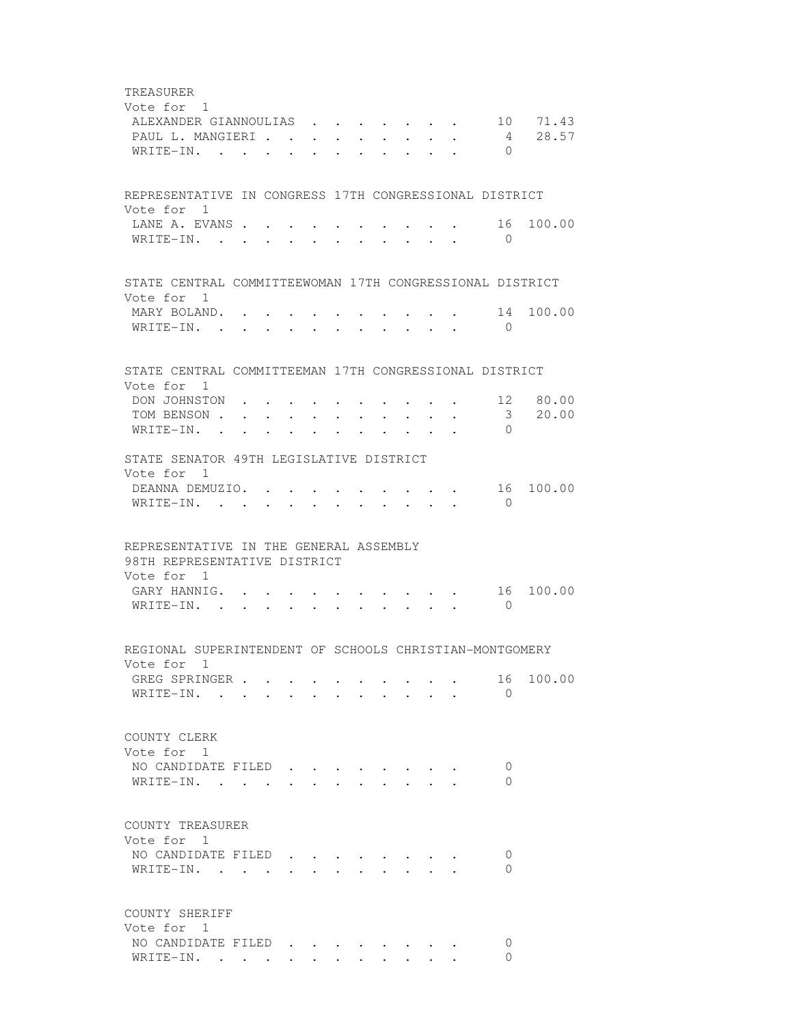TREASURER Vote for 1 ALEXANDER GIANNOULIAS . . . . . . . 10 71.43 PAUL L. MANGIERI . . . . . . . . . 4 28.57 WRITE-IN. . . . . . . . . . . . 0 REPRESENTATIVE IN CONGRESS 17TH CONGRESSIONAL DISTRICT Vote for 1 LANE A. EVANS . . . . . . . . . . . 16 100.00 WRITE-IN. . . . . . . . . . . 0 STATE CENTRAL COMMITTEEWOMAN 17TH CONGRESSIONAL DISTRICT Vote for 1 MARY BOLAND. . . . . . . . . . . 14 100.00 WRITE-IN. . . . . . . . . . . . 0 STATE CENTRAL COMMITTEEMAN 17TH CONGRESSIONAL DISTRICT Vote for 1 DON JOHNSTON . . . . . . . . . . 12 80.00 TOM BENSON . . . . . . . . . . . . 3 20.00 WRITE-IN. . . . . . . . . . . 0 STATE SENATOR 49TH LEGISLATIVE DISTRICT Vote for 1 DEANNA DEMUZIO. . . . . . . . . . 16 100.00 WRITE-IN. . . . . . . . . . . 0 REPRESENTATIVE IN THE GENERAL ASSEMBLY 98TH REPRESENTATIVE DISTRICT Vote for 1 GARY HANNIG. . . . . . . . . . . 16 100.00 WRITE-IN. . . . . . . . . . . . 0 REGIONAL SUPERINTENDENT OF SCHOOLS CHRISTIAN-MONTGOMERY Vote for 1 GREG SPRINGER . . . . . . . . . . 16 100.00 WRITE-IN. . . . . . . . . . . 0 COUNTY CLERK Vote for 1 NO CANDIDATE FILED . . . . . . . . 0 WRITE-IN. . . . . . . . . . . . 0 COUNTY TREASURER Vote for 1 NO CANDIDATE FILED . . . . . . . . 0 WRITE-IN. . . . . . . . . . . 0 COUNTY SHERIFF Vote for 1 NO CANDIDATE FILED . . . . . . . . 0 WRITE-IN. . . . . . . . . . . . 0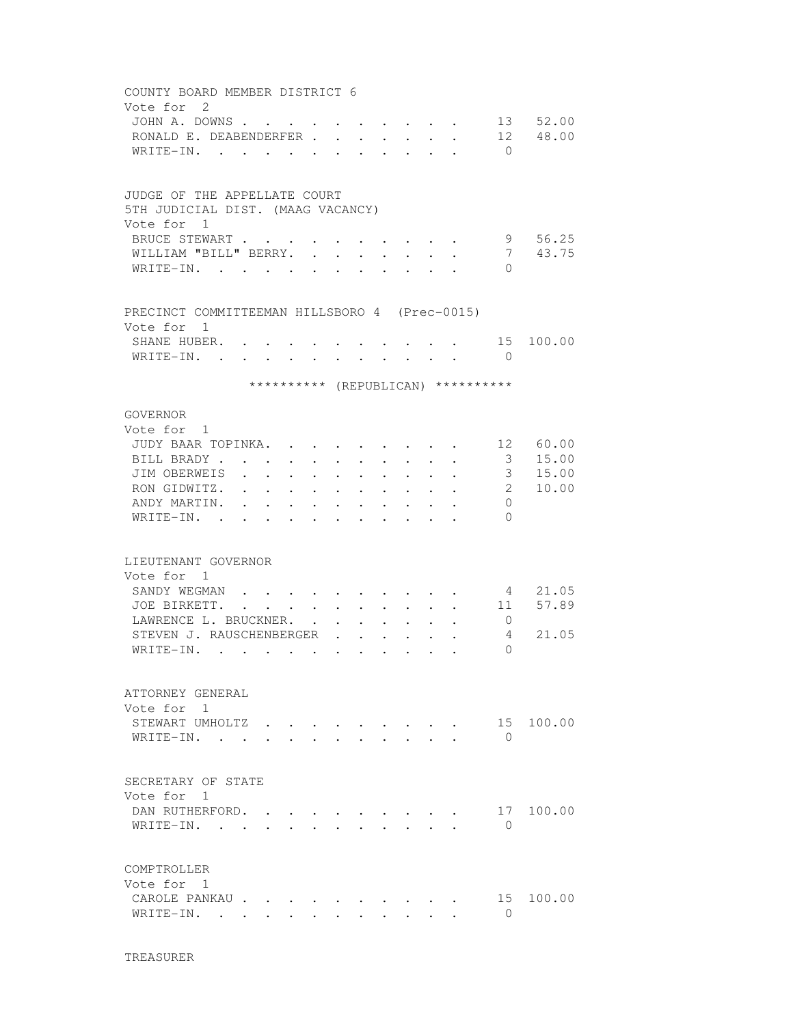| COUNTY BOARD MEMBER DISTRICT 6                |                      |                                                                          |                                                                                                                                                     |                      |                                                |               |                      |                           |                                    |             |
|-----------------------------------------------|----------------------|--------------------------------------------------------------------------|-----------------------------------------------------------------------------------------------------------------------------------------------------|----------------------|------------------------------------------------|---------------|----------------------|---------------------------|------------------------------------|-------------|
| Vote for 2                                    |                      |                                                                          |                                                                                                                                                     |                      |                                                |               |                      |                           |                                    |             |
| JOHN A. DOWNS                                 |                      |                                                                          | $\mathbf{r} = \mathbf{r} + \mathbf{r} + \mathbf{r}$ .                                                                                               |                      |                                                |               |                      |                           |                                    | 13 52.00    |
| RONALD E. DEABENDERFER                        |                      |                                                                          |                                                                                                                                                     |                      |                                                |               | <b>Service</b> State | $\sim$                    |                                    | 12 48.00    |
| WRITE-IN.                                     |                      |                                                                          |                                                                                                                                                     |                      |                                                | $\sim$ $\sim$ |                      | $\mathbf{L} = \mathbf{L}$ | $\bigcirc$                         |             |
|                                               |                      |                                                                          |                                                                                                                                                     |                      |                                                |               |                      |                           |                                    |             |
|                                               |                      |                                                                          |                                                                                                                                                     |                      |                                                |               |                      |                           |                                    |             |
| JUDGE OF THE APPELLATE COURT                  |                      |                                                                          |                                                                                                                                                     |                      |                                                |               |                      |                           |                                    |             |
| 5TH JUDICIAL DIST. (MAAG VACANCY)             |                      |                                                                          |                                                                                                                                                     |                      |                                                |               |                      |                           |                                    |             |
| Vote for 1                                    |                      |                                                                          |                                                                                                                                                     |                      |                                                |               |                      |                           |                                    |             |
| BRUCE STEWART                                 |                      |                                                                          | $\cdot$ $\cdot$ $\cdot$                                                                                                                             |                      |                                                |               |                      |                           |                                    | 9 56.25     |
| WILLIAM "BILL" BERRY.                         |                      |                                                                          | $\sim$<br>$\mathbf{r}$                                                                                                                              |                      |                                                |               |                      |                           | 7                                  | 43.75       |
| WRITE-IN.                                     |                      |                                                                          |                                                                                                                                                     |                      |                                                |               |                      |                           | $\Omega$                           |             |
|                                               |                      |                                                                          |                                                                                                                                                     |                      |                                                |               |                      |                           |                                    |             |
| PRECINCT COMMITTEEMAN HILLSBORO 4 (Prec-0015) |                      |                                                                          |                                                                                                                                                     |                      |                                                |               |                      |                           |                                    |             |
| Vote for 1                                    |                      |                                                                          |                                                                                                                                                     |                      |                                                |               |                      |                           |                                    |             |
| SHANE HUBER.                                  |                      |                                                                          |                                                                                                                                                     |                      |                                                |               |                      |                           |                                    | . 15 100.00 |
| WRITE-IN. .                                   |                      |                                                                          | $\mathbf{r} = \mathbf{r} \times \mathbf{r}$ , where $\mathbf{r} = \mathbf{r} \times \mathbf{r}$ , where $\mathbf{r} = \mathbf{r} \times \mathbf{r}$ |                      |                                                |               |                      |                           | $\bigcirc$                         |             |
|                                               |                      |                                                                          |                                                                                                                                                     |                      |                                                |               |                      |                           |                                    |             |
|                                               |                      |                                                                          |                                                                                                                                                     |                      |                                                |               |                      |                           | ********** (REPUBLICAN) ********** |             |
|                                               |                      |                                                                          |                                                                                                                                                     |                      |                                                |               |                      |                           |                                    |             |
| GOVERNOR                                      |                      |                                                                          |                                                                                                                                                     |                      |                                                |               |                      |                           |                                    |             |
| Vote for 1                                    |                      |                                                                          |                                                                                                                                                     |                      |                                                |               |                      |                           |                                    |             |
| JUDY BAAR TOPINKA.                            |                      |                                                                          | $\mathbf{a}$ , and $\mathbf{a}$ , and $\mathbf{a}$                                                                                                  |                      |                                                |               |                      |                           |                                    | . 12 60.00  |
| BILL BRADY                                    | $\sim$ $\sim$        |                                                                          |                                                                                                                                                     |                      |                                                |               |                      | $\mathbf{L}^{\text{max}}$ | 3 <sup>7</sup>                     | 15.00       |
| JIM OBERWEIS .                                | $\sim$ $\sim$        | $\ddot{\phantom{0}}$                                                     | $\ddot{\phantom{0}}$<br>$\ddot{\phantom{a}}$                                                                                                        | $\ddot{\phantom{0}}$ |                                                |               |                      | $\ddot{\phantom{0}}$      | 3 <sup>7</sup>                     | 15.00       |
| RON GIDWITZ.                                  | $\ddot{\phantom{0}}$ | $\ddot{\phantom{0}}$                                                     | $\sim$<br>$\bullet$                                                                                                                                 |                      |                                                |               |                      |                           | $2^{\circ}$                        | 10.00       |
| ANDY MARTIN.                                  |                      |                                                                          |                                                                                                                                                     |                      |                                                |               |                      |                           | $\circ$                            |             |
| WRITE-IN. .                                   |                      |                                                                          |                                                                                                                                                     |                      |                                                |               |                      |                           | $\Omega$                           |             |
|                                               |                      |                                                                          |                                                                                                                                                     |                      |                                                |               |                      |                           |                                    |             |
| LIEUTENANT GOVERNOR                           |                      |                                                                          |                                                                                                                                                     |                      |                                                |               |                      |                           |                                    |             |
| Vote for 1                                    |                      |                                                                          |                                                                                                                                                     |                      |                                                |               |                      |                           |                                    |             |
| SANDY WEGMAN                                  |                      |                                                                          |                                                                                                                                                     |                      |                                                |               |                      |                           |                                    | 4 21.05     |
| JOE BIRKETT. .                                |                      | $\mathbf{r} = \mathbf{r} + \mathbf{r}$ , where $\mathbf{r} = \mathbf{r}$ |                                                                                                                                                     |                      |                                                |               |                      |                           | 11                                 | 57.89       |
| LAWRENCE L. BRUCKNER.                         |                      |                                                                          |                                                                                                                                                     |                      |                                                |               |                      |                           | $\overline{0}$                     |             |
| STEVEN J. RAUSCHENBERGER                      |                      |                                                                          | $\mathbf{r}$                                                                                                                                        |                      |                                                |               |                      |                           | 4                                  | 21.05       |
| WRITE-IN.                                     | $\ddot{\phantom{a}}$ | <b>Contract Contract Contract</b>                                        |                                                                                                                                                     |                      |                                                |               |                      |                           | $\Omega$                           |             |
|                                               |                      |                                                                          |                                                                                                                                                     |                      |                                                |               |                      |                           |                                    |             |
|                                               |                      |                                                                          |                                                                                                                                                     |                      |                                                |               |                      |                           |                                    |             |
| ATTORNEY GENERAL                              |                      |                                                                          |                                                                                                                                                     |                      |                                                |               |                      |                           |                                    |             |
| Vote for 1                                    |                      |                                                                          |                                                                                                                                                     |                      |                                                |               |                      |                           |                                    |             |
| STEWART UMHOLTZ                               |                      |                                                                          |                                                                                                                                                     |                      |                                                |               |                      |                           | 15                                 | 100.00      |
| WRITE-IN.                                     |                      |                                                                          |                                                                                                                                                     |                      |                                                |               |                      |                           | $\Omega$                           |             |
|                                               |                      |                                                                          |                                                                                                                                                     |                      |                                                |               |                      |                           |                                    |             |
| SECRETARY OF STATE                            |                      |                                                                          |                                                                                                                                                     |                      |                                                |               |                      |                           |                                    |             |
| Vote for 1                                    |                      |                                                                          |                                                                                                                                                     |                      |                                                |               |                      |                           |                                    |             |
| DAN RUTHERFORD.                               |                      |                                                                          |                                                                                                                                                     |                      |                                                |               |                      |                           |                                    | 17 100.00   |
|                                               |                      |                                                                          |                                                                                                                                                     |                      |                                                |               |                      |                           | $\Omega$                           |             |
| WRITE-IN.                                     |                      |                                                                          |                                                                                                                                                     |                      | $\mathbf{r}$ and $\mathbf{r}$ and $\mathbf{r}$ |               |                      |                           |                                    |             |
|                                               |                      |                                                                          |                                                                                                                                                     |                      |                                                |               |                      |                           |                                    |             |
| COMPTROLLER                                   |                      |                                                                          |                                                                                                                                                     |                      |                                                |               |                      |                           |                                    |             |
| Vote for 1                                    |                      |                                                                          |                                                                                                                                                     |                      |                                                |               |                      |                           |                                    |             |
| CAROLE PANKAU                                 |                      |                                                                          |                                                                                                                                                     |                      |                                                |               |                      |                           | 15                                 | 100.00      |
| WRITE-IN. .                                   | $\sim$               |                                                                          |                                                                                                                                                     |                      |                                                |               |                      |                           | $\Omega$                           |             |
|                                               |                      |                                                                          |                                                                                                                                                     |                      |                                                |               |                      |                           |                                    |             |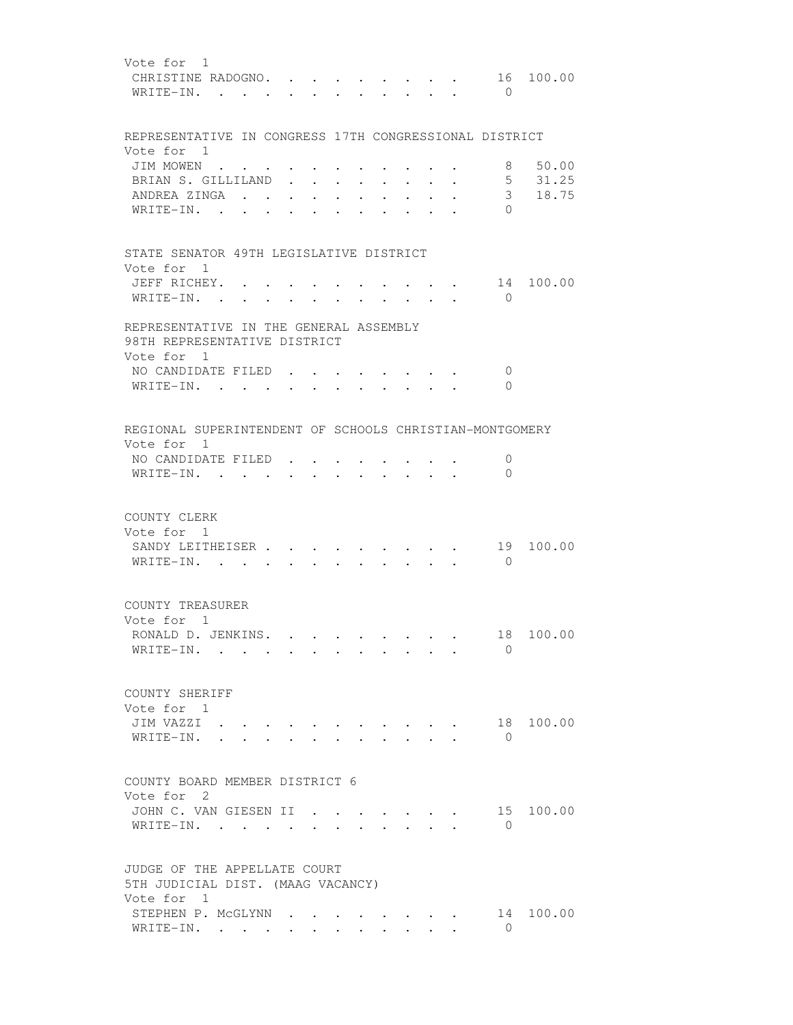| Vote for 1<br>CHRISTINE RADOGNO. .<br>16 100.00<br>WRITE-IN. .<br>$\bigcirc$                                                                  |  |
|-----------------------------------------------------------------------------------------------------------------------------------------------|--|
| REPRESENTATIVE IN CONGRESS 17TH CONGRESSIONAL DISTRICT                                                                                        |  |
| Vote for 1                                                                                                                                    |  |
| 50.00<br>JIM MOWEN<br>8                                                                                                                       |  |
| 5 31.25<br>BRIAN S. GILLILAND<br>$\mathbf{L}^{\text{max}}$ , where $\mathbf{L}^{\text{max}}$<br>$\bullet$                                     |  |
| 3 <sup>7</sup><br>18.75<br>ANDREA ZINGA .<br>$\cdot$                                                                                          |  |
| WRITE-IN. .<br>$\Omega$                                                                                                                       |  |
| STATE SENATOR 49TH LEGISLATIVE DISTRICT                                                                                                       |  |
| Vote for 1<br>JEFF RICHEY. .<br>$\cdot$ $\cdot$ $\frac{14}{1}$<br>100.00                                                                      |  |
| WRITE-IN.<br>$\bigcirc$<br>$\bullet$ . $\bullet$                                                                                              |  |
| $\begin{array}{cccccccccccccc} \bullet & \bullet & \bullet & \bullet & \bullet & \bullet & \bullet & \bullet & \bullet & \bullet \end{array}$ |  |
| REPRESENTATIVE IN THE GENERAL ASSEMBLY<br>98TH REPRESENTATIVE DISTRICT<br>Vote for 1                                                          |  |
| NO CANDIDATE FILED.<br>0                                                                                                                      |  |
| WRITE-IN.<br>$\Omega$<br>$\sim$<br>$\mathbf{L}$<br>$\sim$                                                                                     |  |
|                                                                                                                                               |  |
| REGIONAL SUPERINTENDENT OF SCHOOLS CHRISTIAN-MONTGOMERY<br>Vote for 1                                                                         |  |
| NO CANDIDATE FILED<br>0                                                                                                                       |  |
| WRITE-IN.<br>$\mathbf{0}$                                                                                                                     |  |
|                                                                                                                                               |  |
| COUNTY CLERK<br>Vote for 1                                                                                                                    |  |
| SANDY LEITHEISER<br>19<br>100.00                                                                                                              |  |
| $\overline{0}$<br>WRITE-IN. .<br>$\sim$ 100 $\mu$                                                                                             |  |
|                                                                                                                                               |  |
| COUNTY TREASURER                                                                                                                              |  |
| Vote for 1                                                                                                                                    |  |
| 18 100.00<br>RONALD D. JENKINS.                                                                                                               |  |
| WRITE-IN.<br>$\Omega$                                                                                                                         |  |
|                                                                                                                                               |  |
| COUNTY SHERIFF                                                                                                                                |  |
| Vote for 1                                                                                                                                    |  |
| JIM VAZZI .<br>18 100.00                                                                                                                      |  |
| WRITE-IN.<br>$\Omega$                                                                                                                         |  |
|                                                                                                                                               |  |
| COUNTY BOARD MEMBER DISTRICT 6                                                                                                                |  |
| Vote for 2                                                                                                                                    |  |
| JOHN C. VAN GIESEN II<br>15<br>100.00<br>the contract of the contract of the                                                                  |  |
| $\Omega$<br>WRITE-IN.<br><b>Contract Contract Contract</b>                                                                                    |  |
|                                                                                                                                               |  |
| JUDGE OF THE APPELLATE COURT                                                                                                                  |  |
| 5TH JUDICIAL DIST. (MAAG VACANCY)<br>Vote for 1                                                                                               |  |
| STEPHEN P. MCGLYNN<br>14 100.00                                                                                                               |  |
| $\Omega$<br>WRITE-IN.                                                                                                                         |  |
|                                                                                                                                               |  |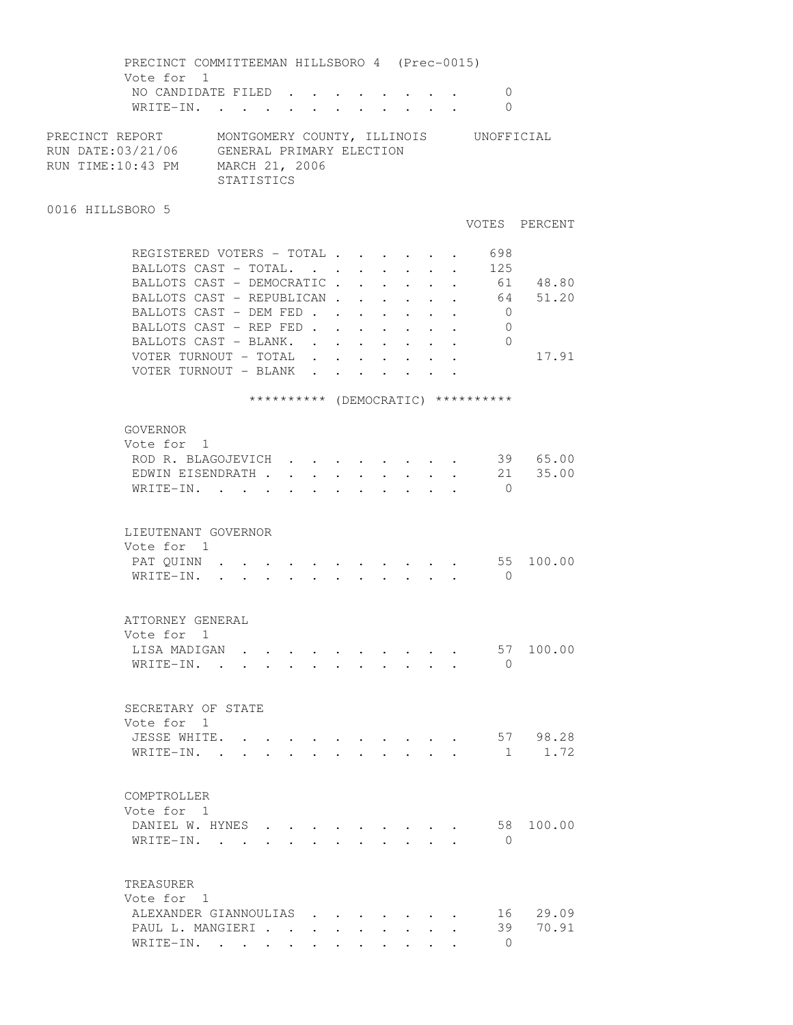PRECINCT COMMITTEEMAN HILLSBORO 4 (Prec-0015) Vote for 1 NO CANDIDATE FILED . . . . . . . . 0 WRITE-IN. . . . . . . . . . . . 0 PRECINCT REPORT MONTGOMERY COUNTY, ILLINOIS UNOFFICIAL RUN DATE:03/21/06 GENERAL PRIMARY ELECTION RUN TIME:10:43 PM MARCH 21, 2006 STATISTICS 0016 HILLSBORO 5 VOTES PERCENT REGISTERED VOTERS - TOTAL . . . . . . 698 BALLOTS CAST - TOTAL. . . . . . . . 125 BALLOTS CAST - DEMOCRATIC . . . . . . 61 48.80 BALLOTS CAST - REPUBLICAN . . . . . . 64 51.20 BALLOTS CAST - DEM FED . . . . . . . 0 BALLOTS CAST - REP FED . . . . . . . 0 BALLOTS CAST - BLANK. . . . . . . . 0 VOTER TURNOUT - TOTAL . . . . . . . 17.91 VOTER TURNOUT - BLANK . . . . . . . \*\*\*\*\*\*\*\*\*\* (DEMOCRATIC) \*\*\*\*\*\*\*\*\*\* GOVERNOR Vote for 1 ROD R. BLAGOJEVICH . . . . . . . . 39 65.00 EDWIN EISENDRATH . . . . . . . . . 21 35.00 WRITE-IN. . . . . . . . . . . . 0 LIEUTENANT GOVERNOR Vote for 1 PAT QUINN . . . . . . . . . . . . 55 100.00 WRITE-IN. . . . . . . . . . . . 0 ATTORNEY GENERAL Vote for 1 LISA MADIGAN . . . . . . . . . . 57 100.00 WRITE-IN. . . . . . . . . . . 0 SECRETARY OF STATE Vote for 1 JESSE WHITE. . . . . . . . . . . 57 98.28 WRITE-IN. . . . . . . . . . . . 1 1.72 COMPTROLLER Vote for 1 DANIEL W. HYNES . . . . . . . . . 58 100.00 WRITE-IN. . . . . . . . . . . . 0 TREASURER Vote for 1 ALEXANDER GIANNOULIAS . . . . . . . 16 29.09 PAUL L. MANGIERI . . . . . . . . . 39 70.91 WRITE-IN. . . . . . . . . . . 0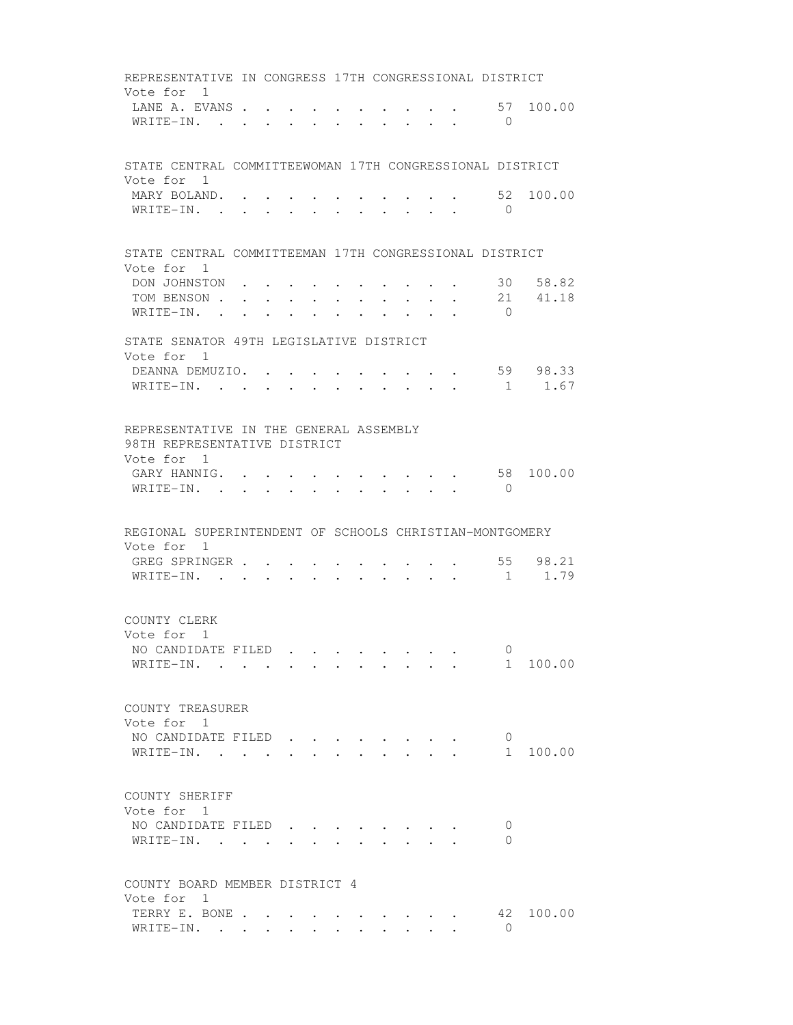REPRESENTATIVE IN CONGRESS 17TH CONGRESSIONAL DISTRICT Vote for 1 LANE A. EVANS . . . . . . . . . . . 57 100.00 WRITE-IN. . . . . . . . . . . . 0 STATE CENTRAL COMMITTEEWOMAN 17TH CONGRESSIONAL DISTRICT Vote for 1 MARY BOLAND. . . . . . . . . . . 52 100.00 WRITE-IN. . . . . . . . . . . . 0 STATE CENTRAL COMMITTEEMAN 17TH CONGRESSIONAL DISTRICT Vote for 1 DON JOHNSTON . . . . . . . . . . 30 58.82 TOM BENSON . . . . . . . . . . . 21 41.18 WRITE-IN. . . . . . . . . . . 0 STATE SENATOR 49TH LEGISLATIVE DISTRICT Vote for 1 DEANNA DEMUZIO. . . . . . . . . . 59 98.33 WRITE-IN. . . . . . . . . . . . 1 1.67 REPRESENTATIVE IN THE GENERAL ASSEMBLY 98TH REPRESENTATIVE DISTRICT Vote for 1 GARY HANNIG. . . . . . . . . . . 58 100.00 WRITE-IN. . . . . . . . . . . 0 REGIONAL SUPERINTENDENT OF SCHOOLS CHRISTIAN-MONTGOMERY Vote for 1 GREG SPRINGER . . . . . . . . . . . 55 98.21 WRITE-IN. . . . . . . . . . . . 1 1.79 COUNTY CLERK Vote for 1 NO CANDIDATE FILED . . . . . . . . 0<br>WRITE-IN. . . . . . . . . . . . 1 100.00  $\texttt{WRITE-IN.}$  . . . . . . . . . . . COUNTY TREASURER Vote for 1 NO CANDIDATE FILED  $\cdots$  . . . . . . . 0 WRITE-IN. . . . . . . . . . . . 1 100.00 COUNTY SHERIFF Vote for 1 NO CANDIDATE FILED . . . . . . . . 0 WRITE-IN. . . . . . . . . . . . 0 COUNTY BOARD MEMBER DISTRICT 4 Vote for 1 TERRY E. BONE . . . . . . . . . . 42 100.00 WRITE-IN. . . . . . . . . . . . 0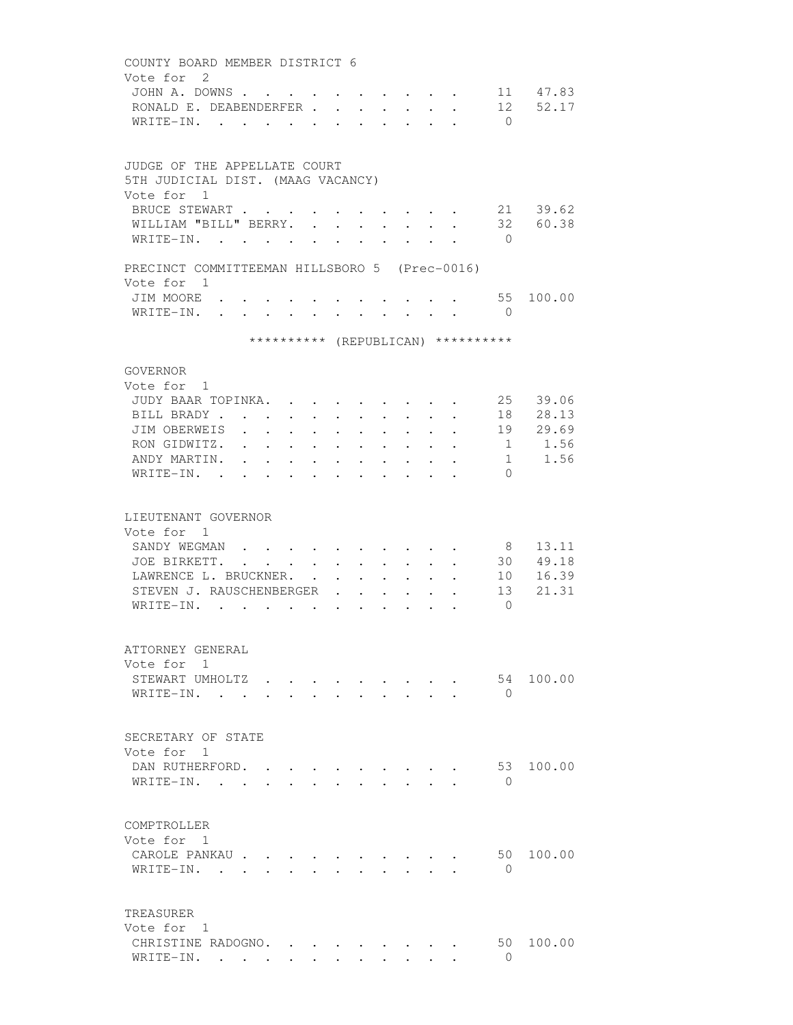COUNTY BOARD MEMBER DISTRICT 6 Vote for 2 JOHN A. DOWNS . . . . . . . . . . . 11 47.83 RONALD E. DEABENDERFER . . . . . . . 12 52.17 WRITE-IN. . . . . . . . . . . . 0 JUDGE OF THE APPELLATE COURT 5TH JUDICIAL DIST. (MAAG VACANCY) Vote for 1 BRUCE STEWART . . . . . . . . . . 21 39.62 WILLIAM "BILL" BERRY. . . . . . . . 32 60.38 WRITE-IN. . . . . . . . . . . . 0 PRECINCT COMMITTEEMAN HILLSBORO 5 (Prec-0016) Vote for 1 JIM MOORE . . . . . . . . . . . 55 100.00 WRITE-IN. . . . . . . . . . . . 0 \*\*\*\*\*\*\*\*\*\* (REPUBLICAN) \*\*\*\*\*\*\*\*\*\* GOVERNOR Vote for 1 JUDY BAAR TOPINKA. . . . . . . . . 25 39.06 BILL BRADY . . . . . . . . . . . . 18 28.13 JIM OBERWEIS . . . . . . . . . . 19 29.69 RON GIDWITZ. . . . . . . . . . . 1 1.56 ANDY MARTIN. . . . . . . . . . . . 1 1.56 WRITE-IN. . . . . . . . . . . . 0 LIEUTENANT GOVERNOR Vote for 1 SANDY WEGMAN . . . . . . . . . . 8 13.11 JOE BIRKETT. . . . . . . . . . . 30 49.18 LAWRENCE L. BRUCKNER. . . . . . . . 10 16.39 STEVEN J. RAUSCHENBERGER . . . . . 13 21.31 WRITE-IN. . . . . . . . . . . . 0 ATTORNEY GENERAL Vote for 1 STEWART UMHOLTZ . . . . . . . . . . 54 100.00 WRITE-IN. . . . . . . . . . . 0 SECRETARY OF STATE Vote for 1 DAN RUTHERFORD. . . . . . . . . . 53 100.00 WRITE-IN. . . . . . . . . . . . 0 COMPTROLLER Vote for 1 CAROLE PANKAU . . . . . . . . . . 50 100.00 WRITE-IN. . . . . . . . . . . 0 TREASURER Vote for 1 CHRISTINE RADOGNO. . . . . . . . . 50 100.00<br>WRITE-IN. . . . . . . . . . . . . . . . 0 WRITE-IN. . . . . . . . . . . . 0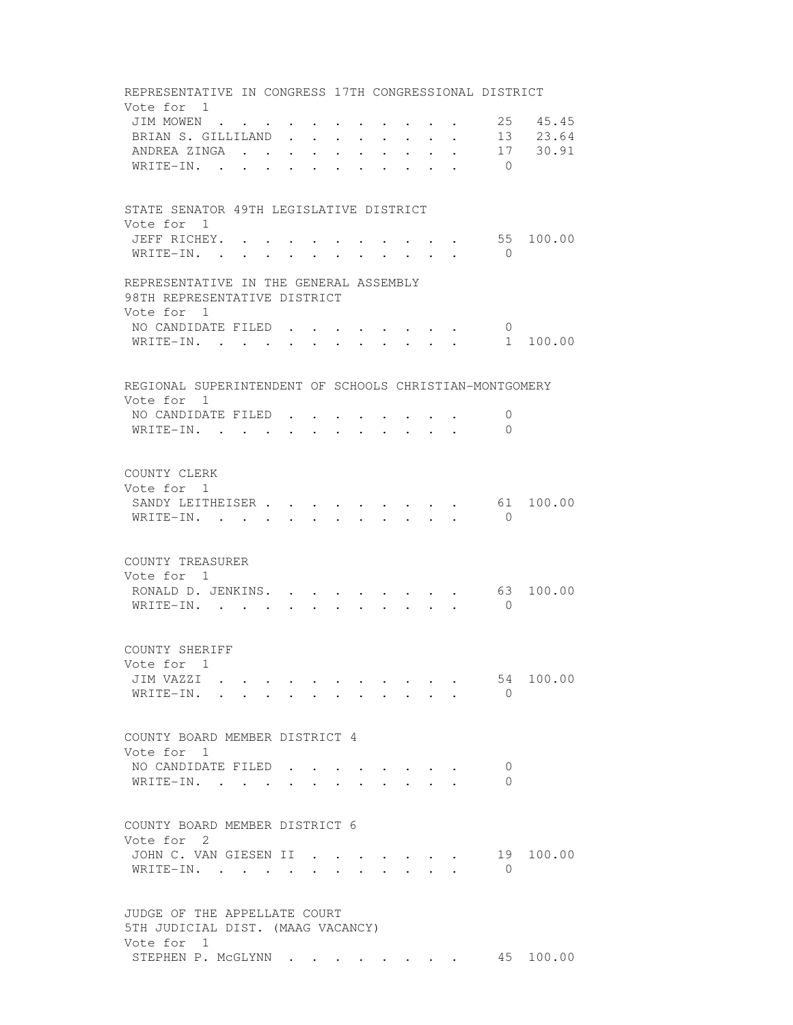REPRESENTATIVE IN CONGRESS 17TH CONGRESSIONAL DISTRICT Vote for 1 JIM MOWEN . . . . . . . . . . . 25 45.45 BRIAN S. GILLILAND . . . . . . . . 13 23.64 ANDREA ZINGA . . . . . . . . . . 17 30.91 WRITE-IN. . . . . . . . . . . . 0 STATE SENATOR 49TH LEGISLATIVE DISTRICT Vote for 1 JEFF RICHEY. . . . . . . . . . . 55 100.00 WRITE-IN. . . . . . . . . . . . 0 REPRESENTATIVE IN THE GENERAL ASSEMBLY 98TH REPRESENTATIVE DISTRICT Vote for 1 NO CANDIDATE FILED . . . . . . . . 0 WRITE-IN. . . . . . . . . . . . 1 100.00 REGIONAL SUPERINTENDENT OF SCHOOLS CHRISTIAN-MONTGOMERY Vote for 1 NO CANDIDATE FILED . . . . . . . . 0 WRITE-IN. . . . . . . . . . . 0 COUNTY CLERK Vote for 1 SANDY LEITHEISER . . . . . . . . . 61 100.00 WRITE-IN. . . . . . . . . . . . 0 COUNTY TREASURER Vote for 1 RONALD D. JENKINS. . . . . . . . . 63 100.00 WRITE-IN. . . . . . . . . . . 0 COUNTY SHERIFF Vote for 1 JIM VAZZI . . . . . . . . . . . 54 100.00 WRITE-IN. . . . . . . . . . . 0 COUNTY BOARD MEMBER DISTRICT 4 Vote for 1 NO CANDIDATE FILED . . . . . . . . 0 WRITE-IN. . . . . . . . . . . . 0 COUNTY BOARD MEMBER DISTRICT 6 Vote for 2 JOHN C. VAN GIESEN II . . . . . . . 19 100.00 WRITE-IN. . . . . . . . . . . 0 JUDGE OF THE APPELLATE COURT 5TH JUDICIAL DIST. (MAAG VACANCY) Vote for 1 STEPHEN P. McGLYNN . . . . . . . . 45 100.00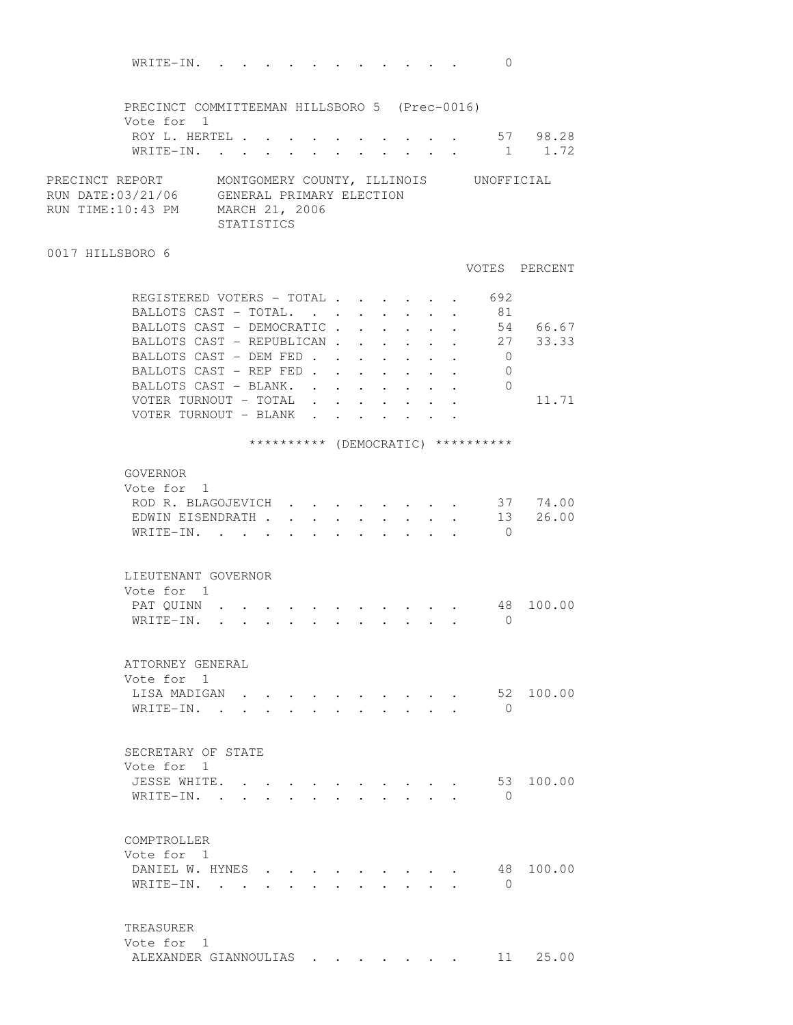| WRITE-IN.                                                                                         |                                                                                                                 |  |        |                                      |                      |                           | 0                                                                     |                          |
|---------------------------------------------------------------------------------------------------|-----------------------------------------------------------------------------------------------------------------|--|--------|--------------------------------------|----------------------|---------------------------|-----------------------------------------------------------------------|--------------------------|
| PRECINCT COMMITTEEMAN HILLSBORO 5 (Prec-0016)<br>Vote for 1                                       |                                                                                                                 |  |        |                                      |                      |                           |                                                                       |                          |
| ROY L. HERTEL                                                                                     |                                                                                                                 |  |        |                                      |                      |                           |                                                                       | $\cdot$ $\cdot$ 57 98.28 |
| WRITE-IN.                                                                                         |                                                                                                                 |  |        |                                      |                      |                           | $\mathbf{r}$ , and $\mathbf{r}$ , and $\mathbf{r}$ , and $\mathbf{r}$ | 1 1.72                   |
|                                                                                                   |                                                                                                                 |  |        |                                      |                      |                           |                                                                       |                          |
| PRECINCT REPORT<br>RUN DATE:03/21/06 GENERAL PRIMARY ELECTION<br>RUN TIME:10:43 PM MARCH 21, 2006 | <b>STATISTICS</b>                                                                                               |  |        |                                      |                      |                           | MONTGOMERY COUNTY, ILLINOIS UNOFFICIAL                                |                          |
| 0017 HILLSBORO 6                                                                                  |                                                                                                                 |  |        |                                      |                      |                           |                                                                       |                          |
|                                                                                                   |                                                                                                                 |  |        |                                      |                      |                           |                                                                       | VOTES PERCENT            |
| REGISTERED VOTERS - TOTAL                                                                         |                                                                                                                 |  |        |                                      |                      |                           | 692                                                                   |                          |
| BALLOTS CAST - TOTAL.                                                                             |                                                                                                                 |  |        | $\mathbf{L} = \mathbf{L} \mathbf{L}$ |                      |                           | 81                                                                    |                          |
| BALLOTS CAST - DEMOCRATIC.                                                                        |                                                                                                                 |  | $\sim$ | $\ddot{\phantom{0}}$                 | $\ddot{\phantom{0}}$ | $\ddot{\phantom{a}}$      |                                                                       | 54 66.67                 |
| BALLOTS CAST - REPUBLICAN                                                                         |                                                                                                                 |  |        |                                      |                      | $\mathbf{L}$ $\mathbf{L}$ |                                                                       | 27 33.33                 |
| BALLOTS CAST - DEM FED                                                                            |                                                                                                                 |  |        |                                      |                      |                           | $\overline{0}$                                                        |                          |
| BALLOTS CAST - REP FED                                                                            |                                                                                                                 |  |        |                                      | $\ddot{\phantom{0}}$ | $\cdot$ $\cdot$ $\cdot$   | $\circ$                                                               |                          |
| BALLOTS CAST - BLANK.                                                                             |                                                                                                                 |  |        |                                      |                      |                           | $\bigcirc$                                                            |                          |
| VOTER TURNOUT - TOTAL                                                                             |                                                                                                                 |  |        |                                      |                      |                           |                                                                       | 11.71                    |
| VOTER TURNOUT - BLANK                                                                             |                                                                                                                 |  |        |                                      |                      |                           |                                                                       |                          |
|                                                                                                   |                                                                                                                 |  |        |                                      |                      |                           |                                                                       |                          |
|                                                                                                   |                                                                                                                 |  |        |                                      |                      |                           | ********** (DEMOCRATIC) **********                                    |                          |
| GOVERNOR<br>Vote for 1                                                                            |                                                                                                                 |  |        |                                      |                      |                           |                                                                       |                          |
| ROD R. BLAGOJEVICH 37 74.00                                                                       |                                                                                                                 |  |        |                                      |                      |                           |                                                                       |                          |
| EDWIN EISENDRATH 13 26.00                                                                         |                                                                                                                 |  |        |                                      |                      |                           |                                                                       |                          |
| WRITE-IN.                                                                                         |                                                                                                                 |  |        |                                      |                      |                           | $\overline{0}$                                                        |                          |
|                                                                                                   |                                                                                                                 |  |        |                                      |                      |                           |                                                                       |                          |
| LIEUTENANT GOVERNOR                                                                               |                                                                                                                 |  |        |                                      |                      |                           |                                                                       |                          |
| Vote for 1                                                                                        |                                                                                                                 |  |        |                                      |                      |                           |                                                                       |                          |
| PAT QUINN                                                                                         |                                                                                                                 |  |        |                                      |                      |                           | 48                                                                    | 100.00                   |
| WRITE-IN.                                                                                         | the contract of the contract of the contract of the contract of the contract of the contract of the contract of |  |        |                                      |                      |                           | $\bigcirc$                                                            |                          |
|                                                                                                   |                                                                                                                 |  |        |                                      |                      |                           |                                                                       |                          |
| ATTORNEY GENERAL                                                                                  |                                                                                                                 |  |        |                                      |                      |                           |                                                                       |                          |
| Vote for 1                                                                                        |                                                                                                                 |  |        |                                      |                      |                           |                                                                       |                          |
| LISA MADIGAN                                                                                      |                                                                                                                 |  |        |                                      |                      |                           |                                                                       | 52 100.00                |
| WRITE-IN. .                                                                                       |                                                                                                                 |  |        |                                      |                      |                           | $\bigcirc$                                                            |                          |
|                                                                                                   |                                                                                                                 |  |        |                                      |                      |                           |                                                                       |                          |
| SECRETARY OF STATE                                                                                |                                                                                                                 |  |        |                                      |                      |                           |                                                                       |                          |
| Vote for 1                                                                                        |                                                                                                                 |  |        |                                      |                      |                           |                                                                       |                          |
| JESSE WHITE.                                                                                      |                                                                                                                 |  |        |                                      |                      |                           | 53                                                                    | 100.00                   |
| WRITE-IN.                                                                                         |                                                                                                                 |  |        |                                      |                      |                           | $\bigcap$                                                             |                          |
|                                                                                                   |                                                                                                                 |  |        |                                      |                      |                           |                                                                       |                          |
| COMPTROLLER                                                                                       |                                                                                                                 |  |        |                                      |                      |                           |                                                                       |                          |
| Vote for 1                                                                                        |                                                                                                                 |  |        |                                      |                      |                           |                                                                       |                          |
| DANIEL W. HYNES                                                                                   |                                                                                                                 |  |        |                                      |                      |                           | 48                                                                    | 100.00                   |
| WRITE-IN.                                                                                         |                                                                                                                 |  |        |                                      |                      |                           | $\bigcirc$                                                            |                          |
|                                                                                                   |                                                                                                                 |  |        |                                      |                      |                           |                                                                       |                          |
|                                                                                                   |                                                                                                                 |  |        |                                      |                      |                           |                                                                       |                          |
| TREASURER<br>Vote for 1                                                                           |                                                                                                                 |  |        |                                      |                      |                           |                                                                       |                          |
| ALEXANDER GIANNOULIAS                                                                             |                                                                                                                 |  |        |                                      |                      |                           | 11                                                                    | 25.00                    |
|                                                                                                   |                                                                                                                 |  |        |                                      |                      |                           |                                                                       |                          |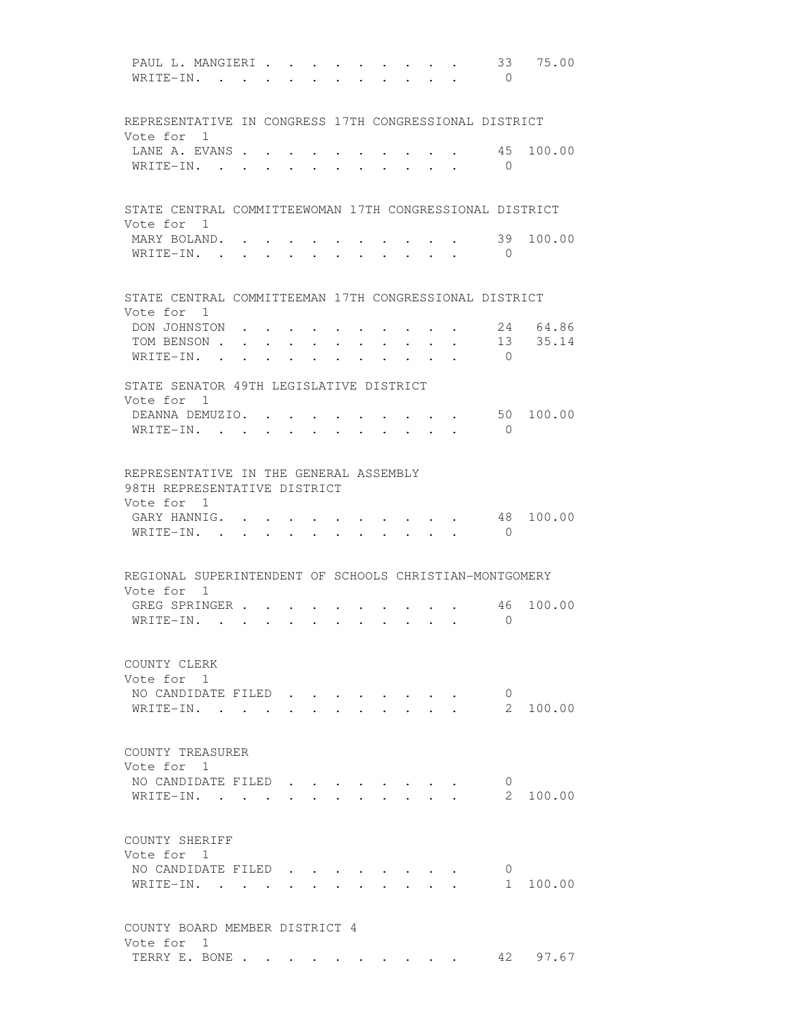PAUL L. MANGIERI . . . . . . . . . 33 75.00 WRITE-IN. . . . . . . . . . . 0 REPRESENTATIVE IN CONGRESS 17TH CONGRESSIONAL DISTRICT Vote for 1 LANE A. EVANS . . . . . . . . . . 45 100.00 WRITE-IN. . . . . . . . . . . 0 STATE CENTRAL COMMITTEEWOMAN 17TH CONGRESSIONAL DISTRICT Vote for 1 MARY BOLAND. . . . . . . . . . . 39 100.00 WRITE-IN. . . . . . . . . . . . 0 STATE CENTRAL COMMITTEEMAN 17TH CONGRESSIONAL DISTRICT Vote for 1 DON JOHNSTON . . . . . . . . . . 24 64.86 TOM BENSON . . . . . . . . . . . 13 35.14 WRITE-IN. . . . . . . . . . . 0 STATE SENATOR 49TH LEGISLATIVE DISTRICT Vote for 1 DEANNA DEMUZIO. . . . . . . . . . 50 100.00 WRITE-IN. . . . . . . . . . . 0 REPRESENTATIVE IN THE GENERAL ASSEMBLY 98TH REPRESENTATIVE DISTRICT Vote for 1 GARY HANNIG. . . . . . . . . . . 48 100.00 WRITE-IN. . . . . . . . . . . . 0 REGIONAL SUPERINTENDENT OF SCHOOLS CHRISTIAN-MONTGOMERY Vote for 1 GREG SPRINGER . . . . . . . . . . 46 100.00 WRITE-IN. . . . . . . . . . . 0 COUNTY CLERK Vote for 1 NO CANDIDATE FILED . . . . . . . 0 WRITE-IN. . . . . . . . . . . . 2 100.00 COUNTY TREASURER Vote for 1 NO CANDIDATE FILED . . . . . . . . 0 WRITE-IN. . . . . . . . . . . . . . 2 100.00 COUNTY SHERIFF Vote for 1 NO CANDIDATE FILED . . . . . . . . 0<br>WRITE-IN. . . . . . . . . . . . 1 100.00  $\texttt{WRITE-IN.}$  . . . . . . . . . . . COUNTY BOARD MEMBER DISTRICT 4 Vote for 1 TERRY E. BONE . . . . . . . . . . 42 97.67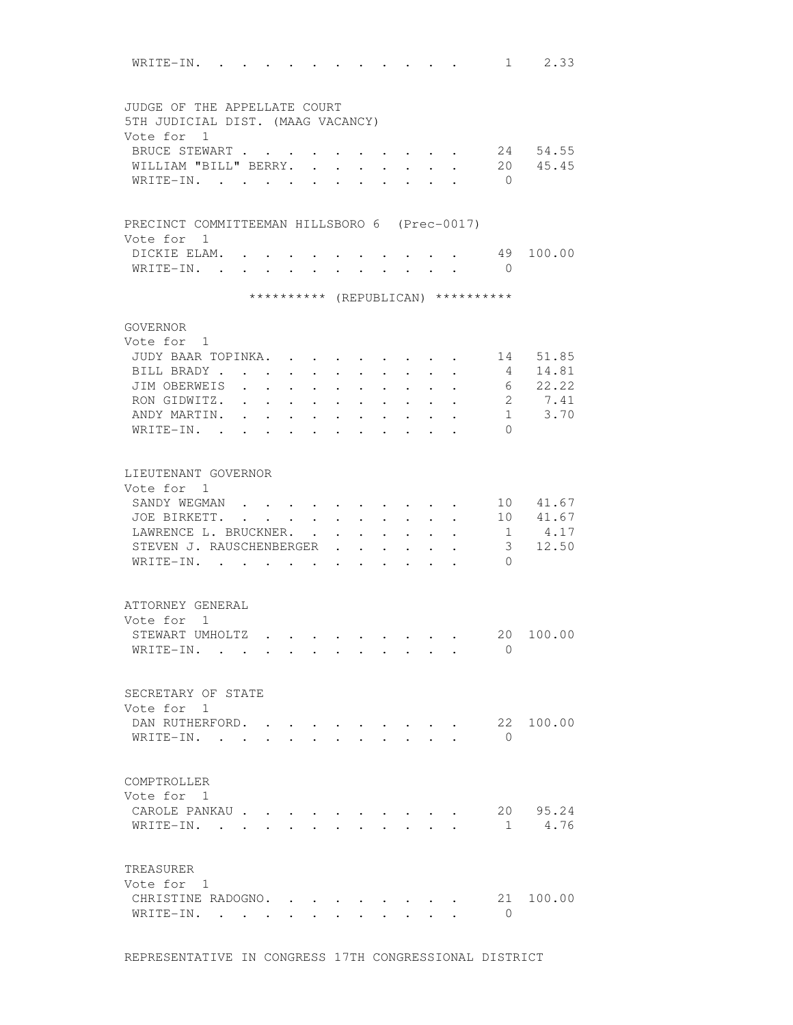| WRITE-IN. .                                   |                          |                                            |                      |                                   |                      |                                      |                                                             |                      | $\mathbf{r}$ . The set of $\mathbf{r}$                                   |                                    | 2.33<br>$1 \quad \blacksquare$ |
|-----------------------------------------------|--------------------------|--------------------------------------------|----------------------|-----------------------------------|----------------------|--------------------------------------|-------------------------------------------------------------|----------------------|--------------------------------------------------------------------------|------------------------------------|--------------------------------|
|                                               |                          |                                            |                      |                                   |                      |                                      |                                                             |                      |                                                                          |                                    |                                |
| JUDGE OF THE APPELLATE COURT                  |                          |                                            |                      |                                   |                      |                                      |                                                             |                      |                                                                          |                                    |                                |
| 5TH JUDICIAL DIST. (MAAG VACANCY)             |                          |                                            |                      |                                   |                      |                                      |                                                             |                      |                                                                          |                                    |                                |
| Vote for 1                                    |                          |                                            |                      |                                   |                      |                                      |                                                             |                      |                                                                          |                                    |                                |
| BRUCE STEWART                                 |                          |                                            |                      |                                   |                      |                                      |                                                             |                      |                                                                          |                                    | 24 54.55                       |
| WILLIAM "BILL" BERRY. .                       |                          |                                            |                      | $\ddot{\phantom{a}}$              | $\ddot{\phantom{a}}$ | $\ddot{\phantom{a}}$                 |                                                             |                      |                                                                          |                                    | 20 45.45                       |
| WRITE-IN.                                     |                          |                                            |                      |                                   |                      |                                      |                                                             |                      |                                                                          | $\bigcirc$                         |                                |
|                                               |                          |                                            |                      |                                   |                      |                                      |                                                             |                      |                                                                          |                                    |                                |
| PRECINCT COMMITTEEMAN HILLSBORO 6 (Prec-0017) |                          |                                            |                      |                                   |                      |                                      |                                                             |                      |                                                                          |                                    |                                |
| Vote for 1                                    |                          |                                            |                      |                                   |                      |                                      |                                                             |                      |                                                                          |                                    |                                |
| DICKIE ELAM.                                  |                          |                                            |                      |                                   |                      |                                      | $\cdot$ , $\cdot$ , $\cdot$ , $\cdot$ , $\cdot$             |                      |                                                                          | 49                                 | 100.00                         |
| WRITE-IN.                                     |                          |                                            |                      |                                   |                      |                                      |                                                             |                      |                                                                          | $\bigcirc$                         |                                |
|                                               |                          |                                            |                      |                                   |                      |                                      |                                                             |                      |                                                                          | ********** (REPUBLICAN) ********** |                                |
|                                               |                          |                                            |                      |                                   |                      |                                      |                                                             |                      |                                                                          |                                    |                                |
| GOVERNOR                                      |                          |                                            |                      |                                   |                      |                                      |                                                             |                      |                                                                          |                                    |                                |
| Vote for 1                                    |                          |                                            |                      |                                   |                      |                                      |                                                             |                      |                                                                          |                                    |                                |
| JUDY BAAR TOPINKA.                            |                          |                                            |                      |                                   |                      |                                      |                                                             |                      |                                                                          |                                    | 14 51.85                       |
| BILL BRADY                                    |                          |                                            |                      |                                   |                      |                                      |                                                             |                      |                                                                          | $4\phantom{.00000000000000000000}$ | 14.81                          |
| JIM OBERWEIS                                  | <b>Contract Contract</b> | $\ddot{\phantom{0}}$                       | $\ddot{\phantom{a}}$ | <b>Contract Contract Contract</b> | $\ddot{\phantom{0}}$ | $\ddot{\phantom{0}}$                 | $\ddot{\phantom{0}}$                                        | $\ddot{\phantom{0}}$ | $\ddot{\phantom{0}}$                                                     |                                    | 6 22.22                        |
| RON GIDWITZ. .                                |                          | <b>Contract Contract Contract Contract</b> |                      | $\mathbf{a}$ , and $\mathbf{a}$   | $\ddot{\phantom{0}}$ | $\ddot{\phantom{0}}$                 | $\ddot{\phantom{0}}$                                        |                      | $\ddot{\phantom{a}}$                                                     |                                    | 2 7.41                         |
| ANDY MARTIN.                                  | $\ddot{\phantom{a}}$     | $\ddot{\phantom{0}}$                       |                      | $\bullet$ . $\bullet$ .           | $\ddot{\phantom{0}}$ | $\ddot{\phantom{0}}$                 | $\bullet$ . $\bullet$                                       | $\ddot{\phantom{0}}$ |                                                                          |                                    | $1 \t3.70$                     |
| WRITE-IN. .                                   | $\bullet$                | $\ddot{\phantom{0}}$                       | $\ddot{\phantom{0}}$ | $\sim$ 100 $\pm$                  |                      | $\ddot{\phantom{0}}$                 | $\bullet$                                                   |                      |                                                                          | $\Omega$                           |                                |
|                                               |                          |                                            |                      |                                   |                      |                                      |                                                             |                      |                                                                          |                                    |                                |
| LIEUTENANT GOVERNOR                           |                          |                                            |                      |                                   |                      |                                      |                                                             |                      |                                                                          |                                    |                                |
| Vote for 1                                    |                          |                                            |                      |                                   |                      |                                      |                                                             |                      |                                                                          |                                    |                                |
| SANDY WEGMAN                                  |                          |                                            |                      |                                   |                      |                                      |                                                             |                      |                                                                          |                                    | 10 41.67                       |
| JOE BIRKETT.                                  |                          |                                            |                      |                                   |                      |                                      |                                                             |                      |                                                                          |                                    | 10 41.67                       |
| LAWRENCE L. BRUCKNER.                         |                          |                                            |                      |                                   |                      |                                      |                                                             |                      |                                                                          |                                    | 1 4.17                         |
|                                               |                          |                                            | $\sim$ $\sim$        | $\ddot{\phantom{0}}$              |                      | $\mathbf{L} = \mathbf{L} \mathbf{L}$ |                                                             |                      | $\mathbf{r} = \mathbf{r} + \mathbf{r}$ , where $\mathbf{r} = \mathbf{r}$ |                                    |                                |
| STEVEN J. RAUSCHENBERGER                      |                          |                                            |                      | $\ddot{\phantom{0}}$              |                      | $\ddot{\phantom{0}}$                 | $\bullet$ .<br><br><br><br><br><br><br><br><br><br><br><br> |                      |                                                                          | 3                                  | 12.50                          |
| WRITE-IN.                                     |                          | $\cdot$ $\cdot$ $\cdot$ $\cdot$ $\cdot$    |                      |                                   |                      | $\ddot{\phantom{0}}$                 | $\ddot{\phantom{a}}$                                        |                      |                                                                          | $\Omega$                           |                                |
|                                               |                          |                                            |                      |                                   |                      |                                      |                                                             |                      |                                                                          |                                    |                                |
| ATTORNEY GENERAL                              |                          |                                            |                      |                                   |                      |                                      |                                                             |                      |                                                                          |                                    |                                |
| Vote for 1                                    |                          |                                            |                      |                                   |                      |                                      |                                                             |                      |                                                                          |                                    |                                |
| STEWART UMHOLTZ                               |                          |                                            |                      |                                   |                      |                                      |                                                             |                      |                                                                          |                                    | 20 100.00                      |
| WRITE-IN.                                     |                          |                                            |                      |                                   |                      |                                      |                                                             |                      |                                                                          | $\Omega$                           |                                |
|                                               |                          |                                            |                      |                                   |                      |                                      |                                                             |                      |                                                                          |                                    |                                |
| SECRETARY OF STATE                            |                          |                                            |                      |                                   |                      |                                      |                                                             |                      |                                                                          |                                    |                                |
| Vote for 1                                    |                          |                                            |                      |                                   |                      |                                      |                                                             |                      |                                                                          |                                    |                                |
| DAN RUTHERFORD.                               |                          |                                            |                      |                                   |                      |                                      |                                                             |                      |                                                                          |                                    | 22 100.00                      |
| WRITE-IN.                                     |                          | $\mathbf{L}$ $\mathbf{L}$                  |                      |                                   |                      | $\sim$ $\sim$ $\sim$                 |                                                             |                      |                                                                          | $\bigcirc$                         |                                |
|                                               |                          |                                            |                      |                                   |                      |                                      |                                                             |                      |                                                                          |                                    |                                |
|                                               |                          |                                            |                      |                                   |                      |                                      |                                                             |                      |                                                                          |                                    |                                |
| COMPTROLLER                                   |                          |                                            |                      |                                   |                      |                                      |                                                             |                      |                                                                          |                                    |                                |
| Vote for 1                                    |                          |                                            |                      |                                   |                      |                                      |                                                             |                      |                                                                          |                                    |                                |
| CAROLE PANKAU                                 |                          |                                            |                      |                                   |                      |                                      |                                                             |                      |                                                                          |                                    | 20 95.24                       |
| WRITE-IN.                                     |                          |                                            |                      |                                   |                      |                                      |                                                             |                      |                                                                          |                                    | 1 4.76                         |
|                                               |                          |                                            |                      |                                   |                      |                                      |                                                             |                      |                                                                          |                                    |                                |
|                                               |                          |                                            |                      |                                   |                      |                                      |                                                             |                      |                                                                          |                                    |                                |
| TREASURER                                     |                          |                                            |                      |                                   |                      |                                      |                                                             |                      |                                                                          |                                    |                                |
| Vote for 1                                    |                          |                                            |                      |                                   |                      |                                      |                                                             |                      |                                                                          |                                    |                                |
| CHRISTINE RADOGNO.                            |                          |                                            |                      |                                   |                      |                                      |                                                             |                      |                                                                          | 21                                 | 100.00                         |
| WRITE-IN.                                     |                          |                                            |                      |                                   |                      |                                      | $\cdot$ $\cdot$ $\cdot$ $\cdot$ $\cdot$                     |                      |                                                                          | 0                                  |                                |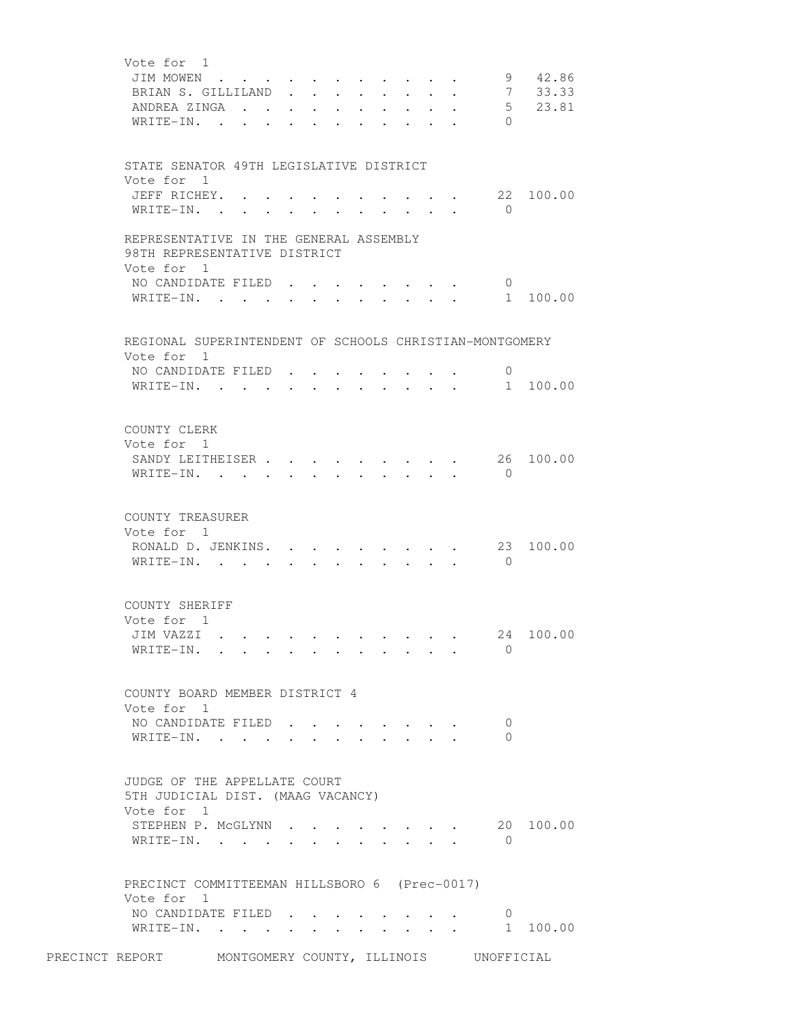| Vote for 1<br>JIM MOWEN<br>BRIAN S. GILLILAND.<br>ANDREA ZINGA<br>WRITE-IN.                                | $\sim$ |                      |            | $\mathbf{L}$ and $\mathbf{L}$         | $\bullet$ .                                                     | $\ddot{\phantom{0}}$ |                                                                                                                                                                                                                                                                                                                                                                                                                              | $\ddot{\phantom{0}}$                                                                                                                    | 9<br>$7\overline{ }$<br>$\Omega$ | 42.86<br>33.33<br>5 23.81 |
|------------------------------------------------------------------------------------------------------------|--------|----------------------|------------|---------------------------------------|-----------------------------------------------------------------|----------------------|------------------------------------------------------------------------------------------------------------------------------------------------------------------------------------------------------------------------------------------------------------------------------------------------------------------------------------------------------------------------------------------------------------------------------|-----------------------------------------------------------------------------------------------------------------------------------------|----------------------------------|---------------------------|
| STATE SENATOR 49TH LEGISLATIVE DISTRICT<br>Vote for 1<br>JEFF RICHEY. .<br>WRITE-IN.                       |        |                      |            |                                       |                                                                 |                      |                                                                                                                                                                                                                                                                                                                                                                                                                              |                                                                                                                                         | $\overline{0}$                   | 22 100.00                 |
| REPRESENTATIVE IN THE GENERAL ASSEMBLY<br>98TH REPRESENTATIVE DISTRICT<br>Vote for 1<br>NO CANDIDATE FILED |        |                      |            |                                       |                                                                 |                      |                                                                                                                                                                                                                                                                                                                                                                                                                              |                                                                                                                                         | $\overline{0}$                   |                           |
| WRITE-IN.                                                                                                  |        |                      |            | $\bullet$ and $\bullet$ and $\bullet$ | $\bullet$ .<br><br><br><br><br><br><br><br><br><br><br><br><br> |                      |                                                                                                                                                                                                                                                                                                                                                                                                                              | $\cdot$ $\cdot$ $\cdot$ $\cdot$ $\cdot$                                                                                                 | 1                                | 100.00                    |
| REGIONAL SUPERINTENDENT OF SCHOOLS CHRISTIAN-MONTGOMERY<br>Vote for 1                                      |        |                      |            |                                       |                                                                 |                      |                                                                                                                                                                                                                                                                                                                                                                                                                              |                                                                                                                                         |                                  |                           |
| NO CANDIDATE FILED<br>WRITE-IN.                                                                            |        |                      |            |                                       |                                                                 | $\sim$ 100 $\pm$     |                                                                                                                                                                                                                                                                                                                                                                                                                              | $\mathbf{r} = \mathbf{r} \times \mathbf{r}$                                                                                             | $\overline{0}$                   | 1 100.00                  |
| COUNTY CLERK<br>Vote for 1<br>SANDY LEITHEISER<br>WRITE-IN.                                                |        |                      | $\sim 100$ |                                       |                                                                 |                      |                                                                                                                                                                                                                                                                                                                                                                                                                              | $\mathbf{r}$ , $\mathbf{r}$ , $\mathbf{r}$ , $\mathbf{r}$ , $\mathbf{r}$                                                                | $\overline{0}$                   | 26 100.00                 |
| COUNTY TREASURER<br>Vote for 1<br>RONALD D. JENKINS. 23<br>WRITE-IN.                                       |        | $\ddot{\phantom{0}}$ |            |                                       |                                                                 |                      | $\mathbf{r} = \mathbf{r} + \mathbf{r} + \mathbf{r} + \mathbf{r} + \mathbf{r} + \mathbf{r} + \mathbf{r} + \mathbf{r} + \mathbf{r} + \mathbf{r} + \mathbf{r} + \mathbf{r} + \mathbf{r} + \mathbf{r} + \mathbf{r} + \mathbf{r} + \mathbf{r} + \mathbf{r} + \mathbf{r} + \mathbf{r} + \mathbf{r} + \mathbf{r} + \mathbf{r} + \mathbf{r} + \mathbf{r} + \mathbf{r} + \mathbf{r} + \mathbf{r} + \mathbf{r} + \mathbf{r} + \mathbf$ |                                                                                                                                         | $\overline{0}$                   | 100.00                    |
| COUNTY SHERIFF<br>Vote for 1<br>JIM VAZZI<br>WRITE-IN.                                                     |        |                      |            |                                       |                                                                 |                      |                                                                                                                                                                                                                                                                                                                                                                                                                              |                                                                                                                                         | $\Omega$                         | 24 100.00                 |
| COUNTY BOARD MEMBER DISTRICT 4<br>Vote for 1                                                               |        |                      |            |                                       |                                                                 |                      |                                                                                                                                                                                                                                                                                                                                                                                                                              |                                                                                                                                         |                                  |                           |
| NO CANDIDATE FILED<br>WRITE-IN.                                                                            |        |                      |            |                                       |                                                                 |                      |                                                                                                                                                                                                                                                                                                                                                                                                                              |                                                                                                                                         | $\overline{0}$<br>$\Omega$       |                           |
| JUDGE OF THE APPELLATE COURT<br>5TH JUDICIAL DIST. (MAAG VACANCY)<br>Vote for 1                            |        |                      |            |                                       |                                                                 |                      |                                                                                                                                                                                                                                                                                                                                                                                                                              |                                                                                                                                         |                                  |                           |
| STEPHEN P. MCGLYNN.<br>WRITE-IN.                                                                           |        |                      |            |                                       |                                                                 |                      |                                                                                                                                                                                                                                                                                                                                                                                                                              | $\cdot$ $\cdot$ $\cdot$ $\cdot$                                                                                                         | $\bigcirc$                       | $\cdot$ 20 100.00         |
| PRECINCT COMMITTEEMAN HILLSBORO 6 (Prec-0017)<br>Vote for 1                                                |        |                      |            |                                       |                                                                 |                      |                                                                                                                                                                                                                                                                                                                                                                                                                              |                                                                                                                                         |                                  |                           |
| NO CANDIDATE FILED<br>WRITE-IN.                                                                            |        |                      |            |                                       | <b>Allen Adams</b>                                              |                      |                                                                                                                                                                                                                                                                                                                                                                                                                              | $\cdot$ $\cdot$ $\cdot$ $\cdot$ $\cdot$ $\cdot$<br>$\mathbf{L} = \mathbf{L} \mathbf{L} + \mathbf{L} \mathbf{L} + \mathbf{L} \mathbf{L}$ | $\overline{0}$                   | 1 100.00                  |
| PRECINCT REPORT MONTGOMERY COUNTY, ILLINOIS UNOFFICIAL                                                     |        |                      |            |                                       |                                                                 |                      |                                                                                                                                                                                                                                                                                                                                                                                                                              |                                                                                                                                         |                                  |                           |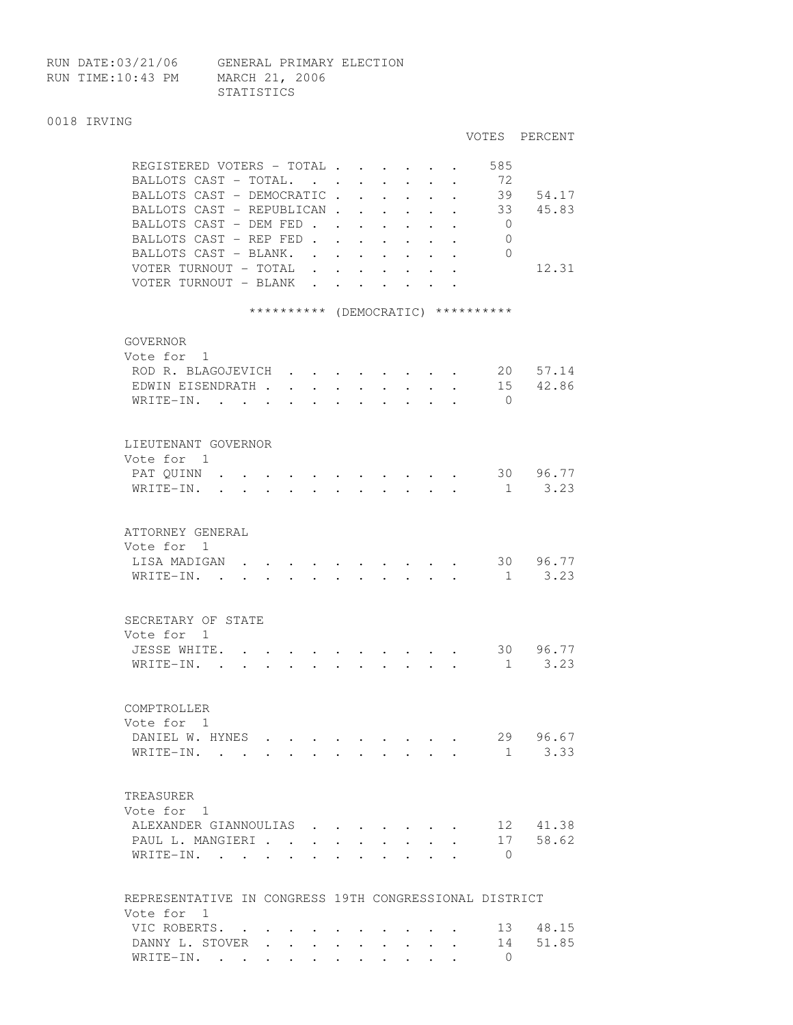RUN TIME:10:43 PM MARCH 21, 2006

RUN DATE:03/21/06 GENERAL PRIMARY ELECTION STATISTICS

## 0018 IRVING

|                                                                                                                              |                      |                      |                                                             |                      |                      |                                                                 |                      |                | VOTES PERCENT |
|------------------------------------------------------------------------------------------------------------------------------|----------------------|----------------------|-------------------------------------------------------------|----------------------|----------------------|-----------------------------------------------------------------|----------------------|----------------|---------------|
| REGISTERED VOTERS - TOTAL                                                                                                    |                      |                      |                                                             |                      |                      |                                                                 |                      | 585            |               |
| BALLOTS CAST - TOTAL.                                                                                                        |                      |                      |                                                             |                      |                      |                                                                 |                      | 72             |               |
| BALLOTS CAST - DEMOCRATIC.                                                                                                   |                      |                      |                                                             | $\ddotsc$ $\ddotsc$  | $\ddot{\phantom{0}}$ | $\bullet$ .<br><br><br><br><br><br><br><br><br><br><br><br><br> | $\ddot{\phantom{0}}$ | 39             | 54.17         |
| BALLOTS CAST - REPUBLICAN.                                                                                                   |                      |                      | $\ddot{\phantom{0}}$                                        | $\ddot{\phantom{0}}$ | $\ddot{\phantom{0}}$ | $\ddot{\phantom{0}}$                                            |                      | 33             | 45.83         |
| BALLOTS CAST - DEM FED.                                                                                                      |                      | $\ddot{\phantom{0}}$ | $\bullet$ .<br><br><br><br><br><br><br><br><br><br><br><br> | $\ddot{\phantom{0}}$ | $\bullet$ .          |                                                                 |                      | $\overline{0}$ |               |
| BALLOTS CAST - REP FED.                                                                                                      |                      |                      |                                                             |                      |                      |                                                                 |                      | $\overline{0}$ |               |
| BALLOTS CAST - BLANK.                                                                                                        |                      |                      |                                                             |                      |                      |                                                                 |                      | $\Omega$       |               |
|                                                                                                                              | $\ddot{\phantom{a}}$ |                      | $\ddot{\phantom{0}}$                                        | $\ddot{\phantom{0}}$ |                      |                                                                 |                      |                | 12.31         |
| VOTER TURNOUT - TOTAL                                                                                                        | $\ddot{\phantom{a}}$ |                      |                                                             |                      |                      |                                                                 |                      |                |               |
| VOTER TURNOUT - BLANK                                                                                                        | $\ddot{\phantom{a}}$ | $\ddot{\phantom{0}}$ | $\ddot{\phantom{a}}$                                        | $\mathbf{L}$         | $\sim$               |                                                                 |                      |                |               |
| ********** (DEMOCRATIC) **********                                                                                           |                      |                      |                                                             |                      |                      |                                                                 |                      |                |               |
|                                                                                                                              |                      |                      |                                                             |                      |                      |                                                                 |                      |                |               |
| GOVERNOR                                                                                                                     |                      |                      |                                                             |                      |                      |                                                                 |                      |                |               |
| Vote for 1                                                                                                                   |                      |                      |                                                             |                      |                      |                                                                 |                      |                |               |
| ROD R. BLAGOJEVICH                                                                                                           |                      |                      |                                                             |                      |                      |                                                                 |                      | 20             | 57.14         |
| EDWIN EISENDRATH.                                                                                                            |                      |                      |                                                             |                      |                      |                                                                 |                      | 15             | 42.86         |
| WRITE-IN. .                                                                                                                  |                      |                      |                                                             |                      |                      |                                                                 |                      | $\bigcirc$     |               |
|                                                                                                                              |                      |                      |                                                             |                      |                      |                                                                 |                      |                |               |
|                                                                                                                              |                      |                      |                                                             |                      |                      |                                                                 |                      |                |               |
| LIEUTENANT GOVERNOR                                                                                                          |                      |                      |                                                             |                      |                      |                                                                 |                      |                |               |
| Vote for 1                                                                                                                   |                      |                      |                                                             |                      |                      |                                                                 |                      |                |               |
| PAT OUINN<br>$\ddot{\phantom{a}}$                                                                                            |                      |                      |                                                             |                      |                      |                                                                 |                      |                | 30 96.77      |
| WRITE-IN.<br>$\ddot{\phantom{0}}$<br>$\bullet$<br>$\bullet$ .<br><br><br><br><br><br><br><br><br><br><br><br><br>            |                      |                      |                                                             |                      |                      |                                                                 |                      | $\mathbf{1}$   | 3.23          |
|                                                                                                                              |                      |                      |                                                             |                      |                      |                                                                 |                      |                |               |
|                                                                                                                              |                      |                      |                                                             |                      |                      |                                                                 |                      |                |               |
| ATTORNEY GENERAL                                                                                                             |                      |                      |                                                             |                      |                      |                                                                 |                      |                |               |
| Vote for 1                                                                                                                   |                      |                      |                                                             |                      |                      |                                                                 |                      |                |               |
| LISA MADIGAN                                                                                                                 |                      |                      |                                                             |                      |                      |                                                                 |                      |                | 30 96.77      |
| WRITE-IN.<br>the contract of the contract of the contract of the contract of the contract of the contract of the contract of |                      |                      |                                                             |                      |                      |                                                                 |                      |                | 1 3.23        |
|                                                                                                                              |                      |                      |                                                             |                      |                      |                                                                 |                      |                |               |
|                                                                                                                              |                      |                      |                                                             |                      |                      |                                                                 |                      |                |               |
| SECRETARY OF STATE                                                                                                           |                      |                      |                                                             |                      |                      |                                                                 |                      |                |               |
| Vote for 1                                                                                                                   |                      |                      |                                                             |                      |                      |                                                                 |                      |                |               |
| JESSE WHITE.                                                                                                                 |                      |                      |                                                             |                      |                      |                                                                 |                      |                | 30 96.77      |
| WRITE-IN. .                                                                                                                  |                      |                      |                                                             |                      |                      |                                                                 |                      | 1              | 3.23          |
|                                                                                                                              |                      |                      |                                                             |                      |                      |                                                                 |                      |                |               |
|                                                                                                                              |                      |                      |                                                             |                      |                      |                                                                 |                      |                |               |
| COMPTROLLER                                                                                                                  |                      |                      |                                                             |                      |                      |                                                                 |                      |                |               |
| Vote for 1                                                                                                                   |                      |                      |                                                             |                      |                      |                                                                 |                      |                |               |
| DANIEL W. HYNES                                                                                                              |                      |                      |                                                             |                      |                      |                                                                 |                      |                | 29 96.67      |
| WRITE-IN.                                                                                                                    |                      |                      |                                                             |                      |                      |                                                                 |                      |                | $1 \t3.33$    |
|                                                                                                                              |                      |                      |                                                             |                      |                      |                                                                 |                      |                |               |
|                                                                                                                              |                      |                      |                                                             |                      |                      |                                                                 |                      |                |               |
| TREASURER                                                                                                                    |                      |                      |                                                             |                      |                      |                                                                 |                      |                |               |
| Vote for 1                                                                                                                   |                      |                      |                                                             |                      |                      |                                                                 |                      |                |               |
| ALEXANDER GIANNOULIAS                                                                                                        |                      |                      |                                                             |                      |                      |                                                                 |                      | 12             | 41.38         |
| PAUL L. MANGIERI                                                                                                             |                      |                      |                                                             |                      |                      |                                                                 |                      | 17             | 58.62         |
| WRITE-IN.<br>$\sim$<br>$\sim$ $\sim$ $\sim$ $\sim$ $\sim$                                                                    | $\bullet$            | $\ddot{\phantom{0}}$ |                                                             |                      |                      | $\cdot$ $\cdot$ $\cdot$ $\cdot$                                 |                      | $\mathbf{0}$   |               |
|                                                                                                                              |                      |                      |                                                             |                      |                      |                                                                 |                      |                |               |
|                                                                                                                              |                      |                      |                                                             |                      |                      |                                                                 |                      |                |               |
| REPRESENTATIVE IN CONGRESS 19TH CONGRESSIONAL DISTRICT                                                                       |                      |                      |                                                             |                      |                      |                                                                 |                      |                |               |
| Vote for 1                                                                                                                   |                      |                      |                                                             |                      |                      |                                                                 |                      |                |               |
| VIC ROBERTS. .                                                                                                               |                      |                      |                                                             |                      |                      |                                                                 |                      | 13             | 48.15         |
| DANNY L. STOVER                                                                                                              | $\bullet$ .          | $\sim$ 100 $\sim$    | $\sim$                                                      | $\ddot{\phantom{a}}$ | $\mathbf{L}$         | $\sim$                                                          |                      | 14             | 51.85         |
| WRITE-IN.                                                                                                                    |                      |                      |                                                             |                      |                      |                                                                 |                      | $\Omega$       |               |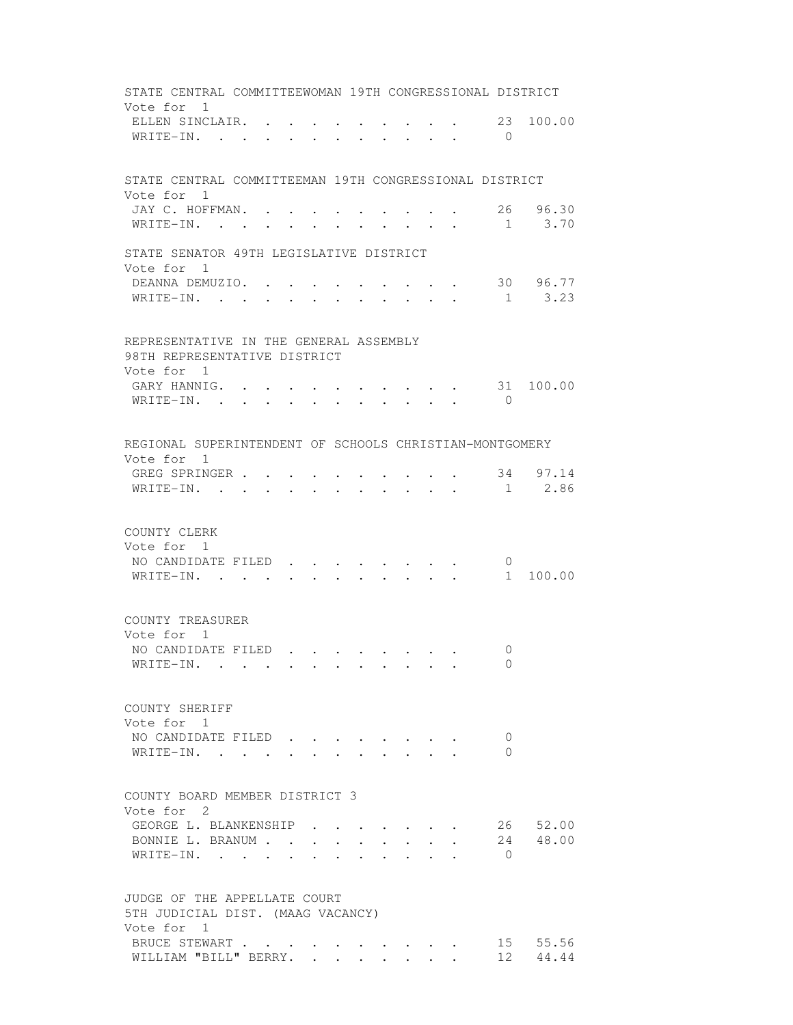| STATE CENTRAL COMMITTEEWOMAN 19TH CONGRESSIONAL DISTRICT               |  |  |                           |  |                                                                                                                                                                                                                                |              |                               |            |           |
|------------------------------------------------------------------------|--|--|---------------------------|--|--------------------------------------------------------------------------------------------------------------------------------------------------------------------------------------------------------------------------------|--------------|-------------------------------|------------|-----------|
| Vote for 1<br>ELLEN SINCLAIR                                           |  |  |                           |  |                                                                                                                                                                                                                                |              |                               |            | 23 100.00 |
| WRITE-IN.                                                              |  |  |                           |  |                                                                                                                                                                                                                                |              | $\mathbf{r}$ and $\mathbf{r}$ | $\bigcirc$ |           |
|                                                                        |  |  |                           |  |                                                                                                                                                                                                                                |              |                               |            |           |
| STATE CENTRAL COMMITTEEMAN 19TH CONGRESSIONAL DISTRICT                 |  |  |                           |  |                                                                                                                                                                                                                                |              |                               |            |           |
| Vote for 1                                                             |  |  |                           |  |                                                                                                                                                                                                                                |              |                               |            |           |
| JAY C. HOFFMAN. .                                                      |  |  |                           |  |                                                                                                                                                                                                                                |              |                               |            | 26 96.30  |
| WRITE-IN. .                                                            |  |  |                           |  |                                                                                                                                                                                                                                |              |                               | 1          | 3.70      |
| STATE SENATOR 49TH LEGISLATIVE DISTRICT                                |  |  |                           |  |                                                                                                                                                                                                                                |              |                               |            |           |
| Vote for 1<br>DEANNA DEMUZIO.                                          |  |  |                           |  | and the contract of the contract of the contract of the contract of the contract of the contract of the contract of the contract of the contract of the contract of the contract of the contract of the contract of the contra |              |                               |            | 30 96.77  |
| WRITE-IN.                                                              |  |  | $\mathbf{r} = \mathbf{r}$ |  | $\cdot$ $\cdot$ $\cdot$ $\cdot$ $\cdot$                                                                                                                                                                                        |              |                               |            | 1 3.23    |
|                                                                        |  |  |                           |  |                                                                                                                                                                                                                                |              |                               |            |           |
| REPRESENTATIVE IN THE GENERAL ASSEMBLY<br>98TH REPRESENTATIVE DISTRICT |  |  |                           |  |                                                                                                                                                                                                                                |              |                               |            |           |
| Vote for 1<br>GARY HANNIG.                                             |  |  |                           |  |                                                                                                                                                                                                                                |              |                               |            | 31 100.00 |
| WRITE-IN.                                                              |  |  |                           |  | $\sim 10^{-10}$                                                                                                                                                                                                                | $\mathbf{L}$ | $\sim$                        | $\bigcirc$ |           |
|                                                                        |  |  |                           |  |                                                                                                                                                                                                                                |              |                               |            |           |
| REGIONAL SUPERINTENDENT OF SCHOOLS CHRISTIAN-MONTGOMERY                |  |  |                           |  |                                                                                                                                                                                                                                |              |                               |            |           |
| Vote for 1                                                             |  |  |                           |  |                                                                                                                                                                                                                                |              |                               |            |           |
| GREG SPRINGER .                                                        |  |  |                           |  |                                                                                                                                                                                                                                |              |                               |            | 34 97.14  |
| WRITE-IN. .                                                            |  |  |                           |  |                                                                                                                                                                                                                                |              |                               | 1          | 2.86      |
|                                                                        |  |  |                           |  |                                                                                                                                                                                                                                |              |                               |            |           |
| COUNTY CLERK                                                           |  |  |                           |  |                                                                                                                                                                                                                                |              |                               |            |           |
| Vote for 1                                                             |  |  |                           |  |                                                                                                                                                                                                                                |              |                               |            |           |
| NO CANDIDATE FILED.                                                    |  |  |                           |  |                                                                                                                                                                                                                                |              |                               | $\circ$    |           |
| WRITE-IN.                                                              |  |  |                           |  | $\cdot$ $\cdot$ $\cdot$ $\cdot$ $\cdot$ $\cdot$ $\cdot$                                                                                                                                                                        |              |                               | 1          | 100.00    |
|                                                                        |  |  |                           |  |                                                                                                                                                                                                                                |              |                               |            |           |
| COUNTY TREASURER<br>Vote for 1                                         |  |  |                           |  |                                                                                                                                                                                                                                |              |                               |            |           |
| NO CANDIDATE FILED                                                     |  |  |                           |  |                                                                                                                                                                                                                                |              |                               | 0          |           |
| WRITE-IN. .                                                            |  |  |                           |  |                                                                                                                                                                                                                                |              |                               | - 0        |           |
|                                                                        |  |  |                           |  |                                                                                                                                                                                                                                |              |                               |            |           |
| COUNTY SHERIFF                                                         |  |  |                           |  |                                                                                                                                                                                                                                |              |                               |            |           |
| Vote for 1                                                             |  |  |                           |  |                                                                                                                                                                                                                                |              |                               |            |           |
| NO CANDIDATE FILED                                                     |  |  |                           |  |                                                                                                                                                                                                                                |              |                               | 0          |           |
| WRITE-IN. .                                                            |  |  |                           |  |                                                                                                                                                                                                                                |              |                               | 0          |           |
| COUNTY BOARD MEMBER DISTRICT 3                                         |  |  |                           |  |                                                                                                                                                                                                                                |              |                               |            |           |
| Vote for 2                                                             |  |  |                           |  |                                                                                                                                                                                                                                |              |                               |            |           |
| GEORGE L. BLANKENSHIP                                                  |  |  |                           |  |                                                                                                                                                                                                                                |              |                               |            | 26 52.00  |
| BONNIE L. BRANUM                                                       |  |  |                           |  |                                                                                                                                                                                                                                |              |                               |            | 24 48.00  |
| WRITE-IN.                                                              |  |  |                           |  |                                                                                                                                                                                                                                |              |                               | $\bigcirc$ |           |
|                                                                        |  |  |                           |  |                                                                                                                                                                                                                                |              |                               |            |           |
| JUDGE OF THE APPELLATE COURT<br>5TH JUDICIAL DIST. (MAAG VACANCY)      |  |  |                           |  |                                                                                                                                                                                                                                |              |                               |            |           |
| Vote for 1                                                             |  |  |                           |  |                                                                                                                                                                                                                                |              |                               |            |           |
| BRUCE STEWART                                                          |  |  |                           |  |                                                                                                                                                                                                                                |              |                               |            | 15 55.56  |
| WILLIAM "BILL" BERRY.                                                  |  |  |                           |  |                                                                                                                                                                                                                                |              |                               |            | 12 44.44  |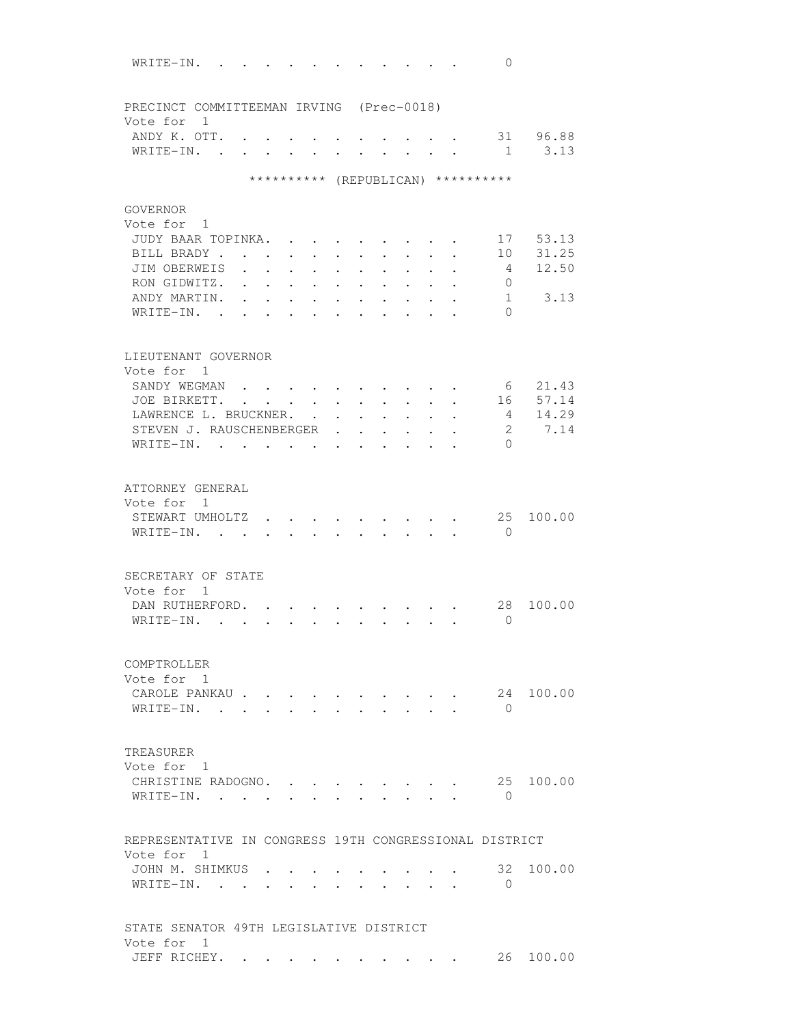| WRITE-IN.<br>$\sim$                                     |                             |                                   |                                         |                                              |                                              |                                                                                                                                                             |                                                             |                                                         |           | $\Omega$                           |                  |
|---------------------------------------------------------|-----------------------------|-----------------------------------|-----------------------------------------|----------------------------------------------|----------------------------------------------|-------------------------------------------------------------------------------------------------------------------------------------------------------------|-------------------------------------------------------------|---------------------------------------------------------|-----------|------------------------------------|------------------|
| PRECINCT COMMITTEEMAN IRVING (Prec-0018)                |                             |                                   |                                         |                                              |                                              |                                                                                                                                                             |                                                             |                                                         |           |                                    |                  |
| Vote for 1                                              |                             |                                   |                                         |                                              |                                              |                                                                                                                                                             |                                                             |                                                         |           |                                    |                  |
| ANDY K. OTT.<br>WRITE-IN. .                             |                             |                                   |                                         |                                              |                                              |                                                                                                                                                             |                                                             |                                                         |           |                                    | 31 96.88<br>3.13 |
|                                                         | $\mathbf{L}$                |                                   |                                         |                                              |                                              | $\ddot{\phantom{a}}$                                                                                                                                        | $\ddot{\phantom{a}}$                                        | $\ddot{\phantom{0}}$                                    | $\sim$    | $\overline{1}$                     |                  |
|                                                         |                             |                                   |                                         |                                              |                                              |                                                                                                                                                             |                                                             |                                                         |           | ********** (REPUBLICAN) ********** |                  |
| GOVERNOR                                                |                             |                                   |                                         |                                              |                                              |                                                                                                                                                             |                                                             |                                                         |           |                                    |                  |
| Vote for 1<br>JUDY BAAR TOPINKA.                        |                             |                                   |                                         |                                              |                                              |                                                                                                                                                             |                                                             |                                                         |           | 1.7                                | 53.13            |
| BILL BRADY.                                             |                             |                                   |                                         |                                              |                                              |                                                                                                                                                             |                                                             |                                                         |           | 10                                 | 31.25            |
| JIM OBERWEIS                                            |                             | $\sim$                            | $\bullet$ .<br>$\ddot{\phantom{a}}$     | $\ddot{\phantom{a}}$<br>$\ddot{\phantom{a}}$ | $\ddot{\phantom{a}}$<br>$\ddot{\phantom{a}}$ |                                                                                                                                                             |                                                             | $\ddot{\phantom{0}}$                                    | $\bullet$ | 4                                  | 12.50            |
| RON GIDWITZ.                                            | $\ddot{\phantom{a}}$        | $\ddot{\phantom{a}}$              | $\ddot{\phantom{a}}$                    | $\ddot{\phantom{a}}$                         | $\ddot{\phantom{a}}$                         | $\ddot{\phantom{a}}$                                                                                                                                        |                                                             |                                                         |           | 0                                  |                  |
| ANDY MARTIN.                                            |                             | $\mathbf{r}$                      |                                         |                                              |                                              |                                                                                                                                                             |                                                             |                                                         |           | 1                                  | 3.13             |
| WRITE-IN.<br>$\sim$                                     | s.                          |                                   |                                         |                                              |                                              |                                                                                                                                                             |                                                             |                                                         |           | $\Omega$                           |                  |
|                                                         |                             |                                   |                                         |                                              |                                              |                                                                                                                                                             |                                                             |                                                         |           |                                    |                  |
| LIEUTENANT GOVERNOR<br>Vote for 1                       |                             |                                   |                                         |                                              |                                              |                                                                                                                                                             |                                                             |                                                         |           |                                    |                  |
| SANDY WEGMAN                                            |                             |                                   |                                         |                                              |                                              |                                                                                                                                                             |                                                             |                                                         |           |                                    | 6 21.43          |
| JOE BIRKETT.                                            |                             |                                   | $\cdot$ $\cdot$ $\cdot$ $\cdot$ $\cdot$ | $\cdot$ $\cdot$ $\cdot$ $\cdot$              |                                              |                                                                                                                                                             |                                                             |                                                         |           | 16                                 | 57.14            |
| LAWRENCE L. BRUCKNER.                                   |                             |                                   |                                         |                                              | $\ddot{\phantom{a}}$                         | $\ddot{\phantom{0}}$                                                                                                                                        |                                                             | $\ddot{\phantom{a}}$                                    |           | 4                                  | 14.29            |
| STEVEN J. RAUSCHENBERGER                                |                             |                                   |                                         |                                              | $\mathbf{r}$                                 | $\sim$                                                                                                                                                      |                                                             |                                                         |           | $\mathfrak{L}$                     | 7.14             |
| $WRITE-IN.$ .                                           | $\sim$ $\sim$ $\sim$ $\sim$ |                                   |                                         | $\sim$ $\sim$                                | $\ddot{\phantom{a}}$                         | $\sim$                                                                                                                                                      | $\sim$                                                      |                                                         |           | $\Omega$                           |                  |
|                                                         |                             |                                   |                                         |                                              |                                              |                                                                                                                                                             |                                                             |                                                         |           |                                    |                  |
| ATTORNEY GENERAL<br>Vote for 1                          |                             |                                   |                                         |                                              |                                              |                                                                                                                                                             |                                                             |                                                         |           |                                    |                  |
| STEWART UMHOLTZ                                         |                             |                                   |                                         |                                              |                                              |                                                                                                                                                             |                                                             |                                                         |           | 25                                 | 100.00           |
| WRITE-IN.<br>$\sim$                                     | $\sim$ $\sim$               |                                   |                                         |                                              |                                              |                                                                                                                                                             |                                                             |                                                         |           | $\bigcirc$                         |                  |
| SECRETARY OF STATE                                      |                             |                                   |                                         |                                              |                                              |                                                                                                                                                             |                                                             |                                                         |           |                                    |                  |
| Vote for<br>$\overline{1}$                              |                             |                                   |                                         |                                              |                                              |                                                                                                                                                             |                                                             |                                                         |           |                                    |                  |
| DAN RUTHERFORD.                                         |                             |                                   |                                         |                                              |                                              |                                                                                                                                                             |                                                             |                                                         |           | 28                                 | 100.00           |
| WRITE-IN.<br>$\mathbf{r}$ , $\mathbf{r}$ , $\mathbf{r}$ |                             | $\ddot{\phantom{0}}$              | $\ddot{\phantom{0}}$                    | $\ddot{\phantom{0}}$                         |                                              | $\bullet$ .<br><br><br><br><br><br><br><br><br><br><br><br><br><br><br><br><br><br><br><br><br><br><br><br><br><br><br><br><br><br><br><br><br><br><br><br> | $\bullet$ .<br><br><br><br><br><br><br><br><br><br><br><br> | $\ddot{\phantom{0}}$                                    |           | $\bigcirc$                         |                  |
|                                                         |                             |                                   |                                         |                                              |                                              |                                                                                                                                                             |                                                             |                                                         |           |                                    |                  |
| COMPTROLLER<br>Vote for 1                               |                             |                                   |                                         |                                              |                                              |                                                                                                                                                             |                                                             |                                                         |           |                                    |                  |
| CAROLE PANKAU                                           |                             |                                   |                                         |                                              |                                              |                                                                                                                                                             |                                                             |                                                         |           |                                    | 24 100.00        |
| WRITE-IN.                                               |                             | $\sim$                            | <b>Service</b>                          |                                              |                                              | $\cdot$ $\cdot$                                                                                                                                             |                                                             | $\mathbf{L}^{\text{max}}$ and $\mathbf{L}^{\text{max}}$ |           | $\bigcirc$                         |                  |
|                                                         |                             |                                   |                                         |                                              |                                              |                                                                                                                                                             |                                                             |                                                         |           |                                    |                  |
| TREASURER                                               |                             |                                   |                                         |                                              |                                              |                                                                                                                                                             |                                                             |                                                         |           |                                    |                  |
| Vote for 1                                              |                             |                                   |                                         |                                              |                                              |                                                                                                                                                             |                                                             |                                                         |           |                                    |                  |
| CHRISTINE RADOGNO.                                      |                             |                                   |                                         |                                              |                                              |                                                                                                                                                             |                                                             |                                                         |           |                                    | 25 100.00        |
| WRITE-IN.                                               |                             | <b>Contract Contract Contract</b> |                                         |                                              |                                              |                                                                                                                                                             |                                                             |                                                         |           | $\bigcirc$                         |                  |
| REPRESENTATIVE IN CONGRESS 19TH CONGRESSIONAL DISTRICT  |                             |                                   |                                         |                                              |                                              |                                                                                                                                                             |                                                             |                                                         |           |                                    |                  |
| Vote for 1                                              |                             |                                   |                                         |                                              |                                              |                                                                                                                                                             |                                                             |                                                         |           |                                    |                  |
| JOHN M. SHIMKUS                                         |                             |                                   |                                         |                                              |                                              |                                                                                                                                                             |                                                             |                                                         |           | 32                                 | 100.00           |
| WRITE-IN.                                               |                             |                                   |                                         |                                              |                                              |                                                                                                                                                             |                                                             |                                                         |           | - 0                                |                  |
| STATE SENATOR 49TH LEGISLATIVE DISTRICT                 |                             |                                   |                                         |                                              |                                              |                                                                                                                                                             |                                                             |                                                         |           |                                    |                  |
| Vote for 1                                              |                             |                                   |                                         |                                              |                                              |                                                                                                                                                             |                                                             |                                                         |           |                                    |                  |
| JEFF RICHEY.                                            |                             |                                   |                                         |                                              |                                              |                                                                                                                                                             |                                                             |                                                         |           |                                    | 26 100.00        |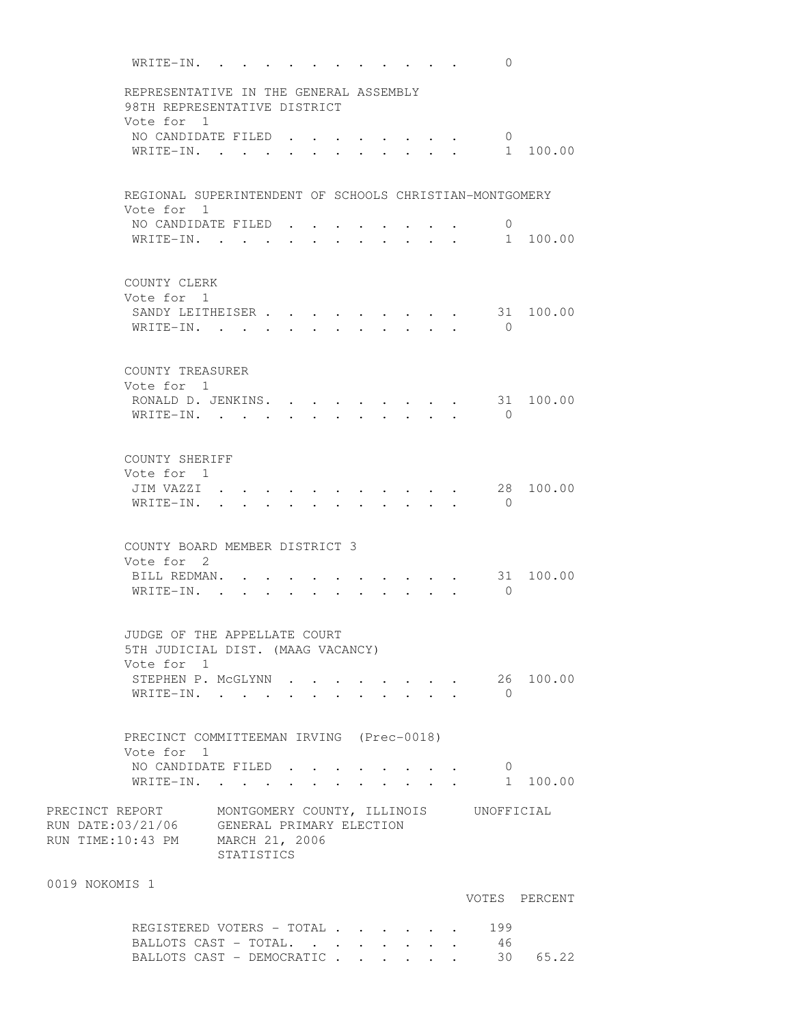WRITE-IN. . . . . . . . . . . 0 REPRESENTATIVE IN THE GENERAL ASSEMBLY 98TH REPRESENTATIVE DISTRICT Vote for 1 VOTE IOL 1<br>NO CANDIDATE FILED . . . . . . . . 0<br>1 WRITE-IN. . . . . . . . . . . . 1 100.00 REGIONAL SUPERINTENDENT OF SCHOOLS CHRISTIAN-MONTGOMERY Vote for 1 NO CANDIDATE FILED . . . . . . . . 0 WRITE-IN. . . . . . . . . . . . 1 100.00 COUNTY CLERK Vote for 1 SANDY LEITHEISER . . . . . . . . . 31 100.00 WRITE-IN. . . . . . . . . . . . 0 COUNTY TREASURER Vote for 1 RONALD D. JENKINS. . . . . . . . . 31 100.00 WRITE-IN. . . . . . . . . . . 0 COUNTY SHERIFF Vote for 1 JIM VAZZI . . . . . . . . . . . 28 100.00 WRITE-IN. . . . . . . . . . . 0 COUNTY BOARD MEMBER DISTRICT 3 Vote for 2 BILL REDMAN. . . . . . . . . . . 31 100.00 WRITE-IN. . . . . . . . . . . 0 JUDGE OF THE APPELLATE COURT 5TH JUDICIAL DIST. (MAAG VACANCY) Vote for 1 STEPHEN P. McGLYNN . . . . . . . . 26 100.00  $\texttt{WRITE-IN.}$  . . . . . . . . . . 0 PRECINCT COMMITTEEMAN IRVING (Prec-0018) Vote for 1 NO CANDIDATE FILED . . . . . . . . 0 WRITE-IN. . . . . . . . . . . . 1 100.00 PRECINCT REPORT MONTGOMERY COUNTY, ILLINOIS UNOFFICIAL RUN DATE:03/21/06 GENERAL PRIMARY ELECTION RUN TIME:10:43 PM MARCH 21, 2006 STATISTICS 0019 NOKOMIS 1 VOTES PERCENT REGISTERED VOTERS - TOTAL . . . . . . 199 BALLOTS CAST - TOTAL. . . . . . . . 46<br>BALLOTS CAST - DEMOCRATIC . . . . . . 30 65.22

BALLOTS CAST - DEMOCRATIC . . . . . .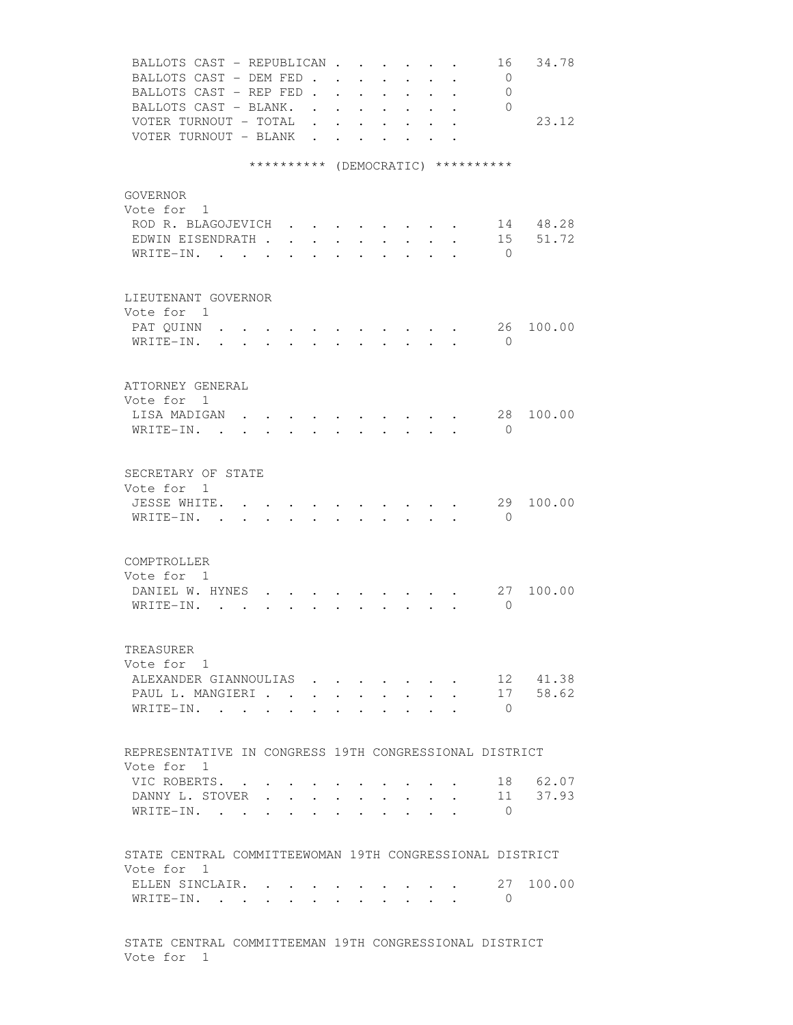| BALLOTS CAST - REPUBLICAN<br>34.78<br>16                                                                                                             |
|------------------------------------------------------------------------------------------------------------------------------------------------------|
| BALLOTS CAST - DEM FED.<br>$\overline{0}$<br>$\sim$<br>$\sim$                                                                                        |
| BALLOTS CAST - REP FED.<br>0<br>$\ddot{\phantom{0}}$<br>$\ddot{\phantom{a}}$<br>$\sim$                                                               |
| BALLOTS CAST - BLANK. .<br>$\Omega$<br>$\ddot{\phantom{0}}$<br>$\sim$                                                                                |
| VOTER TURNOUT - TOTAL .<br>23.12<br>$\bullet$ .<br><br><br><br><br><br><br><br><br><br><br><br><br>                                                  |
| VOTER TURNOUT - BLANK<br>$\ddot{\phantom{a}}$<br>$\bullet \qquad \bullet \qquad \bullet \qquad \bullet \qquad \bullet \qquad \bullet$                |
|                                                                                                                                                      |
| ********** (DEMOCRATIC) **********                                                                                                                   |
|                                                                                                                                                      |
| GOVERNOR                                                                                                                                             |
| Vote for 1                                                                                                                                           |
| ROD R. BLAGOJEVICH<br>14 48.28                                                                                                                       |
| 51.72<br>EDWIN EISENDRATH<br>15                                                                                                                      |
| WRITE-IN.<br>$\bigcirc$<br>$\sim$ 100 $\pm$                                                                                                          |
|                                                                                                                                                      |
|                                                                                                                                                      |
| LIEUTENANT GOVERNOR<br>Vote for 1                                                                                                                    |
|                                                                                                                                                      |
| PAT QUINN<br>26<br>100.00<br>$\sim$<br>$\sim$                                                                                                        |
| WRITE-IN.<br>$\Omega$<br>$\sim$                                                                                                                      |
|                                                                                                                                                      |
| ATTORNEY GENERAL                                                                                                                                     |
| Vote for 1                                                                                                                                           |
| LISA MADIGAN .<br>28<br>100.00                                                                                                                       |
|                                                                                                                                                      |
| WRITE-IN.<br>$\mathbf{0}$                                                                                                                            |
|                                                                                                                                                      |
| SECRETARY OF STATE                                                                                                                                   |
| Vote for 1                                                                                                                                           |
| 29<br>JESSE WHITE.<br>100.00                                                                                                                         |
| WRITE-IN. .<br>$\bigcirc$<br>$\mathbf{r}$ , and $\mathbf{r}$ , and $\mathbf{r}$ , and $\mathbf{r}$ , and $\mathbf{r}$<br>$\sim$<br>$\sim$ 100 $\sim$ |
|                                                                                                                                                      |
|                                                                                                                                                      |
| COMPTROLLER                                                                                                                                          |
| Vote for 1                                                                                                                                           |
| DANIEL W. HYNES.<br>100.00<br>27                                                                                                                     |
| $\Omega$<br>WRITE-IN. .<br>$\sim$                                                                                                                    |
|                                                                                                                                                      |
|                                                                                                                                                      |
| TREASURER                                                                                                                                            |
| Vote for 1                                                                                                                                           |
| ALEXANDER GIANNOULIAS<br>12 41.38                                                                                                                    |
| 58.62<br>PAUL L. MANGIERI<br>17<br>$\bullet$ .                                                                                                       |
| WRITE-IN. .<br>$\bigcirc$                                                                                                                            |
|                                                                                                                                                      |
|                                                                                                                                                      |
| REPRESENTATIVE IN CONGRESS 19TH CONGRESSIONAL DISTRICT                                                                                               |
| Vote for 1                                                                                                                                           |
| 18 62.07<br>VIC ROBERTS.                                                                                                                             |
| 11 37.93<br>DANNY L. STOVER<br>$\cdot$ $\cdot$ $\cdot$<br>$\sim$ 100 $\sim$ 100 $\sim$<br>$\sim$ 100 $\sim$                                          |
| WRITE-IN.<br>$\bigcirc$<br>$\ddot{\phantom{a}}$<br>$\ddot{\phantom{a}}$<br>$\ddot{\phantom{a}}$<br>$\sim$ 100 $\mu$                                  |
|                                                                                                                                                      |
|                                                                                                                                                      |
| STATE CENTRAL COMMITTEEWOMAN 19TH CONGRESSIONAL DISTRICT                                                                                             |
| Vote for 1                                                                                                                                           |
| 27<br>100.00<br>ELLEN SINCLAIR.                                                                                                                      |
| WRITE-IN.<br>$\overline{0}$                                                                                                                          |
|                                                                                                                                                      |
|                                                                                                                                                      |
| STATE CENTRAL COMMITTEEMAN 19TH CONGRESSIONAL DISTRICT                                                                                               |
| Vote for 1                                                                                                                                           |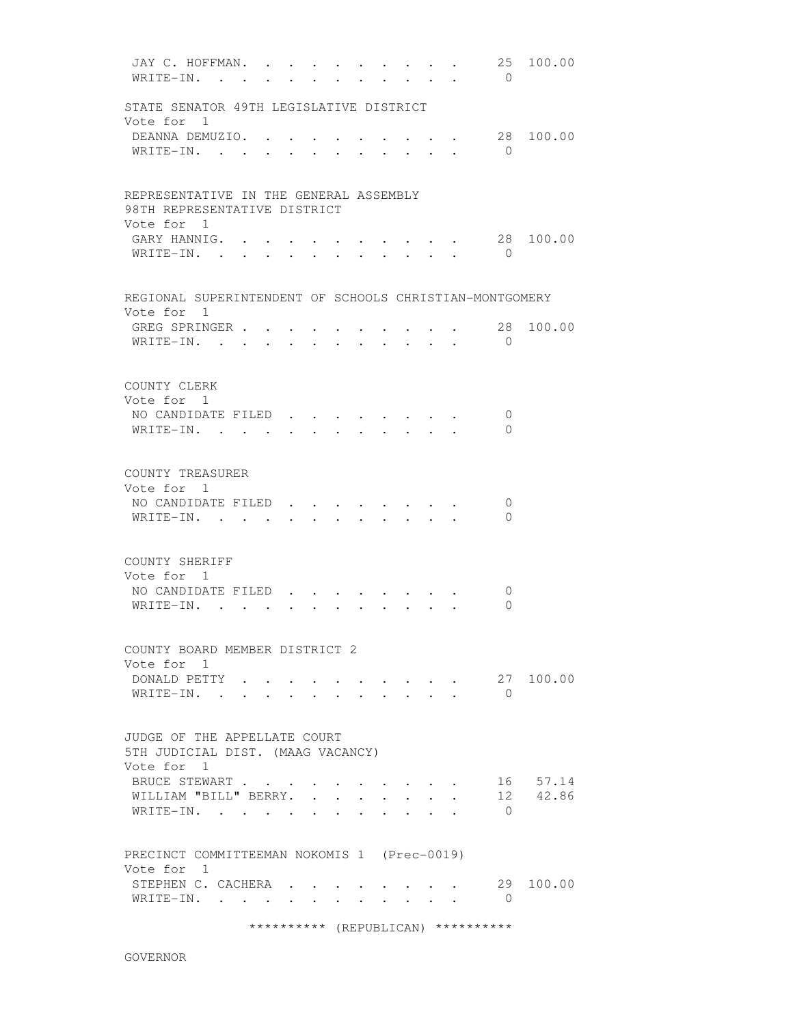JAY C. HOFFMAN. . . . . . . . . . 25 100.00 WRITE-IN. . . . . . . . . . . . 0 STATE SENATOR 49TH LEGISLATIVE DISTRICT Vote for 1 DEANNA DEMUZIO. . . . . . . . . . 28 100.00 WRITE-IN. . . . . . . . . . . 0 REPRESENTATIVE IN THE GENERAL ASSEMBLY 98TH REPRESENTATIVE DISTRICT Vote for 1 GARY HANNIG. . . . . . . . . . . 28 100.00 WRITE-IN. . . . . . . . . . . . 0 REGIONAL SUPERINTENDENT OF SCHOOLS CHRISTIAN-MONTGOMERY Vote for 1 GREG SPRINGER . . . . . . . . . . 28 100.00 WRITE-IN. . . . . . . . . . . . 0 COUNTY CLERK Vote for 1 NO CANDIDATE FILED . . . . . . . . 0 WRITE-IN. . . . . . . . . . . 0 COUNTY TREASURER Vote for 1 NO CANDIDATE FILED . . . . . . . . 0 WRITE-IN. . . . . . . . . . . . 0 COUNTY SHERIFF Vote for 1 NO CANDIDATE FILED . . . . . . . . 0 WRITE-IN. . . . . . . . . . . . 0 COUNTY BOARD MEMBER DISTRICT 2 Vote for 1 DONALD PETTY . . . . . . . . . . 27 100.00  $\texttt{WRITE-IN.}$  . . . . . . . . . . 0 JUDGE OF THE APPELLATE COURT 5TH JUDICIAL DIST. (MAAG VACANCY) Vote for 1 BRUCE STEWART . . . . . . . . . . 16 57.14 WILLIAM "BILL" BERRY. . . . . . . . 12 42.86 WRITE-IN. . . . . . . . . . . 0 PRECINCT COMMITTEEMAN NOKOMIS 1 (Prec-0019) Vote for 1 STEPHEN C. CACHERA . . . . . . . . 29 100.00 WRITE-IN. . . . . . . . . . . 0 \*\*\*\*\*\*\*\*\*\* (REPUBLICAN) \*\*\*\*\*\*\*\*\*\*

GOVERNOR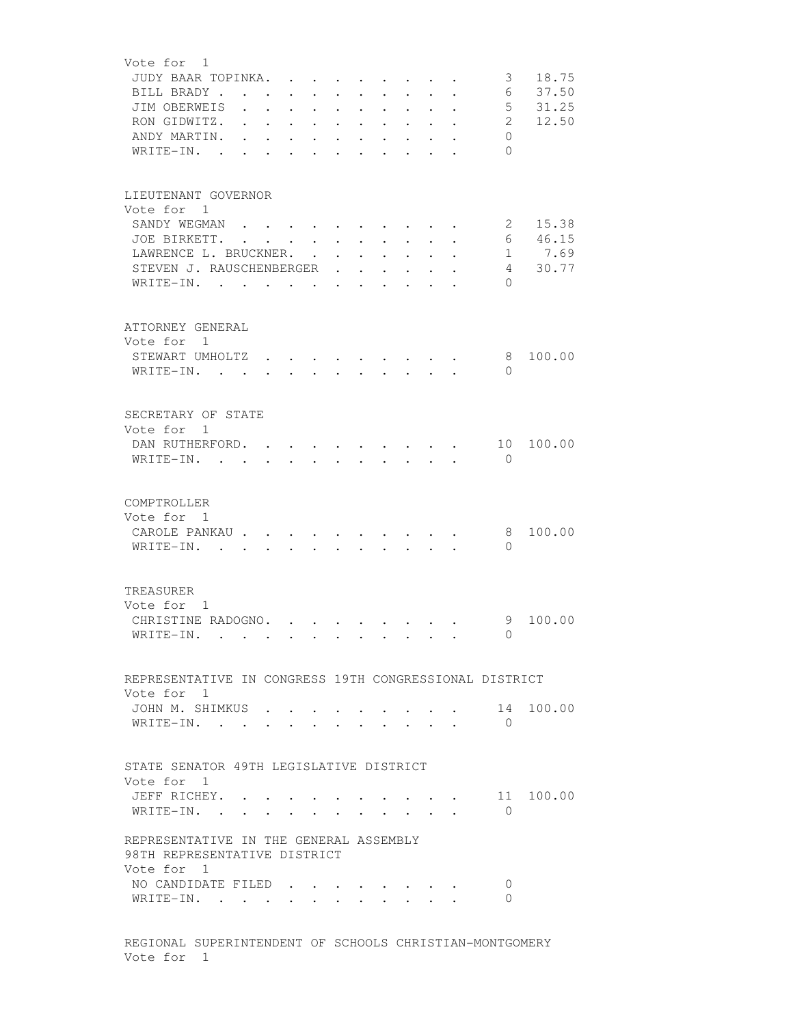| Vote for 1                                             |               |                      |                      |                                                             |                                                                         |                                                             |                                                                                 |                                       |                                 |                         |              |           |
|--------------------------------------------------------|---------------|----------------------|----------------------|-------------------------------------------------------------|-------------------------------------------------------------------------|-------------------------------------------------------------|---------------------------------------------------------------------------------|---------------------------------------|---------------------------------|-------------------------|--------------|-----------|
| JUDY BAAR TOPINKA.                                     |               |                      |                      |                                                             |                                                                         |                                                             |                                                                                 |                                       |                                 |                         | 3            | 18.75     |
| BILL BRADY                                             |               |                      |                      |                                                             |                                                                         |                                                             |                                                                                 |                                       |                                 |                         | 6            | 37.50     |
| JIM OBERWEIS                                           |               |                      |                      |                                                             | $\mathbf{r}$ . The set of $\mathbf{r}$                                  |                                                             | $\cdot$ $\cdot$ $\cdot$ $\cdot$ $\cdot$ $\cdot$ $\cdot$                         |                                       |                                 |                         | $5 -$        | 31.25     |
| RON GIDWITZ.                                           |               |                      |                      |                                                             | $\mathbf{r}$ , and $\mathbf{r}$ , and $\mathbf{r}$                      |                                                             | $\mathbf{r}$ , and $\mathbf{r}$ , and $\mathbf{r}$                              |                                       |                                 |                         | $\mathbf{2}$ | 12.50     |
| ANDY MARTIN.                                           |               | $\ddot{\phantom{a}}$ |                      | $\bullet$ .<br><br><br><br><br><br><br><br><br><br><br><br> | $\mathbf{A}^{\text{max}}$ , and $\mathbf{A}^{\text{max}}$               | $\bullet$ .<br><br><br><br><br><br><br><br><br><br><br><br> | $\bullet$ .<br><br><br><br><br><br><br><br><br><br><br><br>                     | $\sim 100$ km s $^{-1}$               | $\mathbf{L}^{\text{max}}$ , and |                         | $\Omega$     |           |
| WRITE-IN.                                              | $\sim$ $\sim$ | $\ddot{\phantom{a}}$ | $\ddot{\phantom{a}}$ | $\bullet$ . The set of $\bullet$                            | <b>All Contracts</b>                                                    | $\bullet$ .<br><br><br><br><br><br><br><br><br><br><br><br> |                                                                                 | $\bullet$ . In the case of the $\sim$ |                                 |                         | $\Omega$     |           |
|                                                        |               |                      |                      |                                                             |                                                                         |                                                             |                                                                                 |                                       |                                 |                         |              |           |
|                                                        |               |                      |                      |                                                             |                                                                         |                                                             |                                                                                 |                                       |                                 |                         |              |           |
| LIEUTENANT GOVERNOR                                    |               |                      |                      |                                                             |                                                                         |                                                             |                                                                                 |                                       |                                 |                         |              |           |
| Vote for 1                                             |               |                      |                      |                                                             |                                                                         |                                                             |                                                                                 |                                       |                                 |                         |              |           |
|                                                        |               |                      |                      |                                                             |                                                                         |                                                             |                                                                                 |                                       |                                 |                         |              |           |
| SANDY WEGMAN                                           |               |                      |                      |                                                             |                                                                         |                                                             |                                                                                 |                                       |                                 |                         | 2            | 15.38     |
| JOE BIRKETT.                                           |               |                      |                      |                                                             |                                                                         |                                                             |                                                                                 |                                       |                                 |                         | 6            | 46.15     |
| LAWRENCE L. BRUCKNER.                                  |               |                      |                      |                                                             |                                                                         |                                                             |                                                                                 |                                       |                                 |                         |              | 1 7.69    |
| STEVEN J. RAUSCHENBERGER                               |               |                      |                      |                                                             |                                                                         |                                                             |                                                                                 |                                       |                                 |                         |              | 4 30.77   |
| WRITE-IN.                                              |               |                      |                      |                                                             |                                                                         |                                                             | the contract of the contract of the contract of the contract of the contract of |                                       |                                 |                         | $\Omega$     |           |
|                                                        |               |                      |                      |                                                             |                                                                         |                                                             |                                                                                 |                                       |                                 |                         |              |           |
|                                                        |               |                      |                      |                                                             |                                                                         |                                                             |                                                                                 |                                       |                                 |                         |              |           |
| ATTORNEY GENERAL                                       |               |                      |                      |                                                             |                                                                         |                                                             |                                                                                 |                                       |                                 |                         |              |           |
| Vote for 1                                             |               |                      |                      |                                                             |                                                                         |                                                             |                                                                                 |                                       |                                 |                         |              |           |
| STEWART UMHOLTZ                                        |               |                      |                      |                                                             |                                                                         |                                                             |                                                                                 |                                       |                                 |                         | 8            | 100.00    |
| WRITE-IN.                                              |               |                      |                      |                                                             |                                                                         |                                                             | $\cdot$ $\cdot$ $\cdot$ $\cdot$ $\cdot$ $\cdot$ $\cdot$                         |                                       |                                 |                         | $\Omega$     |           |
|                                                        |               |                      |                      |                                                             |                                                                         |                                                             |                                                                                 |                                       |                                 |                         |              |           |
|                                                        |               |                      |                      |                                                             |                                                                         |                                                             |                                                                                 |                                       |                                 |                         |              |           |
| SECRETARY OF STATE                                     |               |                      |                      |                                                             |                                                                         |                                                             |                                                                                 |                                       |                                 |                         |              |           |
|                                                        |               |                      |                      |                                                             |                                                                         |                                                             |                                                                                 |                                       |                                 |                         |              |           |
| Vote for 1                                             |               |                      |                      |                                                             |                                                                         |                                                             |                                                                                 |                                       |                                 |                         |              |           |
| DAN RUTHERFORD.                                        |               |                      |                      |                                                             |                                                                         |                                                             |                                                                                 |                                       |                                 | $\cdot$ $\cdot$ $\cdot$ | 10           | 100.00    |
| WRITE-IN.                                              |               |                      |                      |                                                             |                                                                         |                                                             |                                                                                 |                                       |                                 |                         | $\mathbf{0}$ |           |
|                                                        |               |                      |                      |                                                             |                                                                         |                                                             |                                                                                 |                                       |                                 |                         |              |           |
|                                                        |               |                      |                      |                                                             |                                                                         |                                                             |                                                                                 |                                       |                                 |                         |              |           |
| COMPTROLLER                                            |               |                      |                      |                                                             |                                                                         |                                                             |                                                                                 |                                       |                                 |                         |              |           |
| Vote for 1                                             |               |                      |                      |                                                             |                                                                         |                                                             |                                                                                 |                                       |                                 |                         |              |           |
| CAROLE PANKAU                                          |               |                      |                      |                                                             |                                                                         |                                                             |                                                                                 |                                       |                                 |                         | 8            | 100.00    |
| WRITE-IN. .                                            |               | $\ddot{\phantom{0}}$ | $\ddot{\phantom{0}}$ |                                                             |                                                                         |                                                             |                                                                                 |                                       |                                 |                         | $\Omega$     |           |
|                                                        |               |                      |                      |                                                             |                                                                         |                                                             |                                                                                 |                                       |                                 |                         |              |           |
|                                                        |               |                      |                      |                                                             |                                                                         |                                                             |                                                                                 |                                       |                                 |                         |              |           |
| TREASURER                                              |               |                      |                      |                                                             |                                                                         |                                                             |                                                                                 |                                       |                                 |                         |              |           |
| Vote for 1                                             |               |                      |                      |                                                             |                                                                         |                                                             |                                                                                 |                                       |                                 |                         |              |           |
|                                                        |               |                      |                      |                                                             |                                                                         |                                                             |                                                                                 |                                       |                                 |                         |              |           |
| CHRISTINE RADOGNO.                                     |               |                      |                      |                                                             |                                                                         |                                                             |                                                                                 |                                       |                                 |                         | 9            | 100.00    |
| $\texttt{WRTTE-IN.}$                                   |               |                      |                      |                                                             |                                                                         |                                                             |                                                                                 |                                       |                                 |                         | 0            |           |
|                                                        |               |                      |                      |                                                             |                                                                         |                                                             |                                                                                 |                                       |                                 |                         |              |           |
|                                                        |               |                      |                      |                                                             |                                                                         |                                                             |                                                                                 |                                       |                                 |                         |              |           |
| REPRESENTATIVE IN CONGRESS 19TH CONGRESSIONAL DISTRICT |               |                      |                      |                                                             |                                                                         |                                                             |                                                                                 |                                       |                                 |                         |              |           |
| Vote for 1                                             |               |                      |                      |                                                             |                                                                         |                                                             |                                                                                 |                                       |                                 |                         |              |           |
| JOHN M. SHIMKUS                                        |               |                      |                      |                                                             | $\bullet$ .<br><br><br><br><br><br><br><br><br><br><br><br><br><br><br> |                                                             | $\sim$ $\sim$ $\sim$ $\sim$                                                     |                                       |                                 |                         | 14           | 100.00    |
| WRITE-IN.                                              |               |                      |                      |                                                             | $\ddot{\phantom{0}}$                                                    |                                                             |                                                                                 |                                       | $\cdot$ $\cdot$ $\cdot$ $\cdot$ |                         | $\bigcap$    |           |
|                                                        |               |                      |                      |                                                             |                                                                         |                                                             |                                                                                 |                                       |                                 |                         |              |           |
|                                                        |               |                      |                      |                                                             |                                                                         |                                                             |                                                                                 |                                       |                                 |                         |              |           |
| STATE SENATOR 49TH LEGISLATIVE DISTRICT                |               |                      |                      |                                                             |                                                                         |                                                             |                                                                                 |                                       |                                 |                         |              |           |
| Vote for 1                                             |               |                      |                      |                                                             |                                                                         |                                                             |                                                                                 |                                       |                                 |                         |              |           |
| JEFF RICHEY.                                           |               |                      |                      |                                                             |                                                                         |                                                             |                                                                                 |                                       |                                 |                         |              | 11 100.00 |
|                                                        |               |                      |                      |                                                             |                                                                         |                                                             |                                                                                 |                                       |                                 |                         | $\Omega$     |           |
| WRITE-IN.                                              |               |                      |                      |                                                             |                                                                         |                                                             |                                                                                 |                                       |                                 |                         |              |           |
|                                                        |               |                      |                      |                                                             |                                                                         |                                                             |                                                                                 |                                       |                                 |                         |              |           |
| REPRESENTATIVE IN THE GENERAL ASSEMBLY                 |               |                      |                      |                                                             |                                                                         |                                                             |                                                                                 |                                       |                                 |                         |              |           |
| 98TH REPRESENTATIVE DISTRICT                           |               |                      |                      |                                                             |                                                                         |                                                             |                                                                                 |                                       |                                 |                         |              |           |
| Vote for 1                                             |               |                      |                      |                                                             |                                                                         |                                                             |                                                                                 |                                       |                                 |                         |              |           |
| NO CANDIDATE FILED                                     |               |                      |                      |                                                             |                                                                         |                                                             |                                                                                 |                                       |                                 |                         | 0            |           |
| WRITE-IN.                                              |               |                      |                      |                                                             |                                                                         |                                                             |                                                                                 |                                       |                                 |                         | 0            |           |
|                                                        |               |                      |                      |                                                             |                                                                         |                                                             |                                                                                 |                                       |                                 |                         |              |           |
|                                                        |               |                      |                      |                                                             |                                                                         |                                                             |                                                                                 |                                       |                                 |                         |              |           |

 REGIONAL SUPERINTENDENT OF SCHOOLS CHRISTIAN-MONTGOMERY Vote for 1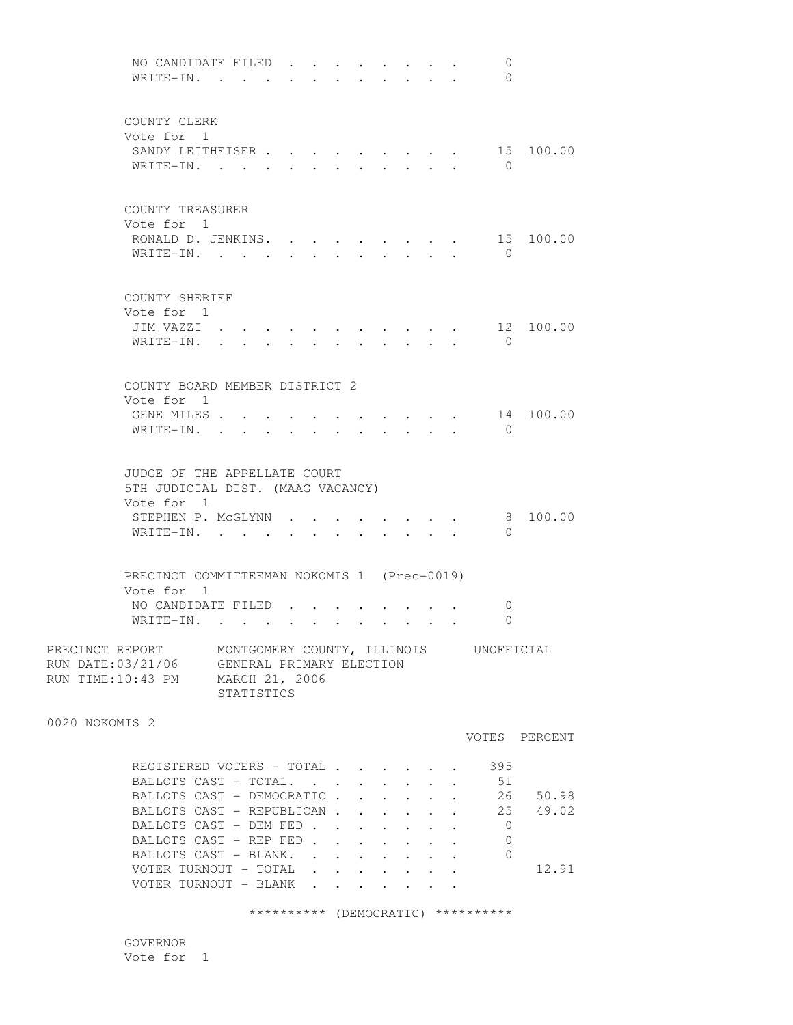NO CANDIDATE FILED . . . . . . . . 0 WRITE-IN. . . . . . . . . . . . 0 COUNTY CLERK Vote for 1 SANDY LEITHEISER . . . . . . . . . 15 100.00 WRITE-IN. . . . . . . . . . . 0 COUNTY TREASURER Vote for 1 RONALD D. JENKINS. . . . . . . . . 15 100.00 WRITE-IN. . . . . . . . . . . . 0 COUNTY SHERIFF Vote for 1 JIM VAZZI . . . . . . . . . . . 12 100.00 WRITE-IN. . . . . . . . . . . . 0 COUNTY BOARD MEMBER DISTRICT 2 Vote for 1 GENE MILES . . . . . . . . . . . 14 100.00 WRITE-IN. . . . . . . . . . . 0 JUDGE OF THE APPELLATE COURT 5TH JUDICIAL DIST. (MAAG VACANCY) Vote for 1 STEPHEN P. MCGLYNN . . . . . . . . 8 100.00 WRITE-IN. . . . . . . . . . . . 0 PRECINCT COMMITTEEMAN NOKOMIS 1 (Prec-0019) Vote for 1 NO CANDIDATE FILED . . . . . . . . 0 WRITE-IN. . . . . . . . . . . . 0 PRECINCT REPORT MONTGOMERY COUNTY, ILLINOIS UNOFFICIAL RUN DATE:03/21/06 GENERAL PRIMARY ELECTION RUN TIME:10:43 PM MARCH 21, 2006 STATISTICS 0020 NOKOMIS 2 VOTES PERCENT REGISTERED VOTERS - TOTAL . . . . . . 395 BALLOTS CAST - TOTAL. . . . . . . . 51 BALLOTS CAST - DEMOCRATIC . . . . . . 26 50.98 BALLOTS CAST - REPUBLICAN . . . . . . 25 49.02 BALLOTS CAST - DEM FED . . . . . . . 0<br>RALLOTS CAST - REP FED . . . . . . . 0 BALLOTS CAST - REP FED . . . . . . . BALLOTS CAST - BLANK. . . . . . . . 0 VOTER TURNOUT - TOTAL . . . . . . . 12.91 VOTER TURNOUT - BLANK . . . . . . .

\*\*\*\*\*\*\*\*\*\* (DEMOCRATIC) \*\*\*\*\*\*\*\*\*\*

 GOVERNOR Vote for 1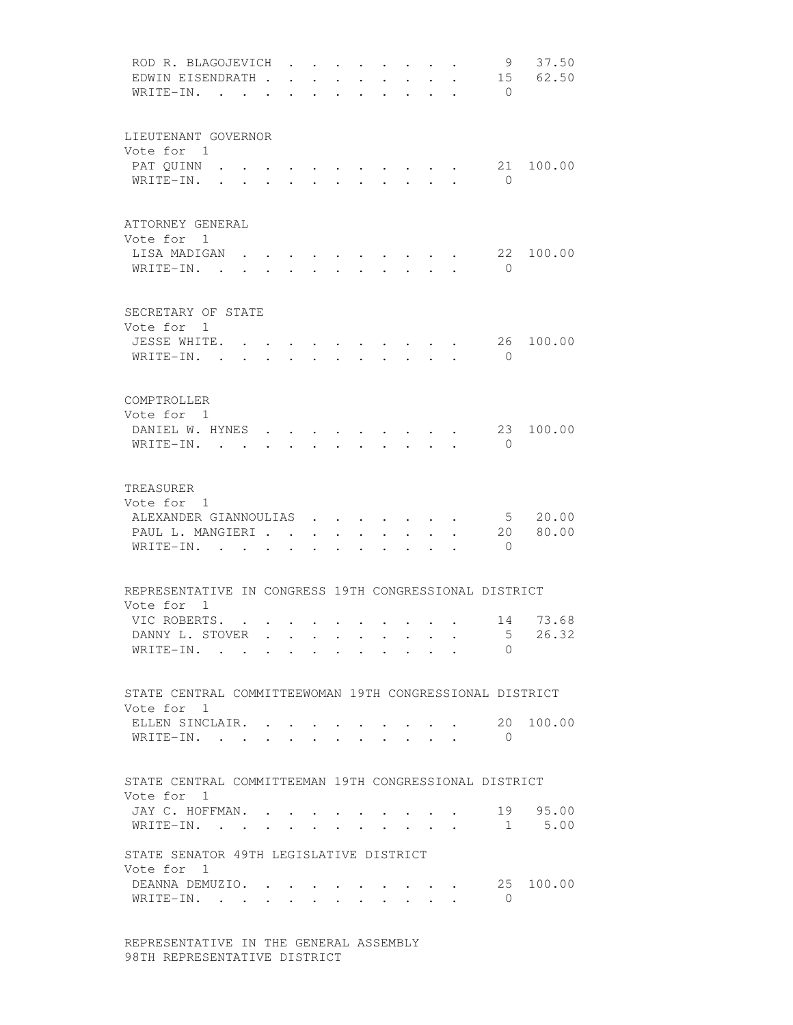| ROD R. BLAGOJEVICH<br>EDWIN EISENDRATH.<br>WRITE-IN. .                                |                      |                      |                                                                     |                                 |        |                                                         |                         |                         | 9<br>$\bigcirc$            | 37.50<br>15 62.50          |
|---------------------------------------------------------------------------------------|----------------------|----------------------|---------------------------------------------------------------------|---------------------------------|--------|---------------------------------------------------------|-------------------------|-------------------------|----------------------------|----------------------------|
| LIEUTENANT GOVERNOR<br>Vote for 1<br>PAT QUINN .<br>WRITE-IN.                         | $\sim$               |                      | $\ddot{\phantom{0}}$                                                | $\cdot$ $\cdot$ $\cdot$ $\cdot$ | $\sim$ |                                                         | $\cdot$ $\cdot$ $\cdot$ |                         | 21<br>$\bigcirc$           | 100.00                     |
| ATTORNEY GENERAL<br>Vote for 1<br>LISA MADIGAN<br>WRITE-IN. .                         | $\ddot{\phantom{a}}$ | $\ddot{\phantom{a}}$ |                                                                     | $\sim$                          | $\sim$ | <b>Contract Contract Contract</b>                       | $\sim$                  |                         | 22<br>$\bigcirc$           | 100.00                     |
| SECRETARY OF STATE<br>Vote for 1<br>JESSE WHITE.<br>$WRITE-IN.$ .                     |                      |                      |                                                                     |                                 |        |                                                         |                         |                         | 26<br>$\bigcirc$           | 100.00                     |
| COMPTROLLER<br>Vote for 1<br>DANIEL W. HYNES<br>WRITE-IN.                             |                      | $\ddot{\phantom{0}}$ | $\ddot{\phantom{0}}$                                                |                                 |        |                                                         | $\sim$                  |                         | 23<br>$\Omega$             | 100.00                     |
| TREASURER<br>Vote for 1<br>ALEXANDER GIANNOULIAS<br>PAUL L. MANGIERI<br>WRITE-IN.     |                      |                      |                                                                     | $\ddot{\phantom{a}}$            |        | $\mathbf{r}$ , and $\mathbf{r}$<br>$\ddot{\phantom{a}}$ | $\sim$                  | $\cdot$ $\cdot$ $\cdot$ | 20<br>$\overline{0}$       | 5 20.00<br>80.00           |
| REPRESENTATIVE IN CONGRESS 19TH CONGRESSIONAL DISTRICT<br>Vote for 1                  |                      |                      |                                                                     |                                 |        |                                                         |                         |                         |                            |                            |
| VIC ROBERTS. .<br>DANNY L. STOVER<br>WRITE-IN.                                        |                      |                      |                                                                     |                                 |        |                                                         |                         |                         | 5 <sup>5</sup><br>$\Omega$ | 14 73.68<br>26.32          |
| STATE CENTRAL COMMITTEEWOMAN 19TH CONGRESSIONAL DISTRICT<br>Vote for 1                |                      |                      |                                                                     |                                 |        |                                                         |                         |                         |                            |                            |
| ELLEN SINCLAIR. .<br>WRITE-IN.                                                        |                      |                      | $\bullet$ .<br><br><br><br><br><br><br><br><br><br><br><br><br><br> |                                 |        |                                                         |                         |                         | $\mathbf{0}$               | 20 100.00                  |
| STATE CENTRAL COMMITTEEMAN 19TH CONGRESSIONAL DISTRICT<br>Vote for 1                  |                      |                      |                                                                     |                                 |        |                                                         |                         |                         |                            |                            |
| JAY C. HOFFMAN.<br>WRITE-IN.                                                          |                      |                      |                                                                     |                                 |        |                                                         |                         |                         |                            | 19 95.00<br>$\cdot$ 1 5.00 |
| STATE SENATOR 49TH LEGISLATIVE DISTRICT<br>Vote for 1<br>DEANNA DEMUZIO.<br>WRITE-IN. |                      |                      |                                                                     |                                 |        |                                                         |                         |                         | 25<br>$\overline{0}$       | 100.00                     |
|                                                                                       |                      |                      |                                                                     |                                 |        |                                                         |                         |                         |                            |                            |

 REPRESENTATIVE IN THE GENERAL ASSEMBLY 98TH REPRESENTATIVE DISTRICT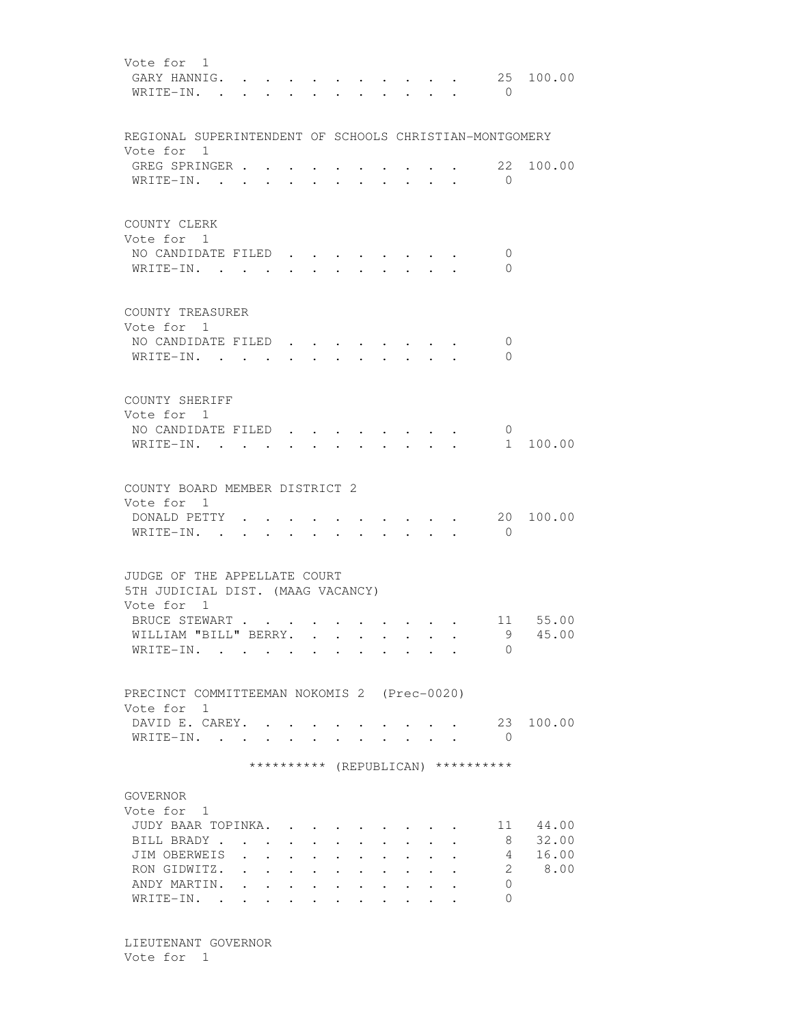| Vote for 1<br>GARY HANNIG.<br>WRITE-IN. .               |                      |                                         |                      |                              |  |                                                 | $\mathbf{L} = \mathbf{L} \mathbf{L}$ | $\bigcirc$                         | 25 100.00           |
|---------------------------------------------------------|----------------------|-----------------------------------------|----------------------|------------------------------|--|-------------------------------------------------|--------------------------------------|------------------------------------|---------------------|
| REGIONAL SUPERINTENDENT OF SCHOOLS CHRISTIAN-MONTGOMERY |                      |                                         |                      |                              |  |                                                 |                                      |                                    |                     |
| Vote for 1                                              |                      |                                         |                      |                              |  |                                                 |                                      |                                    |                     |
| GREG SPRINGER                                           |                      |                                         |                      |                              |  |                                                 |                                      |                                    | 22 100.00           |
| WRITE-IN.                                               |                      |                                         |                      |                              |  |                                                 |                                      | $\bigcirc$                         |                     |
| COUNTY CLERK                                            |                      |                                         |                      |                              |  |                                                 |                                      |                                    |                     |
| Vote for 1                                              |                      |                                         |                      |                              |  |                                                 |                                      |                                    |                     |
| NO CANDIDATE FILED                                      |                      |                                         |                      |                              |  |                                                 |                                      | 0                                  |                     |
| WRITE-IN.                                               |                      |                                         |                      |                              |  | $\bullet$ . In the case of the $\bullet$        |                                      | $\Omega$                           |                     |
| COUNTY TREASURER                                        |                      |                                         |                      |                              |  |                                                 |                                      |                                    |                     |
| Vote for 1                                              |                      |                                         |                      |                              |  |                                                 |                                      |                                    |                     |
| NO CANDIDATE FILED                                      |                      |                                         | $\sim$               |                              |  |                                                 |                                      | 0                                  |                     |
| WRITE-IN.                                               |                      |                                         |                      |                              |  |                                                 |                                      | $\Omega$                           |                     |
|                                                         |                      |                                         |                      |                              |  |                                                 |                                      |                                    |                     |
|                                                         |                      |                                         |                      |                              |  |                                                 |                                      |                                    |                     |
| COUNTY SHERIFF<br>Vote for 1                            |                      |                                         |                      |                              |  |                                                 |                                      |                                    |                     |
| NO CANDIDATE FILED                                      |                      |                                         |                      |                              |  |                                                 |                                      | $\mathbf 0$                        |                     |
| $W$ RITE-IN                                             |                      |                                         |                      |                              |  |                                                 |                                      |                                    | 1 100.00            |
|                                                         |                      |                                         |                      |                              |  |                                                 |                                      |                                    |                     |
| COUNTY BOARD MEMBER DISTRICT 2                          |                      |                                         |                      |                              |  |                                                 |                                      |                                    |                     |
| Vote for 1                                              |                      |                                         |                      |                              |  |                                                 |                                      |                                    |                     |
| DONALD PETTY                                            |                      |                                         |                      |                              |  |                                                 |                                      | 20                                 | 100.00              |
| WRITE-IN. .                                             | $\overline{a}$       |                                         |                      |                              |  | $\cdot$ $\cdot$ $\cdot$ $\cdot$ $\cdot$ $\cdot$ |                                      | $\overline{0}$                     |                     |
|                                                         |                      |                                         |                      |                              |  |                                                 |                                      |                                    |                     |
| JUDGE OF THE APPELLATE COURT                            |                      |                                         |                      |                              |  |                                                 |                                      |                                    |                     |
| 5TH JUDICIAL DIST. (MAAG VACANCY)                       |                      |                                         |                      |                              |  |                                                 |                                      |                                    |                     |
| Vote for 1                                              |                      |                                         |                      |                              |  |                                                 |                                      |                                    |                     |
| BRUCE STEWART<br>WILLIAM "BILL" BERRY.                  |                      |                                         |                      |                              |  |                                                 |                                      |                                    | 11 55.00<br>9 45.00 |
| WRITE-IN.                                               |                      |                                         |                      |                              |  |                                                 |                                      | $\Omega$                           |                     |
|                                                         |                      |                                         |                      |                              |  |                                                 |                                      |                                    |                     |
|                                                         |                      |                                         |                      |                              |  |                                                 |                                      |                                    |                     |
| PRECINCT COMMITTEEMAN NOKOMIS 2 (Prec-0020)             |                      |                                         |                      |                              |  |                                                 |                                      |                                    |                     |
| Vote for 1<br>DAVID E. CAREY. .                         |                      |                                         |                      |                              |  |                                                 |                                      | 23                                 | 100.00              |
| WRITE-IN.                                               |                      | $\mathbf{L}$ and $\mathbf{L}$           |                      |                              |  |                                                 |                                      | $\overline{0}$                     |                     |
|                                                         |                      |                                         |                      |                              |  |                                                 |                                      |                                    |                     |
|                                                         |                      |                                         |                      |                              |  |                                                 |                                      | ********** (REPUBLICAN) ********** |                     |
|                                                         |                      |                                         |                      |                              |  |                                                 |                                      |                                    |                     |
| GOVERNOR                                                |                      |                                         |                      |                              |  |                                                 |                                      |                                    |                     |
| Vote for 1                                              |                      |                                         |                      |                              |  |                                                 |                                      |                                    |                     |
| JUDY BAAR TOPINKA.                                      |                      |                                         |                      | $\sim$ 100 $\sim$ 100 $\sim$ |  |                                                 |                                      | 11                                 | 44.00               |
| BILL BRADY.                                             |                      |                                         |                      |                              |  |                                                 |                                      | 8                                  | 32.00               |
| JIM OBERWEIS                                            | $\mathbf{A}$         |                                         |                      |                              |  |                                                 |                                      | 4                                  | 16.00               |
| RON GIDWITZ.                                            | $\mathbf{L}$         |                                         | $\ddot{\phantom{0}}$ |                              |  |                                                 |                                      | 2                                  | 8.00                |
| ANDY MARTIN.<br>WRITE-IN.                               | $\ddot{\phantom{a}}$ | and the contract of the contract of the |                      |                              |  | $\sim$                                          |                                      | 0<br>$\Omega$                      |                     |
|                                                         |                      |                                         |                      |                              |  |                                                 |                                      |                                    |                     |

 LIEUTENANT GOVERNOR Vote for 1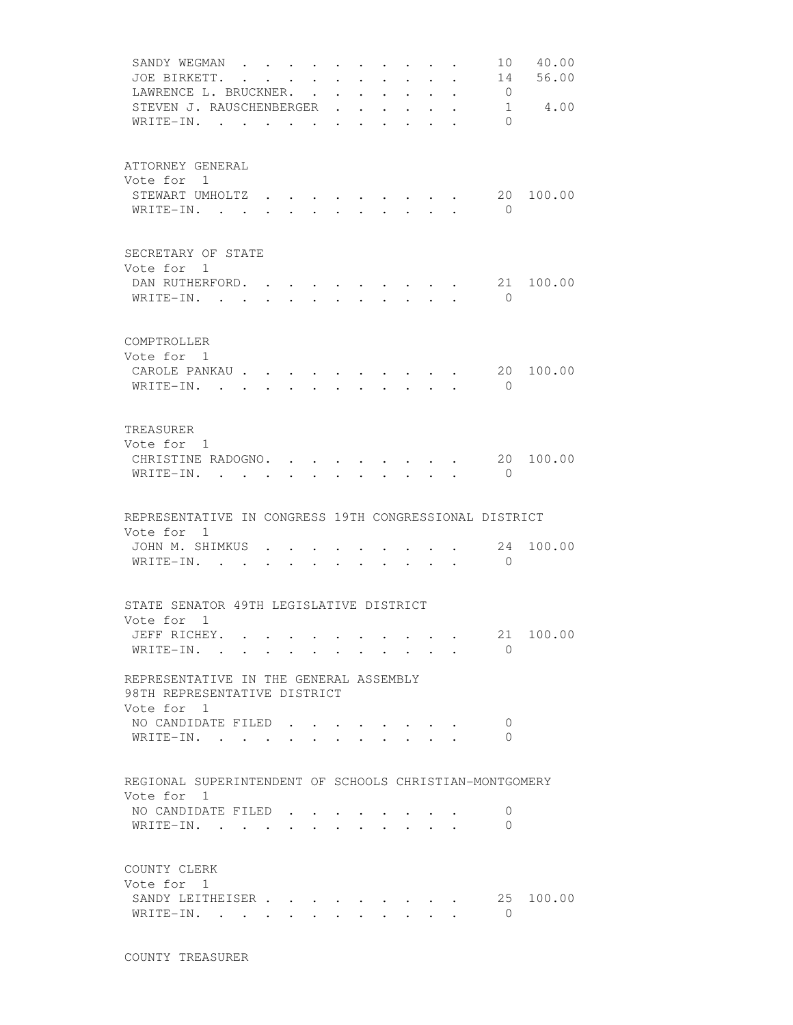|                            | SANDY WEGMAN<br>JOE BIRKETT.<br>LAWRENCE L. BRUCKNER.<br>STEVEN J. RAUSCHENBERGER            | $\mathcal{A}=\mathcal{A}=\mathcal{A}=\mathcal{A}=\mathcal{A}=\mathcal{A}$<br>$\mathbf{L}$ | $\ddot{\phantom{0}}$                                                  | $\ddot{\phantom{0}}$ |                                          | $\ddot{\phantom{0}}$ | $\ddot{\phantom{0}}$<br>$\ddot{\phantom{0}}$<br>$\sim$                       | $\mathbf{r}$                           | $\ddot{\phantom{0}}$<br>$\sim$  | $\ddot{\phantom{a}}$ | 14<br>$\overline{0}$ | 10 40.00<br>56.00<br>1 4.00 |
|----------------------------|----------------------------------------------------------------------------------------------|-------------------------------------------------------------------------------------------|-----------------------------------------------------------------------|----------------------|------------------------------------------|----------------------|------------------------------------------------------------------------------|----------------------------------------|---------------------------------|----------------------|----------------------|-----------------------------|
|                            | WRITE-IN.                                                                                    |                                                                                           | $\mathbf{r}$ , and $\mathbf{r}$ , and $\mathbf{r}$ , and $\mathbf{r}$ |                      |                                          |                      |                                                                              | $\sim$ $\sim$                          |                                 |                      | $\Omega$             |                             |
| Vote for 1                 | ATTORNEY GENERAL<br>STEWART UMHOLTZ.<br>WRITE-IN.                                            | $\sim$                                                                                    |                                                                       |                      |                                          |                      |                                                                              |                                        |                                 |                      | $\overline{0}$       | 20 100.00                   |
| Vote for 1                 | SECRETARY OF STATE<br>DAN RUTHERFORD.<br>WRITE-IN.                                           |                                                                                           | <b>Service</b> State                                                  |                      | $\mathbf{r} = \mathbf{r} + \mathbf{r}$ . |                      | $\mathbf{r} = \mathbf{r} \cdot \mathbf{r}$ , where $\mathbf{r} = \mathbf{r}$ |                                        |                                 |                      | 21<br>$\bigcirc$     | 100.00                      |
| COMPTROLLER<br>Vote for 1  | CAROLE PANKAU<br>WRITE-IN.                                                                   |                                                                                           |                                                                       | $\sim$               | $\sim$                                   |                      | $\mathbf{r} = \mathbf{r}$                                                    |                                        | $\sim$ $\sim$ $\sim$ $\sim$     |                      | 20<br>$\bigcirc$     | 100.00                      |
| TREASURER<br>Vote for 1    | CHRISTINE RADOGNO. .<br>WRITE-IN. .                                                          | $\mathbb{R}^2$                                                                            |                                                                       |                      |                                          |                      |                                                                              |                                        |                                 |                      | $\mathbf{0}$         | 20 100.00                   |
| Vote for 1                 | REPRESENTATIVE IN CONGRESS 19TH CONGRESSIONAL DISTRICT                                       |                                                                                           |                                                                       |                      |                                          |                      |                                                                              |                                        |                                 |                      |                      |                             |
|                            | JOHN M. SHIMKUS<br>WRITE-IN.                                                                 |                                                                                           |                                                                       |                      |                                          |                      |                                                                              |                                        | $\cdot$ $\cdot$ $\cdot$ $\cdot$ |                      | 24<br>$\Omega$       | 100.00                      |
| Vote for 1<br>JEFF RICHEY. | STATE SENATOR 49TH LEGISLATIVE DISTRICT<br>WRITE-IN.                                         |                                                                                           |                                                                       |                      |                                          |                      |                                                                              |                                        |                                 |                      | $\Omega$             | 21 100.00                   |
| Vote for 1                 | REPRESENTATIVE IN THE GENERAL ASSEMBLY<br>98TH REPRESENTATIVE DISTRICT<br>NO CANDIDATE FILED |                                                                                           |                                                                       |                      |                                          |                      |                                                                              |                                        |                                 |                      | $\cup$               |                             |
|                            | WRITE-IN. .                                                                                  |                                                                                           |                                                                       |                      |                                          |                      |                                                                              |                                        |                                 |                      | $\Omega$             |                             |
| Vote for 1                 | REGIONAL SUPERINTENDENT OF SCHOOLS CHRISTIAN-MONTGOMERY<br>NO CANDIDATE FILED<br>WRITE-IN.   |                                                                                           |                                                                       |                      |                                          |                      |                                                                              |                                        |                                 |                      | 0<br>$\Omega$        |                             |
| COUNTY CLERK<br>Vote for 1 | SANDY LEITHEISER<br>WRITE-IN.                                                                |                                                                                           |                                                                       |                      | $\bullet$ . The set of $\bullet$         |                      |                                                                              | $\mathbf{r} = \mathbf{r} + \mathbf{r}$ |                                 |                      | $\overline{0}$       | 25 100.00                   |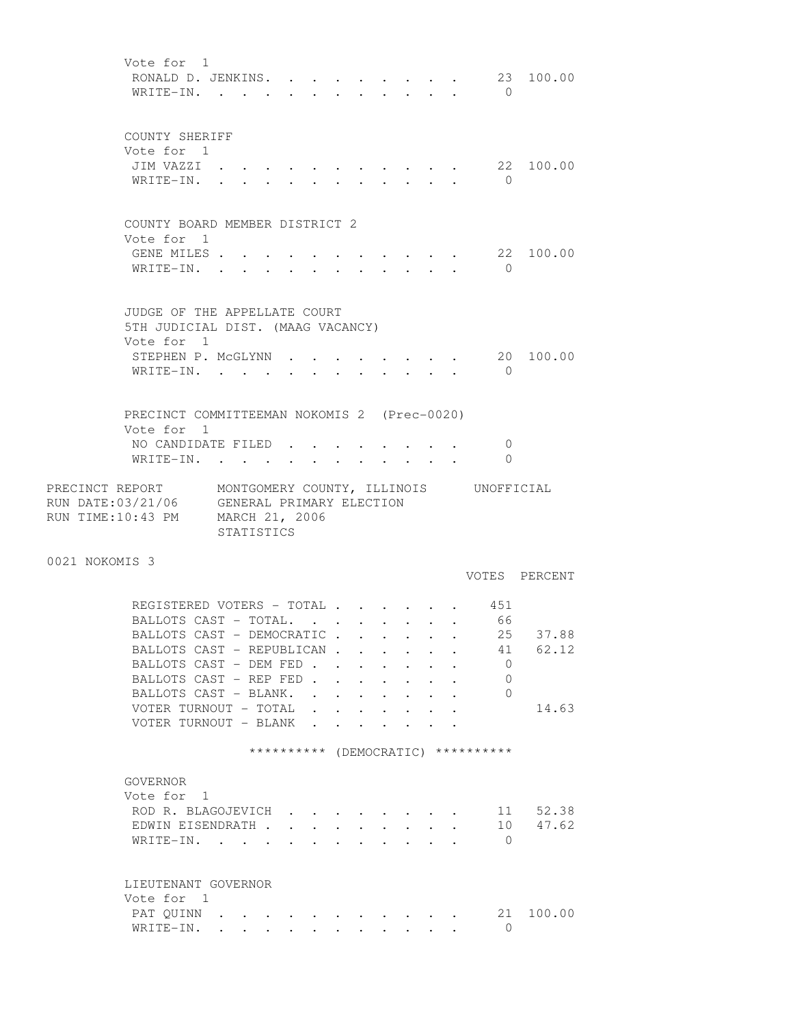Vote for 1 RONALD D. JENKINS. . . . . . . . . 23 100.00 WRITE-IN. . . . . . . . . . . . 0 COUNTY SHERIFF Vote for 1 JIM VAZZI . . . . . . . . . . . 22 100.00 WRITE-IN. . . . . . . . . . . 0 COUNTY BOARD MEMBER DISTRICT 2 Vote for 1 GENE MILES . . . . . . . . . . . 22 100.00 WRITE-IN. . . . . . . . . . . 0 JUDGE OF THE APPELLATE COURT 5TH JUDICIAL DIST. (MAAG VACANCY) Vote for 1 STEPHEN P. McGLYNN  $\cdot \cdot \cdot \cdot \cdot \cdot \cdot \cdot \cdot$  20 100.00 WRITE-IN. . . . . . . . . . . 0 PRECINCT COMMITTEEMAN NOKOMIS 2 (Prec-0020) Vote for 1 NO CANDIDATE FILED . . . . . . . . 0 WRITE-IN. . . . . . . . . . . . 0 PRECINCT REPORT MONTGOMERY COUNTY, ILLINOIS UNOFFICIAL RUN DATE:03/21/06 GENERAL PRIMARY ELECTION RUN TIME:10:43 PM MARCH 21, 2006 STATISTICS 0021 NOKOMIS 3 VOTES PERCENT REGISTERED VOTERS - TOTAL . . . . . . 451<br>BALLOTS CAST - TOTAL. . . . . . . . 66<br>BALLOTS CAST - DEMOCRATIC . . . . . 25 37.88 BALLOTS CAST - TOTAL. . . . . . . . 66 BALLOTS CAST - DEMOCRATIC . . . . . 25 37.88 BALLOTS CAST - REPUBLICAN . . . . . . 41 62.12<br>BALLOTS CAST - DEM FED . . . . . . . 0 BALLOTS CAST - DEM FED . . . . . . . BALLOTS CAST - REP FED . . . . . . 0 BALLOTS CAST - BLANK. . . . . . . . 0 VOTER TURNOUT - TOTAL . . . . . . . 14.63 VOTER TURNOUT - BLANK . . \*\*\*\*\*\*\*\*\*\* (DEMOCRATIC) \*\*\*\*\*\*\*\*\*\* GOVERNOR Vote for 1 ROD R. BLAGOJEVICH . . . . . . . . 11 52.38 EDWIN EISENDRATH . . . . . . . . . 10 47.62 WRITE-IN. . . . . . . . . . . . 0 LIEUTENANT GOVERNOR Vote for 1 PAT QUINN . . . . . . . . . . . 21 100.00 WRITE-IN. . . . . . . . . . . . 0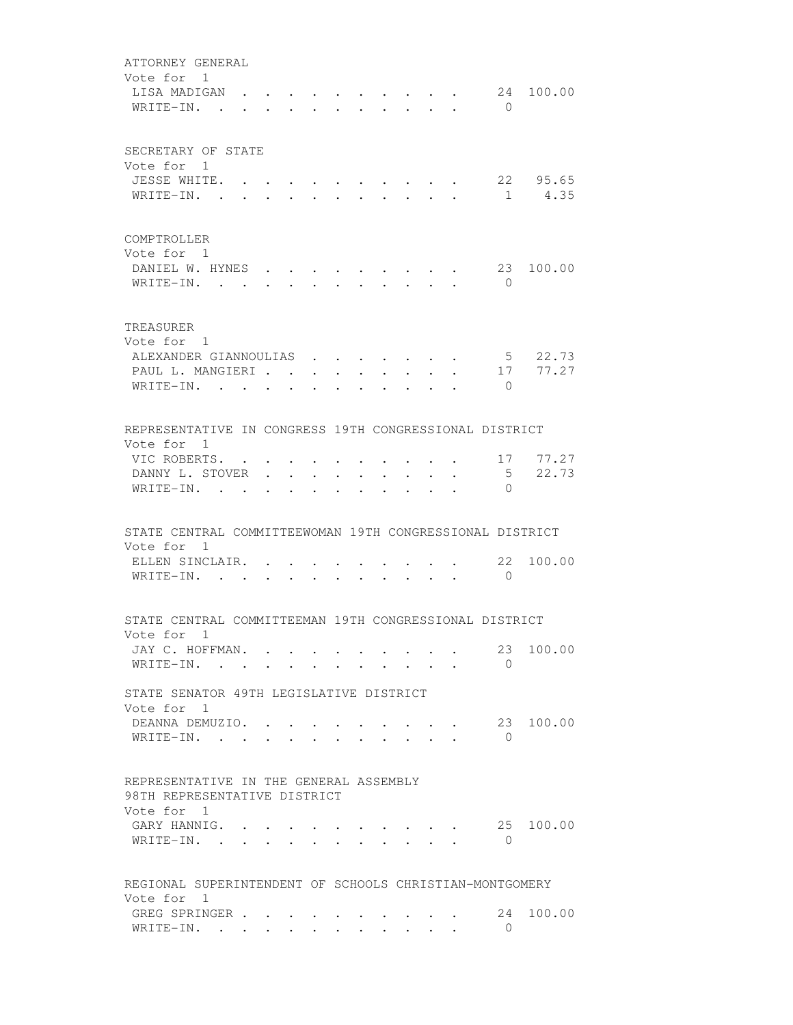| ATTORNEY GENERAL<br>Vote for 1<br>LISA MADIGAN .<br>WRITE-IN. .                      |               |                           |                      |                      |                         |                                                 |               | $\mathbf{r}$ and $\mathbf{r}$<br>$\mathbf{L}$ | $\sim$<br>$\sim$ | $\bigcirc$         | 24 100.00           |
|--------------------------------------------------------------------------------------|---------------|---------------------------|----------------------|----------------------|-------------------------|-------------------------------------------------|---------------|-----------------------------------------------|------------------|--------------------|---------------------|
| SECRETARY OF STATE<br>Vote for 1<br>JESSE WHITE. .                                   |               | $\cdot$ $\cdot$ $\cdot$   |                      |                      |                         |                                                 |               |                                               |                  |                    | 22 95.65            |
| WRITE-IN. .                                                                          | $\sim$ $\sim$ | $\mathbf{r}$ $\mathbf{r}$ |                      |                      |                         |                                                 |               |                                               |                  |                    | 1 4.35              |
| COMPTROLLER<br>Vote for 1<br>DANIEL W. HYNES                                         |               |                           |                      |                      |                         |                                                 |               |                                               |                  | 23                 | 100.00              |
| WRITE-IN.                                                                            |               | $\sim$                    |                      | $\sim$               |                         | $\cdot$ $\cdot$ $\cdot$ $\cdot$                 | $\sim$ $\sim$ |                                               | $\cdot$ $\cdot$  | $\bigcirc$         |                     |
| TREASURER<br>Vote for 1                                                              |               |                           |                      |                      |                         |                                                 |               |                                               |                  |                    |                     |
| ALEXANDER GIANNOULIAS<br>PAUL L. MANGIERI                                            |               |                           |                      |                      |                         | $\mathbf{r}$ $\mathbf{r}$                       |               |                                               |                  |                    | 5 22.73<br>17 77.27 |
| WRITE-IN.                                                                            |               |                           |                      | $\cdot$ $\cdot$      | $\sim$                  | $\mathbf{L}$                                    | $\sim$        | $\mathbf{L}^{\text{max}}$                     | $\sim$           | $\bigcirc$         |                     |
|                                                                                      |               |                           | $\ddot{\phantom{a}}$ | $\ddot{\phantom{a}}$ | $\mathbf{r}$            | $\ddot{\phantom{0}}$                            | $\mathbf{r}$  |                                               |                  |                    |                     |
| REPRESENTATIVE IN CONGRESS 19TH CONGRESSIONAL DISTRICT                               |               |                           |                      |                      |                         |                                                 |               |                                               |                  |                    |                     |
| Vote for 1                                                                           |               |                           |                      |                      |                         |                                                 |               |                                               |                  |                    |                     |
| VIC ROBERTS.                                                                         |               |                           |                      |                      |                         |                                                 |               |                                               |                  |                    | 17 77.27            |
| DANNY L. STOVER .<br>WRITE-IN. .                                                     |               | $\sim$                    |                      |                      |                         |                                                 |               |                                               |                  | 5<br>$\Omega$      | 22.73               |
|                                                                                      |               |                           |                      |                      |                         |                                                 |               |                                               |                  |                    |                     |
| STATE CENTRAL COMMITTEEWOMAN 19TH CONGRESSIONAL DISTRICT<br>Vote for 1               |               |                           |                      |                      |                         |                                                 |               |                                               |                  |                    |                     |
| ELLEN SINCLAIR. .                                                                    |               |                           |                      |                      |                         |                                                 |               |                                               |                  | 22                 | 100.00              |
| WRITE-IN.                                                                            |               | $\mathbf{r} = \mathbf{r}$ |                      | <b>All Contracts</b> |                         | $\cdot$ $\cdot$ $\cdot$ $\cdot$ $\cdot$ $\cdot$ |               |                                               |                  | $\bigcirc$         |                     |
| STATE CENTRAL COMMITTEEMAN 19TH CONGRESSIONAL DISTRICT                               |               |                           |                      |                      |                         |                                                 |               |                                               |                  |                    |                     |
| Vote for 1                                                                           |               |                           |                      |                      |                         |                                                 |               |                                               |                  |                    |                     |
| JAY C. HOFFMAN.<br>WRITE-IN.                                                         |               |                           |                      |                      |                         |                                                 |               |                                               |                  | 23<br>$\bigcirc$   | 100.00              |
| STATE SENATOR 49TH LEGISLATIVE DISTRICT                                              |               |                           |                      |                      |                         |                                                 |               |                                               |                  |                    |                     |
| Vote for 1                                                                           |               |                           |                      |                      |                         |                                                 |               |                                               |                  |                    | 23 100.00           |
| DEANNA DEMUZIO. .<br>WRITE-IN.                                                       |               |                           |                      |                      |                         |                                                 |               |                                               |                  | $\Omega$           |                     |
| REPRESENTATIVE IN THE GENERAL ASSEMBLY<br>98TH REPRESENTATIVE DISTRICT<br>Vote for 1 |               |                           |                      |                      |                         |                                                 |               |                                               |                  |                    |                     |
| GARY HANNIG.<br>WRITE-IN.                                                            |               |                           |                      |                      |                         |                                                 |               |                                               |                  | 25<br>$\mathbf{0}$ | 100.00              |
| REGIONAL SUPERINTENDENT OF SCHOOLS CHRISTIAN-MONTGOMERY<br>Vote for 1                |               |                           |                      |                      |                         |                                                 |               |                                               |                  |                    |                     |
| GREG SPRINGER<br>WRITE-IN.                                                           |               |                           |                      |                      | $\cdot$ $\cdot$ $\cdot$ |                                                 |               |                                               |                  | 24<br>0            | 100.00              |
|                                                                                      |               |                           |                      |                      |                         |                                                 |               |                                               |                  |                    |                     |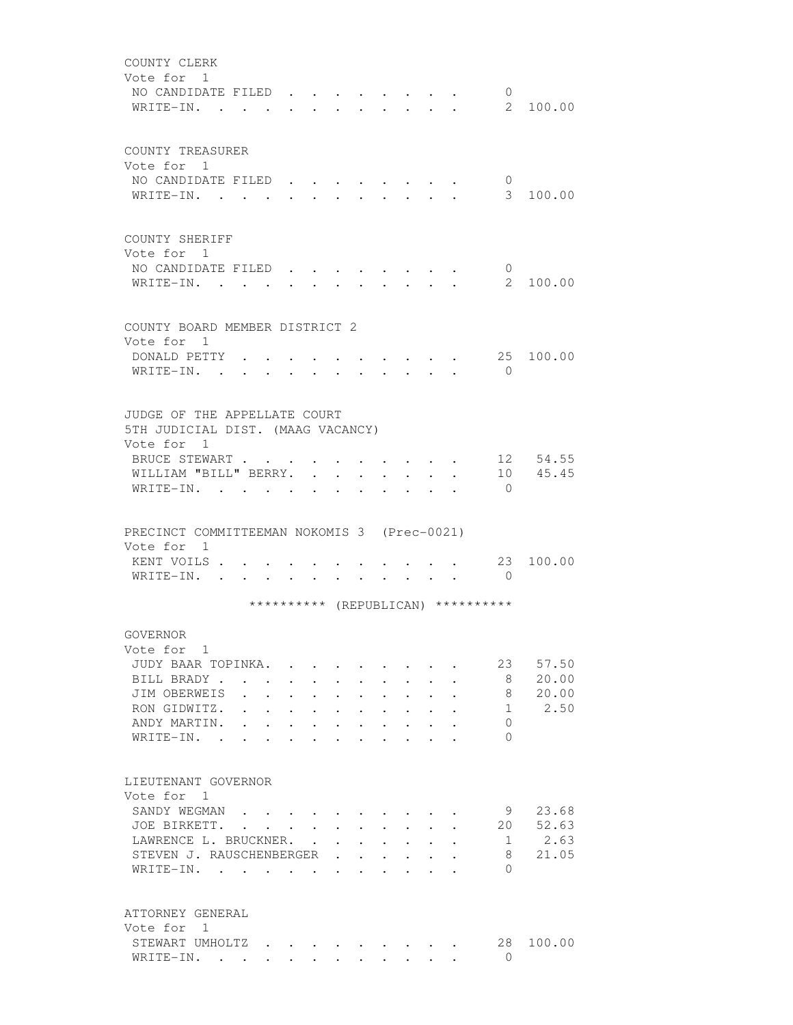| COUNTY CLERK<br>Vote for 1<br>NO CANDIDATE FILED<br>$W$ RITE-IN                                                                              |                                                                                                                                  |                                                                                                                 |                             |                                    |                      |                                  | $\mathbf{0}$<br>$2^{\circ}$               | 100.00                          |
|----------------------------------------------------------------------------------------------------------------------------------------------|----------------------------------------------------------------------------------------------------------------------------------|-----------------------------------------------------------------------------------------------------------------|-----------------------------|------------------------------------|----------------------|----------------------------------|-------------------------------------------|---------------------------------|
| COUNTY TREASURER<br>Vote for 1<br>NO CANDIDATE FILED<br>WRITE-IN.                                                                            |                                                                                                                                  |                                                                                                                 | and the control of the con- |                                    | $\sim$               | $\bullet$ . The set of $\bullet$ | $\overline{0}$<br>$3 -$                   | 100.00                          |
| COUNTY SHERIFF<br>Vote for 1<br>NO CANDIDATE FILED<br>WRITE-IN.                                                                              | $\sim$                                                                                                                           |                                                                                                                 |                             |                                    |                      |                                  | $\overline{0}$<br>$2^{\circ}$             | 100.00                          |
| COUNTY BOARD MEMBER DISTRICT 2<br>Vote for 1<br>DONALD PETTY .<br>WRITE-IN.                                                                  |                                                                                                                                  |                                                                                                                 |                             |                                    |                      |                                  | $\Omega$                                  | 25 100.00                       |
| JUDGE OF THE APPELLATE COURT<br>5TH JUDICIAL DIST. (MAAG VACANCY)<br>Vote for 1<br>BRUCE STEWART<br>WILLIAM "BILL" BERRY.<br>WRITE-IN.       |                                                                                                                                  |                                                                                                                 |                             | $\ddot{\phantom{0}}$               | $\ddot{\phantom{0}}$ |                                  | $\Omega$                                  | 12 54.55<br>10 45.45            |
| PRECINCT COMMITTEEMAN NOKOMIS 3 (Prec-0021)<br>Vote for 1<br>KENT VOILS<br>WRITE-IN.                                                         |                                                                                                                                  |                                                                                                                 | $\sim$ $\sim$               | $\sim$ $\sim$ $\sim$ $\sim$ $\sim$ |                      |                                  | 23<br>$\overline{0}$                      | 100.00                          |
|                                                                                                                                              |                                                                                                                                  |                                                                                                                 |                             |                                    |                      |                                  | ********** (REPUBLICAN) **********        |                                 |
| GOVERNOR<br>Vote for 1<br>JUDY BAAR TOPINKA.<br>BILL BRADY, , , , , , , , , ,<br>JIM OBERWEIS<br>RON GIDWITZ.<br>ANDY MARTIN.<br>WRITE-IN. . | $\mathbf{r}$ , and $\mathbf{r}$ , and $\mathbf{r}$ , and $\mathbf{r}$ , and $\mathbf{r}$<br>$\mathbf{r}$<br>$\ddot{\phantom{a}}$ | the contract of the contract of the contract of the contract of the contract of the contract of the contract of |                             |                                    |                      |                                  | 23<br>8<br>8<br>1<br>$\Omega$<br>$\Omega$ | 57.50<br>20.00<br>20.00<br>2.50 |
| LIEUTENANT GOVERNOR<br>Vote for 1<br>SANDY WEGMAN<br>JOE BIRKETT.<br>LAWRENCE L. BRUCKNER.<br>STEVEN J. RAUSCHENBERGER<br>WRITE-IN.          |                                                                                                                                  |                                                                                                                 |                             |                                    |                      |                                  | 9<br>20<br>1<br>8<br>$\bigcap$            | 23.68<br>52.63<br>2.63<br>21.05 |
| ATTORNEY GENERAL                                                                                                                             |                                                                                                                                  |                                                                                                                 |                             |                                    |                      |                                  |                                           |                                 |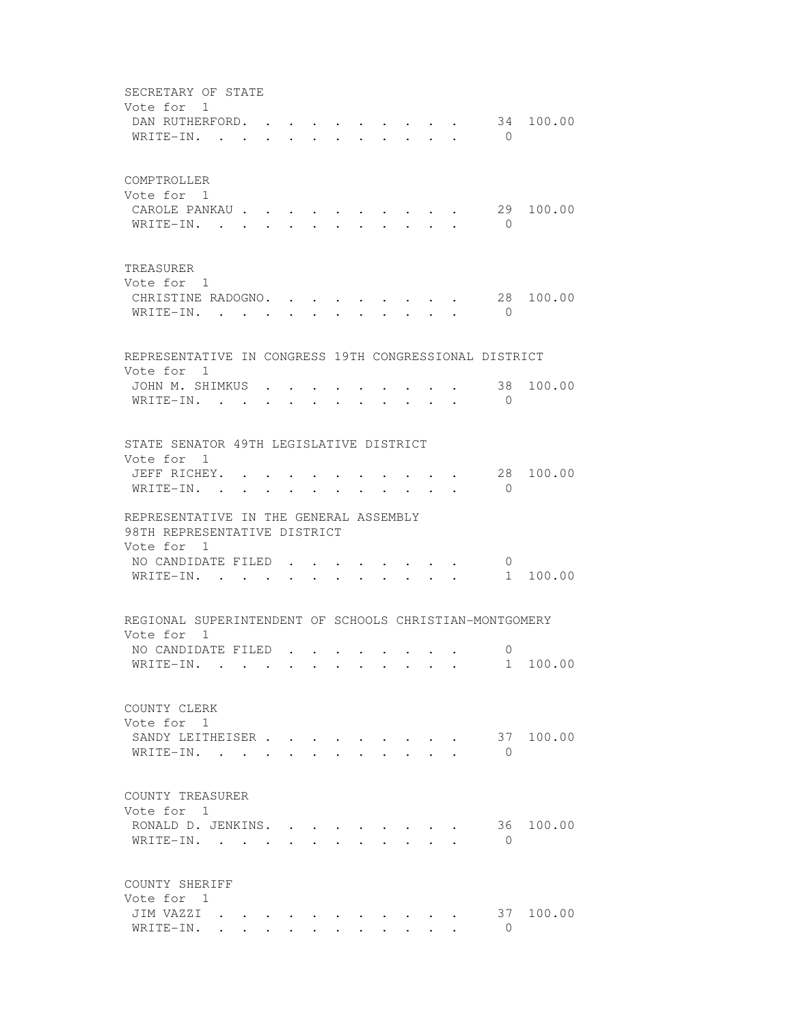SECRETARY OF STATE Vote for 1 DAN RUTHERFORD. . . . . . . . . . 34 100.00 WRITE-IN. . . . . . . . . . . . 0 COMPTROLLER Vote for 1 CAROLE PANKAU . . . . . . . . . . 29 100.00 WRITE-IN. . . . . . . . . . . . 0 TREASURER Vote for 1 CHRISTINE RADOGNO. . . . . . . . 28 100.00 WRITE-IN. . . . . . . . . . . . 0 REPRESENTATIVE IN CONGRESS 19TH CONGRESSIONAL DISTRICT Vote for 1 JOHN M. SHIMKUS . . . . . . . . . 38 100.00 WRITE-IN. . . . . . . . . . . . 0 STATE SENATOR 49TH LEGISLATIVE DISTRICT Vote for 1 JEFF RICHEY. . . . . . . . . . . 28 100.00  $\texttt{WRITE-IN.}$  . . . . . . . . . . 0 REPRESENTATIVE IN THE GENERAL ASSEMBLY 98TH REPRESENTATIVE DISTRICT Vote for 1 NO CANDIDATE FILED . . . . . . . . 0<br>
WEITTE\_IN WRITE-IN. . . . . . . . . . . . 1 100.00 REGIONAL SUPERINTENDENT OF SCHOOLS CHRISTIAN-MONTGOMERY Vote for 1 NO CANDIDATE FILED . . . . . . . . 0 WRITE-IN. . . . . . . . . . . . 1 100.00 COUNTY CLERK Vote for 1 SANDY LEITHEISER . . . . . . . . . 37 100.00 WRITE-IN. . . . . . . . . . . . 0 COUNTY TREASURER Vote for 1 RONALD D. JENKINS. . . . . . . . . 36 100.00 WRITE-IN. . . . . . . . . . . . 0 COUNTY SHERIFF Vote for 1<br>JIM VAZZI . . . JIM VAZZI . . . . . . . . . . . 37 100.00 WRITE-IN. . . . . . . . . . . . 0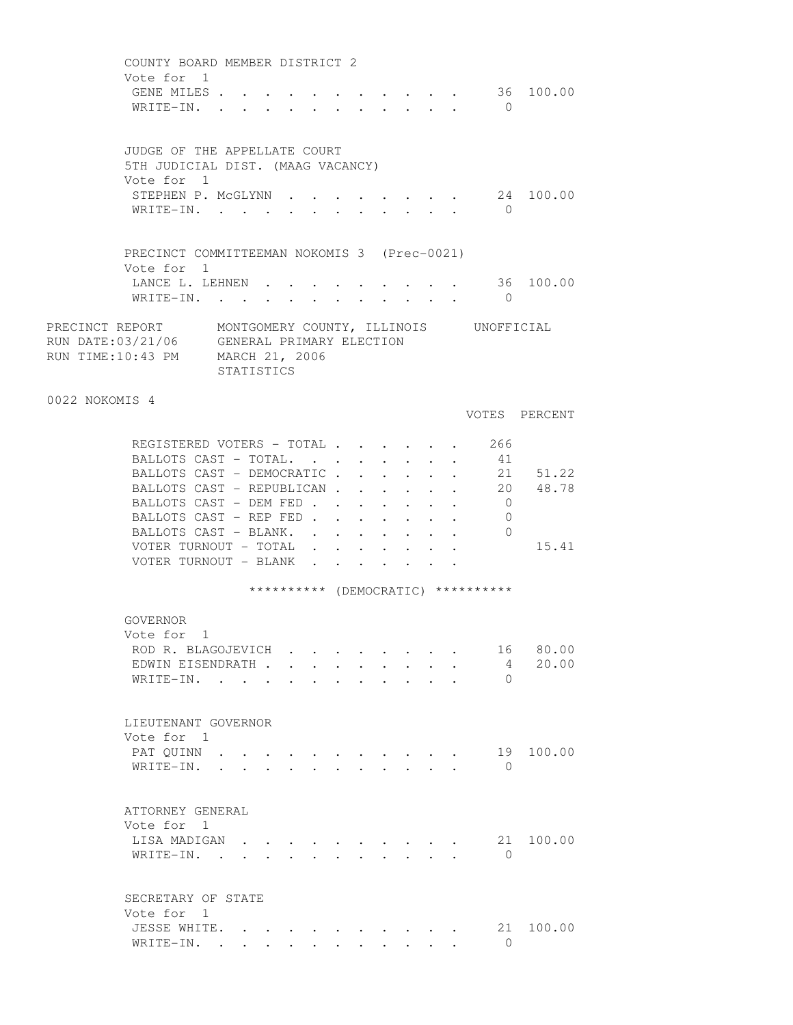|                | COUNTY BOARD MEMBER DISTRICT 2<br>Vote for 1<br>GENE MILES<br>WRITE-IN.                                                                   |            |                      |                      |                                                         |  | $\bigcap$                          | 36 100.00     |
|----------------|-------------------------------------------------------------------------------------------------------------------------------------------|------------|----------------------|----------------------|---------------------------------------------------------|--|------------------------------------|---------------|
|                | JUDGE OF THE APPELLATE COURT<br>5TH JUDICIAL DIST. (MAAG VACANCY)<br>Vote for 1                                                           |            |                      |                      |                                                         |  |                                    |               |
|                | STEPHEN P. MCGLYNN 24 100.00<br>WRITE-IN.                                                                                                 |            |                      |                      |                                                         |  | $\bigcap$                          |               |
|                | PRECINCT COMMITTEEMAN NOKOMIS 3 (Prec-0021)<br>Vote for 1                                                                                 |            |                      |                      |                                                         |  |                                    |               |
|                | LANCE L. LEHNEN<br>WRITE-IN.                                                                                                              |            |                      |                      |                                                         |  | $\overline{0}$                     | 36 100.00     |
|                | PRECINCT REPORT MONTGOMERY COUNTY, ILLINOIS UNOFFICIAL<br>RUN DATE: 03/21/06 GENERAL PRIMARY ELECTION<br>RUN TIME:10:43 PM MARCH 21, 2006 | STATISTICS |                      |                      |                                                         |  |                                    |               |
| 0022 NOKOMIS 4 |                                                                                                                                           |            |                      |                      |                                                         |  |                                    | VOTES PERCENT |
|                | REGISTERED VOTERS - TOTAL 266<br>BALLOTS CAST - TOTAL.                                                                                    |            |                      |                      |                                                         |  | 41                                 |               |
|                |                                                                                                                                           |            |                      |                      |                                                         |  |                                    |               |
|                | BALLOTS CAST - DEMOCRATIC 21 51.22                                                                                                        |            |                      |                      |                                                         |  |                                    |               |
|                | BALLOTS CAST - REPUBLICAN                                                                                                                 |            |                      |                      |                                                         |  |                                    | 20 48.78      |
|                | BALLOTS CAST - DEM FED                                                                                                                    |            |                      |                      |                                                         |  | $\overline{0}$                     |               |
|                | BALLOTS CAST - REP FED                                                                                                                    |            |                      |                      |                                                         |  | $\overline{0}$                     |               |
|                | BALLOTS CAST - BLANK. .                                                                                                                   |            |                      |                      | $\cdot$ $\cdot$ $\cdot$ $\cdot$ $\cdot$ $\cdot$ $\cdot$ |  | $\overline{0}$                     |               |
|                | VOTER TURNOUT - TOTAL                                                                                                                     |            | $\ddot{\phantom{0}}$ | $\ddot{\phantom{0}}$ |                                                         |  |                                    | 15.41         |
|                | VOTER TURNOUT - BLANK                                                                                                                     |            | $\mathbf{L}$         |                      |                                                         |  |                                    |               |
|                |                                                                                                                                           |            |                      |                      |                                                         |  | ********** (DEMOCRATIC) ********** |               |
|                | GOVERNOR<br>Vote for 1                                                                                                                    |            |                      |                      |                                                         |  |                                    |               |
|                | ROD R. BLAGOJEVICH.                                                                                                                       |            |                      |                      |                                                         |  | 16                                 | 80.00         |
|                | EDWIN EISENDRATH.                                                                                                                         |            |                      |                      |                                                         |  | 4                                  | 20.00         |
|                | WRITE-IN.                                                                                                                                 |            |                      |                      |                                                         |  | $\Omega$                           |               |
|                | LIEUTENANT GOVERNOR                                                                                                                       |            |                      |                      |                                                         |  |                                    |               |
|                | Vote for 1                                                                                                                                |            |                      |                      |                                                         |  |                                    |               |
|                | PAT OUINN                                                                                                                                 |            |                      |                      |                                                         |  | 19                                 | 100.00        |
|                | WRITE-IN.                                                                                                                                 |            |                      |                      |                                                         |  | $\bigcirc$                         |               |
|                | ATTORNEY GENERAL                                                                                                                          |            |                      |                      |                                                         |  |                                    |               |
|                | Vote for 1                                                                                                                                |            |                      |                      |                                                         |  |                                    |               |
|                | LISA MADIGAN<br>WRITE-IN.                                                                                                                 |            |                      |                      |                                                         |  | 21<br>$\bigcirc$                   | 100.00        |
|                |                                                                                                                                           |            |                      |                      |                                                         |  |                                    |               |
|                | SECRETARY OF STATE<br>Vote for 1                                                                                                          |            |                      |                      |                                                         |  |                                    |               |
|                | JESSE WHITE.                                                                                                                              |            |                      |                      |                                                         |  |                                    | 21 100.00     |
|                | WRITE-IN.                                                                                                                                 |            |                      |                      |                                                         |  | $\bigcirc$                         |               |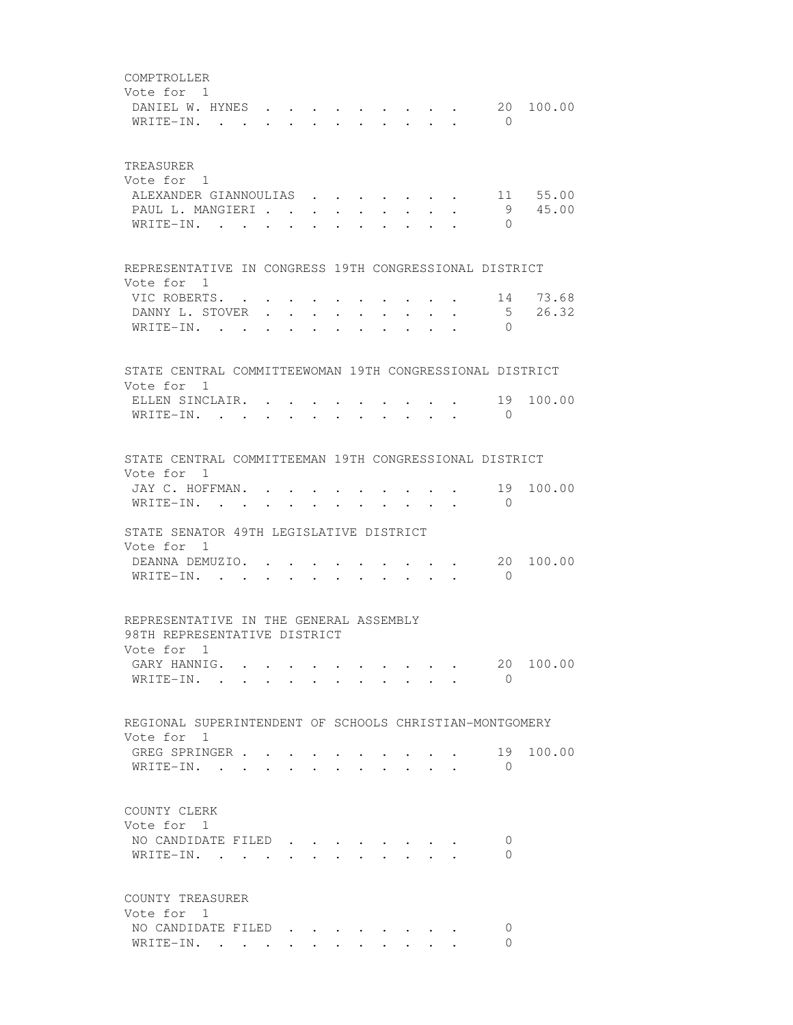COMPTROLLER Vote for 1 DANIEL W. HYNES . . . . . . . . . 20 100.00 WRITE-IN. . . . . . . . . . . 0 TREASURER Vote for 1 ALEXANDER GIANNOULIAS . . . . . . . 11 55.00 PAUL L. MANGIERI . . . . . . . . . . 9 45.00<br>WRITE-IN WRITE-IN. . . . . . . . . . . REPRESENTATIVE IN CONGRESS 19TH CONGRESSIONAL DISTRICT Vote for 1 VIC ROBERTS. . . . . . . . . . . 14 73.68 DANNY L. STOVER . . . . . . . . . . 5 26.32<br>WRITE-IN . . . . . . . . . . . 0 WRITE-IN. . . . . . . STATE CENTRAL COMMITTEEWOMAN 19TH CONGRESSIONAL DISTRICT Vote for 1 ELLEN SINCLAIR. . . . . . . . . . . 19 100.00 WRITE-IN. . . . . . . . . . . 0 STATE CENTRAL COMMITTEEMAN 19TH CONGRESSIONAL DISTRICT Vote for 1 JAY C. HOFFMAN. . . . . . . . . . 19 100.00 WRITE-IN. . . . . . . . . . . . 0 STATE SENATOR 49TH LEGISLATIVE DISTRICT Vote for 1 DEANNA DEMUZIO. . . . . . . . . . 20 100.00 WRITE-IN. . . . . . . . . . . 0 REPRESENTATIVE IN THE GENERAL ASSEMBLY 98TH REPRESENTATIVE DISTRICT Vote for 1 GARY HANNIG. . . . . . . . . . . 20 100.00 WRITE-IN. . . . . . . . . . . . 0 REGIONAL SUPERINTENDENT OF SCHOOLS CHRISTIAN-MONTGOMERY Vote for 1 GREG SPRINGER . . . . . . . . . . . 19 100.00<br>WRITE-IN WRITE-IN. . . . . . . . . . . 0 COUNTY CLERK Vote for 1 NO CANDIDATE FILED . . . . . . . . 0 WRITE-IN. . . . . . . . . . . 0 COUNTY TREASURER Vote for 1 NO CANDIDATE FILED . . . . . . . . 0 WRITE-IN. . . . . . . . . . . 0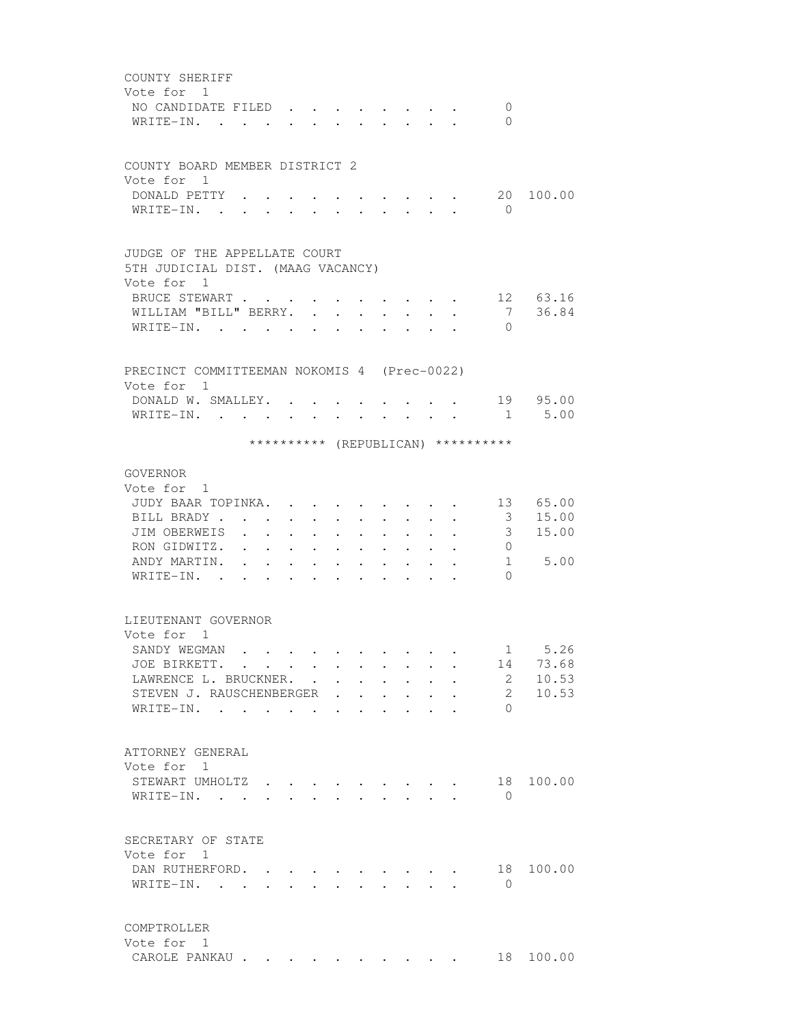| COUNTY SHERIFF                                                                                                                                                                                                                                                                                                                     |  |
|------------------------------------------------------------------------------------------------------------------------------------------------------------------------------------------------------------------------------------------------------------------------------------------------------------------------------------|--|
| Vote for 1                                                                                                                                                                                                                                                                                                                         |  |
| NO CANDIDATE FILED<br>$\mathbf{0}$                                                                                                                                                                                                                                                                                                 |  |
| $\Omega$<br>WRITE-IN.<br>$\mathbf{r}$                                                                                                                                                                                                                                                                                              |  |
|                                                                                                                                                                                                                                                                                                                                    |  |
|                                                                                                                                                                                                                                                                                                                                    |  |
| COUNTY BOARD MEMBER DISTRICT 2                                                                                                                                                                                                                                                                                                     |  |
| Vote for 1                                                                                                                                                                                                                                                                                                                         |  |
| DONALD PETTY .<br>20 100.00                                                                                                                                                                                                                                                                                                        |  |
| WRITE-IN. .<br>$\overline{0}$                                                                                                                                                                                                                                                                                                      |  |
|                                                                                                                                                                                                                                                                                                                                    |  |
| JUDGE OF THE APPELLATE COURT                                                                                                                                                                                                                                                                                                       |  |
| 5TH JUDICIAL DIST. (MAAG VACANCY)                                                                                                                                                                                                                                                                                                  |  |
| Vote for 1                                                                                                                                                                                                                                                                                                                         |  |
| 12 63.16<br>BRUCE STEWART                                                                                                                                                                                                                                                                                                          |  |
| 7<br>36.84<br>WILLIAM "BILL" BERRY.                                                                                                                                                                                                                                                                                                |  |
| WRITE-IN.<br>$\Omega$<br><b>Contract Contract</b><br>$\bullet$ .<br><br><br><br><br><br><br><br><br><br><br><br>                                                                                                                                                                                                                   |  |
|                                                                                                                                                                                                                                                                                                                                    |  |
|                                                                                                                                                                                                                                                                                                                                    |  |
| PRECINCT COMMITTEEMAN NOKOMIS 4 (Prec-0022)                                                                                                                                                                                                                                                                                        |  |
| Vote for 1                                                                                                                                                                                                                                                                                                                         |  |
| 19 95.00<br>DONALD W. SMALLEY. .<br>$\sim$ $\sim$ $\sim$ $\sim$ $\sim$                                                                                                                                                                                                                                                             |  |
| 1 5.00<br>WRITE-IN.<br>$\mathbf{r}$ , $\mathbf{r}$ , $\mathbf{r}$ , $\mathbf{r}$ , $\mathbf{r}$                                                                                                                                                                                                                                    |  |
|                                                                                                                                                                                                                                                                                                                                    |  |
| ********** (REPUBLICAN) **********                                                                                                                                                                                                                                                                                                 |  |
| GOVERNOR                                                                                                                                                                                                                                                                                                                           |  |
| Vote for 1                                                                                                                                                                                                                                                                                                                         |  |
| 13 65.00<br>JUDY BAAR TOPINKA.                                                                                                                                                                                                                                                                                                     |  |
| $\cdot$ $\cdot$ $\cdot$<br>15.00<br>BILL BRADY<br>3                                                                                                                                                                                                                                                                                |  |
| $\cdot$ $\cdot$ $\cdot$ $\cdot$<br>$\sim$<br>$\ddot{\phantom{0}}$<br>$\cdot$ $\cdot$ $\cdot$                                                                                                                                                                                                                                       |  |
| JIM OBERWEIS<br>3<br>15.00<br>$\sim$ $\sim$ $\sim$<br>$\ddot{\phantom{0}}$<br>$\ddot{\phantom{a}}$                                                                                                                                                                                                                                 |  |
| RON GIDWITZ.<br>$\overline{0}$<br>$\mathbf{r} = \mathbf{r} + \mathbf{r}$ .<br>$\bullet$ .<br><br><br><br><br><br><br><br><br><br><br><br><br>$\bullet$ .<br><br><br><br><br><br><br><br><br><br><br><br><br>$\bullet$ . The set of $\bullet$<br>$\bullet$<br>$\ddot{\phantom{0}}$<br>$\bullet$<br>$\bullet$ . The set of $\bullet$ |  |
| ANDY MARTIN.<br>$1 \quad \blacksquare$<br>5.00<br>$\bullet$ .<br><br><br><br><br><br><br><br><br><br><br><br><br><br>$\bullet$ .<br><br><br><br><br><br><br><br><br><br><br><br><br>$\bullet$<br>$\bullet$<br>$\bullet$ .<br><br><br><br><br><br><br><br><br><br><br><br>                                                          |  |
| WRITE-IN. .<br>$\Omega$<br>$\bullet$<br>$\ddot{\phantom{a}}$<br>$\bullet$ .<br><br><br><br><br><br><br><br><br><br><br><br><br>$\bullet$<br>$\ddot{\phantom{0}}$                                                                                                                                                                   |  |
|                                                                                                                                                                                                                                                                                                                                    |  |
| LIEUTENANT GOVERNOR                                                                                                                                                                                                                                                                                                                |  |
| Vote for 1                                                                                                                                                                                                                                                                                                                         |  |
| 5.26<br>SANDY WEGMAN<br>$1 \quad \Box$                                                                                                                                                                                                                                                                                             |  |
| 73.68<br>JOE BIRKETT.<br>14                                                                                                                                                                                                                                                                                                        |  |
| $2^{\circ}$<br>10.53<br>LAWRENCE L. BRUCKNER.                                                                                                                                                                                                                                                                                      |  |
| 10.53<br>$\mathbf{2}^{\circ}$<br>STEVEN J. RAUSCHENBERGER                                                                                                                                                                                                                                                                          |  |
| WRITE-IN.<br>$\Omega$                                                                                                                                                                                                                                                                                                              |  |
|                                                                                                                                                                                                                                                                                                                                    |  |
|                                                                                                                                                                                                                                                                                                                                    |  |
| ATTORNEY GENERAL                                                                                                                                                                                                                                                                                                                   |  |
| Vote for 1                                                                                                                                                                                                                                                                                                                         |  |
| 18 100.00<br>STEWART UMHOLTZ                                                                                                                                                                                                                                                                                                       |  |
| WRITE-IN.<br>$\Omega$                                                                                                                                                                                                                                                                                                              |  |
|                                                                                                                                                                                                                                                                                                                                    |  |
|                                                                                                                                                                                                                                                                                                                                    |  |
| SECRETARY OF STATE                                                                                                                                                                                                                                                                                                                 |  |
| Vote for 1                                                                                                                                                                                                                                                                                                                         |  |
| DAN RUTHERFORD.<br>18<br>100.00                                                                                                                                                                                                                                                                                                    |  |
| WRITE-IN.<br>$\overline{0}$<br>$\ddot{\phantom{0}}$<br>$\sim$<br>$\sim$<br>$\mathbf{L}$                                                                                                                                                                                                                                            |  |
|                                                                                                                                                                                                                                                                                                                                    |  |
|                                                                                                                                                                                                                                                                                                                                    |  |
| COMPTROLLER                                                                                                                                                                                                                                                                                                                        |  |
| Vote for 1                                                                                                                                                                                                                                                                                                                         |  |
| 18 100.00<br>CAROLE PANKAU                                                                                                                                                                                                                                                                                                         |  |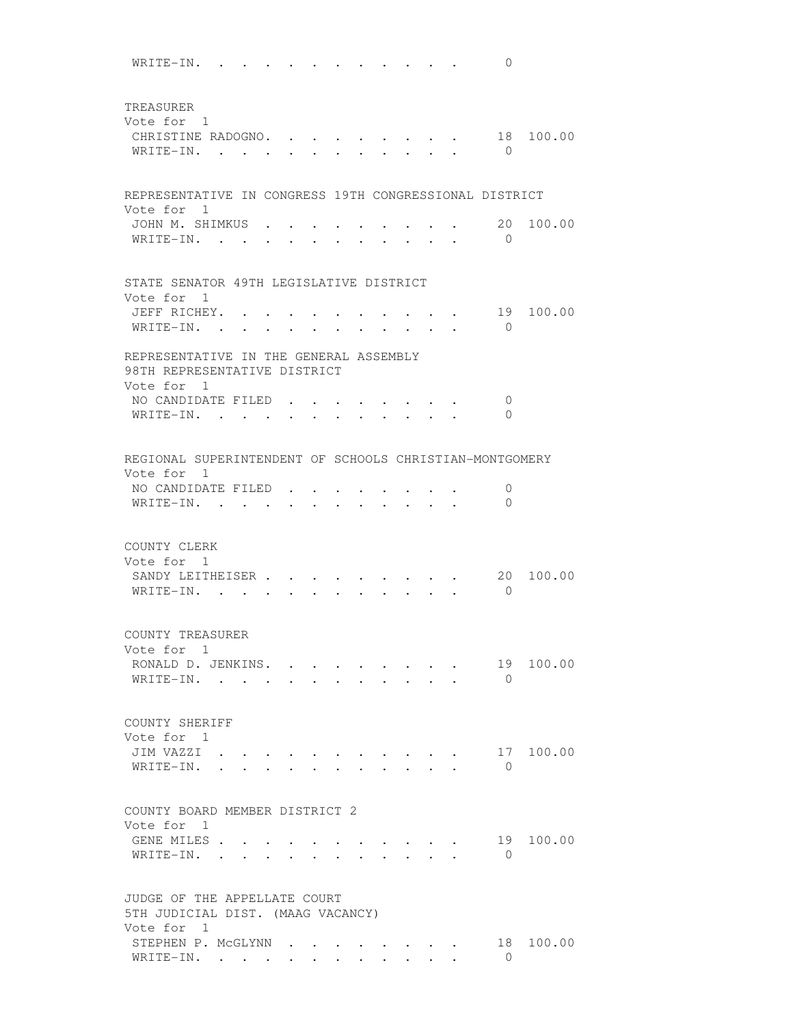WRITE-IN. . . . . . . . . . . . 0 TREASURER Vote for 1 CHRISTINE RADOGNO. . . . . . . . . 18 100.00 WRITE-IN. . . . . . . . . . . . 0 REPRESENTATIVE IN CONGRESS 19TH CONGRESSIONAL DISTRICT Vote for 1 JOHN M. SHIMKUS . . . . . . . . . 20 100.00 WRITE-IN. . . . . . . . . . . . 0 STATE SENATOR 49TH LEGISLATIVE DISTRICT Vote for 1 JEFF RICHEY. . . . . . . . . . . 19 100.00 WRITE-IN. . . . . . . . . . . . 0 REPRESENTATIVE IN THE GENERAL ASSEMBLY 98TH REPRESENTATIVE DISTRICT Vote for 1 NO CANDIDATE FILED . . . . . . . . 0 WRITE-IN. . . . . . . . . . . 0 REGIONAL SUPERINTENDENT OF SCHOOLS CHRISTIAN-MONTGOMERY Vote for 1 NO CANDIDATE FILED . . . . . . . . 0 WRITE-IN. . . . . . . . . . . 0 COUNTY CLERK Vote for 1 SANDY LEITHEISER . . . . . . . . . 20 100.00 WRITE-IN. . . . . . . . . . . 0 COUNTY TREASURER Vote for 1 RONALD D. JENKINS. . . . . . . . . 19 100.00 WRITE-IN. . . . . . . . . . . . 0 COUNTY SHERIFF Vote for 1 JIM VAZZI . . . . . . . . . . . 17 100.00 WRITE-IN. . . . . . . . . . . 0 COUNTY BOARD MEMBER DISTRICT 2 Vote for 1 GENE MILES . . . . . . . . . . . . 19 100.00 WRITE-IN. . . . . . . . . . . . 0 JUDGE OF THE APPELLATE COURT 5TH JUDICIAL DIST. (MAAG VACANCY) Vote for 1 STEPHEN P. McGLYNN . . . . . . . . 18 100.00<br>WRITE-IN WRITE-IN. . . . . . . . . . . . 0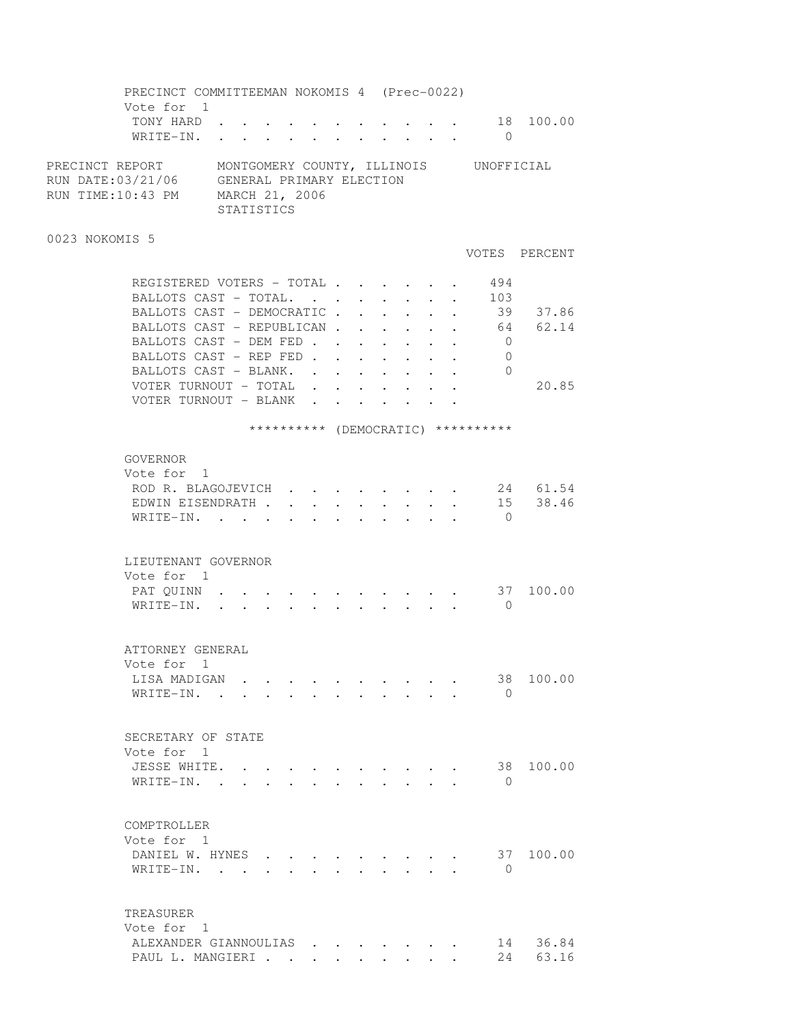PRECINCT COMMITTEEMAN NOKOMIS 4 (Prec-0022) Vote for 1<br>TONY HARD. TONY HARD . . . . . . . . . . . 18 100.00 WRITE-IN. . . . . . . . . . . . 0 PRECINCT REPORT MONTGOMERY COUNTY, ILLINOIS UNOFFICIAL RUN DATE:03/21/06 GENERAL PRIMARY ELECTION RUN TIME:10:43 PM MARCH 21, 2006 STATISTICS 0023 NOKOMIS 5 VOTES PERCENT REGISTERED VOTERS - TOTAL . . . . . . 494 BALLOTS CAST - TOTAL. . . . . . . . 103 BALLOTS CAST - DEMOCRATIC . . . . . 39 37.86 BALLOTS CAST - REPUBLICAN . . . . . . 64 62.14 BALLOTS CAST - DEM FED . . . . . . . 0 BALLOTS CAST - REP FED . . . . . . . 0 BALLOTS CAST - BLANK. . . . . . . . 0 VOTER TURNOUT - TOTAL . . . . . . . 20.85 VOTER TURNOUT - BLANK . . . . . . \*\*\*\*\*\*\*\*\*\* (DEMOCRATIC) \*\*\*\*\*\*\*\*\*\* GOVERNOR Vote for 1 ROD R. BLAGOJEVICH . . . . . . . . 24 61.54 EDWIN EISENDRATH . . . . . . . . . 15 38.46 WRITE-IN. . . . . . . . . . . . 0 LIEUTENANT GOVERNOR Vote for 1 PAT QUINN . . . . . . . . . . . . 37 100.00 WRITE-IN. . . . . . . . . . . 0 ATTORNEY GENERAL Vote for 1 LISA MADIGAN . . . . . . . . . . 38 100.00 WRITE-IN. . . . . . . . . . . 0 SECRETARY OF STATE Vote for 1 JESSE WHITE. . . . . . . . . . . 38 100.00 WRITE-IN. . . . . . . . . . . . 0 COMPTROLLER Vote for 1 DANIEL W. HYNES . . . . . . . . . 37 100.00 WRITE-IN. . . . . . . . . . . 0 TREASURER Vote for 1 ALEXANDER GIANNOULIAS . . . . . . . 14 36.84 PAUL L. MANGIERI . . . . . . . . . 24 63.16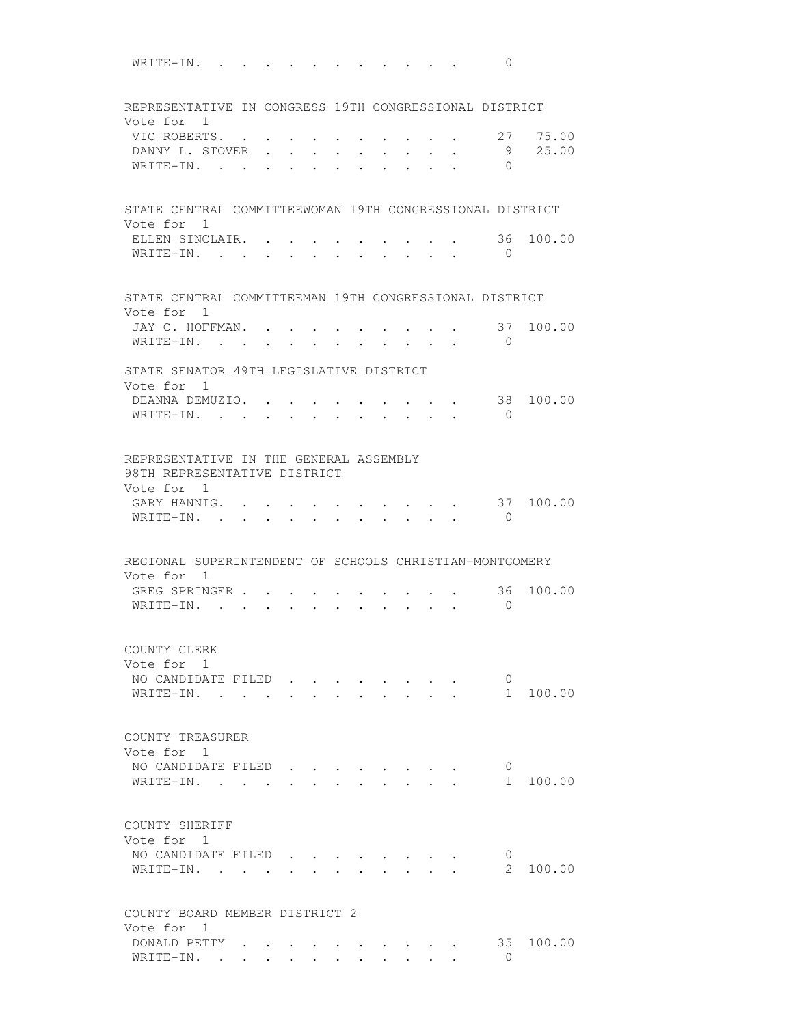WRITE-IN. . . . . . . . . . . . 0 REPRESENTATIVE IN CONGRESS 19TH CONGRESSIONAL DISTRICT Vote for 1 VIC ROBERTS. . . . . . . . . . . 27 75.00 DANNY L. STOVER . . . . . . . . . 9 25.00 WRITE-IN. . . . . . . . . . . 0 STATE CENTRAL COMMITTEEWOMAN 19TH CONGRESSIONAL DISTRICT Vote for 1 ELLEN SINCLAIR. . . . . . . . . . 36 100.00 WRITE-IN. . . . . . . . . . . . 0 STATE CENTRAL COMMITTEEMAN 19TH CONGRESSIONAL DISTRICT Vote for 1 JAY C. HOFFMAN. . . . . . . . . . . 37 100.00<br>WRITE-IN WRITE-IN. . . . . . . . . . . 0 STATE SENATOR 49TH LEGISLATIVE DISTRICT Vote for 1 DEANNA DEMUZIO. . . . . . . . . . 38 100.00 WRITE-IN. . . . . . . . . . . 0 REPRESENTATIVE IN THE GENERAL ASSEMBLY 98TH REPRESENTATIVE DISTRICT Vote for 1 GARY HANNIG. . . . . . . . . . . 37 100.00 WRITE-IN. . . . . . . . . . . . 0 REGIONAL SUPERINTENDENT OF SCHOOLS CHRISTIAN-MONTGOMERY Vote for 1 GREG SPRINGER . . . . . . . . . . 36 100.00 WRITE-IN. . . . . . . . . . . 0 COUNTY CLERK Vote for 1 NO CANDIDATE FILED . . . . . . . . 0<br>WRITE-IN. . . . . . . . . . . . 1 100.00  $\texttt{WRITE-IN.}$  . . . . . . . . . . COUNTY TREASURER Vote for 1 NO CANDIDATE FILED . . . . . . . 0 WRITE-IN. . . . . . . . . . . . 1 100.00 COUNTY SHERIFF Vote for 1 NO CANDIDATE FILED . . . . . . . . 0 WRITE-IN. . . . . . . . . . . . . . 2 100.00 COUNTY BOARD MEMBER DISTRICT 2 Vote for 1 DONALD PETTY  $\cdot \cdot \cdot \cdot \cdot \cdot \cdot \cdot \cdot \cdot \cdot \cdot \cdot \cdot 35$  100.00 WRITE-IN. . . . . . . . . . . . 0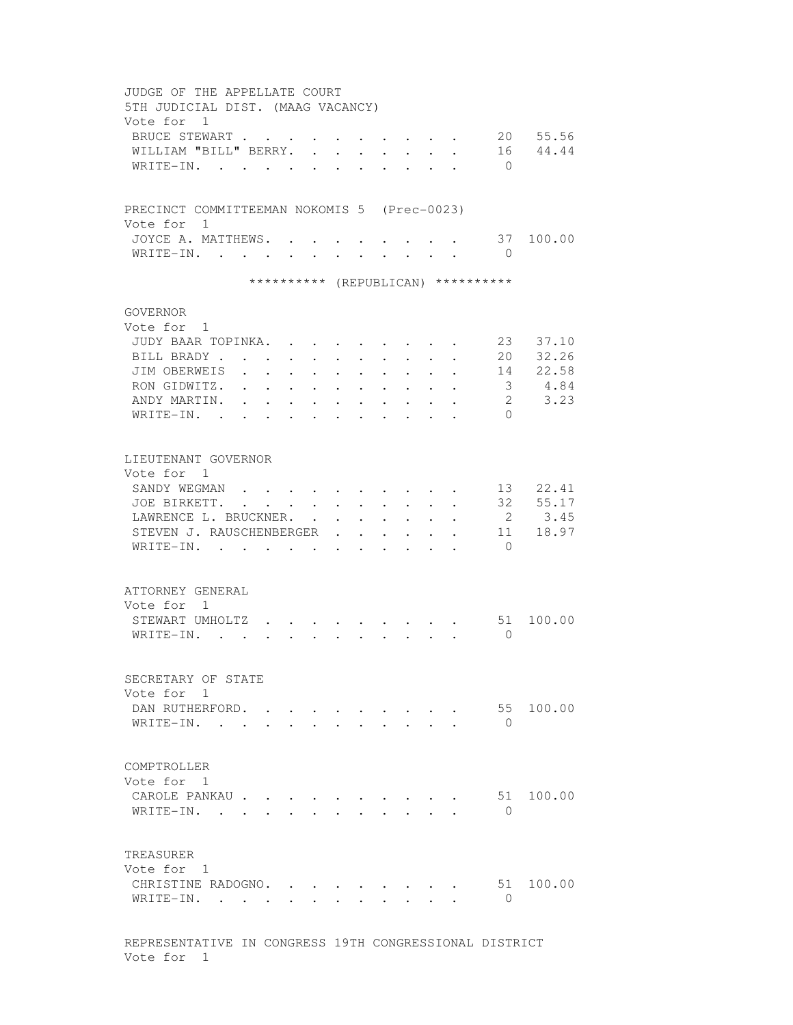| JUDGE OF THE APPELLATE COURT<br>5TH JUDICIAL DIST. (MAAG VACANCY) |                      |                                                                                  |                                            |                           |        |                                      |                                                 |              |              |              |                                    |                   |
|-------------------------------------------------------------------|----------------------|----------------------------------------------------------------------------------|--------------------------------------------|---------------------------|--------|--------------------------------------|-------------------------------------------------|--------------|--------------|--------------|------------------------------------|-------------------|
| Vote for 1<br>BRUCE STEWART<br>WILLIAM "BILL" BERRY.<br>WRITE-IN. |                      |                                                                                  | <b>Contract Contract Contract</b>          | $\sim$<br>$\cdot$ $\cdot$ | $\sim$ | $\mathbf{L}$<br>$\ddot{\phantom{a}}$ | $\mathbf{L}$                                    | $\mathbf{L}$ | $\mathbf{L}$ | $\mathbf{r}$ | 16<br>$\bigcirc$                   | 20 55.56<br>44.44 |
| PRECINCT COMMITTEEMAN NOKOMIS 5 (Prec-0023)                       |                      |                                                                                  |                                            |                           |        |                                      |                                                 |              |              |              |                                    |                   |
| Vote for 1<br>JOYCE A. MATTHEWS.<br>WRITE-IN.                     |                      | $\mathbf{r}$                                                                     |                                            |                           |        |                                      |                                                 |              |              |              | $\bigcirc$                         | 37 100.00         |
|                                                                   |                      |                                                                                  |                                            |                           |        |                                      |                                                 |              |              |              | ********** (REPUBLICAN) ********** |                   |
| GOVERNOR                                                          |                      |                                                                                  |                                            |                           |        |                                      |                                                 |              |              |              |                                    |                   |
| Vote for 1<br>JUDY BAAR TOPINKA.<br>BILL BRADY.                   |                      | $\ddot{\phantom{a}}$                                                             |                                            | $\ddot{\phantom{a}}$      |        |                                      |                                                 |              |              |              | 23<br>20                           | 37.10<br>32.26    |
| JIM OBERWEIS<br>RON GIDWITZ.                                      |                      |                                                                                  | $\ddot{\phantom{a}}$                       |                           |        |                                      |                                                 |              |              |              | 14<br>$\mathcal{S}$                | 22.58<br>4.84     |
| ANDY MARTIN.<br>$W$ RITE-IN.                                      |                      | $\overline{a}$                                                                   |                                            |                           |        |                                      |                                                 |              |              |              | $2^{\circ}$<br>$\Omega$            | 3.23              |
| LIEUTENANT GOVERNOR                                               |                      |                                                                                  |                                            |                           |        |                                      |                                                 |              |              |              |                                    |                   |
| Vote for 1<br>SANDY WEGMAN.<br>JOE BIRKETT.                       | $\ddot{\phantom{a}}$ | $\mathbf{L} = \mathbf{L} \mathbf{L}$<br>$\mathbf{z} = \mathbf{z} + \mathbf{z}$ . |                                            | $\ddot{\phantom{0}}$      |        |                                      |                                                 |              |              |              | 13<br>32                           | 22.41<br>55.17    |
| LAWRENCE L. BRUCKNER.<br>STEVEN J. RAUSCHENBERGER<br>WRITE-IN.    |                      |                                                                                  | $\mathbf{r}$ , $\mathbf{r}$ , $\mathbf{r}$ |                           | $\sim$ |                                      | $\ddot{\phantom{a}}$                            |              |              |              | $\overline{2}$<br>11<br>$\Omega$   | 3.45<br>18.97     |
| ATTORNEY GENERAL<br>Vote for 1                                    |                      |                                                                                  |                                            |                           |        |                                      |                                                 |              |              |              |                                    |                   |
| STEWART UMHOLTZ<br>$W$ RITE-IN.,                                  |                      |                                                                                  |                                            |                           |        |                                      |                                                 |              |              |              | 51<br>$\Omega$                     | 100.00            |
| SECRETARY OF STATE<br>Vote for 1                                  |                      |                                                                                  |                                            |                           |        |                                      |                                                 |              |              |              |                                    |                   |
| DAN RUTHERFORD.<br>WRITE-IN.                                      |                      |                                                                                  | $\sim$                                     | $\sim$                    | $\sim$ |                                      | $\cdot$ $\cdot$ $\cdot$ $\cdot$ $\cdot$ $\cdot$ |              |              |              | 55<br>$\bigcirc$                   | 100.00            |
| COMPTROLLER<br>Vote for 1                                         |                      |                                                                                  |                                            |                           |        |                                      |                                                 |              |              |              |                                    |                   |
| CAROLE PANKAU<br>WRITE-IN.                                        |                      | $\mathbf{r}$                                                                     |                                            | $\sim$                    |        |                                      |                                                 |              |              |              | 51<br>$\Omega$                     | 100.00            |
| TREASURER<br>Vote for 1                                           |                      |                                                                                  |                                            |                           |        |                                      |                                                 |              |              |              |                                    |                   |
| CHRISTINE RADOGNO.<br>WRITE-IN. .                                 |                      |                                                                                  |                                            |                           |        |                                      |                                                 |              |              |              | $\mathbf{0}$                       | 51 100.00         |
| REPRESENTATIVE IN CONGRESS 19TH CONGRESSIONAL DISTRICT            |                      |                                                                                  |                                            |                           |        |                                      |                                                 |              |              |              |                                    |                   |

Vote for 1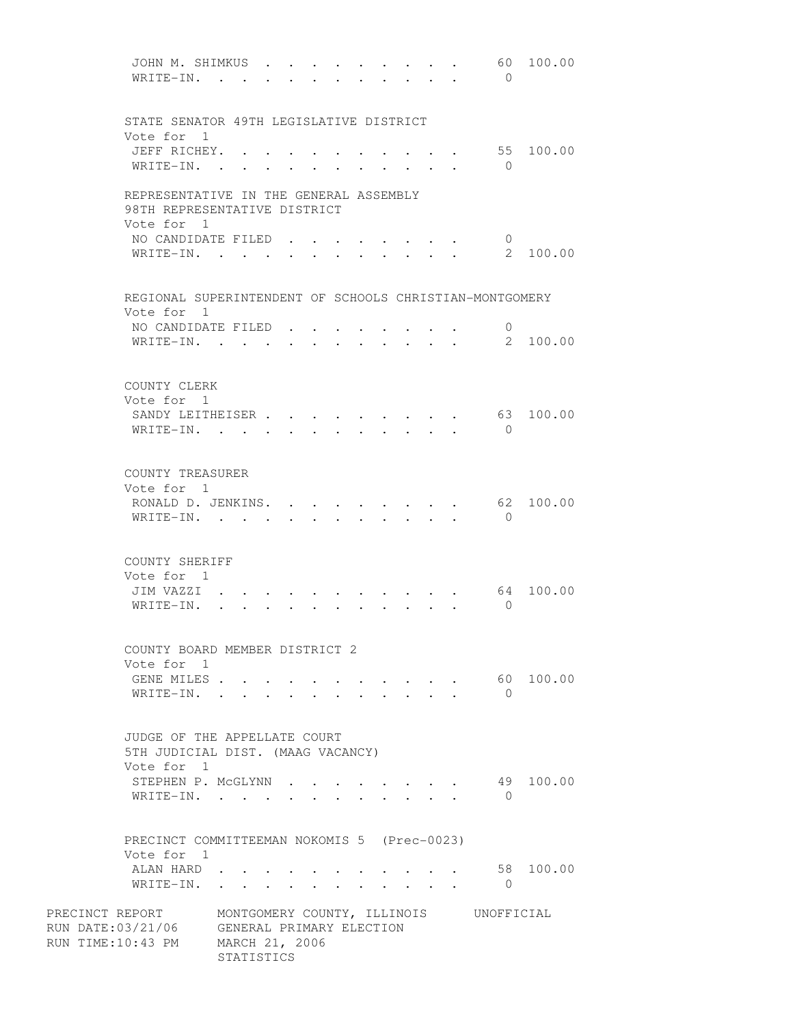| JOHN M. SHIMKUS .                                       |            |  |                  |                      |        |                                                                                            |              |              | 60                                     | 100.00    |
|---------------------------------------------------------|------------|--|------------------|----------------------|--------|--------------------------------------------------------------------------------------------|--------------|--------------|----------------------------------------|-----------|
| WRITE-IN.                                               |            |  |                  |                      |        |                                                                                            |              |              | $\bigcirc$                             |           |
|                                                         |            |  |                  |                      |        |                                                                                            |              |              |                                        |           |
|                                                         |            |  |                  |                      |        |                                                                                            |              |              |                                        |           |
| STATE SENATOR 49TH LEGISLATIVE DISTRICT                 |            |  |                  |                      |        |                                                                                            |              |              |                                        |           |
| Vote for 1                                              |            |  |                  |                      |        |                                                                                            |              |              |                                        |           |
| JEFF RICHEY. .                                          |            |  |                  |                      |        |                                                                                            |              |              |                                        | 55 100.00 |
| WRITE-IN. .                                             |            |  |                  |                      |        |                                                                                            |              |              | $\overline{0}$                         |           |
|                                                         |            |  |                  |                      |        |                                                                                            |              |              |                                        |           |
| REPRESENTATIVE IN THE GENERAL ASSEMBLY                  |            |  |                  |                      |        |                                                                                            |              |              |                                        |           |
| 98TH REPRESENTATIVE DISTRICT                            |            |  |                  |                      |        |                                                                                            |              |              |                                        |           |
| Vote for 1                                              |            |  |                  |                      |        |                                                                                            |              |              |                                        |           |
| NO CANDIDATE FILED                                      |            |  |                  |                      |        |                                                                                            |              |              | $\overline{0}$                         |           |
| WRITE-IN.                                               |            |  | $\sim$ 100 $\mu$ |                      |        | $\mathbf{r} = \mathbf{r} - \mathbf{r} = \mathbf{r} - \mathbf{r} = \mathbf{r} - \mathbf{r}$ |              |              | 2                                      | 100.00    |
|                                                         |            |  |                  |                      |        |                                                                                            |              |              |                                        |           |
|                                                         |            |  |                  |                      |        |                                                                                            |              |              |                                        |           |
| REGIONAL SUPERINTENDENT OF SCHOOLS CHRISTIAN-MONTGOMERY |            |  |                  |                      |        |                                                                                            |              |              |                                        |           |
| Vote for 1                                              |            |  |                  |                      |        |                                                                                            |              |              |                                        |           |
| NO CANDIDATE FILED.                                     |            |  |                  |                      |        |                                                                                            |              |              | $\circ$                                |           |
| WRITE-IN.                                               |            |  |                  |                      | $\sim$ | $\mathbf{L}$                                                                               | $\mathbf{L}$ | $\mathbf{r}$ |                                        | 2 100.00  |
|                                                         |            |  |                  |                      |        |                                                                                            |              |              |                                        |           |
|                                                         |            |  |                  |                      |        |                                                                                            |              |              |                                        |           |
| COUNTY CLERK                                            |            |  |                  |                      |        |                                                                                            |              |              |                                        |           |
| Vote for 1                                              |            |  |                  |                      |        |                                                                                            |              |              |                                        |           |
| SANDY LEITHEISER                                        |            |  |                  | $\ddot{\phantom{a}}$ |        |                                                                                            |              |              |                                        | 63 100.00 |
| $WRITE-IN.$ .                                           |            |  |                  |                      |        |                                                                                            |              |              | $\overline{0}$                         |           |
|                                                         |            |  |                  |                      |        |                                                                                            |              |              |                                        |           |
|                                                         |            |  |                  |                      |        |                                                                                            |              |              |                                        |           |
| COUNTY TREASURER                                        |            |  |                  |                      |        |                                                                                            |              |              |                                        |           |
| Vote for 1                                              |            |  |                  |                      |        |                                                                                            |              |              |                                        |           |
| RONALD D. JENKINS.                                      |            |  |                  |                      |        |                                                                                            |              |              | 62                                     | 100.00    |
| WRITE-IN.                                               |            |  |                  |                      |        |                                                                                            |              |              | $\bigcirc$                             |           |
|                                                         |            |  |                  |                      |        |                                                                                            |              |              |                                        |           |
|                                                         |            |  |                  |                      |        |                                                                                            |              |              |                                        |           |
| COUNTY SHERIFF                                          |            |  |                  |                      |        |                                                                                            |              |              |                                        |           |
| Vote for 1                                              |            |  |                  |                      |        |                                                                                            |              |              |                                        |           |
| JIM VAZZI                                               |            |  |                  |                      |        |                                                                                            |              |              | 64                                     | 100.00    |
| WRITE-IN.                                               |            |  |                  |                      |        |                                                                                            |              |              | $\Omega$                               |           |
|                                                         |            |  |                  |                      |        |                                                                                            |              |              |                                        |           |
|                                                         |            |  |                  |                      |        |                                                                                            |              |              |                                        |           |
| COUNTY BOARD MEMBER DISTRICT 2                          |            |  |                  |                      |        |                                                                                            |              |              |                                        |           |
| Vote for 1                                              |            |  |                  |                      |        |                                                                                            |              |              |                                        |           |
| GENE MILES                                              |            |  |                  |                      |        | $\mathbf{r}$ , and $\mathbf{r}$ , and $\mathbf{r}$ , and $\mathbf{r}$                      |              |              |                                        | 60 100.00 |
| WRITE-IN.                                               |            |  |                  |                      |        |                                                                                            |              |              | $\bigcirc$                             |           |
|                                                         |            |  |                  |                      |        |                                                                                            |              |              |                                        |           |
|                                                         |            |  |                  |                      |        |                                                                                            |              |              |                                        |           |
| JUDGE OF THE APPELLATE COURT                            |            |  |                  |                      |        |                                                                                            |              |              |                                        |           |
| 5TH JUDICIAL DIST. (MAAG VACANCY)                       |            |  |                  |                      |        |                                                                                            |              |              |                                        |           |
| Vote for 1                                              |            |  |                  |                      |        |                                                                                            |              |              |                                        |           |
| STEPHEN P. MCGLYNN                                      |            |  |                  |                      |        | the contract of the contract of                                                            |              |              |                                        | 49 100.00 |
| WRITE-IN.                                               |            |  |                  |                      |        |                                                                                            |              |              | $\bigcirc$                             |           |
|                                                         |            |  |                  |                      |        |                                                                                            |              |              |                                        |           |
|                                                         |            |  |                  |                      |        |                                                                                            |              |              |                                        |           |
| PRECINCT COMMITTEEMAN NOKOMIS 5 (Prec-0023)             |            |  |                  |                      |        |                                                                                            |              |              |                                        |           |
| Vote for 1                                              |            |  |                  |                      |        |                                                                                            |              |              |                                        |           |
| ALAN HARD                                               |            |  |                  |                      |        |                                                                                            |              |              |                                        | 58 100.00 |
| WRITE-IN.                                               |            |  |                  |                      |        |                                                                                            |              |              | $\overline{0}$                         |           |
|                                                         |            |  |                  |                      |        |                                                                                            |              |              |                                        |           |
| PRECINCT REPORT                                         |            |  |                  |                      |        |                                                                                            |              |              | MONTGOMERY COUNTY, ILLINOIS UNOFFICIAL |           |
| RUN DATE:03/21/06 GENERAL PRIMARY ELECTION              |            |  |                  |                      |        |                                                                                            |              |              |                                        |           |
| RUN TIME:10:43 PM MARCH 21, 2006                        |            |  |                  |                      |        |                                                                                            |              |              |                                        |           |
|                                                         | STATISTICS |  |                  |                      |        |                                                                                            |              |              |                                        |           |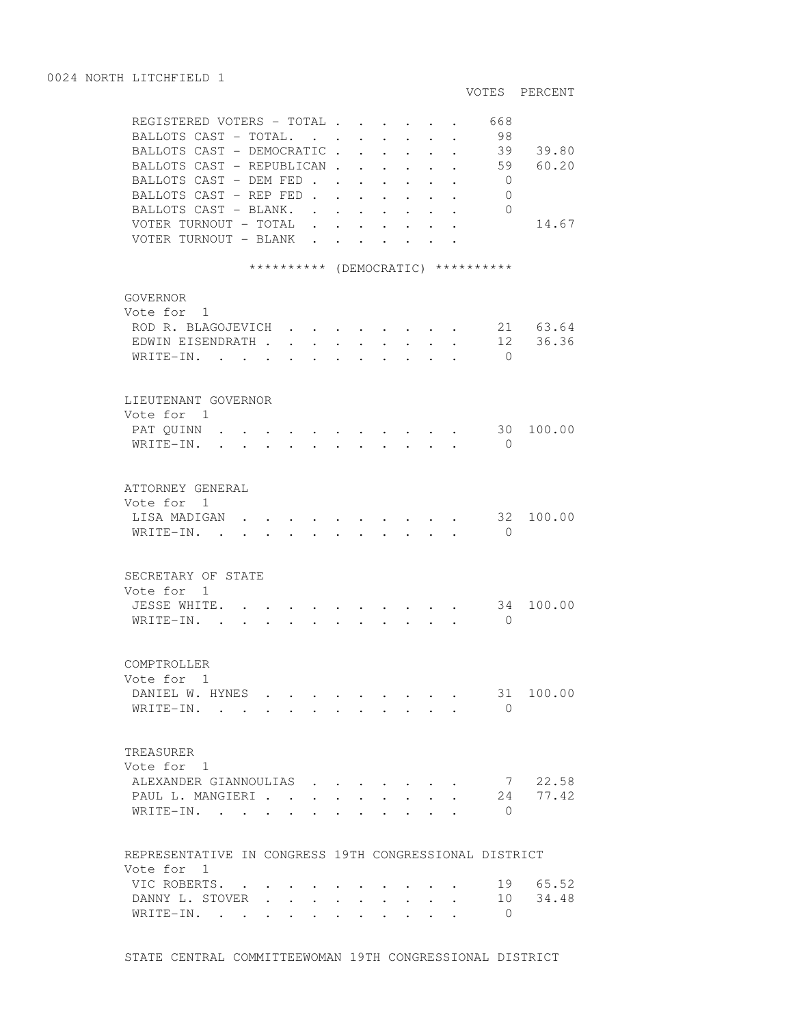VOTES PERCENT REGISTERED VOTERS - TOTAL . . . . . . 668 BALLOTS CAST - TOTAL. . . . . . . . 98 BALLOTS CAST - DEMOCRATIC . . . . . . 39 39.80 BALLOTS CAST - REPUBLICAN . . . . . . 59 60.20 BALLOTS CAST - DEM FED . . . . . . 0 BALLOTS CAST - REP FED . . . . . . 0 BALLOTS CAST - BLANK. . . . . . . . 0 VOTER TURNOUT - TOTAL . . . . . . . 14.67 VOTER TURNOUT - BLANK . . . . . . \*\*\*\*\*\*\*\*\*\* (DEMOCRATIC) \*\*\*\*\*\*\*\*\*\* GOVERNOR Vote for 1 ROD R. BLAGOJEVICH . . . . . . . . 21 63.64<br>EDWIN EISENDRATH . . . . . . . . . 12 36.36 EDWIN EISENDRATH . . . . . . . . . 12 36.36 WRITE-IN. . . . . . . . . . . . 0 LIEUTENANT GOVERNOR Vote for 1 PAT QUINN . . . . . . . . . . . . 30 100.00 WRITE-IN. . . . . . . . . . . 0 ATTORNEY GENERAL Vote for 1 LISA MADIGAN . . . . . . . . . . 32 100.00 WRITE-IN. . . . . . . . . . . . 0 SECRETARY OF STATE Vote for 1 JESSE WHITE. . . . . . . . . . . 34 100.00 WRITE-IN. . . . . . . . . . . 0 COMPTROLLER Vote for 1 DANIEL W. HYNES . . . . . . . . . 31 100.00 WRITE-IN. . . . . . . . . . . 0 TREASURER Vote for 1 ALEXANDER GIANNOULIAS . . . . . . . 7 22.58 PAUL L. MANGIERI . . . . . . . . . 24 77.42 WRITE-IN. . . . . . . . . . . . 0 REPRESENTATIVE IN CONGRESS 19TH CONGRESSIONAL DISTRICT Vote for 1 VIC ROBERTS. . . . . . . . . . . 19 65.52 DANNY L. STOVER . . . . . . . . . 10 34.48 WRITE-IN. . . . . . . . . . . 0

STATE CENTRAL COMMITTEEWOMAN 19TH CONGRESSIONAL DISTRICT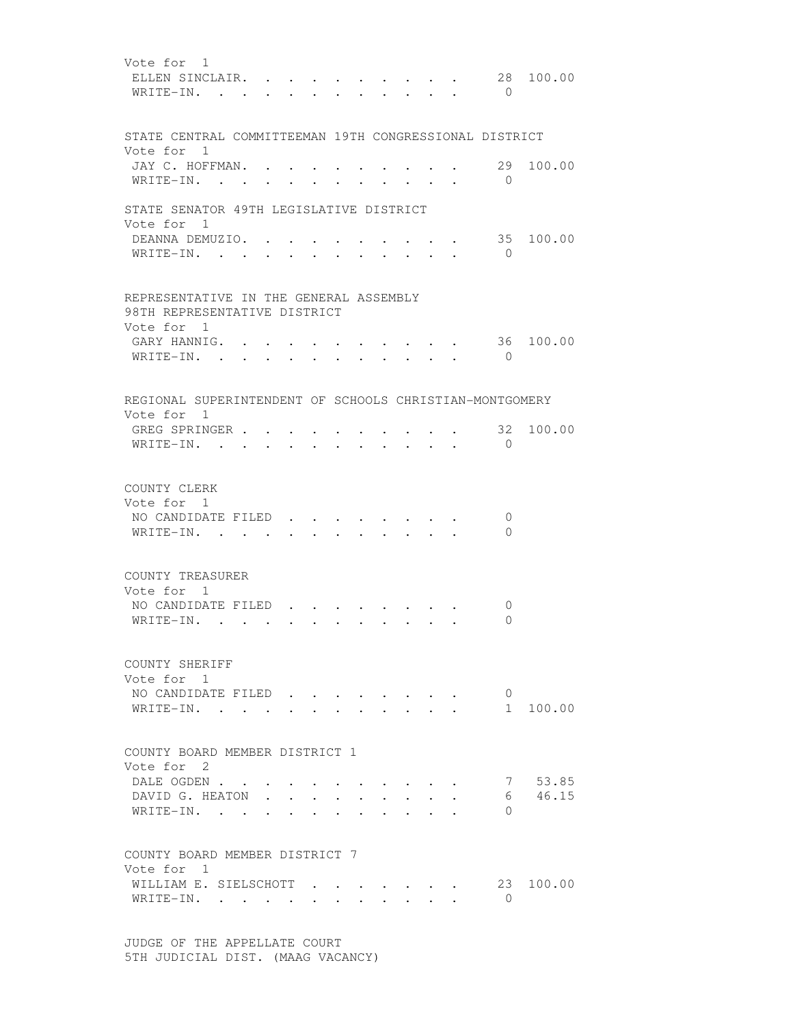Vote for 1 ELLEN SINCLAIR. . . . . . . . . . 28 100.00 WRITE-IN. . . . . . . . . . . . 0 STATE CENTRAL COMMITTEEMAN 19TH CONGRESSIONAL DISTRICT Vote for 1 JAY C. HOFFMAN.  $\cdots$  . . . . . . . 29 100.00 WRITE-IN. . . . . . . . . . . 0 STATE SENATOR 49TH LEGISLATIVE DISTRICT Vote for 1 DEANNA DEMUZIO. . . . . . . . . . 35 100.00 WRITE-IN. . . . . . . . . . . . 0 REPRESENTATIVE IN THE GENERAL ASSEMBLY 98TH REPRESENTATIVE DISTRICT Vote for 1 GARY HANNIG. . . . . . . . . . . 36 100.00 WRITE-IN. . . . . . . . . . . . 0 REGIONAL SUPERINTENDENT OF SCHOOLS CHRISTIAN-MONTGOMERY Vote for 1 GREG SPRINGER . . . . . . . . . . 32 100.00 WRITE-IN. . . . . . . . . . . 0 COUNTY CLERK Vote for 1 NO CANDIDATE FILED . . . . . . . . 0 WRITE-IN. . . . . . . . . . . . 0 COUNTY TREASURER Vote for 1 NO CANDIDATE FILED . . . . . . . . 0 WRITE-IN. . . . . . . . . . . . 0 COUNTY SHERIFF Vote for 1 NO CANDIDATE FILED . . . . . . . 0 WRITE-IN. . . . . . . . . . . . 1 100.00 COUNTY BOARD MEMBER DISTRICT 1 Vote for 2 DALE OGDEN . . . . . . . . . . . 7 53.85<br>DAVID G. HEATON . . . . . . . . . . 6 46.15 DAVID G. HEATON . . . . . . . . . WRITE-IN. . . . . . . . . . . 0 COUNTY BOARD MEMBER DISTRICT 7 Vote for 1 WILLIAM E. SIELSCHOTT . . . . . . 23 100.00 WRITE-IN. . . . . . . . . . . . 0

 JUDGE OF THE APPELLATE COURT 5TH JUDICIAL DIST. (MAAG VACANCY)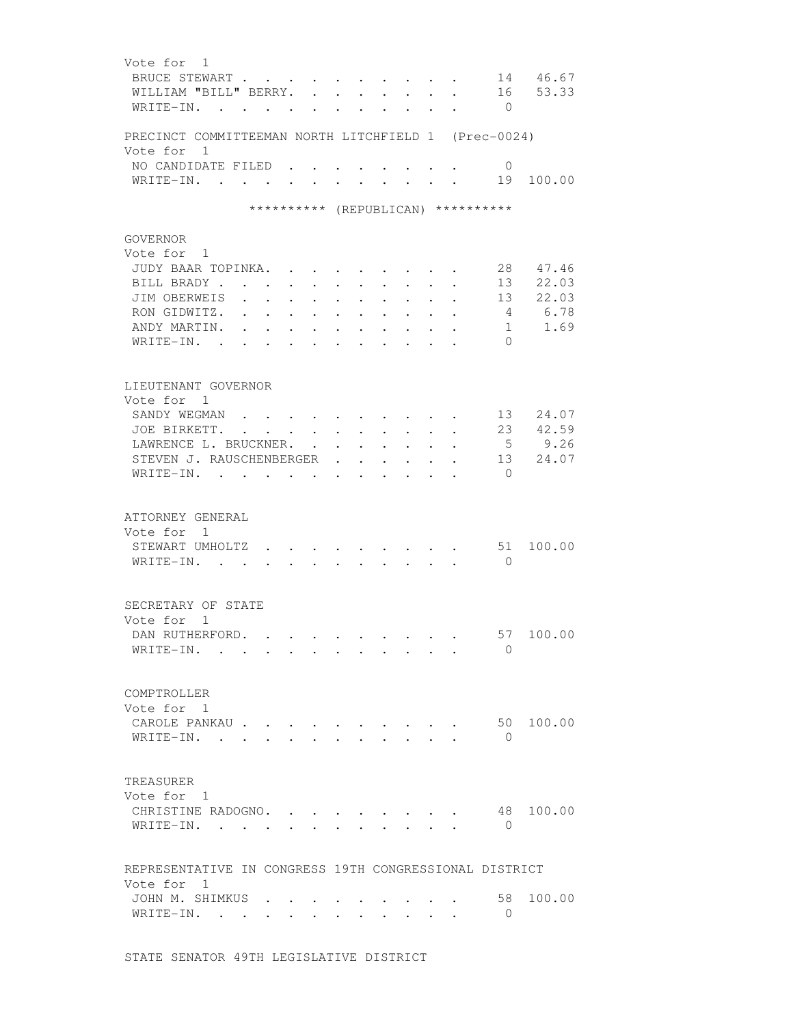| Vote for 1<br>BRUCE STEWART<br>WILLIAM "BILL" BERRY.<br>WRITE-IN.                  | $\mathbf{r}$ . The set of $\mathbf{r}$ |                                          |                                                                 |                                                        |                      | $\cdot$ $\cdot$ $\cdot$ $\cdot$<br>$\cdot$ $\cdot$ $\cdot$ $\cdot$ $\cdot$ |        | $\cdot$              | $\overline{0}$                   | 14 46.67<br>16 53.33            |
|------------------------------------------------------------------------------------|----------------------------------------|------------------------------------------|-----------------------------------------------------------------|--------------------------------------------------------|----------------------|----------------------------------------------------------------------------|--------|----------------------|----------------------------------|---------------------------------|
| PRECINCT COMMITTEEMAN NORTH LITCHFIELD 1 (Prec-0024)                               |                                        |                                          |                                                                 |                                                        |                      |                                                                            |        |                      |                                  |                                 |
| Vote for 1<br>NO CANDIDATE FILED<br>WRITE-IN.                                      |                                        |                                          |                                                                 |                                                        |                      |                                                                            |        |                      | 0<br>19                          | 100.00                          |
|                                                                                    |                                        |                                          | ********** (REPUBLICAN) **********                              |                                                        |                      |                                                                            |        |                      |                                  |                                 |
| GOVERNOR<br>Vote for 1<br>JUDY BAAR TOPINKA.                                       |                                        |                                          |                                                                 |                                                        |                      |                                                                            |        |                      | 28                               | 47.46                           |
| BILL BRADY.<br>JIM OBERWEIS<br>RON GIDWITZ.                                        |                                        | $\sim$                                   | $\ddot{\phantom{0}}$<br>$\ddot{\phantom{0}}$                    | $\ddot{\phantom{0}}$                                   |                      |                                                                            |        |                      | 13<br>13<br>4                    | 22.03<br>22.03<br>6.78          |
| ANDY MARTIN.<br>WRITE-IN. .                                                        |                                        | $\ddot{\phantom{a}}$                     | $\ddot{\phantom{a}}$<br>$\ddot{\phantom{0}}$<br>$\mathbf{L}$    | $\ddot{\phantom{a}}$<br>$\ddot{\phantom{a}}$<br>$\sim$ | $\ddot{\phantom{a}}$ | $\sim$                                                                     | $\sim$ | $\mathbf{r}$         | 1<br>$\Omega$                    | 1.69                            |
| LIEUTENANT GOVERNOR<br>Vote for 1                                                  |                                        |                                          |                                                                 |                                                        |                      |                                                                            |        |                      |                                  |                                 |
| SANDY WEGMAN.<br>JOE BIRKETT.<br>LAWRENCE L. BRUCKNER.<br>STEVEN J. RAUSCHENBERGER | $\ddot{\phantom{a}}$                   | $\mathbf{z} = \mathbf{z} + \mathbf{z}$ . | $\mathbf{r}$ , and $\mathbf{r}$<br>$\bullet$ .                  | $\ddot{\phantom{0}}$<br>$\ddot{\phantom{a}}$           | $\ddot{\phantom{a}}$ | $\ddot{\phantom{a}}$                                                       |        | $\ddot{\phantom{0}}$ | 13<br>23<br>5 <sup>5</sup><br>13 | 24.07<br>42.59<br>9.26<br>24.07 |
| WRITE-IN.                                                                          |                                        |                                          | $\mathbf{r}$ and $\mathbf{r}$ and $\mathbf{r}$ and $\mathbf{r}$ | $\sim$                                                 |                      |                                                                            |        |                      | $\bigcirc$                       |                                 |
| ATTORNEY GENERAL<br>Vote for 1<br>STEWART UMHOLTZ.<br>WRITE-IN. .                  |                                        |                                          |                                                                 |                                                        |                      |                                                                            |        |                      | 51<br>$\overline{0}$             | 100.00                          |
| SECRETARY OF STATE<br>Vote for 1<br>DAN RUTHERFORD. .<br>WRITE-IN.                 |                                        |                                          | $\cdot$                                                         |                                                        |                      |                                                                            |        |                      | $\Omega$                         | 57 100.00                       |
| COMPTROLLER<br>Vote for 1<br>CAROLE PANKAU<br>WRITE-IN.                            |                                        |                                          | $\ddot{\phantom{0}}$                                            |                                                        |                      | $\mathbf{r}$ $\mathbf{r}$                                                  |        |                      | 50<br>$\Omega$                   | 100.00                          |
| TREASURER<br>Vote for 1<br>CHRISTINE RADOGNO.<br>WRITE-IN.                         |                                        |                                          |                                                                 |                                                        |                      |                                                                            |        |                      | $\overline{0}$                   | 48 100.00                       |
| REPRESENTATIVE IN CONGRESS 19TH CONGRESSIONAL DISTRICT<br>Vote for 1               |                                        |                                          |                                                                 |                                                        |                      |                                                                            |        |                      |                                  |                                 |
| JOHN M. SHIMKUS<br>WRITE-IN.                                                       |                                        |                                          |                                                                 |                                                        |                      | $\cdot$ $\cdot$ $\cdot$ $\cdot$ $\cdot$                                    |        |                      | 58<br>$\Omega$                   | 100.00                          |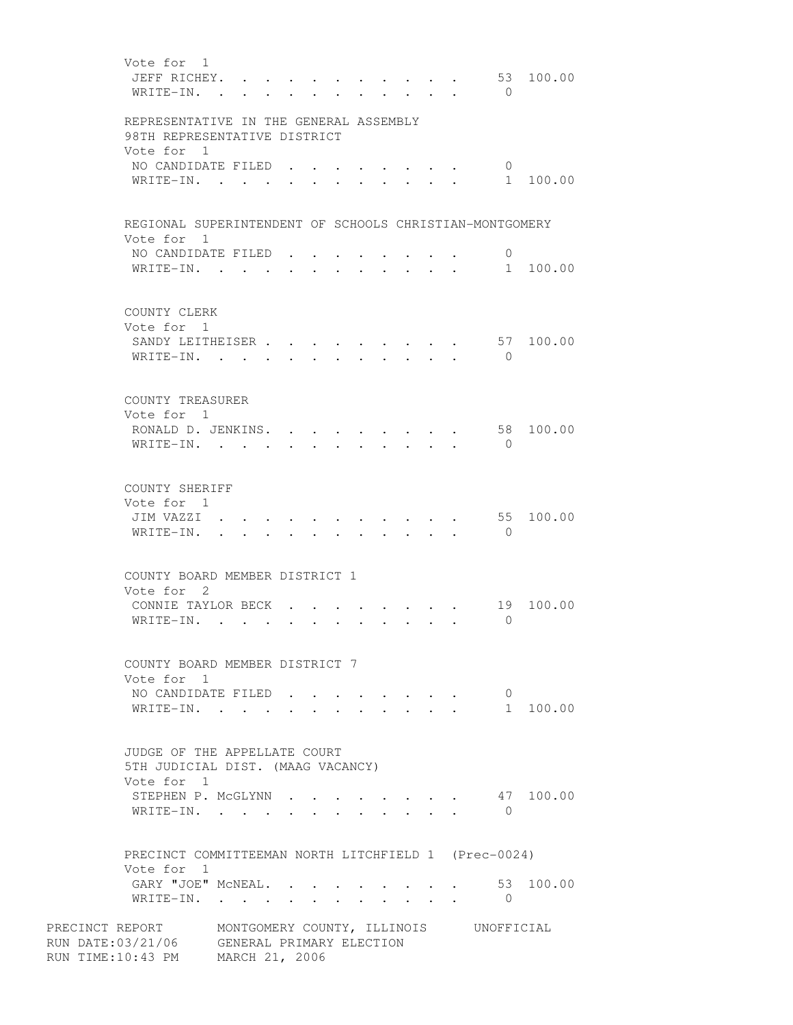| Vote for 1<br>JEFF RICHEY.<br>WRITE-IN.                                | $\sim$               |                                   |        |        |        |                                                                 |                                  |                 | $\mathbf{r}$         | 53<br>$\bigcirc$                       | 100.00    |
|------------------------------------------------------------------------|----------------------|-----------------------------------|--------|--------|--------|-----------------------------------------------------------------|----------------------------------|-----------------|----------------------|----------------------------------------|-----------|
| REPRESENTATIVE IN THE GENERAL ASSEMBLY<br>98TH REPRESENTATIVE DISTRICT |                      |                                   |        |        |        |                                                                 |                                  |                 |                      |                                        |           |
| Vote for 1                                                             |                      |                                   |        |        |        |                                                                 |                                  |                 |                      |                                        |           |
| NO CANDIDATE FILED                                                     |                      |                                   |        |        |        |                                                                 |                                  |                 |                      | $\overline{0}$                         |           |
| WRITE-IN.                                                              |                      |                                   |        |        |        |                                                                 |                                  |                 |                      | 1                                      | 100.00    |
|                                                                        |                      |                                   |        |        |        |                                                                 |                                  |                 |                      |                                        |           |
| REGIONAL SUPERINTENDENT OF SCHOOLS CHRISTIAN-MONTGOMERY<br>Vote for 1  |                      |                                   |        |        |        |                                                                 |                                  |                 |                      |                                        |           |
| NO CANDIDATE FILED                                                     |                      |                                   |        |        |        |                                                                 |                                  |                 |                      | 0                                      |           |
| WRITE-IN.                                                              |                      |                                   | $\sim$ | $\sim$ | $\sim$ | $\bullet$ .<br><br><br><br><br><br><br><br><br><br><br><br><br> | $\bullet$ . The set of $\bullet$ | $\cdot$ $\cdot$ |                      | 1                                      | 100.00    |
| COUNTY CLERK<br>Vote for 1                                             |                      |                                   |        |        |        |                                                                 |                                  |                 |                      |                                        |           |
| SANDY LEITHEISER                                                       |                      |                                   |        |        |        |                                                                 |                                  |                 |                      | 57                                     | 100.00    |
| WRITE-IN. .                                                            |                      |                                   |        |        |        |                                                                 |                                  |                 |                      | $\bigcirc$                             |           |
|                                                                        |                      |                                   |        |        |        |                                                                 |                                  |                 |                      |                                        |           |
| COUNTY TREASURER                                                       |                      |                                   |        |        |        |                                                                 |                                  |                 |                      |                                        |           |
| Vote for 1                                                             |                      |                                   |        |        |        |                                                                 |                                  |                 |                      |                                        |           |
| RONALD D. JENKINS. .                                                   |                      |                                   |        |        |        |                                                                 |                                  |                 |                      |                                        | 58 100.00 |
| $W$ RITE-IN                                                            |                      |                                   |        |        |        |                                                                 |                                  |                 |                      | $\overline{0}$                         |           |
|                                                                        |                      |                                   |        |        |        |                                                                 |                                  |                 |                      |                                        |           |
| COUNTY SHERIFF                                                         |                      |                                   |        |        |        |                                                                 |                                  |                 |                      |                                        |           |
| Vote for 1                                                             |                      |                                   |        |        |        |                                                                 |                                  |                 |                      |                                        |           |
| JIM VAZZI                                                              |                      |                                   |        |        |        |                                                                 |                                  |                 |                      | 55                                     | 100.00    |
| WRITE-IN.                                                              |                      |                                   | $\sim$ |        |        |                                                                 | $\bullet$ . The set of $\bullet$ |                 | $\ddot{\phantom{a}}$ | $\overline{0}$                         |           |
|                                                                        |                      |                                   |        |        |        |                                                                 |                                  |                 |                      |                                        |           |
| COUNTY BOARD MEMBER DISTRICT 1                                         |                      |                                   |        |        |        |                                                                 |                                  |                 |                      |                                        |           |
| Vote for 2                                                             |                      |                                   |        |        |        |                                                                 |                                  |                 |                      |                                        |           |
| CONNIE TAYLOR BECK<br>WRITE-IN.                                        | $\sim$ $\sim$ $\sim$ |                                   |        |        |        |                                                                 |                                  |                 |                      | 19<br>$\Omega$                         | 100.00    |
|                                                                        |                      |                                   |        |        |        |                                                                 |                                  |                 |                      |                                        |           |
|                                                                        |                      |                                   |        |        |        |                                                                 |                                  |                 |                      |                                        |           |
| COUNTY BOARD MEMBER DISTRICT 7                                         |                      |                                   |        |        |        |                                                                 |                                  |                 |                      |                                        |           |
| Vote for 1<br>NO CANDIDATE FILED                                       |                      |                                   |        |        |        |                                                                 |                                  |                 |                      | $\overline{0}$                         |           |
| WRITE-IN.                                                              |                      | <b>Contract Contract Contract</b> |        |        |        |                                                                 |                                  |                 |                      |                                        | 1 100.00  |
|                                                                        |                      |                                   |        |        |        |                                                                 |                                  |                 |                      |                                        |           |
| JUDGE OF THE APPELLATE COURT                                           |                      |                                   |        |        |        |                                                                 |                                  |                 |                      |                                        |           |
| 5TH JUDICIAL DIST. (MAAG VACANCY)                                      |                      |                                   |        |        |        |                                                                 |                                  |                 |                      |                                        |           |
| Vote for 1                                                             |                      |                                   |        |        |        |                                                                 |                                  |                 |                      |                                        |           |
| STEPHEN P. MCGLYNN                                                     |                      |                                   |        |        |        |                                                                 |                                  |                 |                      |                                        | 47 100.00 |
| WRITE-IN.                                                              |                      |                                   |        |        |        |                                                                 |                                  |                 |                      | $\bigcirc$                             |           |
|                                                                        |                      |                                   |        |        |        |                                                                 |                                  |                 |                      |                                        |           |
| PRECINCT COMMITTEEMAN NORTH LITCHFIELD 1 (Prec-0024)                   |                      |                                   |        |        |        |                                                                 |                                  |                 |                      |                                        |           |
| Vote for 1                                                             |                      |                                   |        |        |        |                                                                 |                                  |                 |                      |                                        |           |
| GARY "JOE" MCNEAL53 100.00                                             |                      |                                   |        |        |        |                                                                 |                                  |                 |                      |                                        |           |
| WRITE-IN.                                                              |                      |                                   |        |        |        |                                                                 |                                  |                 |                      | $\overline{0}$                         |           |
| PRECINCT REPORT                                                        |                      |                                   |        |        |        |                                                                 |                                  |                 |                      | MONTGOMERY COUNTY, ILLINOIS UNOFFICIAL |           |
| RUN DATE:03/21/06 GENERAL PRIMARY ELECTION                             |                      |                                   |        |        |        |                                                                 |                                  |                 |                      |                                        |           |
| RUN TIME:10:43 PM                                                      | MARCH 21, 2006       |                                   |        |        |        |                                                                 |                                  |                 |                      |                                        |           |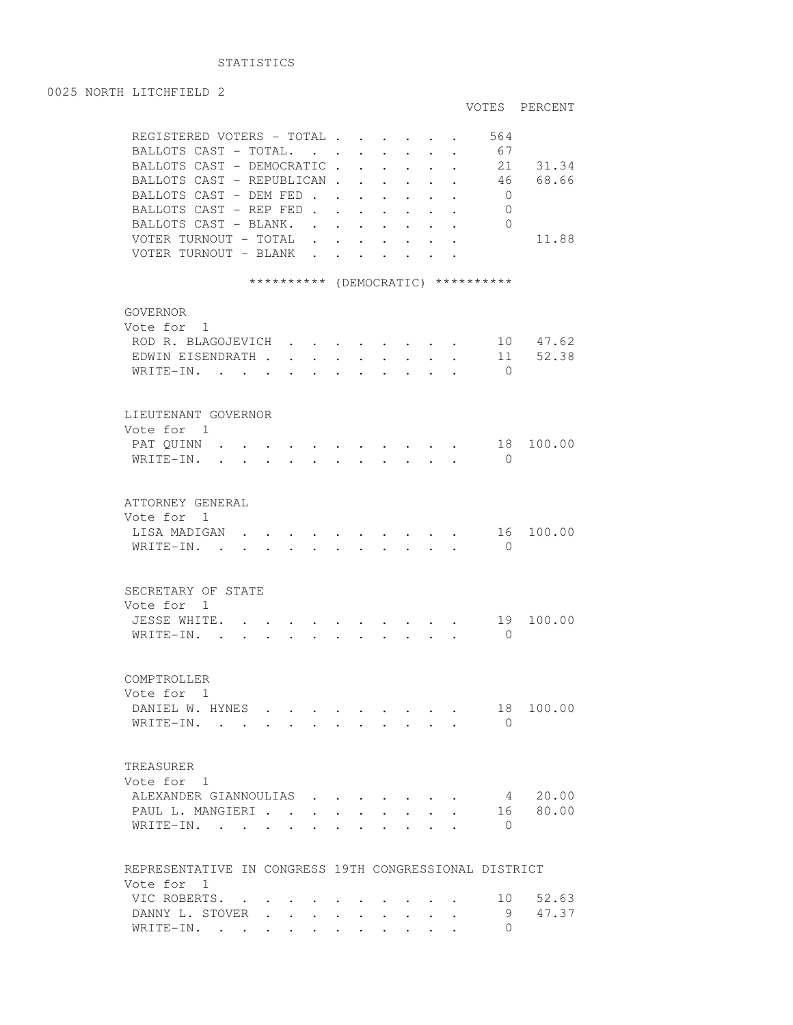## STATISTICS

## 0025 NORTH LITCHFIELD 2 VOTES PERCENT REGISTERED VOTERS - TOTAL . . . . . . 564 BALLOTS CAST - TOTAL. . . . . . . . 67 BALLOTS CAST - DEMOCRATIC . . . . . . 21 31.34 BALLOTS CAST - REPUBLICAN . . . . . . 46 68.66 BALLOTS CAST - DEM FED . . . . . . 0 BALLOTS CAST - REP FED . . . . . . . 0 BALLOTS CAST - BLANK. . . . . . . . 0 VOTER TURNOUT - TOTAL . . . . . . . 11.88 VOTER TURNOUT - BLANK . . . . . . . \*\*\*\*\*\*\*\*\*\* (DEMOCRATIC) \*\*\*\*\*\*\*\*\*\* GOVERNOR Vote for 1 ROD R. BLAGOJEVICH . . . . . . . . 10 47.62 EDWIN EISENDRATH . . . . . . . . . 11 52.38 WRITE-IN. . . . . . . . . . . 0 LIEUTENANT GOVERNOR Vote for 1 PAT QUINN . . . . . . . . . . . . 18 100.00 WRITE-IN. . . . . . . . . . . . 0 ATTORNEY GENERAL Vote for 1 LISA MADIGAN  $\cdots$  . . . . . . . . . . 16 100.00 WRITE-IN. . . . . . . . . . . 0 SECRETARY OF STATE Vote for 1 JESSE WHITE. . . . . . . . . . . 19 100.00 WRITE-IN. . . . . . . . . . . . 0 COMPTROLLER Vote for 1 DANIEL W. HYNES . . . . . . . . . 18 100.00 WRITE-IN. . . . . . . . . . . 0 TREASURER Vote for 1 ALEXANDER GIANNOULIAS . . . . . . . 4 20.00 PAUL L. MANGIERI . . . . . . . . . 16 80.00 WRITE-IN. . . . . . . . . . . . 0 REPRESENTATIVE IN CONGRESS 19TH CONGRESSIONAL DISTRICT Vote for 1 VIC ROBERTS. . . . . . . . . . . 10 52.63 DANNY L. STOVER . . . . . . . . . . 9 47.37<br>WRTTF-TN. . . . . . . . . . . . . 0 WRITE-IN. . . . . . . . . . . .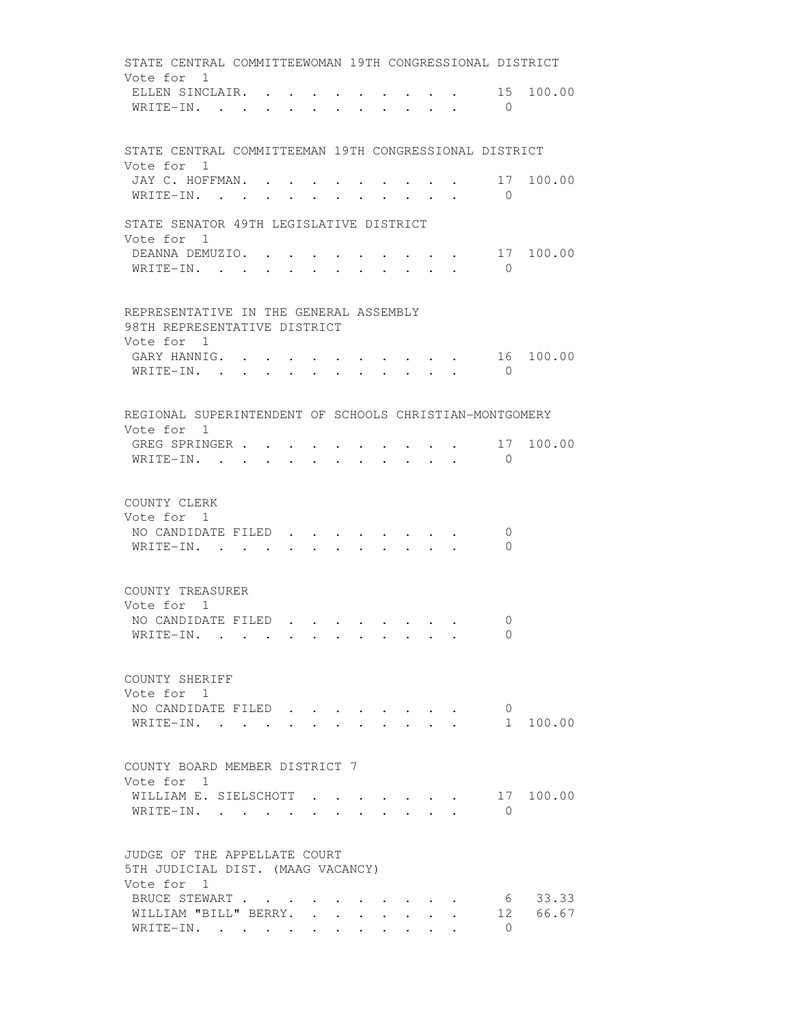STATE CENTRAL COMMITTEEWOMAN 19TH CONGRESSIONAL DISTRICT Vote for 1 ELLEN SINCLAIR. . . . . . . . . . . 15 100.00 WRITE-IN. . . . . . . . . . . . 0 STATE CENTRAL COMMITTEEMAN 19TH CONGRESSIONAL DISTRICT Vote for 1 JAY C. HOFFMAN. . . . . . . . . . 17 100.00 WRITE-IN. . . . . . . . . . . 0 STATE SENATOR 49TH LEGISLATIVE DISTRICT Vote for 1 DEANNA DEMUZIO. . . . . . . . . . 17 100.00 WRITE-IN. . . . . . . . . . . . 0 REPRESENTATIVE IN THE GENERAL ASSEMBLY 98TH REPRESENTATIVE DISTRICT Vote for 1 GARY HANNIG. . . . . . . . . . . 16 100.00 WRITE-IN. . . . . . . . . . . . 0 REGIONAL SUPERINTENDENT OF SCHOOLS CHRISTIAN-MONTGOMERY Vote for 1 GREG SPRINGER . . . . . . . . . . 17 100.00 WRITE-IN. . . . . . . . . . . . 0 COUNTY CLERK Vote for 1 NO CANDIDATE FILED . . . . . . . . 0 WRITE-IN. . . . . . . . . . . 0 COUNTY TREASURER Vote for 1 NO CANDIDATE FILED . . . . . . . . 0 WRITE-IN. . . . . . . . . . . . 0 COUNTY SHERIFF Vote for 1 NO CANDIDATE FILED . . . . . . . . 0 WRITE-IN. . . . . . . . . . . . 1 100.00 COUNTY BOARD MEMBER DISTRICT 7 Vote for 1 WILLIAM E. SIELSCHOTT . . . . . . . 17 100.00 WRITE-IN. . . . . . . . . . . . 0 JUDGE OF THE APPELLATE COURT 5TH JUDICIAL DIST. (MAAG VACANCY) Vote for 1 BRUCE STEWART . . . . . . . . . . . . 6 33.33<br>WILLIAM "BILL" BERRY. . . . . . . . 12 66.67 WILLIAM "BILL" BERRY. . . . . . . . WRITE-IN. . . . . . . . . . . 0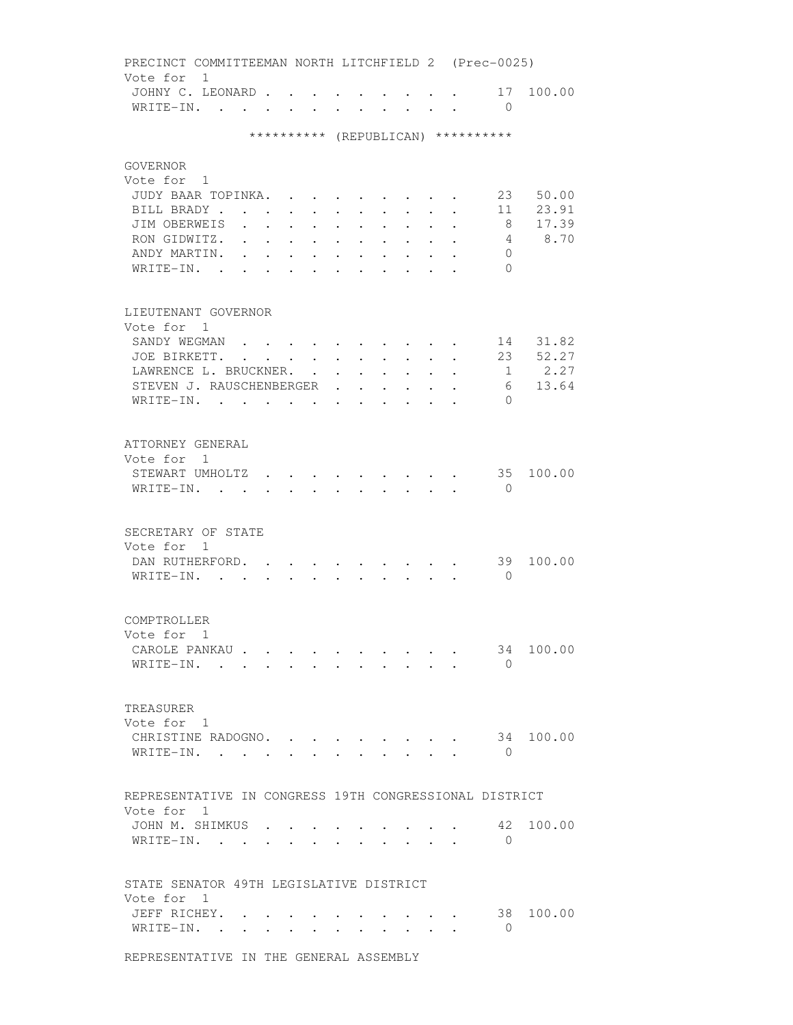PRECINCT COMMITTEEMAN NORTH LITCHFIELD 2 (Prec-0025) Vote for 1 JOHNY C. LEONARD . . . . . . . . . 17 100.00 WRITE-IN. . . . . . . . . . . 0 \*\*\*\*\*\*\*\*\*\* (REPUBLICAN) \*\*\*\*\*\*\*\*\*\* GOVERNOR Vote for 1 JUDY BAAR TOPINKA. . . . . . . . . 23 50.00 BILL BRADY . . . . . . . . . . . 11 23.91<br>JIM OBERWEIS . . . . . . . . . . 8 17.39 JIM OBERWEIS . . . . . . . . . . 8 RON GIDWITZ. . . . . . . . . . . 4 8.70 ANDY MARTIN. . . . . . . . . . . 0 WRITE-IN. . . . . . . . . . . . 0 LIEUTENANT GOVERNOR Vote for 1 SANDY WEGMAN . . . . . . . . . . 14 31.82 JOE BIRKETT. . . . . . . . . . . 23 52.27 LAWRENCE L. BRUCKNER. . . . . . . . 1 2.27 STEVEN J. RAUSCHENBERGER . . . . . . 6 13.64 WRITE-IN. . . . . . . . . . . . 0 ATTORNEY GENERAL Vote for 1 STEWART UMHOLTZ . . . . . . . . . 35 100.00 WRITE-IN. . . . . . . . . . . . 0 SECRETARY OF STATE Vote for 1 DAN RUTHERFORD. . . . . . . . . . 39 100.00 WRITE-IN. . . . . . . . . . . 0 COMPTROLLER Vote for 1 CAROLE PANKAU . . . . . . . . . . 34 100.00 WRITE-IN. . . . . . . . . . . . 0 TREASURER Vote for 1 CHRISTINE RADOGNO. . . . . . . . . 34 100.00 WRITE-IN. . . . . . . . . . . . 0 REPRESENTATIVE IN CONGRESS 19TH CONGRESSIONAL DISTRICT Vote for 1 JOHN M. SHIMKUS . . . . . . . . . 42 100.00 WRITE-IN. . . . . . . . . . . . 0 STATE SENATOR 49TH LEGISLATIVE DISTRICT Vote for 1 JEFF RICHEY. . . . . . . . . . . 38 100.00 WRITE-IN. . . . . . . . . . . . 0 REPRESENTATIVE IN THE GENERAL ASSEMBLY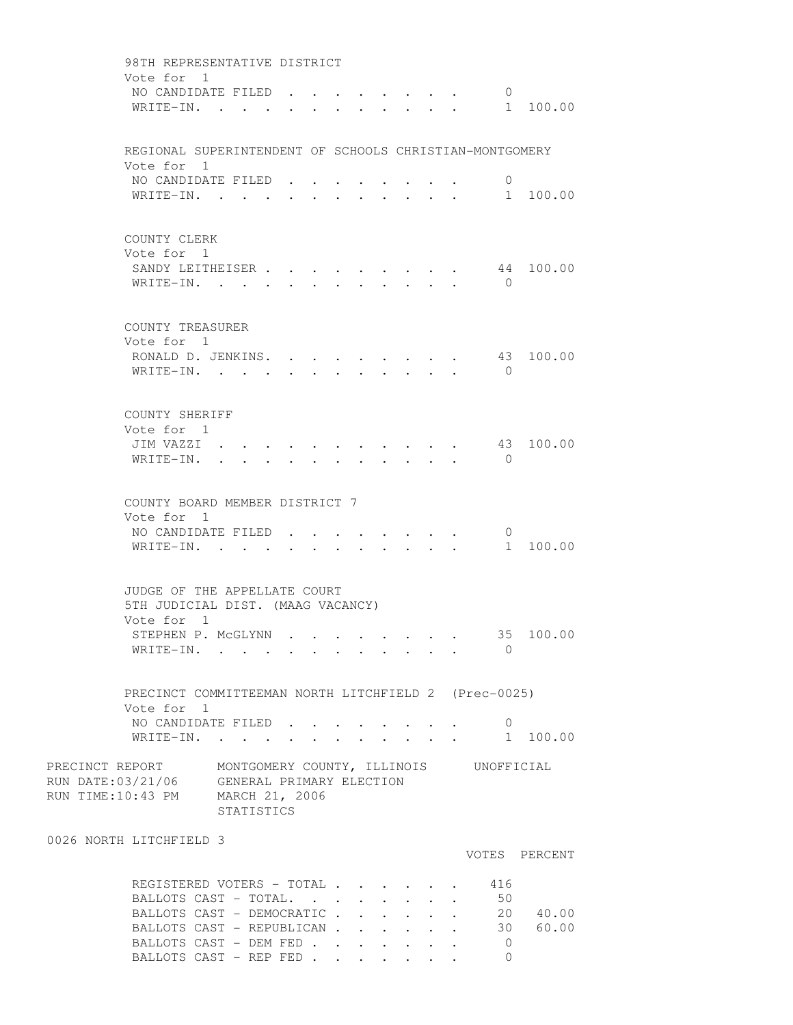| 98TH REPRESENTATIVE DISTRICT                            |                      |                                  |                                                             |        |                      |                                         |                      |                                                                          |               |
|---------------------------------------------------------|----------------------|----------------------------------|-------------------------------------------------------------|--------|----------------------|-----------------------------------------|----------------------|--------------------------------------------------------------------------|---------------|
| Vote for 1                                              |                      |                                  |                                                             |        |                      |                                         |                      |                                                                          |               |
| NO CANDIDATE FILED.                                     |                      |                                  |                                                             |        |                      |                                         |                      | $\overline{0}$                                                           |               |
| WRITE-IN. .                                             |                      |                                  |                                                             |        |                      |                                         |                      |                                                                          | 1 100.00      |
|                                                         |                      |                                  |                                                             |        |                      |                                         |                      |                                                                          |               |
| REGIONAL SUPERINTENDENT OF SCHOOLS CHRISTIAN-MONTGOMERY |                      |                                  |                                                             |        |                      |                                         |                      |                                                                          |               |
| Vote for 1                                              |                      |                                  |                                                             |        |                      |                                         |                      |                                                                          |               |
| NO CANDIDATE FILED.                                     |                      |                                  |                                                             |        |                      |                                         |                      | 0                                                                        |               |
| WRITE-IN.                                               |                      |                                  | $\bullet$ .<br><br><br><br><br><br><br><br><br><br><br><br> |        |                      |                                         |                      | $\mathbf{r}$ , and $\mathbf{r}$ , and $\mathbf{r}$ , and $\mathbf{r}$    | 1 100.00      |
|                                                         |                      |                                  |                                                             |        |                      |                                         |                      |                                                                          |               |
|                                                         |                      |                                  |                                                             |        |                      |                                         |                      |                                                                          |               |
| COUNTY CLERK                                            |                      |                                  |                                                             |        |                      |                                         |                      |                                                                          |               |
| Vote for 1                                              |                      |                                  |                                                             |        |                      |                                         |                      |                                                                          |               |
| SANDY LEITHEISER                                        |                      |                                  |                                                             |        |                      |                                         |                      | 44                                                                       | 100.00        |
| WRITE-IN.                                               |                      |                                  |                                                             |        |                      |                                         |                      | $\bigcirc$                                                               |               |
|                                                         |                      |                                  |                                                             |        |                      |                                         |                      |                                                                          |               |
| COUNTY TREASURER                                        |                      |                                  |                                                             |        |                      |                                         |                      |                                                                          |               |
| Vote for 1                                              |                      |                                  |                                                             |        |                      |                                         |                      |                                                                          |               |
| RONALD D. JENKINS.                                      |                      |                                  |                                                             |        |                      |                                         |                      |                                                                          | 43 100.00     |
| WRITE-IN. .                                             |                      |                                  |                                                             |        |                      |                                         |                      | $\bigcirc$                                                               |               |
|                                                         |                      |                                  |                                                             |        |                      |                                         |                      |                                                                          |               |
|                                                         |                      |                                  |                                                             |        |                      |                                         |                      |                                                                          |               |
| COUNTY SHERIFF                                          |                      |                                  |                                                             |        |                      |                                         |                      |                                                                          |               |
| Vote for 1                                              |                      |                                  |                                                             |        |                      |                                         |                      |                                                                          |               |
| JIM VAZZI                                               |                      |                                  |                                                             |        |                      |                                         |                      |                                                                          | 43 100.00     |
| WRITE-IN. .                                             | $\ddot{\phantom{0}}$ | $\bullet$ . The set of $\bullet$ |                                                             |        |                      | $\cdot$ $\cdot$ $\cdot$ $\cdot$ $\cdot$ |                      | $\bigcirc$                                                               |               |
|                                                         |                      |                                  |                                                             |        |                      |                                         |                      |                                                                          |               |
| COUNTY BOARD MEMBER DISTRICT 7                          |                      |                                  |                                                             |        |                      |                                         |                      |                                                                          |               |
| Vote for 1                                              |                      |                                  |                                                             |        |                      |                                         |                      |                                                                          |               |
| NO CANDIDATE FILED                                      |                      |                                  |                                                             |        |                      |                                         |                      | $\overline{0}$                                                           |               |
| WRITE-IN.                                               |                      |                                  |                                                             |        |                      |                                         |                      |                                                                          | 1 100.00      |
|                                                         |                      |                                  |                                                             |        |                      |                                         |                      |                                                                          |               |
|                                                         |                      |                                  |                                                             |        |                      |                                         |                      |                                                                          |               |
| JUDGE OF THE APPELLATE COURT                            |                      |                                  |                                                             |        |                      |                                         |                      |                                                                          |               |
| 5TH JUDICIAL DIST. (MAAG VACANCY)                       |                      |                                  |                                                             |        |                      |                                         |                      |                                                                          |               |
| Vote for 1                                              |                      |                                  |                                                             |        |                      |                                         |                      |                                                                          |               |
| STEPHEN P. MCGLYNN                                      |                      |                                  |                                                             |        |                      |                                         |                      |                                                                          | 35 100.00     |
| WRITE-IN.                                               |                      |                                  |                                                             |        |                      |                                         |                      | $\bigcirc$                                                               |               |
|                                                         |                      |                                  |                                                             |        |                      |                                         |                      |                                                                          |               |
| PRECINCT COMMITTEEMAN NORTH LITCHFIELD 2 (Prec-0025)    |                      |                                  |                                                             |        |                      |                                         |                      |                                                                          |               |
| Vote for 1                                              |                      |                                  |                                                             |        |                      |                                         |                      |                                                                          |               |
| NO CANDIDATE FILED                                      |                      |                                  |                                                             |        |                      |                                         |                      | $\mathbf{0}$                                                             |               |
| WRITE-IN.                                               |                      |                                  |                                                             |        |                      |                                         |                      | $\mathbf{r}$ , $\mathbf{r}$ , $\mathbf{r}$ , $\mathbf{r}$ , $\mathbf{r}$ | 1 100.00      |
|                                                         |                      |                                  |                                                             |        |                      |                                         |                      |                                                                          |               |
| PRECINCT REPORT MONTGOMERY COUNTY, ILLINOIS UNOFFICIAL  |                      |                                  |                                                             |        |                      |                                         |                      |                                                                          |               |
| RUN DATE:03/21/06 GENERAL PRIMARY ELECTION              |                      |                                  |                                                             |        |                      |                                         |                      |                                                                          |               |
| RUN TIME:10:43 PM MARCH 21, 2006                        |                      |                                  |                                                             |        |                      |                                         |                      |                                                                          |               |
|                                                         | STATISTICS           |                                  |                                                             |        |                      |                                         |                      |                                                                          |               |
| 0026 NORTH LITCHFIELD 3                                 |                      |                                  |                                                             |        |                      |                                         |                      |                                                                          |               |
|                                                         |                      |                                  |                                                             |        |                      |                                         |                      |                                                                          | VOTES PERCENT |
|                                                         |                      |                                  |                                                             |        |                      |                                         |                      |                                                                          |               |
| REGISTERED VOTERS - TOTAL                               |                      |                                  |                                                             |        |                      |                                         |                      | 416                                                                      |               |
| BALLOTS CAST - TOTAL.                                   |                      |                                  |                                                             | $\sim$ | $\ddot{\phantom{a}}$ | $\mathbf{L}$                            | $\ddot{\phantom{0}}$ | 50                                                                       |               |
| BALLOTS CAST - DEMOCRATIC                               |                      |                                  |                                                             |        | $\ddot{\phantom{0}}$ | $\sim$                                  | $\ddot{\phantom{0}}$ |                                                                          | 20 40.00      |
| BALLOTS CAST - REPUBLICAN                               |                      |                                  |                                                             |        |                      |                                         |                      |                                                                          | 30 60.00      |
| BALLOTS CAST - DEM FED                                  |                      |                                  |                                                             |        |                      |                                         |                      | $\overline{0}$                                                           |               |
| BALLOTS CAST - REP FED                                  |                      |                                  |                                                             |        |                      |                                         |                      | $\Omega$                                                                 |               |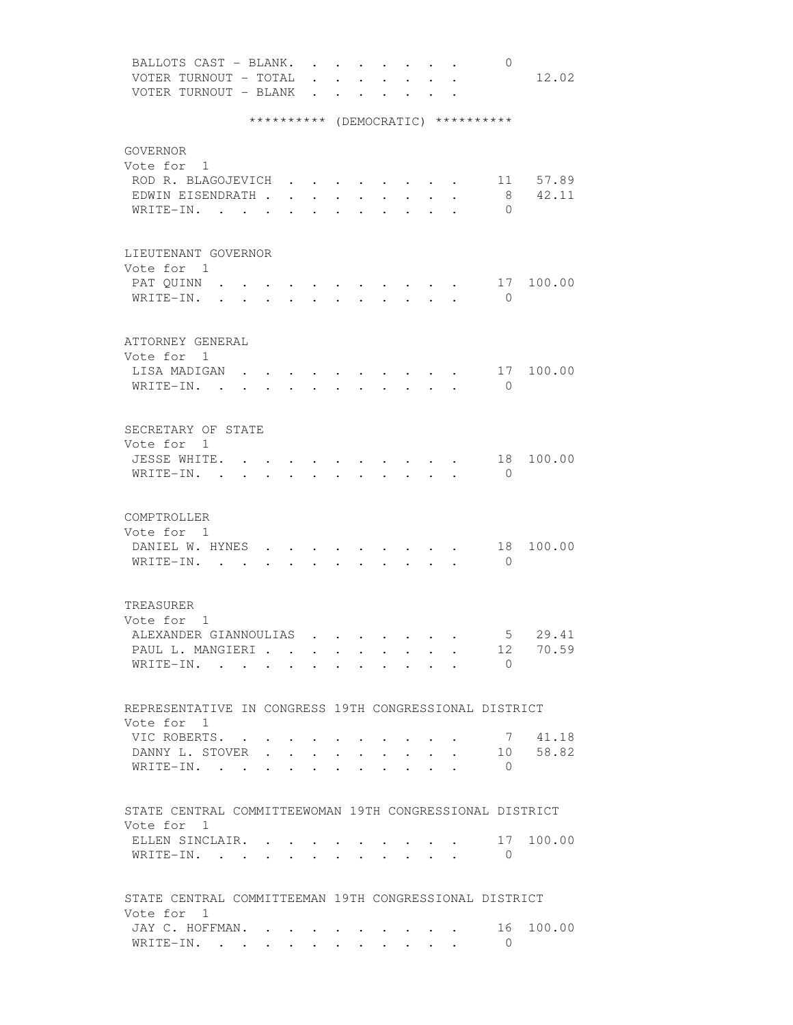| BALLOTS CAST - BLANK.                                    |        |                                         |                      |                                 |                      | $\mathbf{r}$ , $\mathbf{r}$ , $\mathbf{r}$ , $\mathbf{r}$ |                      | $\mathbf{r}$ $\mathbf{r}$ |                      | 0                                  |                                                                   |
|----------------------------------------------------------|--------|-----------------------------------------|----------------------|---------------------------------|----------------------|-----------------------------------------------------------|----------------------|---------------------------|----------------------|------------------------------------|-------------------------------------------------------------------|
| VOTER TURNOUT - TOTAL                                    |        |                                         |                      | $\mathbf{r}$ and $\mathbf{r}$   | $\mathbf{L}$         | $\mathbf{L}$                                              | $\sim$               | $\ddot{\phantom{0}}$      | $\ddot{\phantom{a}}$ |                                    | 12.02                                                             |
| VOTER TURNOUT - BLANK                                    |        |                                         |                      |                                 | $\ddot{\phantom{a}}$ |                                                           |                      |                           |                      |                                    |                                                                   |
|                                                          |        |                                         |                      |                                 |                      |                                                           |                      |                           |                      |                                    |                                                                   |
|                                                          |        |                                         |                      |                                 |                      |                                                           |                      |                           |                      | ********** (DEMOCRATIC) ********** |                                                                   |
|                                                          |        |                                         |                      |                                 |                      |                                                           |                      |                           |                      |                                    |                                                                   |
| GOVERNOR                                                 |        |                                         |                      |                                 |                      |                                                           |                      |                           |                      |                                    |                                                                   |
| Vote for 1                                               |        |                                         |                      |                                 |                      |                                                           |                      |                           |                      |                                    |                                                                   |
| ROD R. BLAGOJEVICH                                       |        |                                         |                      |                                 |                      |                                                           |                      |                           |                      |                                    | 11 57.89                                                          |
| EDWIN EISENDRATH .                                       |        | $\sim$                                  | $\ddot{\phantom{a}}$ | $\ddot{\phantom{0}}$            |                      | $\ddot{\phantom{0}}$                                      |                      |                           |                      | 8                                  | 42.11                                                             |
| WRITE-IN.                                                | $\sim$ |                                         |                      |                                 |                      |                                                           | $\ddot{\phantom{0}}$ |                           |                      | $\Omega$                           |                                                                   |
|                                                          |        |                                         |                      |                                 |                      |                                                           |                      |                           |                      |                                    |                                                                   |
|                                                          |        |                                         |                      |                                 |                      |                                                           |                      |                           |                      |                                    |                                                                   |
| LIEUTENANT GOVERNOR                                      |        |                                         |                      |                                 |                      |                                                           |                      |                           |                      |                                    |                                                                   |
| Vote for 1                                               |        |                                         |                      |                                 |                      |                                                           |                      |                           |                      |                                    |                                                                   |
| PAT QUINN                                                |        |                                         |                      |                                 |                      |                                                           |                      |                           |                      | 17                                 | 100.00                                                            |
| WRITE-IN.                                                |        |                                         |                      |                                 |                      |                                                           |                      |                           |                      | $\mathbf{0}$                       |                                                                   |
|                                                          |        |                                         |                      |                                 |                      |                                                           |                      |                           |                      |                                    |                                                                   |
|                                                          |        |                                         |                      |                                 |                      |                                                           |                      |                           |                      |                                    |                                                                   |
| ATTORNEY GENERAL                                         |        |                                         |                      |                                 |                      |                                                           |                      |                           |                      |                                    |                                                                   |
| Vote for 1                                               |        |                                         |                      |                                 |                      |                                                           |                      |                           |                      |                                    |                                                                   |
| LISA MADIGAN                                             |        |                                         |                      |                                 |                      |                                                           |                      |                           |                      |                                    | $\cdot$ $\cdot$ $\cdot$ $\cdot$ $\cdot$ $\cdot$ $\cdot$ 17 100.00 |
| WRITE-IN.                                                |        |                                         |                      |                                 |                      | $\cdot$ $\cdot$ $\cdot$ $\cdot$ $\cdot$ $\cdot$           |                      |                           |                      | $\bigcirc$                         |                                                                   |
|                                                          |        | $\bullet$ .<br><br><br><br><br><br><br> |                      | $\cdot$ $\cdot$ $\cdot$ $\cdot$ |                      |                                                           |                      |                           |                      |                                    |                                                                   |
|                                                          |        |                                         |                      |                                 |                      |                                                           |                      |                           |                      |                                    |                                                                   |
| SECRETARY OF STATE                                       |        |                                         |                      |                                 |                      |                                                           |                      |                           |                      |                                    |                                                                   |
| Vote for 1                                               |        |                                         |                      |                                 |                      |                                                           |                      |                           |                      |                                    |                                                                   |
|                                                          |        |                                         |                      |                                 |                      |                                                           |                      |                           |                      |                                    |                                                                   |
| JESSE WHITE. .                                           |        | $\sim$                                  |                      |                                 |                      |                                                           |                      |                           |                      | 18                                 | 100.00                                                            |
| WRITE-IN. .                                              | $\sim$ |                                         |                      |                                 |                      |                                                           | $\mathbf{L}$         | $\mathbf{L}$              |                      | $\overline{0}$                     |                                                                   |
|                                                          |        |                                         |                      |                                 |                      |                                                           |                      |                           |                      |                                    |                                                                   |
|                                                          |        |                                         |                      |                                 |                      |                                                           |                      |                           |                      |                                    |                                                                   |
| COMPTROLLER                                              |        |                                         |                      |                                 |                      |                                                           |                      |                           |                      |                                    |                                                                   |
| Vote for 1                                               |        |                                         |                      |                                 |                      |                                                           |                      |                           |                      |                                    |                                                                   |
| DANIEL W. HYNES                                          |        |                                         |                      |                                 |                      |                                                           |                      |                           |                      | 18                                 | 100.00                                                            |
| WRITE-IN. .                                              |        |                                         |                      |                                 |                      |                                                           |                      |                           |                      | $\overline{0}$                     |                                                                   |
|                                                          |        |                                         |                      |                                 |                      |                                                           |                      |                           |                      |                                    |                                                                   |
|                                                          |        |                                         |                      |                                 |                      |                                                           |                      |                           |                      |                                    |                                                                   |
| TREASURER                                                |        |                                         |                      |                                 |                      |                                                           |                      |                           |                      |                                    |                                                                   |
| Vote for 1                                               |        |                                         |                      |                                 |                      |                                                           |                      |                           |                      |                                    |                                                                   |
| ALEXANDER GIANNOULIAS                                    |        |                                         |                      |                                 |                      |                                                           |                      |                           |                      | 5                                  | 29.41                                                             |
| PAUL L. MANGIERI                                         |        |                                         |                      |                                 |                      |                                                           |                      |                           |                      |                                    | 12 70.59                                                          |
| WRITE-IN.                                                |        |                                         |                      |                                 |                      |                                                           |                      |                           |                      | $\bigcap$                          |                                                                   |
|                                                          |        |                                         |                      |                                 |                      |                                                           |                      |                           |                      |                                    |                                                                   |
|                                                          |        |                                         |                      |                                 |                      |                                                           |                      |                           |                      |                                    |                                                                   |
| REPRESENTATIVE IN CONGRESS 19TH CONGRESSIONAL DISTRICT   |        |                                         |                      |                                 |                      |                                                           |                      |                           |                      |                                    |                                                                   |
| Vote for 1                                               |        |                                         |                      |                                 |                      |                                                           |                      |                           |                      |                                    |                                                                   |
| VIC ROBERTS.                                             |        |                                         |                      |                                 |                      |                                                           |                      |                           |                      |                                    | 7 41.18                                                           |
| DANNY L. STOVER                                          |        |                                         |                      |                                 |                      |                                                           |                      |                           |                      |                                    | 10 58.82                                                          |
| WRITE-IN.                                                |        |                                         | $\ddot{\phantom{0}}$ | <b>Contract Contract</b>        |                      |                                                           |                      | $\cdot$ $\cdot$ $\cdot$   |                      | $\circ$                            |                                                                   |
|                                                          |        |                                         |                      |                                 |                      |                                                           |                      |                           |                      |                                    |                                                                   |
|                                                          |        |                                         |                      |                                 |                      |                                                           |                      |                           |                      |                                    |                                                                   |
| STATE CENTRAL COMMITTEEWOMAN 19TH CONGRESSIONAL DISTRICT |        |                                         |                      |                                 |                      |                                                           |                      |                           |                      |                                    |                                                                   |
| Vote for 1                                               |        |                                         |                      |                                 |                      |                                                           |                      |                           |                      |                                    |                                                                   |
| ELLEN SINCLAIR.                                          |        |                                         |                      |                                 |                      |                                                           |                      |                           |                      | 17                                 | 100.00                                                            |
| WRITE-IN.                                                |        |                                         |                      |                                 |                      |                                                           |                      |                           |                      | $\overline{0}$                     |                                                                   |
|                                                          |        |                                         |                      |                                 |                      |                                                           |                      |                           |                      |                                    |                                                                   |
|                                                          |        |                                         |                      |                                 |                      |                                                           |                      |                           |                      |                                    |                                                                   |
|                                                          |        |                                         |                      |                                 |                      |                                                           |                      |                           |                      |                                    |                                                                   |
| STATE CENTRAL COMMITTEEMAN 19TH CONGRESSIONAL DISTRICT   |        |                                         |                      |                                 |                      |                                                           |                      |                           |                      |                                    |                                                                   |
| Vote for 1                                               |        |                                         |                      |                                 |                      |                                                           |                      |                           |                      |                                    |                                                                   |
| JAY C. HOFFMAN.                                          |        |                                         |                      |                                 |                      |                                                           |                      |                           |                      | 16                                 | 100.00                                                            |
| WRITE-IN.                                                |        |                                         |                      |                                 |                      |                                                           |                      |                           |                      | $\Omega$                           |                                                                   |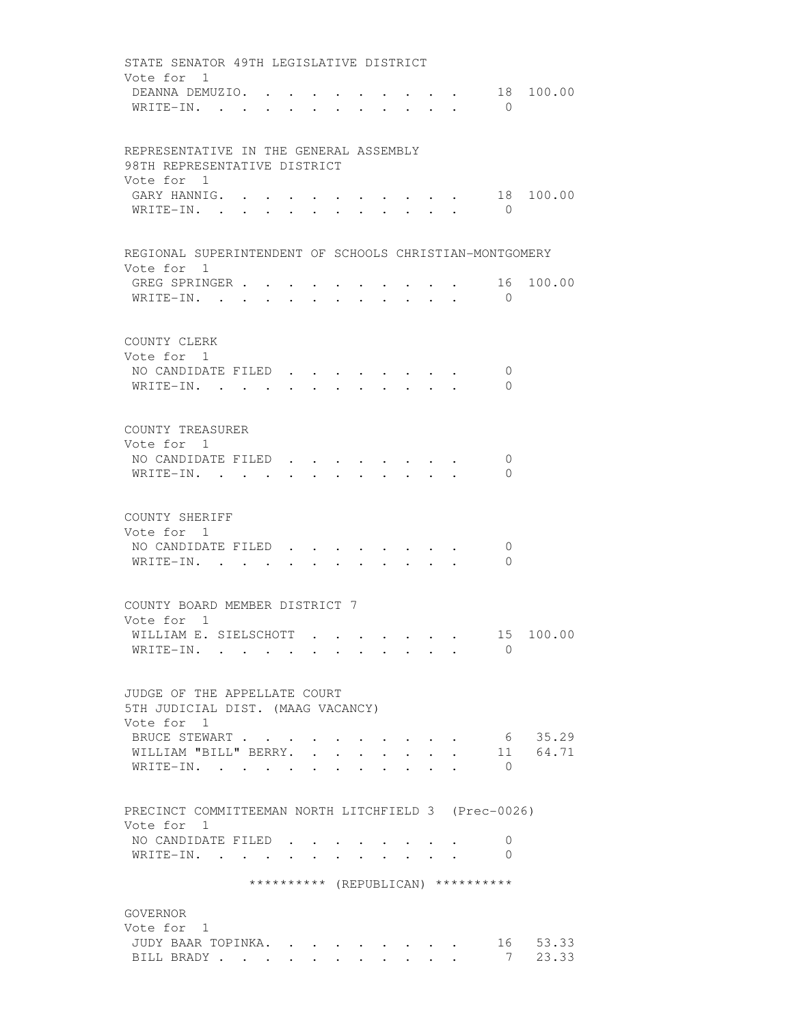| STATE SENATOR 49TH LEGISLATIVE DISTRICT                                                                                |  |
|------------------------------------------------------------------------------------------------------------------------|--|
| Vote for 1<br>18 100.00<br>DEANNA DEMUZIO.<br>$\bullet$ . In the set of $\bullet$<br>WRITE-IN.<br>$\bigcirc$<br>$\sim$ |  |
|                                                                                                                        |  |
| REPRESENTATIVE IN THE GENERAL ASSEMBLY<br>98TH REPRESENTATIVE DISTRICT                                                 |  |
| Vote for 1                                                                                                             |  |
| GARY HANNIG. .<br>18 100.00<br>$\overline{0}$<br>WRITE-IN.                                                             |  |
|                                                                                                                        |  |
| REGIONAL SUPERINTENDENT OF SCHOOLS CHRISTIAN-MONTGOMERY                                                                |  |
| Vote for 1                                                                                                             |  |
| GREG SPRINGER 16<br>100.00<br>$\bigcirc$                                                                               |  |
| WRITE-IN.                                                                                                              |  |
| COUNTY CLERK                                                                                                           |  |
| Vote for 1                                                                                                             |  |
| NO CANDIDATE FILED<br>0                                                                                                |  |
| WRITE-IN.<br>$\Omega$<br>$\ddot{\phantom{0}}$                                                                          |  |
|                                                                                                                        |  |
| COUNTY TREASURER                                                                                                       |  |
| Vote for 1<br>NO CANDIDATE FILED.<br>$\mathbf{0}$                                                                      |  |
| WRITE-IN.<br>$\mathbf{0}$                                                                                              |  |
|                                                                                                                        |  |
| COUNTY SHERIFF                                                                                                         |  |
| Vote for 1                                                                                                             |  |
| NO CANDIDATE FILED<br>0<br>WRITE-IN.<br>$\Omega$<br>$\cdot$ , $\cdot$ , $\cdot$ , $\cdot$ , $\cdot$ , $\cdot$          |  |
|                                                                                                                        |  |
| COUNTY BOARD MEMBER DISTRICT 7                                                                                         |  |
| Vote for 1                                                                                                             |  |
| 15 100.00<br>WILLIAM E. SIELSCHOTT                                                                                     |  |
| WRITE-IN.<br>$\Omega$                                                                                                  |  |
|                                                                                                                        |  |
| JUDGE OF THE APPELLATE COURT<br>5TH JUDICIAL DIST. (MAAG VACANCY)                                                      |  |
| Vote for 1                                                                                                             |  |
| 6 35.29<br>BRUCE STEWART                                                                                               |  |
| 11 64.71<br>WILLIAM "BILL" BERRY.<br>$\mathbf{r}$<br>WRITE-IN.<br>$\cup$ 0                                             |  |
|                                                                                                                        |  |
| PRECINCT COMMITTEEMAN NORTH LITCHFIELD 3 (Prec-0026)                                                                   |  |
| Vote for 1                                                                                                             |  |
| NO CANDIDATE FILED.<br>$\cup$                                                                                          |  |
| WRITE-IN. .<br>0<br>$\sim$<br>and the contract of the                                                                  |  |
| ********** (REPUBLICAN) **********                                                                                     |  |
|                                                                                                                        |  |
| GOVERNOR<br>Vote for 1                                                                                                 |  |
| 16 53.33<br>JUDY BAAR TOPINKA.                                                                                         |  |
| 7, 23.33<br>BILL BRADY                                                                                                 |  |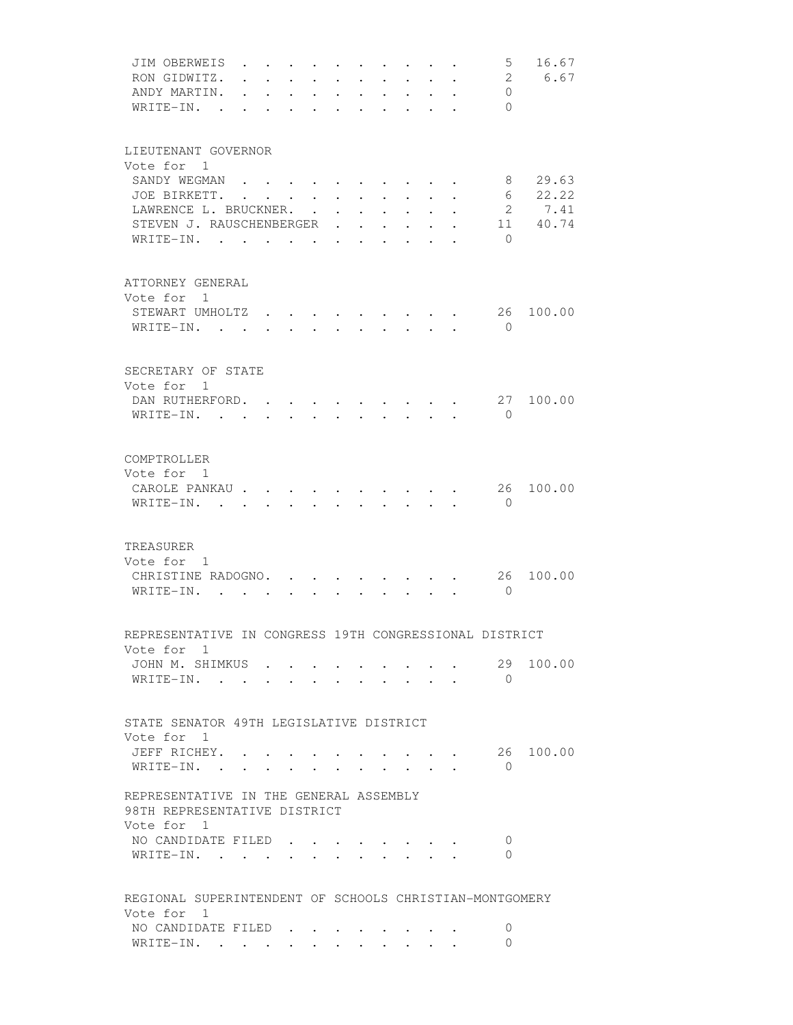| JIM OBERWEIS                                                         |                      |                  |                         |                                              |                                       |                      |                                                                                                                                      |                                  |                                      |                      | $5^{\circ}$                | 16.67<br>6.67    |
|----------------------------------------------------------------------|----------------------|------------------|-------------------------|----------------------------------------------|---------------------------------------|----------------------|--------------------------------------------------------------------------------------------------------------------------------------|----------------------------------|--------------------------------------|----------------------|----------------------------|------------------|
| RON GIDWITZ.<br>ANDY MARTIN.                                         |                      |                  | $\ddot{\phantom{0}}$    |                                              | $\ddot{\phantom{0}}$                  |                      | $\ddot{\phantom{0}}$                                                                                                                 |                                  | $\ddot{\phantom{0}}$                 |                      | $\overline{2}$<br>$\Omega$ |                  |
| WRITE-IN.<br>$\sim$ $\sim$ $\sim$                                    | $\ddot{\phantom{a}}$ | $\sim$<br>$\sim$ | $\sim$<br>$\sim$ $\sim$ | $\ddot{\phantom{0}}$<br>$\ddot{\phantom{a}}$ | $\ddot{\phantom{0}}$<br>$\sim$ $\sim$ | $\ddot{\phantom{0}}$ | $\ddot{\phantom{0}}$<br>$\cdot$ $\cdot$ $\cdot$ $\cdot$ $\cdot$ $\cdot$                                                              |                                  | $\mathbf{r}$ and $\mathbf{r}$        | $\cdot$              | $\Omega$                   |                  |
|                                                                      |                      |                  |                         |                                              |                                       |                      |                                                                                                                                      |                                  |                                      |                      |                            |                  |
| LIEUTENANT GOVERNOR                                                  |                      |                  |                         |                                              |                                       |                      |                                                                                                                                      |                                  |                                      |                      |                            |                  |
| Vote for 1                                                           |                      |                  |                         |                                              |                                       |                      |                                                                                                                                      |                                  |                                      |                      |                            |                  |
| SANDY WEGMAN                                                         |                      |                  |                         |                                              |                                       |                      |                                                                                                                                      |                                  |                                      |                      | 8                          | 29.63            |
| JOE BIRKETT.                                                         |                      |                  |                         | $\sim$                                       | $\sim$                                | $\ddot{\phantom{0}}$ | $\sim$                                                                                                                               |                                  |                                      |                      | 6                          | 22.22            |
| LAWRENCE L. BRUCKNER.<br>STEVEN J. RAUSCHENBERGER                    |                      |                  |                         | $\sim$                                       | $\ddot{\phantom{0}}$                  | $\mathbf{L}$         | $\ddot{\phantom{0}}$                                                                                                                 |                                  |                                      |                      | $\overline{2}$             | 7.41<br>11 40.74 |
| $\texttt{WRITE-IN.}$                                                 |                      |                  |                         |                                              |                                       |                      | $\sim$                                                                                                                               | $\sim 10^{-10}$<br>$\sim$ $\sim$ | $\mathbf{L}$<br>$\ddot{\phantom{a}}$ | $\ddot{\phantom{a}}$ | $\bigcirc$                 |                  |
|                                                                      |                      |                  |                         |                                              |                                       |                      |                                                                                                                                      |                                  |                                      |                      |                            |                  |
| ATTORNEY GENERAL                                                     |                      |                  |                         |                                              |                                       |                      |                                                                                                                                      |                                  |                                      |                      |                            |                  |
| Vote for 1                                                           |                      |                  |                         |                                              |                                       |                      |                                                                                                                                      |                                  |                                      |                      |                            |                  |
| STEWART UMHOLTZ.                                                     |                      |                  |                         |                                              |                                       |                      |                                                                                                                                      |                                  |                                      |                      | 26                         | 100.00           |
| WRITE-IN. .                                                          |                      |                  |                         |                                              |                                       |                      |                                                                                                                                      |                                  |                                      |                      | $\bigcirc$                 |                  |
|                                                                      |                      |                  |                         |                                              |                                       |                      |                                                                                                                                      |                                  |                                      |                      |                            |                  |
| SECRETARY OF STATE                                                   |                      |                  |                         |                                              |                                       |                      |                                                                                                                                      |                                  |                                      |                      |                            |                  |
| Vote for 1                                                           |                      |                  |                         |                                              |                                       |                      |                                                                                                                                      |                                  |                                      |                      |                            |                  |
| DAN RUTHERFORD.                                                      |                      |                  |                         |                                              |                                       |                      |                                                                                                                                      |                                  |                                      |                      | 27                         | 100.00           |
| WRITE-IN.                                                            |                      |                  |                         |                                              | $\mathbf{r}$ , and $\mathbf{r}$       |                      | $\cdot$ $\cdot$ $\cdot$ $\cdot$ $\cdot$ $\cdot$                                                                                      |                                  |                                      |                      | $\bigcirc$                 |                  |
|                                                                      |                      |                  |                         |                                              |                                       |                      |                                                                                                                                      |                                  |                                      |                      |                            |                  |
| COMPTROLLER                                                          |                      |                  |                         |                                              |                                       |                      |                                                                                                                                      |                                  |                                      |                      |                            |                  |
| Vote for 1<br>CAROLE PANKAU                                          |                      |                  |                         |                                              |                                       |                      |                                                                                                                                      |                                  |                                      |                      | 26                         | 100.00           |
| WRITE-IN.                                                            |                      | $\sim$           |                         | $\sim$                                       | $\sim$ $\sim$                         |                      | $\cdot$ $\cdot$ $\cdot$ $\cdot$ $\cdot$ $\cdot$<br>$\mathbf{r} = \mathbf{r}$ , $\mathbf{r} = \mathbf{r}$ , $\mathbf{r} = \mathbf{r}$ |                                  |                                      |                      | $\Omega$                   |                  |
|                                                                      |                      |                  |                         |                                              |                                       |                      |                                                                                                                                      |                                  |                                      |                      |                            |                  |
| TREASURER                                                            |                      |                  |                         |                                              |                                       |                      |                                                                                                                                      |                                  |                                      |                      |                            |                  |
| Vote for 1                                                           |                      |                  |                         |                                              |                                       |                      |                                                                                                                                      |                                  |                                      |                      |                            |                  |
| CHRISTINE RADOGNO. .                                                 |                      |                  |                         |                                              |                                       |                      |                                                                                                                                      |                                  |                                      |                      | 26                         | 100.00           |
| WRITE-IN.                                                            |                      |                  |                         |                                              |                                       |                      |                                                                                                                                      |                                  |                                      |                      | $\Omega$                   |                  |
|                                                                      |                      |                  |                         |                                              |                                       |                      |                                                                                                                                      |                                  |                                      |                      |                            |                  |
| REPRESENTATIVE IN CONGRESS 19TH CONGRESSIONAL DISTRICT<br>Vote for 1 |                      |                  |                         |                                              |                                       |                      |                                                                                                                                      |                                  |                                      |                      |                            |                  |
| JOHN M. SHIMKUS                                                      |                      |                  |                         |                                              |                                       |                      |                                                                                                                                      |                                  |                                      |                      | 29                         | 100.00           |
| WRITE-IN.                                                            |                      |                  |                         |                                              |                                       |                      |                                                                                                                                      |                                  |                                      |                      | $\overline{0}$             |                  |
|                                                                      |                      |                  |                         |                                              |                                       |                      |                                                                                                                                      |                                  |                                      |                      |                            |                  |
| STATE SENATOR 49TH LEGISLATIVE DISTRICT                              |                      |                  |                         |                                              |                                       |                      |                                                                                                                                      |                                  |                                      |                      |                            |                  |
| Vote for 1                                                           |                      |                  |                         |                                              |                                       |                      |                                                                                                                                      |                                  |                                      |                      |                            |                  |
| JEFF RICHEY.                                                         |                      |                  |                         |                                              |                                       |                      |                                                                                                                                      |                                  |                                      |                      |                            | 26 100.00        |
| WRITE-IN.                                                            |                      |                  |                         |                                              |                                       |                      |                                                                                                                                      |                                  | and the state of the state of        |                      | $\Omega$                   |                  |
| REPRESENTATIVE IN THE GENERAL ASSEMBLY                               |                      |                  |                         |                                              |                                       |                      |                                                                                                                                      |                                  |                                      |                      |                            |                  |
| 98TH REPRESENTATIVE DISTRICT                                         |                      |                  |                         |                                              |                                       |                      |                                                                                                                                      |                                  |                                      |                      |                            |                  |
| Vote for 1<br>NO CANDIDATE FILED                                     |                      |                  |                         |                                              |                                       |                      |                                                                                                                                      |                                  |                                      |                      | 0                          |                  |
| WRITE-IN.                                                            |                      | $\sim$           |                         |                                              |                                       |                      |                                                                                                                                      |                                  |                                      |                      | 0                          |                  |
|                                                                      |                      |                  |                         |                                              |                                       |                      |                                                                                                                                      |                                  |                                      |                      |                            |                  |
| REGIONAL SUPERINTENDENT OF SCHOOLS CHRISTIAN-MONTGOMERY              |                      |                  |                         |                                              |                                       |                      |                                                                                                                                      |                                  |                                      |                      |                            |                  |
| Vote for 1                                                           |                      |                  |                         |                                              |                                       |                      |                                                                                                                                      |                                  |                                      |                      |                            |                  |
| NO CANDIDATE FILED                                                   |                      |                  |                         |                                              |                                       |                      |                                                                                                                                      |                                  |                                      |                      | 0                          |                  |
| WRITE-IN.                                                            |                      |                  |                         |                                              |                                       |                      |                                                                                                                                      |                                  |                                      |                      | 0                          |                  |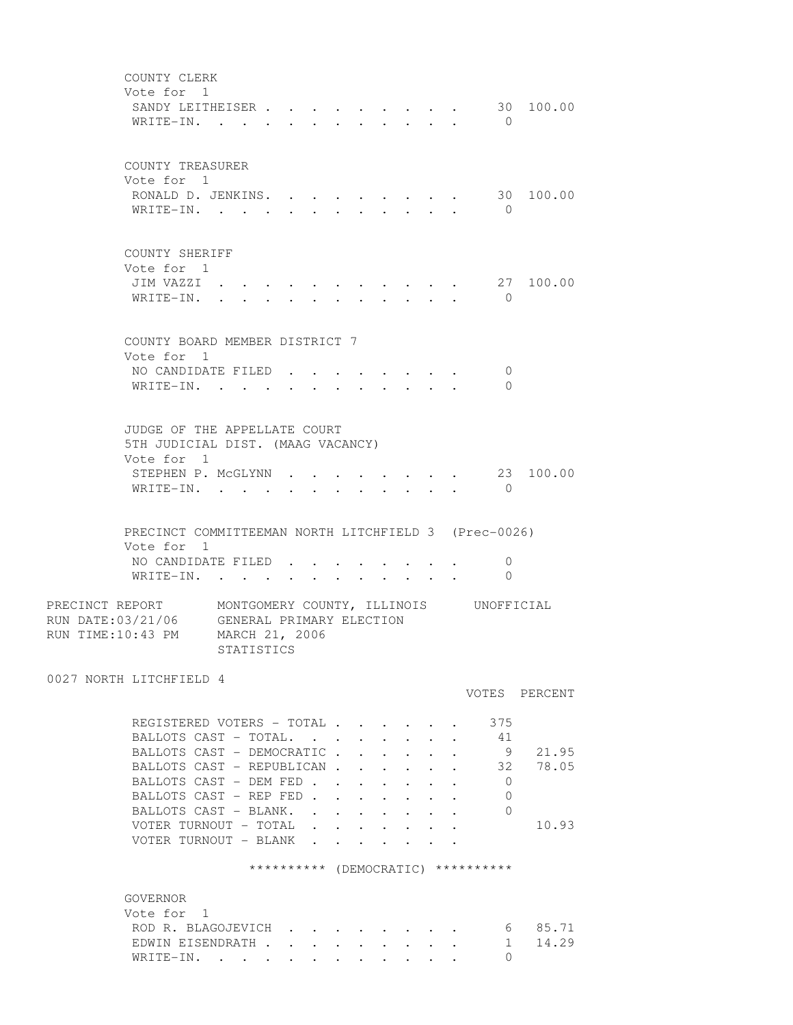COUNTY CLERK Vote for 1 SANDY LEITHEISER . . . . . . . . . 30 100.00 WRITE-IN. . . . . . . . . . . 0 COUNTY TREASURER Vote for 1 RONALD D. JENKINS. . . . . . . . . 30 100.00 WRITE-IN. . . . . . . . . . . . 0 COUNTY SHERIFF Vote for 1 JIM VAZZI . . . . . . . . . . . 27 100.00 WRITE-IN. . . . . . . . . . . . 0 COUNTY BOARD MEMBER DISTRICT 7 Vote for 1 NO CANDIDATE FILED . . . . . . . . 0 WRITE-IN. . . . . . . . . . . . 0 JUDGE OF THE APPELLATE COURT 5TH JUDICIAL DIST. (MAAG VACANCY) Vote for 1 STEPHEN P. MCGLYNN . . . . . . . . 23 100.00 WRITE-IN. . . . . . . . . . . . 0 PRECINCT COMMITTEEMAN NORTH LITCHFIELD 3 (Prec-0026) Vote for 1 NO CANDIDATE FILED . . . . . . . . 0 WRITE-IN. . . . . . . . . . . 0 PRECINCT REPORT MONTGOMERY COUNTY, ILLINOIS UNOFFICIAL RUN DATE:03/21/06 GENERAL PRIMARY ELECTION RUN TIME:10:43 PM MARCH 21, 2006 STATISTICS 0027 NORTH LITCHFIELD 4 VOTES PERCENT REGISTERED VOTERS - TOTAL . . . . . . 375 BALLOTS CAST - TOTAL. . . . . . . . 41 BALLOTS CAST - DEMOCRATIC . . . . . . 9 21.95 BALLOTS CAST - REPUBLICAN . . . . . . 32 78.05 BALLOTS CAST - DEM FED . . . . . . . 0 BALLOTS CAST - REP FED . . . . . . . 0 BALLOTS CAST - BLANK. . . . . . . . 0 VOTER TURNOUT - TOTAL . . . . . . . 10.93 VOTER TURNOUT - BLANK . . . . \*\*\*\*\*\*\*\*\*\* (DEMOCRATIC) \*\*\*\*\*\*\*\*\*\* GOVERNOR Vote for 1 ROD R. BLAGOJEVICH . . . . . . . . 6 85.71<br>EDWIN EISENDRATH . . . . . . . . . 1 14.29 EDWIN EISENDRATH . . . . . . . . . 1 14.29 WRITE-IN. . . . . . . . . . . . 0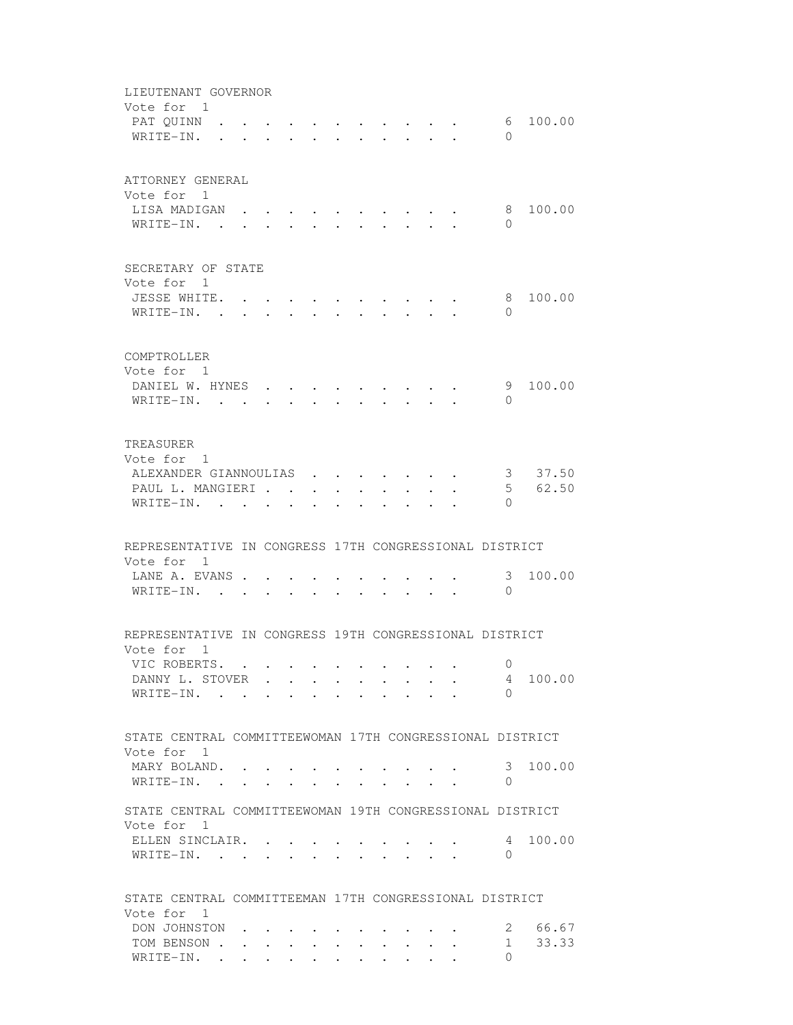| LIEUTENANT GOVERNOR<br>Vote for 1<br>PAT QUINN<br>WRITE-IN.                                                          |              |                           |           |              |                                                                          |  | $\mathbf{r}$ , and $\mathbf{r}$ , and $\mathbf{r}$ , and $\mathbf{r}$ | $\Omega$                              | 6, 100, 00       |
|----------------------------------------------------------------------------------------------------------------------|--------------|---------------------------|-----------|--------------|--------------------------------------------------------------------------|--|-----------------------------------------------------------------------|---------------------------------------|------------------|
| ATTORNEY GENERAL<br>Vote for 1<br>LISA MADIGAN<br>WRITE-IN. .                                                        |              |                           |           |              |                                                                          |  |                                                                       | 8<br>$\Omega$                         | 100.00           |
| SECRETARY OF STATE<br>Vote for 1<br>JESSE WHITE. .<br>WRITE-IN. .                                                    |              |                           |           |              |                                                                          |  |                                                                       | 8<br>$\Omega$                         | 100.00           |
| COMPTROLLER<br>Vote for 1<br>DANIEL W. HYNES<br>WRITE-IN.                                                            |              |                           |           |              | $\mathbf{r}$ , $\mathbf{r}$ , $\mathbf{r}$ , $\mathbf{r}$ , $\mathbf{r}$ |  |                                                                       | 9<br>$\Omega$                         | 100.00           |
| TREASURER<br>Vote for 1<br>ALEXANDER GIANNOULIAS<br>PAUL L. MANGIERI<br>WRITE-IN.                                    |              |                           | $\bullet$ | $\mathbf{r}$ | <b>Service</b> State                                                     |  |                                                                       | 5 <sub>5</sub><br>$\Omega$            | 3 37.50<br>62.50 |
| REPRESENTATIVE IN CONGRESS 17TH CONGRESSIONAL DISTRICT<br>Vote for 1<br>LANE A. EVANS<br>WRITE-IN. .                 |              |                           |           |              |                                                                          |  |                                                                       | 3<br>$\Omega$                         | 100.00           |
| REPRESENTATIVE IN CONGRESS 19TH CONGRESSIONAL DISTRICT<br>Vote for 1<br>VIC ROBERTS.<br>DANNY L. STOVER<br>WRITE-IN. |              |                           |           |              |                                                                          |  |                                                                       | 0<br>4<br>$\Omega$                    | 100.00           |
| STATE CENTRAL COMMITTEEWOMAN 17TH CONGRESSIONAL DISTRICT<br>Vote for 1<br>MARY BOLAND.<br>WRITE-IN. .                | $\mathbf{L}$ | $\mathbf{r}$ $\mathbf{r}$ |           |              |                                                                          |  | $\cdot$ $\cdot$ $\cdot$ $\cdot$                                       | 3<br>$\circ$                          | 100.00           |
| STATE CENTRAL COMMITTEEWOMAN 19TH CONGRESSIONAL DISTRICT<br>Vote for<br>-1<br>ELLEN SINCLAIR. .<br>WRITE-IN.         |              |                           |           |              |                                                                          |  |                                                                       | 4<br>$\mathbf{0}$                     | 100.00           |
| STATE CENTRAL COMMITTEEMAN 17TH CONGRESSIONAL DISTRICT<br>Vote for 1<br>DON JOHNSTON<br>TOM BENSON<br>WRITE-IN.      |              |                           |           |              |                                                                          |  |                                                                       | $\mathbf{2}$<br>$1 \quad$<br>$\Omega$ | 66.67<br>33.33   |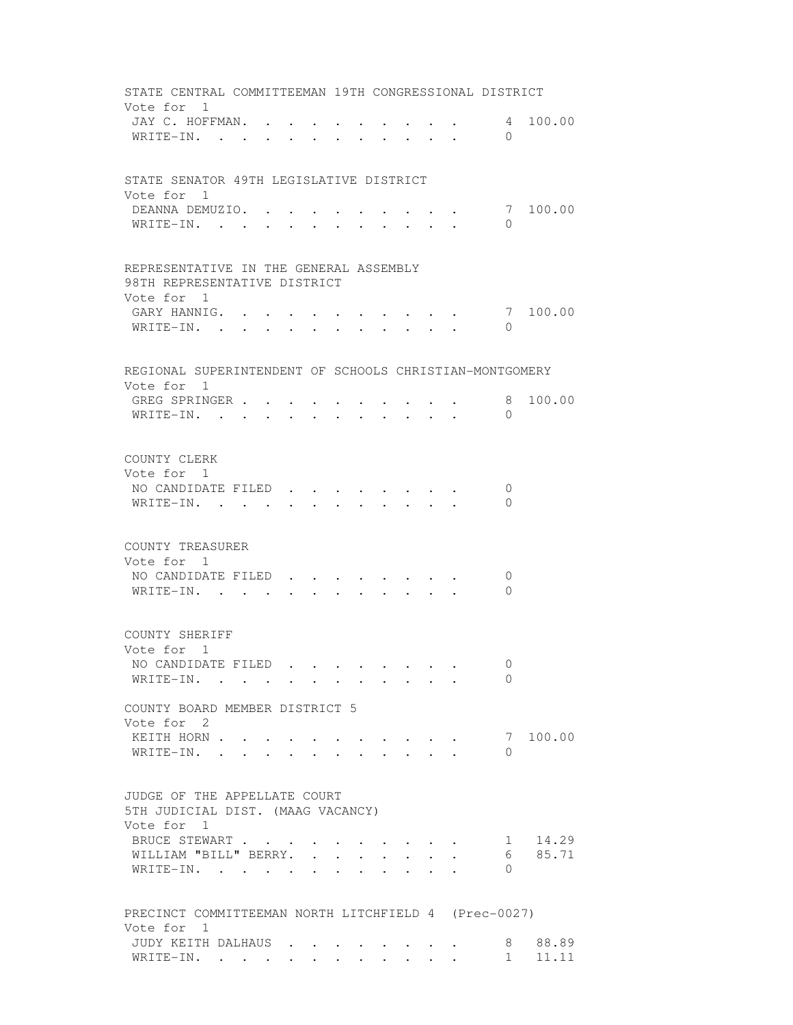|            | STATE CENTRAL COMMITTEEMAN 19TH CONGRESSIONAL DISTRICT<br>Vote for 1                 |                               |  |                                  |  |                                                                               |                                                                          |               |                 |
|------------|--------------------------------------------------------------------------------------|-------------------------------|--|----------------------------------|--|-------------------------------------------------------------------------------|--------------------------------------------------------------------------|---------------|-----------------|
|            | JAY C. HOFFMAN.<br>WRITE-IN.                                                         | $\mathbf{L}$ and $\mathbf{L}$ |  |                                  |  | $\mathbf{1}$ $\mathbf{1}$ $\mathbf{1}$ $\mathbf{1}$ $\mathbf{1}$ $\mathbf{1}$ |                                                                          | $\Omega$      | 4 100.00        |
|            |                                                                                      |                               |  |                                  |  |                                                                               |                                                                          |               |                 |
| Vote for 1 | STATE SENATOR 49TH LEGISLATIVE DISTRICT                                              |                               |  |                                  |  |                                                                               |                                                                          |               |                 |
|            | DEANNA DEMUZIO.                                                                      |                               |  |                                  |  |                                                                               |                                                                          |               | 7 100.00        |
|            | WRITE-IN.                                                                            |                               |  |                                  |  |                                                                               |                                                                          | $\Omega$      |                 |
|            | REPRESENTATIVE IN THE GENERAL ASSEMBLY<br>98TH REPRESENTATIVE DISTRICT<br>Vote for 1 |                               |  |                                  |  |                                                                               |                                                                          |               |                 |
|            | GARY HANNIG. 7                                                                       |                               |  |                                  |  |                                                                               |                                                                          |               | 100.00          |
|            | WRITE-IN.                                                                            |                               |  |                                  |  |                                                                               |                                                                          | $\Omega$      |                 |
|            | REGIONAL SUPERINTENDENT OF SCHOOLS CHRISTIAN-MONTGOMERY<br>Vote for 1                |                               |  |                                  |  |                                                                               |                                                                          |               |                 |
|            | GREG SPRINGER                                                                        |                               |  |                                  |  |                                                                               |                                                                          | 8             | 100.00          |
|            | WRITE-IN.                                                                            |                               |  |                                  |  |                                                                               |                                                                          | $\Omega$      |                 |
|            | COUNTY CLERK                                                                         |                               |  |                                  |  |                                                                               |                                                                          |               |                 |
| Vote for 1 |                                                                                      |                               |  |                                  |  |                                                                               |                                                                          |               |                 |
|            | NO CANDIDATE FILED.<br>WRITE-IN.                                                     |                               |  |                                  |  |                                                                               |                                                                          | 0<br>$\Omega$ |                 |
|            |                                                                                      |                               |  |                                  |  |                                                                               |                                                                          |               |                 |
|            | COUNTY TREASURER<br>Vote for 1                                                       |                               |  |                                  |  |                                                                               |                                                                          |               |                 |
|            | NO CANDIDATE FILED                                                                   |                               |  |                                  |  |                                                                               |                                                                          | 0             |                 |
|            | WRITE-IN.                                                                            |                               |  | $\bullet$ . The set of $\bullet$ |  |                                                                               |                                                                          | $\Omega$      |                 |
|            | COUNTY SHERIFF<br>Vote for 1                                                         |                               |  |                                  |  |                                                                               |                                                                          |               |                 |
|            | NO CANDIDATE FILED                                                                   |                               |  |                                  |  |                                                                               |                                                                          | $\Omega$      |                 |
|            | WRITE-IN.                                                                            |                               |  |                                  |  |                                                                               |                                                                          | $\Omega$      |                 |
|            | COUNTY BOARD MEMBER DISTRICT 5                                                       |                               |  |                                  |  |                                                                               |                                                                          |               |                 |
|            | Vote for 2<br>KEITH HORN                                                             |                               |  |                                  |  |                                                                               |                                                                          |               | 7 100.00        |
|            | WRITE-IN.                                                                            |                               |  |                                  |  |                                                                               |                                                                          | 0             |                 |
|            | JUDGE OF THE APPELLATE COURT                                                         |                               |  |                                  |  |                                                                               |                                                                          |               |                 |
|            | 5TH JUDICIAL DIST. (MAAG VACANCY)<br>Vote for 1                                      |                               |  |                                  |  |                                                                               |                                                                          |               |                 |
|            | BRUCE STEWART                                                                        |                               |  |                                  |  |                                                                               | $\mathbf{r}$ , $\mathbf{r}$ , $\mathbf{r}$ , $\mathbf{r}$ , $\mathbf{r}$ |               | 1 14.29         |
|            | WILLIAM "BILL" BERRY.                                                                |                               |  |                                  |  | <b>All Contracts</b>                                                          |                                                                          |               | 6 85.71         |
|            | WRITE-IN.                                                                            |                               |  |                                  |  |                                                                               |                                                                          | 0             |                 |
|            | PRECINCT COMMITTEEMAN NORTH LITCHFIELD 4 (Prec-0027)                                 |                               |  |                                  |  |                                                                               |                                                                          |               |                 |
|            | Vote for 1<br>JUDY KEITH DALHAUS                                                     |                               |  |                                  |  |                                                                               |                                                                          |               | 8 88.89         |
|            | WRITE-IN.                                                                            |                               |  |                                  |  |                                                                               |                                                                          |               | $1 \quad 11.11$ |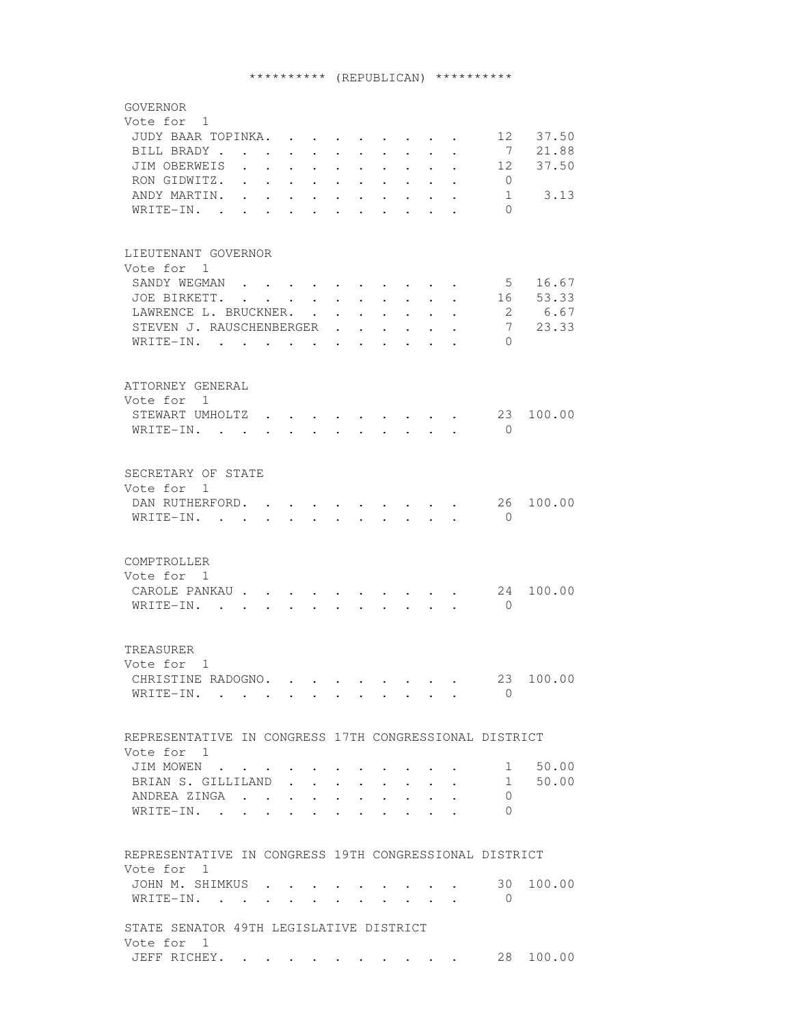## \*\*\*\*\*\*\*\*\*\* (REPUBLICAN) \*\*\*\*\*\*\*\*\*\*

| GOVERNOR                                                                                                                                |                                                                                                   |
|-----------------------------------------------------------------------------------------------------------------------------------------|---------------------------------------------------------------------------------------------------|
| Vote for 1                                                                                                                              |                                                                                                   |
| JUDY BAAR TOPINKA.                                                                                                                      | 12<br>37.50                                                                                       |
| BILL BRADY                                                                                                                              | $\overline{7}$<br>21.88                                                                           |
| JIM OBERWEIS                                                                                                                            | 37.50<br>12                                                                                       |
| RON GIDWITZ. .                                                                                                                          | $\overline{0}$                                                                                    |
| the contract of the contract of                                                                                                         |                                                                                                   |
| ANDY MARTIN. .<br>$\mathbf{L}$<br>$\bullet$ .<br>$\cdot$ $\cdot$ $\cdot$<br>$\bullet$ .<br><br><br><br><br><br><br><br><br><br><br><br> | 3.13<br>$\mathbf{1}$<br>$\sim 100$<br>$\bullet$ .<br><br><br><br><br><br><br><br><br><br><br><br> |
| WRITE-IN.<br>$\bullet$ .<br><br><br><br><br><br><br><br><br><br><br><br><br>$\bullet$                                                   | $\Omega$<br>$\bullet$ .<br><br><br><br><br><br><br><br><br><br><br><br><br>$\sim$ 100 $\mu$       |
|                                                                                                                                         |                                                                                                   |
|                                                                                                                                         |                                                                                                   |
| LIEUTENANT GOVERNOR                                                                                                                     |                                                                                                   |
| Vote for 1                                                                                                                              |                                                                                                   |
| SANDY WEGMAN                                                                                                                            | $5 - 5$<br>16.67                                                                                  |
| JOE BIRKETT.                                                                                                                            | 53.33<br>16                                                                                       |
| LAWRENCE L. BRUCKNER.                                                                                                                   | $\overline{2}$<br>6.67                                                                            |
| STEVEN J. RAUSCHENBERGER .                                                                                                              | 7<br>23.33<br>$\cdot$ $\cdot$ $\cdot$ $\cdot$ $\cdot$ $\cdot$                                     |
| WRITE-IN.                                                                                                                               | $\Omega$                                                                                          |
|                                                                                                                                         |                                                                                                   |
|                                                                                                                                         |                                                                                                   |
| ATTORNEY GENERAL                                                                                                                        |                                                                                                   |
| Vote for 1                                                                                                                              |                                                                                                   |
| STEWART UMHOLTZ                                                                                                                         | 23<br>100.00                                                                                      |
| WRITE-IN.                                                                                                                               | $\bigcirc$                                                                                        |
|                                                                                                                                         | $\mathbf{r}$ , $\mathbf{r}$ , $\mathbf{r}$ , $\mathbf{r}$ , $\mathbf{r}$                          |
|                                                                                                                                         |                                                                                                   |
|                                                                                                                                         |                                                                                                   |
| SECRETARY OF STATE                                                                                                                      |                                                                                                   |
| Vote for 1                                                                                                                              |                                                                                                   |
| DAN RUTHERFORD.<br>$\bullet$<br>$\bullet$ .<br><br><br><br><br><br><br><br><br><br><br><br>                                             | 26<br>100.00<br>$\mathbf{r}$ , and $\mathbf{r}$ , and $\mathbf{r}$                                |
| WRITE-IN.<br>$\sim$<br>$\mathbf{L}$ . The set of $\mathbf{L}$<br>$\mathbf{L}$<br>$\sim$<br>$\sim$ $\sim$                                | $\Omega$<br>$\mathbf{r}$ , $\mathbf{r}$ , $\mathbf{r}$ , $\mathbf{r}$                             |
|                                                                                                                                         |                                                                                                   |
|                                                                                                                                         |                                                                                                   |
| COMPTROLLER                                                                                                                             |                                                                                                   |
| Vote for 1                                                                                                                              |                                                                                                   |
| CAROLE PANKAU                                                                                                                           | 24<br>100.00                                                                                      |
| WRITE-IN.                                                                                                                               | $\Omega$                                                                                          |
|                                                                                                                                         |                                                                                                   |
|                                                                                                                                         |                                                                                                   |
| TREASURER                                                                                                                               |                                                                                                   |
| Vote for 1                                                                                                                              |                                                                                                   |
| CHRISTINE RADOGNO.                                                                                                                      | 23 100.00                                                                                         |
|                                                                                                                                         | 0                                                                                                 |
| WRITE-IN.                                                                                                                               |                                                                                                   |
|                                                                                                                                         |                                                                                                   |
|                                                                                                                                         |                                                                                                   |
| REPRESENTATIVE IN CONGRESS 17TH CONGRESSIONAL DISTRICT                                                                                  |                                                                                                   |
| Vote for 1                                                                                                                              |                                                                                                   |
| JIM MOWEN                                                                                                                               | 50.00<br>1                                                                                        |
| BRIAN S. GILLILAND<br>$\mathbf{L}$<br>$\mathbf{L} = \mathbf{L}$<br>$\ddot{\phantom{0}}$                                                 | 50.00<br>1<br>$\mathbf{L} = \mathbf{L} \mathbf{L}$<br>$\mathbf{r}$<br>$\mathbf{L}$                |
| ANDREA ZINGA<br>$\sim$                                                                                                                  | 0<br>$\mathbf{r}$ , $\mathbf{r}$ , $\mathbf{r}$ , $\mathbf{r}$ , $\mathbf{r}$                     |
| WRITE-IN.<br>$\cdots$                                                                                                                   | $\Omega$<br>$\mathbf{a}$ , and $\mathbf{a}$ , and $\mathbf{a}$ , and $\mathbf{a}$                 |
|                                                                                                                                         |                                                                                                   |
|                                                                                                                                         |                                                                                                   |
| REPRESENTATIVE IN CONGRESS 19TH CONGRESSIONAL DISTRICT                                                                                  |                                                                                                   |
| Vote for 1                                                                                                                              |                                                                                                   |
| JOHN M. SHIMKUS.                                                                                                                        | 30<br>100.00                                                                                      |
| WRITE-IN.                                                                                                                               | $\overline{0}$                                                                                    |
|                                                                                                                                         |                                                                                                   |
| STATE SENATOR 49TH LEGISLATIVE DISTRICT                                                                                                 |                                                                                                   |
| Vote for 1                                                                                                                              |                                                                                                   |
| JEFF RICHEY.                                                                                                                            | 28<br>100.00                                                                                      |
|                                                                                                                                         |                                                                                                   |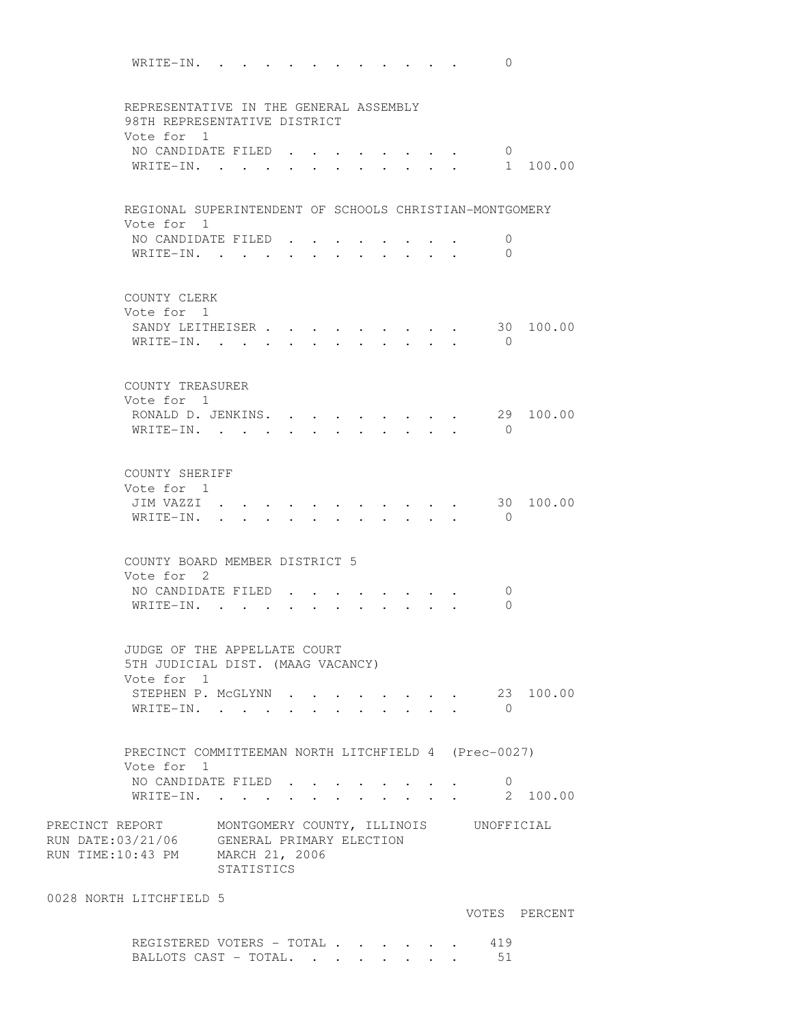WRITE-IN. . . . . . . . . . . . 0 REPRESENTATIVE IN THE GENERAL ASSEMBLY 98TH REPRESENTATIVE DISTRICT Vote for 1 NO CANDIDATE FILED  $\cdots$   $\cdots$   $\cdots$   $\cdots$   $\cdots$  0 WRITE-IN. . . . . . . . . . . . 1 100.00 REGIONAL SUPERINTENDENT OF SCHOOLS CHRISTIAN-MONTGOMERY Vote for 1 NO CANDIDATE FILED . . . . . . . . 0 WRITE-IN. . . . . . . . . . . . 0 COUNTY CLERK Vote for 1 SANDY LEITHEISER . . . . . . . . . 30 100.00 WRITE-IN. . . . . . . . . . . . 0 COUNTY TREASURER Vote for 1 RONALD D. JENKINS. . . . . . . . . 29 100.00 WRITE-IN. . . . . . . . . . . 0 COUNTY SHERIFF Vote for 1 JIM VAZZI . . . . . . . . . . . 30 100.00 WRITE-IN. . . . . . . . . . . 0 COUNTY BOARD MEMBER DISTRICT 5 Vote for 2 NO CANDIDATE FILED . . . . . . . . 0 WRITE-IN. . . . . . . . . . . 0 JUDGE OF THE APPELLATE COURT 5TH JUDICIAL DIST. (MAAG VACANCY) Vote for 1 STEPHEN P. MCGLYNN . . . . . . . . 23 100.00 WRITE-IN. . . . . . . . . . . . 0 PRECINCT COMMITTEEMAN NORTH LITCHFIELD 4 (Prec-0027) Vote for 1 NO CANDIDATE FILED . . . . . . . . 0 WRITE-IN. . . . . . . . . . . . 2 100.00 PRECINCT REPORT MONTGOMERY COUNTY, ILLINOIS UNOFFICIAL RUN DATE:03/21/06 GENERAL PRIMARY ELECTION GENERAL PRIMARY ELECTION RUN TIME:10:43 PM MARCH 21, 2006 STATISTICS 0028 NORTH LITCHFIELD 5 VOTES PERCENT REGISTERED VOTERS - TOTAL . . . . . . 419 BALLOTS CAST - TOTAL. . . . . . . . 51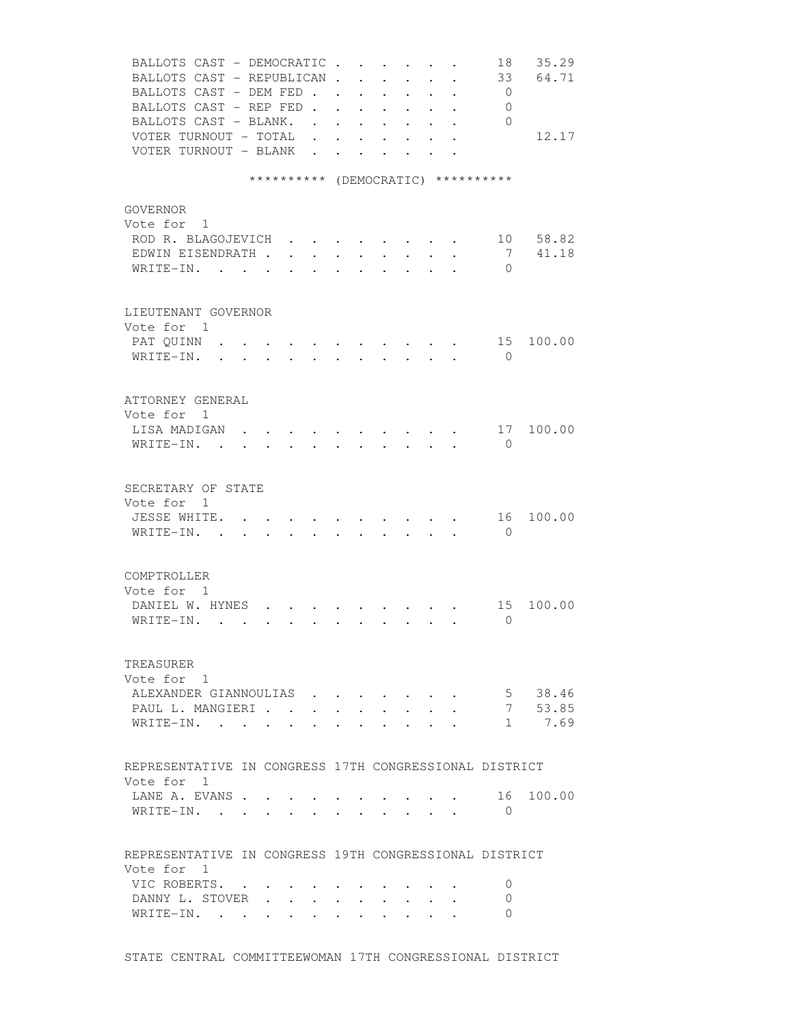| BALLOTS CAST - DEMOCRATIC<br>BALLOTS CAST - REPUBLICAN.<br>BALLOTS CAST - DEM FED<br>BALLOTS CAST - REP FED.<br>BALLOTS CAST - BLANK. .<br>VOTER TURNOUT - TOTAL .<br>VOTER TURNOUT - BLANK |                                                                                          |                                 | $\mathbf{L}$                               | $\mathbf{A}$ | $\ddot{\phantom{0}}$<br>$\ddot{\phantom{0}}$<br>$\mathbf{r}$ , and $\mathbf{r}$<br>$\cdot$ $\cdot$<br>$\sim$ $\sim$ $\sim$ $\sim$ $\sim$<br>$\cdot$ $\cdot$ $\cdot$ $\cdot$ $\cdot$ $\cdot$ $\cdot$<br>$\mathbf{r} = \mathbf{r} + \mathbf{r}$ | $\ddot{\phantom{0}}$<br>$\mathbf{r}$<br>$\ddot{\phantom{0}}$<br>$\ddot{\phantom{0}}$ | $\sim$<br>$\bullet$ | $\ddot{\phantom{a}}$<br>$\mathbf{L} = \mathbf{L} \mathbf{L}$<br>$\cdot$ $\cdot$ | 18<br>33<br>$\overline{0}$<br>0<br>$\bigcirc$ | 35.29<br>64.71<br>12.17  |
|---------------------------------------------------------------------------------------------------------------------------------------------------------------------------------------------|------------------------------------------------------------------------------------------|---------------------------------|--------------------------------------------|--------------|-----------------------------------------------------------------------------------------------------------------------------------------------------------------------------------------------------------------------------------------------|--------------------------------------------------------------------------------------|---------------------|---------------------------------------------------------------------------------|-----------------------------------------------|--------------------------|
|                                                                                                                                                                                             | ********** (DEMOCRATIC) **********                                                       |                                 |                                            |              |                                                                                                                                                                                                                                               |                                                                                      |                     |                                                                                 |                                               |                          |
|                                                                                                                                                                                             |                                                                                          |                                 |                                            |              |                                                                                                                                                                                                                                               |                                                                                      |                     |                                                                                 |                                               |                          |
| GOVERNOR<br>Vote for 1<br>ROD R. BLAGOJEVICH<br>EDWIN EISENDRATH<br>WRITE-IN.                                                                                                               |                                                                                          | $\cdot$ $\cdot$ $\cdot$ $\cdot$ |                                            |              | $\cdot$ $\cdot$ $\cdot$ $\cdot$ $\cdot$ $\cdot$ $\cdot$ $\cdot$                                                                                                                                                                               |                                                                                      | $\sim$              |                                                                                 | 7<br>$\Omega$                                 | 10 58.82<br>41.18        |
| LIEUTENANT GOVERNOR                                                                                                                                                                         |                                                                                          |                                 |                                            |              |                                                                                                                                                                                                                                               |                                                                                      |                     |                                                                                 |                                               |                          |
| Vote for 1<br>PAT OUINN<br>WRITE-IN.<br>$\mathbf{r}$ $\mathbf{r}$                                                                                                                           | $\ddot{\phantom{a}}$                                                                     | $\sim$                          | <b>Contract Contract Contract Contract</b> | $\sim$       |                                                                                                                                                                                                                                               | $\mathbf{r}$                                                                         |                     |                                                                                 | 15<br>$\bigcirc$                              | 100.00                   |
| ATTORNEY GENERAL                                                                                                                                                                            |                                                                                          |                                 |                                            |              |                                                                                                                                                                                                                                               |                                                                                      |                     |                                                                                 |                                               |                          |
| Vote for 1<br>LISA MADIGAN<br>$W$ RITE-IN                                                                                                                                                   |                                                                                          |                                 |                                            |              |                                                                                                                                                                                                                                               |                                                                                      |                     |                                                                                 | $\mathbf{0}$                                  | 17 100.00                |
| SECRETARY OF STATE                                                                                                                                                                          |                                                                                          |                                 |                                            |              |                                                                                                                                                                                                                                               |                                                                                      |                     |                                                                                 |                                               |                          |
| Vote for 1<br>JESSE WHITE.<br>WRITE-IN. .                                                                                                                                                   | $\mathbf{r}$ , and $\mathbf{r}$ , and $\mathbf{r}$ , and $\mathbf{r}$ , and $\mathbf{r}$ |                                 |                                            |              |                                                                                                                                                                                                                                               |                                                                                      |                     |                                                                                 | 16<br>$\bigcirc$                              | 100.00                   |
| COMPTROLLER                                                                                                                                                                                 |                                                                                          |                                 |                                            |              |                                                                                                                                                                                                                                               |                                                                                      |                     |                                                                                 |                                               |                          |
| Vote for 1<br>DANIEL W. HYNES<br>WRITE-IN.                                                                                                                                                  |                                                                                          |                                 | $\mathbf{L}$ and $\mathbf{L}$              |              | $\cdot$ $\cdot$ $\cdot$ $\cdot$ $\cdot$ $\cdot$                                                                                                                                                                                               |                                                                                      |                     |                                                                                 | 15<br>$\mathbf{0}$                            | 100.00                   |
| TREASURER                                                                                                                                                                                   |                                                                                          |                                 |                                            |              |                                                                                                                                                                                                                                               |                                                                                      |                     |                                                                                 |                                               |                          |
| Vote for 1<br>ALEXANDER GIANNOULIAS<br>PAUL L. MANGIERI<br>WRITE-IN.                                                                                                                        | $\ddot{\phantom{a}}$                                                                     |                                 | $\bullet$ .                                |              |                                                                                                                                                                                                                                               |                                                                                      |                     |                                                                                 | 5 <sup>5</sup><br>7                           | 38.46<br>53.85<br>1 7.69 |
| REPRESENTATIVE IN CONGRESS 17TH CONGRESSIONAL DISTRICT                                                                                                                                      |                                                                                          |                                 |                                            |              |                                                                                                                                                                                                                                               |                                                                                      |                     |                                                                                 |                                               |                          |
| Vote for 1<br>LANE A. EVANS<br>WRITE-IN.                                                                                                                                                    |                                                                                          |                                 |                                            |              |                                                                                                                                                                                                                                               |                                                                                      |                     |                                                                                 | 16<br>$\bigcirc$                              | 100.00                   |
| REPRESENTATIVE IN CONGRESS 19TH CONGRESSIONAL DISTRICT                                                                                                                                      |                                                                                          |                                 |                                            |              |                                                                                                                                                                                                                                               |                                                                                      |                     |                                                                                 |                                               |                          |
| Vote for 1<br>VIC ROBERTS.                                                                                                                                                                  |                                                                                          |                                 |                                            |              |                                                                                                                                                                                                                                               |                                                                                      |                     |                                                                                 | 0                                             |                          |
| DANNY L. STOVER<br>WRITE-IN.                                                                                                                                                                |                                                                                          |                                 |                                            |              |                                                                                                                                                                                                                                               |                                                                                      |                     |                                                                                 | 0<br>$\Omega$                                 |                          |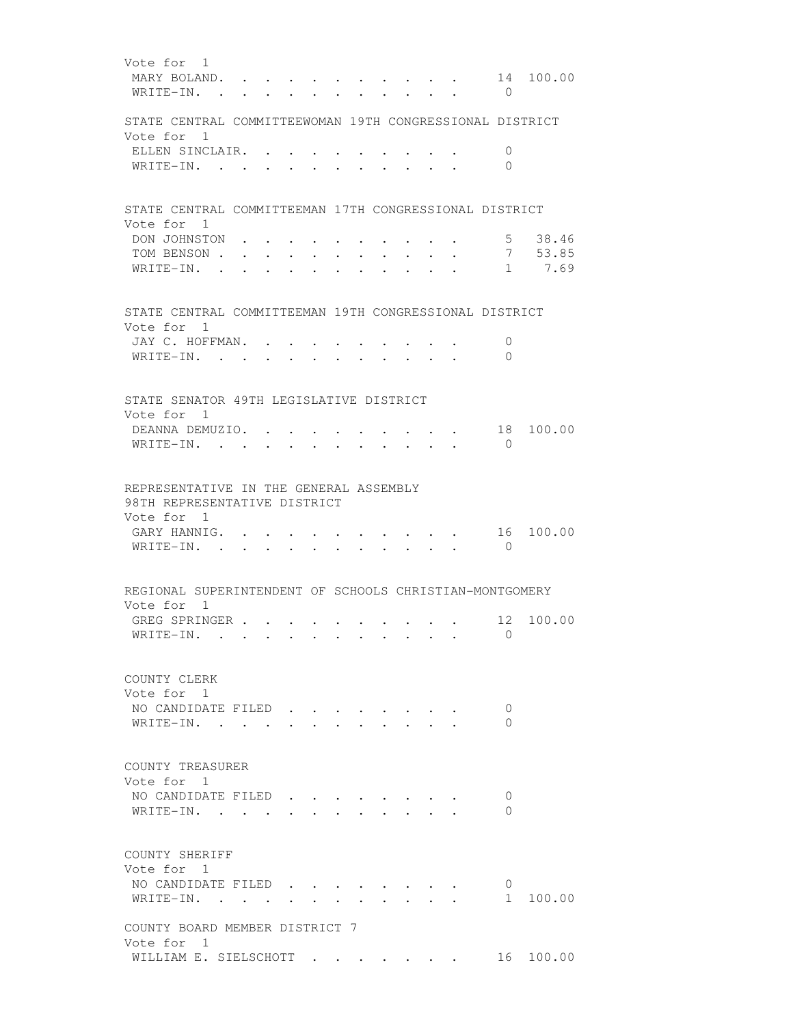Vote for 1 MARY BOLAND. . . . . . . . . . . 14 100.00 WRITE-IN. . . . . . . . . . . 0 STATE CENTRAL COMMITTEEWOMAN 19TH CONGRESSIONAL DISTRICT Vote for 1 ELLEN SINCLAIR. . . . . . . . . . 0 WRITE-IN. . . . . . . . . . . 0 STATE CENTRAL COMMITTEEMAN 17TH CONGRESSIONAL DISTRICT Vote for 1 DON JOHNSTON . . . . . . . . . . 5 38.46 TOM BENSON . . . . . . . . . . . . 7 53.85 WRITE-IN. . . . . . . . . . . . 1 7.69 STATE CENTRAL COMMITTEEMAN 19TH CONGRESSIONAL DISTRICT Vote for 1 JAY C. HOFFMAN. . . . . . . . . . 0 WRITE-IN. . . . . . . . . . . . 0 STATE SENATOR 49TH LEGISLATIVE DISTRICT Vote for 1 DEANNA DEMUZIO. . . . . . . . . . 18 100.00 WRITE-IN. . . . . . . . . . . 0 REPRESENTATIVE IN THE GENERAL ASSEMBLY 98TH REPRESENTATIVE DISTRICT Vote for 1 GARY HANNIG. . . . . . . . . . . 16 100.00 WRITE-IN. . . . . . . . . . . . 0 REGIONAL SUPERINTENDENT OF SCHOOLS CHRISTIAN-MONTGOMERY Vote for 1 GREG SPRINGER . . . . . . . . . . 12 100.00 WRITE-IN. . . . . . . . . . . . 0 COUNTY CLERK Vote for 1 NO CANDIDATE FILED . . . . . . . . 0 WRITE-IN. . . . . . . . . . . . 0 COUNTY TREASURER Vote for 1 NO CANDIDATE FILED . . . . . . . . 0 WRITE-IN. . . . . . . . . . . . 0 COUNTY SHERIFF Vote for 1 NO CANDIDATE FILED . . . . . . . . 0 WRITE-IN. . . . . . . . . . . . . 1 100.00 COUNTY BOARD MEMBER DISTRICT 7 Vote for 1 WILLIAM E. SIELSCHOTT . . . . . . . 16 100.00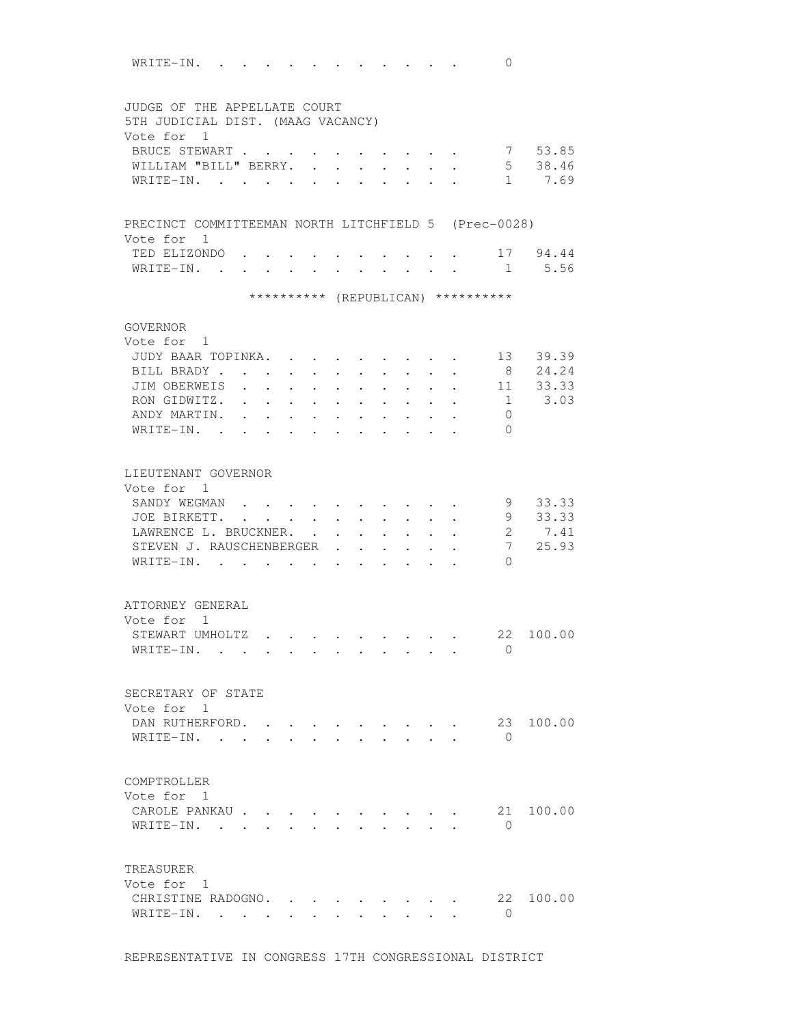WRITE-IN. . . . . . . . . . . . 0 JUDGE OF THE APPELLATE COURT 5TH JUDICIAL DIST. (MAAG VACANCY) Vote for 1 BRUCE STEWART . . . . . . . . . . 7 53.85 WILLIAM "BILL" BERRY. . . . . . . . 5 38.46 WRITE-IN. . . . . . . . . . . . 1 7.69 PRECINCT COMMITTEEMAN NORTH LITCHFIELD 5 (Prec-0028) Vote for 1 TED ELIZONDO . . . . . . . . . . 17 94.44 WRITE-IN. . . . . . . . . . . . 1 5.56 \*\*\*\*\*\*\*\*\*\* (REPUBLICAN) \*\*\*\*\*\*\*\*\*\* GOVERNOR Vote for 1 JUDY BAAR TOPINKA. . . . . . . . . 13 39.39 BILL BRADY . . . . . . . . . . . 8 24.24 JIM OBERWEIS . . . . . . . . . . 11 33.33 RON GIDWITZ. . . . . . . . . . . . 1 3.03 ANDY MARTIN. . . . . . . . . . . . 0 WRITE-IN. . . . . . . . . . . 0 LIEUTENANT GOVERNOR Vote for 1 SANDY WEGMAN . . . . . . . . . . 9 33.33 JOE BIRKETT. . . . . . . . . . . 9 33.33 LAWRENCE L. BRUCKNER. . . . . . . . 2 7.41 STEVEN J. RAUSCHENBERGER . . . . . . 7 25.93 WRITE-IN. . . . . . . . . . . 0 ATTORNEY GENERAL Vote for 1 STEWART UMHOLTZ . . . . . . . . . 22 100.00 WRITE-IN. . . . . . . . . . . . 0 SECRETARY OF STATE Vote for 1 DAN RUTHERFORD. . . . . . . . . . 23 100.00 WRITE-IN. . . . . . . . . . . 0 COMPTROLLER Vote for 1 CAROLE PANKAU . . . . . . . . . . 21 100.00 WRITE-IN. . . . . . . . . . . 0 TREASURER Vote for 1 CHRISTINE RADOGNO. . . . . . . . . 22 100.00 WRITE-IN. . . . . . . . . . . . 0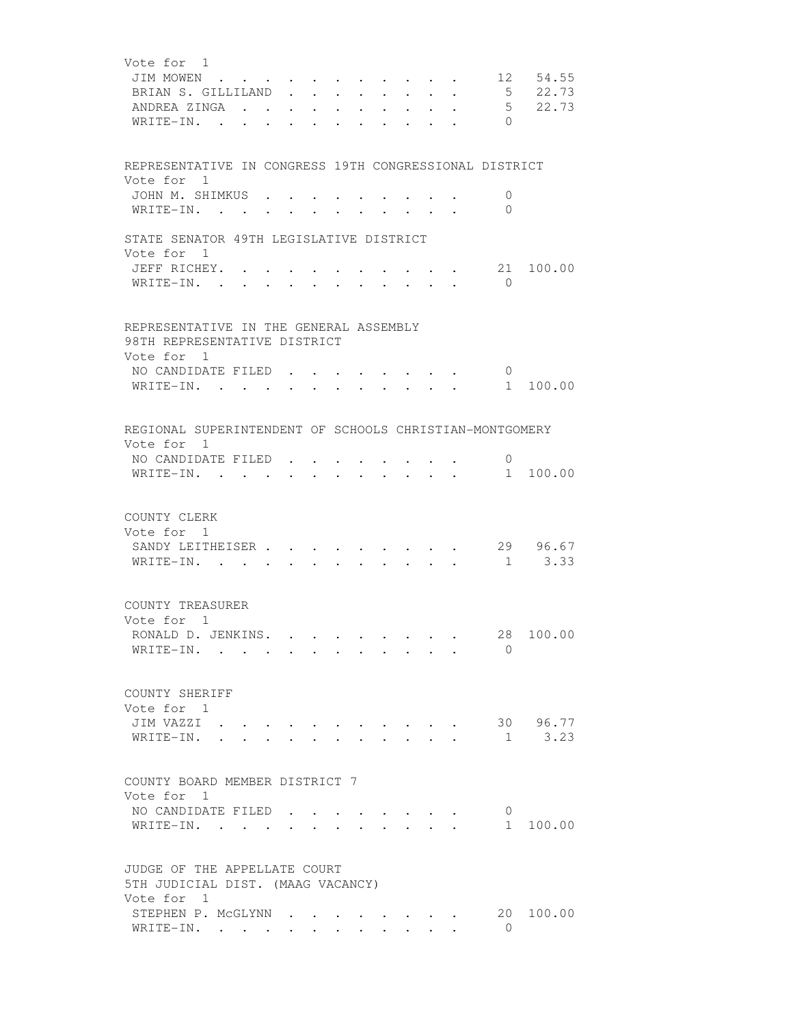| Vote for 1                                                                                                                                                                        |
|-----------------------------------------------------------------------------------------------------------------------------------------------------------------------------------|
| 12 54.55<br>JIM MOWEN<br>$\mathbf{r}$ and $\mathbf{r}$                                                                                                                            |
| 5 22.73<br>BRIAN S. GILLILAND                                                                                                                                                     |
| 5 22.73<br>ANDREA ZINGA<br>$\sim$<br>$\cdot$ $\cdot$ $\cdot$ $\cdot$ $\cdot$<br>$\sim$<br>$\ddot{\phantom{0}}$<br>$\bullet$ .<br><br><br><br><br><br><br><br><br><br><br><br><br> |
| $\Omega$<br>WRITE-IN.<br>the contract of the contract of the contract of the contract of the contract of the contract of the contract of<br>$\cdot$                               |
|                                                                                                                                                                                   |
|                                                                                                                                                                                   |
| REPRESENTATIVE IN CONGRESS 19TH CONGRESSIONAL DISTRICT                                                                                                                            |
| Vote for 1                                                                                                                                                                        |
| JOHN M. SHIMKUS .<br>0                                                                                                                                                            |
| $\Omega$<br>WRITE-IN.<br>$\ddot{\phantom{0}}$                                                                                                                                     |
| STATE SENATOR 49TH LEGISLATIVE DISTRICT                                                                                                                                           |
| Vote for 1                                                                                                                                                                        |
| JEFF RICHEY. .<br>21<br>100.00                                                                                                                                                    |
| $\Omega$<br>WRITE-IN.                                                                                                                                                             |
|                                                                                                                                                                                   |
|                                                                                                                                                                                   |
| REPRESENTATIVE IN THE GENERAL ASSEMBLY                                                                                                                                            |
| 98TH REPRESENTATIVE DISTRICT                                                                                                                                                      |
| Vote for 1                                                                                                                                                                        |
| NO CANDIDATE FILED<br>$\cup$<br>and the state of the state of the state of the state of the state of the state of the state of the state of the                                   |
| WRITE-IN.<br>1 100.00<br>$\cdot$ $\cdot$ $\cdot$ $\cdot$ $\cdot$ $\cdot$<br>$\bullet$ .<br><br><br><br><br><br><br><br><br><br><br><br><br>$\bullet$ . The set of $\bullet$       |
|                                                                                                                                                                                   |
| REGIONAL SUPERINTENDENT OF SCHOOLS CHRISTIAN-MONTGOMERY                                                                                                                           |
| Vote for 1                                                                                                                                                                        |
| NO CANDIDATE FILED<br>0                                                                                                                                                           |
| 1 100.00<br>WRITE-IN.<br>$\ddot{\phantom{0}}$<br>$\sim$<br>$\cdot$<br>$\sim$                                                                                                      |
|                                                                                                                                                                                   |
|                                                                                                                                                                                   |
| COUNTY CLERK                                                                                                                                                                      |
| Vote for 1                                                                                                                                                                        |
| 29 96.67<br>SANDY LEITHEISER                                                                                                                                                      |
| $1 \t3.33$<br>WRITE-IN.                                                                                                                                                           |
|                                                                                                                                                                                   |
| COUNTY TREASURER                                                                                                                                                                  |
| Vote for 1                                                                                                                                                                        |
| 28 100.00<br>RONALD D. JENKINS.<br>$\cdot$                                                                                                                                        |
| $\Omega$<br>WRITE-IN.                                                                                                                                                             |
|                                                                                                                                                                                   |
|                                                                                                                                                                                   |
| COUNTY SHERIFF                                                                                                                                                                    |
| Vote for 1                                                                                                                                                                        |
| 30 96.77<br>JIM VAZZI                                                                                                                                                             |
| 3.23<br>WRITE-IN.<br>1                                                                                                                                                            |
|                                                                                                                                                                                   |
| COUNTY BOARD MEMBER DISTRICT 7                                                                                                                                                    |
| Vote for 1                                                                                                                                                                        |
| NO CANDIDATE FILED<br>0                                                                                                                                                           |
| 1<br>100.00<br>WRITE-IN.                                                                                                                                                          |
|                                                                                                                                                                                   |
|                                                                                                                                                                                   |
| JUDGE OF THE APPELLATE COURT                                                                                                                                                      |
| 5TH JUDICIAL DIST. (MAAG VACANCY)                                                                                                                                                 |
| Vote for 1                                                                                                                                                                        |
| STEPHEN P. MCGLYNN<br>20<br>100.00<br>$\cdot$ $\cdot$ $\cdot$ $\cdot$ $\cdot$ $\cdot$<br>$\Omega$                                                                                 |
| WRITE-IN.<br>$\cdot$ $\cdot$ $\cdot$ $\cdot$                                                                                                                                      |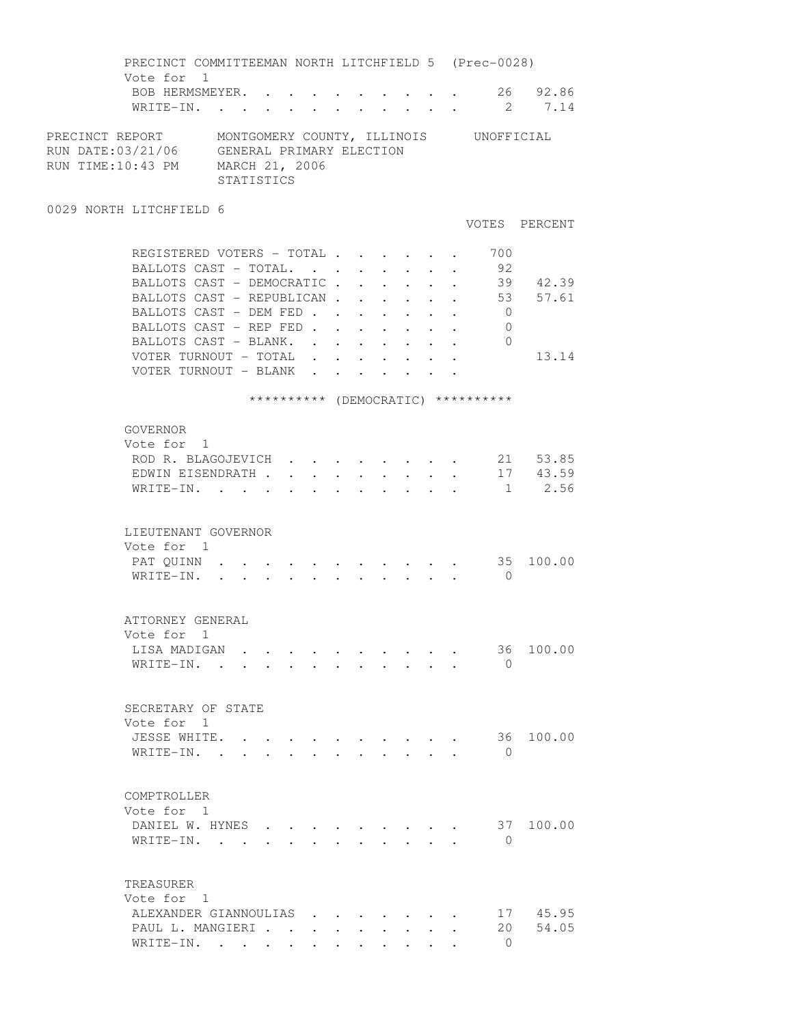PRECINCT COMMITTEEMAN NORTH LITCHFIELD 5 (Prec-0028) Vote for 1 BOB HERMSMEYER. . . . . . . . . . 26 92.86 WRITE-IN. . . . . . . . . . . . 2 7.14 PRECINCT REPORT MONTGOMERY COUNTY, ILLINOIS UNOFFICIAL RUN DATE:03/21/06 GENERAL PRIMARY ELECTION RUN TIME:10:43 PM MARCH 21, 2006 STATISTICS 0029 NORTH LITCHFIELD 6 VOTES PERCENT REGISTERED VOTERS - TOTAL . . . . . . 700 BALLOTS CAST - TOTAL. . . . . . . . 92 BALLOTS CAST - DEMOCRATIC . . . . . . 39 42.39 BALLOTS CAST - REPUBLICAN . . . . . . 53 57.61 BALLOTS CAST - DEM FED . . . . . . . 0 BALLOTS CAST - REP FED . . . . . . . 0 BALLOTS CAST - BLANK. . . . . . . . 0 VOTER TURNOUT - TOTAL . . . . . . . 13.14 VOTER TURNOUT - BLANK . . . . . . . \*\*\*\*\*\*\*\*\*\* (DEMOCRATIC) \*\*\*\*\*\*\*\*\*\* GOVERNOR Vote for 1 ROD R. BLAGOJEVICH . . . . . . . . 21 53.85 EDWIN EISENDRATH . . . . . . . . . 17 43.59 WRITE-IN. . . . . . . . . . . . 1 2.56 LIEUTENANT GOVERNOR Vote for 1 PAT QUINN . . . . . . . . . . . . 35 100.00 WRITE-IN. . . . . . . . . . . 0 ATTORNEY GENERAL Vote for 1 LISA MADIGAN . . . . . . . . . . 36 100.00 WRITE-IN. . . . . . . . . . . . 0 SECRETARY OF STATE Vote for 1 JESSE WHITE. . . . . . . . . . . 36 100.00 WRITE-IN. . . . . . . . . . . . 0 COMPTROLLER Vote for 1 DANIEL W. HYNES . . . . . . . . . 37 100.00 WRITE-IN. . . . . . . . . . . . 0 TREASURER Vote for 1 ALEXANDER GIANNOULIAS . . . . . . . 17 45.95<br>PAUL L. MANGIERI . . . . . . . . . . 20 54.05 PAUL L. MANGIERI . . . . . . . . . WRITE-IN. . . . . . . . . . . . 0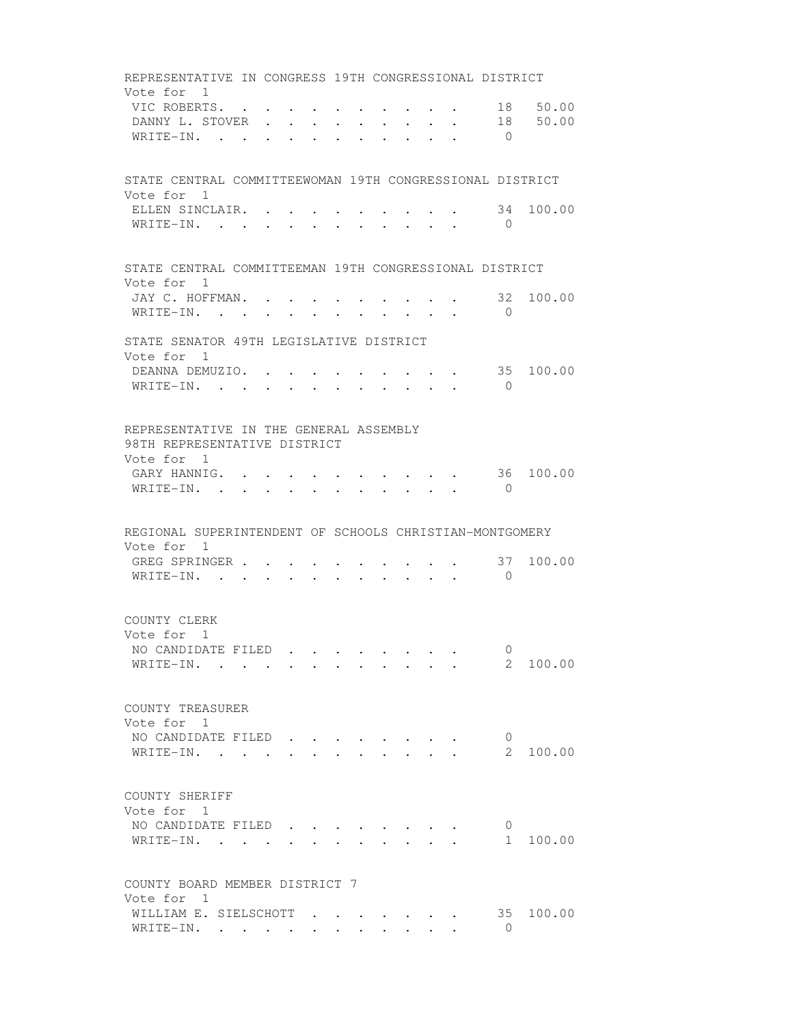REPRESENTATIVE IN CONGRESS 19TH CONGRESSIONAL DISTRICT Vote for 1 VIC ROBERTS. . . . . . . . . . . 18 50.00<br>DANNY L. STOVER . . . . . . . . . 18 50.00 DANNY L. STOVER . . . . . . . . . WRITE-IN. . . . . . . . . . . . 0 STATE CENTRAL COMMITTEEWOMAN 19TH CONGRESSIONAL DISTRICT Vote for 1 ELLEN SINCLAIR. . . . . . . . . . 34 100.00 WRITE-IN. . . . . . . . . . . 0 STATE CENTRAL COMMITTEEMAN 19TH CONGRESSIONAL DISTRICT Vote for 1 JAY C. HOFFMAN. . . . . . . . . . 32 100.00 WRITE-IN. . . . . . . . . . . . 0 STATE SENATOR 49TH LEGISLATIVE DISTRICT Vote for 1 DEANNA DEMUZIO. . . . . . . . . . 35 100.00 WRITE-IN. . . . . . . . . . . . 0 REPRESENTATIVE IN THE GENERAL ASSEMBLY 98TH REPRESENTATIVE DISTRICT Vote for 1 GARY HANNIG. . . . . . . . . . . . 36 100.00 WRITE-IN. . . . . . . . . . . . 0 REGIONAL SUPERINTENDENT OF SCHOOLS CHRISTIAN-MONTGOMERY Vote for 1 GREG SPRINGER . . . . . . . . . . 37 100.00 WRITE-IN. . . . . . . . . . . . 0 COUNTY CLERK Vote for 1 NO CANDIDATE FILED . . . . . . . . 0<br>WRITE-IN. . . . . . . . . . . . 2 100.00 WRITE-IN. . . . . . . . . . . . COUNTY TREASURER Vote for 1 NO CANDIDATE FILED . . . . . . . 0 WRITE-IN. . . . . . . . . . . . 2 100.00 COUNTY SHERIFF Vote for 1 NO CANDIDATE FILED . . . . . . . 0 WRITE-IN. . . . . . . . . . . . 1 100.00 COUNTY BOARD MEMBER DISTRICT 7 Vote for 1 WILLIAM E. SIELSCHOTT  $\cdot \cdot \cdot \cdot \cdot \cdot \cdot \cdot \cdot$  35 100.00  $\texttt{WRITE-IN.}$  . . . . . . . . . . 0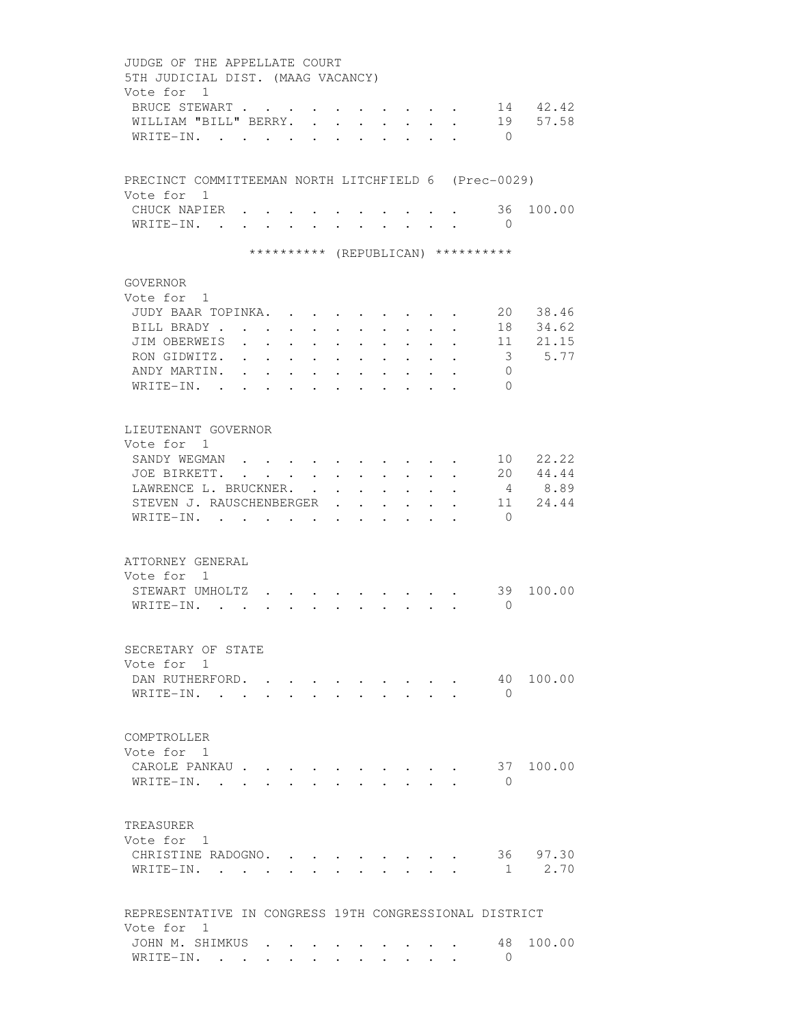JUDGE OF THE APPELLATE COURT 5TH JUDICIAL DIST. (MAAG VACANCY) Vote for 1 BRUCE STEWART . . . . . . . . . . 14 42.42 WILLIAM "BILL" BERRY. . . . . . . . 19 57.58 WRITE-IN. . . . . . . . . . . . 0 PRECINCT COMMITTEEMAN NORTH LITCHFIELD 6 (Prec-0029) Vote for 1 CHUCK NAPIER . . . . . . . . . . 36 100.00 WRITE-IN. . . . . . . . . . . 0 \*\*\*\*\*\*\*\*\*\* (REPUBLICAN) \*\*\*\*\*\*\*\*\*\* GOVERNOR Vote for 1 JUDY BAAR TOPINKA. . . . . . . . . 20 38.46 BILL BRADY . . . . . . . . . . . . 18 34.62 JIM OBERWEIS . . . . . . . . . . 11 21.15 RON GIDWITZ. . . . . . . . . . . 3 5.77 ANDY MARTIN. . . . . . . . . . . 0 WRITE-IN. . . . . . . . . . . . 0 LIEUTENANT GOVERNOR Vote for 1 SANDY WEGMAN . . . . . . . . . . 10 22.22 JOE BIRKETT. . . . . . . . . . . 20 44.44 LAWRENCE L. BRUCKNER. . . . . . . . 4 8.89 STEVEN J. RAUSCHENBERGER . . . . . 11 24.44 WRITE-IN. . . . . . . . . . . . 0 ATTORNEY GENERAL Vote for 1 STEWART UMHOLTZ . . . . . . . . . 39 100.00 WRITE-IN. . . . . . . . . . . . 0 SECRETARY OF STATE Vote for 1 DAN RUTHERFORD. . . . . . . . . . 40 100.00 WRITE-IN. . . . . . . . . . . . 0 COMPTROLLER Vote for 1 CAROLE PANKAU . . . . . . . . . . 37 100.00 WRITE-IN. . . . . . . . . . . . 0 TREASURER Vote for 1 CHRISTINE RADOGNO. . . . . . . . . 36 97.30 WRITE-IN. . . . . . . . . . . . 1 2.70 REPRESENTATIVE IN CONGRESS 19TH CONGRESSIONAL DISTRICT Vote for 1 JOHN M. SHIMKUS . . . . . . . . . 48 100.00<br>WRITE-IN WRITE-IN. . . . . . . . . . . . 0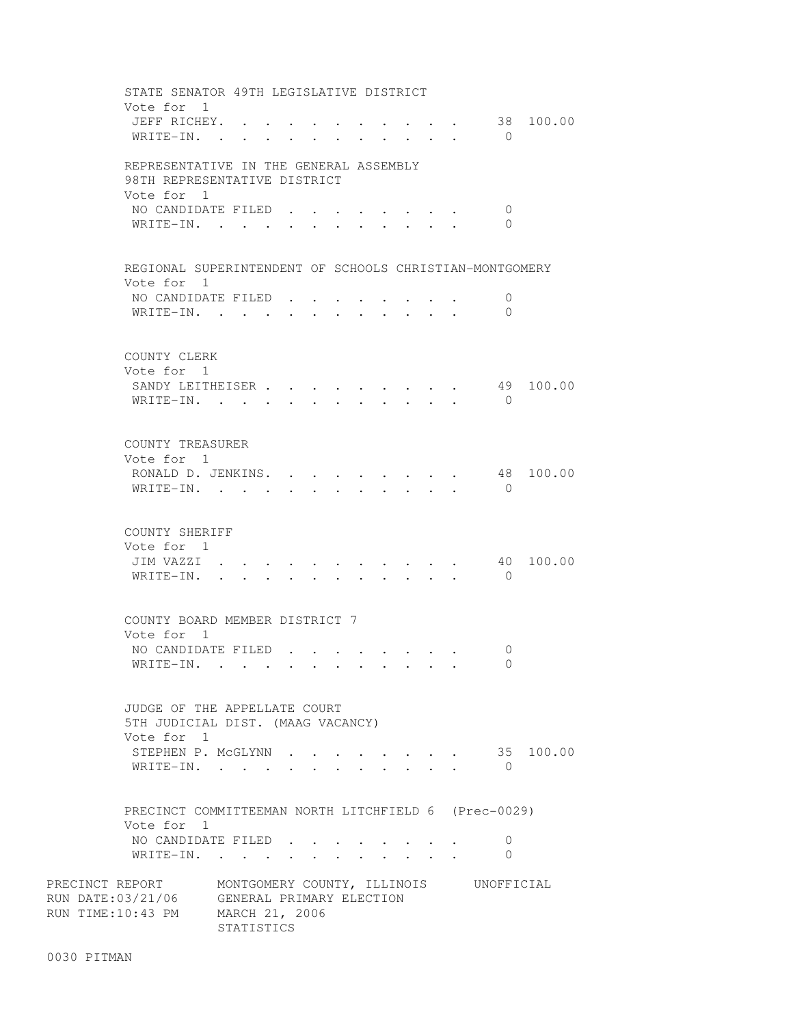STATE SENATOR 49TH LEGISLATIVE DISTRICT Vote for 1 JEFF RICHEY. . . . . . . . . . . 38 100.00 WRITE-IN. . . . . . . . . . . . 0 REPRESENTATIVE IN THE GENERAL ASSEMBLY 98TH REPRESENTATIVE DISTRICT Vote for 1 NO CANDIDATE FILED . . . . . . . . 0 WRITE-IN. . . . . . . . . . . . 0 REGIONAL SUPERINTENDENT OF SCHOOLS CHRISTIAN-MONTGOMERY Vote for 1 NO CANDIDATE FILED . . . . . . . . 0 WRITE-IN. . . . . . . . . . . . 0 COUNTY CLERK Vote for 1 SANDY LEITHEISER . . . . . . . . . 49 100.00 WRITE-IN. . . . . . . . . . . . 0 COUNTY TREASURER Vote for 1 RONALD D. JENKINS. . . . . . . . . 48 100.00 WRITE-IN. . . . . . . . . . . 0 COUNTY SHERIFF Vote for 1 JIM VAZZI . . . . . . . . . . . 40 100.00 WRITE-IN. . . . . . . . . . . . 0 COUNTY BOARD MEMBER DISTRICT 7 Vote for 1 NO CANDIDATE FILED . . . . . . . . 0 WRITE-IN. . . . . . . . . . . 0 JUDGE OF THE APPELLATE COURT 5TH JUDICIAL DIST. (MAAG VACANCY) Vote for 1 STEPHEN P. MCGLYNN . . . . . . . . 35 100.00 WRITE-IN. . . . . . . . . . . . 0 PRECINCT COMMITTEEMAN NORTH LITCHFIELD 6 (Prec-0029) Vote for 1 NO CANDIDATE FILED . . . . . . . . 0 WRITE-IN. . . . . . . . . . . . 0 PRECINCT REPORT MONTGOMERY COUNTY, ILLINOIS UNOFFICIAL RUN DATE:03/21/06 GENERAL PRIMARY ELECTION RUN TIME:10:43 PM MARCH 21, 2006 STATISTICS

0030 PITMAN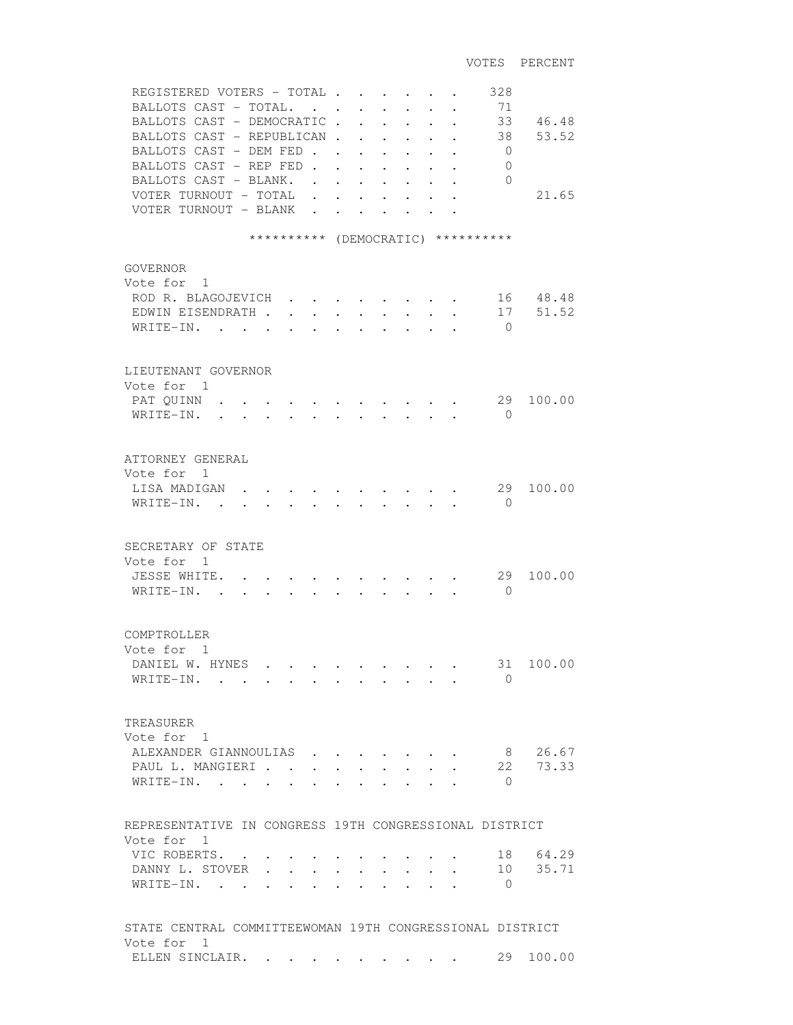| REGISTERED VOTERS - TOTAL<br>BALLOTS CAST - TOTAL.<br>BALLOTS CAST - DEMOCRATIC<br>BALLOTS CAST - REPUBLICAN.<br>BALLOTS CAST - DEM FED.<br>BALLOTS CAST - REP FED.<br>BALLOTS CAST - BLANK.<br>VOTER TURNOUT - TOTAL<br>VOTER TURNOUT - BLANK |                                                             | $\ddot{\phantom{0}}$<br>$\ddot{\phantom{a}}$<br>$\ddot{\phantom{a}}$ | $\overline{a}$                       | $\ddot{\phantom{0}}$<br>$\ddot{\phantom{a}}$<br>$\ddot{\phantom{0}}$<br>$\ddot{\phantom{0}}$ | $\cdot$ | $\ddot{\phantom{a}}$<br>$\ddot{\phantom{a}}$ | 328<br>71<br>33<br>38<br>$\mathbf{0}$<br>$\mathbf{0}$<br>$\Omega$ | 46.48<br>53.52<br>21.65 |
|------------------------------------------------------------------------------------------------------------------------------------------------------------------------------------------------------------------------------------------------|-------------------------------------------------------------|----------------------------------------------------------------------|--------------------------------------|----------------------------------------------------------------------------------------------|---------|----------------------------------------------|-------------------------------------------------------------------|-------------------------|
|                                                                                                                                                                                                                                                | ********** (DEMOCRATIC) **********                          |                                                                      |                                      |                                                                                              |         |                                              |                                                                   |                         |
| <b>GOVERNOR</b><br>Vote for<br>$\overline{1}$<br>ROD R. BLAGOJEVICH<br>EDWIN EISENDRATH .<br>WRITE-IN.                                                                                                                                         |                                                             |                                                                      |                                      |                                                                                              |         |                                              | $\Omega$                                                          | 16 48.48<br>17 51.52    |
| LIEUTENANT GOVERNOR<br>Vote for 1<br>PAT QUINN<br>WRITE-IN.<br>$\ddot{\phantom{0}}$                                                                                                                                                            | $\bullet$ . The set of $\bullet$                            | $\bullet$ . The set of $\bullet$                                     | $\ddot{\phantom{0}}$                 | $\mathbf{r} = \mathbf{r} \cdot \mathbf{r}$ , where $\mathbf{r} = \mathbf{r}$                 |         | $\bullet$ . The set of $\bullet$             | 29<br>$\bigcirc$                                                  | 100.00                  |
| ATTORNEY GENERAL<br>Vote for 1<br>LISA MADIGAN<br>$W$ RITE-IN                                                                                                                                                                                  |                                                             |                                                                      |                                      |                                                                                              |         |                                              | 29<br>$\Omega$                                                    | 100.00                  |
| SECRETARY OF STATE<br>Vote for 1<br>JESSE WHITE.<br>WRITE-IN. .                                                                                                                                                                                |                                                             |                                                                      |                                      |                                                                                              |         |                                              | 29<br>$\mathbf{0}$                                                | 100.00                  |
| COMPTROLLER<br>Vote for 1<br>DANIEL W. HYNES<br>WRITE-IN.                                                                                                                                                                                      | $\bullet$ .<br><br><br><br><br><br><br><br><br><br><br><br> |                                                                      |                                      |                                                                                              |         |                                              | 31<br>$\Omega$                                                    | 100.00                  |
| TREASURER<br>Vote for 1<br>ALEXANDER GIANNOULIAS<br>PAUL L. MANGIERI<br>WRITE-IN.                                                                                                                                                              | $\sim$<br>$\overline{\phantom{a}}$                          | $\ddot{\phantom{a}}$                                                 | $\ddot{\phantom{0}}$<br>$\mathbf{L}$ | $\mathbf{L}$                                                                                 |         | $\mathbf{r} = \mathbf{r}$                    | 8<br>22<br>$\bigcirc$                                             | 26.67<br>73.33          |
| REPRESENTATIVE IN CONGRESS 19TH CONGRESSIONAL DISTRICT                                                                                                                                                                                         |                                                             |                                                                      |                                      |                                                                                              |         |                                              |                                                                   |                         |
| Vote for 1<br>VIC ROBERTS.<br>DANNY L. STOVER<br>WRITE-IN. .                                                                                                                                                                                   |                                                             |                                                                      |                                      |                                                                                              |         |                                              | 18<br>10<br>0                                                     | 64.29<br>35.71          |
| STATE CENTRAL COMMITTEEWOMAN 19TH CONGRESSIONAL DISTRICT                                                                                                                                                                                       |                                                             |                                                                      |                                      |                                                                                              |         |                                              |                                                                   |                         |
| Vote for 1<br>ELLEN SINCLAIR.                                                                                                                                                                                                                  |                                                             |                                                                      |                                      |                                                                                              |         |                                              | 29                                                                | 100.00                  |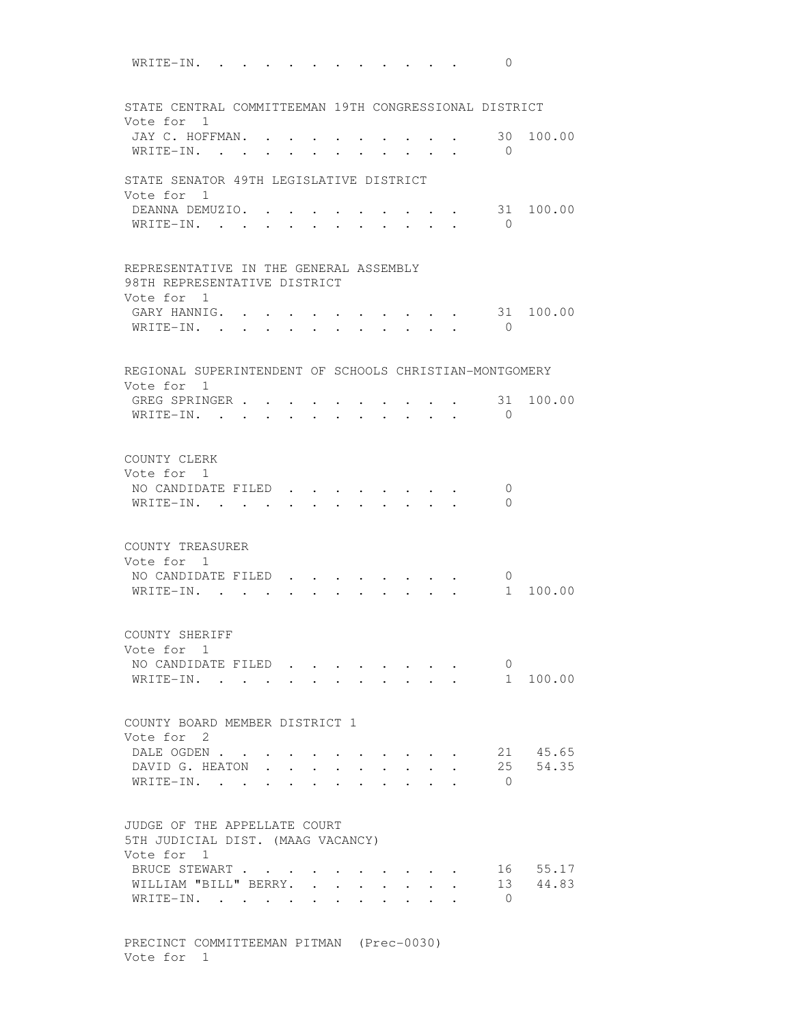WRITE-IN. . . . . . . . . . . . 0 STATE CENTRAL COMMITTEEMAN 19TH CONGRESSIONAL DISTRICT Vote for 1 JAY C. HOFFMAN. . . . . . . . . . 30 100.00 WRITE-IN. . . . . . . . . . . 0 STATE SENATOR 49TH LEGISLATIVE DISTRICT Vote for 1 DEANNA DEMUZIO. . . . . . . . . . 31 100.00 WRITE-IN. . . . . . . . . . . 0 REPRESENTATIVE IN THE GENERAL ASSEMBLY 98TH REPRESENTATIVE DISTRICT Vote for 1 GARY HANNIG. . . . . . . . . . . 31 100.00 WRITE-IN. . . . . . . . . . . . 0 REGIONAL SUPERINTENDENT OF SCHOOLS CHRISTIAN-MONTGOMERY Vote for 1 GREG SPRINGER . . . . . . . . . . 31 100.00 WRITE-IN. . . . . . . . . . . 0 COUNTY CLERK Vote for 1 NO CANDIDATE FILED . . . . . . . . 0 WRITE-IN. . . . . . . . . . . 0 COUNTY TREASURER Vote for 1 NO CANDIDATE FILED . . . . . . . . 0<br>WRITE-IN. . . . . . . . . . . . 1 100.00 WRITE-IN. . . . . . . . . . . . COUNTY SHERIFF Vote for 1 NO CANDIDATE FILED . . . . . . . . 0<br>WRITE-IN. . . . . . . . . . . . 1 100.00  $\texttt{WRITE-IN.}$  . . . . . . . . . . . COUNTY BOARD MEMBER DISTRICT 1 Vote for 2 DALE OGDEN . . . . . . . . . . . 21 45.65 DAVID G. HEATON . . . . . . . . . 25 54.35 WRITE-IN. . . . . . . . . . . . 0 JUDGE OF THE APPELLATE COURT 5TH JUDICIAL DIST. (MAAG VACANCY) Vote for 1 BRUCE STEWART . . . . . . . . . . 16 55.17 WILLIAM "BILL" BERRY. . . . . . . . 13 44.83  $\texttt{WRITE-IN.}$  . . . . . . . . . . 0

 PRECINCT COMMITTEEMAN PITMAN (Prec-0030) Vote for 1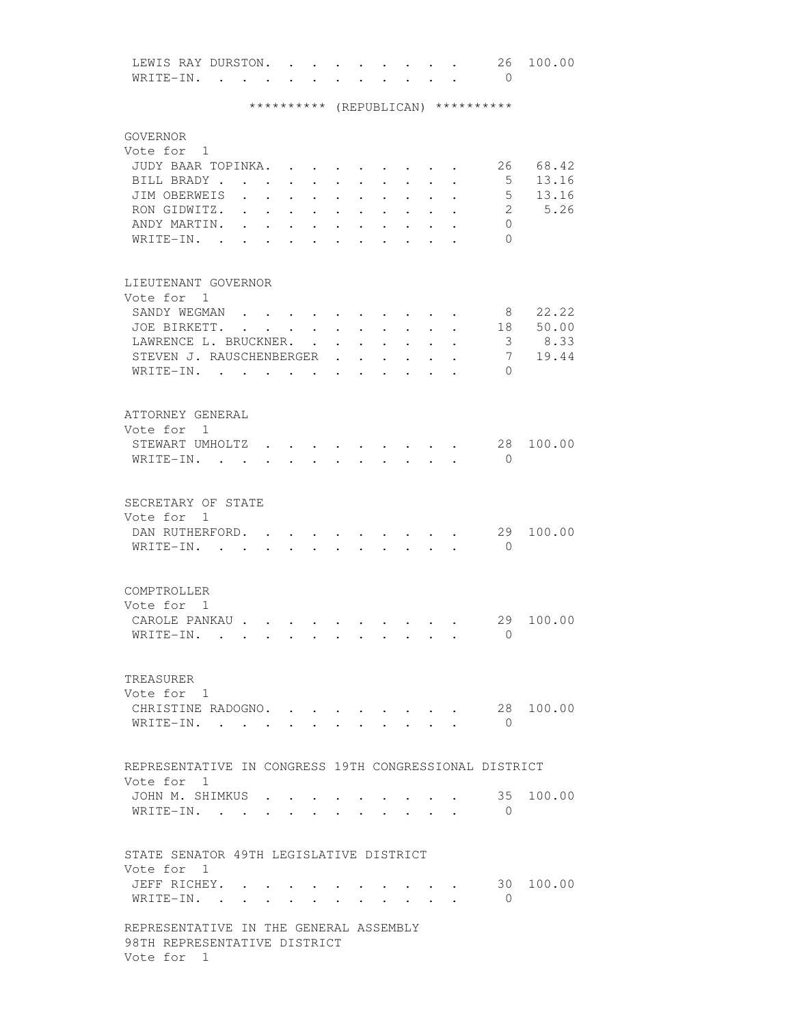| LEWIS RAY DURSTON. |                                                                                                             | $\mathbf{r}$ , and $\mathbf{r}$ , and $\mathbf{r}$ , and $\mathbf{r}$ |  |  |  | 26. | 100.00 |  |
|--------------------|-------------------------------------------------------------------------------------------------------------|-----------------------------------------------------------------------|--|--|--|-----|--------|--|
|                    | $\mathbf{r}$ , and $\mathbf{r}$ , and $\mathbf{r}$ , and $\mathbf{r}$ , and $\mathbf{r}$ , and $\mathbf{r}$ |                                                                       |  |  |  |     |        |  |

## \*\*\*\*\*\*\*\*\*\* (REPUBLICAN) \*\*\*\*\*\*\*\*\*\*

| GOVERNOR<br>Vote for 1<br>JUDY BAAR TOPINKA.<br>BILL BRADY<br>JIM OBERWEIS<br>RON GIDWITZ.<br>ANDY MARTIN.<br>WRITE-IN.<br>$\sim$ |                      | $\ddot{\phantom{0}}$           | $\ddot{\phantom{a}}$<br>$\ddot{\phantom{0}}$<br>$\bullet$ | $\ddot{\phantom{0}}$             | $\ddot{\phantom{a}}$                                    |                      |                      |                         | 26<br>5<br>5<br>$\overline{2}$<br>$\Omega$<br>$\Omega$ | 68.42<br>13.16<br>13.16<br>5.26 |
|-----------------------------------------------------------------------------------------------------------------------------------|----------------------|--------------------------------|-----------------------------------------------------------|----------------------------------|---------------------------------------------------------|----------------------|----------------------|-------------------------|--------------------------------------------------------|---------------------------------|
| LIEUTENANT GOVERNOR<br>Vote for 1<br>SANDY WEGMAN                                                                                 |                      |                                |                                                           |                                  |                                                         |                      |                      |                         | 8                                                      | 22.22                           |
| JOE BIRKETT.                                                                                                                      |                      |                                |                                                           | $\ddot{\phantom{0}}$             | $\ddot{\phantom{0}}$                                    |                      | $\ddot{\phantom{0}}$ | $\mathbf{L}$            | 18                                                     | 50.00                           |
| LAWRENCE L. BRUCKNER.                                                                                                             |                      |                                | $\ddot{\phantom{a}}$                                      |                                  | $\ddot{\phantom{0}}$                                    | $\ddot{\phantom{a}}$ | $\ddot{\phantom{a}}$ |                         | 3                                                      | 8.33                            |
| STEVEN J. RAUSCHENBERGER                                                                                                          |                      |                                |                                                           | $\bullet$                        | $\ddot{\phantom{0}}$                                    |                      |                      |                         | 7                                                      | 19.44                           |
| WRITE-IN. .                                                                                                                       |                      | $\sim$                         | $\sim$ $\sim$                                             |                                  |                                                         |                      |                      |                         | $\Omega$                                               |                                 |
| ATTORNEY GENERAL                                                                                                                  |                      |                                |                                                           |                                  |                                                         |                      |                      |                         |                                                        |                                 |
| Vote for 1                                                                                                                        |                      |                                |                                                           |                                  |                                                         |                      |                      |                         |                                                        |                                 |
| STEWART UMHOLTZ.                                                                                                                  |                      |                                |                                                           |                                  |                                                         |                      |                      |                         | 28                                                     | 100.00                          |
| WRITE-IN.                                                                                                                         |                      | $\sim$<br>$\ddot{\phantom{0}}$ |                                                           | $\cdot$ $\cdot$ $\cdot$          | $\cdot$ $\cdot$ $\cdot$ $\cdot$ $\cdot$                 |                      |                      |                         | $\bigcirc$                                             |                                 |
| SECRETARY OF STATE                                                                                                                |                      |                                |                                                           |                                  |                                                         |                      |                      |                         |                                                        |                                 |
| Vote for 1                                                                                                                        |                      |                                |                                                           |                                  |                                                         |                      |                      |                         |                                                        |                                 |
| DAN RUTHERFORD.                                                                                                                   |                      |                                |                                                           |                                  |                                                         |                      |                      |                         | 29                                                     | 100.00                          |
| WRITE-IN.                                                                                                                         | $\ddot{\phantom{a}}$ |                                |                                                           |                                  |                                                         | $\mathbf{L}$         |                      | $\overline{a}$          | $\Omega$                                               |                                 |
| COMPTROLLER<br>Vote for 1<br>CAROLE PANKAU .                                                                                      |                      |                                |                                                           |                                  |                                                         |                      |                      |                         | 29                                                     | 100.00                          |
| WRITE-IN.                                                                                                                         |                      |                                |                                                           |                                  |                                                         |                      |                      |                         | $\mathbf{0}$                                           |                                 |
| TREASURER                                                                                                                         |                      |                                |                                                           |                                  |                                                         |                      |                      |                         |                                                        |                                 |
| Vote for 1                                                                                                                        |                      |                                |                                                           |                                  |                                                         |                      |                      |                         |                                                        |                                 |
| CHRISTINE RADOGNO.                                                                                                                |                      |                                |                                                           |                                  | $\cdot$ $\cdot$ $\cdot$ $\cdot$ $\cdot$ $\cdot$ $\cdot$ |                      |                      |                         | 28                                                     | 100.00                          |
| WRITE-IN.                                                                                                                         |                      |                                |                                                           | $\bullet$ . The set of $\bullet$ | $\sim$ $\sim$ $\sim$ $\sim$                             |                      |                      | $\cdot$ $\cdot$ $\cdot$ | $\bigcirc$                                             |                                 |
| REPRESENTATIVE IN CONGRESS 19TH CONGRESSIONAL DISTRICT                                                                            |                      |                                |                                                           |                                  |                                                         |                      |                      |                         |                                                        |                                 |
| Vote for 1                                                                                                                        |                      |                                |                                                           |                                  |                                                         |                      |                      |                         |                                                        |                                 |
| JOHN M. SHIMKUS .                                                                                                                 |                      |                                |                                                           |                                  |                                                         |                      |                      |                         | 35                                                     | 100.00                          |
| WRITE-IN.                                                                                                                         |                      |                                | $\sim$                                                    | $\sim$                           | $\sim$ $\sim$ $\sim$ $\sim$ $\sim$                      |                      |                      |                         | $\bigcirc$                                             |                                 |
| STATE SENATOR 49TH LEGISLATIVE DISTRICT                                                                                           |                      |                                |                                                           |                                  |                                                         |                      |                      |                         |                                                        |                                 |
| Vote for 1                                                                                                                        |                      |                                |                                                           |                                  |                                                         |                      |                      |                         |                                                        |                                 |
| JEFF RICHEY. .                                                                                                                    |                      |                                |                                                           |                                  |                                                         |                      |                      |                         |                                                        | 30 100.00                       |
| WRITE-IN.                                                                                                                         |                      |                                |                                                           |                                  |                                                         |                      |                      |                         | $\overline{0}$                                         |                                 |
| REPRESENTATIVE IN THE GENERAL ASSEMBLY<br>98TH REPRESENTATIVE DISTRICT<br>Vote for 1                                              |                      |                                |                                                           |                                  |                                                         |                      |                      |                         |                                                        |                                 |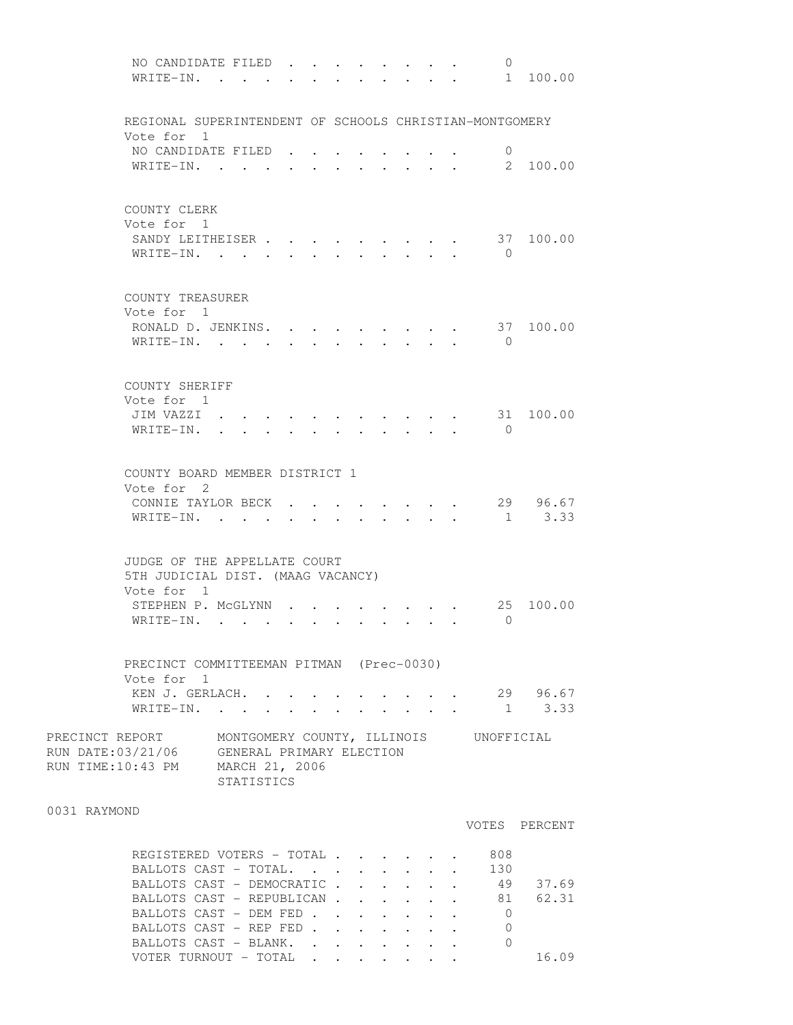| NO CANDIDATE FILED.<br>WRITE-IN.                                                                                                          | $\sim$ $\sim$ $\sim$ |        |  |              |        | $\mathbf{r} = \mathbf{r} + \mathbf{r}$                                                                    | $\Omega$                    | 1 100.00               |
|-------------------------------------------------------------------------------------------------------------------------------------------|----------------------|--------|--|--------------|--------|-----------------------------------------------------------------------------------------------------------|-----------------------------|------------------------|
| REGIONAL SUPERINTENDENT OF SCHOOLS CHRISTIAN-MONTGOMERY                                                                                   |                      |        |  |              |        |                                                                                                           |                             |                        |
| Vote for 1<br>NO CANDIDATE FILED<br>WRITE-IN. .                                                                                           | $\sim$               |        |  |              |        |                                                                                                           | $\mathbf{0}$                | 2 100.00               |
| COUNTY CLERK<br>Vote for 1<br>SANDY LEITHEISER<br>WRITE-IN. .                                                                             |                      |        |  |              |        |                                                                                                           | $\bigcirc$                  | 37 100.00              |
| COUNTY TREASURER<br>Vote for 1<br>RONALD D. JENKINS.<br>WRITE-IN.                                                                         | $\sim$               | $\sim$ |  | $\mathbf{L}$ | $\sim$ |                                                                                                           | $\bigcirc$                  | 37 100.00              |
| COUNTY SHERIFF<br>Vote for 1<br>JIM VAZZI.<br>WRITE-IN.                                                                                   |                      |        |  |              |        |                                                                                                           | $\bigcirc$                  | 31 100.00              |
| COUNTY BOARD MEMBER DISTRICT 1<br>Vote for 2<br>CONNIE TAYLOR BECK.<br>WRITE-IN. .                                                        | $\sim$               |        |  |              |        |                                                                                                           |                             | 29 96.67<br>$1 \t3.33$ |
| JUDGE OF THE APPELLATE COURT<br>5TH JUDICIAL DIST. (MAAG VACANCY)<br>Vote for 1                                                           |                      |        |  |              |        |                                                                                                           |                             |                        |
| STEPHEN P. MCGLYNN.<br>WRITE-IN.                                                                                                          |                      |        |  |              |        |                                                                                                           | 25<br>$\overline{0}$        | 100.00                 |
| PRECINCT COMMITTEEMAN PITMAN (Prec-0030)<br>Vote for 1                                                                                    |                      |        |  |              |        |                                                                                                           |                             |                        |
| KEN J. GERLACH.<br>WRITE-IN.                                                                                                              |                      |        |  |              |        | $\bullet$ .<br><br><br><br><br><br><br><br><br><br><br><br><br>$\mathbf{r} = \mathbf{r} \cdot \mathbf{r}$ |                             | 29 96.67<br>$1 \t3.33$ |
| PRECINCT REPORT MONTGOMERY COUNTY, ILLINOIS UNOFFICIAL<br>RUN DATE: 03/21/06 GENERAL PRIMARY ELECTION<br>RUN TIME:10:43 PM MARCH 21, 2006 | STATISTICS           |        |  |              |        |                                                                                                           |                             |                        |
| 0031 RAYMOND                                                                                                                              |                      |        |  |              |        |                                                                                                           |                             | VOTES PERCENT          |
| REGISTERED VOTERS - TOTAL<br>BALLOTS CAST - TOTAL.<br>BALLOTS CAST - DEMOCRATIC 49 37.69                                                  |                      |        |  |              |        |                                                                                                           | 808<br>130                  |                        |
| BALLOTS CAST - REPUBLICAN 81 62.31<br>BALLOTS CAST - DEM FED<br>BALLOTS CAST - REP FED<br>BALLOTS CAST - BLANK.                           |                      |        |  |              |        |                                                                                                           | $\bigcirc$<br>0<br>$\Omega$ |                        |

VOTER TURNOUT - TOTAL . . . . . . . 16.09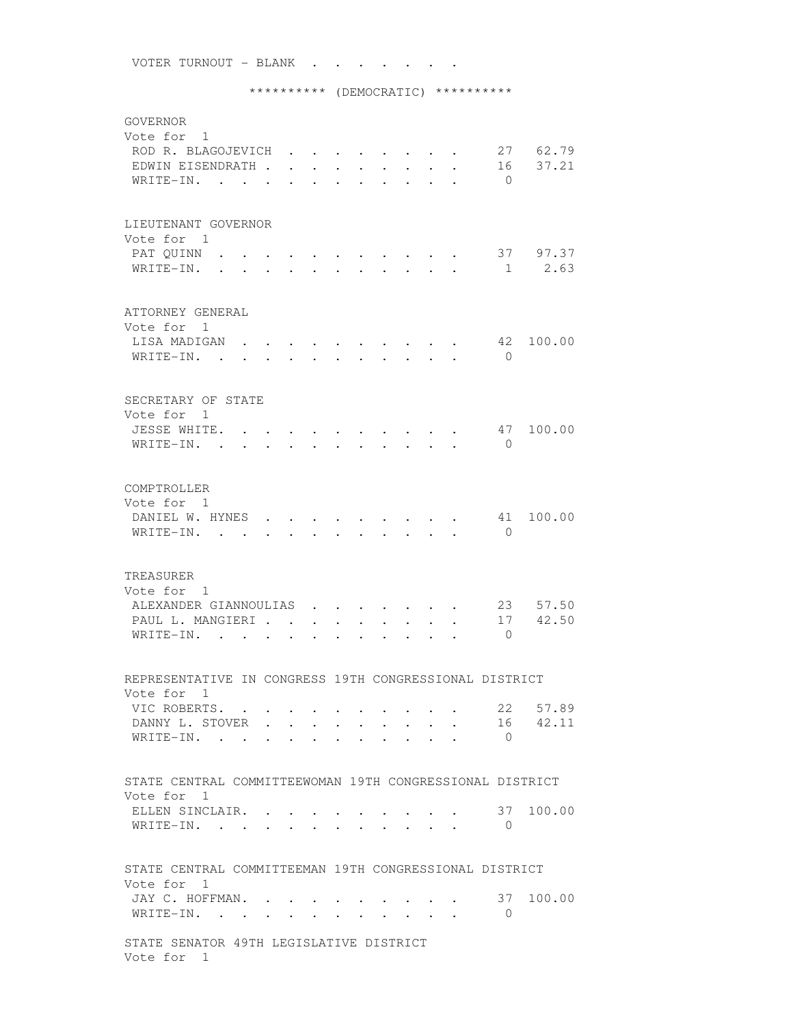\*\*\*\*\*\*\*\*\*\* (DEMOCRATIC) \*\*\*\*\*\*\*\*\*\* GOVERNOR Vote for 1 ROD R. BLAGOJEVICH . . . . . . . . 27 62.79 EDWIN EISENDRATH . . . . . . . . . 16 37.21 WRITE-IN. . . . . . . . . . . 0 LIEUTENANT GOVERNOR Vote for 1 PAT QUINN . . . . . . . . . . . . 37 97.37 WRITE-IN. . . . . . . . . . . . 1 2.63 ATTORNEY GENERAL Vote for 1 LISA MADIGAN . . . . . . . . . . 42 100.00 WRITE-IN. . . . . . . . . . . . 0 SECRETARY OF STATE Vote for 1 JESSE WHITE. . . . . . . . . . . 47 100.00 WRITE-IN. . . . . . . . . . . . 0 COMPTROLLER Vote for 1 DANIEL W. HYNES . . . . . . . . . 41 100.00 WRITE-IN. . . . . . . . . . . 0 TREASURER Vote for 1 ALEXANDER GIANNOULIAS . . . . . . 23 57.50 PAUL L. MANGIERI . . . . . . . . . 17 42.50 WRITE-IN. . . . . . . . . . . . 0 REPRESENTATIVE IN CONGRESS 19TH CONGRESSIONAL DISTRICT Vote for 1 VIC ROBERTS. . . . . . . . . . . 22 57.89<br>DANNY L. STOVER . . . . . . . . . 16 42.11 DANNY L. STOVER . . . . . . . . . WRITE-IN. . . . . . . . . . . . 0 STATE CENTRAL COMMITTEEWOMAN 19TH CONGRESSIONAL DISTRICT Vote for 1 ELLEN SINCLAIR. . . . . . . . . . . 37 100.00 WRITE-IN. . . . . . . . . . . . 0 STATE CENTRAL COMMITTEEMAN 19TH CONGRESSIONAL DISTRICT Vote for 1 JAY C. HOFFMAN. . . . . . . . . . 37 100.00 WRITE-IN. . . . . . . . . . . . 0 STATE SENATOR 49TH LEGISLATIVE DISTRICT Vote for 1

VOTER TURNOUT - BLANK . . . . . . .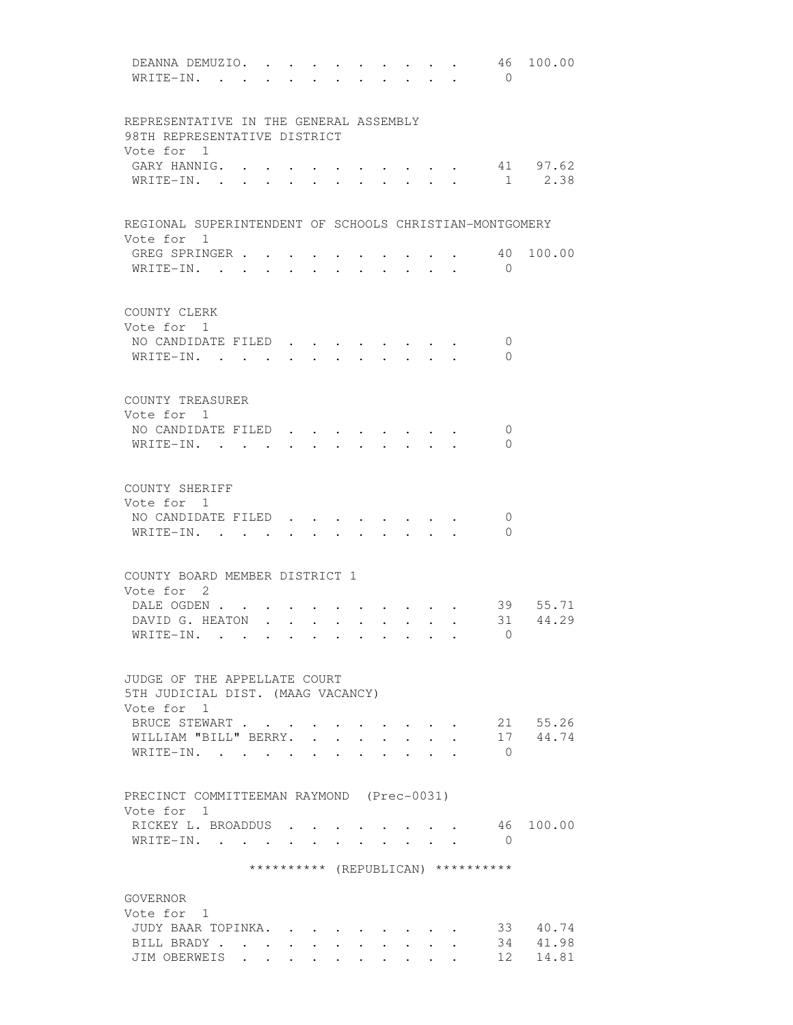| DEANNA DEMUZIO.<br>WRITE-IN.                            |        |                      |                                   |                               |                                         |                                            | 46<br>$\bigcirc$                   | 100.00               |
|---------------------------------------------------------|--------|----------------------|-----------------------------------|-------------------------------|-----------------------------------------|--------------------------------------------|------------------------------------|----------------------|
| REPRESENTATIVE IN THE GENERAL ASSEMBLY                  |        |                      |                                   |                               |                                         |                                            |                                    |                      |
| 98TH REPRESENTATIVE DISTRICT                            |        |                      |                                   |                               |                                         |                                            |                                    |                      |
| Vote for 1                                              |        |                      |                                   |                               |                                         |                                            |                                    |                      |
| GARY HANNIG.                                            |        |                      |                                   |                               |                                         |                                            |                                    | 41 97.62             |
| $W$ RITE-IN                                             |        |                      |                                   |                               |                                         |                                            | 1                                  | 2.38                 |
| REGIONAL SUPERINTENDENT OF SCHOOLS CHRISTIAN-MONTGOMERY |        |                      |                                   |                               |                                         |                                            |                                    |                      |
| Vote for 1                                              |        |                      |                                   |                               |                                         |                                            |                                    |                      |
| GREG SPRINGER<br>WRITE-IN.                              |        |                      |                                   |                               |                                         |                                            | 40<br>$\bigcirc$                   | 100.00               |
| COUNTY CLERK                                            |        |                      |                                   |                               |                                         |                                            |                                    |                      |
| Vote for 1                                              |        |                      |                                   |                               |                                         |                                            |                                    |                      |
| NO CANDIDATE FILED.<br>WRITE-IN.                        |        |                      |                                   |                               |                                         |                                            | 0<br>$\Omega$                      |                      |
|                                                         |        | $\sim$               |                                   |                               | $\mathbf{r}$                            |                                            |                                    |                      |
| COUNTY TREASURER                                        |        |                      |                                   |                               |                                         |                                            |                                    |                      |
| Vote for 1<br>NO CANDIDATE FILED                        |        |                      |                                   |                               |                                         |                                            | 0                                  |                      |
| WRITE-IN. .                                             | $\sim$ |                      |                                   |                               |                                         |                                            | $\Omega$                           |                      |
| COUNTY SHERIFF                                          |        |                      |                                   |                               |                                         |                                            |                                    |                      |
| Vote for 1                                              |        |                      |                                   |                               |                                         |                                            |                                    |                      |
| NO CANDIDATE FILED                                      |        |                      |                                   |                               |                                         |                                            | 0                                  |                      |
| WRITE-IN. .                                             |        |                      |                                   |                               |                                         |                                            | $\Omega$                           |                      |
| COUNTY BOARD MEMBER DISTRICT 1                          |        |                      |                                   |                               |                                         |                                            |                                    |                      |
| Vote for 2                                              |        |                      |                                   |                               |                                         |                                            |                                    |                      |
| DALE OGDEN                                              |        |                      |                                   |                               |                                         |                                            |                                    | 39 55.71             |
| DAVID G. HEATON<br>WRITE-IN.                            |        |                      | $\mathbf{r} = \mathbf{r}$         | $\mathbf{L}$ and $\mathbf{L}$ |                                         | $\mathbf{r}$ , $\mathbf{r}$ , $\mathbf{r}$ | $\overline{0}$                     | 31 44.29             |
|                                                         |        |                      |                                   |                               |                                         |                                            |                                    |                      |
| JUDGE OF THE APPELLATE COURT                            |        |                      |                                   |                               |                                         |                                            |                                    |                      |
| 5TH JUDICIAL DIST. (MAAG VACANCY)<br>Vote for 1         |        |                      |                                   |                               |                                         |                                            |                                    |                      |
| BRUCE STEWART                                           |        | $\ddot{\phantom{0}}$ |                                   |                               |                                         |                                            |                                    | 21 55.26             |
| WILLIAM "BILL" BERRY.                                   |        |                      |                                   |                               | $\cdot$ $\cdot$ $\cdot$ $\cdot$ $\cdot$ |                                            |                                    | 17 44.74             |
| WRITE-IN.                                               |        | $\ddot{\phantom{0}}$ | <b>Contract Contract Contract</b> |                               | $\mathbf{r}$                            |                                            | $\Omega$                           |                      |
| PRECINCT COMMITTEEMAN RAYMOND (Prec-0031)               |        |                      |                                   |                               |                                         |                                            |                                    |                      |
| Vote for 1                                              |        |                      |                                   |                               |                                         |                                            |                                    |                      |
| RICKEY L. BROADDUS                                      |        |                      |                                   |                               |                                         |                                            |                                    | 46 100.00            |
| WRITE-IN.<br>$\sim$                                     | $\sim$ |                      |                                   |                               |                                         |                                            | $\Omega$                           |                      |
|                                                         |        |                      |                                   |                               |                                         |                                            | ********** (REPUBLICAN) ********** |                      |
| GOVERNOR                                                |        |                      |                                   |                               |                                         |                                            |                                    |                      |
| Vote for 1                                              |        |                      |                                   |                               |                                         |                                            |                                    |                      |
| JUDY BAAR TOPINKA.                                      |        |                      |                                   |                               |                                         |                                            |                                    | 33 40.74<br>34 41.98 |
| BILL BRADY                                              |        |                      |                                   |                               |                                         |                                            |                                    |                      |

JIM OBERWEIS . . . . . . . . . . 12 14.81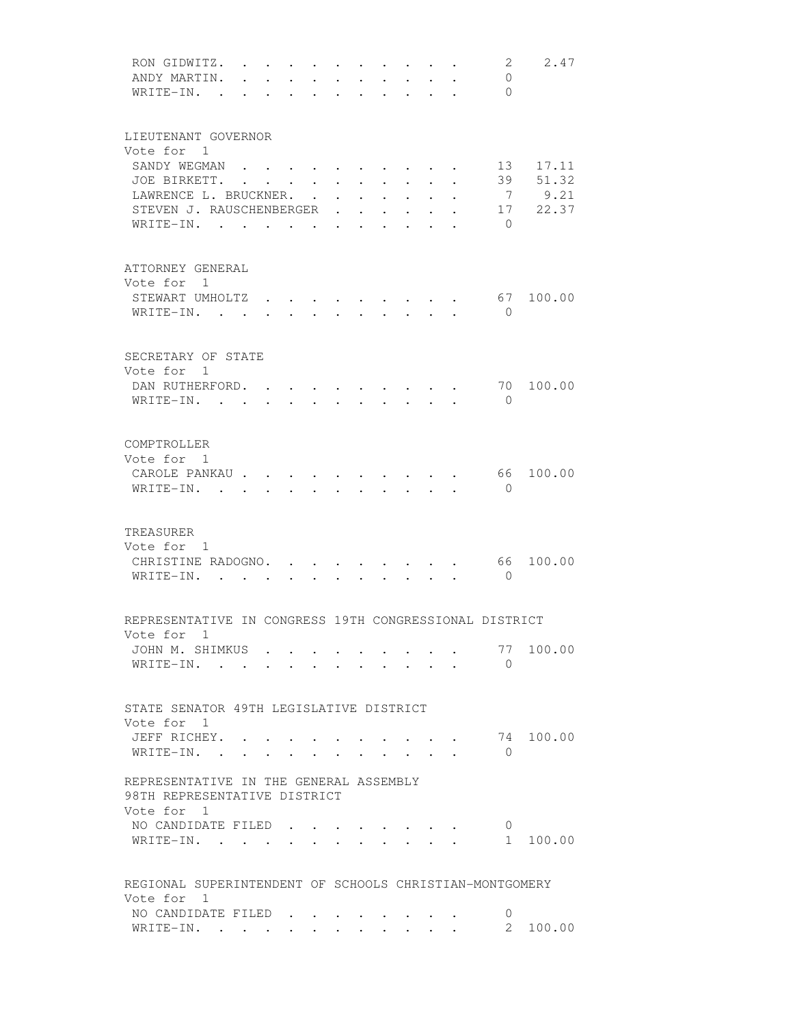| RON GIDWITZ.<br>ANDY MARTIN.                            | $\mathbf{r}$ , and $\mathbf{r}$ , and $\mathbf{r}$ , and $\mathbf{r}$ |                 |                         |                                 |                                                |                                                             |                                                                          |              |                                                             |                                                    | 2<br>$\mathbf{0}$ | 2.47      |
|---------------------------------------------------------|-----------------------------------------------------------------------|-----------------|-------------------------|---------------------------------|------------------------------------------------|-------------------------------------------------------------|--------------------------------------------------------------------------|--------------|-------------------------------------------------------------|----------------------------------------------------|-------------------|-----------|
| WRITE-IN. .                                             |                                                                       |                 |                         |                                 |                                                |                                                             |                                                                          |              |                                                             |                                                    | $\bigcirc$        |           |
|                                                         |                                                                       |                 |                         |                                 |                                                |                                                             |                                                                          |              |                                                             |                                                    |                   |           |
|                                                         |                                                                       |                 |                         |                                 |                                                |                                                             |                                                                          |              |                                                             |                                                    |                   |           |
| LIEUTENANT GOVERNOR                                     |                                                                       |                 |                         |                                 |                                                |                                                             |                                                                          |              |                                                             |                                                    |                   |           |
| Vote for 1                                              |                                                                       |                 |                         |                                 |                                                |                                                             |                                                                          |              |                                                             |                                                    |                   |           |
| SANDY WEGMAN                                            |                                                                       |                 |                         |                                 |                                                |                                                             |                                                                          |              |                                                             |                                                    | 13                | 17.11     |
|                                                         |                                                                       |                 |                         |                                 |                                                |                                                             |                                                                          |              |                                                             |                                                    |                   |           |
| JOE BIRKETT.                                            |                                                                       |                 |                         |                                 |                                                | $\ddot{\phantom{0}}$                                        | $\bullet$ .<br><br><br><br><br><br><br><br><br><br><br><br>              |              | $\bullet$ .<br><br><br><br><br><br><br><br><br><br><br><br> |                                                    | 39                | 51.32     |
| LAWRENCE L. BRUCKNER.                                   |                                                                       |                 |                         |                                 |                                                | $\bullet$ .<br><br><br><br><br><br><br><br><br><br><br><br> | $\ddot{\phantom{0}}$                                                     | $\sim 100$   | $\ddot{\phantom{0}}$                                        |                                                    | $\overline{7}$    | 9.21      |
| STEVEN J. RAUSCHENBERGER .                              |                                                                       |                 |                         |                                 |                                                | $\sim$                                                      |                                                                          |              |                                                             |                                                    |                   | 17 22.37  |
| WRITE-IN. .                                             | $\sim$                                                                |                 | $\cdot$ $\cdot$ $\cdot$ |                                 | $\cdot$                                        |                                                             |                                                                          |              |                                                             |                                                    | $\Omega$          |           |
|                                                         |                                                                       |                 |                         |                                 |                                                |                                                             |                                                                          |              |                                                             |                                                    |                   |           |
|                                                         |                                                                       |                 |                         |                                 |                                                |                                                             |                                                                          |              |                                                             |                                                    |                   |           |
| ATTORNEY GENERAL                                        |                                                                       |                 |                         |                                 |                                                |                                                             |                                                                          |              |                                                             |                                                    |                   |           |
| Vote for 1                                              |                                                                       |                 |                         |                                 |                                                |                                                             |                                                                          |              |                                                             |                                                    |                   |           |
| STEWART UMHOLTZ                                         |                                                                       |                 |                         |                                 |                                                |                                                             |                                                                          |              |                                                             |                                                    | 67                | 100.00    |
| WRITE-IN.                                               |                                                                       |                 |                         | $\cdot$ $\cdot$ $\cdot$ $\cdot$ |                                                |                                                             | $\cdot$ $\cdot$ $\cdot$ $\cdot$                                          |              |                                                             |                                                    | $\bigcirc$        |           |
|                                                         |                                                                       |                 |                         |                                 |                                                |                                                             |                                                                          |              |                                                             |                                                    |                   |           |
|                                                         |                                                                       |                 |                         |                                 |                                                |                                                             |                                                                          |              |                                                             |                                                    |                   |           |
| SECRETARY OF STATE                                      |                                                                       |                 |                         |                                 |                                                |                                                             |                                                                          |              |                                                             |                                                    |                   |           |
| Vote for 1                                              |                                                                       |                 |                         |                                 |                                                |                                                             |                                                                          |              |                                                             |                                                    |                   |           |
| DAN RUTHERFORD.                                         |                                                                       |                 |                         |                                 | $\mathbf{r}$ $\mathbf{r}$                      |                                                             | $\mathbf{r}$ , $\mathbf{r}$ , $\mathbf{r}$ , $\mathbf{r}$ , $\mathbf{r}$ |              |                                                             |                                                    | 70                | 100.00    |
| WRITE-IN.                                               |                                                                       |                 |                         |                                 | $\mathbf{A}$ and $\mathbf{A}$ and $\mathbf{A}$ |                                                             | $\cdot$ $\cdot$ $\cdot$                                                  | $\mathbf{L}$ |                                                             |                                                    | $\Omega$          |           |
|                                                         |                                                                       |                 |                         |                                 |                                                |                                                             |                                                                          |              |                                                             |                                                    |                   |           |
|                                                         |                                                                       |                 |                         |                                 |                                                |                                                             |                                                                          |              |                                                             |                                                    |                   |           |
| COMPTROLLER                                             |                                                                       |                 |                         |                                 |                                                |                                                             |                                                                          |              |                                                             |                                                    |                   |           |
| Vote for 1                                              |                                                                       |                 |                         |                                 |                                                |                                                             |                                                                          |              |                                                             |                                                    |                   |           |
| CAROLE PANKAU                                           |                                                                       |                 |                         |                                 |                                                |                                                             |                                                                          |              |                                                             |                                                    |                   | 66 100.00 |
| $WRITE-IN.$ .                                           |                                                                       |                 |                         |                                 |                                                |                                                             |                                                                          |              |                                                             |                                                    | $\mathbf{0}$      |           |
|                                                         |                                                                       |                 |                         |                                 |                                                |                                                             |                                                                          |              |                                                             |                                                    |                   |           |
|                                                         |                                                                       |                 |                         |                                 |                                                |                                                             |                                                                          |              |                                                             |                                                    |                   |           |
| TREASURER                                               |                                                                       |                 |                         |                                 |                                                |                                                             |                                                                          |              |                                                             |                                                    |                   |           |
| Vote for 1                                              |                                                                       |                 |                         |                                 |                                                |                                                             |                                                                          |              |                                                             |                                                    |                   |           |
| CHRISTINE RADOGNO.                                      |                                                                       |                 |                         |                                 |                                                |                                                             | $\sim$ $\sim$ $\sim$ $\sim$ $\sim$                                       |              |                                                             |                                                    | 66                | 100.00    |
| WRITE-IN.                                               |                                                                       |                 |                         |                                 | $\ddot{\phantom{0}}$                           |                                                             | <b>Contract Contract Contract Contract</b>                               |              |                                                             |                                                    | $\bigcirc$        |           |
|                                                         |                                                                       |                 |                         |                                 |                                                |                                                             |                                                                          |              |                                                             |                                                    |                   |           |
|                                                         |                                                                       |                 |                         |                                 |                                                |                                                             |                                                                          |              |                                                             |                                                    |                   |           |
| REPRESENTATIVE IN CONGRESS 19TH CONGRESSIONAL DISTRICT  |                                                                       |                 |                         |                                 |                                                |                                                             |                                                                          |              |                                                             |                                                    |                   |           |
| Vote for 1                                              |                                                                       |                 |                         |                                 |                                                |                                                             |                                                                          |              |                                                             |                                                    |                   |           |
| JOHN M. SHIMKUS                                         |                                                                       |                 |                         |                                 |                                                |                                                             |                                                                          |              |                                                             |                                                    |                   | 77 100.00 |
| WRITE-IN.                                               |                                                                       |                 |                         |                                 |                                                |                                                             |                                                                          |              |                                                             |                                                    | $\bigcirc$        |           |
|                                                         |                                                                       |                 |                         |                                 |                                                |                                                             |                                                                          |              |                                                             |                                                    |                   |           |
|                                                         |                                                                       |                 |                         |                                 |                                                |                                                             |                                                                          |              |                                                             |                                                    |                   |           |
| STATE SENATOR 49TH LEGISLATIVE DISTRICT                 |                                                                       |                 |                         |                                 |                                                |                                                             |                                                                          |              |                                                             |                                                    |                   |           |
| Vote for 1                                              |                                                                       |                 |                         |                                 |                                                |                                                             |                                                                          |              |                                                             |                                                    |                   |           |
| JEFF RICHEY.                                            |                                                                       |                 |                         |                                 |                                                |                                                             |                                                                          |              |                                                             |                                                    |                   | 74 100.00 |
| WRITE-IN.                                               |                                                                       |                 |                         |                                 |                                                |                                                             |                                                                          |              |                                                             |                                                    | $\Omega$          |           |
|                                                         |                                                                       | $\cdot$ $\cdot$ |                         |                                 |                                                |                                                             |                                                                          | $\mathbf{L}$ |                                                             |                                                    |                   |           |
|                                                         |                                                                       |                 |                         |                                 |                                                |                                                             |                                                                          |              |                                                             |                                                    |                   |           |
| REPRESENTATIVE IN THE GENERAL ASSEMBLY                  |                                                                       |                 |                         |                                 |                                                |                                                             |                                                                          |              |                                                             |                                                    |                   |           |
| 98TH REPRESENTATIVE DISTRICT                            |                                                                       |                 |                         |                                 |                                                |                                                             |                                                                          |              |                                                             |                                                    |                   |           |
| Vote for 1                                              |                                                                       |                 |                         |                                 |                                                |                                                             |                                                                          |              |                                                             |                                                    |                   |           |
| NO CANDIDATE FILED                                      |                                                                       |                 |                         |                                 |                                                |                                                             |                                                                          |              |                                                             |                                                    | Ü                 |           |
| WRITE-IN.                                               |                                                                       |                 |                         |                                 |                                                |                                                             |                                                                          |              |                                                             | $\mathbf{r}$ , and $\mathbf{r}$ , and $\mathbf{r}$ | $1 \quad$         | 100.00    |
|                                                         |                                                                       |                 |                         |                                 |                                                |                                                             |                                                                          |              |                                                             |                                                    |                   |           |
|                                                         |                                                                       |                 |                         |                                 |                                                |                                                             |                                                                          |              |                                                             |                                                    |                   |           |
| REGIONAL SUPERINTENDENT OF SCHOOLS CHRISTIAN-MONTGOMERY |                                                                       |                 |                         |                                 |                                                |                                                             |                                                                          |              |                                                             |                                                    |                   |           |
| Vote for 1                                              |                                                                       |                 |                         |                                 |                                                |                                                             |                                                                          |              |                                                             |                                                    |                   |           |
| NO CANDIDATE FILED                                      |                                                                       |                 |                         |                                 |                                                |                                                             |                                                                          |              |                                                             |                                                    | 0                 |           |
| WRITE-IN.                                               |                                                                       |                 |                         |                                 |                                                |                                                             |                                                                          |              |                                                             |                                                    |                   | 2 100.00  |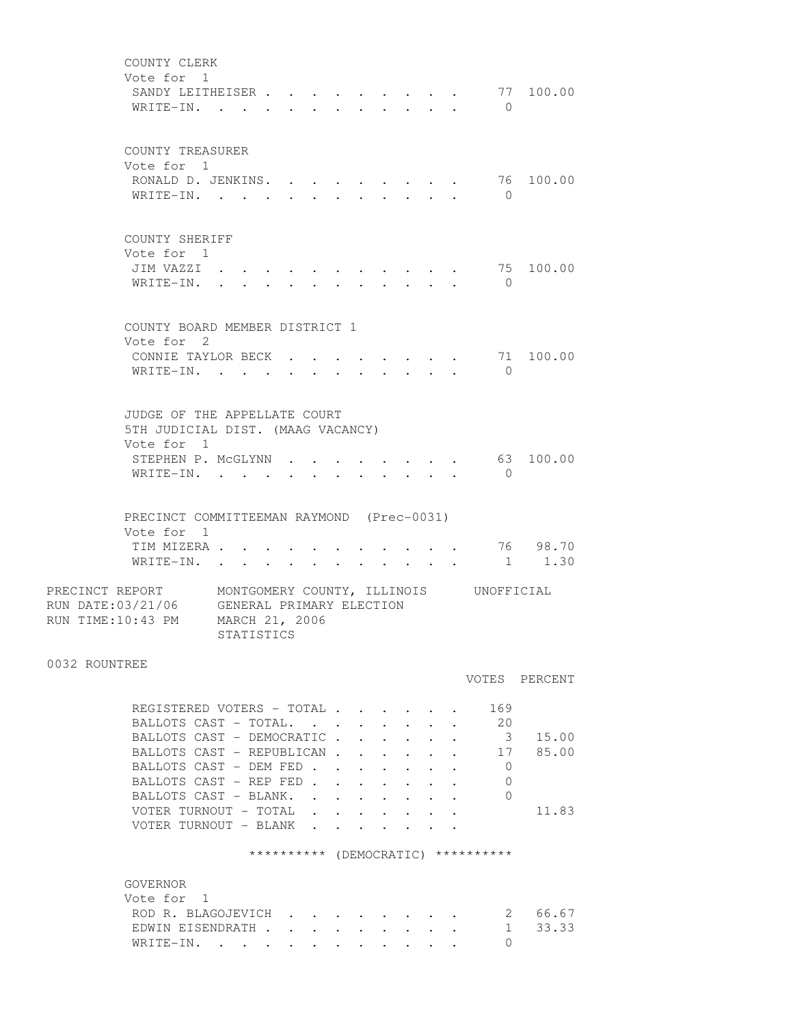COUNTY CLERK Vote for 1 SANDY LEITHEISER . . . . . . . . . 77 100.00 WRITE-IN. . . . . . . . . . . . 0 COUNTY TREASURER Vote for 1 RONALD D. JENKINS. . . . . . . . . 76 100.00 WRITE-IN. . . . . . . . . . . . 0 COUNTY SHERIFF Vote for 1 JIM VAZZI . . . . . . . . . . . 75 100.00 WRITE-IN. . . . . . . . . . . . 0 COUNTY BOARD MEMBER DISTRICT 1 Vote for 2 CONNIE TAYLOR BECK  $\cdot \cdot \cdot \cdot \cdot \cdot \cdot \cdot \cdot \cdot \cdot \cdot \cdot$  71 100.00 WRITE-IN. . . . . . . . . . . . 0 JUDGE OF THE APPELLATE COURT 5TH JUDICIAL DIST. (MAAG VACANCY) Vote for 1 STEPHEN P. MCGLYNN . . . . . . . . . 63 100.00 WRITE-IN. . . . . . . . . . . . 0 PRECINCT COMMITTEEMAN RAYMOND (Prec-0031) Vote for 1 TIM MIZERA . . . . . . . . . . . 76 98.70 WRITE-IN. . . . . . . . . . . . 1 1.30 PRECINCT REPORT MONTGOMERY COUNTY, ILLINOIS UNOFFICIAL RUN DATE:03/21/06 GENERAL PRIMARY ELECTION RUN TIME:10:43 PM MARCH 21, 2006 STATISTICS 0032 ROUNTREE VOTES PERCENT REGISTERED VOTERS - TOTAL . . . . . . 169 BALLOTS CAST - TOTAL. . . . . . . . 20 BALLOTS CAST - DEMOCRATIC . . . . . . 3 15.00 BALLOTS CAST - REPUBLICAN . . . . . . 17 85.00 BALLOTS CAST - DEM FED . . . . . . . 0 BALLOTS CAST - REP FED . . . . . . . 0 BALLOTS CAST - BLANK. . . . . . . . 0 VOTER TURNOUT - TOTAL . . . . . . . 11.83 VOTER TURNOUT - BLANK . . . . \*\*\*\*\*\*\*\*\*\* (DEMOCRATIC) \*\*\*\*\*\*\*\*\*\* GOVERNOR Vote for 1 ROD R. BLAGOJEVICH . . . . . . . . 2 66.67 EDWIN EISENDRATH . . . . . . . . . 1 33.33 WRITE-IN. . . . . . . . . . . . 0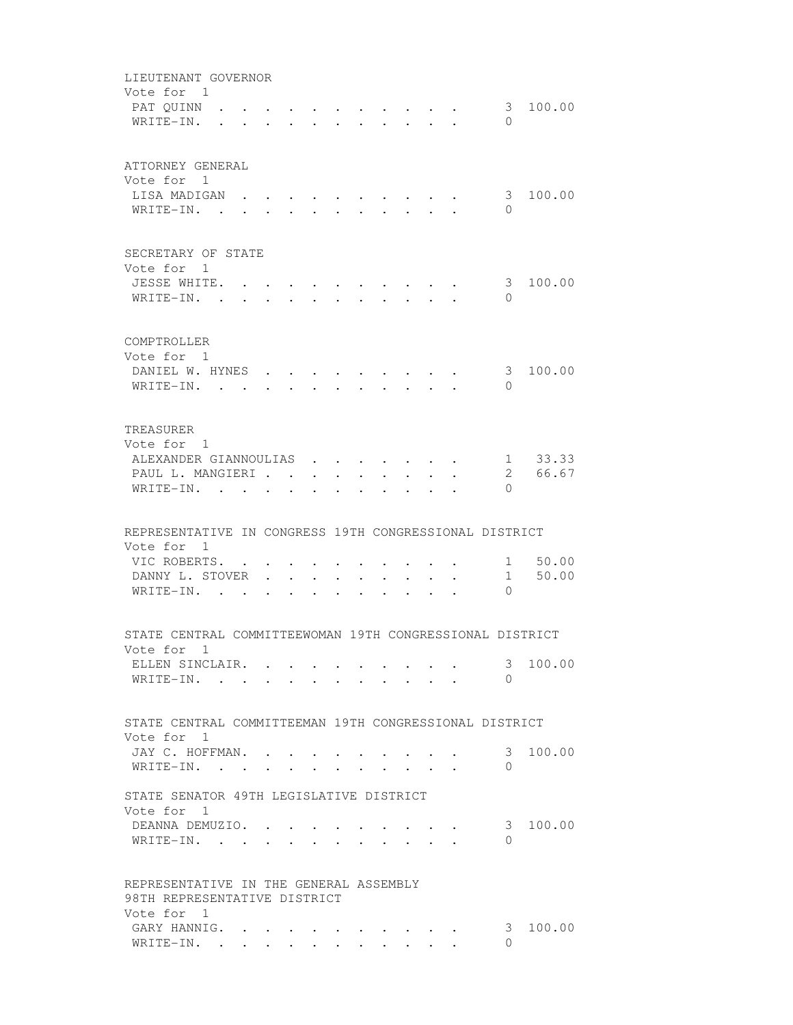LIEUTENANT GOVERNOR Vote for 1<br>PAT QUINN . PAT QUINN . . . . . . . . . . . 3 100.00 WRITE-IN. . . . . . . . . . . . 0 ATTORNEY GENERAL Vote for 1 LISA MADIGAN . . . . . . . . . . 3 100.00 WRITE-IN. . . . . . . . . . . 0 SECRETARY OF STATE Vote for 1 JESSE WHITE. . . . . . . . . . . 3 100.00 WRITE-IN. . . . . . . . . . . 0 COMPTROLLER Vote for 1 DANIEL W. HYNES . . . . . . . . . 3 100.00 WRITE-IN. . . . . . . . . . . . 0 TREASURER Vote for 1 ALEXANDER GIANNOULIAS . . . . . . . 1 33.33 PAUL L. MANGIERI . . . . . . . . . . 2 66.67 WRITE-IN. . . . . . . . . . . 0 REPRESENTATIVE IN CONGRESS 19TH CONGRESSIONAL DISTRICT Vote for 1 VIC ROBERTS. . . . . . . . . . . 1 50.00 DANNY L. STOVER . . . . . . . . . 1 50.00 WRITE-IN. . . . . . . . . . . 0 STATE CENTRAL COMMITTEEWOMAN 19TH CONGRESSIONAL DISTRICT Vote for 1 ELLEN SINCLAIR. . . . . . . . . . . 3 100.00 WRITE-IN. . . . . . . . . . . . 0 STATE CENTRAL COMMITTEEMAN 19TH CONGRESSIONAL DISTRICT Vote for 1 JAY C. HOFFMAN. . . . . . . . . . 3 100.00 WRITE-IN. . . . . . . . . . . . 0 STATE SENATOR 49TH LEGISLATIVE DISTRICT Vote for 1 DEANNA DEMUZIO. . . . . . . . . . 3 100.00 WRITE-IN. . . . . . . . . . . . 0 REPRESENTATIVE IN THE GENERAL ASSEMBLY 98TH REPRESENTATIVE DISTRICT Vote for 1 GARY HANNIG. . . . . . . . . . . . . 3 100.00 WRITE-IN. . . . . . . . . . . . 0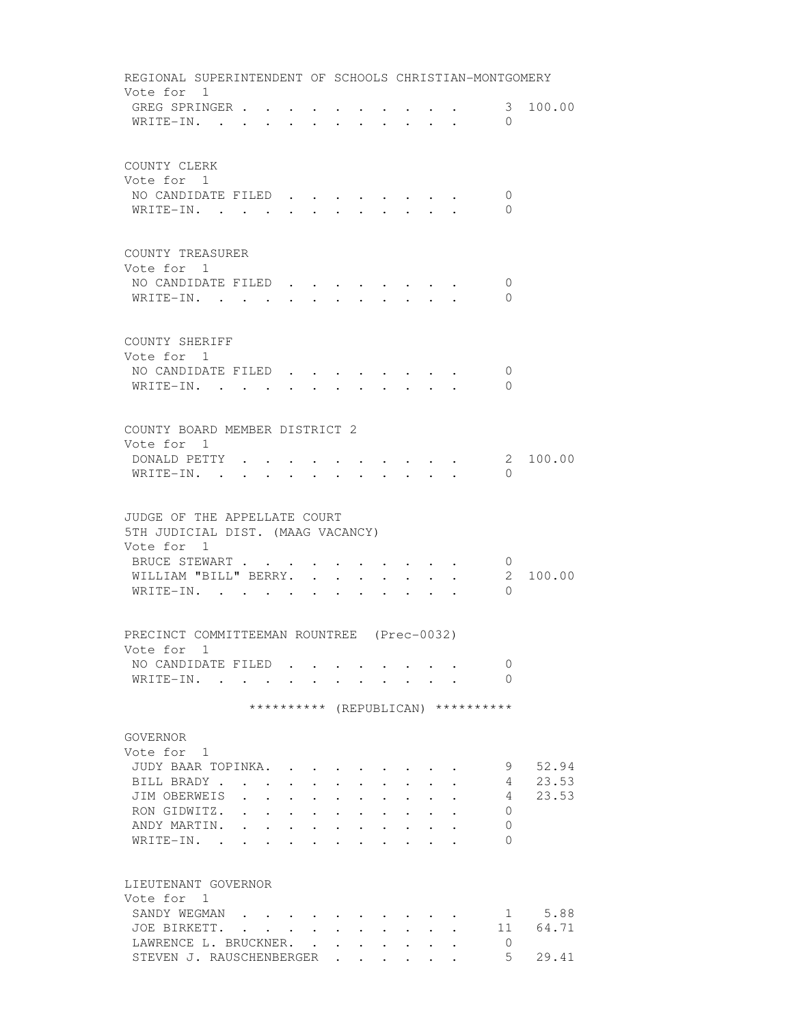| REGIONAL SUPERINTENDENT OF SCHOOLS CHRISTIAN-MONTGOMERY |                                                                                               |                      |                                                           |                                                             |                                                             |                                                                                                             |                                                             |                                                                          |                                    |                |
|---------------------------------------------------------|-----------------------------------------------------------------------------------------------|----------------------|-----------------------------------------------------------|-------------------------------------------------------------|-------------------------------------------------------------|-------------------------------------------------------------------------------------------------------------|-------------------------------------------------------------|--------------------------------------------------------------------------|------------------------------------|----------------|
| Vote for 1                                              |                                                                                               |                      |                                                           |                                                             |                                                             |                                                                                                             |                                                             |                                                                          |                                    |                |
| GREG SPRINGER                                           |                                                                                               |                      |                                                           | $\sim$ 100 $\sim$                                           |                                                             |                                                                                                             |                                                             | $\mathbf{r} = \mathbf{r} + \mathbf{r}$ , where $\mathbf{r} = \mathbf{r}$ |                                    | 3 100.00       |
| WRITE-IN.                                               |                                                                                               | $\sim$               | $\bullet$ . The set of $\bullet$                          |                                                             | $\sim$ $\sim$ $\sim$                                        |                                                                                                             |                                                             | $\cdot$ $\cdot$ $\cdot$ $\cdot$                                          | $\Omega$                           |                |
| COUNTY CLERK                                            |                                                                                               |                      |                                                           |                                                             |                                                             |                                                                                                             |                                                             |                                                                          |                                    |                |
| Vote for 1                                              |                                                                                               |                      |                                                           |                                                             |                                                             |                                                                                                             |                                                             |                                                                          |                                    |                |
| NO CANDIDATE FILED                                      |                                                                                               |                      |                                                           |                                                             |                                                             |                                                                                                             |                                                             |                                                                          | $\mathbf{0}$                       |                |
| WRITE-IN.                                               |                                                                                               |                      |                                                           |                                                             |                                                             |                                                                                                             |                                                             |                                                                          | 0                                  |                |
|                                                         |                                                                                               |                      |                                                           |                                                             |                                                             |                                                                                                             |                                                             |                                                                          |                                    |                |
| COUNTY TREASURER<br>Vote for 1                          |                                                                                               |                      |                                                           |                                                             |                                                             |                                                                                                             |                                                             |                                                                          |                                    |                |
| NO CANDIDATE FILED                                      |                                                                                               |                      |                                                           |                                                             |                                                             |                                                                                                             |                                                             |                                                                          | 0                                  |                |
| WRITE-IN.                                               |                                                                                               |                      |                                                           |                                                             |                                                             |                                                                                                             |                                                             | $\cdot$ , , , , , , , ,                                                  | $\Omega$                           |                |
|                                                         |                                                                                               |                      |                                                           |                                                             |                                                             |                                                                                                             |                                                             |                                                                          |                                    |                |
| COUNTY SHERIFF                                          |                                                                                               |                      |                                                           |                                                             |                                                             |                                                                                                             |                                                             |                                                                          |                                    |                |
| Vote for 1                                              |                                                                                               |                      |                                                           |                                                             |                                                             |                                                                                                             |                                                             |                                                                          |                                    |                |
| NO CANDIDATE FILED                                      |                                                                                               |                      |                                                           |                                                             |                                                             |                                                                                                             |                                                             |                                                                          | 0                                  |                |
| WRITE-IN.                                               |                                                                                               |                      |                                                           |                                                             | $\sim$                                                      | $\sim$                                                                                                      |                                                             |                                                                          | $\Omega$                           |                |
| COUNTY BOARD MEMBER DISTRICT 2                          |                                                                                               |                      |                                                           |                                                             |                                                             |                                                                                                             |                                                             |                                                                          |                                    |                |
| Vote for 1                                              |                                                                                               |                      |                                                           |                                                             |                                                             |                                                                                                             |                                                             |                                                                          |                                    |                |
| DONALD PETTY .                                          |                                                                                               |                      |                                                           |                                                             |                                                             |                                                                                                             |                                                             |                                                                          |                                    | 2 100.00       |
| WRITE-IN. .                                             |                                                                                               |                      |                                                           |                                                             |                                                             |                                                                                                             |                                                             |                                                                          | $\Omega$                           |                |
|                                                         |                                                                                               |                      |                                                           |                                                             |                                                             |                                                                                                             |                                                             |                                                                          |                                    |                |
| JUDGE OF THE APPELLATE COURT                            |                                                                                               |                      |                                                           |                                                             |                                                             |                                                                                                             |                                                             |                                                                          |                                    |                |
| 5TH JUDICIAL DIST. (MAAG VACANCY)                       |                                                                                               |                      |                                                           |                                                             |                                                             |                                                                                                             |                                                             |                                                                          |                                    |                |
| Vote for 1                                              |                                                                                               |                      |                                                           |                                                             |                                                             |                                                                                                             |                                                             |                                                                          |                                    |                |
| BRUCE STEWART                                           |                                                                                               |                      |                                                           |                                                             |                                                             |                                                                                                             |                                                             |                                                                          | $\overline{0}$                     |                |
| WILLIAM "BILL" BERRY.                                   |                                                                                               |                      |                                                           | $\bullet$ .<br><br><br><br><br><br><br><br><br><br><br><br> | $\bullet$ .<br><br><br><br><br><br><br><br><br><br><br><br> |                                                                                                             |                                                             |                                                                          | $\mathbf{2}$                       | 100.00         |
| WRITE-IN.                                               |                                                                                               |                      |                                                           |                                                             |                                                             |                                                                                                             |                                                             |                                                                          | $\Omega$                           |                |
| PRECINCT COMMITTEEMAN ROUNTREE (Prec-0032)              |                                                                                               |                      |                                                           |                                                             |                                                             |                                                                                                             |                                                             |                                                                          |                                    |                |
| Vote for 1                                              |                                                                                               |                      |                                                           |                                                             |                                                             |                                                                                                             |                                                             |                                                                          |                                    |                |
| NO CANDIDATE FILED                                      |                                                                                               |                      |                                                           |                                                             |                                                             |                                                                                                             |                                                             |                                                                          | 0                                  |                |
| WRITE-IN.                                               |                                                                                               |                      |                                                           |                                                             |                                                             |                                                                                                             |                                                             |                                                                          | $\Omega$                           |                |
|                                                         |                                                                                               |                      |                                                           |                                                             |                                                             |                                                                                                             |                                                             |                                                                          | ********** (REPUBLICAN) ********** |                |
|                                                         |                                                                                               |                      |                                                           |                                                             |                                                             |                                                                                                             |                                                             |                                                                          |                                    |                |
| GOVERNOR                                                |                                                                                               |                      |                                                           |                                                             |                                                             |                                                                                                             |                                                             |                                                                          |                                    |                |
| Vote for 1                                              |                                                                                               |                      |                                                           |                                                             |                                                             |                                                                                                             |                                                             |                                                                          |                                    |                |
| JUDY BAAR TOPINKA.                                      |                                                                                               |                      |                                                           |                                                             |                                                             |                                                                                                             |                                                             |                                                                          | 9                                  | 52.94          |
| BILL BRADY                                              |                                                                                               |                      |                                                           |                                                             |                                                             |                                                                                                             |                                                             |                                                                          | 4                                  | 23.53<br>23.53 |
| JIM OBERWEIS<br>RON GIDWITZ. .                          | $\mathbf{r} = \mathbf{r}$                                                                     |                      | $\cdot$ $\cdot$ $\cdot$                                   |                                                             |                                                             | $\cdot$ $\cdot$ $\cdot$ $\cdot$ $\cdot$                                                                     |                                                             |                                                                          | 4<br>0                             |                |
| ANDY MARTIN.                                            | the contract of the contract of the<br>$\mathbf{L}^{\text{max}}$<br>$\mathbf{L}^{\text{max}}$ |                      | $\mathbf{A}^{\text{max}}$ , and $\mathbf{A}^{\text{max}}$ | $\bullet$ . The set of $\bullet$<br>$\bullet$ .             | $\bullet$ .<br><br><br><br><br><br><br><br><br><br><br><br> | $\bullet$ .<br><br><br><br><br><br><br><br><br><br><br><br><br><br>$\mathbf{r} = \mathbf{r} + \mathbf{r}$ . |                                                             |                                                                          | 0                                  |                |
| WRITE-IN.                                               | $\ddot{\phantom{a}}$<br>$\ddot{\phantom{0}}$                                                  | $\ddot{\phantom{0}}$ |                                                           | $\bullet$ .<br><br><br><br><br><br><br><br><br><br><br><br> |                                                             | $\mathbf{r} = \mathbf{r} + \mathbf{r}$ .                                                                    |                                                             |                                                                          | $\Omega$                           |                |
|                                                         |                                                                                               |                      |                                                           |                                                             |                                                             |                                                                                                             |                                                             |                                                                          |                                    |                |
| LIEUTENANT GOVERNOR                                     |                                                                                               |                      |                                                           |                                                             |                                                             |                                                                                                             |                                                             |                                                                          |                                    |                |
| Vote for 1                                              |                                                                                               |                      |                                                           |                                                             |                                                             |                                                                                                             |                                                             |                                                                          |                                    | 1 5.88         |
| SANDY WEGMAN<br>JOE BIRKETT.                            |                                                                                               |                      |                                                           |                                                             |                                                             |                                                                                                             |                                                             |                                                                          |                                    | 11 64.71       |
| LAWRENCE L. BRUCKNER.                                   |                                                                                               |                      |                                                           |                                                             |                                                             |                                                                                                             | $\bullet$ .<br><br><br><br><br><br><br><br><br><br><br><br> |                                                                          | 0                                  |                |
| STEVEN J. RAUSCHENBERGER                                |                                                                                               |                      |                                                           |                                                             |                                                             |                                                                                                             |                                                             |                                                                          | 5                                  | 29.41          |
|                                                         |                                                                                               |                      |                                                           |                                                             |                                                             |                                                                                                             |                                                             |                                                                          |                                    |                |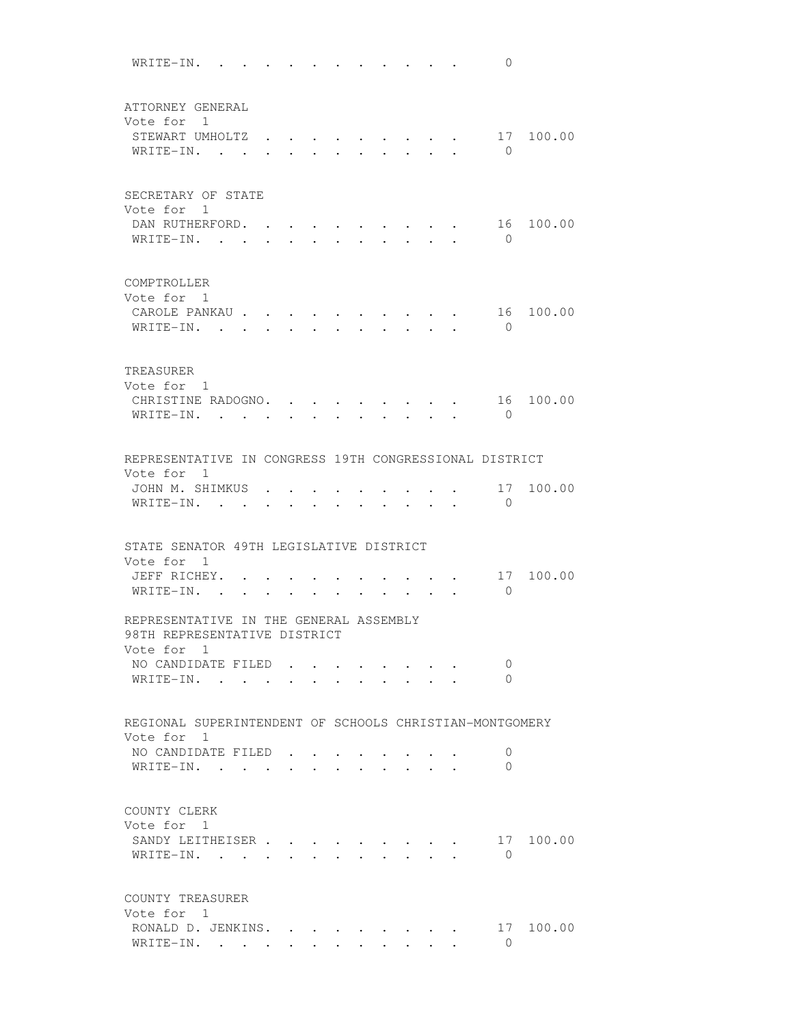WRITE-IN. . . . . . . . . . . . 0 ATTORNEY GENERAL Vote for 1 STEWART UMHOLTZ . . . . . . . . . 17 100.00 WRITE-IN. . . . . . . . . . . . 0 SECRETARY OF STATE Vote for 1 DAN RUTHERFORD. . . . . . . . . . 16 100.00 WRITE-IN. . . . . . . . . . . . 0 COMPTROLLER Vote for 1 CAROLE PANKAU . . . . . . . . . . 16 100.00 WRITE-IN. . . . . . . . . . . . 0 TREASURER Vote for 1 CHRISTINE RADOGNO. . . . . . . . . 16 100.00 WRITE-IN. . . . . . . . . . . 0 REPRESENTATIVE IN CONGRESS 19TH CONGRESSIONAL DISTRICT Vote for 1 JOHN M. SHIMKUS . . . . . . . . . . 17 100.00 WRITE-IN. . . . . . . . . . . 0 STATE SENATOR 49TH LEGISLATIVE DISTRICT Vote for 1 JEFF RICHEY. . . . . . . . . . . 17 100.00 WRITE-IN. . . . . . . . . . . 0 REPRESENTATIVE IN THE GENERAL ASSEMBLY 98TH REPRESENTATIVE DISTRICT Vote for 1 NO CANDIDATE FILED . . . . . . . . 0 WRITE-IN. . . . . . . . . . . 0 REGIONAL SUPERINTENDENT OF SCHOOLS CHRISTIAN-MONTGOMERY Vote for 1 NO CANDIDATE FILED . . . . . . . . 0 WRITE-IN. . . . . . . . . . . . 0 COUNTY CLERK Vote for 1 SANDY LEITHEISER . . . . . . . . . 17 100.00 WRITE-IN. . . . . . . . . . . 0 COUNTY TREASURER Vote for 1 RONALD D. JENKINS. . . . . . . . . 17 100.00 WRITE-IN. . . . . . . . . . . . 0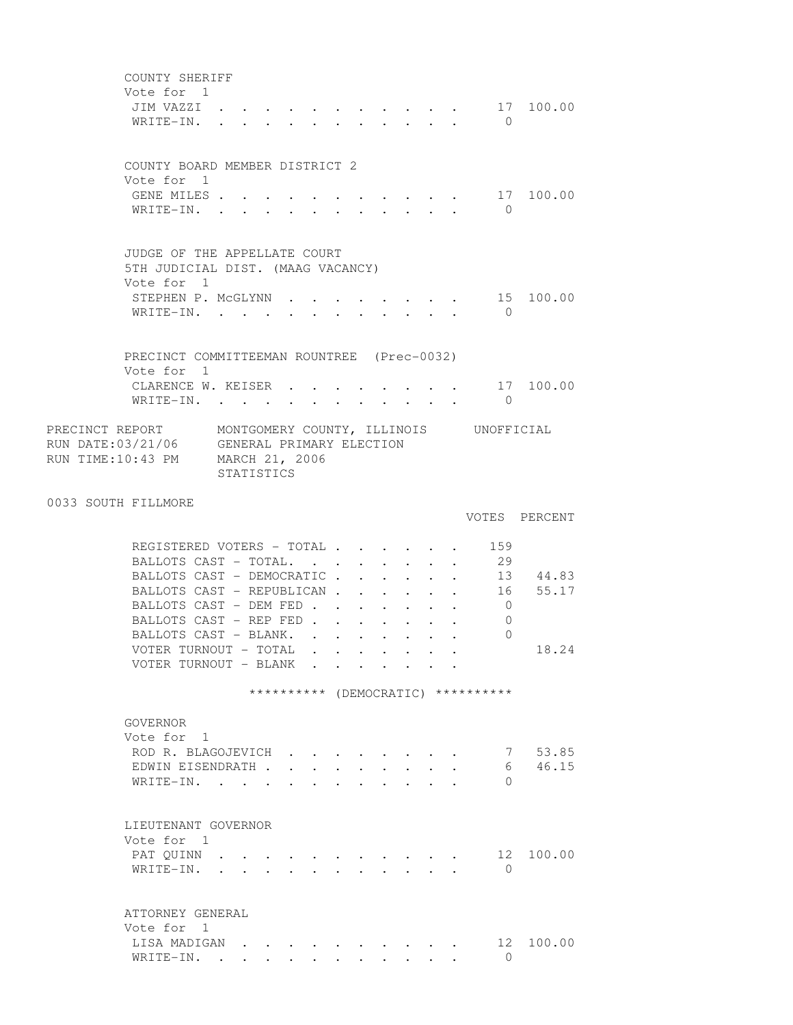COUNTY SHERIFF Vote for 1 JIM VAZZI . . . . . . . . . . . 17 100.00 WRITE-IN. . . . . . . . . . . . 0 COUNTY BOARD MEMBER DISTRICT 2 Vote for 1 GENE MILES . . . . . . . . . . . . 17 100.00 WRITE-IN. . . . . . . . . . . 0 JUDGE OF THE APPELLATE COURT 5TH JUDICIAL DIST. (MAAG VACANCY) Vote for 1 STEPHEN P. MCGLYNN . . . . . . . . 15 100.00 WRITE-IN. . . . . . . . . . . . 0 PRECINCT COMMITTEEMAN ROUNTREE (Prec-0032) Vote for 1 CLARENCE W. KEISER . . . . . . . . 17 100.00 WRITE-IN. . . . . . . . . . . . 0 PRECINCT REPORT MONTGOMERY COUNTY, ILLINOIS UNOFFICIAL RUN DATE:03/21/06 GENERAL PRIMARY ELECTION RUN TIME:10:43 PM MARCH 21, 2006 STATISTICS 0033 SOUTH FILLMORE VOTES PERCENT REGISTERED VOTERS - TOTAL . . . . . . 159 BALLOTS CAST - TOTAL. . . . . . . . 29 BALLOTS CAST - DEMOCRATIC . . . . . . 13 44.83 BALLOTS CAST - REPUBLICAN . . . . . . 16 55.17 BALLOTS CAST - DEM FED . . . . . . . 0 BALLOTS CAST - REP FED . . . . . . 0 BALLOTS CAST - BLANK. . . . . . . . 0 VOTER TURNOUT - TOTAL . . . . . . . 18.24 VOTER TURNOUT - BLANK . . . . . . . \*\*\*\*\*\*\*\*\*\* (DEMOCRATIC) \*\*\*\*\*\*\*\*\*\* GOVERNOR Vote for 1 ROD R. BLAGOJEVICH . . . . . . . . 7 53.85 EDWIN EISENDRATH . . . . . . . . . 6 46.15 WRITE-IN. . . . . . . . . . . . 0 LIEUTENANT GOVERNOR Vote for 1 PAT QUINN . . . . . . . . . . . . 12 100.00 WRITE-IN. . . . . . . . . . . . 0 ATTORNEY GENERAL Vote for 1 LISA MADIGAN . . . . . . . . . . 12 100.00 WRITE-IN. . . . . . . . . . . . 0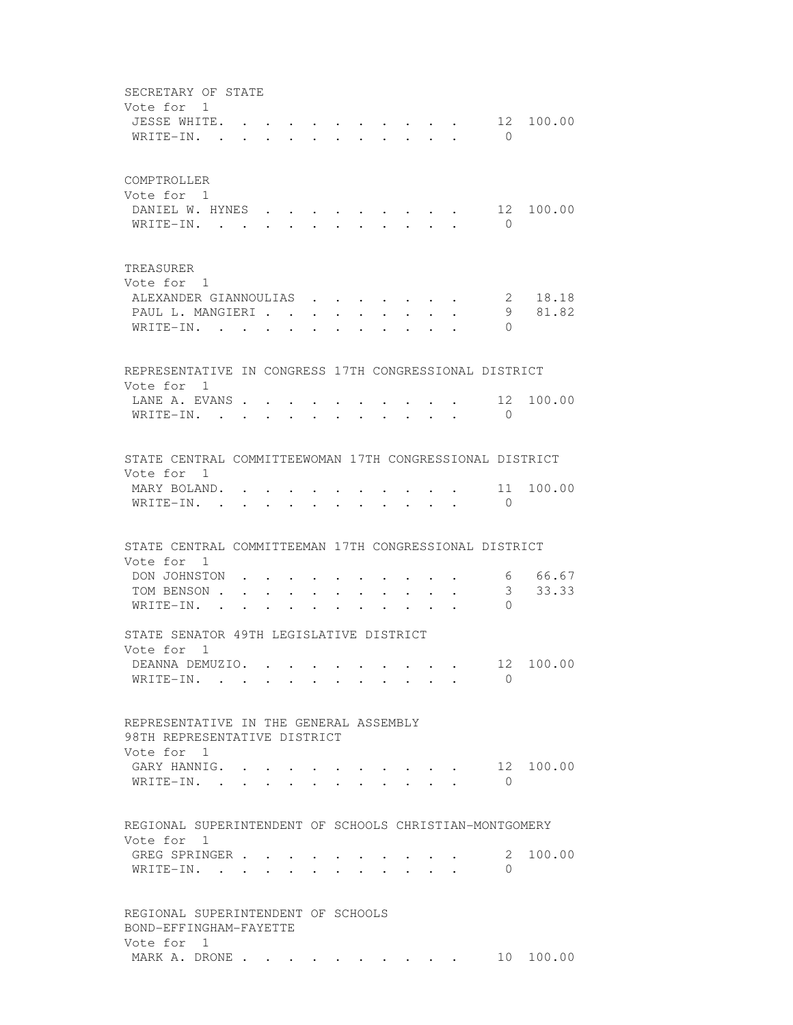SECRETARY OF STATE Vote for 1 JESSE WHITE. . . . . . . . . . . 12 100.00 WRITE-IN. . . . . . . . . . . 0 COMPTROLLER Vote for 1 DANIEL W. HYNES . . . . . . . . . 12 100.00 WRITE-IN. . . . . . . . . . . 0 TREASURER Vote for 1 ALEXANDER GIANNOULIAS . . . . . . . 2 18.18 PAUL L. MANGIERI . . . . . . . . . 9 81.82 WRITE-IN. . . . . . . . . . . 0 REPRESENTATIVE IN CONGRESS 17TH CONGRESSIONAL DISTRICT Vote for 1 LANE A. EVANS . . . . . . . . . . . 12 100.00 WRITE-IN. . . . . . . . . . . 0 STATE CENTRAL COMMITTEEWOMAN 17TH CONGRESSIONAL DISTRICT Vote for 1 MARY BOLAND. . . . . . . . . . . 11 100.00 WRITE-IN. . . . . . . . . . . . 0 STATE CENTRAL COMMITTEEMAN 17TH CONGRESSIONAL DISTRICT Vote for 1 DON JOHNSTON . . . . . . . . . . 6 66.67 TOM BENSON . . . . . . . . . . . . 3 33.33 WRITE-IN. . . . . . . . . . . 0 STATE SENATOR 49TH LEGISLATIVE DISTRICT Vote for 1 DEANNA DEMUZIO. . . . . . . . . . 12 100.00 WRITE-IN. . . . . . . . . . . . 0 REPRESENTATIVE IN THE GENERAL ASSEMBLY 98TH REPRESENTATIVE DISTRICT Vote for 1 GARY HANNIG. . . . . . . . . . . 12 100.00 WRITE-IN. . . . . . . . . . . . 0 REGIONAL SUPERINTENDENT OF SCHOOLS CHRISTIAN-MONTGOMERY Vote for 1 GREG SPRINGER . . . . . . . . . . 2 100.00 WRITE-IN. . . . . . . . . . . 0 REGIONAL SUPERINTENDENT OF SCHOOLS BOND-EFFINGHAM-FAYETTE Vote for 1 MARK A. DRONE . . . . . . . . . . . 10 100.00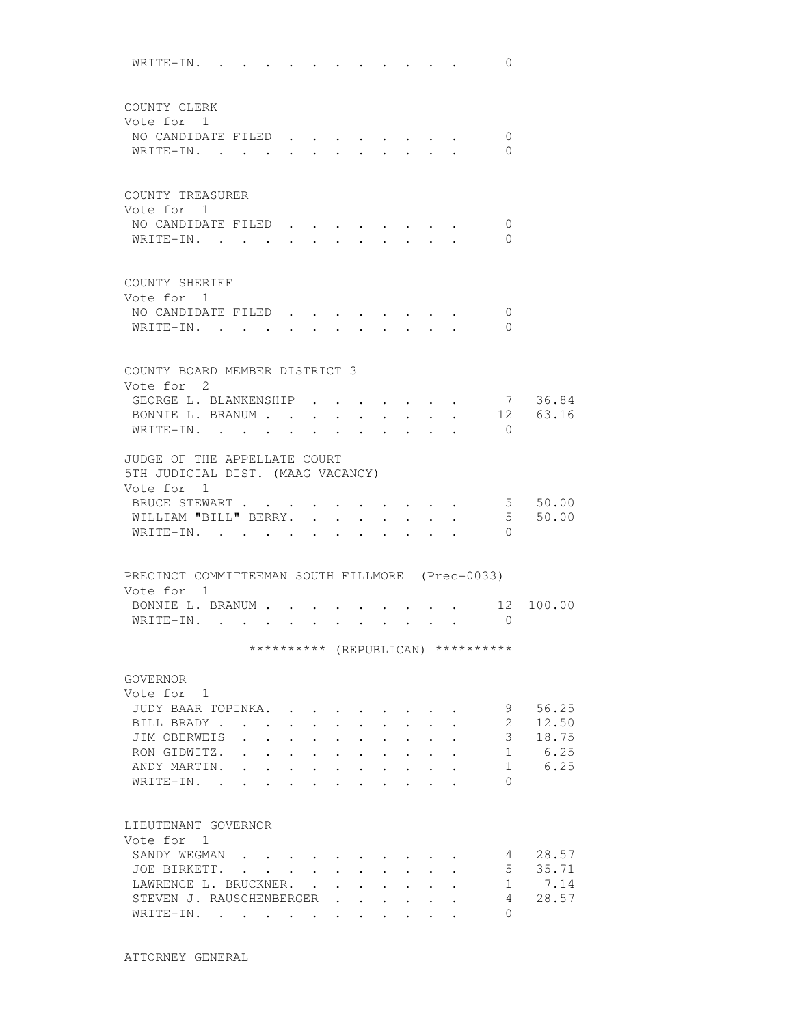WRITE-IN. . . . . . . . . . . . 0 COUNTY CLERK Vote for 1 NO CANDIDATE FILED . . . . . . . . 0 WRITE-IN. . . . . . . . . . . . 0 COUNTY TREASURER Vote for 1 NO CANDIDATE FILED . . . . . . . . 0 WRITE-IN. . . . . . . . . . . . 0 COUNTY SHERIFF Vote for 1 NO CANDIDATE FILED . . . . . . . . 0 WRITE-IN. . . . . . . . . . . 0 COUNTY BOARD MEMBER DISTRICT 3 Vote for 2 GEORGE L. BLANKENSHIP . . . . . . . 7 36.84<br>RONNIE L. BRANUM . . . . . . . . . 12 63.16 BONNIE L. BRANUM . . . . . . . . . . 12 63.16 WRITE-IN. . . . . . . . . . . 0 JUDGE OF THE APPELLATE COURT 5TH JUDICIAL DIST. (MAAG VACANCY) Vote for 1 BRUCE STEWART . . . . . . . . . . 5 50.00 WILLIAM "BILL" BERRY. . . . . . . . 5 50.00 WRITE-IN. . . . . . . . . . . . 0 PRECINCT COMMITTEEMAN SOUTH FILLMORE (Prec-0033) Vote for 1 BONNIE L. BRANUM . . . . . . . . . . 12 100.00 WRITE-IN. . . . . . . . . . . . 0 \*\*\*\*\*\*\*\*\*\* (REPUBLICAN) \*\*\*\*\*\*\*\*\*\* GOVERNOR Vote for 1 JUDY BAAR TOPINKA. . . . . . . . . 9 56.25 BILL BRADY . . . . . . . . . . . . 2 12.50 JIM OBERWEIS . . . . . . . . . . . 3 18.75 RON GIDWITZ. . . . . . . . . . . 1 6.25 ANDY MARTIN. . . . . . . . . . . 1 6.25 WRITE-IN. . . . . . . . . . . . 0 LIEUTENANT GOVERNOR Vote for 1 SANDY WEGMAN . . . . . . . . . . 4 28.57 JOE BIRKETT. . . . . . . . . . . 5 35.71 LAWRENCE L. BRUCKNER. . . . . . . . 1 7.14 STEVEN J. RAUSCHENBERGER . . . . . . 4 28.57 WRITE-IN. . . . . . . . . . . . 0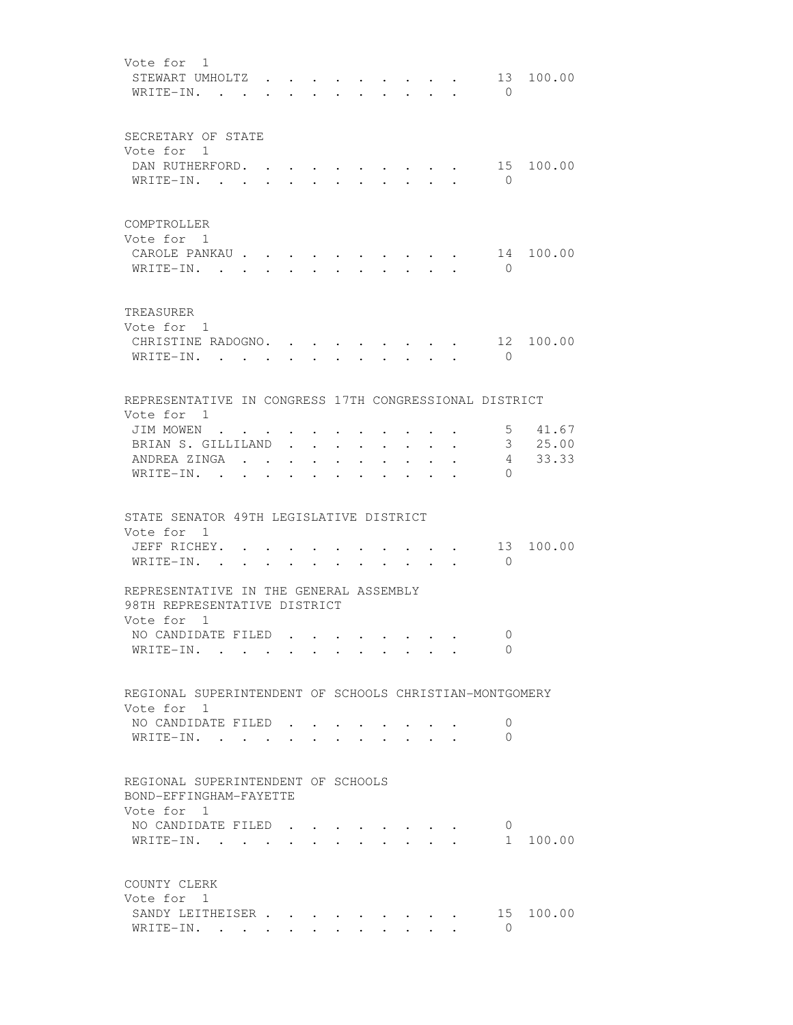| Vote for 1<br>STEWART UMHOLTZ.<br>WRITE-IN. .                                  |              |         |                                                                                 |           |                                  |                  |                                                                                             |                                                                 |                                                             |                                                             | $\bigcirc$                 | 13 100.00                    |
|--------------------------------------------------------------------------------|--------------|---------|---------------------------------------------------------------------------------|-----------|----------------------------------|------------------|---------------------------------------------------------------------------------------------|-----------------------------------------------------------------|-------------------------------------------------------------|-------------------------------------------------------------|----------------------------|------------------------------|
| SECRETARY OF STATE<br>Vote for 1<br>DAN RUTHERFORD. .<br>WRITE-IN.             |              |         | $\ddot{\phantom{0}}$                                                            | $\sim$    | $\bullet$ . The set of $\bullet$ |                  | the contract of the contract of the con-<br>$\cdot$ $\cdot$ $\cdot$ $\cdot$ $\cdot$ $\cdot$ |                                                                 |                                                             |                                                             | 15<br>$\bigcirc$           | 100.00                       |
| COMPTROLLER<br>Vote for 1<br>CAROLE PANKAU .<br>WRITE-IN.                      |              |         |                                                                                 |           |                                  |                  |                                                                                             |                                                                 |                                                             |                                                             | 14<br>$\bigcirc$           | 100.00                       |
| TREASURER<br>Vote for 1<br>CHRISTINE RADOGNO. .<br>WRITE-IN. .                 |              |         |                                                                                 |           |                                  |                  |                                                                                             |                                                                 |                                                             |                                                             | $\bigcirc$                 | 12 100.00                    |
| REPRESENTATIVE IN CONGRESS 17TH CONGRESSIONAL DISTRICT                         |              |         |                                                                                 |           |                                  |                  |                                                                                             |                                                                 |                                                             |                                                             |                            |                              |
| Vote for 1<br>JIM MOWEN<br>BRIAN S. GILLILAND<br>ANDREA ZINGA .<br>WRITE-IN. . | $\bullet$    | $\cdot$ | $\bullet$ .<br><br><br><br><br><br><br><br><br><br><br><br><br><br><br><br><br> | $\bullet$ |                                  | $\sim$ 100 $\mu$ | $\ddot{\phantom{0}}$                                                                        | $\bullet$ .<br><br><br><br><br><br><br><br><br><br><br><br><br> | $\bullet$ .<br><br><br><br><br><br><br><br><br><br><br><br> | $\bullet$ .<br><br><br><br><br><br><br><br><br><br><br><br> | $5 -$<br>$\Omega$          | 41.67<br>3, 25.00<br>4 33.33 |
| STATE SENATOR 49TH LEGISLATIVE DISTRICT                                        |              |         |                                                                                 |           |                                  |                  |                                                                                             |                                                                 |                                                             |                                                             |                            |                              |
| Vote for 1<br>JEFF RICHEY. .<br>WRITE-IN. .                                    | $\mathbf{r}$ |         |                                                                                 |           |                                  |                  |                                                                                             | $\cdot$ $\cdot$ $\cdot$ $\cdot$                                 | $\cdot$ $\cdot$                                             |                                                             | 13<br>$\overline{0}$       | 100.00                       |
| REPRESENTATIVE IN THE GENERAL ASSEMBLY<br>98TH REPRESENTATIVE DISTRICT         |              |         |                                                                                 |           |                                  |                  |                                                                                             |                                                                 |                                                             |                                                             |                            |                              |
| Vote for 1<br>NO CANDIDATE FILED<br>WRITE-IN.                                  |              |         |                                                                                 |           |                                  |                  |                                                                                             |                                                                 |                                                             |                                                             | $\overline{0}$<br>$\Omega$ |                              |
| REGIONAL SUPERINTENDENT OF SCHOOLS CHRISTIAN-MONTGOMERY                        |              |         |                                                                                 |           |                                  |                  |                                                                                             |                                                                 |                                                             |                                                             |                            |                              |
| Vote for 1<br>NO CANDIDATE FILED<br>WRITE-IN. .                                |              |         |                                                                                 |           |                                  |                  |                                                                                             |                                                                 |                                                             |                                                             | 0<br>0                     |                              |
| REGIONAL SUPERINTENDENT OF SCHOOLS<br>BOND-EFFINGHAM-FAYETTE                   |              |         |                                                                                 |           |                                  |                  |                                                                                             |                                                                 |                                                             |                                                             |                            |                              |
| Vote for 1<br>NO CANDIDATE FILED<br>WRITE-IN.                                  |              |         |                                                                                 |           |                                  |                  | $\cdot$ , , , , , , , ,<br>$\cdot$ $\cdot$ $\cdot$ $\cdot$ $\cdot$ $\cdot$                  |                                                                 |                                                             |                                                             | 0<br>1                     | 100.00                       |
| COUNTY CLERK<br>Vote for 1                                                     |              |         |                                                                                 |           |                                  |                  |                                                                                             |                                                                 |                                                             |                                                             |                            |                              |
| SANDY LEITHEISER<br>WRITE-IN.                                                  |              |         |                                                                                 |           |                                  |                  |                                                                                             |                                                                 |                                                             |                                                             | 15<br>$\Omega$             | 100.00                       |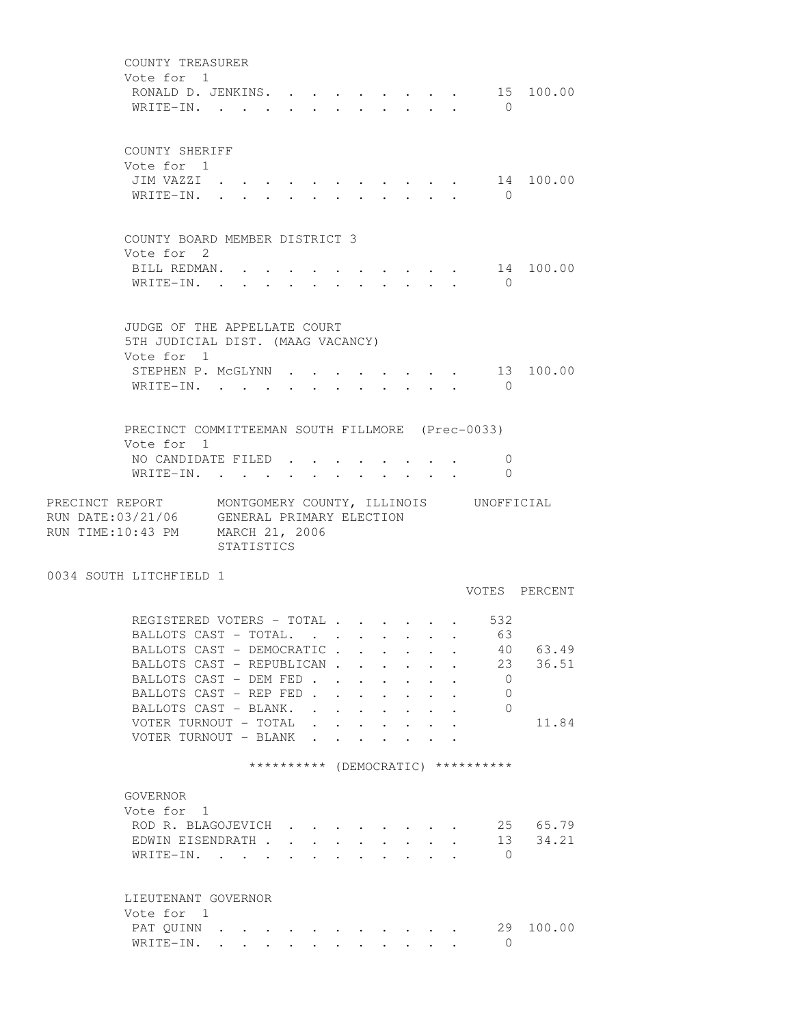COUNTY TREASURER Vote for 1 RONALD D. JENKINS. . . . . . . . . 15 100.00 WRITE-IN. . . . . . . . . . . . 0 COUNTY SHERIFF Vote for 1 JIM VAZZI . . . . . . . . . . . 14 100.00 WRITE-IN. . . . . . . . . . . . 0 COUNTY BOARD MEMBER DISTRICT 3 Vote for 2 BILL REDMAN. . . . . . . . . . . 14 100.00 WRITE-IN. . . . . . . . . . . . 0 JUDGE OF THE APPELLATE COURT 5TH JUDICIAL DIST. (MAAG VACANCY) Vote for 1 STEPHEN P. MCGLYNN . . . . . . . . 13 100.00 WRITE-IN. . . . . . . . . . . . 0 PRECINCT COMMITTEEMAN SOUTH FILLMORE (Prec-0033) Vote for 1 NO CANDIDATE FILED . . . . . . . . 0 WRITE-IN. . . . . . . . . . . . 0 PRECINCT REPORT MONTGOMERY COUNTY, ILLINOIS UNOFFICIAL RUN DATE:03/21/06 GENERAL PRIMARY ELECTION RUN TIME:10:43 PM MARCH 21, 2006 STATISTICS 0034 SOUTH LITCHFIELD 1 VOTES PERCENT REGISTERED VOTERS - TOTAL . . . . . . 532<br>BALLOTS CAST - TOTAL. . . . . . . . 63<br>BALLOTS CAST - DEMOCRATIC . . . . . . 40 BALLOTS CAST - TOTAL. . . . . . . 63 BALLOTS CAST - DEMOCRATIC . . . . . . 40 63.49 BALLOTS CAST - REPUBLICAN . . . . . . 23 36.51 BALLOTS CAST - DEM FED . . . . . . . 0 BALLOTS CAST - REP FED . . . . . . 0 BALLOTS CAST - BLANK. . . . . . . . 0 VOTER TURNOUT - TOTAL . . . . . . . 11.84 VOTER TURNOUT - BLANK . . . . \*\*\*\*\*\*\*\*\*\* (DEMOCRATIC) \*\*\*\*\*\*\*\*\*\* GOVERNOR Vote for 1 ROD R. BLAGOJEVICH . . . . . . . . 25 65.79 EDWIN EISENDRATH . . . . . . . . . 13 34.21 WRITE-IN. . . . . . . . . . . . 0 LIEUTENANT GOVERNOR Vote for 1 PAT QUINN . . . . . . . . . . . 29 100.00 WRITE-IN. . . . . . . . . . . . 0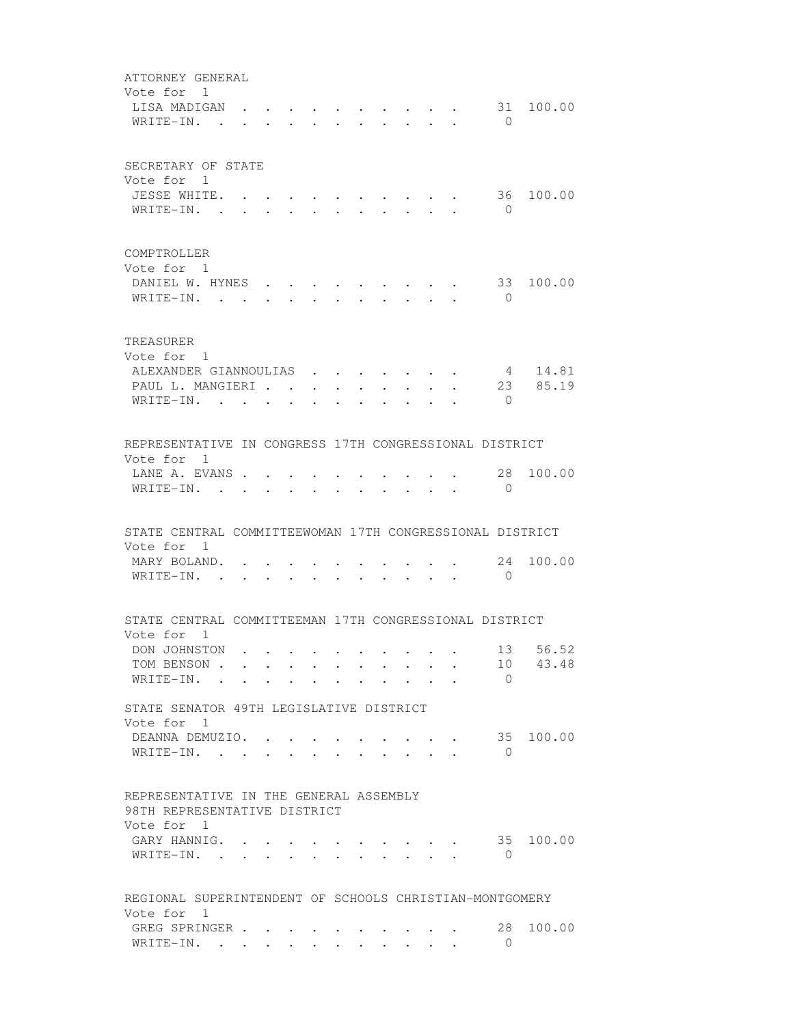ATTORNEY GENERAL Vote for 1<br>LISA MADIGAN . . . . .  $\cdot \cdot \cdot \cdot \cdot \cdot$  . . . 31 100.00 WRITE-IN. . . . . . . . . . . . 0 SECRETARY OF STATE Vote for 1 JESSE WHITE. . . . . . . . . . . 36 100.00 WRITE-IN. . . . . . . . . . . 0 COMPTROLLER Vote for 1 DANIEL W. HYNES . . . . . . . . . 33 100.00 WRITE-IN. . . . . . . . . . . . 0 TREASURER Vote for 1 ALEXANDER GIANNOULIAS . . . . . . . 4 14.81<br>PAUL L. MANGIERI . . . . . . . . . 23 85.19 PAUL L. MANGIERI . . . . . . . . . WRITE-IN. . . . . . . . . . . . 0 REPRESENTATIVE IN CONGRESS 17TH CONGRESSIONAL DISTRICT Vote for 1 LANE A. EVANS . . . . . . . . . . 28 100.00 WRITE-IN. . . . . . . . . . . . 0 STATE CENTRAL COMMITTEEWOMAN 17TH CONGRESSIONAL DISTRICT Vote for 1 MARY BOLAND. . . . . . . . . . . 24 100.00 WRITE-IN. . . . . . . . . . . 0 STATE CENTRAL COMMITTEEMAN 17TH CONGRESSIONAL DISTRICT Vote for 1 DON JOHNSTON . . . . . . . . . . . 13 56.52<br>TOM BENSON . . . . . . . . . . . 10 43.48 TOM BENSON . . . . . . . . . . . WRITE-IN. . . . . . . . . . . 0 STATE SENATOR 49TH LEGISLATIVE DISTRICT Vote for 1 DEANNA DEMUZIO. . . . . . . . . . 35 100.00 WRITE-IN. . . . . . . . . . . . 0 REPRESENTATIVE IN THE GENERAL ASSEMBLY 98TH REPRESENTATIVE DISTRICT Vote for 1 GARY HANNIG. . . . . . . . . . . 35 100.00 WRITE-IN. . . . . . . . . . . 0 REGIONAL SUPERINTENDENT OF SCHOOLS CHRISTIAN-MONTGOMERY Vote for 1 GREG SPRINGER . . . . . . . . . . 28 100.00 WRITE-IN. . . . . . . . . . . . 0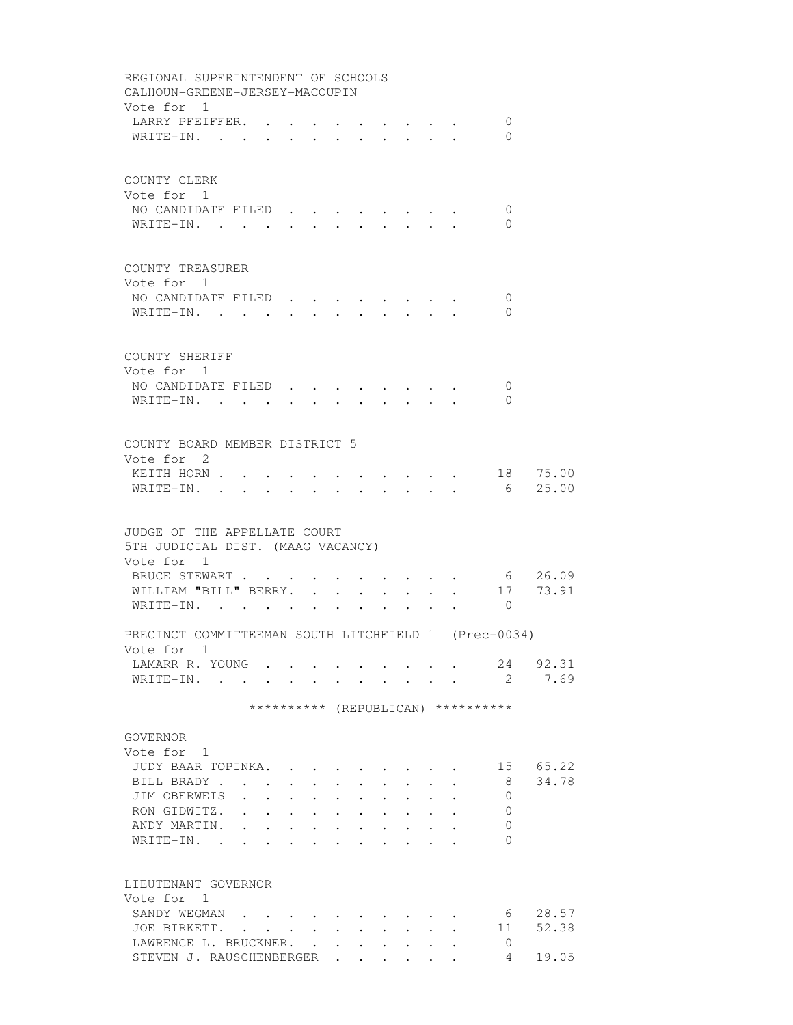| REGIONAL SUPERINTENDENT OF SCHOOLS<br>CALHOUN-GREENE-JERSEY-MACOUPIN                                                                                                 |
|----------------------------------------------------------------------------------------------------------------------------------------------------------------------|
| Vote for 1<br>LARRY PFEIFFER. .<br>0<br>$\mathbf{L}$ , and $\mathbf{L}$ , and $\mathbf{L}$<br>WRITE-IN.<br>$\Omega$<br>$\mathbf{L}^{\text{max}}$<br>$\sim$<br>$\sim$ |
| COUNTY CLERK                                                                                                                                                         |
| Vote for 1<br>NO CANDIDATE FILED.<br>$\mathbf{0}$<br>WRITE-IN.<br>$\mathbf{0}$                                                                                       |
| COUNTY TREASURER                                                                                                                                                     |
| Vote for 1                                                                                                                                                           |
| NO CANDIDATE FILED.<br>0                                                                                                                                             |
| WRITE-IN.<br>$\Omega$<br>$\cdot$ $\cdot$ $\cdot$ $\cdot$ $\cdot$ $\cdot$<br>$\bullet$ .<br><br><br><br><br><br><br><br><br><br><br><br><br><br>$\sim$ 100 $\mu$      |
| COUNTY SHERIFF                                                                                                                                                       |
| Vote for 1<br>NO CANDIDATE FILED.<br>0                                                                                                                               |
| $\sim$<br>WRITE-IN.<br>$\Omega$<br>$\mathbf{r}$<br>$\sim$                                                                                                            |
|                                                                                                                                                                      |
| COUNTY BOARD MEMBER DISTRICT 5                                                                                                                                       |
| Vote for 2                                                                                                                                                           |
| 18 75.00<br>KEITH HORN<br>$\cdot$ $\cdot$ $\cdot$ $\cdot$<br>25.00<br>6<br>WRITE-IN. .                                                                               |
|                                                                                                                                                                      |
| JUDGE OF THE APPELLATE COURT                                                                                                                                         |
| 5TH JUDICIAL DIST. (MAAG VACANCY)<br>Vote for 1                                                                                                                      |
| BRUCE STEWART<br>6 26.09<br>$\cdot$ $\cdot$ $\cdot$ $\cdot$ $\cdot$ $\cdot$ $\cdot$                                                                                  |
| WILLIAM "BILL" BERRY.<br>$\mathbf{r} = \mathbf{r} + \mathbf{r}$ .                                                                                                    |
| WRITE-IN.<br>$\begin{array}{cccccccccc} . & . & . & . & 0 \end{array}$<br>$\mathbf{r}$ , and $\mathbf{r}$ , and $\mathbf{r}$ , and $\mathbf{r}$                      |
| PRECINCT COMMITTEEMAN SOUTH LITCHFIELD 1 (Prec-0034)                                                                                                                 |
| Vote for 1                                                                                                                                                           |
| 24 92.31<br>LAMARR R. YOUNG<br>2 7.69<br>WRITE-IN.                                                                                                                   |
|                                                                                                                                                                      |
| ********** (REPUBLICAN) **********                                                                                                                                   |
| GOVERNOR                                                                                                                                                             |
| Vote for 1<br>JUDY BAAR TOPINKA.<br>65.22                                                                                                                            |
| 15<br>BILL BRADY<br>34.78<br>- 8<br>$\ddot{\phantom{a}}$                                                                                                             |
| JIM OBERWEIS<br>$\Omega$<br><b>Contract</b><br>$\mathbf{L}$<br>$\mathbf{r}$ , $\mathbf{r}$ , $\mathbf{r}$ , $\mathbf{r}$<br>$\sim$                                   |
| RON GIDWITZ.<br>$\overline{0}$<br>$\mathbf{r}$ , and $\mathbf{r}$ , and $\mathbf{r}$ , and $\mathbf{r}$ , and $\mathbf{r}$                                           |
| ANDY MARTIN.<br>the contract of the contract of the contract of the contract of the contract of<br>0<br>$\ddot{\phantom{a}}$                                         |
| WRITE-IN.<br>$\Omega$<br>the contract of the contract of the contract of the contract of the contract of the contract of the contract of                             |
| LIEUTENANT GOVERNOR                                                                                                                                                  |
| Vote for 1                                                                                                                                                           |
| 28.57<br>SANDY WEGMAN<br>6                                                                                                                                           |
| 52.38<br>$\mathbf{r}$ , $\mathbf{r}$ , $\mathbf{r}$ , $\mathbf{r}$ , $\mathbf{r}$ , $\mathbf{r}$ , $\mathbf{r}$<br>11<br>JOE BIRKETT.                                |
| LAWRENCE L. BRUCKNER.<br>0<br>$\mathbf{r}$<br>$\cdot$ $\cdot$ $\cdot$ $\cdot$ $\cdot$<br>$\mathbf{L}$                                                                |
| STEVEN J. RAUSCHENBERGER<br>4<br>19.05                                                                                                                               |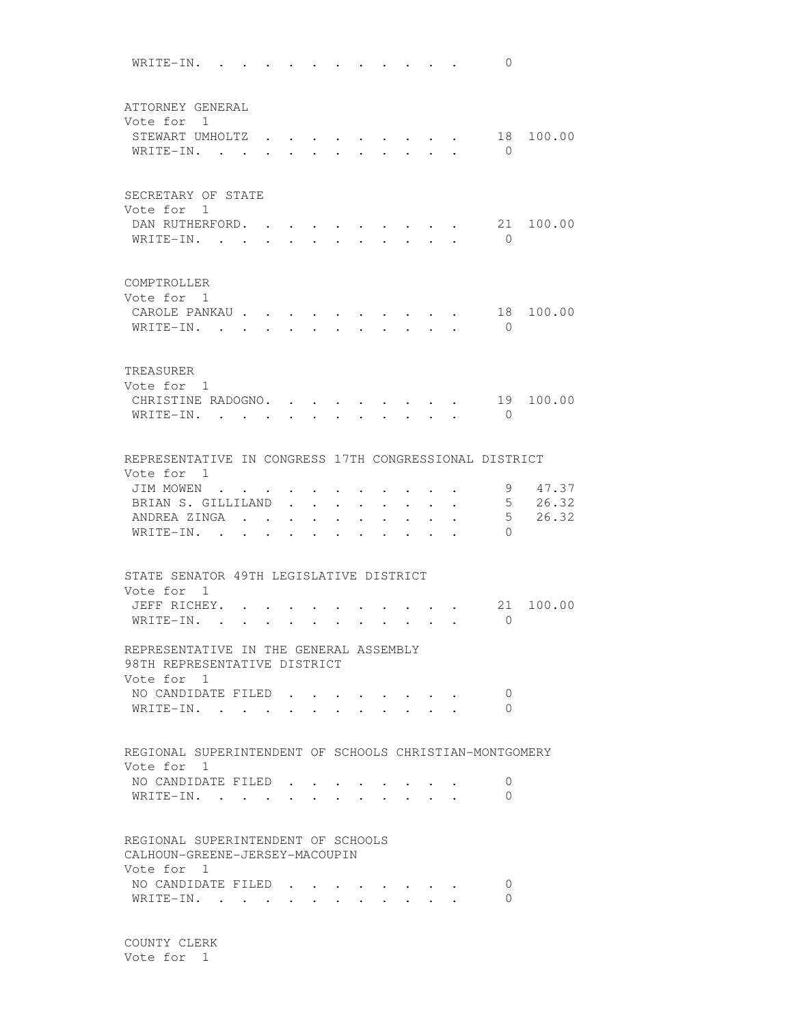WRITE-IN. . . . . . . . . . . 0 ATTORNEY GENERAL Vote for 1 STEWART UMHOLTZ . . . . . . . . . 18 100.00 WRITE-IN. . . . . . . . . . . 0 SECRETARY OF STATE Vote for 1 DAN RUTHERFORD. . . . . . . . . 21 100.00 WRITE-IN. . . . . . . . . . . . 0 COMPTROLLER Vote for 1 CAROLE PANKAU . . . . . . . . . . 18 100.00 WRITE-IN. . . . . . . . . . . . 0 TREASURER Vote for 1 CHRISTINE RADOGNO. . . . . . . . . 19 100.00 WRITE-IN. . . . . . . . . . . . 0 REPRESENTATIVE IN CONGRESS 17TH CONGRESSIONAL DISTRICT Vote for 1 JIM MOWEN . . . . . . . . . . . . 9 47.37 BRIAN S. GILLILAND . . . . . . . . . 5 26.32 ANDREA ZINGA . . . . . . . . . . 5 26.32 WRITE-IN. . . . . . . . . . . . 0 STATE SENATOR 49TH LEGISLATIVE DISTRICT Vote for 1 JEFF RICHEY. . . . . . . . . . . 21 100.00 WRITE-IN. . . . . . . . . . . . 0 REPRESENTATIVE IN THE GENERAL ASSEMBLY 98TH REPRESENTATIVE DISTRICT Vote for 1 NO CANDIDATE FILED . . . . . . . . 0 WRITE-IN. . . . . . . . . . . 0 REGIONAL SUPERINTENDENT OF SCHOOLS CHRISTIAN-MONTGOMERY Vote for 1 NO CANDIDATE FILED . . . . . . . . 0 WRITE-IN. . . . . . . . . . . 0 REGIONAL SUPERINTENDENT OF SCHOOLS CALHOUN-GREENE-JERSEY-MACOUPIN Vote for 1 NO CANDIDATE FILED . . . . . . . . 0 WRITE-IN. . . . . . . . . . . 0

 COUNTY CLERK Vote for 1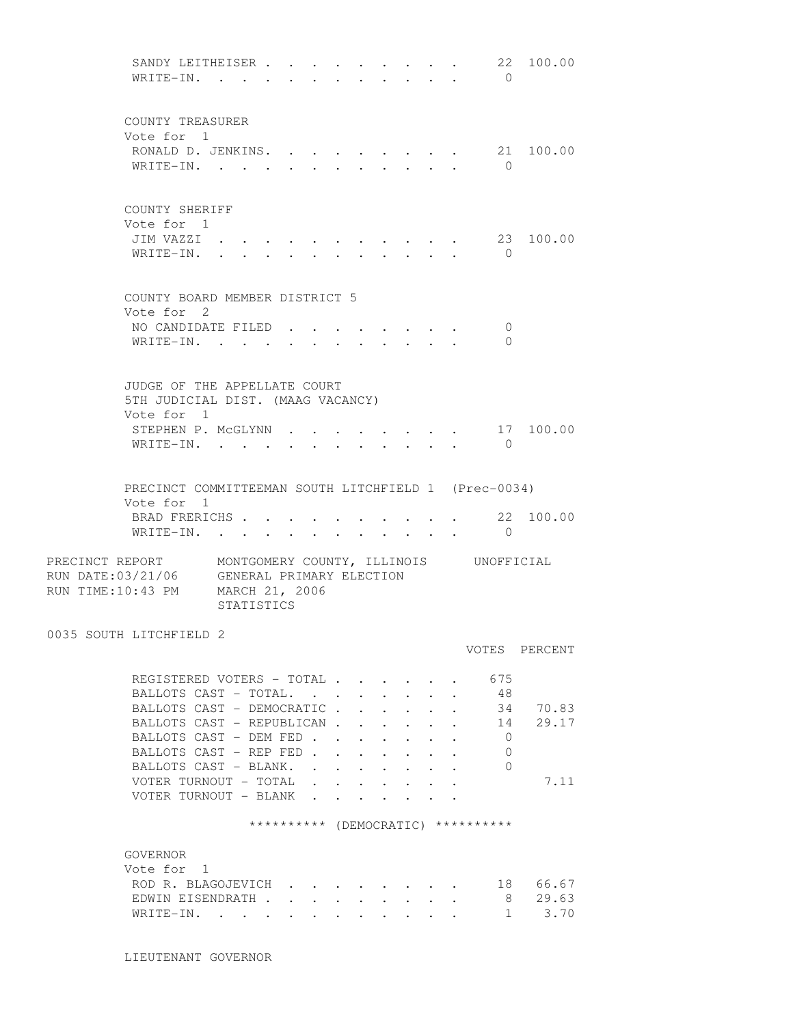SANDY LEITHEISER . . . . . . . . . 22 100.00 WRITE-IN. . . . . . . . . . . . 0 COUNTY TREASURER Vote for 1 RONALD D. JENKINS. . . . . . . . 21 100.00 WRITE-IN. . . . . . . . . . . 0 COUNTY SHERIFF Vote for 1 JIM VAZZI . . . . . . . . . . . 23 100.00 WRITE-IN. . . . . . . . . . . . 0 COUNTY BOARD MEMBER DISTRICT 5 Vote for 2 NO CANDIDATE FILED . . . . . . . . 0 WRITE-IN. . . . . . . . . . . 0 JUDGE OF THE APPELLATE COURT 5TH JUDICIAL DIST. (MAAG VACANCY) Vote for 1 STEPHEN P. MCGLYNN . . . . . . . . 17 100.00 WRITE-IN. . . . . . . . . . . 0 PRECINCT COMMITTEEMAN SOUTH LITCHFIELD 1 (Prec-0034) Vote for 1 BRAD FRERICHS . . . . . . . . . . 22 100.00 WRITE-IN. . . . . . . . . . . . 0 PRECINCT REPORT MONTGOMERY COUNTY, ILLINOIS UNOFFICIAL RUN DATE:03/21/06 GENERAL PRIMARY ELECTION RUN TIME:10:43 PM MARCH 21, 2006 STATISTICS 0035 SOUTH LITCHFIELD 2 VOTES PERCENT REGISTERED VOTERS - TOTAL . . . . . . 675 BALLOTS CAST - TOTAL. . . . . . . . 48 BALLOTS CAST - DEMOCRATIC . . . . . . 34 70.83 BALLOTS CAST - REPUBLICAN . . . . . . 14 29.17 BALLOTS CAST - DEM FED . . . . . . . 0 BALLOTS CAST - REP FED . . . . . . . 0<br>BALLOTS CAST - BLANK. . . . . . . . . . 0 BALLOTS CAST - BLANK. . . . . . . . VOTER TURNOUT - TOTAL . . . . . . . . 7.11 VOTER TURNOUT - BLANK . . . . . \*\*\*\*\*\*\*\*\*\* (DEMOCRATIC) \*\*\*\*\*\*\*\*\*\* GOVERNOR Vote for 1 ROD R. BLAGOJEVICH . . . . . . . . 18 66.67<br>EDWIN EISENDRATH . . . . . . . . . . 8 29.63<br>WRITE-IN EDWIN EISENDRATH . . . . . . . . . WRITE-IN. . . . . . . . . . . . 1 3.70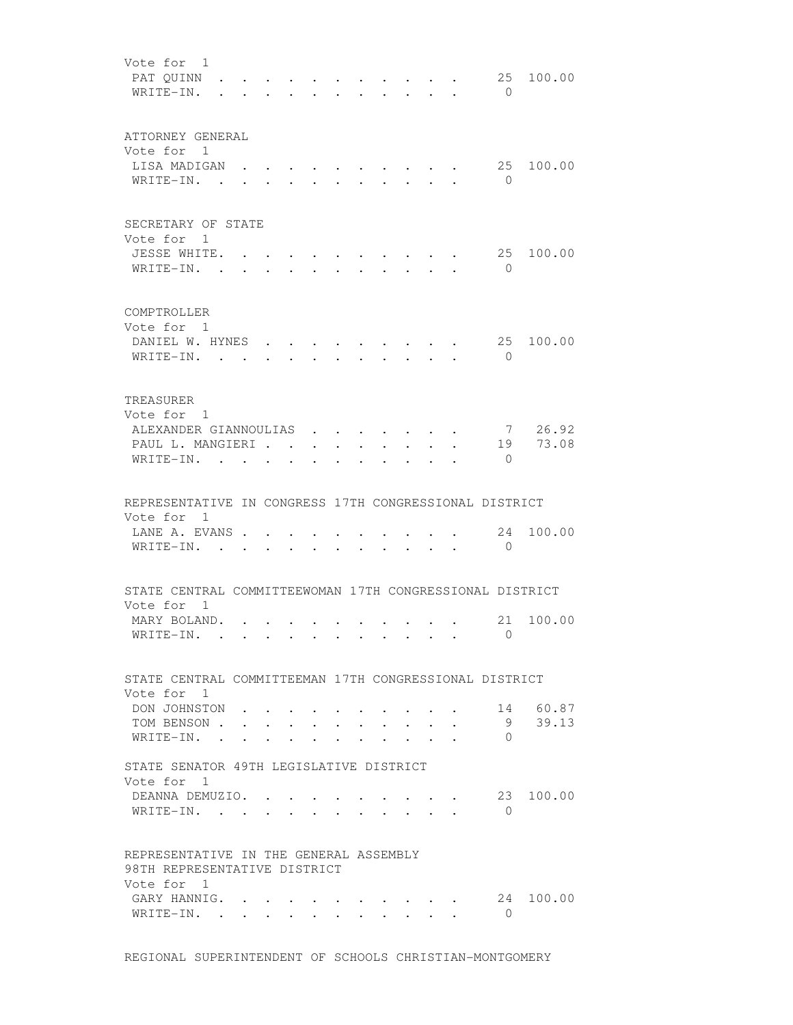| Vote for 1<br>PAT QUINN<br>WRITE-IN.                                              |              |                                             |                 |                                  |                      |                               |                                                                 |                                                                                              | 25<br>$\bigcirc$   | 100.00              |
|-----------------------------------------------------------------------------------|--------------|---------------------------------------------|-----------------|----------------------------------|----------------------|-------------------------------|-----------------------------------------------------------------|----------------------------------------------------------------------------------------------|--------------------|---------------------|
| ATTORNEY GENERAL<br>Vote for 1<br>LISA MADIGAN<br>$W$ RITE-IN                     | $\cdot$ .    |                                             |                 |                                  |                      |                               | $\bullet$ .<br><br><br><br><br><br><br><br><br><br><br><br><br> |                                                                                              | 25<br>$\bigcirc$   | 100.00              |
| SECRETARY OF STATE<br>Vote for 1<br>JESSE WHITE.<br>WRITE-IN.<br><b>Contract</b>  | $\mathbf{r}$ |                                             |                 |                                  |                      |                               |                                                                 |                                                                                              | 25<br>$\bigcirc$   | 100.00              |
| COMPTROLLER<br>Vote for 1<br>DANIEL W. HYNES.<br>WRITE-IN. .                      |              |                                             |                 |                                  |                      |                               |                                                                 |                                                                                              | 25<br>$\bigcirc$   | 100.00              |
| TREASURER<br>Vote for 1<br>ALEXANDER GIANNOULIAS<br>PAUL L. MANGIERI<br>WRITE-IN. |              |                                             |                 | $\bullet$ . The set of $\bullet$ | $\ddot{\phantom{0}}$ | $\sim$ $\sim$ $\sim$          |                                                                 |                                                                                              | $\Omega$           | 7 26.92<br>19 73.08 |
| REPRESENTATIVE IN CONGRESS 17TH CONGRESSIONAL DISTRICT                            |              |                                             |                 |                                  |                      |                               |                                                                 |                                                                                              |                    |                     |
| Vote for 1<br>LANE A. EVANS<br>WRITE-IN. .                                        |              |                                             |                 |                                  |                      |                               |                                                                 |                                                                                              | 24<br>$\mathbf{0}$ | 100.00              |
| STATE CENTRAL COMMITTEEWOMAN 17TH CONGRESSIONAL DISTRICT                          |              |                                             |                 |                                  |                      |                               |                                                                 |                                                                                              |                    |                     |
| Vote for 1<br>MARY BOLAND.<br>WRITE-IN.                                           |              |                                             |                 |                                  |                      |                               |                                                                 |                                                                                              | $\bigcap$          | 21 100.00           |
| STATE CENTRAL COMMITTEEMAN 17TH CONGRESSIONAL DISTRICT                            |              |                                             |                 |                                  |                      |                               |                                                                 |                                                                                              |                    |                     |
| Vote for 1<br>DON JOHNSTON.<br>TOM BENSON<br>WRITE-IN. .                          |              |                                             | $\cdot$ $\cdot$ | $\sim 100$                       |                      |                               |                                                                 |                                                                                              | 9<br>$\Omega$      | 14 60.87<br>39.13   |
| STATE SENATOR 49TH LEGISLATIVE DISTRICT<br>Vote for 1                             |              |                                             |                 |                                  |                      |                               |                                                                 |                                                                                              |                    |                     |
| DEANNA DEMUZIO. .<br>WRITE-IN.                                                    |              |                                             |                 |                                  |                      |                               |                                                                 | $\mathbf{r}$ , and $\mathbf{r}$ , and $\mathbf{r}$ , and $\mathbf{r}$                        | $\bigcirc$         | 23 100.00           |
| REPRESENTATIVE IN THE GENERAL ASSEMBLY<br>98TH REPRESENTATIVE DISTRICT            |              |                                             |                 |                                  |                      |                               |                                                                 |                                                                                              |                    |                     |
| Vote for 1<br>GARY HANNIG.<br>WRITE-IN. .                                         | $\mathbf{r}$ | <b>Contract Contract Contract</b><br>$\sim$ | $\mathbf{L}$    | $\sim$                           | $\mathbf{L}$         | $\mathbf{r}$ and $\mathbf{r}$ |                                                                 | $\cdot$ $\cdot$ $\cdot$ $\cdot$<br>$\mathbf{r}$ , $\mathbf{r}$ , $\mathbf{r}$ , $\mathbf{r}$ | $\bigcirc$         | 24 100.00           |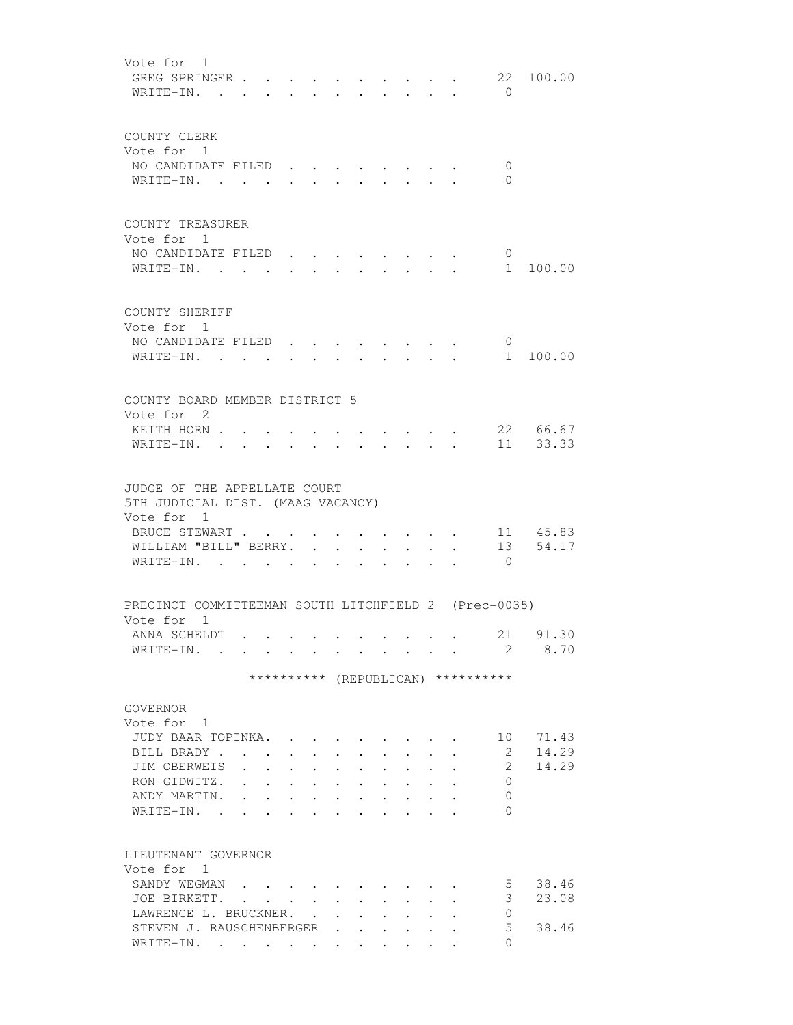Vote for 1 GREG SPRINGER . . . . . . . . . . 22 100.00 WRITE-IN. . . . . . . . . . . . 0 COUNTY CLERK Vote for 1 NO CANDIDATE FILED . . . . . . . . 0 WRITE-IN. . . . . . . . . . . 0 COUNTY TREASURER Vote for 1 NO CANDIDATE FILED . . . . . . . . . 0<br>WRITE-IN. WRITE-IN. . . . . . . . . . . . 1 100.00 COUNTY SHERIFF Vote for 1 NO CANDIDATE FILED . . . . . . . . 0<br>NO CANDIDATE FILED . . . . . . . 0 WRITE-IN. . . . . . . . . . . . 1 100.00 COUNTY BOARD MEMBER DISTRICT 5 Vote for 2 KEITH HORN . . . . . . . . . . . 22 66.67 WRITE-IN. . . . . . . . . . . . 11 33.33 JUDGE OF THE APPELLATE COURT 5TH JUDICIAL DIST. (MAAG VACANCY) Vote for 1 BRUCE STEWART . . . . . . . . . . 11 45.83 WILLIAM "BILL" BERRY. . . . . . . . 13 54.17 WRITE-IN. . . . . . . . . . . . 0 PRECINCT COMMITTEEMAN SOUTH LITCHFIELD 2 (Prec-0035) Vote for 1 ANNA SCHELDT . . . . . . . . . . 21 91.30 WRITE-IN. . . . . . . . . . . . 2 8.70 \*\*\*\*\*\*\*\*\*\* (REPUBLICAN) \*\*\*\*\*\*\*\*\*\* GOVERNOR Vote for 1 JUDY BAAR TOPINKA. . . . . . . . . 10 71.43 BILL BRADY . . . . . . . . . . . 2 14.29 JIM OBERWEIS . . . . . . . . . . 2 14.29 RON GIDWITZ. . . . . . . . . . . 0 ANDY MARTIN. . . . . . . . . . . 0 WRITE-IN. . . . . . . . . . . 0 LIEUTENANT GOVERNOR Vote for 1 SANDY WEGMAN . . . . . . . . . . . 5 38.46 JOE BIRKETT. . . . . . . . . . . 3 23.08 LAWRENCE L. BRUCKNER. . . . . . . . 0 STEVEN J. RAUSCHENBERGER . . . . . . 5 38.46 WRITE-IN. . . . . . . . . . . 0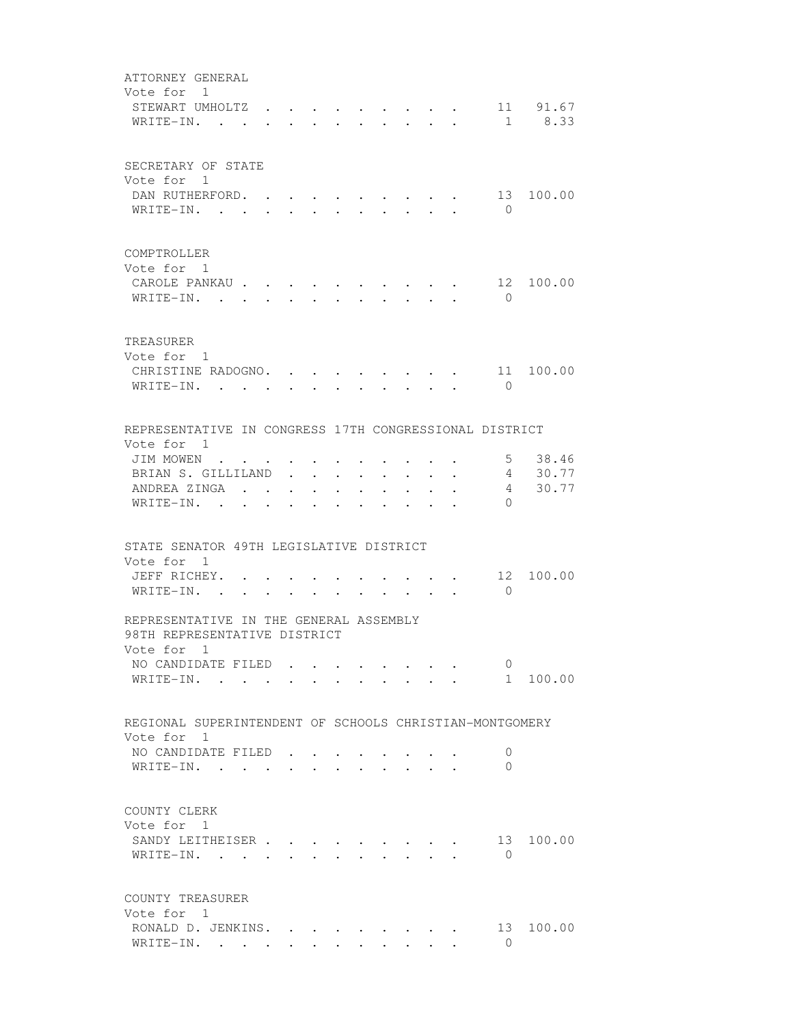| ATTORNEY GENERAL<br>Vote for 1<br>STEWART UMHOLTZ.<br>WRITE-IN.                      |        |                                  |                                                           |            |                      |                      |                         | $\cdot$ $\cdot$ $\cdot$ $\cdot$<br>$\sim$                                       |                             | 11 91.67<br>1 8.33      |
|--------------------------------------------------------------------------------------|--------|----------------------------------|-----------------------------------------------------------|------------|----------------------|----------------------|-------------------------|---------------------------------------------------------------------------------|-----------------------------|-------------------------|
| SECRETARY OF STATE<br>Vote for 1<br>DAN RUTHERFORD. .<br>WRITE-IN.                   |        |                                  |                                                           |            |                      |                      |                         |                                                                                 | $\overline{0}$              | 13 100.00               |
| COMPTROLLER<br>Vote for 1<br>CAROLE PANKAU<br>WRITE-IN.                              |        | $\bullet$ . The set of $\bullet$ | $\sim$                                                    |            | $\sim$               | $\ddot{\phantom{0}}$ |                         |                                                                                 | 12<br>$\bigcirc$            | 100.00                  |
| TREASURER<br>Vote for 1<br>CHRISTINE RADOGNO. .<br>WRITE-IN.                         |        |                                  |                                                           |            |                      |                      |                         | $\mathbf{r}$ $\mathbf{r}$                                                       | $\bigcirc$                  | 11 100.00               |
| REPRESENTATIVE IN CONGRESS 17TH CONGRESSIONAL DISTRICT<br>Vote for 1                 |        |                                  |                                                           |            |                      |                      |                         |                                                                                 |                             |                         |
| JIM MOWEN<br>BRIAN S. GILLILAND<br>ANDREA ZINGA .<br>WRITE-IN. .                     | $\sim$ | $\ddot{\phantom{0}}$             | $\mathbf{L}^{\text{max}}$ , and $\mathbf{L}^{\text{max}}$ | $\sim 100$ | $\bullet$ .          |                      |                         | $\bullet$ .<br><br><br><br><br><br><br><br><br><br><br><br><br><br><br><br><br> | $5 -$<br>4<br>4<br>$\Omega$ | 38.46<br>30.77<br>30.77 |
| STATE SENATOR 49TH LEGISLATIVE DISTRICT                                              |        |                                  |                                                           |            |                      |                      |                         |                                                                                 |                             |                         |
| Vote for 1<br>JEFF RICHEY. .<br>WRITE-IN.                                            |        |                                  |                                                           |            |                      |                      |                         |                                                                                 | 12<br>$\bigcirc$            | 100.00                  |
| REPRESENTATIVE IN THE GENERAL ASSEMBLY<br>98TH REPRESENTATIVE DISTRICT<br>Vote for 1 |        |                                  |                                                           |            |                      |                      |                         |                                                                                 |                             |                         |
| NO CANDIDATE FILED<br>WRITE-IN.                                                      |        |                                  |                                                           |            |                      |                      |                         |                                                                                 | $\mathbf{0}$                | 1 100.00                |
| REGIONAL SUPERINTENDENT OF SCHOOLS CHRISTIAN-MONTGOMERY<br>Vote for 1                |        |                                  |                                                           |            |                      |                      |                         |                                                                                 |                             |                         |
| NO CANDIDATE FILED<br>WRITE-IN.                                                      |        |                                  | $\sim$ $\sim$                                             |            | $\sim$ $\sim$ $\sim$ |                      | $\cdot$ $\cdot$ $\cdot$ |                                                                                 | 0<br>$\Omega$               |                         |
| COUNTY CLERK<br>Vote for 1<br>SANDY LEITHEISER<br>WRITE-IN.                          |        |                                  |                                                           |            |                      |                      |                         |                                                                                 | $\bigcirc$                  | 13 100.00               |
| COUNTY TREASURER<br>Vote for 1<br>RONALD D. JENKINS.                                 |        |                                  |                                                           |            |                      |                      |                         |                                                                                 | 13                          | 100.00                  |
| WRITE-IN.                                                                            |        |                                  |                                                           |            |                      |                      |                         |                                                                                 | $\overline{0}$              |                         |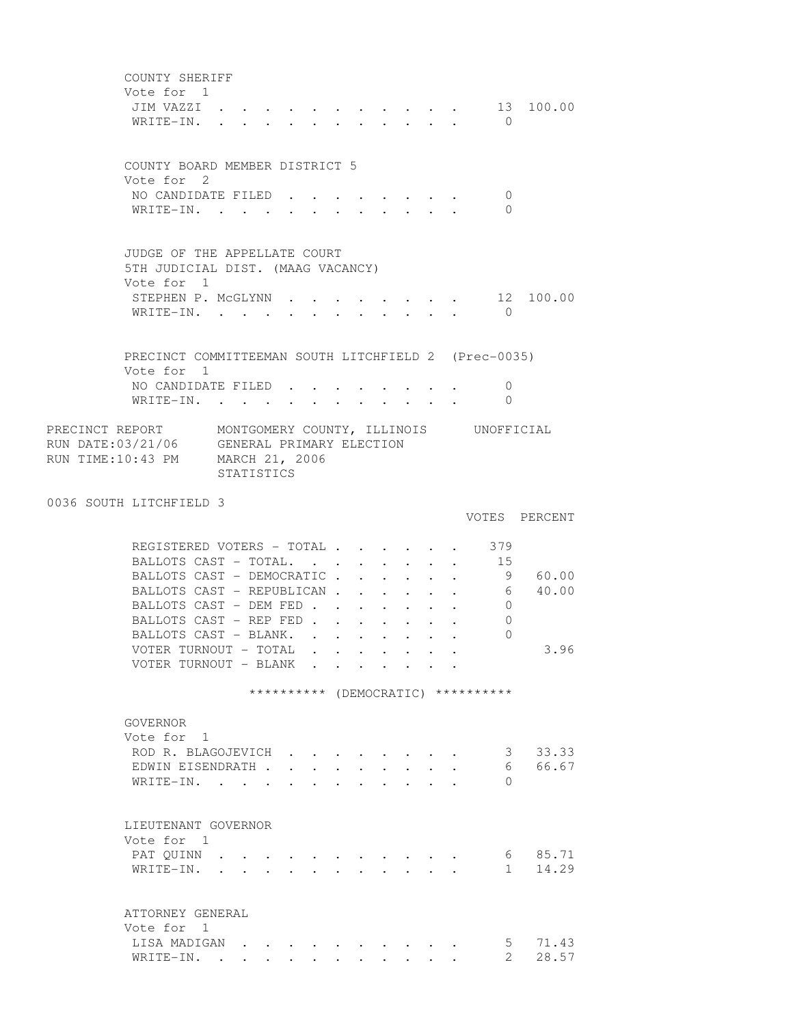COUNTY SHERIFF Vote for 1 JIM VAZZI . . . . . . . . . . . 13 100.00 WRITE-IN. . . . . . . . . . . . 0 COUNTY BOARD MEMBER DISTRICT 5 Vote for 2 NO CANDIDATE FILED . . . . . . . . 0 WRITE-IN. . . . . . . . . . . 0 JUDGE OF THE APPELLATE COURT 5TH JUDICIAL DIST. (MAAG VACANCY) Vote for 1 STEPHEN P. MCGLYNN . . . . . . . . 12 100.00 WRITE-IN. . . . . . . . . . . . 0 PRECINCT COMMITTEEMAN SOUTH LITCHFIELD 2 (Prec-0035) Vote for 1 NO CANDIDATE FILED . . . . . . . . 0 WRITE-IN. . . . . . . . . . . . 0 PRECINCT REPORT MONTGOMERY COUNTY, ILLINOIS UNOFFICIAL RUN DATE:03/21/06 GENERAL PRIMARY ELECTION RUN TIME:10:43 PM MARCH 21, 2006 STATISTICS 0036 SOUTH LITCHFIELD 3 VOTES PERCENT REGISTERED VOTERS - TOTAL . . . . . . 379 BALLOTS CAST - TOTAL. . . . . . . . 15 BALLOTS CAST - DEMOCRATIC . . . . . . 9 60.00 BALLOTS CAST - REPUBLICAN . . . . . . 6 40.00 BALLOTS CAST - DEM FED . . . . . . . 0 BALLOTS CAST - REP FED . . . . . . 0 BALLOTS CAST - BLANK. . . . . . . . 0 VOTER TURNOUT - TOTAL . . . . . . . . 3.96 VOTER TURNOUT - BLANK . . . . . . . \*\*\*\*\*\*\*\*\*\* (DEMOCRATIC) \*\*\*\*\*\*\*\*\*\* GOVERNOR Vote for 1 ROD R. BLAGOJEVICH . . . . . . . . 3 33.33 EDWIN EISENDRATH . . . . . . . . . 6 66.67 WRITE-IN. . . . . . . . . . . . 0 LIEUTENANT GOVERNOR Vote for 1 PAT QUINN . . . . . . . . . . . . . 6 85.71 WRITE-IN. . . . . . . . . . . . 1 14.29 ATTORNEY GENERAL Vote for 1 LISA MADIGAN . . . . . . . . . . 5 71.43 WRITE-IN. . . . . . . . . . . . 2 28.57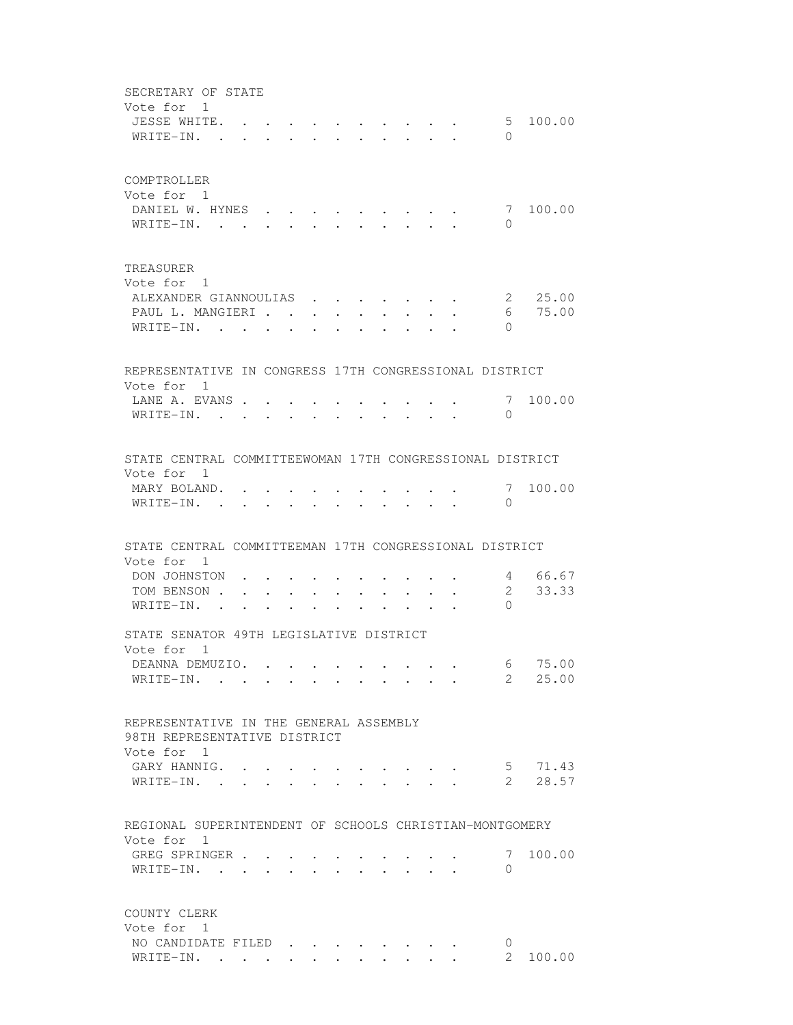SECRETARY OF STATE Vote for 1 JESSE WHITE. . . . . . . . . . . 5 100.00 WRITE-IN. . . . . . . . . . . . 0 COMPTROLLER Vote for 1 DANIEL W. HYNES . . . . . . . . . 7 100.00 WRITE-IN. . . . . . . . . . . 0 TREASURER Vote for 1 ALEXANDER GIANNOULIAS . . . . . . . 2 25.00 PAUL L. MANGIERI . . . . . . . . . . 6 75.00 WRITE-IN. . . . . . . . . . . . 0 REPRESENTATIVE IN CONGRESS 17TH CONGRESSIONAL DISTRICT Vote for 1 LANE A. EVANS . . . . . . . . . . . 7 100.00 WRITE-IN. . . . . . . . . . . . 0 STATE CENTRAL COMMITTEEWOMAN 17TH CONGRESSIONAL DISTRICT Vote for 1 MARY BOLAND. . . . . . . . . . . 7 100.00 WRITE-IN. . . . . . . . . . . 0 STATE CENTRAL COMMITTEEMAN 17TH CONGRESSIONAL DISTRICT Vote for 1 DON JOHNSTON . . . . . . . . . . . 4 66.67 TOM BENSON . . . . . . . . . . . . 2 33.33 WRITE-IN. . . . . . . . . . . . 0 STATE SENATOR 49TH LEGISLATIVE DISTRICT Vote for 1 DEANNA DEMUZIO. . . . . . . . . . 6 75.00 WRITE-IN. . . . . . . . . . . . 2 25.00 REPRESENTATIVE IN THE GENERAL ASSEMBLY 98TH REPRESENTATIVE DISTRICT Vote for 1 GARY HANNIG. . . . . . . . . . . 5 71.43 WRITE-IN. . . . . . . . . . . . 2 28.57 REGIONAL SUPERINTENDENT OF SCHOOLS CHRISTIAN-MONTGOMERY Vote for 1 GREG SPRINGER . . . . . . . . . . 7 100.00 WRITE-IN. . . . . . . . . . . 0 COUNTY CLERK Vote for 1 NO CANDIDATE FILED . . . . . . . . 0<br>WRITE-IN. . . . . . . . . . . . 2 100.00 WRITE-IN. . . . . . . . . . . .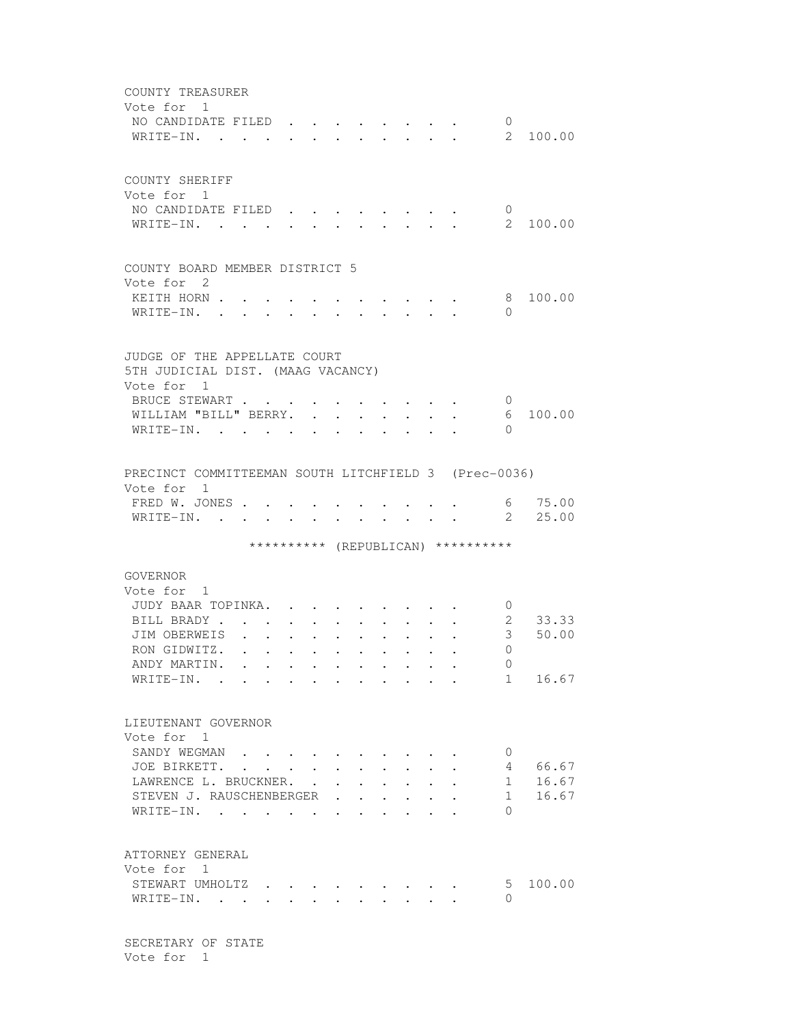| COUNTY TREASURER<br>Vote for 1                       |              |              |                                                 |                      |                                  |                      |                                  |                                    |                           |          |
|------------------------------------------------------|--------------|--------------|-------------------------------------------------|----------------------|----------------------------------|----------------------|----------------------------------|------------------------------------|---------------------------|----------|
| NO CANDIDATE FILED                                   |              |              |                                                 |                      |                                  |                      |                                  |                                    | $\overline{0}$            |          |
| WRITE-IN.                                            |              |              |                                                 |                      |                                  |                      |                                  | $\sim$                             |                           | 2 100.00 |
|                                                      |              |              |                                                 |                      |                                  |                      |                                  |                                    |                           |          |
| COUNTY SHERIFF                                       |              |              |                                                 |                      |                                  |                      |                                  |                                    |                           |          |
| Vote for 1                                           |              |              |                                                 |                      |                                  |                      |                                  |                                    |                           |          |
| NO CANDIDATE FILED                                   |              |              |                                                 |                      |                                  |                      |                                  |                                    | $\mathbf 0$               |          |
| WRITE-IN. .                                          |              |              |                                                 |                      |                                  |                      |                                  |                                    | $\overline{2}$            | 100.00   |
|                                                      |              |              |                                                 |                      |                                  |                      |                                  |                                    |                           |          |
| COUNTY BOARD MEMBER DISTRICT 5                       |              |              |                                                 |                      |                                  |                      |                                  |                                    |                           |          |
| Vote for 2                                           |              |              |                                                 |                      |                                  |                      |                                  |                                    |                           |          |
| KEITH HORN .<br>WRITE-IN. .                          |              |              |                                                 |                      |                                  |                      |                                  |                                    | 8<br>$\Omega$             | 100.00   |
|                                                      |              |              |                                                 |                      | $\bullet$ . The set of $\bullet$ | $\sim$               | $\bullet$ . The set of $\bullet$ |                                    |                           |          |
|                                                      |              |              |                                                 |                      |                                  |                      |                                  |                                    |                           |          |
| JUDGE OF THE APPELLATE COURT                         |              |              |                                                 |                      |                                  |                      |                                  |                                    |                           |          |
| 5TH JUDICIAL DIST. (MAAG VACANCY)<br>Vote for 1      |              |              |                                                 |                      |                                  |                      |                                  |                                    |                           |          |
| BRUCE STEWART                                        |              |              |                                                 | $\cdot$              |                                  |                      |                                  |                                    | $\cup$                    |          |
| WILLIAM "BILL" BERRY.                                |              |              |                                                 |                      |                                  | $\sim$               |                                  |                                    | 6                         | 100.00   |
| WRITE-IN.                                            |              |              | $\cdot$ $\cdot$ $\cdot$ $\cdot$ $\cdot$ $\cdot$ |                      |                                  | $\ddot{\phantom{0}}$ |                                  |                                    | $\Omega$                  |          |
|                                                      |              |              |                                                 |                      |                                  |                      |                                  |                                    |                           |          |
|                                                      |              |              |                                                 |                      |                                  |                      |                                  |                                    |                           |          |
| PRECINCT COMMITTEEMAN SOUTH LITCHFIELD 3 (Prec-0036) |              |              |                                                 |                      |                                  |                      |                                  |                                    |                           |          |
| Vote for 1<br>FRED W. JONES .                        |              |              |                                                 |                      |                                  |                      |                                  |                                    |                           | 6 75.00  |
| WRITE-IN. .                                          |              |              |                                                 |                      |                                  |                      |                                  |                                    | $\overline{2}$            | 25.00    |
|                                                      |              |              |                                                 |                      |                                  |                      |                                  |                                    |                           |          |
|                                                      |              |              |                                                 |                      |                                  |                      |                                  | ********** (REPUBLICAN) ********** |                           |          |
|                                                      |              |              |                                                 |                      |                                  |                      |                                  |                                    |                           |          |
| GOVERNOR<br>Vote for 1                               |              |              |                                                 |                      |                                  |                      |                                  |                                    |                           |          |
| JUDY BAAR TOPINKA.                                   |              |              |                                                 |                      |                                  |                      |                                  |                                    | $\circ$                   |          |
| BILL BRADY.                                          |              |              |                                                 |                      |                                  |                      |                                  |                                    | 2                         | 33.33    |
| JIM OBERWEIS                                         |              |              |                                                 |                      |                                  |                      |                                  |                                    | $3 -$                     | 50.00    |
| RON GIDWITZ.                                         |              | $\mathbf{L}$ |                                                 |                      |                                  |                      |                                  |                                    | 0                         |          |
| ANDY MARTIN. .                                       |              |              |                                                 |                      |                                  |                      |                                  |                                    | - 0                       |          |
| WRITE-IN.                                            |              |              |                                                 |                      |                                  |                      |                                  |                                    |                           | 1 16.67  |
|                                                      |              |              |                                                 |                      |                                  |                      |                                  |                                    |                           |          |
| LIEUTENANT GOVERNOR                                  |              |              |                                                 |                      |                                  |                      |                                  |                                    |                           |          |
| Vote for 1                                           |              |              |                                                 |                      |                                  |                      |                                  |                                    |                           |          |
| SANDY WEGMAN.                                        |              |              |                                                 |                      |                                  |                      |                                  |                                    | $\mathbf 0$               |          |
| JOE BIRKETT.                                         | $\mathbf{L}$ | $\sim$       |                                                 |                      |                                  |                      |                                  |                                    | 4                         | 66.67    |
| LAWRENCE L. BRUCKNER.                                |              |              |                                                 | $\ddot{\phantom{0}}$ | $\sim$                           |                      |                                  |                                    | 1                         | 16.67    |
| STEVEN J. RAUSCHENBERGER                             |              |              |                                                 |                      |                                  |                      |                                  |                                    | 1                         | 16.67    |
| WRITE-IN.                                            |              |              |                                                 |                      |                                  |                      |                                  |                                    | $\Omega$                  |          |
|                                                      |              |              |                                                 |                      |                                  |                      |                                  |                                    |                           |          |
|                                                      |              |              |                                                 |                      |                                  |                      |                                  |                                    |                           |          |
|                                                      |              |              |                                                 |                      |                                  |                      |                                  |                                    |                           |          |
| ATTORNEY GENERAL                                     |              |              |                                                 |                      |                                  |                      |                                  |                                    |                           |          |
| Vote for 1                                           |              |              |                                                 |                      |                                  |                      |                                  |                                    |                           | 100.00   |
| STEWART UMHOLTZ.<br>WRITE-IN. .                      |              |              |                                                 |                      |                                  |                      |                                  |                                    | 5 <sup>5</sup><br>$\circ$ |          |

 SECRETARY OF STATE Vote for 1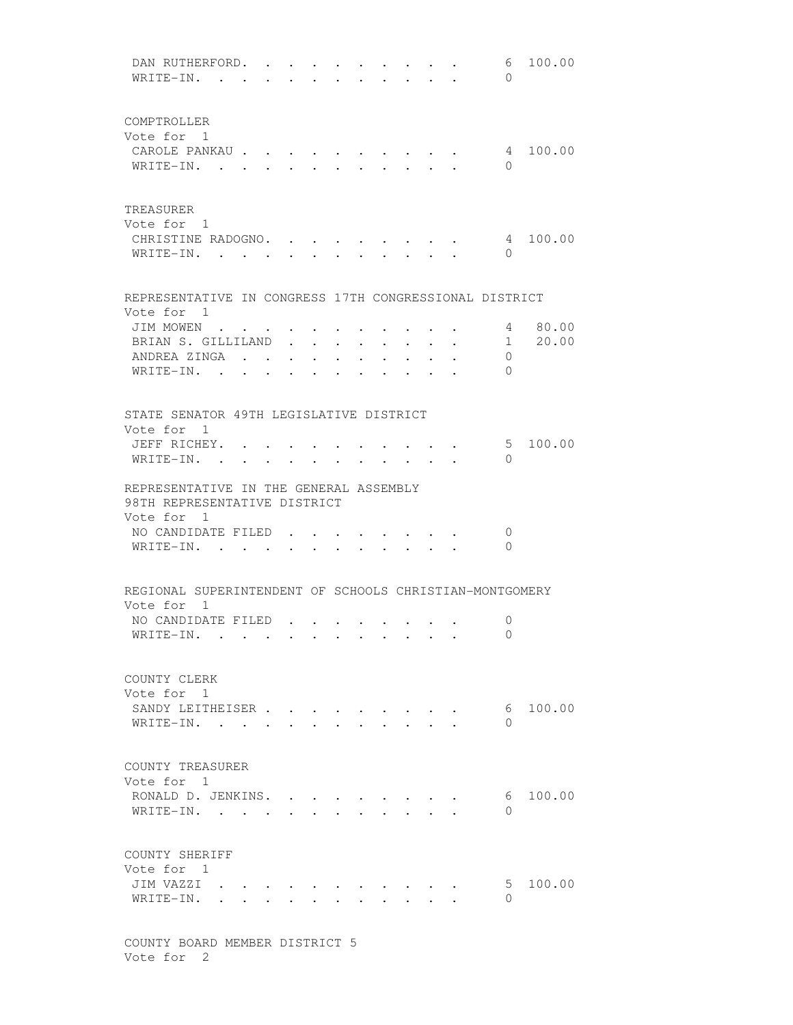DAN RUTHERFORD. . . . . . . . . . 6 100.00 WRITE-IN. . . . . . . . . . . . 0 COMPTROLLER Vote for 1 CAROLE PANKAU . . . . . . . . . . 4 100.00 WRITE-IN. . . . . . . . . . . 0 TREASURER Vote for 1 CHRISTINE RADOGNO. . . . . . . . . 4 100.00 WRITE-IN. . . . . . . . . . . . 0 REPRESENTATIVE IN CONGRESS 17TH CONGRESSIONAL DISTRICT Vote for 1 JIM MOWEN . . . . . . . . . . . 4 80.00 BRIAN S. GILLILAND . . . . . . . . 1 20.00 ANDREA ZINGA . . . . . . . . . . 0 WRITE-IN. . . . . . . . . . . 0 STATE SENATOR 49TH LEGISLATIVE DISTRICT Vote for 1 JEFF RICHEY. . . . . . . . . . . 5 100.00 WRITE-IN. . . . . . . . . . . . 0 REPRESENTATIVE IN THE GENERAL ASSEMBLY 98TH REPRESENTATIVE DISTRICT Vote for 1 NO CANDIDATE FILED . . . . . . . . 0 WRITE-IN. . . . . . . . . . . . 0 REGIONAL SUPERINTENDENT OF SCHOOLS CHRISTIAN-MONTGOMERY Vote for 1 NO CANDIDATE FILED . . . . . . . . 0 WRITE-IN. . . . . . . . . . . . 0 COUNTY CLERK Vote for 1 SANDY LEITHEISER . . . . . . . . . . 6 100.00 WRITE-IN. . . . . . . . . . . . 0 COUNTY TREASURER Vote for 1 RONALD D. JENKINS. . . . . . . . . 6 100.00 WRITE-IN. . . . . . . . . . . . 0 COUNTY SHERIFF Vote for 1 JIM VAZZI . . . . . . . . . . . 5 100.00 WRITE-IN. . . . . . . . . . . 0

 COUNTY BOARD MEMBER DISTRICT 5 Vote for 2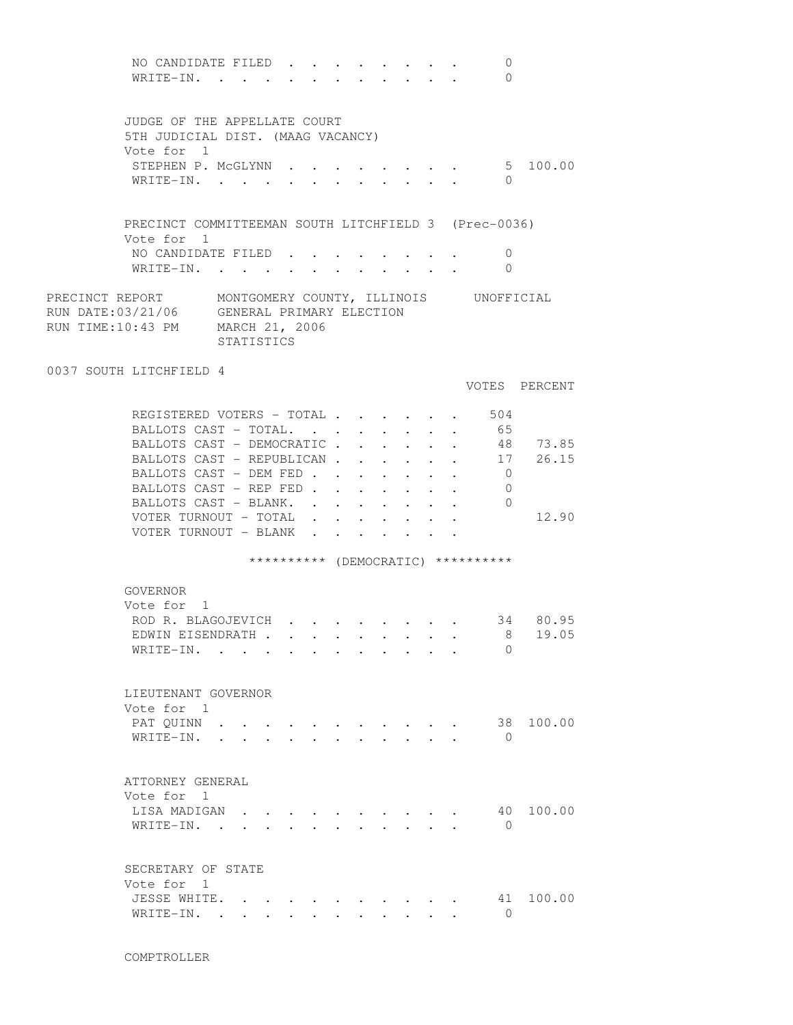NO CANDIDATE FILED . . . . . . . . 0 WRITE-IN. . . . . . . . . . . . 0 JUDGE OF THE APPELLATE COURT 5TH JUDICIAL DIST. (MAAG VACANCY) Vote for 1 STEPHEN P. MCGLYNN . . . . . . . . 5 100.00 WRITE-IN. . . . . . . . . . . 0 PRECINCT COMMITTEEMAN SOUTH LITCHFIELD 3 (Prec-0036) Vote for 1 NO CANDIDATE FILED . . . . . . . . 0 WRITE-IN. . . . . . . . . . . . 0 PRECINCT REPORT MONTGOMERY COUNTY, ILLINOIS UNOFFICIAL RUN DATE:03/21/06 GENERAL PRIMARY ELECTION<br>RUN TIME:10:43 PM MARCH 21, 2006 RUN TIME: $10:43$  PM STATISTICS 0037 SOUTH LITCHFIELD 4 VOTES PERCENT REGISTERED VOTERS - TOTAL . . . . . . 504 BALLOTS CAST - TOTAL. . . . . . . . 65 BALLOTS CAST - DEMOCRATIC . . . . . 48 73.85 BALLOTS CAST - REPUBLICAN . . . . . . 17 26.15 BALLOTS CAST - DEM FED . . . . . . . 0 BALLOTS CAST - REP FED . . . . . . 0 BALLOTS CAST - BLANK. . . . . . . . 0 VOTER TURNOUT - TOTAL . . . . . . . 12.90 VOTER TURNOUT - BLANK . . \*\*\*\*\*\*\*\*\*\* (DEMOCRATIC) \*\*\*\*\*\*\*\*\*\* GOVERNOR Vote for 1 ROD R. BLAGOJEVICH . . . . . . . . 34 80.95<br>EDWIN EISENDRATH . . . . . . . . . 8 19.05 EDWIN EISENDRATH . . . . . . . . . WRITE-IN. . . . . . . . . . . . 0 LIEUTENANT GOVERNOR Vote for 1 PAT QUINN . . . . . . . . . . . 38 100.00 WRITE-IN. . . . . . . . . . . . 0 ATTORNEY GENERAL Vote for 1 LISA MADIGAN . . . . . . . . . . 40 100.00 WRITE-IN. . . . . . . . . . . 0 SECRETARY OF STATE Vote for 1 JESSE WHITE. . . . . . . . . . . 41 100.00 WRITE-IN. . . . . . . . . . . . 0

COMPTROLLER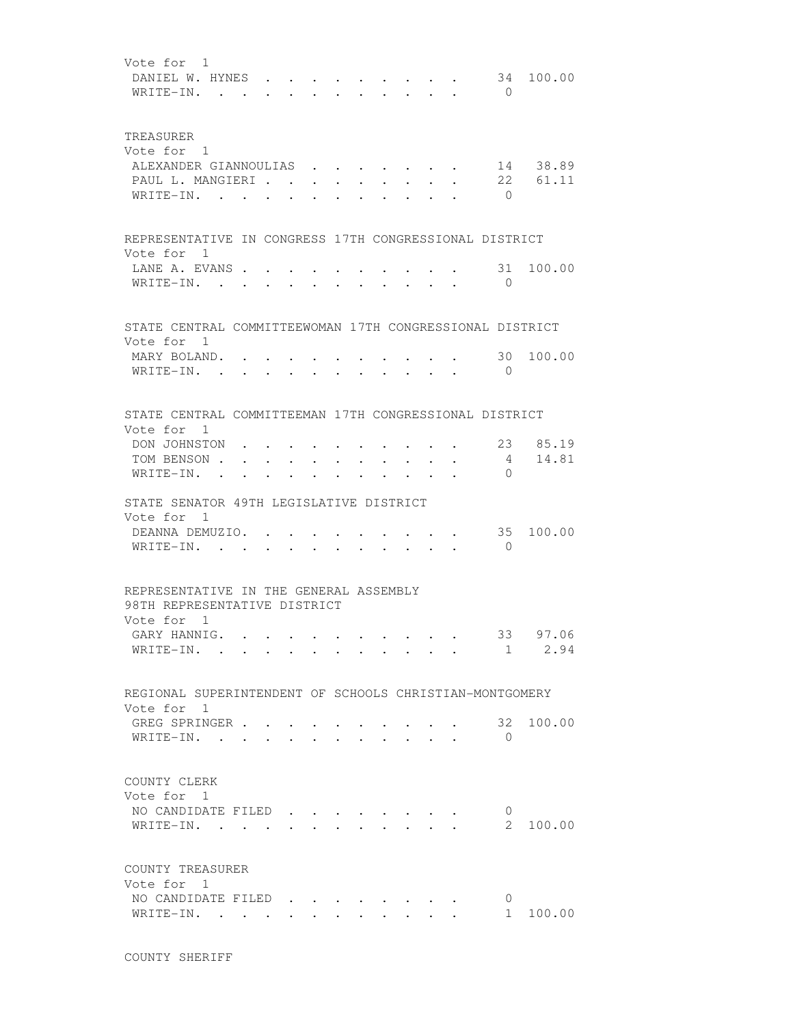| Vote for 1<br>DANIEL W. HYNES .<br>$WRITE-IN.$ .                                           |                                                                                                                  |        |                                                             | $\cdot$ $\cdot$ $\cdot$ $\cdot$ |        |              |                                                 |        |                               |                                                                                                     | $\bigcirc$           | 34 100.00           |
|--------------------------------------------------------------------------------------------|------------------------------------------------------------------------------------------------------------------|--------|-------------------------------------------------------------|---------------------------------|--------|--------------|-------------------------------------------------|--------|-------------------------------|-----------------------------------------------------------------------------------------------------|----------------------|---------------------|
| TREASURER<br>Vote for 1<br>ALEXANDER GIANNOULIAS 14 38.89<br>PAUL L. MANGIERI<br>WRITE-IN. |                                                                                                                  |        |                                                             |                                 |        |              |                                                 |        |                               | $\cdot$ , $\cdot$ , $\cdot$ , $\cdot$ , $\cdot$ , $\cdot$                                           | $\overline{0}$       | $\cdot$ 22 61.11    |
| REPRESENTATIVE IN CONGRESS 17TH CONGRESSIONAL DISTRICT                                     |                                                                                                                  |        |                                                             |                                 |        |              |                                                 |        |                               |                                                                                                     |                      |                     |
| Vote for 1<br>LANE A. EVANS<br>WRITE-IN.                                                   |                                                                                                                  | $\sim$ |                                                             | $\ddot{\phantom{a}}$            | $\sim$ | $\mathbf{r}$ | $\sim$ 100 $\sim$                               |        | $\cdot$ $\cdot$ $\cdot$       |                                                                                                     | 31<br>$\bigcirc$     | 100.00              |
| STATE CENTRAL COMMITTEEWOMAN 17TH CONGRESSIONAL DISTRICT                                   |                                                                                                                  |        |                                                             |                                 |        |              |                                                 |        |                               |                                                                                                     |                      |                     |
| Vote for 1<br>MARY BOLAND.<br>$W$ RITE-IN                                                  |                                                                                                                  |        |                                                             |                                 |        |              |                                                 |        |                               |                                                                                                     | 30<br>$\overline{0}$ | 100.00              |
| STATE CENTRAL COMMITTEEMAN 17TH CONGRESSIONAL DISTRICT                                     |                                                                                                                  |        |                                                             |                                 |        |              |                                                 |        |                               |                                                                                                     |                      |                     |
| Vote for 1<br>DON JOHNSTON<br>TOM BENSON.<br>WRITE-IN.                                     | the contract of the contract of the contract of the contract of the contract of<br>$\sim$ 100 $\pm$<br>$\bullet$ |        | $\bullet$ .<br><br><br><br><br><br><br><br><br><br><br><br> | $\cdot$ $\cdot$                 |        |              |                                                 |        |                               | $\bullet \qquad \bullet \qquad \bullet \qquad \bullet \qquad \bullet \qquad \bullet \qquad \bullet$ | $\Omega$             | 23 85.19<br>4 14.81 |
| STATE SENATOR 49TH LEGISLATIVE DISTRICT<br>Vote for 1                                      |                                                                                                                  |        |                                                             |                                 |        |              |                                                 |        |                               |                                                                                                     |                      |                     |
| DEANNA DEMUZIO.<br>WRITE-IN.                                                               |                                                                                                                  |        |                                                             |                                 |        |              |                                                 |        | $\mathbf{r}$ and $\mathbf{r}$ | $\overline{\phantom{a}}$                                                                            | 35<br>$\overline{0}$ | 100.00              |
| REPRESENTATIVE IN THE GENERAL ASSEMBLY<br>98TH REPRESENTATIVE DISTRICT                     |                                                                                                                  |        |                                                             |                                 |        |              |                                                 |        |                               |                                                                                                     |                      |                     |
| Vote for 1<br>GARY HANNIG.<br>WRITE-IN. .                                                  |                                                                                                                  |        |                                                             |                                 |        |              |                                                 |        |                               |                                                                                                     | 1                    | 33 97.06<br>2.94    |
| REGIONAL SUPERINTENDENT OF SCHOOLS CHRISTIAN-MONTGOMERY                                    |                                                                                                                  |        |                                                             |                                 |        |              |                                                 |        |                               |                                                                                                     |                      |                     |
| Vote for 1<br>GREG SPRINGER .<br>WRITE-IN.                                                 |                                                                                                                  |        |                                                             |                                 |        |              |                                                 |        |                               |                                                                                                     | 32<br>$\Omega$       | 100.00              |
| COUNTY CLERK<br>Vote for 1<br>NO CANDIDATE FILED<br>WRITE-IN.                              |                                                                                                                  |        |                                                             |                                 |        |              | $\cdot$ $\cdot$ $\cdot$ $\cdot$ $\cdot$ $\cdot$ |        |                               |                                                                                                     | 0<br>$\mathbf{2}$    | 100.00              |
| COUNTY TREASURER<br>Vote for 1                                                             |                                                                                                                  |        |                                                             |                                 |        |              |                                                 |        |                               |                                                                                                     |                      |                     |
| NO CANDIDATE FILED<br>WRITE-IN.                                                            |                                                                                                                  |        |                                                             | $\sim$                          |        |              | $\mathbf{r} = \mathbf{r}$                       | $\sim$ |                               |                                                                                                     | 0<br>$1 \quad$       | 100.00              |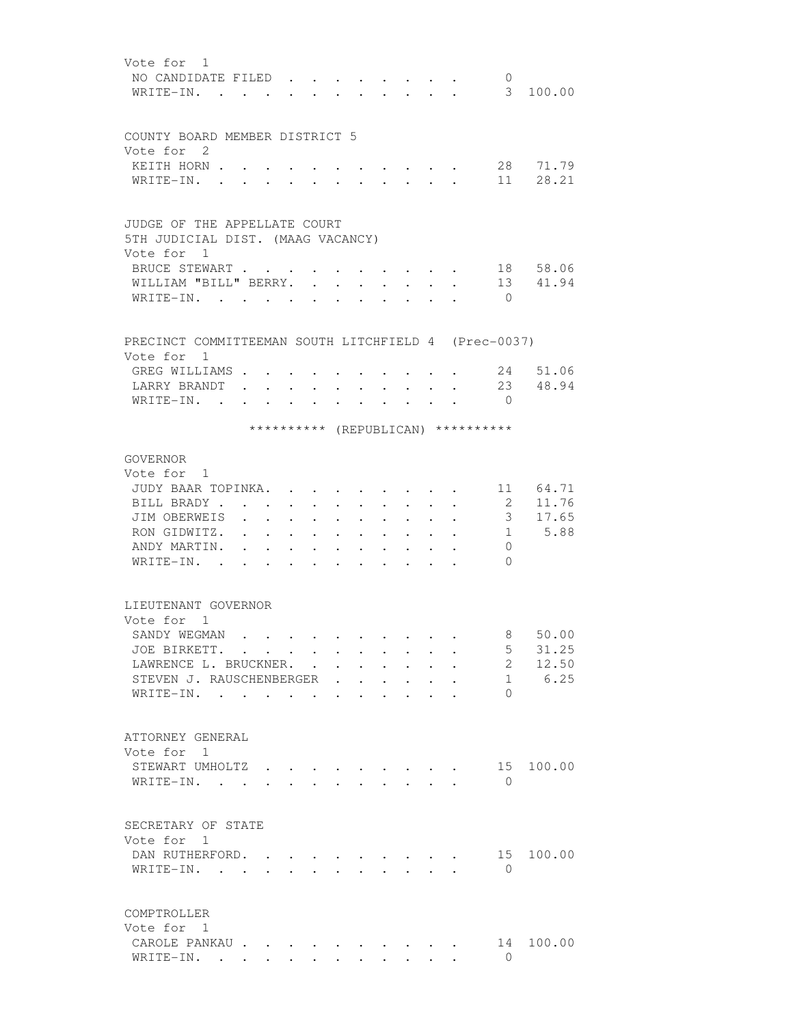| Vote for 1   | NO CANDIDATE FILED                                   |                                   |                                                                                         |                                                                    |                      |                      |                      |                                                                 |                                                             |                      | $\mathbf{0}$                       |                |
|--------------|------------------------------------------------------|-----------------------------------|-----------------------------------------------------------------------------------------|--------------------------------------------------------------------|----------------------|----------------------|----------------------|-----------------------------------------------------------------|-------------------------------------------------------------|----------------------|------------------------------------|----------------|
|              | WRITE-IN.                                            |                                   |                                                                                         |                                                                    |                      |                      |                      | $\sim$                                                          | $\mathbf{L}$                                                | $\sim$               |                                    | 3 100.00       |
|              |                                                      |                                   |                                                                                         |                                                                    |                      |                      |                      |                                                                 |                                                             |                      |                                    |                |
|              | COUNTY BOARD MEMBER DISTRICT 5                       |                                   |                                                                                         |                                                                    |                      |                      |                      |                                                                 |                                                             |                      |                                    |                |
| Vote for 2   |                                                      |                                   |                                                                                         |                                                                    |                      |                      |                      |                                                                 |                                                             |                      |                                    |                |
|              | KEITH HORN .                                         |                                   |                                                                                         |                                                                    |                      |                      |                      |                                                                 |                                                             |                      |                                    | 28 71.79       |
| WRITE-IN.    |                                                      |                                   |                                                                                         |                                                                    |                      |                      |                      |                                                                 |                                                             |                      |                                    | 11 28.21       |
|              | JUDGE OF THE APPELLATE COURT                         |                                   |                                                                                         |                                                                    |                      |                      |                      |                                                                 |                                                             |                      |                                    |                |
|              | 5TH JUDICIAL DIST. (MAAG VACANCY)                    |                                   |                                                                                         |                                                                    |                      |                      |                      |                                                                 |                                                             |                      |                                    |                |
| Vote for 1   |                                                      |                                   |                                                                                         |                                                                    |                      |                      |                      |                                                                 |                                                             |                      |                                    |                |
|              | BRUCE STEWART                                        |                                   |                                                                                         |                                                                    |                      |                      |                      |                                                                 |                                                             |                      |                                    | 18 58.06       |
|              | WILLIAM "BILL" BERRY.                                |                                   |                                                                                         |                                                                    |                      | $\ddot{\phantom{a}}$ | $\ddot{\phantom{a}}$ |                                                                 |                                                             |                      |                                    | 13 41.94       |
|              | WRITE-IN.                                            |                                   | $\sim$ 100 $\sim$ 100 $\sim$                                                            | $\mathbf{r} = \mathbf{r} \cdot \mathbf{r}$                         |                      |                      |                      |                                                                 |                                                             |                      | $\bigcirc$                         |                |
|              |                                                      |                                   |                                                                                         |                                                                    |                      |                      |                      |                                                                 |                                                             |                      |                                    |                |
| Vote for 1   | PRECINCT COMMITTEEMAN SOUTH LITCHFIELD 4 (Prec-0037) |                                   |                                                                                         |                                                                    |                      |                      |                      |                                                                 |                                                             |                      |                                    |                |
|              | GREG WILLIAMS                                        |                                   |                                                                                         |                                                                    |                      |                      |                      |                                                                 |                                                             |                      |                                    | 24 51.06       |
|              | LARRY BRANDT                                         |                                   |                                                                                         |                                                                    |                      |                      |                      |                                                                 |                                                             |                      |                                    | 23 48.94       |
| WRITE-IN.    | $\cdot$ $\cdot$                                      | $\ddot{\phantom{a}}$              | <b>Contract Contract</b>                                                                | $\bullet$                                                          | $\bullet$            |                      |                      | $\bullet$ .<br><br><br><br><br><br><br><br><br><br><br><br><br> | $\ddot{\phantom{0}}$                                        |                      | $\Omega$                           |                |
|              |                                                      |                                   |                                                                                         |                                                                    |                      |                      |                      |                                                                 |                                                             |                      | ********** (REPUBLICAN) ********** |                |
|              |                                                      |                                   |                                                                                         |                                                                    |                      |                      |                      |                                                                 |                                                             |                      |                                    |                |
| GOVERNOR     |                                                      |                                   |                                                                                         |                                                                    |                      |                      |                      |                                                                 |                                                             |                      |                                    |                |
| Vote for 1   |                                                      |                                   |                                                                                         |                                                                    |                      |                      |                      |                                                                 |                                                             |                      |                                    |                |
|              | JUDY BAAR TOPINKA.                                   |                                   |                                                                                         |                                                                    |                      |                      |                      |                                                                 | $\cdot$ $\cdot$ $\cdot$                                     |                      |                                    | 11 64.71       |
|              | BILL BRADY.                                          |                                   |                                                                                         |                                                                    | $\sim$ $\sim$ $\sim$ | $\sim$ 100 $\mu$     | $\ddot{\phantom{0}}$ |                                                                 | $\ddot{\phantom{0}}$                                        |                      | 2<br>3 <sup>7</sup>                | 11.76<br>17.65 |
|              | JIM OBERWEIS<br>RON GIDWITZ.                         | $\sim$ $\sim$ $\sim$              | $\bullet$ .<br><br><br><br><br><br><br><br><br><br><br><br>                             | $\bullet$ .<br><br><br><br><br><br><br><br><br><br><br><br>        | $\sim 10^{-11}$      | $\ddot{\phantom{0}}$ | $\ddot{\phantom{0}}$ | $\bullet$ . The set of $\bullet$                                | $\bullet$ .<br><br><br><br><br><br><br><br><br><br><br><br> | $\ddot{\phantom{0}}$ |                                    | 1 5.88         |
| ANDY MARTIN. |                                                      | <b>Contract Contract Contract</b> |                                                                                         | $\sim$ $\sim$ $\sim$                                               |                      | $\ddot{\phantom{0}}$ | $\ddot{\phantom{0}}$ | $\bullet$ .<br><br><br><br><br><br><br><br><br><br><br><br>     |                                                             |                      | $\Omega$                           |                |
| WRITE-IN.    |                                                      | $\ddot{\phantom{0}}$              | $\bullet$ .<br><br><br><br><br><br><br><br><br><br><br><br><br><b>Contract Contract</b> | $\sim$ $\sim$ $\sim$<br>$\mathbf{r} = \mathbf{r} \cdot \mathbf{r}$ |                      |                      | $\ddot{\phantom{0}}$ |                                                                 |                                                             |                      | $\Omega$                           |                |
|              |                                                      |                                   |                                                                                         |                                                                    |                      |                      |                      |                                                                 |                                                             |                      |                                    |                |
|              | LIEUTENANT GOVERNOR                                  |                                   |                                                                                         |                                                                    |                      |                      |                      |                                                                 |                                                             |                      |                                    |                |
| Vote for 1   |                                                      |                                   |                                                                                         |                                                                    |                      |                      |                      |                                                                 |                                                             |                      |                                    |                |
|              | SANDY WEGMAN.                                        |                                   |                                                                                         |                                                                    |                      |                      |                      |                                                                 |                                                             |                      | 8                                  | 50.00          |
|              | JOE BIRKETT.                                         |                                   |                                                                                         |                                                                    |                      |                      |                      |                                                                 |                                                             |                      | $5 -$                              | 31.25          |
|              | LAWRENCE L. BRUCKNER.                                |                                   |                                                                                         |                                                                    |                      |                      |                      |                                                                 |                                                             |                      | $2^{\circ}$                        | 12.50          |
|              | STEVEN J. RAUSCHENBERGER                             |                                   |                                                                                         |                                                                    |                      |                      |                      |                                                                 |                                                             |                      |                                    | 1 6.25         |
|              | WRITE-IN.                                            |                                   |                                                                                         |                                                                    |                      |                      |                      |                                                                 |                                                             |                      | $\Omega$                           |                |
|              |                                                      |                                   |                                                                                         |                                                                    |                      |                      |                      |                                                                 |                                                             |                      |                                    |                |
|              | ATTORNEY GENERAL                                     |                                   |                                                                                         |                                                                    |                      |                      |                      |                                                                 |                                                             |                      |                                    |                |
| Vote for 1   |                                                      |                                   |                                                                                         |                                                                    |                      |                      |                      |                                                                 |                                                             |                      |                                    |                |
|              | STEWART UMHOLTZ                                      |                                   |                                                                                         |                                                                    |                      |                      |                      |                                                                 |                                                             |                      |                                    | 15 100.00      |
|              | WRITE-IN.                                            |                                   |                                                                                         |                                                                    |                      |                      |                      |                                                                 |                                                             |                      | $\Omega$                           |                |
|              |                                                      |                                   |                                                                                         |                                                                    |                      |                      |                      |                                                                 |                                                             |                      |                                    |                |
| Vote for 1   | SECRETARY OF STATE                                   |                                   |                                                                                         |                                                                    |                      |                      |                      |                                                                 |                                                             |                      |                                    |                |
|              | DAN RUTHERFORD.                                      |                                   |                                                                                         |                                                                    |                      |                      |                      |                                                                 |                                                             |                      | 15                                 | 100.00         |
|              | WRITE-IN.                                            |                                   |                                                                                         |                                                                    | $\sim$ $\sim$        |                      |                      | $\mathbf{r}$ , $\mathbf{r}$ , $\mathbf{r}$                      |                                                             | $\sim$               | $\bigcirc$                         |                |
|              |                                                      |                                   |                                                                                         |                                                                    |                      |                      |                      |                                                                 |                                                             |                      |                                    |                |
| COMPTROLLER  |                                                      |                                   |                                                                                         |                                                                    |                      |                      |                      |                                                                 |                                                             |                      |                                    |                |
| Vote for 1   |                                                      |                                   |                                                                                         |                                                                    |                      |                      |                      |                                                                 |                                                             |                      |                                    |                |
|              | CAROLE PANKAU                                        |                                   |                                                                                         |                                                                    |                      |                      |                      |                                                                 |                                                             |                      |                                    | 14 100.00      |
|              | WRITE-IN.                                            |                                   |                                                                                         |                                                                    |                      |                      |                      |                                                                 |                                                             |                      | $\Omega$                           |                |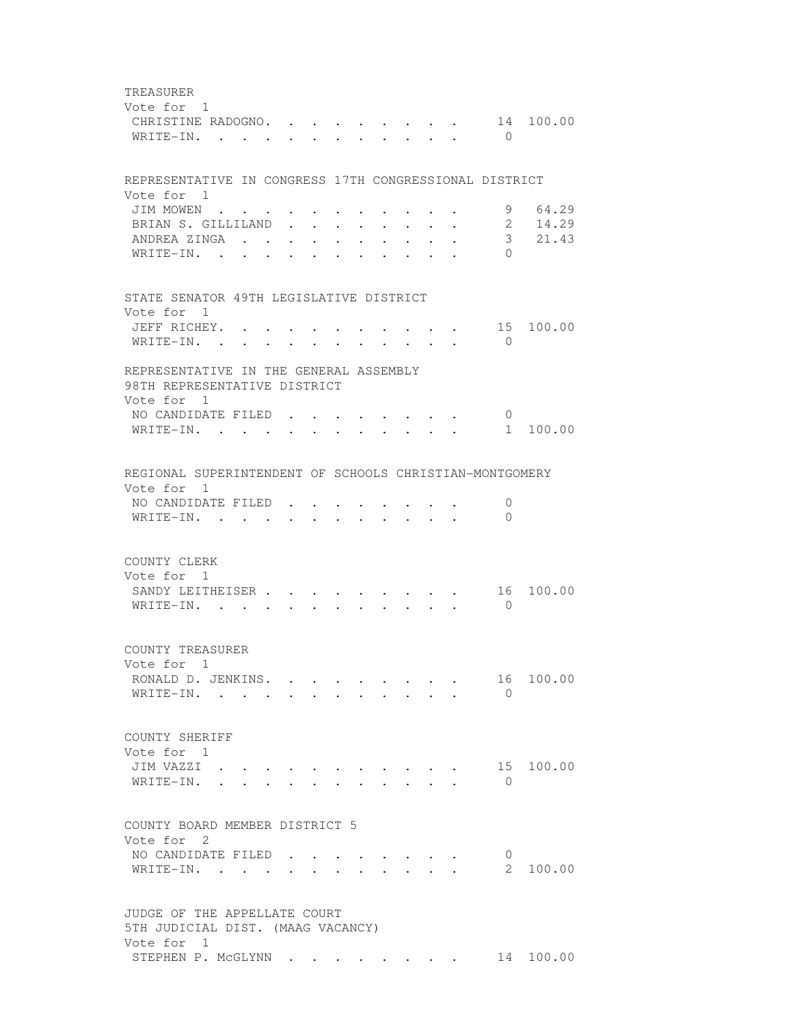TREASURER Vote for 1 CHRISTINE RADOGNO. . . . . . . . . 14 100.00 WRITE-IN. . . . . . . . . . . . 0 REPRESENTATIVE IN CONGRESS 17TH CONGRESSIONAL DISTRICT Vote for 1 JIM MOWEN . . . . . . . . . . . . 9 64.29<br>BRIAN S. GILLILAND . . . . . . . . 2 14.29 BRIAN S. GILLILAND . . . . . . . . 2 ANDREA ZINGA . . . . . . . . . . 3 21.43 WRITE-IN. . . . . . . . . . . . 0 STATE SENATOR 49TH LEGISLATIVE DISTRICT Vote for 1 JEFF RICHEY. . . . . . . . . . . 15 100.00 WRITE-IN. . . . . . . . . . . . 0 REPRESENTATIVE IN THE GENERAL ASSEMBLY 98TH REPRESENTATIVE DISTRICT Vote for 1 NO CANDIDATE FILED . . . . . . . . 0 WRITE-IN. . . . . . . . . . . . 1 100.00 REGIONAL SUPERINTENDENT OF SCHOOLS CHRISTIAN-MONTGOMERY Vote for 1 NO CANDIDATE FILED . . . . . . . . 0 WRITE-IN. . . . . . . . . . . . 0 COUNTY CLERK Vote for 1 SANDY LEITHEISER . . . . . . . . . 16 100.00 WRITE-IN. . . . . . . . . . . 0 COUNTY TREASURER Vote for 1 RONALD D. JENKINS. . . . . . . . . 16 100.00  $\texttt{WRITE-IN.}$  . . . . . . . . . . 0 COUNTY SHERIFF Vote for 1 JIM VAZZI . . . . . . . . . . . 15 100.00 WRITE-IN. . . . . . . . . . . . 0 COUNTY BOARD MEMBER DISTRICT 5 Vote for 2 NO CANDIDATE FILED . . . . . . . . 0 WRITE-IN. . . . . . . . . . . . . 2 100.00 JUDGE OF THE APPELLATE COURT 5TH JUDICIAL DIST. (MAAG VACANCY) Vote for 1 STEPHEN P. MCGLYNN . . . . . . . . 14 100.00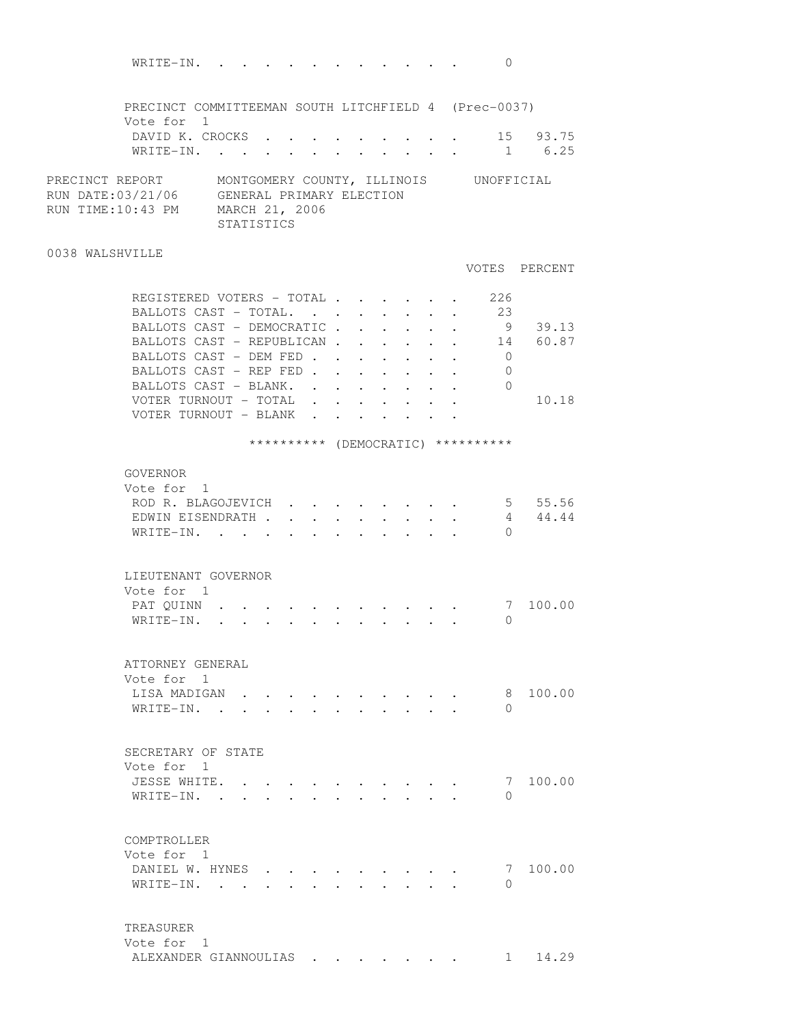| WRITE-IN.                                                                                                                             |                                                                                                                                                                                                                                  |  |        |                      |                      | $\mathbf{0}$                       |                                 |
|---------------------------------------------------------------------------------------------------------------------------------------|----------------------------------------------------------------------------------------------------------------------------------------------------------------------------------------------------------------------------------|--|--------|----------------------|----------------------|------------------------------------|---------------------------------|
|                                                                                                                                       |                                                                                                                                                                                                                                  |  |        |                      |                      |                                    |                                 |
| PRECINCT COMMITTEEMAN SOUTH LITCHFIELD 4 (Prec-0037)<br>Vote for 1                                                                    |                                                                                                                                                                                                                                  |  |        |                      |                      |                                    |                                 |
| DAVID K. CROCKS 15 93.75                                                                                                              |                                                                                                                                                                                                                                  |  |        |                      |                      |                                    |                                 |
| WRITE-IN. 1 6.25                                                                                                                      |                                                                                                                                                                                                                                  |  |        |                      |                      |                                    |                                 |
| PRECINCT REPORT MONTGOMERY COUNTY, ILLINOIS UNOFFICIAL RUN DATE:03/21/06 GENERAL PRIMARY ELECTION<br>RUN TIME:10:43 PM MARCH 21, 2006 | STATISTICS                                                                                                                                                                                                                       |  |        |                      |                      |                                    |                                 |
| 0038 WALSHVILLE                                                                                                                       |                                                                                                                                                                                                                                  |  |        |                      |                      |                                    |                                 |
|                                                                                                                                       |                                                                                                                                                                                                                                  |  |        |                      |                      |                                    | VOTES PERCENT                   |
| REGISTERED VOTERS - TOTAL                                                                                                             |                                                                                                                                                                                                                                  |  |        |                      |                      | 226                                |                                 |
| BALLOTS CAST - TOTAL.<br>BALLOTS CAST - DEMOCRATIC.                                                                                   |                                                                                                                                                                                                                                  |  |        |                      |                      | 23<br>9                            | 39.13                           |
| BALLOTS CAST - REPUBLICAN                                                                                                             |                                                                                                                                                                                                                                  |  | $\sim$ | $\ddot{\phantom{0}}$ | $\ddot{\phantom{0}}$ |                                    | 14 60.87                        |
| BALLOTS CAST - DEM FED                                                                                                                |                                                                                                                                                                                                                                  |  |        |                      |                      | $\overline{0}$                     |                                 |
| BALLOTS CAST - REP FED                                                                                                                |                                                                                                                                                                                                                                  |  |        |                      |                      | $\overline{0}$                     |                                 |
| BALLOTS CAST - BLANK. 0                                                                                                               |                                                                                                                                                                                                                                  |  |        |                      |                      |                                    |                                 |
| VOTER TURNOUT - TOTAL                                                                                                                 |                                                                                                                                                                                                                                  |  |        |                      |                      |                                    | 10.18                           |
| VOTER TURNOUT - BLANK                                                                                                                 |                                                                                                                                                                                                                                  |  |        |                      |                      |                                    |                                 |
|                                                                                                                                       |                                                                                                                                                                                                                                  |  |        |                      |                      | ********** (DEMOCRATIC) ********** |                                 |
|                                                                                                                                       |                                                                                                                                                                                                                                  |  |        |                      |                      |                                    |                                 |
| GOVERNOR<br>Vote for 1                                                                                                                |                                                                                                                                                                                                                                  |  |        |                      |                      |                                    |                                 |
| ROD R. BLAGOJEVICH 5 55.56                                                                                                            |                                                                                                                                                                                                                                  |  |        |                      |                      |                                    |                                 |
| EDWIN EISENDRATH 4 44.44                                                                                                              |                                                                                                                                                                                                                                  |  |        |                      |                      |                                    |                                 |
| WRITE-IN.                                                                                                                             |                                                                                                                                                                                                                                  |  |        |                      |                      | $\Omega$                           |                                 |
|                                                                                                                                       |                                                                                                                                                                                                                                  |  |        |                      |                      |                                    |                                 |
| LIEUTENANT GOVERNOR                                                                                                                   |                                                                                                                                                                                                                                  |  |        |                      |                      |                                    |                                 |
| Vote for 1                                                                                                                            |                                                                                                                                                                                                                                  |  |        |                      |                      |                                    |                                 |
| PAT QUINN<br>WRITE-IN.                                                                                                                | $\mathbf{r}$ , and the set of the set of the set of the set of the set of the set of the set of the set of the set of the set of the set of the set of the set of the set of the set of the set of the set of the set of the set |  |        |                      |                      | $\Omega$                           | 7 100.00                        |
|                                                                                                                                       |                                                                                                                                                                                                                                  |  |        |                      |                      |                                    |                                 |
| ATTORNEY GENERAL                                                                                                                      |                                                                                                                                                                                                                                  |  |        |                      |                      |                                    |                                 |
| Vote for 1                                                                                                                            |                                                                                                                                                                                                                                  |  |        |                      |                      |                                    |                                 |
| LISA MADIGAN                                                                                                                          |                                                                                                                                                                                                                                  |  |        |                      |                      | 8                                  | 100.00                          |
| WRITE-IN. .                                                                                                                           |                                                                                                                                                                                                                                  |  |        |                      |                      | $\Omega$                           |                                 |
|                                                                                                                                       |                                                                                                                                                                                                                                  |  |        |                      |                      |                                    |                                 |
| SECRETARY OF STATE                                                                                                                    |                                                                                                                                                                                                                                  |  |        |                      |                      |                                    |                                 |
| Vote for 1                                                                                                                            |                                                                                                                                                                                                                                  |  |        |                      |                      |                                    |                                 |
| JESSE WHITE.                                                                                                                          |                                                                                                                                                                                                                                  |  |        |                      |                      | 7                                  | 100.00                          |
| WRITE-IN.                                                                                                                             |                                                                                                                                                                                                                                  |  |        |                      |                      | $\Omega$                           |                                 |
|                                                                                                                                       |                                                                                                                                                                                                                                  |  |        |                      |                      |                                    |                                 |
| COMPTROLLER<br>Vote for 1                                                                                                             |                                                                                                                                                                                                                                  |  |        |                      |                      |                                    |                                 |
| DANIEL W. HYNES                                                                                                                       |                                                                                                                                                                                                                                  |  |        |                      |                      | -7                                 | 100.00                          |
| WRITE-IN.                                                                                                                             |                                                                                                                                                                                                                                  |  |        |                      |                      | $\bigcap$                          |                                 |
|                                                                                                                                       |                                                                                                                                                                                                                                  |  |        |                      |                      |                                    |                                 |
| TREASURER                                                                                                                             |                                                                                                                                                                                                                                  |  |        |                      |                      |                                    |                                 |
| Vote for 1                                                                                                                            |                                                                                                                                                                                                                                  |  |        |                      |                      |                                    |                                 |
| ALEXANDER GIANNOULIAS                                                                                                                 |                                                                                                                                                                                                                                  |  |        |                      |                      |                                    | 14.29<br>$1 \quad \blacksquare$ |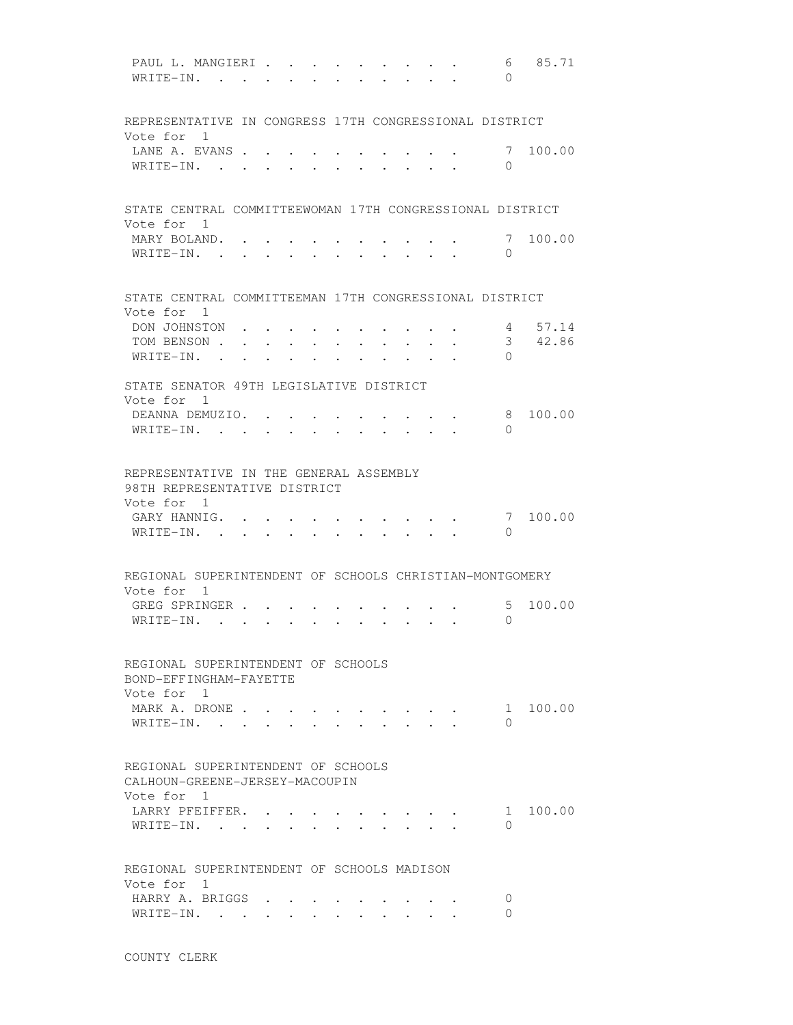PAUL L. MANGIERI . . . . . . . . . . 6 85.71 WRITE-IN. . . . . . . . . . . . 0 REPRESENTATIVE IN CONGRESS 17TH CONGRESSIONAL DISTRICT Vote for 1 LANE A. EVANS . . . . . . . . . . . 7 100.00 WRITE-IN. . . . . . . . . . . 0 STATE CENTRAL COMMITTEEWOMAN 17TH CONGRESSIONAL DISTRICT Vote for 1 MARY BOLAND. . . . . . . . . . . 7 100.00 WRITE-IN. . . . . . . . . . . . 0 STATE CENTRAL COMMITTEEMAN 17TH CONGRESSIONAL DISTRICT Vote for 1 DON JOHNSTON . . . . . . . . . . 4 57.14 TOM BENSON . . . . . . . . . . . 3 42.86 WRITE-IN. . . . . . . . . . . . 0 STATE SENATOR 49TH LEGISLATIVE DISTRICT Vote for 1 DEANNA DEMUZIO. . . . . . . . . . 8 100.00 WRITE-IN. . . . . . . . . . . 0 REPRESENTATIVE IN THE GENERAL ASSEMBLY 98TH REPRESENTATIVE DISTRICT Vote for 1 GARY HANNIG. . . . . . . . . . . 7 100.00 WRITE-IN. . . . . . . . . . . . 0 REGIONAL SUPERINTENDENT OF SCHOOLS CHRISTIAN-MONTGOMERY Vote for 1 GREG SPRINGER . . . . . . . . . . 5 100.00 WRITE-IN. . . . . . . . . . . 0 REGIONAL SUPERINTENDENT OF SCHOOLS BOND-EFFINGHAM-FAYETTE Vote for 1 MARK A. DRONE . . . . . . . . . . 1 100.00 WRITE-IN. . . . . . . . . . . . 0 REGIONAL SUPERINTENDENT OF SCHOOLS CALHOUN-GREENE-JERSEY-MACOUPIN Vote for 1 LARRY PFEIFFER. . . . . . . . . . 1 100.00 WRITE-IN. . . . . . . . . . . . 0 REGIONAL SUPERINTENDENT OF SCHOOLS MADISON Vote for 1 HARRY A. BRIGGS . . . . . . . . . 0 WRITE-IN. . . . . . . . . . . . 0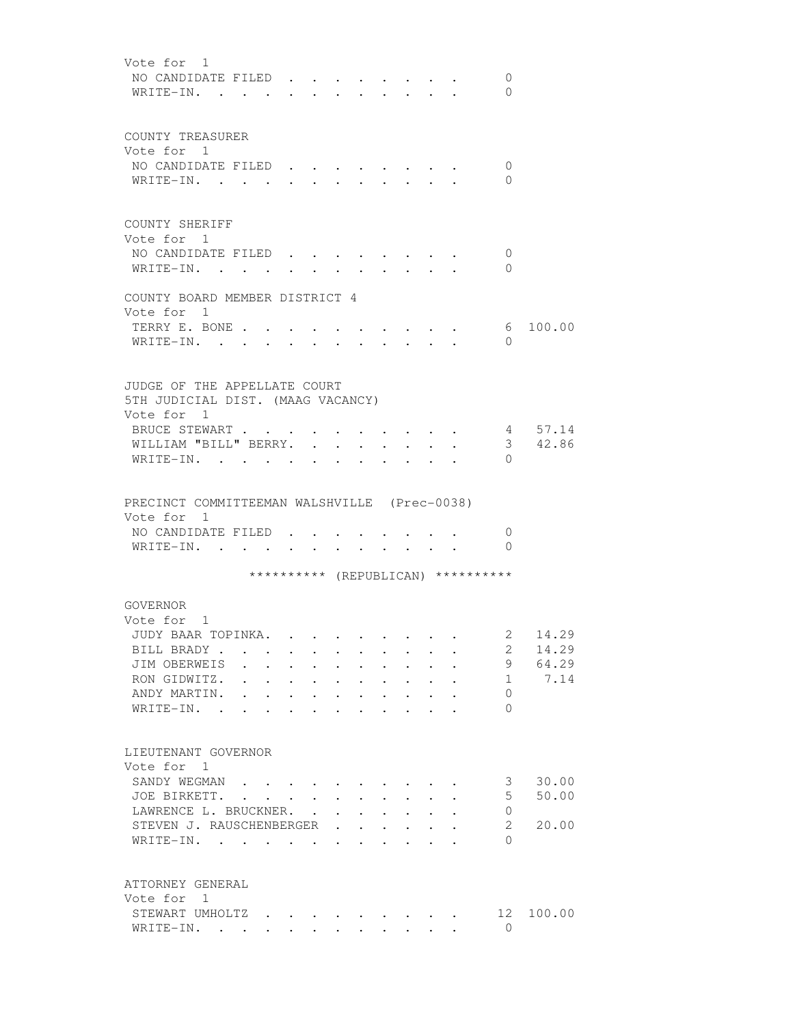| Vote for 1<br>NO CANDIDATE FILED<br>0<br>WRITE-IN. .<br>0                                                                                                                                                                                                                                                                                                                                                                                                                                                                                                            |  |
|----------------------------------------------------------------------------------------------------------------------------------------------------------------------------------------------------------------------------------------------------------------------------------------------------------------------------------------------------------------------------------------------------------------------------------------------------------------------------------------------------------------------------------------------------------------------|--|
| COUNTY TREASURER<br>Vote for 1<br>NO CANDIDATE FILED<br>0<br>WRITE-IN.<br>$\Omega$<br>$\cdot$ $\cdot$ $\cdot$ $\cdot$                                                                                                                                                                                                                                                                                                                                                                                                                                                |  |
| COUNTY SHERIFF<br>Vote for 1<br>NO CANDIDATE FILED<br>0<br>WRITE-IN.<br>$\Omega$                                                                                                                                                                                                                                                                                                                                                                                                                                                                                     |  |
| COUNTY BOARD MEMBER DISTRICT 4<br>Vote for 1                                                                                                                                                                                                                                                                                                                                                                                                                                                                                                                         |  |
| TERRY E. BONE<br>100.00<br>6<br>WRITE-IN.<br>$\Omega$                                                                                                                                                                                                                                                                                                                                                                                                                                                                                                                |  |
| JUDGE OF THE APPELLATE COURT<br>5TH JUDICIAL DIST. (MAAG VACANCY)<br>Vote for 1<br>BRUCE STEWART<br>4 57.14<br>3 42.86<br>WILLIAM "BILL" BERRY.<br>$\bullet$ .<br>WRITE-IN.<br>$\bigcap$                                                                                                                                                                                                                                                                                                                                                                             |  |
| PRECINCT COMMITTEEMAN WALSHVILLE (Prec-0038)<br>Vote for 1<br>NO CANDIDATE FILED.<br>0<br>$\Omega$<br>WRITE-IN.<br><b>Contract Contract</b>                                                                                                                                                                                                                                                                                                                                                                                                                          |  |
| ********** (REPUBLICAN) **********                                                                                                                                                                                                                                                                                                                                                                                                                                                                                                                                   |  |
| GOVERNOR<br>Vote for 1<br>2 14.29<br>JUDY BAAR TOPINKA.<br>BILL BRADY<br>14.29<br>2<br>$\mathbf{r}$ , and $\mathbf{r}$ , and $\mathbf{r}$ , and $\mathbf{r}$<br>9 64.29<br>JIM OBERWEIS<br>7.14<br>RON GIDWITZ.<br>1<br>.<br>ANDY MARTIN.<br>$\Omega$<br>$\mathbf{r} = \mathbf{r} + \mathbf{r} + \mathbf{r} + \mathbf{r} + \mathbf{r} + \mathbf{r} + \mathbf{r} + \mathbf{r} + \mathbf{r} + \mathbf{r} + \mathbf{r}$<br>$WRITE-IN.$ .<br>$\Omega$<br>the contract of the contract of the contract of the contract of the contract of the contract of the contract of |  |
| LIEUTENANT GOVERNOR<br>Vote for 1<br>30.00<br>SANDY WEGMAN.<br>3<br>$\mathbf{r}$ , and $\mathbf{r}$ , and $\mathbf{r}$ , and $\mathbf{r}$<br>5<br>50.00<br>JOE BIRKETT.<br>LAWRENCE L. BRUCKNER.<br>0<br>STEVEN J. RAUSCHENBERGER<br>$\overline{2}$<br>20.00<br>WRITE-IN.<br>$\Omega$                                                                                                                                                                                                                                                                                |  |
| ATTORNEY GENERAL<br>Vote for 1<br>100.00<br>STEWART UMHOLTZ<br>12<br>WRITE-IN.<br>$\Omega$                                                                                                                                                                                                                                                                                                                                                                                                                                                                           |  |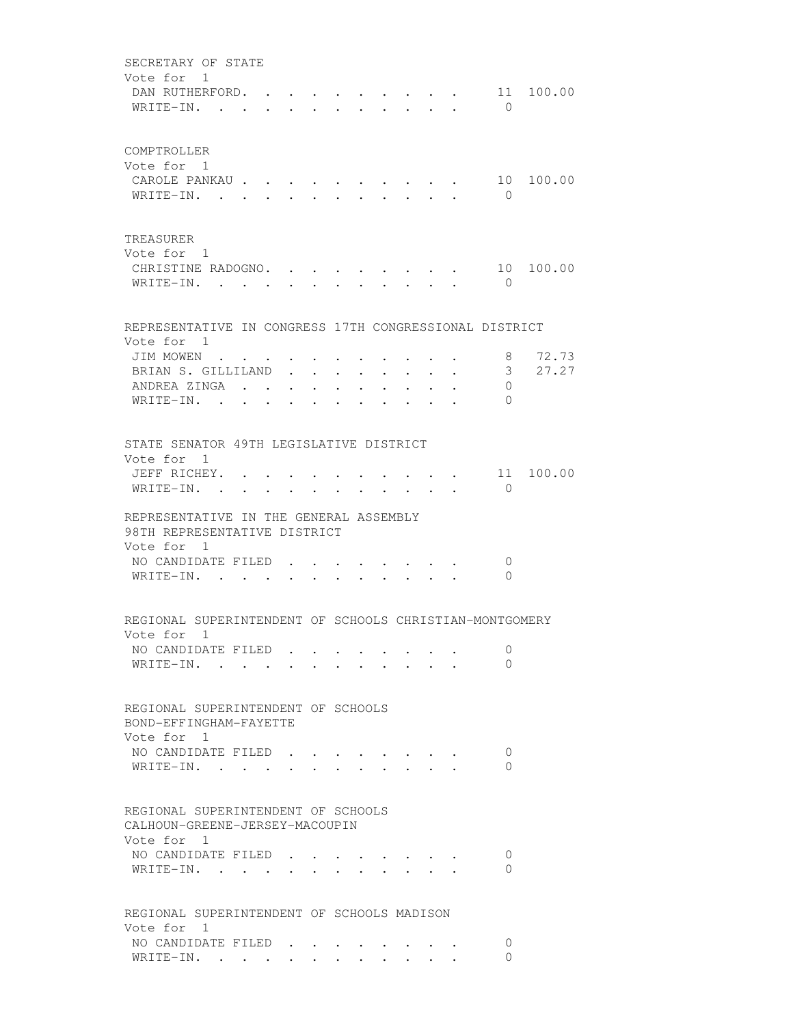SECRETARY OF STATE Vote for 1 DAN RUTHERFORD. . . . . . . . . . 11 100.00 WRITE-IN. . . . . . . . . . . . 0 COMPTROLLER Vote for 1 CAROLE PANKAU . . . . . . . . . . 10 100.00 WRITE-IN. . . . . . . . . . . . 0 TREASURER Vote for 1 CHRISTINE RADOGNO. . . . . . . . . 10 100.00 WRITE-IN. . . . . . . . . . . 0 REPRESENTATIVE IN CONGRESS 17TH CONGRESSIONAL DISTRICT Vote for 1 JIM MOWEN . . . . . . . . . . . . 8 72.73 BRIAN S. GILLILAND . . . . . . . . 3 27.27 ANDREA ZINGA . . . . . . . . . . 0 WRITE-IN. . . . . . . . . . . . 0 STATE SENATOR 49TH LEGISLATIVE DISTRICT Vote for 1 JEFF RICHEY. . . . . . . . . . . 11 100.00 WRITE-IN. . . . . . . . . . . . 0 REPRESENTATIVE IN THE GENERAL ASSEMBLY 98TH REPRESENTATIVE DISTRICT Vote for 1 NO CANDIDATE FILED . . . . . . . . 0 WRITE-IN. . . . . . . . . . . 0 REGIONAL SUPERINTENDENT OF SCHOOLS CHRISTIAN-MONTGOMERY Vote for 1 NO CANDIDATE FILED . . . . . . . . 0 WRITE-IN. . . . . . . . . . . 0 REGIONAL SUPERINTENDENT OF SCHOOLS BOND-EFFINGHAM-FAYETTE Vote for 1 NO CANDIDATE FILED . . . . . . . . 0 WRITE-IN. . . . . . . . . . . 0 REGIONAL SUPERINTENDENT OF SCHOOLS CALHOUN-GREENE-JERSEY-MACOUPIN Vote for 1 NO CANDIDATE FILED . . . . . . . . 0 WRITE-IN. . . . . . . . . . . 0 REGIONAL SUPERINTENDENT OF SCHOOLS MADISON Vote for 1 NO CANDIDATE FILED . . . . . . . . 0 WRITE-IN. . . . . . . . . . . . 0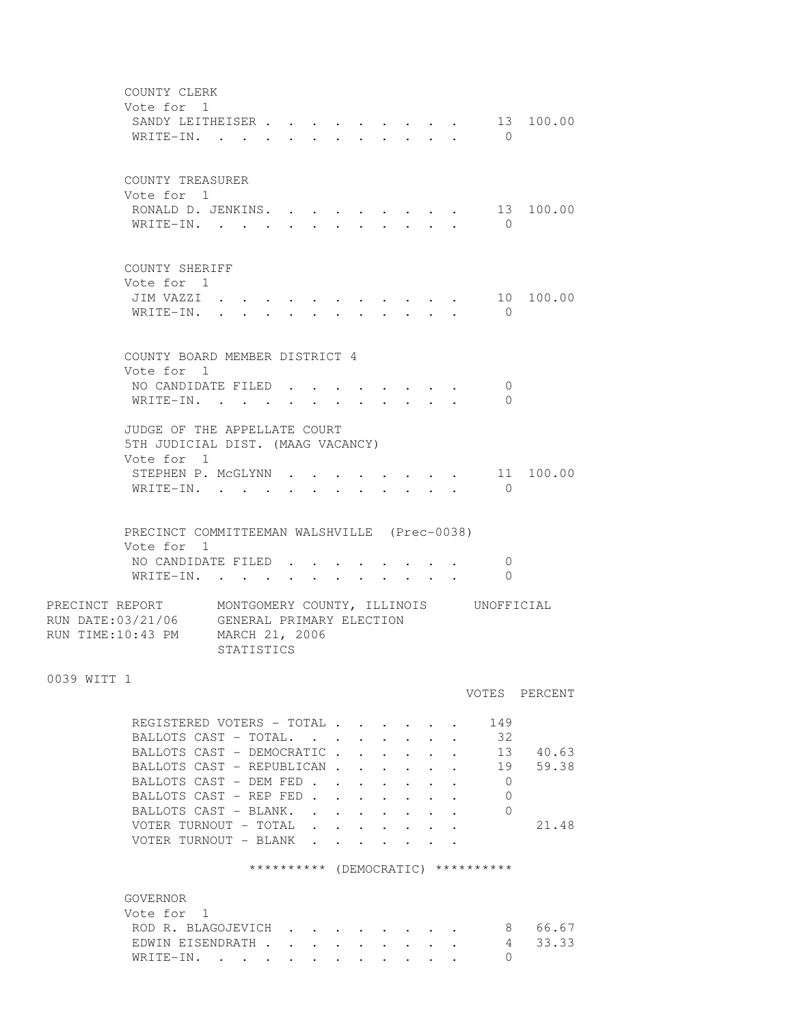COUNTY CLERK Vote for 1 SANDY LEITHEISER . . . . . . . . . 13 100.00 WRITE-IN. . . . . . . . . . . . 0 COUNTY TREASURER Vote for 1 RONALD D. JENKINS. . . . . . . . . 13 100.00 WRITE-IN. . . . . . . . . . . 0 COUNTY SHERIFF Vote for 1 JIM VAZZI . . . . . . . . . . . 10 100.00 WRITE-IN. . . . . . . . . . . . 0 COUNTY BOARD MEMBER DISTRICT 4 Vote for 1 NO CANDIDATE FILED . . . . . . . . 0 WRITE-IN. . . . . . . . . . . . 0 JUDGE OF THE APPELLATE COURT 5TH JUDICIAL DIST. (MAAG VACANCY) Vote for 1 STEPHEN P. MCGLYNN . . . . . . . . 11 100.00 WRITE-IN. . . . . . . . . . . . 0 PRECINCT COMMITTEEMAN WALSHVILLE (Prec-0038) Vote for 1 NO CANDIDATE FILED . . . . . . . . 0 WRITE-IN. . . . . . . . . . . 0 PRECINCT REPORT MONTGOMERY COUNTY, ILLINOIS UNOFFICIAL RUN DATE:03/21/06 GENERAL PRIMARY ELECTION RUN TIME:10:43 PM MARCH 21, 2006 STATISTICS 0039 WITT 1 VOTES PERCENT REGISTERED VOTERS - TOTAL . . . . . . 149 BALLOTS CAST - TOTAL. . . . . . . . 32 BALLOTS CAST - DEMOCRATIC . . . . . . 13 40.63 BALLOTS CAST - REPUBLICAN . . . . . . 19 59.38 BALLOTS CAST - DEM FED . . . . . . . 0 BALLOTS CAST - REP FED . . . . . . . 0 BALLOTS CAST - BLANK. . . . . . . . 0 VOTER TURNOUT - TOTAL . . . . . . . 21.48 VOTER TURNOUT - BLANK . . . \*\*\*\*\*\*\*\*\*\* (DEMOCRATIC) \*\*\*\*\*\*\*\*\*\* GOVERNOR Vote for 1 ROD R. BLAGOJEVICH . . . . . . . . 8 66.67 EDWIN EISENDRATH . . . . . . . . . 4 33.33 WRITE-IN. . . . . . . . . . . . 0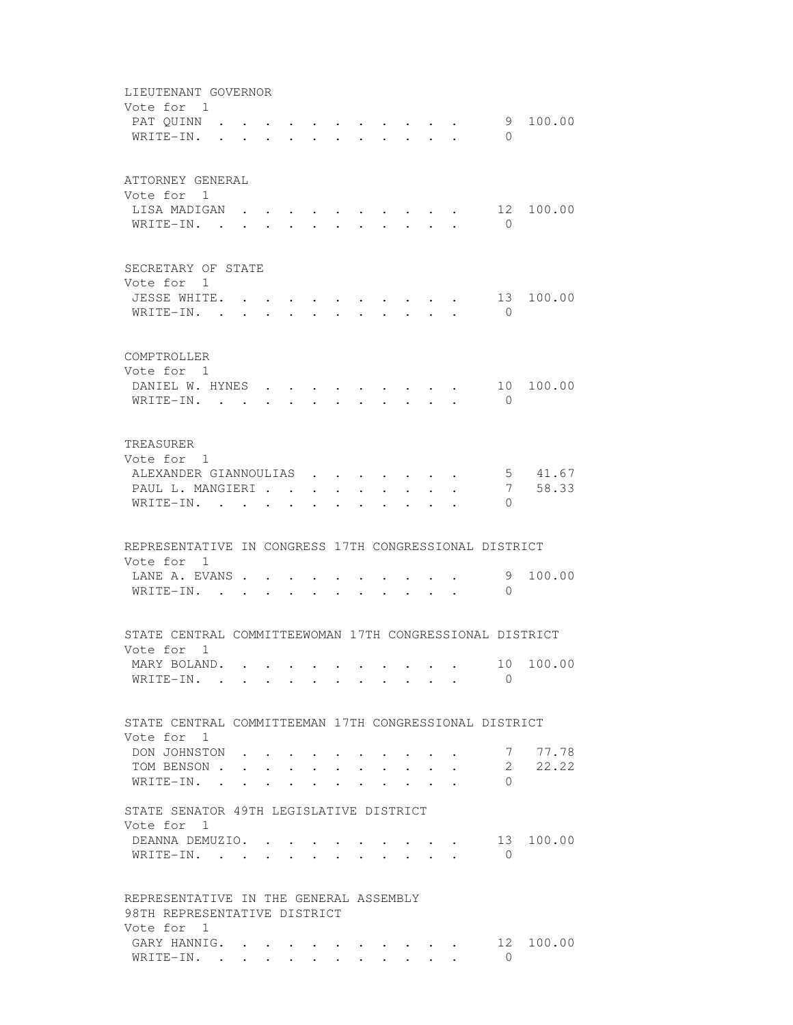| LIEUTENANT GOVERNOR<br>Vote for 1<br>PAT QUINN .<br>WRITE-IN.                        |        |  |   | <b>Contract Contract</b> |         | $\mathbf{r} = \mathbf{r} \cdot \mathbf{r}$ , and $\mathbf{r} = \mathbf{r} \cdot \mathbf{r}$ , and $\mathbf{r} = \mathbf{r} \cdot \mathbf{r}$<br>$\cdot$ $\cdot$ $\cdot$ $\cdot$ $\cdot$ $\cdot$ |                               |                                                         | $\Omega$                      | 9 100.00         |
|--------------------------------------------------------------------------------------|--------|--|---|--------------------------|---------|-------------------------------------------------------------------------------------------------------------------------------------------------------------------------------------------------|-------------------------------|---------------------------------------------------------|-------------------------------|------------------|
| ATTORNEY GENERAL<br>Vote for 1<br>LISA MADIGAN<br>WRITE-IN. .                        |        |  |   |                          |         |                                                                                                                                                                                                 |                               |                                                         | 12<br>$\bigcirc$              | 100.00           |
| SECRETARY OF STATE<br>Vote for 1<br>JESSE WHITE. .<br>WRITE-IN. .                    |        |  |   |                          |         |                                                                                                                                                                                                 |                               |                                                         | 13<br>$\bigcirc$              | 100.00           |
| COMPTROLLER<br>Vote for 1<br>DANIEL W. HYNES<br>WRITE-IN.                            |        |  |   |                          |         |                                                                                                                                                                                                 |                               | $\cdot$ $\cdot$ $\cdot$ $\cdot$ $\cdot$ $\cdot$ $\cdot$ | $\Omega$                      | 10 100.00        |
| TREASURER<br>Vote for 1<br>ALEXANDER GIANNOULIAS<br>PAUL L. MANGIERI                 |        |  |   |                          |         |                                                                                                                                                                                                 |                               |                                                         | 7                             | 5 41.67<br>58.33 |
| WRITE-IN.<br>REPRESENTATIVE IN CONGRESS 17TH CONGRESSIONAL DISTRICT                  |        |  |   | $\ddot{\phantom{0}}$     | $\cdot$ |                                                                                                                                                                                                 |                               |                                                         | $\Omega$                      |                  |
| Vote for 1<br>LANE A. EVANS<br>WRITE-IN. .                                           |        |  |   |                          |         |                                                                                                                                                                                                 |                               |                                                         | 9<br>$\Omega$                 | 100.00           |
| STATE CENTRAL COMMITTEEWOMAN 17TH CONGRESSIONAL DISTRICT<br>Vote for 1               |        |  |   |                          |         |                                                                                                                                                                                                 |                               |                                                         |                               |                  |
| MARY BOLAND.<br>WRITE-IN.                                                            |        |  |   |                          |         |                                                                                                                                                                                                 |                               |                                                         | $\Omega$                      | 10 100.00        |
| STATE CENTRAL COMMITTEEMAN 17TH CONGRESSIONAL DISTRICT<br>Vote for 1                 |        |  |   |                          |         |                                                                                                                                                                                                 |                               |                                                         |                               |                  |
| DON JOHNSTON<br>TOM BENSON .<br>WRITE-IN.                                            |        |  | . |                          |         |                                                                                                                                                                                                 | $\mathbf{r}$ and $\mathbf{r}$ | $\ddot{\phantom{a}}$                                    | 7<br>$\mathbf{2}$<br>$\Omega$ | 77.78<br>22.22   |
| STATE SENATOR 49TH LEGISLATIVE DISTRICT<br>Vote for<br>- 1<br>DEANNA DEMUZIO. .      |        |  |   |                          |         |                                                                                                                                                                                                 |                               |                                                         |                               | 13 100.00        |
| WRITE-IN. .                                                                          | $\sim$ |  |   |                          |         |                                                                                                                                                                                                 |                               |                                                         | $\Omega$                      |                  |
| REPRESENTATIVE IN THE GENERAL ASSEMBLY<br>98TH REPRESENTATIVE DISTRICT<br>Vote for 1 |        |  |   |                          |         |                                                                                                                                                                                                 |                               |                                                         |                               |                  |
| GARY HANNIG.<br>WRITE-IN.                                                            |        |  |   |                          |         |                                                                                                                                                                                                 |                               |                                                         | 12<br>$\Omega$                | 100.00           |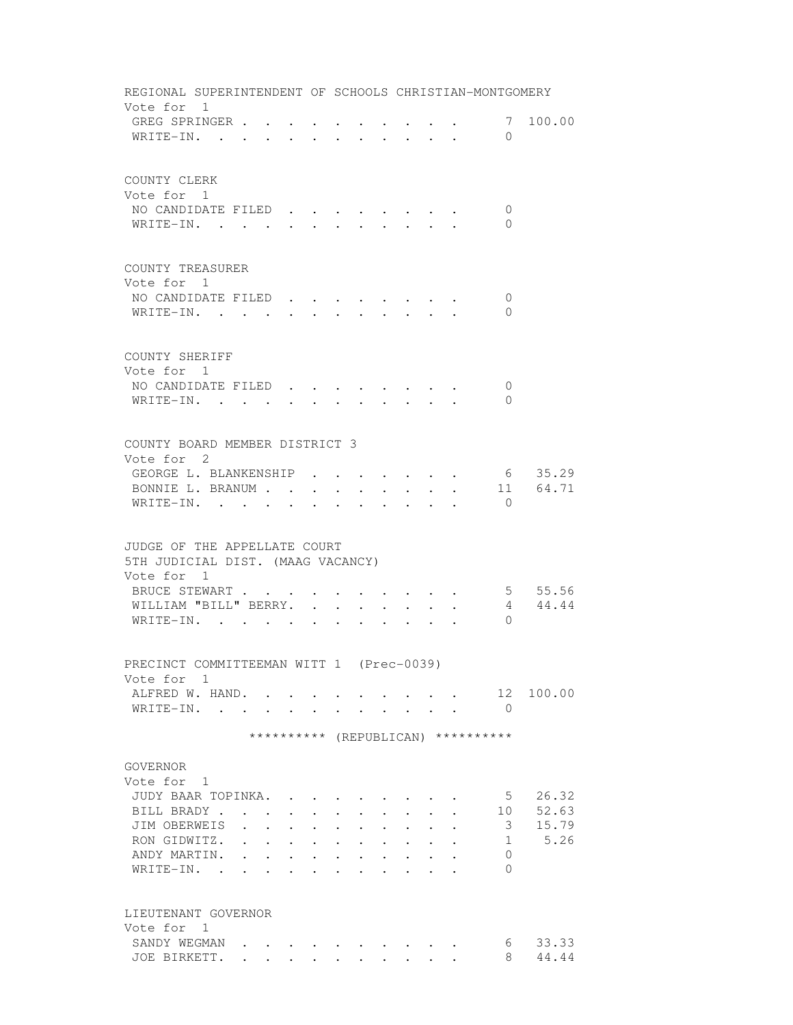| REGIONAL SUPERINTENDENT OF SCHOOLS CHRISTIAN-MONTGOMERY                         |                      |                                   |                                  |                                                         |                      |                                  |                      |                                                                                                                          |                                                             |                      |                                    |               |
|---------------------------------------------------------------------------------|----------------------|-----------------------------------|----------------------------------|---------------------------------------------------------|----------------------|----------------------------------|----------------------|--------------------------------------------------------------------------------------------------------------------------|-------------------------------------------------------------|----------------------|------------------------------------|---------------|
| Vote for 1<br>GREG SPRINGER<br>WRITE-IN.                                        |                      |                                   |                                  |                                                         |                      |                                  |                      | $\mathbf{r} = \mathbf{r} - \mathbf{r}$ , $\mathbf{r} = \mathbf{r} - \mathbf{r}$ , $\mathbf{r} = \mathbf{r} - \mathbf{r}$ |                                                             |                      | $\Omega$                           | 7 100.00      |
|                                                                                 |                      |                                   |                                  |                                                         |                      |                                  |                      |                                                                                                                          |                                                             |                      |                                    |               |
| COUNTY CLERK<br>Vote for 1                                                      |                      |                                   |                                  |                                                         |                      |                                  |                      |                                                                                                                          |                                                             |                      |                                    |               |
| NO CANDIDATE FILED.                                                             |                      |                                   |                                  | $\bullet$                                               |                      |                                  |                      |                                                                                                                          |                                                             |                      | 0                                  |               |
| WRITE-IN.                                                                       |                      |                                   |                                  |                                                         |                      |                                  |                      |                                                                                                                          |                                                             |                      | $\Omega$                           |               |
| COUNTY TREASURER                                                                |                      |                                   |                                  |                                                         |                      |                                  |                      |                                                                                                                          |                                                             |                      |                                    |               |
| Vote for 1<br>NO CANDIDATE FILED                                                |                      |                                   |                                  |                                                         |                      |                                  |                      |                                                                                                                          |                                                             |                      | 0                                  |               |
| WRITE-IN.                                                                       |                      |                                   |                                  |                                                         |                      |                                  |                      |                                                                                                                          |                                                             |                      | $\Omega$                           |               |
| COUNTY SHERIFF                                                                  |                      |                                   |                                  |                                                         |                      |                                  |                      |                                                                                                                          |                                                             |                      |                                    |               |
| Vote for 1<br>NO CANDIDATE FILED                                                |                      |                                   |                                  |                                                         |                      |                                  |                      |                                                                                                                          |                                                             |                      | $\circ$                            |               |
| WRITE-IN.                                                                       |                      |                                   |                                  |                                                         |                      |                                  |                      |                                                                                                                          |                                                             |                      | $\Omega$                           |               |
|                                                                                 |                      |                                   |                                  |                                                         |                      |                                  |                      |                                                                                                                          |                                                             |                      |                                    |               |
| COUNTY BOARD MEMBER DISTRICT 3                                                  |                      |                                   |                                  |                                                         |                      |                                  |                      |                                                                                                                          |                                                             |                      |                                    |               |
| Vote for 2                                                                      |                      |                                   |                                  |                                                         |                      |                                  |                      |                                                                                                                          |                                                             |                      |                                    |               |
| GEORGE L. BLANKENSHIP                                                           |                      |                                   |                                  |                                                         |                      |                                  |                      | $\mathbf{r}$ , and $\mathbf{r}$ , and $\mathbf{r}$                                                                       |                                                             |                      |                                    | 6 35.29       |
| BONNIE L. BRANUM                                                                |                      |                                   |                                  |                                                         |                      |                                  |                      | $\bullet$ .                                                                                                              |                                                             | $\ddot{\phantom{0}}$ |                                    | 11 64.71      |
| WRITE-IN.                                                                       |                      |                                   | $\sim 10^{-10}$                  | $\cdot$                                                 | $\sim$               | $\sim$                           | $\mathbf{L}$         | $\sim$                                                                                                                   |                                                             | $\cdot$ $\cdot$      | $\bigcirc$                         |               |
| JUDGE OF THE APPELLATE COURT<br>5TH JUDICIAL DIST. (MAAG VACANCY)<br>Vote for 1 |                      |                                   |                                  |                                                         |                      |                                  |                      |                                                                                                                          |                                                             |                      |                                    |               |
| BRUCE STEWART                                                                   |                      |                                   |                                  |                                                         |                      |                                  |                      |                                                                                                                          |                                                             | $\sim$ 100 $\pm$     |                                    | 5 55.56       |
| WILLIAM "BILL" BERRY.<br>WRITE-IN.                                              |                      |                                   |                                  |                                                         |                      |                                  | $\ddot{\phantom{0}}$ |                                                                                                                          |                                                             |                      | 4<br>$\Omega$                      | 44.44         |
|                                                                                 |                      |                                   |                                  |                                                         |                      |                                  |                      |                                                                                                                          |                                                             |                      |                                    |               |
| PRECINCT COMMITTEEMAN WITT 1 (Prec-0039)<br>Vote for 1                          |                      |                                   |                                  |                                                         |                      |                                  |                      |                                                                                                                          |                                                             |                      |                                    |               |
| ALFRED W. HAND.                                                                 |                      |                                   |                                  |                                                         |                      |                                  |                      |                                                                                                                          |                                                             |                      |                                    | 12 100.00     |
| WRITE-IN.                                                                       |                      |                                   |                                  |                                                         |                      |                                  |                      | <b>Contract Contract Contract</b>                                                                                        |                                                             |                      | $\bigcirc$                         |               |
|                                                                                 |                      |                                   |                                  |                                                         |                      |                                  |                      |                                                                                                                          |                                                             |                      | ********** (REPUBLICAN) ********** |               |
| GOVERNOR                                                                        |                      |                                   |                                  |                                                         |                      |                                  |                      |                                                                                                                          |                                                             |                      |                                    |               |
| Vote for 1                                                                      |                      |                                   |                                  |                                                         |                      |                                  |                      |                                                                                                                          |                                                             |                      |                                    |               |
| JUDY BAAR TOPINKA.                                                              |                      |                                   |                                  |                                                         |                      |                                  |                      |                                                                                                                          |                                                             |                      | 5                                  | 26.32         |
| BILL BRADY.                                                                     |                      | <b>Contract Contract Contract</b> | $\bullet$ . The set of $\bullet$ | $\bullet$ .<br><br><br><br><br><br><br><br><br><br><br> | $\ddot{\phantom{0}}$ | $\bullet$ . The set of $\bullet$ | $\ddot{\phantom{0}}$ |                                                                                                                          | $\bullet$ .<br><br><br><br><br><br><br><br><br><br><br><br> |                      | 10                                 | 52.63         |
| JIM OBERWEIS                                                                    | $\ddot{\phantom{a}}$ | $\ddot{\phantom{a}}$              |                                  | $\ddot{\phantom{0}}$                                    | $\ddot{\phantom{a}}$ |                                  |                      |                                                                                                                          |                                                             |                      | 3                                  | 15.79<br>5.26 |
| RON GIDWITZ.<br>ANDY MARTIN.                                                    |                      |                                   | $\ddot{\phantom{0}}$             | $\bullet$ . $\bullet$                                   | $\bullet$            | $\bullet$                        |                      |                                                                                                                          |                                                             |                      | 1<br>0                             |               |
| WRITE-IN. .                                                                     |                      |                                   |                                  |                                                         |                      |                                  |                      |                                                                                                                          |                                                             |                      | $\Omega$                           |               |
| LIEUTENANT GOVERNOR                                                             |                      |                                   |                                  |                                                         |                      |                                  |                      |                                                                                                                          |                                                             |                      |                                    |               |
| Vote for 1                                                                      |                      |                                   |                                  |                                                         |                      |                                  |                      |                                                                                                                          |                                                             |                      |                                    |               |
| SANDY WEGMAN                                                                    |                      |                                   |                                  |                                                         |                      |                                  |                      |                                                                                                                          |                                                             |                      | 6                                  | 33.33         |
| JOE BIRKETT.                                                                    | $\ddot{\phantom{0}}$ | $\cdot$ $\cdot$                   |                                  |                                                         |                      |                                  | $\sim$               |                                                                                                                          |                                                             |                      | 8.                                 | 44.44         |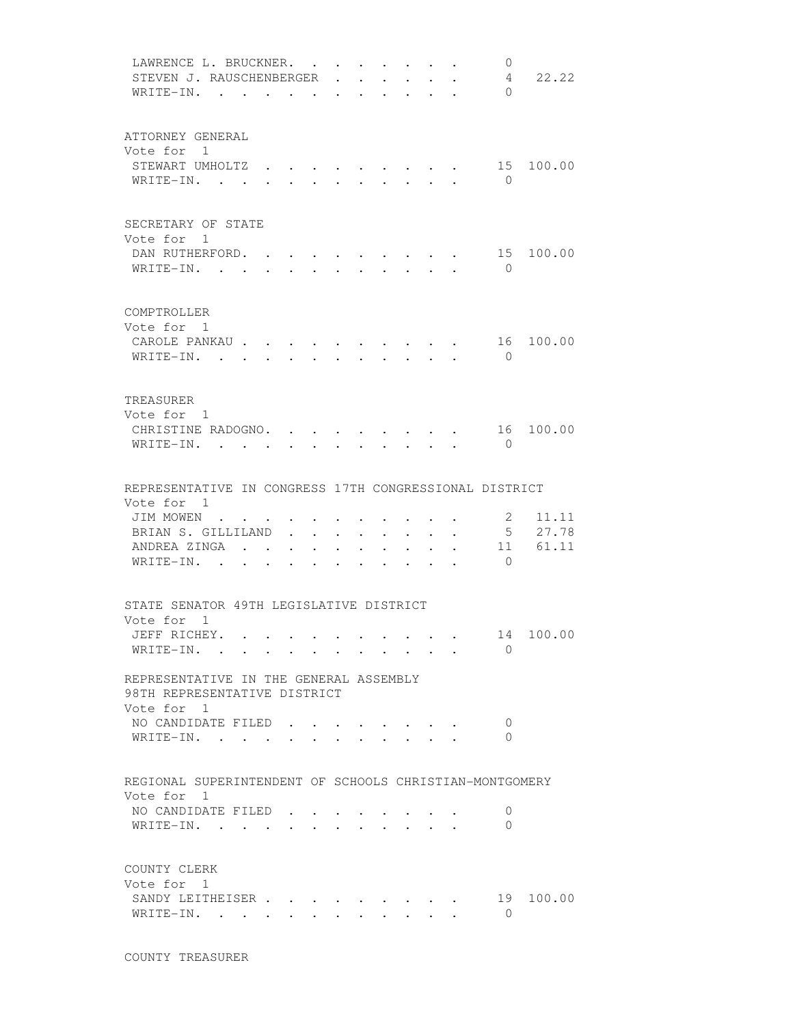|                            | LAWRENCE L. BRUCKNER.<br>STEVEN J. RAUSCHENBERGER<br>WRITE-IN. .       | $\overline{\phantom{a}}$ |                        |                                                        |                           |                                                                                    | $\bullet$ . In the set of $\bullet$                     | $\mathbf{0}$<br>4<br>$\Omega$                    | 22.22                   |
|----------------------------|------------------------------------------------------------------------|--------------------------|------------------------|--------------------------------------------------------|---------------------------|------------------------------------------------------------------------------------|---------------------------------------------------------|--------------------------------------------------|-------------------------|
| Vote for 1                 | ATTORNEY GENERAL<br>STEWART UMHOLTZ<br>WRITE-IN.                       |                          | $\ddot{\phantom{0}}$   | $\mathbf{z} = \mathbf{z} + \mathbf{z}$ .               |                           |                                                                                    | $\cdot$ $\cdot$ $\cdot$ $\cdot$ $\cdot$ $\cdot$ $\cdot$ | $\cdot \cdot \cdot \cdot \cdot 15$<br>$\bigcirc$ | 100.00                  |
| Vote for 1                 | SECRETARY OF STATE<br>DAN RUTHERFORD.<br>WRITE-IN.                     |                          |                        | $\mathbf{r} = \mathbf{r}$<br>$\mathbf{r} = \mathbf{r}$ |                           | $\cdot$ $\cdot$ $\cdot$ $\cdot$ $\cdot$ $\cdot$                                    | $\cdot$ $\cdot$ $\cdot$ $\cdot$ $\cdot$ $\cdot$ $\cdot$ | 15<br>$\bigcirc$                                 | 100.00                  |
| COMPTROLLER<br>Vote for 1  | CAROLE PANKAU<br>$W$ RITE-IN                                           |                          |                        |                                                        |                           |                                                                                    |                                                         | $\bigcirc$                                       | 16 100.00               |
| TREASURER<br>Vote for 1    | CHRISTINE RADOGNO.<br>WRITE-IN.                                        |                          |                        |                                                        |                           |                                                                                    | $\sim$ $\sim$ $\sim$ $\sim$ $\sim$ $\sim$ $\sim$        | 16<br>$\Omega$                                   | 100.00                  |
| Vote for 1                 | REPRESENTATIVE IN CONGRESS 17TH CONGRESSIONAL DISTRICT                 |                          |                        |                                                        |                           |                                                                                    |                                                         |                                                  |                         |
|                            | JIM MOWEN<br>BRIAN S. GILLILAND<br>ANDREA ZINGA<br>WRITE-IN.           |                          |                        | $\bullet$ . In the case of the $\bullet$               |                           | $\cdot$ $\cdot$ $\cdot$ $\cdot$ $\cdot$<br>$\cdot$ $\cdot$ $\cdot$ $\cdot$ $\cdot$ |                                                         | 2<br>5 <sup>5</sup><br>11<br>$\bigcirc$          | 11.11<br>27.78<br>61.11 |
|                            | STATE SENATOR 49TH LEGISLATIVE DISTRICT                                |                          |                        |                                                        |                           |                                                                                    |                                                         |                                                  |                         |
| Vote for 1                 | JEFF RICHEY.<br>WRITE-IN.                                              |                          |                        |                                                        |                           |                                                                                    |                                                         | $\Omega$                                         | 14 100.00               |
| Vote for 1                 | REPRESENTATIVE IN THE GENERAL ASSEMBLY<br>98TH REPRESENTATIVE DISTRICT |                          |                        |                                                        |                           |                                                                                    |                                                         |                                                  |                         |
|                            | NO CANDIDATE FILED<br>WRITE-IN.                                        |                          |                        |                                                        |                           |                                                                                    |                                                         | $\overline{0}$<br>0                              |                         |
|                            | REGIONAL SUPERINTENDENT OF SCHOOLS CHRISTIAN-MONTGOMERY                |                          |                        |                                                        |                           |                                                                                    |                                                         |                                                  |                         |
| Vote for 1                 | NO CANDIDATE FILED.<br>WRITE-IN.                                       |                          |                        |                                                        |                           |                                                                                    |                                                         | 0<br>$\Omega$                                    |                         |
| COUNTY CLERK<br>Vote for 1 | SANDY LEITHEISER<br>WRITE-IN.                                          |                          | $\mathbf{L}$<br>$\sim$ | $\ddot{\phantom{0}}$                                   | $\mathbf{L} = \mathbf{L}$ | $\ddot{\phantom{0}}$                                                               |                                                         | 19<br>$\Omega$                                   | 100.00                  |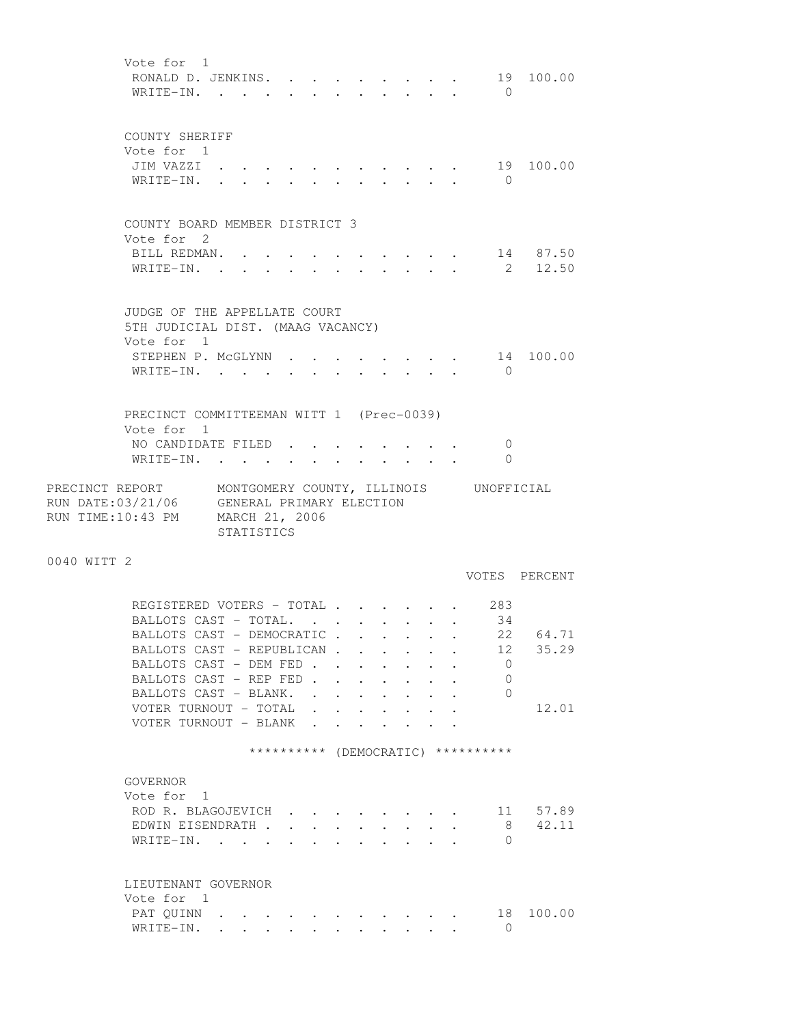Vote for 1 RONALD D. JENKINS. . . . . . . . . 19 100.00 WRITE-IN. . . . . . . . . . . . 0 COUNTY SHERIFF Vote for 1 JIM VAZZI . . . . . . . . . . . 19 100.00 WRITE-IN. . . . . . . . . . . 0 COUNTY BOARD MEMBER DISTRICT 3 Vote for 2 BILL REDMAN. . . . . . . . . . . 14 87.50 WRITE-IN. . . . . . . . . . . . 2 12.50 JUDGE OF THE APPELLATE COURT 5TH JUDICIAL DIST. (MAAG VACANCY) Vote for 1 STEPHEN P. McGLYNN  $\cdot \cdot \cdot \cdot \cdot \cdot \cdot \cdot \cdot \cdot 14$  100.00 WRITE-IN. . . . . . . . . . . . 0 PRECINCT COMMITTEEMAN WITT 1 (Prec-0039) Vote for 1 NO CANDIDATE FILED . . . . . . . . 0 WRITE-IN. . . . . . . . . . . . 0 PRECINCT REPORT MONTGOMERY COUNTY, ILLINOIS UNOFFICIAL RUN DATE:03/21/06 GENERAL PRIMARY ELECTION RUN TIME:10:43 PM MARCH 21, 2006 STATISTICS 0040 WITT 2 VOTES PERCENT REGISTERED VOTERS - TOTAL . . . . . . 283<br>BALLOTS CAST - TOTAL . . . . . . . . 34<br>BALLOTS CAST - DEMOCRATIC . . . . . 22 64.71 BALLOTS CAST - TOTAL. . . . . . . . 34 BALLOTS CAST - DEMOCRATIC . . . . . 22 64.71 BALLOTS CAST - REPUBLICAN . . . . . . 12 35.29<br>BALLOTS CAST - DEM FED . . . . . . . 0 BALLOTS CAST - DEM FED . . . . . . . BALLOTS CAST - REP FED . . . . . . 0 BALLOTS CAST - BLANK. . . . . . . . 0 VOTER TURNOUT - TOTAL . . . . . . . 12.01 VOTER TURNOUT - BLANK . . \*\*\*\*\*\*\*\*\*\* (DEMOCRATIC) \*\*\*\*\*\*\*\*\*\* GOVERNOR Vote for 1 ROD R. BLAGOJEVICH . . . . . . . . 11 57.89<br>EDWIN EISENDRATH . . . . . . . . . 8 42.11<br>WRITE-IN. . . . . . . . . . . . 0 EDWIN EISENDRATH . . . . . . . . . WRITE-IN. . . . . . . . LIEUTENANT GOVERNOR Vote for 1 PAT QUINN . . . . . . . . . . . 18 100.00 WRITE-IN. . . . . . . . . . . . 0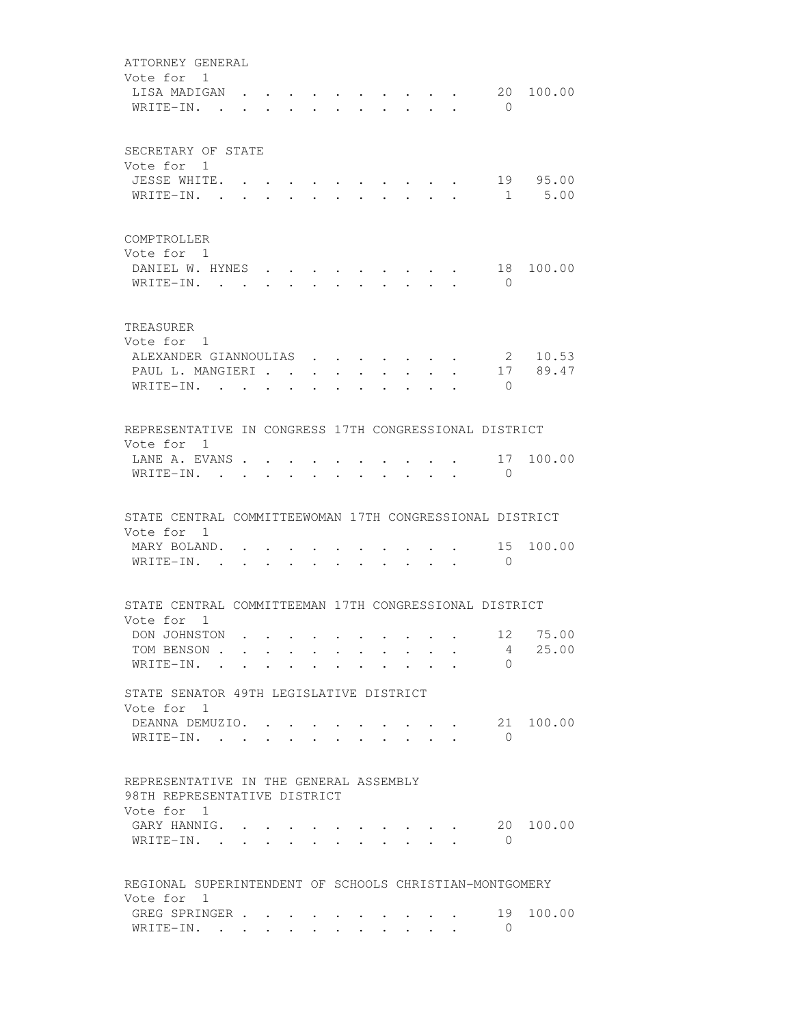| ATTORNEY GENERAL<br>Vote for 1                                                       |                                  |                      |        |                   |                                 |                                                                          |  |                                                 |                      |           |
|--------------------------------------------------------------------------------------|----------------------------------|----------------------|--------|-------------------|---------------------------------|--------------------------------------------------------------------------|--|-------------------------------------------------|----------------------|-----------|
| LISA MADIGAN<br>WRITE-IN. .                                                          |                                  |                      |        |                   |                                 |                                                                          |  |                                                 | $\bigcirc$           | 20 100.00 |
| SECRETARY OF STATE<br>Vote for 1                                                     |                                  |                      |        |                   |                                 |                                                                          |  |                                                 |                      |           |
| JESSE WHITE. .                                                                       |                                  |                      |        |                   |                                 |                                                                          |  |                                                 |                      | 19 95.00  |
| WRITE-IN. .                                                                          | $\bullet$ . The set of $\bullet$ |                      |        |                   |                                 |                                                                          |  |                                                 |                      | 1 5.00    |
| COMPTROLLER<br>Vote for 1                                                            |                                  |                      |        |                   |                                 |                                                                          |  |                                                 |                      |           |
| DANIEL W. HYNES<br>WRITE-IN.                                                         |                                  |                      |        |                   |                                 |                                                                          |  |                                                 | 18<br>$\overline{0}$ | 100.00    |
| TREASURER<br>Vote for 1                                                              |                                  |                      |        |                   |                                 |                                                                          |  |                                                 |                      |           |
| ALEXANDER GIANNOULIAS                                                                |                                  |                      |        |                   |                                 | $\mathbf{r}$ $\mathbf{r}$                                                |  |                                                 |                      | 2 10.53   |
| PAUL L. MANGIERI                                                                     |                                  |                      |        |                   |                                 |                                                                          |  | $\sim$                                          |                      | 17 89.47  |
| WRITE-IN.                                                                            |                                  | $\ddot{\phantom{a}}$ |        |                   |                                 |                                                                          |  |                                                 | $\bigcirc$           |           |
| REPRESENTATIVE IN CONGRESS 17TH CONGRESSIONAL DISTRICT<br>Vote for 1                 |                                  |                      |        |                   |                                 |                                                                          |  |                                                 |                      |           |
| LANE A. EVANS<br>WRITE-IN. .                                                         |                                  |                      |        |                   |                                 |                                                                          |  |                                                 | $\mathbf{0}$         | 17 100.00 |
| STATE CENTRAL COMMITTEEWOMAN 17TH CONGRESSIONAL DISTRICT                             |                                  |                      |        |                   |                                 |                                                                          |  |                                                 |                      |           |
| Vote for 1<br>MARY BOLAND.<br>$W$ RITE-IN                                            |                                  |                      | $\sim$ | $\sim$ 100 $\sim$ | $\bullet$ .<br><br><br><br><br> |                                                                          |  | $\cdot$ $\cdot$ $\cdot$ $\cdot$ $\cdot$ $\cdot$ | 15<br>$\bigcirc$     | 100.00    |
| STATE CENTRAL COMMITTEEMAN 17TH CONGRESSIONAL DISTRICT                               |                                  |                      |        |                   |                                 |                                                                          |  |                                                 |                      |           |
| Vote for 1<br>DON JOHNSTON                                                           |                                  |                      |        |                   |                                 |                                                                          |  |                                                 |                      | 12 75.00  |
| TOM BENSON                                                                           |                                  |                      |        |                   |                                 |                                                                          |  |                                                 | $4 \quad$            | 25.00     |
| WRITE-IN.                                                                            |                                  |                      |        |                   |                                 |                                                                          |  |                                                 | $\Omega$             |           |
| STATE SENATOR 49TH LEGISLATIVE DISTRICT<br>Vote for 1                                |                                  |                      |        |                   |                                 |                                                                          |  |                                                 |                      |           |
| DEANNA DEMUZIO.<br>WRITE-IN.                                                         |                                  |                      |        |                   |                                 |                                                                          |  |                                                 | $\Omega$             | 21 100.00 |
| REPRESENTATIVE IN THE GENERAL ASSEMBLY<br>98TH REPRESENTATIVE DISTRICT<br>Vote for 1 |                                  |                      |        |                   |                                 |                                                                          |  |                                                 |                      |           |
| GARY HANNIG.<br>WRITE-IN.                                                            |                                  |                      |        |                   |                                 |                                                                          |  |                                                 | 20<br>0              | 100.00    |
| REGIONAL SUPERINTENDENT OF SCHOOLS CHRISTIAN-MONTGOMERY                              |                                  |                      |        |                   |                                 |                                                                          |  |                                                 |                      |           |
| Vote for 1<br>GREG SPRINGER<br>WRITE-IN.                                             |                                  |                      |        |                   |                                 | $\mathbf{r}$ , $\mathbf{r}$ , $\mathbf{r}$ , $\mathbf{r}$ , $\mathbf{r}$ |  |                                                 | 19<br>$\bigcirc$     | 100.00    |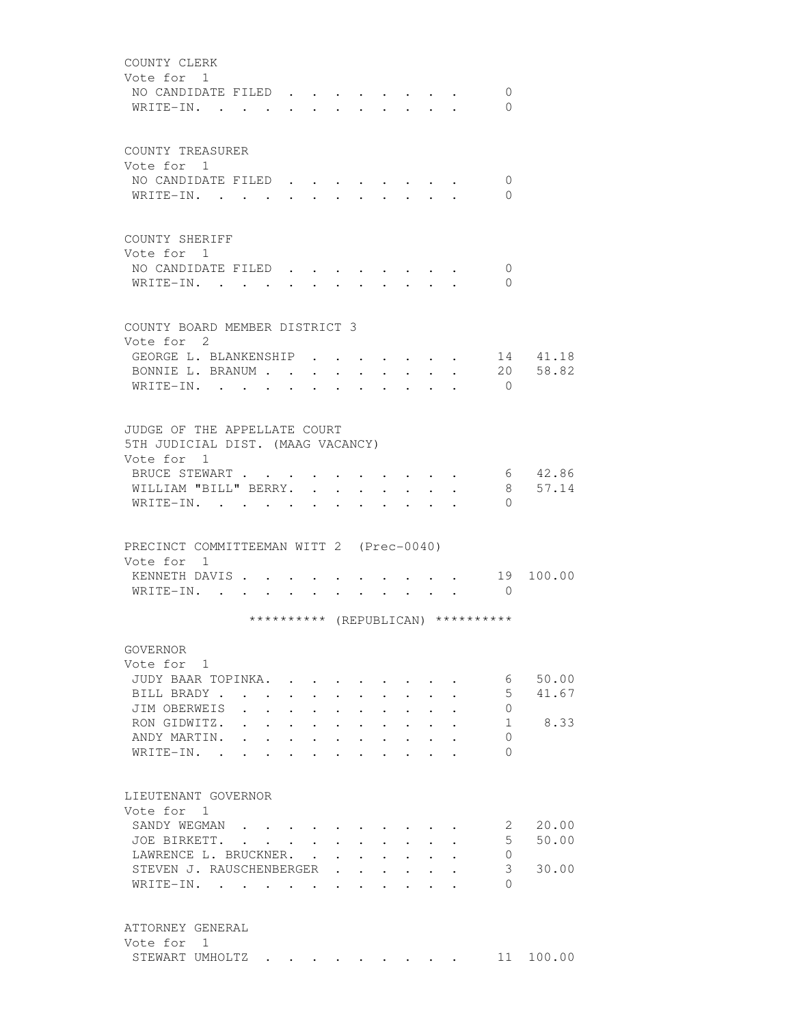| COUNTY CLERK<br>Vote for 1                   |                                                                       |                      |           |                                                             |                      |                                          |                                                             |                                          |                                                                               |                                    |          |
|----------------------------------------------|-----------------------------------------------------------------------|----------------------|-----------|-------------------------------------------------------------|----------------------|------------------------------------------|-------------------------------------------------------------|------------------------------------------|-------------------------------------------------------------------------------|------------------------------------|----------|
| NO CANDIDATE FILED<br>WRITE-IN. .            |                                                                       |                      |           |                                                             |                      |                                          |                                                             |                                          |                                                                               | 0<br>$\Omega$                      |          |
| COUNTY TREASURER<br>Vote for 1               |                                                                       |                      |           |                                                             |                      |                                          |                                                             |                                          |                                                                               |                                    |          |
| NO CANDIDATE FILED<br>WRITE-IN.              |                                                                       |                      |           |                                                             |                      |                                          |                                                             |                                          | $\mathbf{r} = \mathbf{r} + \mathbf{r} + \mathbf{r} + \mathbf{r} + \mathbf{r}$ | 0<br>$\Omega$                      |          |
| COUNTY SHERIFF<br>Vote for 1                 |                                                                       |                      |           |                                                             |                      |                                          |                                                             |                                          |                                                                               |                                    |          |
| NO CANDIDATE FILED.<br>WRITE-IN.             |                                                                       |                      |           |                                                             |                      |                                          |                                                             |                                          |                                                                               | $\overline{0}$<br>$\Omega$         |          |
| COUNTY BOARD MEMBER DISTRICT 3<br>Vote for 2 |                                                                       |                      |           |                                                             |                      |                                          |                                                             |                                          |                                                                               |                                    |          |
| GEORGE L. BLANKENSHIP                        |                                                                       |                      |           |                                                             |                      |                                          |                                                             |                                          |                                                                               |                                    | 14 41.18 |
| BONNIE L. BRANUM                             |                                                                       |                      |           |                                                             |                      |                                          |                                                             |                                          |                                                                               | 20                                 | 58.82    |
| WRITE-IN. .                                  |                                                                       |                      |           | $\mathbf{L}$ and $\mathbf{L}$                               |                      |                                          |                                                             |                                          |                                                                               | $\Omega$                           |          |
|                                              |                                                                       |                      |           |                                                             |                      |                                          |                                                             |                                          |                                                                               |                                    |          |
|                                              |                                                                       |                      |           |                                                             |                      |                                          |                                                             |                                          |                                                                               |                                    |          |
| JUDGE OF THE APPELLATE COURT                 |                                                                       |                      |           |                                                             |                      |                                          |                                                             |                                          |                                                                               |                                    |          |
| 5TH JUDICIAL DIST. (MAAG VACANCY)            |                                                                       |                      |           |                                                             |                      |                                          |                                                             |                                          |                                                                               |                                    |          |
| Vote for 1                                   |                                                                       |                      |           |                                                             |                      |                                          |                                                             |                                          |                                                                               |                                    |          |
| BRUCE STEWART                                |                                                                       |                      |           |                                                             |                      |                                          |                                                             |                                          |                                                                               |                                    | 6 42.86  |
| WILLIAM "BILL" BERRY.                        |                                                                       |                      |           |                                                             | $\ddot{\phantom{0}}$ | $\ddot{\phantom{a}}$                     |                                                             |                                          |                                                                               | 8                                  | 57.14    |
| WRITE-IN.                                    |                                                                       |                      |           |                                                             |                      |                                          |                                                             |                                          |                                                                               | $\Omega$                           |          |
|                                              |                                                                       |                      |           |                                                             |                      |                                          |                                                             |                                          |                                                                               |                                    |          |
| PRECINCT COMMITTEEMAN WITT 2 (Prec-0040)     |                                                                       |                      |           |                                                             |                      |                                          |                                                             |                                          |                                                                               |                                    |          |
| Vote for 1                                   |                                                                       |                      |           |                                                             |                      |                                          |                                                             |                                          |                                                                               |                                    |          |
| KENNETH DAVIS                                |                                                                       |                      |           |                                                             |                      |                                          |                                                             |                                          |                                                                               | . 19                               | 100.00   |
| WRITE-IN.                                    |                                                                       |                      |           |                                                             |                      |                                          |                                                             |                                          |                                                                               | $\bigcirc$                         |          |
|                                              |                                                                       |                      |           |                                                             |                      |                                          |                                                             |                                          |                                                                               | ********** (REPUBLICAN) ********** |          |
|                                              |                                                                       |                      |           |                                                             |                      |                                          |                                                             |                                          |                                                                               |                                    |          |
| GOVERNOR                                     |                                                                       |                      |           |                                                             |                      |                                          |                                                             |                                          |                                                                               |                                    |          |
| Vote for 1                                   |                                                                       |                      |           |                                                             |                      |                                          |                                                             |                                          |                                                                               |                                    |          |
| JUDY BAAR TOPINKA.                           |                                                                       |                      |           |                                                             |                      |                                          |                                                             |                                          |                                                                               | 6                                  | 50.00    |
| BILL BRADY                                   |                                                                       |                      |           |                                                             |                      |                                          |                                                             |                                          |                                                                               | 5                                  | 41.67    |
| JIM OBERWEIS                                 | $\mathbf{r}$ , and $\mathbf{r}$ , and $\mathbf{r}$ , and $\mathbf{r}$ |                      |           |                                                             |                      |                                          | $\ddot{\phantom{0}}$                                        | $\ddot{\phantom{0}}$                     |                                                                               | 0                                  |          |
| RON GIDWITZ.                                 |                                                                       |                      |           |                                                             |                      | $\bullet$ . In the set of $\bullet$      | $\bullet$ .<br><br><br><br><br><br><br><br><br><br><br><br> |                                          |                                                                               | 1                                  | 8.33     |
| ANDY MARTIN.                                 |                                                                       | $\ddot{\phantom{0}}$ | $\bullet$ |                                                             |                      |                                          |                                                             |                                          |                                                                               | $\Omega$                           |          |
| $W$ RITE-IN                                  |                                                                       | $\ddot{\phantom{0}}$ |           |                                                             |                      |                                          | $\sim$ 100 $\mu$                                            |                                          |                                                                               | $\Omega$                           |          |
|                                              |                                                                       |                      |           |                                                             |                      |                                          |                                                             |                                          |                                                                               |                                    |          |
| LIEUTENANT GOVERNOR                          |                                                                       |                      |           |                                                             |                      |                                          |                                                             |                                          |                                                                               |                                    |          |
| Vote for 1                                   |                                                                       |                      |           |                                                             |                      |                                          |                                                             |                                          |                                                                               |                                    |          |
| SANDY WEGMAN                                 |                                                                       |                      |           |                                                             |                      |                                          |                                                             |                                          |                                                                               | 2                                  | 20.00    |
| JOE BIRKETT.                                 |                                                                       |                      |           |                                                             |                      | $\cdot$ $\cdot$ $\cdot$ $\cdot$          |                                                             | $\ddot{\phantom{0}}$                     | $\mathbf{L}$                                                                  | $5 -$                              | 50.00    |
| LAWRENCE L. BRUCKNER. .                      |                                                                       |                      |           | $\bullet$ .<br><br><br><br><br><br><br><br><br><br><br><br> |                      | $\mathbf{z} = \mathbf{z} + \mathbf{z}$ . |                                                             | $\mathbf{r} = \mathbf{r} + \mathbf{r}$ . | $\ddot{\phantom{0}}$                                                          | 0                                  |          |
| STEVEN J. RAUSCHENBERGER .                   |                                                                       |                      |           |                                                             | $\ddot{\phantom{0}}$ | $\ddot{\phantom{0}}$                     | $\bullet$ .<br><br><br><br><br><br><br>                     |                                          |                                                                               | 3                                  | 30.00    |
| WRITE-IN.                                    |                                                                       |                      |           |                                                             | $\ddot{\phantom{0}}$ |                                          |                                                             |                                          |                                                                               | $\Omega$                           |          |
|                                              |                                                                       |                      |           |                                                             |                      |                                          |                                                             |                                          |                                                                               |                                    |          |
| ATTORNEY GENERAL                             |                                                                       |                      |           |                                                             |                      |                                          |                                                             |                                          |                                                                               |                                    |          |
| Vote for 1                                   |                                                                       |                      |           |                                                             |                      |                                          |                                                             |                                          |                                                                               |                                    |          |
| STEWART UMHOLTZ                              |                                                                       |                      |           |                                                             |                      |                                          |                                                             |                                          |                                                                               | 11                                 | 100.00   |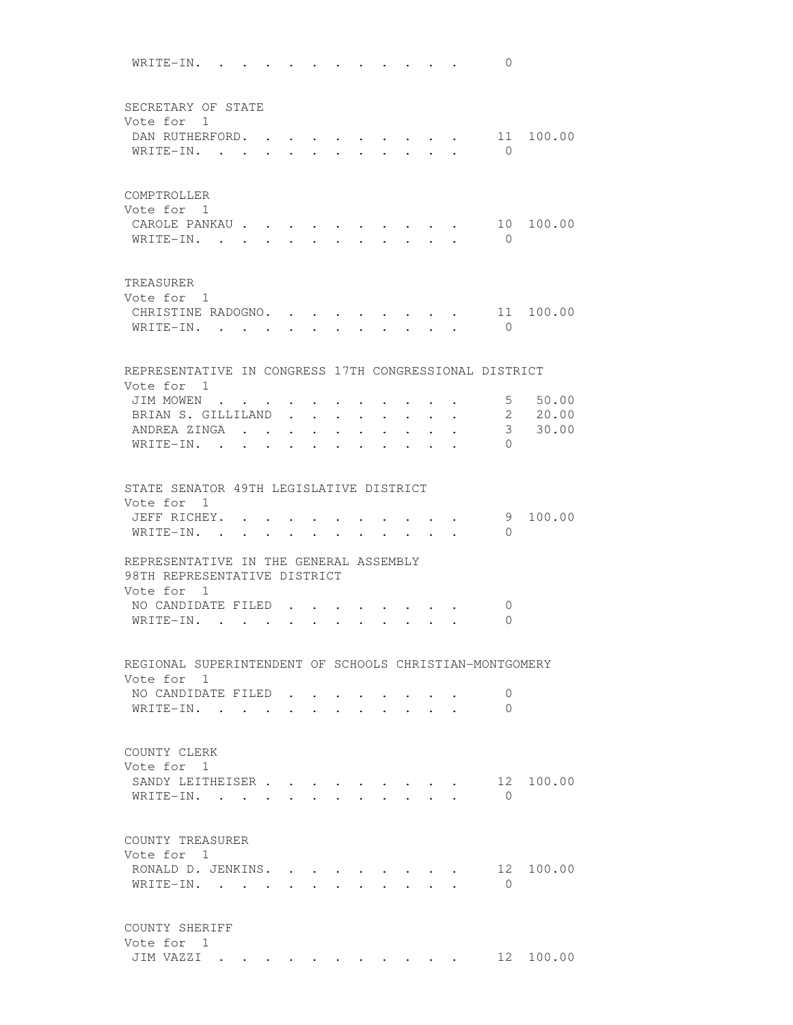WRITE-IN. . . . . . . . . . . . 0 SECRETARY OF STATE Vote for 1 DAN RUTHERFORD. . . . . . . . . . 11 100.00 WRITE-IN. . . . . . . . . . . . 0 COMPTROLLER Vote for 1 CAROLE PANKAU . . . . . . . . . . 10 100.00 WRITE-IN. . . . . . . . . . . . 0 TREASURER Vote for 1 CHRISTINE RADOGNO. . . . . . . . . 11 100.00 WRITE-IN. . . . . . . . . . . . 0 REPRESENTATIVE IN CONGRESS 17TH CONGRESSIONAL DISTRICT Vote for 1 JIM MOWEN . . . . . . . . . . . . 5 50.00 BRIAN S. GILLILAND . . . . . . . . 2 20.00 ANDREA ZINGA . . . . . . . . . . 3 30.00 WRITE-IN. . . . . . . . . . . 0 STATE SENATOR 49TH LEGISLATIVE DISTRICT Vote for 1 JEFF RICHEY. . . . . . . . . . . . 9 100.00 WRITE-IN. . . . . . . . . . . 0 REPRESENTATIVE IN THE GENERAL ASSEMBLY 98TH REPRESENTATIVE DISTRICT Vote for 1 NO CANDIDATE FILED . . . . . . . . 0 WRITE-IN. . . . . . . . . . . . 0 REGIONAL SUPERINTENDENT OF SCHOOLS CHRISTIAN-MONTGOMERY Vote for 1 NO CANDIDATE FILED . . . . . . . 0 WRITE-IN. . . . . . . . . . . . 0 COUNTY CLERK Vote for 1 SANDY LEITHEISER . . . . . . . . . 12 100.00 WRITE-IN. . . . . . . . . . . 0 COUNTY TREASURER Vote for 1 RONALD D. JENKINS. . . . . . . . . 12 100.00 WRITE-IN. . . . . . . . . . . 0 COUNTY SHERIFF Vote for 1 JIM VAZZI . . . . . . . . . . . 12 100.00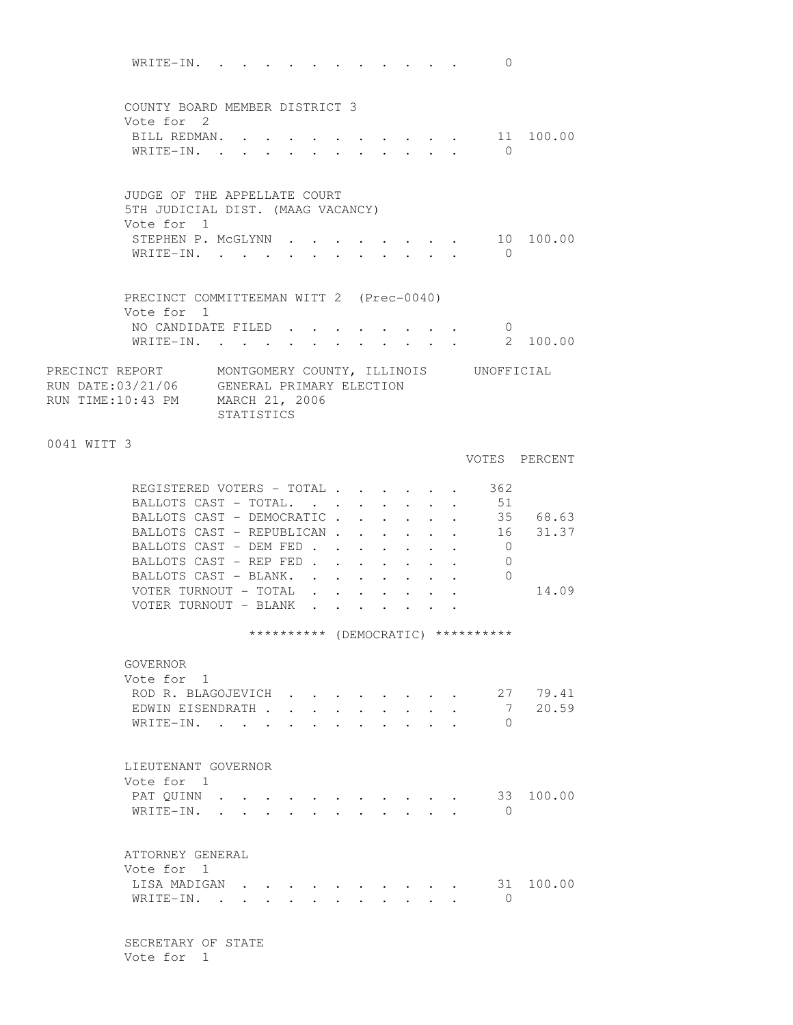WRITE-IN. . . . . . . . . . . . 0 COUNTY BOARD MEMBER DISTRICT 3 Vote for 2 BILL REDMAN. . . . . . . . . . . 11 100.00 WRITE-IN. . . . . . . . . . . 0 JUDGE OF THE APPELLATE COURT 5TH JUDICIAL DIST. (MAAG VACANCY) Vote for 1 STEPHEN P. MCGLYNN . . . . . . . . 10 100.00 WRITE-IN. . . . . . . . . . . 0 PRECINCT COMMITTEEMAN WITT 2 (Prec-0040) Vote for 1 NO CANDIDATE FILED . . . . . . . . 0<br>WRITE-IN. . . . . . . . . . . . 2 100.00 WRITE-IN. . . . . . . . . . . . PRECINCT REPORT MONTGOMERY COUNTY, ILLINOIS UNOFFICIAL RUN DATE:03/21/06 GENERAL PRIMARY ELECTION RUN TIME:10:43 PM MARCH 21, 2006 STATISTICS 0041 WITT 3 VOTES PERCENT REGISTERED VOTERS - TOTAL . . . . . . 362 BALLOTS CAST - TOTAL. . . . . . . . 51 BALLOTS CAST - DEMOCRATIC . . . . . 35 68.63 BALLOTS CAST - REPUBLICAN . . . . . . 16 31.37 BALLOTS CAST - DEM FED . . . . . . . 0 BALLOTS CAST - REP FED . . . . . . . 0 BALLOTS CAST - BLANK. . . . . . . . 0 VOTER TURNOUT - TOTAL . . . . . . . 14.09 VOTER TURNOUT - BLANK . . . . . . \*\*\*\*\*\*\*\*\*\* (DEMOCRATIC) \*\*\*\*\*\*\*\*\*\* GOVERNOR Vote for 1 ROD R. BLAGOJEVICH . . . . . . . . 27 79.41 EDWIN EISENDRATH . . . . . . . . . . 7 20.59<br>
<br>
The TNI WRITE-IN. . . . . . . LIEUTENANT GOVERNOR Vote for 1 PAT QUINN . . . . . . . . . . . . 33 100.00 WRITE-IN. . . . . . . . . . . . 0 ATTORNEY GENERAL Vote for 1 LISA MADIGAN . . . . . . . . . . 31 100.00  $\texttt{WRITE-IN.}$  . . . . . . . . . . 0

> SECRETARY OF STATE Vote for 1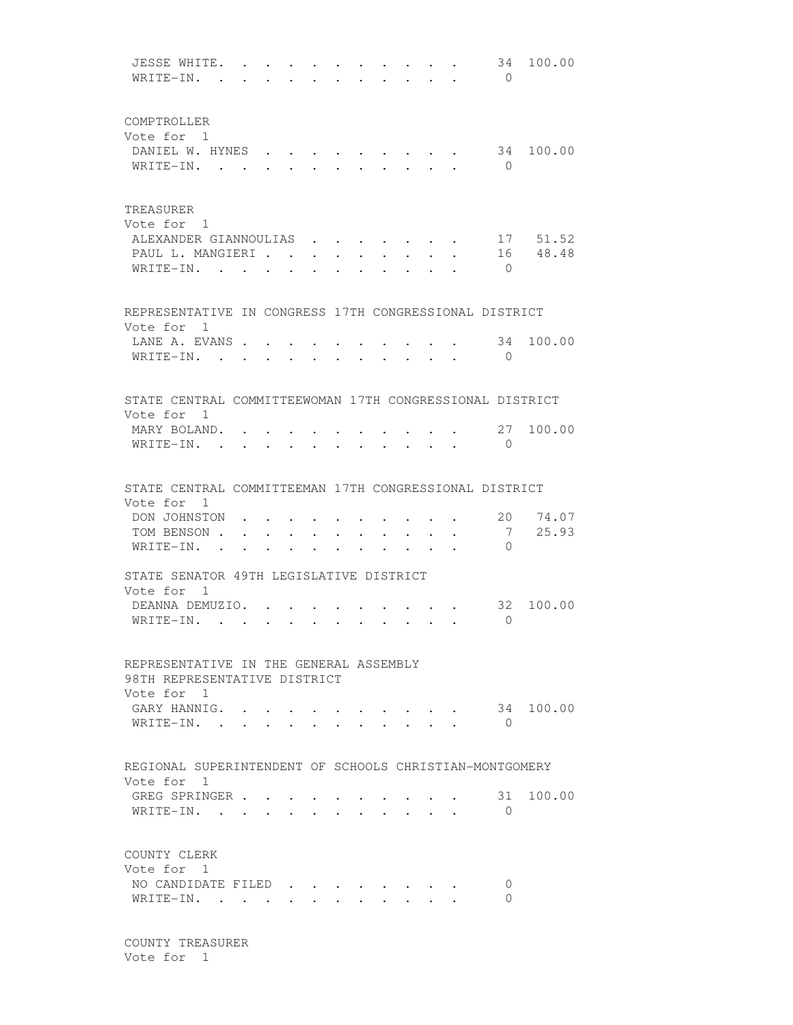JESSE WHITE. . . . . . . . . . . 34 100.00 WRITE-IN. . . . . . . . . . . . 0 COMPTROLLER Vote for 1 DANIEL W. HYNES . . . . . . . . . 34 100.00 WRITE-IN. . . . . . . . . . . 0 TREASURER Vote for 1 ALEXANDER GIANNOULIAS . . . . . . . 17 51.52 PAUL L. MANGIERI . . . . . . . . . 16 48.48 WRITE-IN. . . . . . . . . . . . 0 REPRESENTATIVE IN CONGRESS 17TH CONGRESSIONAL DISTRICT Vote for 1 LANE A. EVANS . . . . . . . . . . 34 100.00 WRITE-IN. . . . . . . . . . . . 0 STATE CENTRAL COMMITTEEWOMAN 17TH CONGRESSIONAL DISTRICT Vote for 1 MARY BOLAND. . . . . . . . . . . 27 100.00 WRITE-IN. . . . . . . . . . . . 0 STATE CENTRAL COMMITTEEMAN 17TH CONGRESSIONAL DISTRICT Vote for 1 DON JOHNSTON . . . . . . . . . . . 20 74.07<br>TOM BENSON . . . . . . . . . . . 7 25.93 TOM BENSON . . . . . . . . . . . 7<br>
WRTTE-TN WRITE-IN. . . . . . . . . . . STATE SENATOR 49TH LEGISLATIVE DISTRICT Vote for 1 DEANNA DEMUZIO. . . . . . . . . . 32 100.00 WRITE-IN. . . . . . . . . . . 0 REPRESENTATIVE IN THE GENERAL ASSEMBLY 98TH REPRESENTATIVE DISTRICT Vote for 1 GARY HANNIG. . . . . . . . . . . 34 100.00 WRITE-IN. . . . . . . . . . . 0 REGIONAL SUPERINTENDENT OF SCHOOLS CHRISTIAN-MONTGOMERY Vote for 1 GREG SPRINGER . . . . . . . . . . 31 100.00 WRITE-IN. . . . . . . . . . . . 0 COUNTY CLERK Vote for 1 NO CANDIDATE FILED . . . . . . . 0 WRITE-IN. . . . . . . . . . . . 0

 COUNTY TREASURER Vote for 1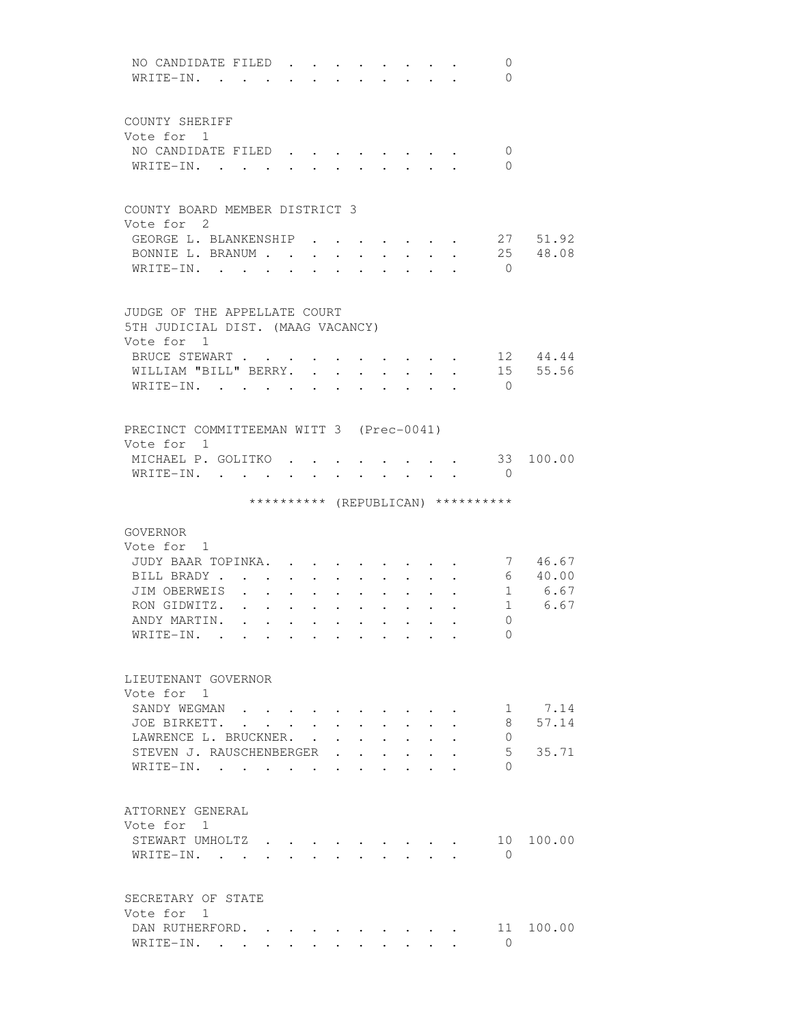| NO CANDIDATE FILED.<br>0<br>WRITE-IN.<br>$\Omega$                                                                     |
|-----------------------------------------------------------------------------------------------------------------------|
| COUNTY SHERIFF                                                                                                        |
| Vote for 1                                                                                                            |
| NO CANDIDATE FILED<br>$\mathbf{0}$                                                                                    |
| WRITE-IN. .<br>$\Omega$                                                                                               |
| COUNTY BOARD MEMBER DISTRICT 3                                                                                        |
| Vote for 2                                                                                                            |
| GEORGE L. BLANKENSHIP<br>27 51.92                                                                                     |
| BONNIE L. BRANUM<br>25 48.08<br>$\ddot{\phantom{0}}$                                                                  |
| WRITE-IN.<br>$\overline{0}$<br>$\ddot{\phantom{a}}$<br>$\bullet$                                                      |
| JUDGE OF THE APPELLATE COURT                                                                                          |
| 5TH JUDICIAL DIST. (MAAG VACANCY)                                                                                     |
| Vote for 1                                                                                                            |
| BRUCE STEWART<br>12 44.44                                                                                             |
| 15 55.56<br>WILLIAM "BILL" BERRY.<br>$\ddot{\phantom{0}}$<br>$\ddot{\phantom{0}}$<br>$\mathbf{L}$                     |
| WRITE-IN.<br>$\overline{0}$                                                                                           |
|                                                                                                                       |
| PRECINCT COMMITTEEMAN WITT 3 (Prec-0041)                                                                              |
| Vote for 1                                                                                                            |
| MICHAEL P. GOLITKO.<br>33 100.00<br>WRITE-IN. .<br>$\bigcirc$<br>$\mathbf{r}$                                         |
| ********** (REPUBLICAN) **********                                                                                    |
|                                                                                                                       |
| GOVERNOR                                                                                                              |
| Vote for 1                                                                                                            |
| 7 46.67<br>JUDY BAAR TOPINKA.                                                                                         |
| 40.00<br>BILL BRADY.<br>6                                                                                             |
| JIM OBERWEIS<br>1<br>6.67                                                                                             |
| 6.67<br>RON GIDWITZ.<br>1                                                                                             |
| ANDY MARTIN.<br>$\Omega$<br>$\ddot{\phantom{a}}$<br>$\cdot$<br>$\sim$<br>$\ddot{\phantom{a}}$<br>$\ddot{\phantom{a}}$ |
| WRITE-IN.<br>$\bigcirc$<br>and the contract of the con-                                                               |
| LIEUTENANT GOVERNOR                                                                                                   |
| Vote for 1                                                                                                            |
| 7.14<br>SANDY WEGMAN<br>1                                                                                             |
| 57.14<br>JOE BIRKETT.<br>8<br>$\mathbf{L}$<br>$\sim$<br>$\ddot{\phantom{0}}$                                          |
| LAWRENCE L. BRUCKNER.<br>$\mathbf{0}$<br>$\ddot{\phantom{0}}$<br>$\cdot$ $\cdot$<br>$\mathbf{L}$                      |
| STEVEN J. RAUSCHENBERGER<br>5<br>35.71                                                                                |
| WRITE-IN.<br>$\Omega$                                                                                                 |
|                                                                                                                       |
| ATTORNEY GENERAL                                                                                                      |
| Vote for 1                                                                                                            |
| STEWART UMHOLTZ.<br>10 100.00                                                                                         |
| WRITE-IN.<br>$\mathbf{0}$                                                                                             |
|                                                                                                                       |
| SECRETARY OF STATE                                                                                                    |
| Vote for 1<br>11<br>100.00                                                                                            |
| DAN RUTHERFORD.<br>$\Omega$                                                                                           |
| WRITE-IN.                                                                                                             |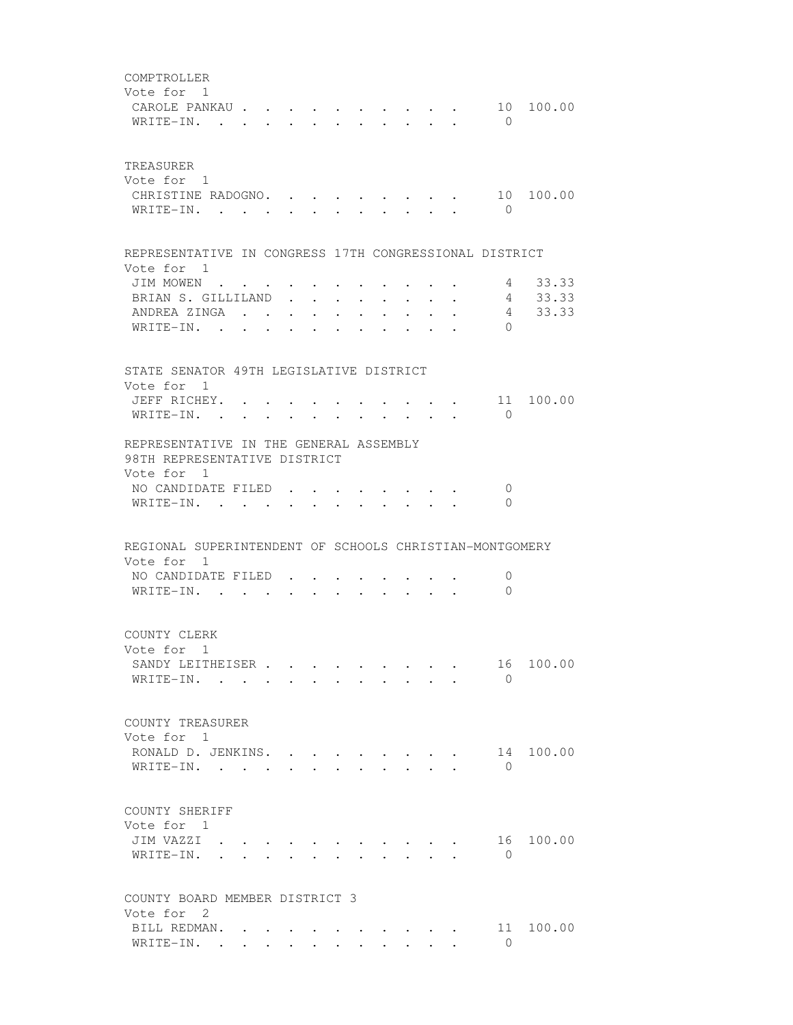| COMPTROLLER<br>Vote for 1<br>CAROLE PANKAU<br>WRITE-IN.                                                                 |                      |        |        |                   | $\cdot$ $\cdot$ $\cdot$ $\cdot$                             |                 |                                                 |                         |                                                                 | $\cdot$ , , , , , , | $\bigcirc$                                | 10 100.00                 |
|-------------------------------------------------------------------------------------------------------------------------|----------------------|--------|--------|-------------------|-------------------------------------------------------------|-----------------|-------------------------------------------------|-------------------------|-----------------------------------------------------------------|---------------------|-------------------------------------------|---------------------------|
| TREASURER<br>Vote for 1<br>CHRISTINE RADOGNO. .<br>WRITE-IN.                                                            |                      |        | $\sim$ |                   |                                                             |                 |                                                 |                         |                                                                 |                     | $\bigcirc$                                | 10 100.00                 |
| REPRESENTATIVE IN CONGRESS 17TH CONGRESSIONAL DISTRICT<br>Vote for 1                                                    |                      |        |        |                   |                                                             |                 |                                                 |                         |                                                                 |                     |                                           |                           |
| JIM MOWEN<br>BRIAN S. GILLILAND<br>ANDREA ZINGA<br>WRITE-IN. .                                                          |                      | $\sim$ |        |                   |                                                             |                 | $\bullet$ . In the case of the $\bullet$        |                         | $\bullet$ .<br><br><br><br><br><br><br><br><br><br><br><br><br> | $\sim 100$          | $4\overline{ }$<br>$4\degree$<br>$\Omega$ | 4 33.33<br>33.33<br>33.33 |
| STATE SENATOR 49TH LEGISLATIVE DISTRICT                                                                                 |                      |        |        |                   |                                                             |                 |                                                 |                         |                                                                 |                     |                                           |                           |
| Vote for 1<br>JEFF RICHEY.<br>WRITE-IN.                                                                                 |                      |        |        |                   |                                                             |                 |                                                 |                         |                                                                 |                     | $\Omega$                                  | $\cdot$ 11 100.00         |
| REPRESENTATIVE IN THE GENERAL ASSEMBLY<br>98TH REPRESENTATIVE DISTRICT<br>Vote for 1<br>NO CANDIDATE FILED<br>WRITE-IN. |                      |        |        | $\sim$            | $\bullet$ . The set of $\bullet$                            | $\cdot$ $\cdot$ |                                                 |                         | $\mathbf{r}$ , $\mathbf{r}$ , $\mathbf{r}$ , $\mathbf{r}$       |                     | 0<br>$\Omega$                             |                           |
| REGIONAL SUPERINTENDENT OF SCHOOLS CHRISTIAN-MONTGOMERY                                                                 |                      |        |        |                   |                                                             |                 |                                                 |                         |                                                                 |                     |                                           |                           |
| Vote for 1<br>NO CANDIDATE FILED<br>WRITE-IN. .                                                                         |                      |        |        |                   |                                                             |                 |                                                 |                         |                                                                 |                     | $\mathbf 0$<br>$\Omega$                   |                           |
| COUNTY CLERK<br>Vote for 1<br>SANDY LEITHEISER<br>$W$ RITE-IN                                                           |                      |        |        | $\sim$ 100 $\sim$ | $\bullet$ .<br><br><br><br><br><br><br><br><br><br><br><br> |                 | $\cdot$ $\cdot$ $\cdot$ $\cdot$ $\cdot$ $\cdot$ |                         |                                                                 |                     | 16<br>$\Omega$                            | 100.00                    |
| COUNTY TREASURER<br>Vote for 1<br>RONALD D. JENKINS.<br>WRITE-IN.                                                       |                      |        |        |                   |                                                             |                 |                                                 |                         | $\mathbf{L} = \mathbf{L}$                                       |                     | 14<br>$\Omega$                            | 100.00                    |
| COUNTY SHERIFF<br>Vote for 1<br>JIM VAZZI .<br>WRITE-IN.                                                                | $\ddot{\phantom{a}}$ |        |        |                   |                                                             |                 |                                                 |                         |                                                                 |                     | $\mathbf{0}$                              | 16 100.00                 |
| COUNTY BOARD MEMBER DISTRICT 3<br>Vote for 2                                                                            |                      |        |        |                   |                                                             |                 |                                                 |                         |                                                                 |                     |                                           |                           |
| BILL REDMAN.<br>WRITE-IN.                                                                                               |                      |        |        |                   |                                                             |                 |                                                 | $\cdot$ $\cdot$ $\cdot$ | $\ddot{\phantom{0}}$                                            |                     | 11<br>$\Omega$                            | 100.00                    |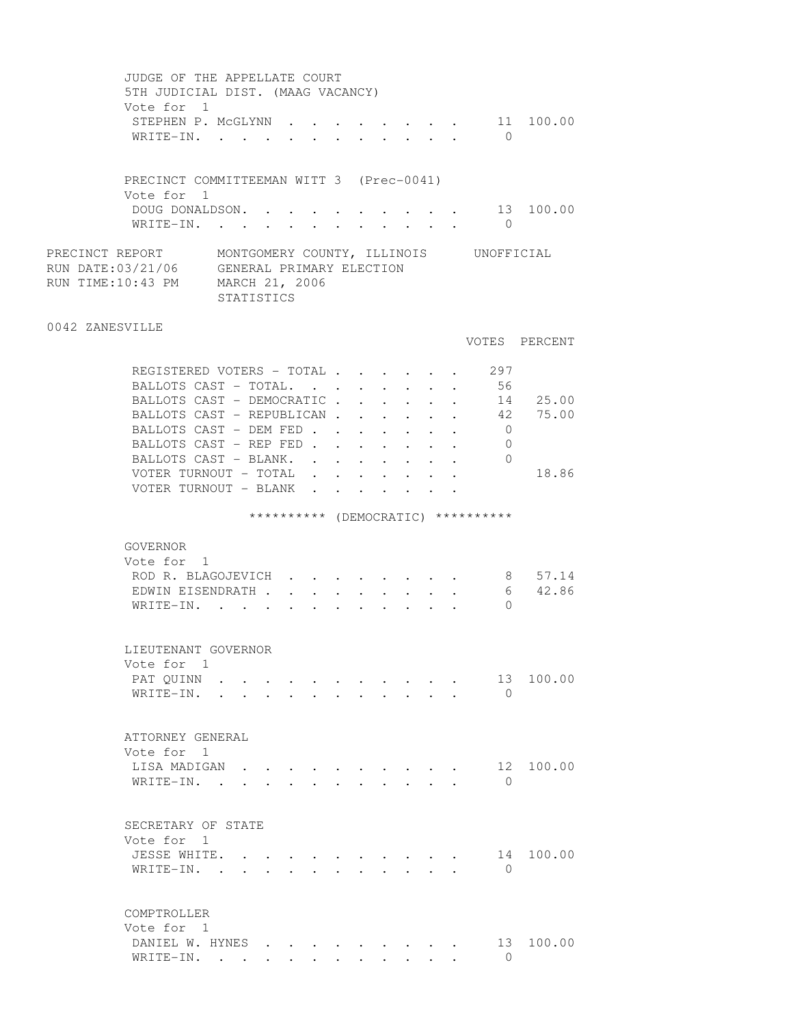| JUDGE OF THE APPELLATE COURT<br>5TH JUDICIAL DIST. (MAAG VACANCY)<br>Vote for 1                                                                         |  |                      |        |                      |                      |                                                                   |            |                                    |               |
|---------------------------------------------------------------------------------------------------------------------------------------------------------|--|----------------------|--------|----------------------|----------------------|-------------------------------------------------------------------|------------|------------------------------------|---------------|
| STEPHEN P. MCGLYNN 11 100.00<br>WRITE-IN.                                                                                                               |  |                      |        |                      |                      |                                                                   |            | $\bigcirc$                         |               |
| PRECINCT COMMITTEEMAN WITT 3 (Prec-0041)<br>Vote for 1                                                                                                  |  |                      |        |                      |                      |                                                                   |            |                                    |               |
| DOUG DONALDSON. .<br>WRITE-IN.                                                                                                                          |  |                      |        |                      |                      |                                                                   |            | $\overline{0}$                     | 13 100.00     |
| PRECINCT REPORT MONTGOMERY COUNTY, ILLINOIS UNOFFICIAL<br>RUN DATE: 03/21/06 GENERAL PRIMARY ELECTION<br>RUN TIME:10:43 PM MARCH 21, 2006<br>STATISTICS |  |                      |        |                      |                      |                                                                   |            |                                    |               |
| 0042 ZANESVILLE                                                                                                                                         |  |                      |        |                      |                      |                                                                   |            |                                    | VOTES PERCENT |
| REGISTERED VOTERS - TOTAL 297                                                                                                                           |  |                      |        |                      |                      |                                                                   |            |                                    |               |
| BALLOTS CAST - TOTAL.                                                                                                                                   |  |                      |        |                      |                      |                                                                   |            | 56                                 |               |
| BALLOTS CAST - DEMOCRATIC                                                                                                                               |  |                      |        |                      |                      |                                                                   |            |                                    | 14 25.00      |
| BALLOTS CAST - REPUBLICAN 42 75.00                                                                                                                      |  |                      |        |                      |                      |                                                                   |            |                                    |               |
| BALLOTS CAST - DEM FED                                                                                                                                  |  |                      |        |                      |                      | $\bullet$ .<br><br><br><br><br><br><br><br><br><br><br><br>       | $\sim 100$ | $\overline{0}$<br>$\overline{0}$   |               |
| BALLOTS CAST - REP FED<br>BALLOTS CAST - BLANK.                                                                                                         |  |                      |        |                      |                      | $\mathbf{L}$ and $\mathbf{L}$<br>$\bullet$ . The set of $\bullet$ |            | $\circ$                            |               |
| VOTER TURNOUT - TOTAL                                                                                                                                   |  | $\ddot{\phantom{0}}$ |        | $\ddot{\phantom{0}}$ | $\ddot{\phantom{a}}$ |                                                                   |            |                                    | 18.86         |
| VOTER TURNOUT - BLANK                                                                                                                                   |  | $\sim$               | $\sim$ |                      |                      |                                                                   |            |                                    |               |
|                                                                                                                                                         |  |                      |        |                      |                      |                                                                   |            | ********** (DEMOCRATIC) ********** |               |
| GOVERNOR                                                                                                                                                |  |                      |        |                      |                      |                                                                   |            |                                    |               |
| Vote for 1                                                                                                                                              |  |                      |        |                      |                      |                                                                   |            |                                    |               |
| ROD R. BLAGOJEVICH                                                                                                                                      |  |                      |        |                      |                      |                                                                   |            |                                    | 8 57.14       |
| EDWIN EISENDRATH                                                                                                                                        |  |                      |        |                      |                      |                                                                   |            | 6                                  | 42.86         |
| WRITE-IN.                                                                                                                                               |  |                      |        |                      |                      |                                                                   |            | $\Omega$                           |               |
| LIEUTENANT GOVERNOR<br>Vote for 1                                                                                                                       |  |                      |        |                      |                      |                                                                   |            |                                    |               |
| PAT QUINN                                                                                                                                               |  |                      |        |                      |                      |                                                                   |            | 13                                 | 100.00        |
| WRITE-IN.                                                                                                                                               |  |                      |        |                      |                      |                                                                   |            | $\bigcirc$                         |               |
| ATTORNEY GENERAL                                                                                                                                        |  |                      |        |                      |                      |                                                                   |            |                                    |               |
| Vote for 1<br>LISA MADIGAN                                                                                                                              |  |                      |        |                      |                      |                                                                   |            | 12                                 | 100.00        |
| WRITE-IN.<br>$\mathbf{r}$ , $\mathbf{r}$ , $\mathbf{r}$ , $\mathbf{r}$ , $\mathbf{r}$                                                                   |  |                      |        |                      |                      |                                                                   |            | $\Omega$                           |               |
|                                                                                                                                                         |  |                      |        |                      |                      |                                                                   |            |                                    |               |
| SECRETARY OF STATE<br>Vote for 1                                                                                                                        |  |                      |        |                      |                      |                                                                   |            |                                    |               |
| JESSE WHITE.                                                                                                                                            |  |                      |        |                      |                      |                                                                   |            | 14                                 | 100.00        |
| WRITE-IN. .<br>$\ddot{\phantom{0}}$                                                                                                                     |  |                      |        |                      |                      |                                                                   |            | $\bigcirc$                         |               |
| COMPTROLLER                                                                                                                                             |  |                      |        |                      |                      |                                                                   |            |                                    |               |
| Vote for 1                                                                                                                                              |  |                      |        |                      |                      |                                                                   |            |                                    |               |
| DANIEL W. HYNES<br>WRITE-IN.                                                                                                                            |  |                      |        |                      |                      |                                                                   |            | 13<br>$\Omega$                     | 100.00        |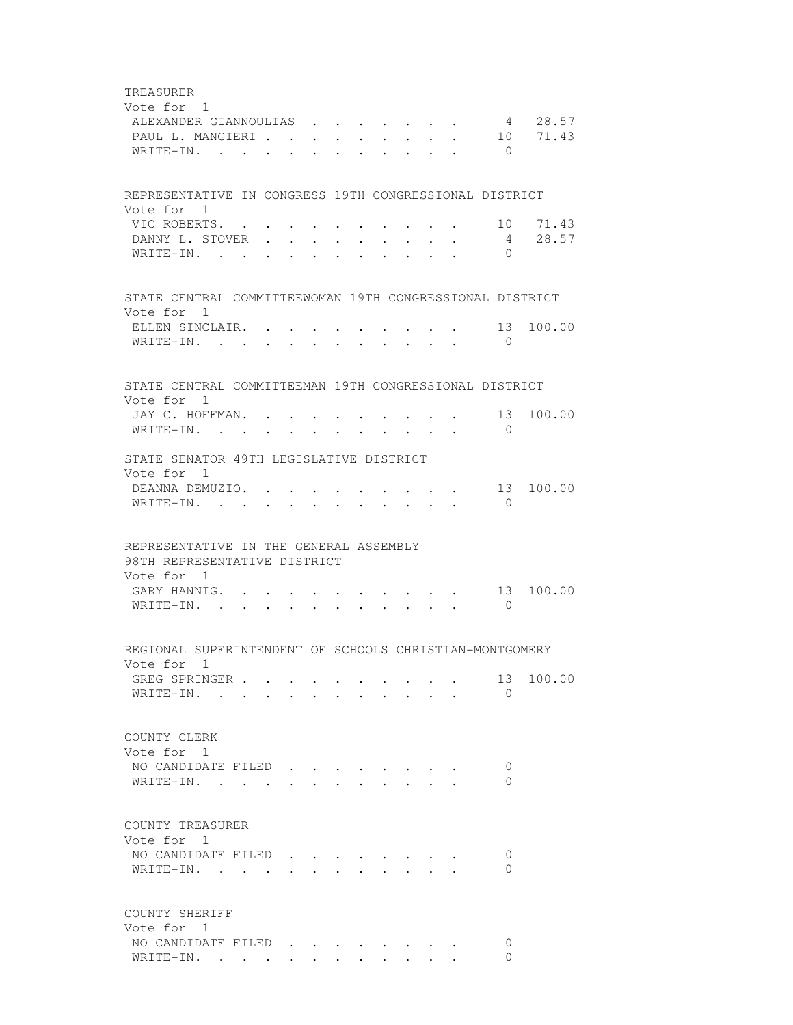TREASURER Vote for 1 ALEXANDER GIANNOULIAS . . . . . . . 4 28.57<br>PAUL L. MANGIERI . . . . . . . . . 10 71.43 PAUL L. MANGIERI . . . . . . . . . 10 71.43 WRITE-IN. . . . . . . . . . . . 0 REPRESENTATIVE IN CONGRESS 19TH CONGRESSIONAL DISTRICT Vote for 1 VIC ROBERTS. . . . . . . . . . . 10 71.43 DANNY L. STOVER . . . . . . . . . 4 28.57 WRITE-IN. . . . . . . . . . . . 0 STATE CENTRAL COMMITTEEWOMAN 19TH CONGRESSIONAL DISTRICT Vote for 1 ELLEN SINCLAIR. . . . . . . . . . . 13 100.00 WRITE-IN. . . . . . . . . . . . 0 STATE CENTRAL COMMITTEEMAN 19TH CONGRESSIONAL DISTRICT Vote for 1 JAY C. HOFFMAN. . . . . . . . . . 13 100.00 WRITE-IN. . . . . . . . . . . 0 STATE SENATOR 49TH LEGISLATIVE DISTRICT Vote for 1 DEANNA DEMUZIO. . . . . . . . . . 13 100.00 WRITE-IN. . . . . . . . . . . . 0 REPRESENTATIVE IN THE GENERAL ASSEMBLY 98TH REPRESENTATIVE DISTRICT Vote for 1 GARY HANNIG. . . . . . . . . . . 13 100.00 WRITE-IN. . . . . . . . . . . . 0 REGIONAL SUPERINTENDENT OF SCHOOLS CHRISTIAN-MONTGOMERY Vote for 1 GREG SPRINGER . . . . . . . . . . 13 100.00 WRITE-IN. . . . . . . . . . . 0 COUNTY CLERK Vote for 1 NO CANDIDATE FILED . . . . . . . . 0 WRITE-IN. . . . . . . . . . . . 0 COUNTY TREASURER Vote for 1 NO CANDIDATE FILED . . . . . . . . 0 WRITE-IN. . . . . . . . . . . 0 COUNTY SHERIFF Vote for 1 NO CANDIDATE FILED . . . . . . . . 0 WRITE-IN. . . . . . . . . . . . 0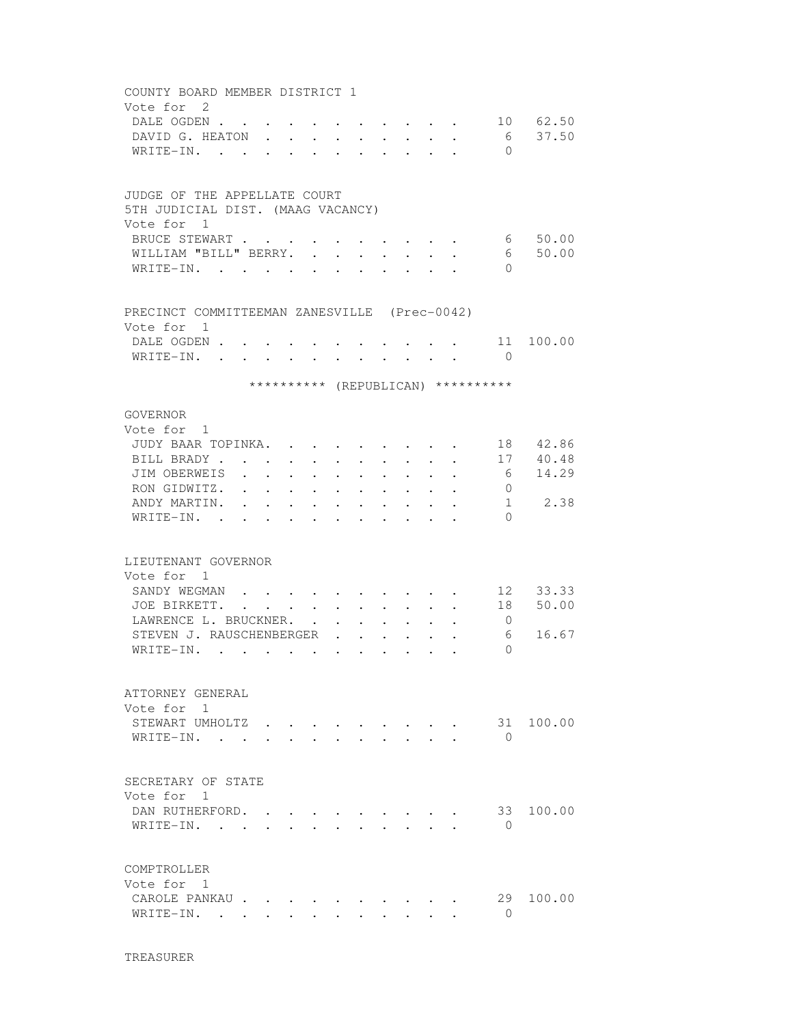| COUNTY BOARD MEMBER DISTRICT 1               |                                |                                                           |                                                                                               |                                                    |                      |                           |        |                           |                                                                                                                                                     |                                    |                                |
|----------------------------------------------|--------------------------------|-----------------------------------------------------------|-----------------------------------------------------------------------------------------------|----------------------------------------------------|----------------------|---------------------------|--------|---------------------------|-----------------------------------------------------------------------------------------------------------------------------------------------------|------------------------------------|--------------------------------|
| Vote for 2                                   |                                |                                                           |                                                                                               |                                                    |                      |                           |        |                           |                                                                                                                                                     |                                    |                                |
| DALE OGDEN                                   |                                | $\cdot$ $\cdot$                                           |                                                                                               | $\sim$                                             |                      | $\sim$                    |        |                           |                                                                                                                                                     |                                    | 10 62.50                       |
| DAVID G. HEATON                              |                                |                                                           |                                                                                               | $\mathbf{r}$ and $\mathbf{r}$                      |                      | $\mathbf{r}$ $\mathbf{r}$ |        | $\mathbf{r} = \mathbf{r}$ | $\ddot{\phantom{a}}$                                                                                                                                | 6                                  | 37.50                          |
| WRITE-IN.                                    |                                |                                                           |                                                                                               | $\sim$ $\sim$                                      | $\cdot$              | $\sim$ $\sim$             | $\sim$ |                           |                                                                                                                                                     | $\Omega$                           |                                |
|                                              |                                |                                                           |                                                                                               |                                                    |                      |                           |        |                           |                                                                                                                                                     |                                    |                                |
|                                              |                                |                                                           |                                                                                               |                                                    |                      |                           |        |                           |                                                                                                                                                     |                                    |                                |
| JUDGE OF THE APPELLATE COURT                 |                                |                                                           |                                                                                               |                                                    |                      |                           |        |                           |                                                                                                                                                     |                                    |                                |
| 5TH JUDICIAL DIST. (MAAG VACANCY)            |                                |                                                           |                                                                                               |                                                    |                      |                           |        |                           |                                                                                                                                                     |                                    |                                |
| Vote for 1                                   |                                |                                                           |                                                                                               |                                                    |                      |                           |        |                           |                                                                                                                                                     |                                    |                                |
| BRUCE STEWART                                |                                |                                                           | $\ddot{\phantom{0}}$                                                                          |                                                    |                      | $\cdot$ $\cdot$ $\cdot$   |        |                           |                                                                                                                                                     |                                    | 6 50.00                        |
| WILLIAM "BILL" BERRY.                        |                                |                                                           | $\sim$                                                                                        | $\ddot{\phantom{a}}$                               |                      |                           |        |                           |                                                                                                                                                     | 6                                  | 50.00                          |
| WRITE-IN.                                    |                                |                                                           |                                                                                               |                                                    |                      |                           |        |                           |                                                                                                                                                     | $\Omega$                           |                                |
|                                              |                                |                                                           |                                                                                               |                                                    |                      |                           |        |                           |                                                                                                                                                     |                                    |                                |
| PRECINCT COMMITTEEMAN ZANESVILLE (Prec-0042) |                                |                                                           |                                                                                               |                                                    |                      |                           |        |                           |                                                                                                                                                     |                                    |                                |
| Vote for 1                                   |                                |                                                           |                                                                                               |                                                    |                      |                           |        |                           |                                                                                                                                                     |                                    |                                |
| DALE OGDEN .                                 |                                |                                                           |                                                                                               |                                                    |                      |                           |        |                           |                                                                                                                                                     |                                    | 11 100.00                      |
| WRITE-IN.                                    |                                | $\mathbf{L}^{\text{max}}$ , and $\mathbf{L}^{\text{max}}$ |                                                                                               |                                                    |                      |                           |        |                           | $\mathbf{r} = \mathbf{r} \times \mathbf{r}$ , where $\mathbf{r} = \mathbf{r} \times \mathbf{r}$ , where $\mathbf{r} = \mathbf{r} \times \mathbf{r}$ | $\bigcirc$                         |                                |
|                                              |                                |                                                           |                                                                                               |                                                    |                      |                           |        |                           |                                                                                                                                                     | ********** (REPUBLICAN) ********** |                                |
|                                              |                                |                                                           |                                                                                               |                                                    |                      |                           |        |                           |                                                                                                                                                     |                                    |                                |
| GOVERNOR                                     |                                |                                                           |                                                                                               |                                                    |                      |                           |        |                           |                                                                                                                                                     |                                    |                                |
| Vote for 1                                   |                                |                                                           |                                                                                               |                                                    |                      |                           |        |                           |                                                                                                                                                     |                                    |                                |
| JUDY BAAR TOPINKA.                           |                                |                                                           |                                                                                               | $\mathbf{a}$ , and $\mathbf{a}$ , and $\mathbf{a}$ |                      |                           |        |                           |                                                                                                                                                     |                                    | . 18 42.86                     |
| BILL BRADY.                                  | $\bullet$                      |                                                           |                                                                                               |                                                    |                      |                           |        |                           |                                                                                                                                                     |                                    | . 17 40.48                     |
| JIM OBERWEIS                                 | $\sim$<br>$\ddot{\phantom{a}}$ | $\ddot{\phantom{a}}$                                      | $\bullet$                                                                                     | $\ddot{\phantom{a}}$                               | $\ddot{\phantom{0}}$ |                           |        |                           | $\ddot{\phantom{0}}$                                                                                                                                | 6                                  | 14.29                          |
| RON GIDWITZ.                                 | $\ddot{\phantom{0}}$           | $\ddot{\phantom{a}}$                                      | $\ddot{\phantom{0}}$                                                                          | $\ddot{\phantom{a}}$                               |                      |                           |        |                           |                                                                                                                                                     | $\overline{0}$                     |                                |
| ANDY MARTIN.                                 |                                |                                                           |                                                                                               |                                                    |                      |                           |        |                           |                                                                                                                                                     |                                    | $1 \quad \blacksquare$<br>2.38 |
| $W$ RITE-IN                                  |                                |                                                           |                                                                                               |                                                    |                      |                           |        |                           |                                                                                                                                                     | $\Omega$                           |                                |
|                                              |                                |                                                           |                                                                                               |                                                    |                      |                           |        |                           |                                                                                                                                                     |                                    |                                |
| LIEUTENANT GOVERNOR                          |                                |                                                           |                                                                                               |                                                    |                      |                           |        |                           |                                                                                                                                                     |                                    |                                |
| Vote for 1                                   |                                |                                                           |                                                                                               |                                                    |                      |                           |        |                           |                                                                                                                                                     |                                    |                                |
| SANDY WEGMAN                                 |                                |                                                           |                                                                                               |                                                    |                      |                           |        |                           |                                                                                                                                                     |                                    | 12 33.33                       |
| JOE BIRKETT. .                               |                                |                                                           | $\mathbf{r} = \mathbf{r} \cdot \mathbf{r}$ , where $\mathbf{r} = \mathbf{r} \cdot \mathbf{r}$ |                                                    |                      |                           |        |                           |                                                                                                                                                     | 18                                 | 50.00                          |
| LAWRENCE L. BRUCKNER.                        |                                |                                                           |                                                                                               |                                                    |                      |                           |        |                           |                                                                                                                                                     | $\overline{0}$                     |                                |
| STEVEN J. RAUSCHENBERGER                     |                                |                                                           |                                                                                               |                                                    |                      |                           |        |                           |                                                                                                                                                     | 6                                  | 16.67                          |
| WRITE-IN.                                    |                                | $\ddot{\phantom{0}}$                                      | $\bullet$                                                                                     |                                                    |                      |                           |        |                           |                                                                                                                                                     | $\Omega$                           |                                |
|                                              |                                |                                                           |                                                                                               |                                                    |                      |                           |        |                           |                                                                                                                                                     |                                    |                                |
|                                              |                                |                                                           |                                                                                               |                                                    |                      |                           |        |                           |                                                                                                                                                     |                                    |                                |
| ATTORNEY GENERAL                             |                                |                                                           |                                                                                               |                                                    |                      |                           |        |                           |                                                                                                                                                     |                                    |                                |
| Vote for 1                                   |                                |                                                           |                                                                                               |                                                    |                      |                           |        |                           |                                                                                                                                                     |                                    |                                |
| STEWART UMHOLTZ                              |                                |                                                           |                                                                                               |                                                    |                      |                           |        |                           |                                                                                                                                                     | 31                                 | 100.00                         |
| WRITE-IN.                                    |                                |                                                           |                                                                                               |                                                    |                      |                           |        |                           |                                                                                                                                                     | $\Omega$                           |                                |
|                                              |                                |                                                           |                                                                                               |                                                    |                      |                           |        |                           |                                                                                                                                                     |                                    |                                |
| SECRETARY OF STATE                           |                                |                                                           |                                                                                               |                                                    |                      |                           |        |                           |                                                                                                                                                     |                                    |                                |
| Vote for 1                                   |                                |                                                           |                                                                                               |                                                    |                      |                           |        |                           |                                                                                                                                                     |                                    |                                |
| DAN RUTHERFORD.                              |                                |                                                           |                                                                                               |                                                    |                      |                           |        |                           |                                                                                                                                                     | 33                                 | 100.00                         |
| WRITE-IN.                                    |                                |                                                           |                                                                                               |                                                    |                      |                           |        |                           |                                                                                                                                                     | $\Omega$                           |                                |
|                                              |                                |                                                           |                                                                                               |                                                    |                      |                           |        |                           |                                                                                                                                                     |                                    |                                |
| COMPTROLLER                                  |                                |                                                           |                                                                                               |                                                    |                      |                           |        |                           |                                                                                                                                                     |                                    |                                |
| Vote for 1                                   |                                |                                                           |                                                                                               |                                                    |                      |                           |        |                           |                                                                                                                                                     |                                    |                                |
| CAROLE PANKAU                                |                                |                                                           |                                                                                               |                                                    |                      |                           |        |                           |                                                                                                                                                     | 29                                 | 100.00                         |
| WRITE-IN. .                                  | $\sim$                         |                                                           |                                                                                               |                                                    |                      |                           |        |                           |                                                                                                                                                     | $\Omega$                           |                                |
|                                              |                                |                                                           |                                                                                               |                                                    |                      |                           |        |                           |                                                                                                                                                     |                                    |                                |